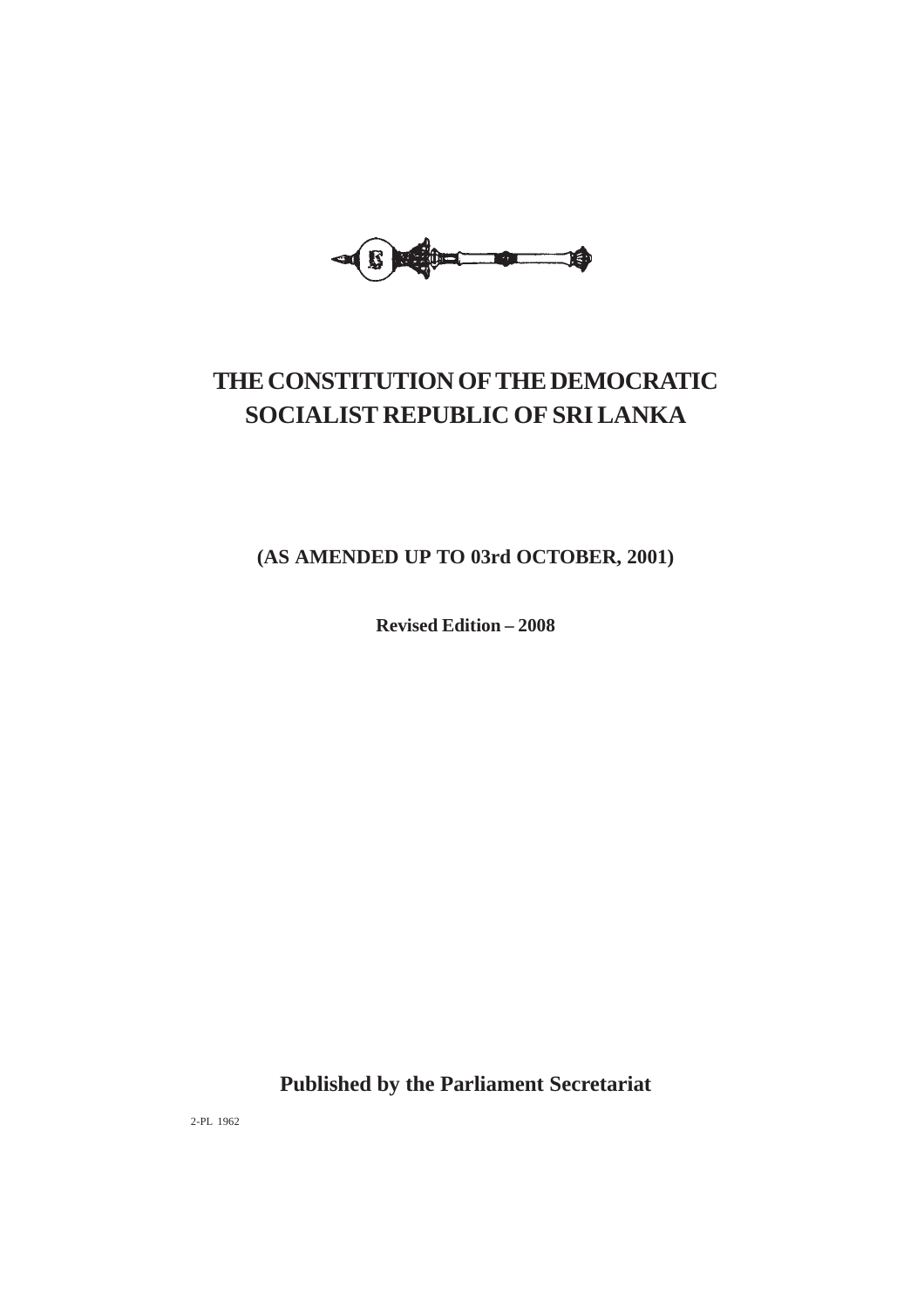$\blacktriangleleft \mathbf{S}$ 19 **SQL** 

# **THE CONSTITUTION OF THE DEMOCRATIC SOCIALIST REPUBLIC OF SRI LANKA**

**(AS AMENDED UP TO 03rd OCTOBER, 2001)**

**Revised Edition – 2008**

**Published by the Parliament Secretariat**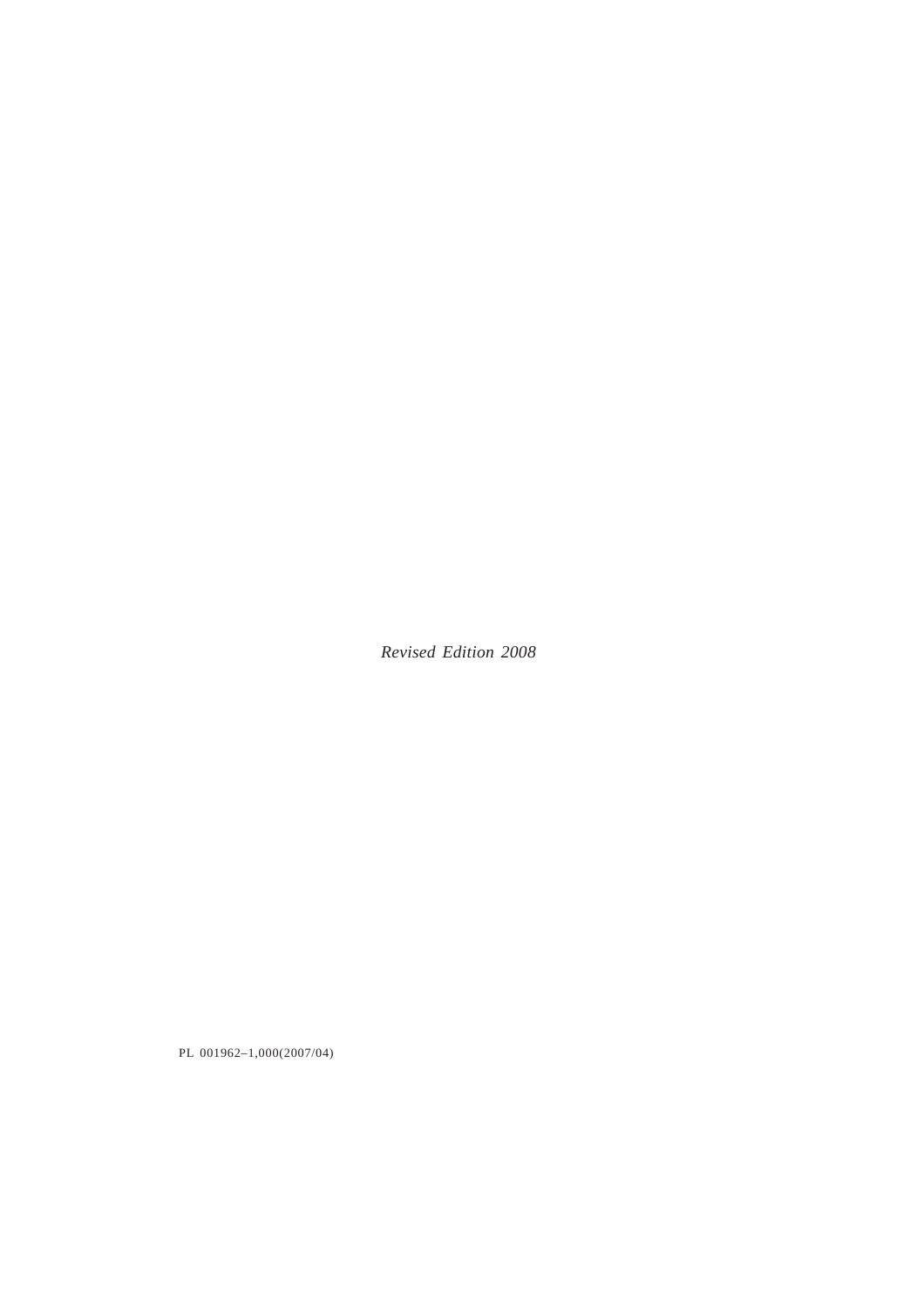*Revised Edition 2008*

PL 001962–1,000(2007/04)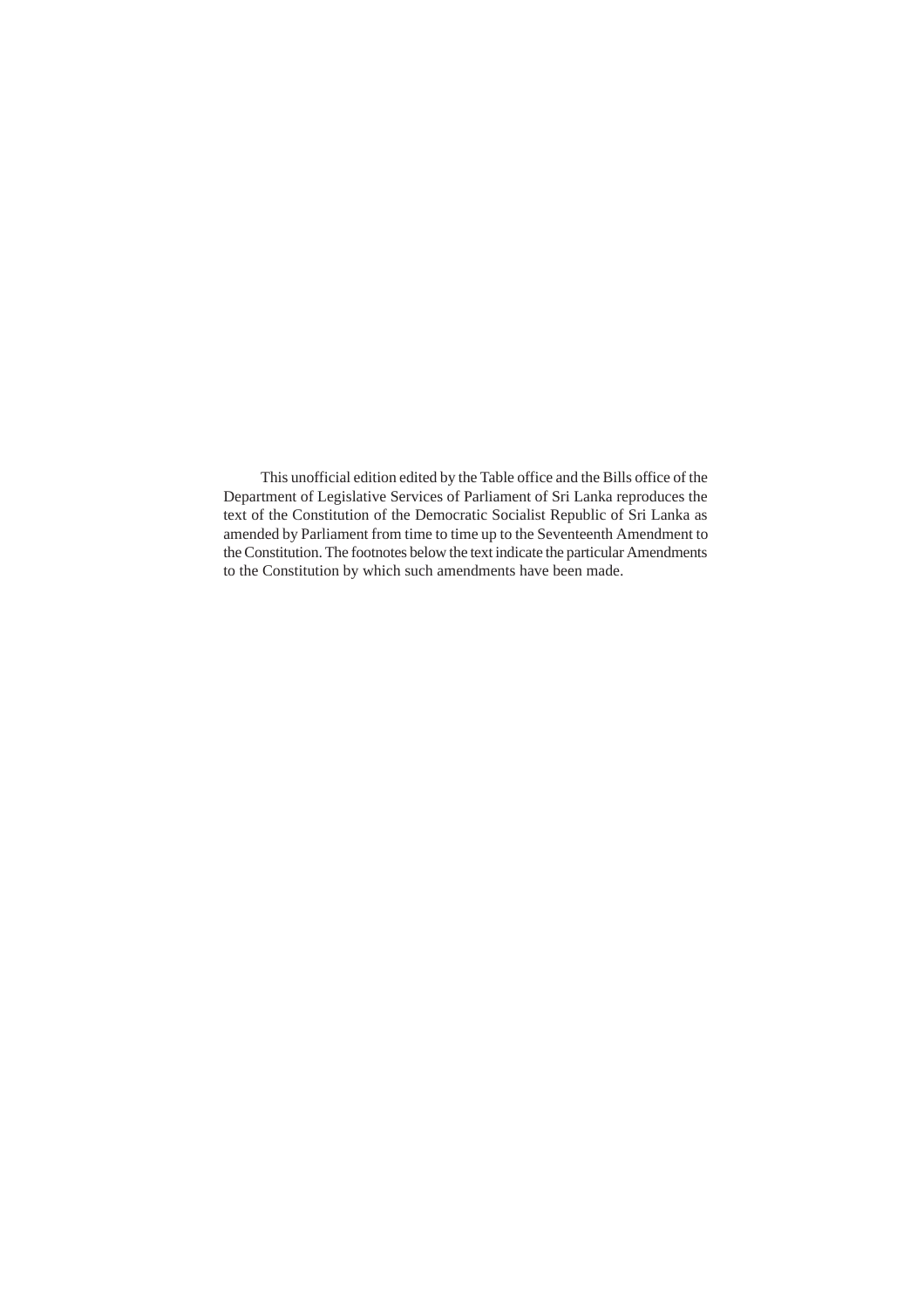This unofficial edition edited by the Table office and the Bills office of the Department of Legislative Services of Parliament of Sri Lanka reproduces the text of the Constitution of the Democratic Socialist Republic of Sri Lanka as amended by Parliament from time to time up to the Seventeenth Amendment to the Constitution. The footnotes below the text indicate the particular Amendments to the Constitution by which such amendments have been made.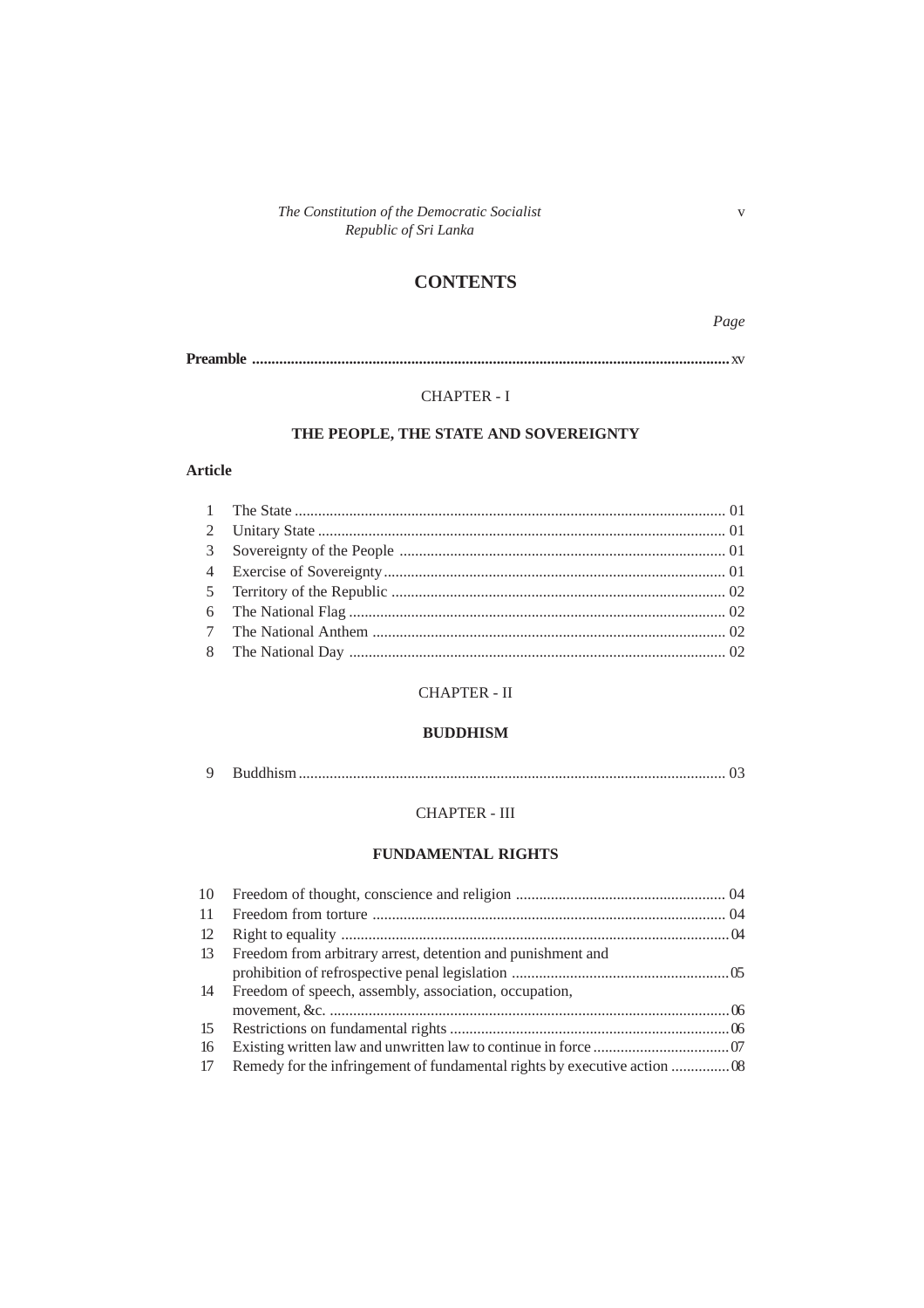# **CONTENTS**

*Page*

**Preamble ...........................................................................................................................**xv

## CHAPTER - I

# **THE PEOPLE, THE STATE AND SOVEREIGNTY**

#### **Article**

# CHAPTER - II

#### **BUDDHISM**

|--|--|--|--|

# CHAPTER - III

## **FUNDAMENTAL RIGHTS**

| 10  |                                                             |  |
|-----|-------------------------------------------------------------|--|
|     |                                                             |  |
| -11 |                                                             |  |
| -12 |                                                             |  |
| 13  | Freedom from arbitrary arrest, detention and punishment and |  |
|     |                                                             |  |
| 14  | Freedom of speech, assembly, association, occupation,       |  |
|     |                                                             |  |
| -15 |                                                             |  |
| -16 |                                                             |  |
| -17 |                                                             |  |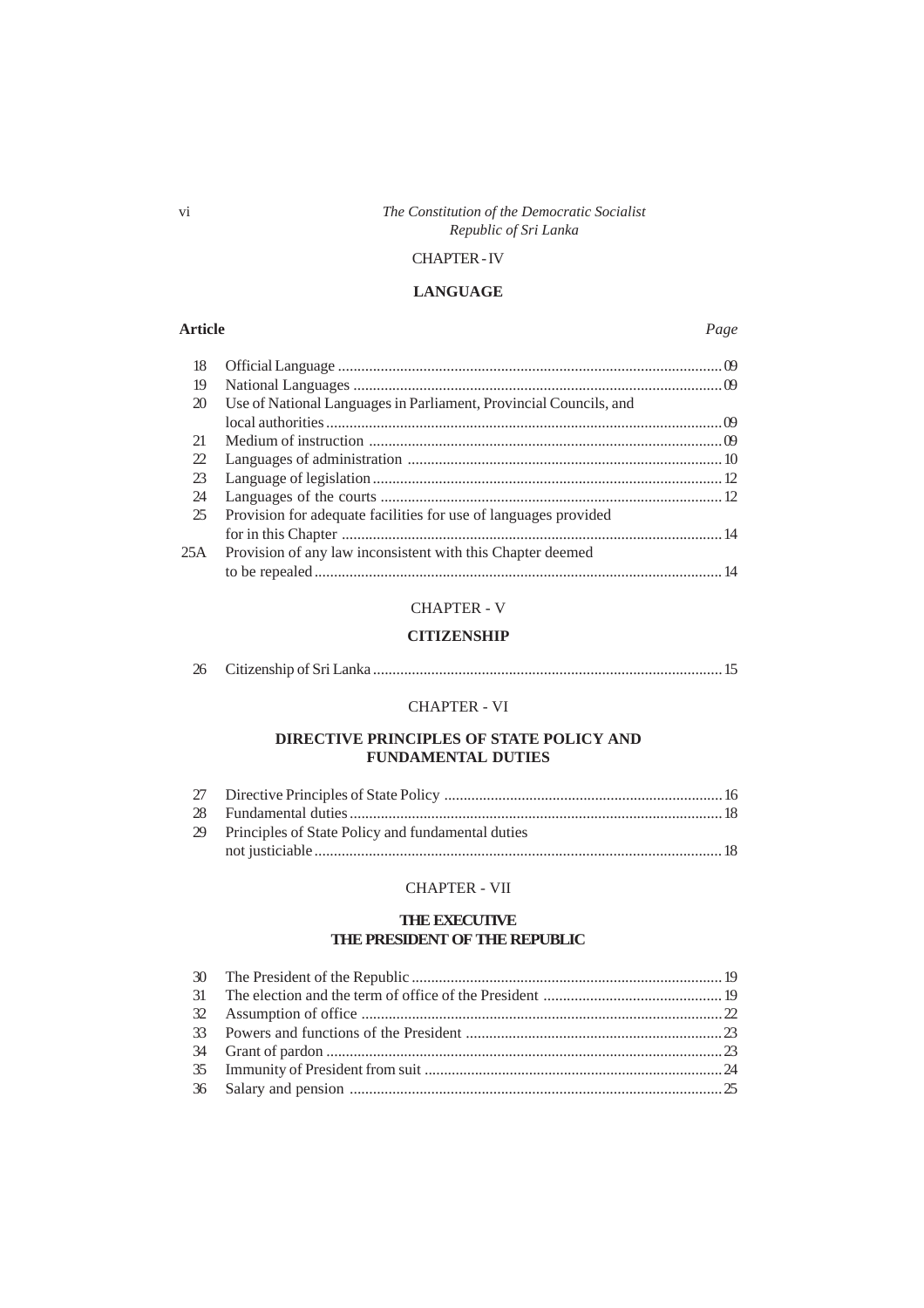## CHAPTER - IV

# **LANGUAGE**

#### **Article** *Page*

| 18  |                                                                   |  |
|-----|-------------------------------------------------------------------|--|
| 19  |                                                                   |  |
| 20  | Use of National Languages in Parliament, Provincial Councils, and |  |
|     |                                                                   |  |
| 21  |                                                                   |  |
| 22  |                                                                   |  |
| 23  |                                                                   |  |
| 24  |                                                                   |  |
| 25  | Provision for adequate facilities for use of languages provided   |  |
|     |                                                                   |  |
| 25A | Provision of any law inconsistent with this Chapter deemed        |  |
|     |                                                                   |  |
|     |                                                                   |  |

# CHAPTER - V

## **CITIZENSHIP**

|--|--|--|--|

# CHAPTER - VI

## **DIRECTIVE PRINCIPLES OF STATE POLICY AND FUNDAMENTAL DUTIES**

| 29 Principles of State Policy and fundamental duties |  |
|------------------------------------------------------|--|
|                                                      |  |
|                                                      |  |

### CHAPTER - VII

## **THE EXECUTIVE THE PRESIDENT OF THE REPUBLIC**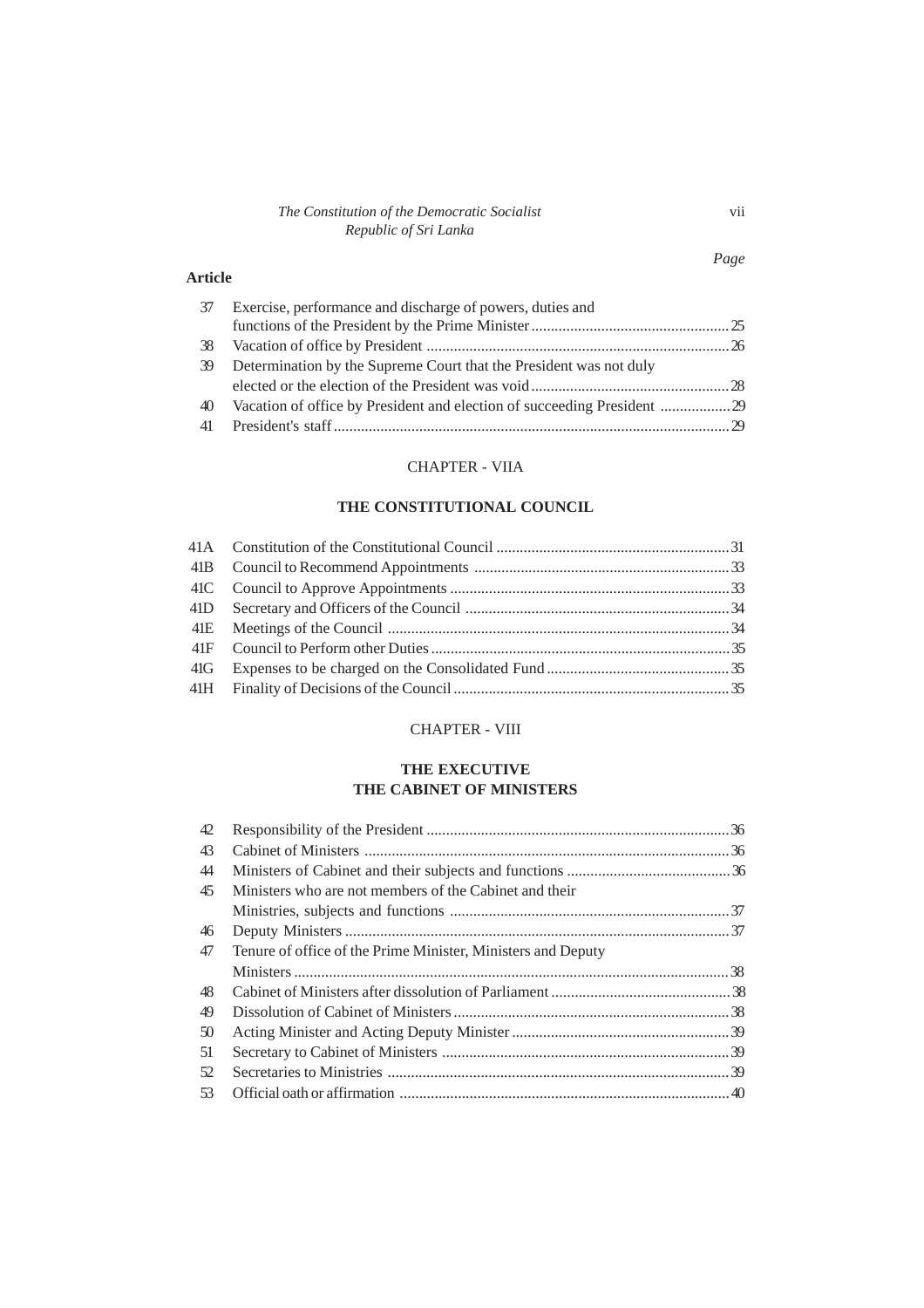| The Constitution of the Democratic Socialist | V11 |
|----------------------------------------------|-----|
| Republic of Sri Lanka                        |     |

## **Article**

| 37 | Exercise, performance and discharge of powers, duties and          |  |
|----|--------------------------------------------------------------------|--|
|    |                                                                    |  |
| 38 |                                                                    |  |
| 39 | Determination by the Supreme Court that the President was not duly |  |
|    |                                                                    |  |
| 40 |                                                                    |  |
|    |                                                                    |  |

## CHAPTER - VIIA

# **THE CONSTITUTIONAL COUNCIL**

# CHAPTER - VIII

# **THE EXECUTIVE THE CABINET OF MINISTERS**

| Ministers who are not members of the Cabinet and their       |  |
|--------------------------------------------------------------|--|
|                                                              |  |
|                                                              |  |
| Tenure of office of the Prime Minister, Ministers and Deputy |  |
|                                                              |  |
|                                                              |  |
|                                                              |  |
|                                                              |  |
|                                                              |  |
|                                                              |  |
|                                                              |  |
|                                                              |  |

*Page*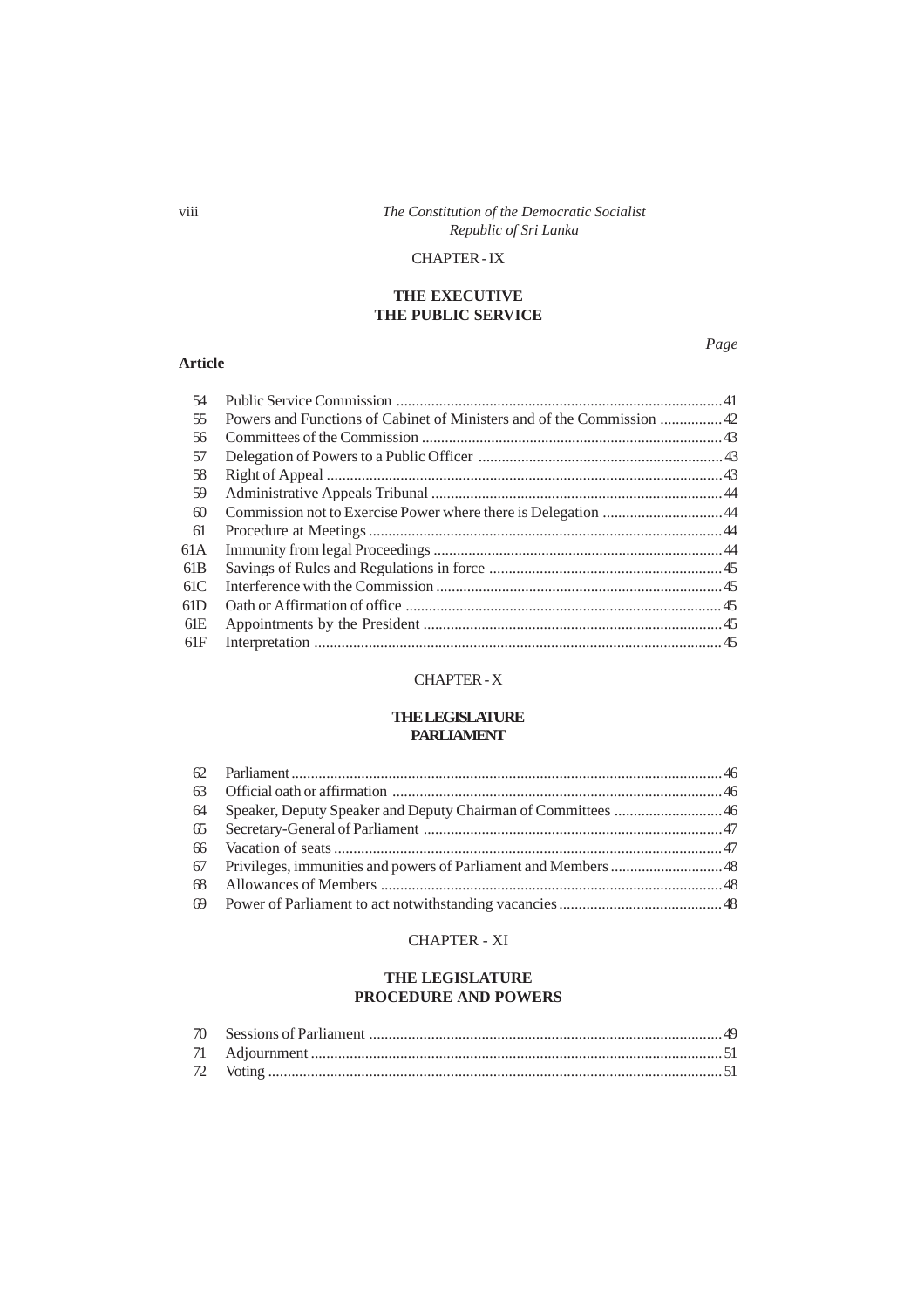## CHAPTER - IX

## **THE EXECUTIVE THE PUBLIC SERVICE**

#### **Article**

*Page*

| 54              |  |
|-----------------|--|
| 55              |  |
| 56              |  |
| 57              |  |
| 58              |  |
| 59              |  |
| 60              |  |
| 61              |  |
| 61A             |  |
| 61B             |  |
| 61C             |  |
| 61D             |  |
| 61 <sub>E</sub> |  |
| 61F             |  |

## CHAPTER - X

## **THE LEGISLATURE PARLIAMENT**

## CHAPTER - XI

## **THE LEGISLATURE PROCEDURE AND POWERS**

viii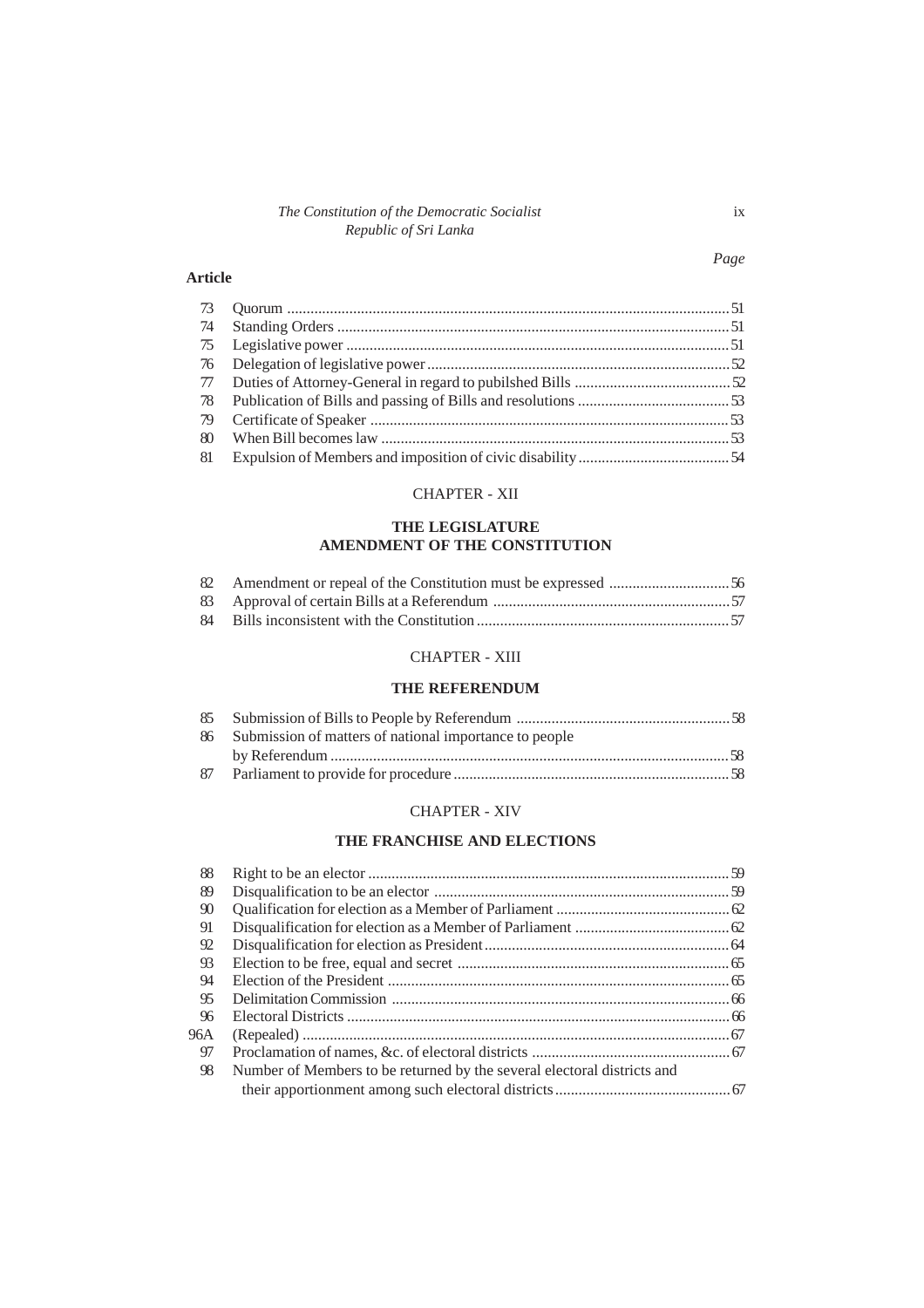| The Constitution of the Democratic Socialist |  |
|----------------------------------------------|--|
| Republic of Sri Lanka                        |  |

#### **Article**

| $\blacksquare$ |  |
|----------------|--|
|                |  |
|                |  |
|                |  |
|                |  |

## CHAPTER - XII

# **THE LEGISLATURE AMENDMENT OF THE CONSTITUTION**

## CHAPTER - XIII

#### **THE REFERENDUM**

| 86 Submission of matters of national importance to people |  |
|-----------------------------------------------------------|--|
|                                                           |  |
|                                                           |  |

#### CHAPTER - XIV

## **THE FRANCHISE AND ELECTIONS**

| 88  |                                                                         |  |
|-----|-------------------------------------------------------------------------|--|
| 89  |                                                                         |  |
| 90  |                                                                         |  |
| 91  |                                                                         |  |
| 92  |                                                                         |  |
| 93  |                                                                         |  |
| 94  |                                                                         |  |
| 95  |                                                                         |  |
| 96  |                                                                         |  |
| 96A |                                                                         |  |
| 97  |                                                                         |  |
| 98  | Number of Members to be returned by the several electoral districts and |  |
|     |                                                                         |  |

*Page*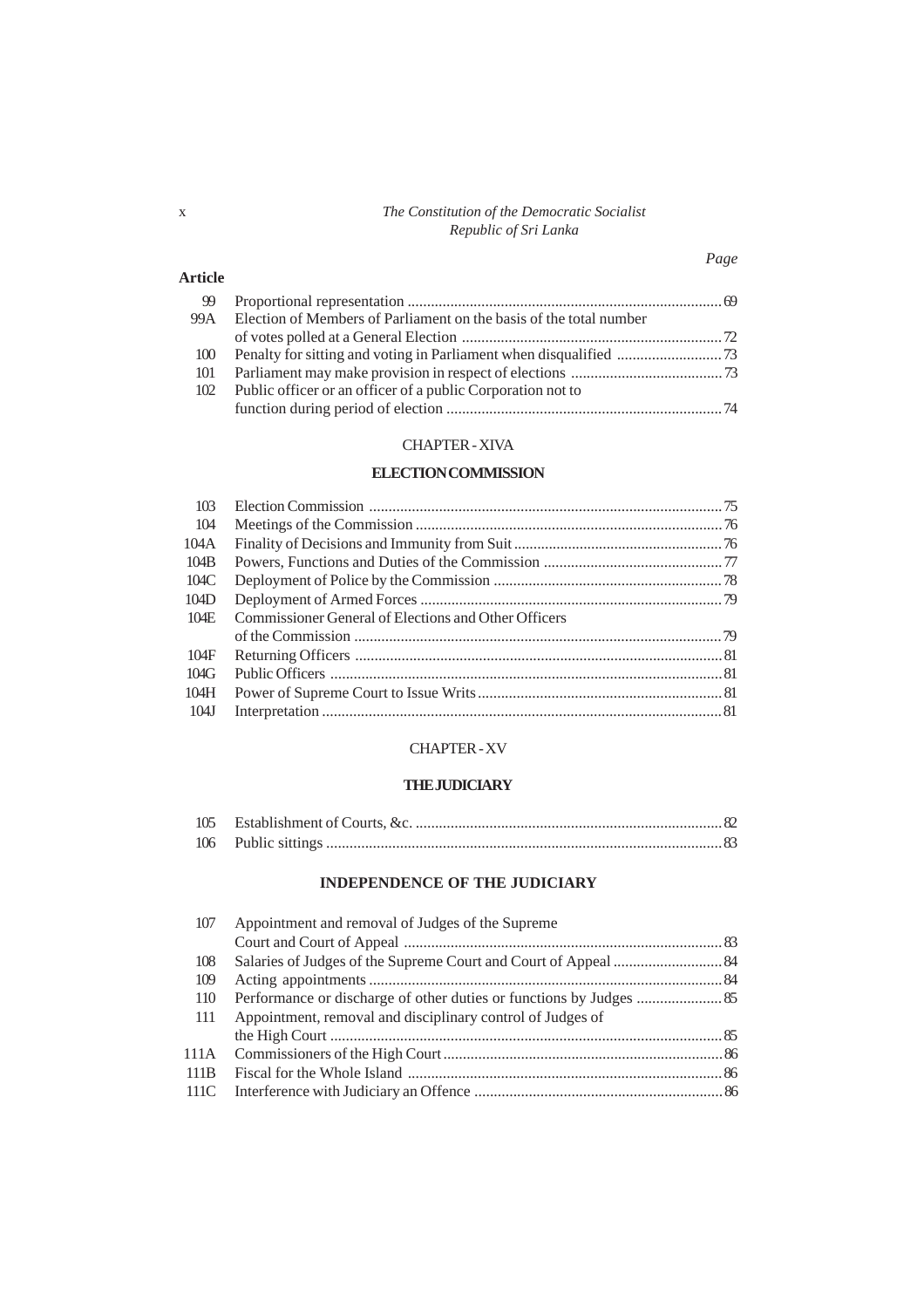*Page*

| <b>Article</b> |                                                                    |  |
|----------------|--------------------------------------------------------------------|--|
| 99             |                                                                    |  |
| 99A            | Election of Members of Parliament on the basis of the total number |  |
|                |                                                                    |  |
| $100 -$        |                                                                    |  |
| 101            |                                                                    |  |
| 102            | Public officer or an officer of a public Corporation not to        |  |
|                |                                                                    |  |

## CHAPTER - XIVA

# **ELECTION COMMISSION**

| 103   |                                                      |  |
|-------|------------------------------------------------------|--|
| - 104 |                                                      |  |
| 104A  |                                                      |  |
| 104B  |                                                      |  |
| 104C  |                                                      |  |
| 104D  |                                                      |  |
| 104E  | Commissioner General of Elections and Other Officers |  |
|       |                                                      |  |
| 104F  |                                                      |  |
| 104G  |                                                      |  |
| 104H  |                                                      |  |
| 104J  |                                                      |  |

## CHAPTER - XV

#### **THE JUDICIARY**

# **INDEPENDENCE OF THE JUDICIARY**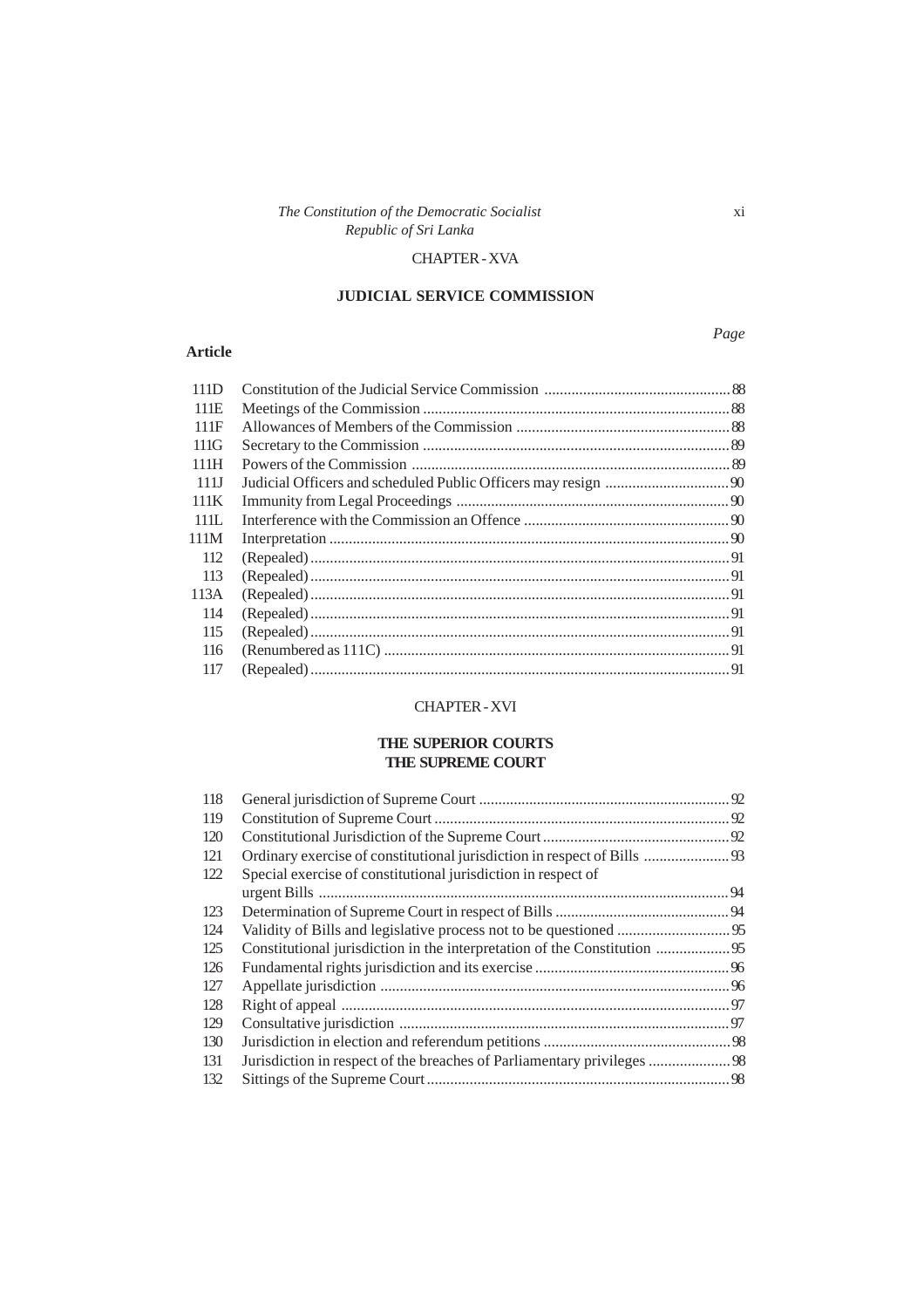## CHAPTER - XVA

# **JUDICIAL SERVICE COMMISSION**

# **Article**

| 111D  |  |
|-------|--|
|       |  |
| 111E  |  |
| 111F  |  |
| 111G  |  |
| 111H  |  |
| -111J |  |
| 111K  |  |
| 111L  |  |
| 111M  |  |
| 112   |  |
| 113   |  |
| 113A  |  |
| 114   |  |
| 115   |  |
| 116   |  |
| 117   |  |
|       |  |

# CHAPTER - XVI

# **THE SUPERIOR COURTS THE SUPREME COURT**

| 118 |                                                               |  |
|-----|---------------------------------------------------------------|--|
| 119 |                                                               |  |
| 120 |                                                               |  |
| 121 |                                                               |  |
| 122 | Special exercise of constitutional jurisdiction in respect of |  |
|     |                                                               |  |
| 123 |                                                               |  |
| 124 |                                                               |  |
| 125 |                                                               |  |
| 126 |                                                               |  |
| 127 |                                                               |  |
| 128 |                                                               |  |
| 129 |                                                               |  |
| 130 |                                                               |  |
| 131 |                                                               |  |
| 132 |                                                               |  |

## *Page*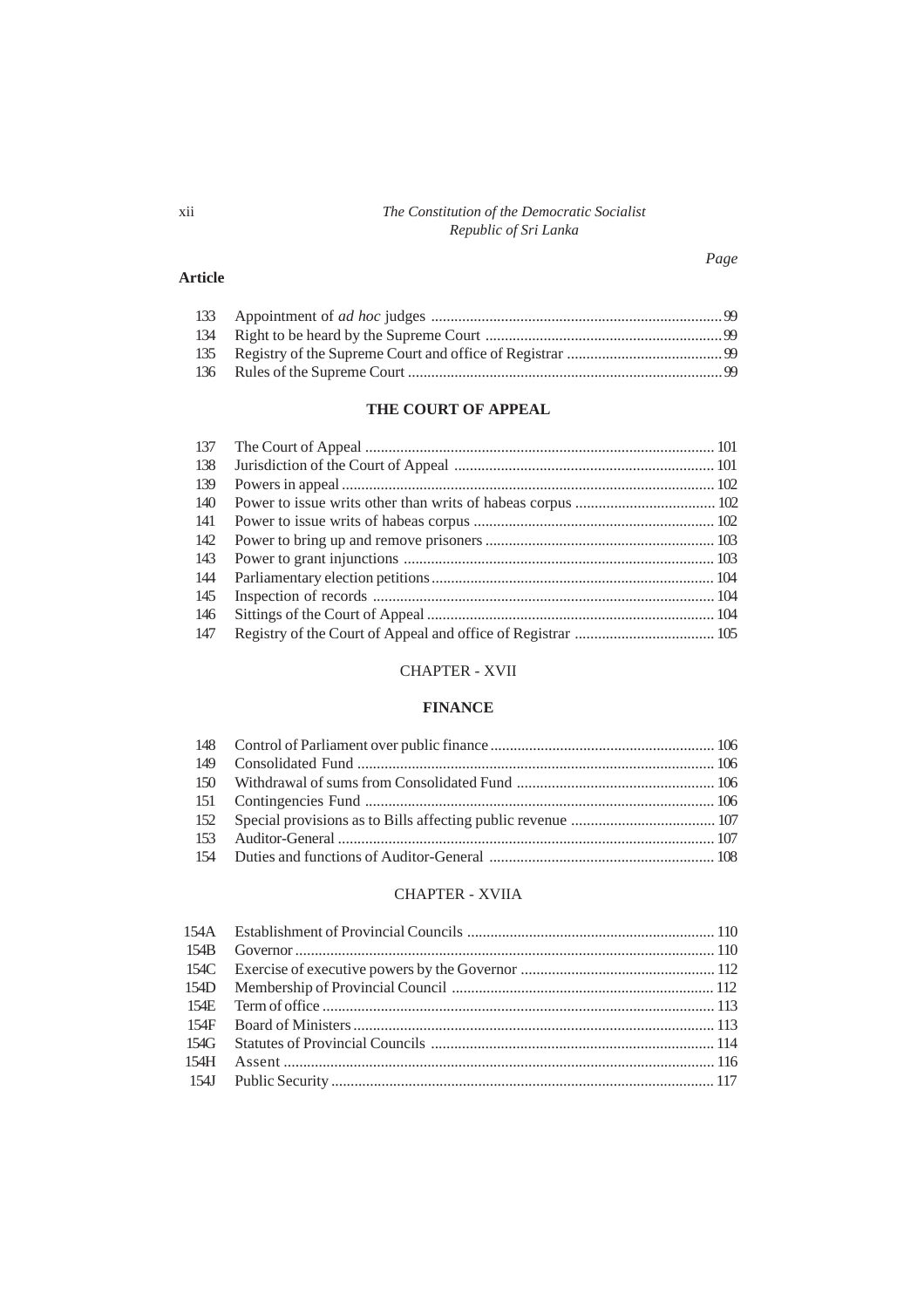## **Article**

# *Page*

# **THE COURT OF APPEAL**

| 137 |  |
|-----|--|
| 138 |  |
| 139 |  |
| 140 |  |
| 141 |  |
| 142 |  |
| 143 |  |
| 144 |  |
| 145 |  |
| 146 |  |
| 147 |  |

# CHAPTER - XVII

# **FINANCE**

# CHAPTER - XVIIA

| 154F |  |
|------|--|
| 154G |  |
| 154H |  |
|      |  |
|      |  |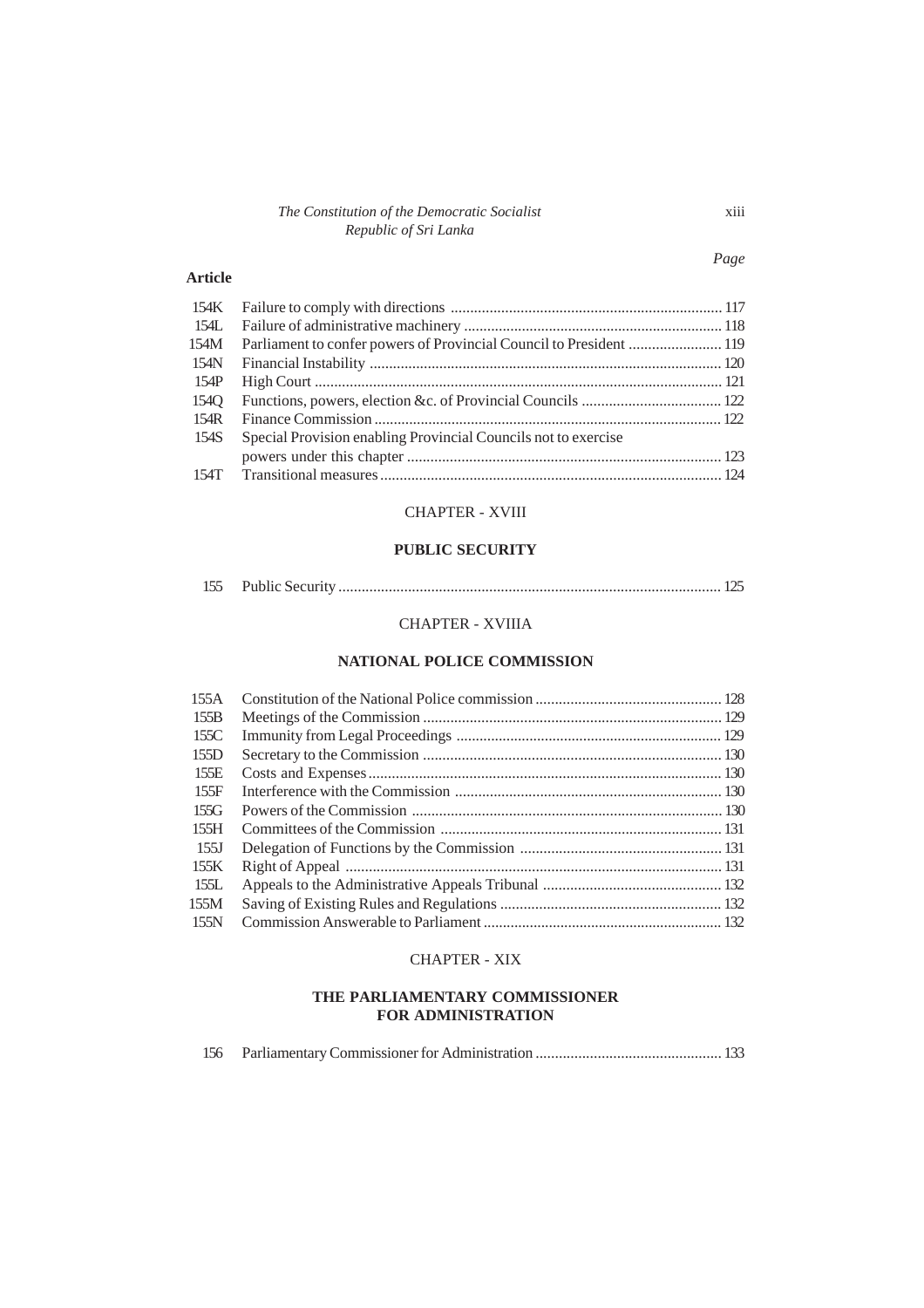| The Constitution of the Democratic Socialist | .<br><b>X111</b> |
|----------------------------------------------|------------------|
| Republic of Sri Lanka                        |                  |

#### **Article**

| 154L |                                                                     |  |
|------|---------------------------------------------------------------------|--|
| 154M | Parliament to confer powers of Provincial Council to President  119 |  |
| 154N |                                                                     |  |
| 154P |                                                                     |  |
| 154Q |                                                                     |  |
| 154R |                                                                     |  |
| 154S | Special Provision enabling Provincial Councils not to exercise      |  |
|      |                                                                     |  |
| 154T |                                                                     |  |

## CHAPTER - XVIII

## **PUBLIC SECURITY**

155 Public Security ................................................................................................... 125

# CHAPTER - XVIIIA

# **NATIONAL POLICE COMMISSION**

| 155A |  |
|------|--|
| 155B |  |
| 155C |  |
| 155D |  |
| 155E |  |
| 155F |  |
| 155G |  |
| 155H |  |
| 155J |  |
| 155K |  |
| 155L |  |
| 155M |  |
| 155N |  |

#### CHAPTER - XIX

## **THE PARLIAMENTARY COMMISSIONER FOR ADMINISTRATION**

| 156 |  |  |
|-----|--|--|
|-----|--|--|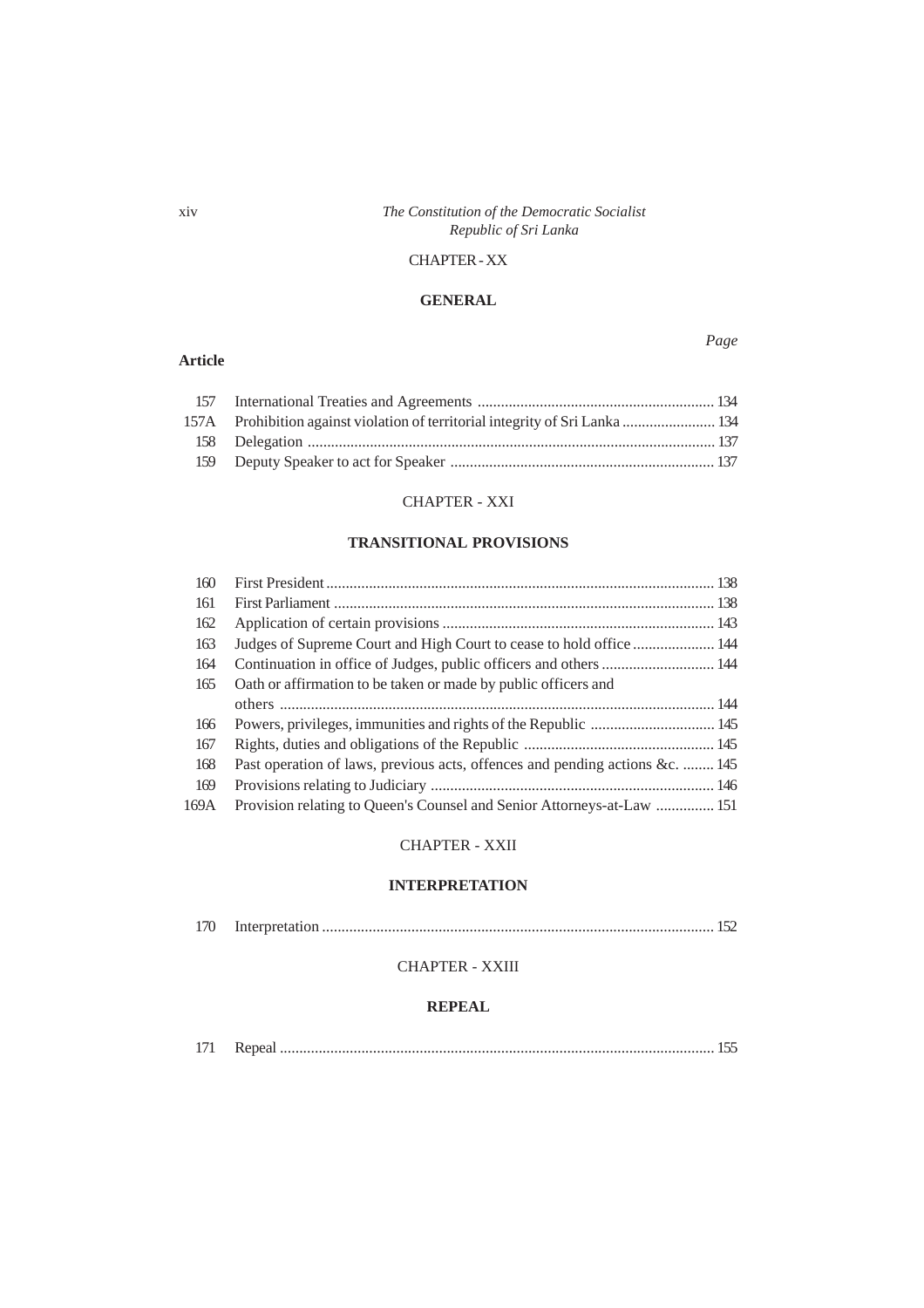# CHAPTER - XX

# **GENERAL**

## **Article**

# *Page*

| 157A Prohibition against violation of territorial integrity of Sri Lanka  134 |  |
|-------------------------------------------------------------------------------|--|
|                                                                               |  |
|                                                                               |  |

# CHAPTER - XXI

# **TRANSITIONAL PROVISIONS**

| 160 |                                                                              |  |
|-----|------------------------------------------------------------------------------|--|
| 161 |                                                                              |  |
| 162 |                                                                              |  |
| 163 |                                                                              |  |
| 164 |                                                                              |  |
| 165 | Oath or affirmation to be taken or made by public officers and               |  |
|     |                                                                              |  |
|     |                                                                              |  |
| 166 |                                                                              |  |
| 167 |                                                                              |  |
| 168 | Past operation of laws, previous acts, offences and pending actions &c.  145 |  |
| 169 |                                                                              |  |

# CHAPTER - XXII

#### **INTERPRETATION**

| 170 |  |  |  |
|-----|--|--|--|
|-----|--|--|--|

## CHAPTER - XXIII

### **REPEAL**

| 171 | $\mathbb{R}$ eperation is the continuum intermediate continuum intermediate contact the set of $\mathbb{R}$ |  |  |
|-----|-------------------------------------------------------------------------------------------------------------|--|--|
|-----|-------------------------------------------------------------------------------------------------------------|--|--|

xiv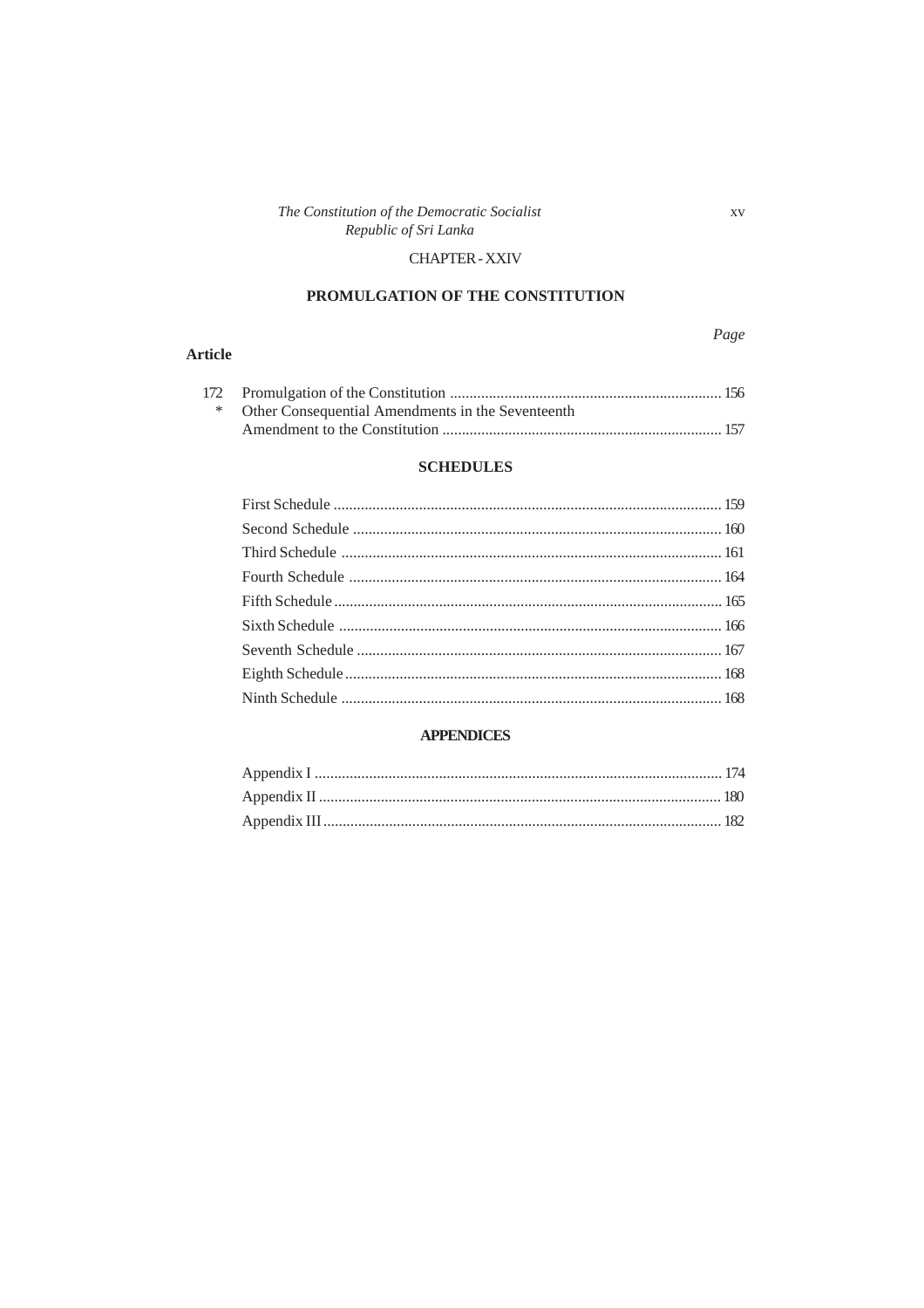# **CHAPTER - XXIV**

# PROMULGATION OF THE CONSTITUTION

# Article

| * Other Consequential Amendments in the Seventeenth |  |
|-----------------------------------------------------|--|
|                                                     |  |

#### **SCHEDULES**

# **APPENDICES**

Page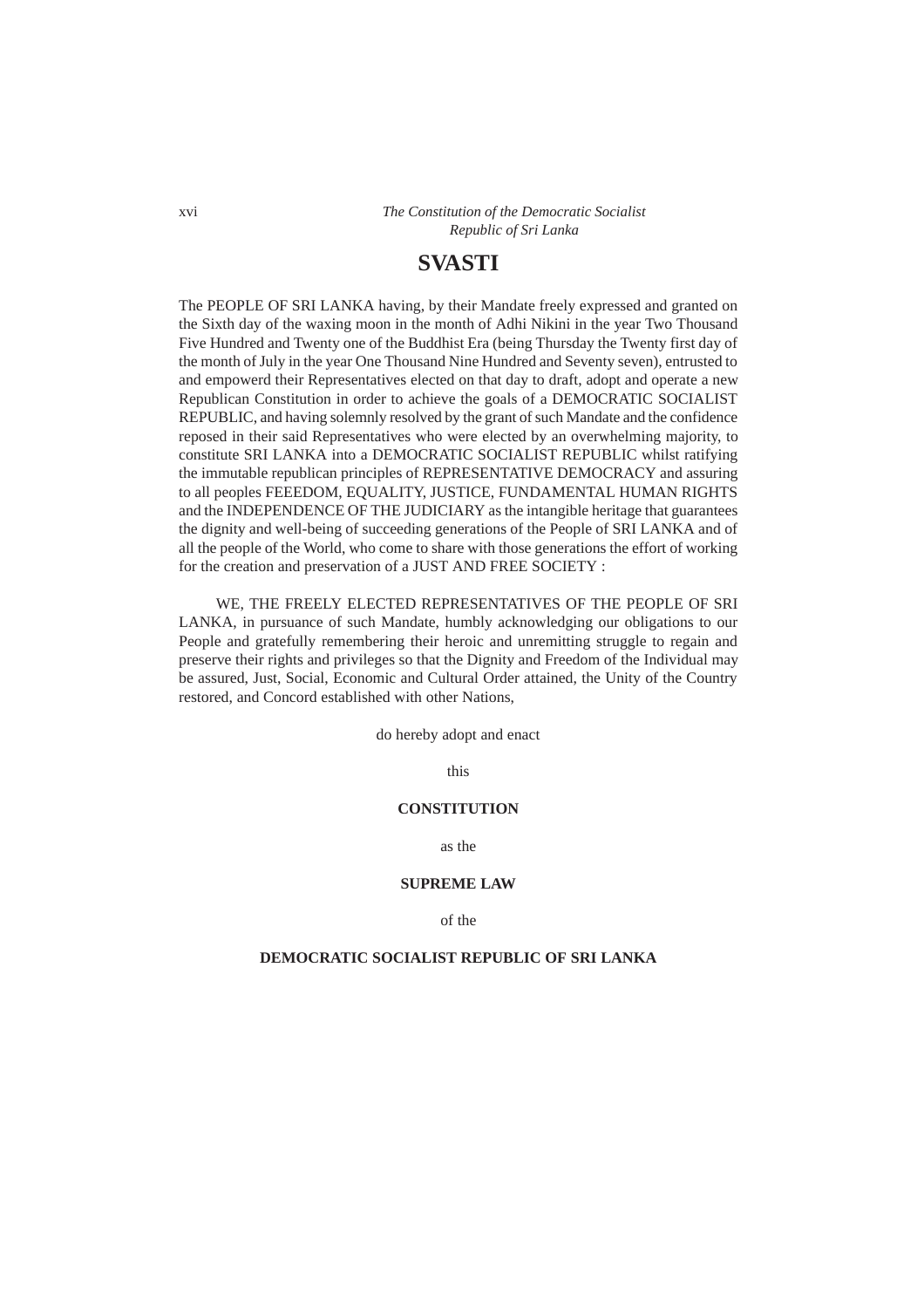# **SVASTI**

The PEOPLE OF SRI LANKA having, by their Mandate freely expressed and granted on the Sixth day of the waxing moon in the month of Adhi Nikini in the year Two Thousand Five Hundred and Twenty one of the Buddhist Era (being Thursday the Twenty first day of the month of July in the year One Thousand Nine Hundred and Seventy seven), entrusted to and empowerd their Representatives elected on that day to draft, adopt and operate a new Republican Constitution in order to achieve the goals of a DEMOCRATIC SOCIALIST REPUBLIC, and having solemnly resolved by the grant of such Mandate and the confidence reposed in their said Representatives who were elected by an overwhelming majority, to constitute SRI LANKA into a DEMOCRATIC SOCIALIST REPUBLIC whilst ratifying the immutable republican principles of REPRESENTATIVE DEMOCRACY and assuring to all peoples FEEEDOM, EQUALITY, JUSTICE, FUNDAMENTAL HUMAN RIGHTS and the INDEPENDENCE OF THE JUDICIARY as the intangible heritage that guarantees the dignity and well-being of succeeding generations of the People of SRI LANKA and of all the people of the World, who come to share with those generations the effort of working for the creation and preservation of a JUST AND FREE SOCIETY :

WE, THE FREELY ELECTED REPRESENTATIVES OF THE PEOPLE OF SRI LANKA, in pursuance of such Mandate, humbly acknowledging our obligations to our People and gratefully remembering their heroic and unremitting struggle to regain and preserve their rights and privileges so that the Dignity and Freedom of the Individual may be assured, Just, Social, Economic and Cultural Order attained, the Unity of the Country restored, and Concord established with other Nations,

do hereby adopt and enact

this

## **CONSTITUTION**

as the

#### **SUPREME LAW**

of the

#### **DEMOCRATIC SOCIALIST REPUBLIC OF SRI LANKA**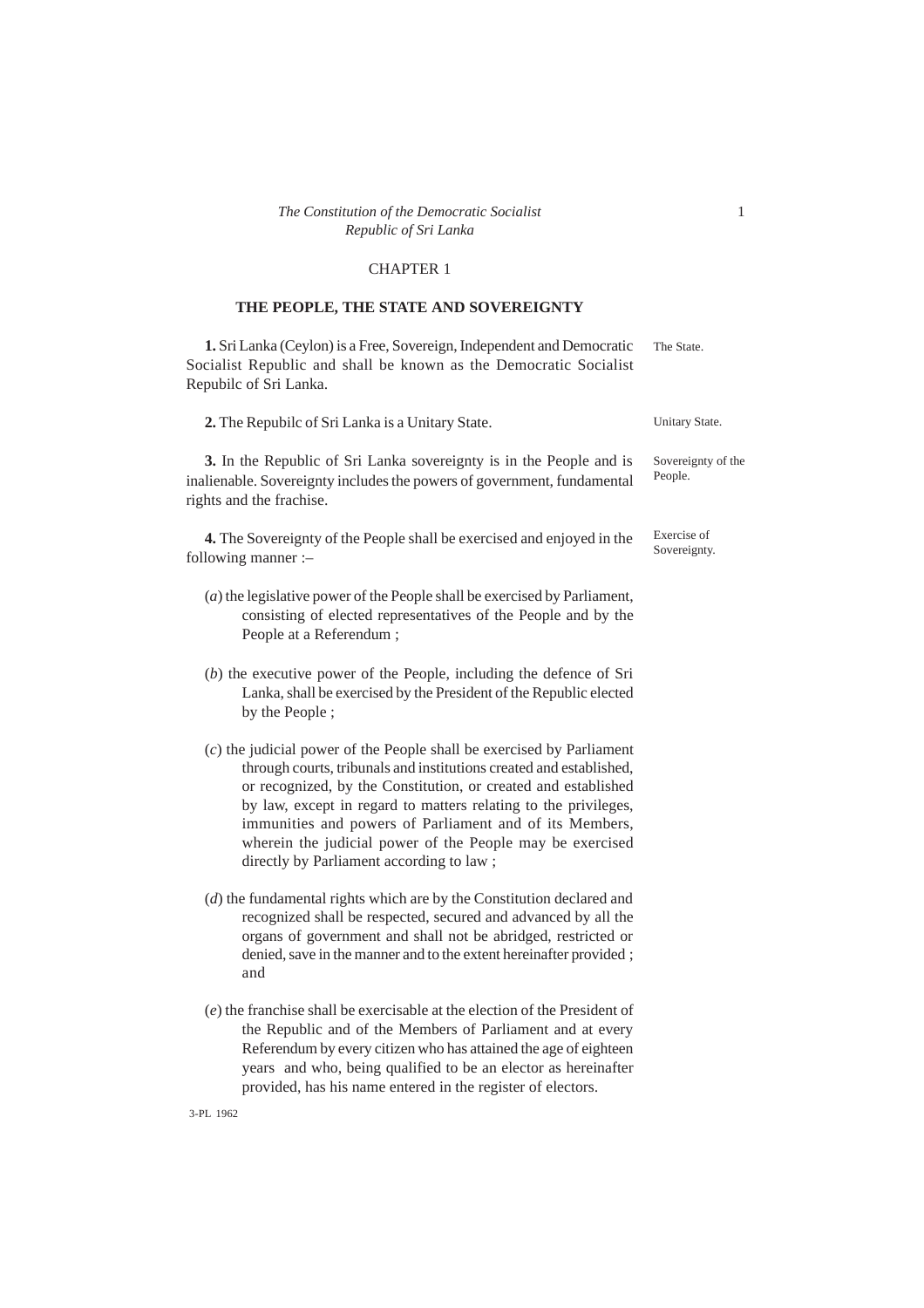## CHAPTER 1

#### **THE PEOPLE, THE STATE AND SOVEREIGNTY**

**1.** Sri Lanka (Ceylon) is a Free, Sovereign, Independent and Democratic Socialist Republic and shall be known as the Democratic Socialist Repubilc of Sri Lanka. The State.

**2.** The Repubilc of Sri Lanka is a Unitary State.

**3.** In the Republic of Sri Lanka sovereignty is in the People and is inalienable. Sovereignty includes the powers of government, fundamental rights and the frachise.

**4.** The Sovereignty of the People shall be exercised and enjoyed in the following manner :–

- (*a*) the legislative power of the People shall be exercised by Parliament, consisting of elected representatives of the People and by the People at a Referendum ;
- (*b*) the executive power of the People, including the defence of Sri Lanka, shall be exercised by the President of the Republic elected by the People ;
- (*c*) the judicial power of the People shall be exercised by Parliament through courts, tribunals and institutions created and established, or recognized, by the Constitution, or created and established by law, except in regard to matters relating to the privileges, immunities and powers of Parliament and of its Members, wherein the judicial power of the People may be exercised directly by Parliament according to law ;
- (*d*) the fundamental rights which are by the Constitution declared and recognized shall be respected, secured and advanced by all the organs of government and shall not be abridged, restricted or denied, save in the manner and to the extent hereinafter provided ; and
- (*e*) the franchise shall be exercisable at the election of the President of the Republic and of the Members of Parliament and at every Referendum by every citizen who has attained the age of eighteen years and who, being qualified to be an elector as hereinafter provided, has his name entered in the register of electors.

Unitary State.

Sovereignty of the People.

Exercise of Sovereignty.

3-PL 1962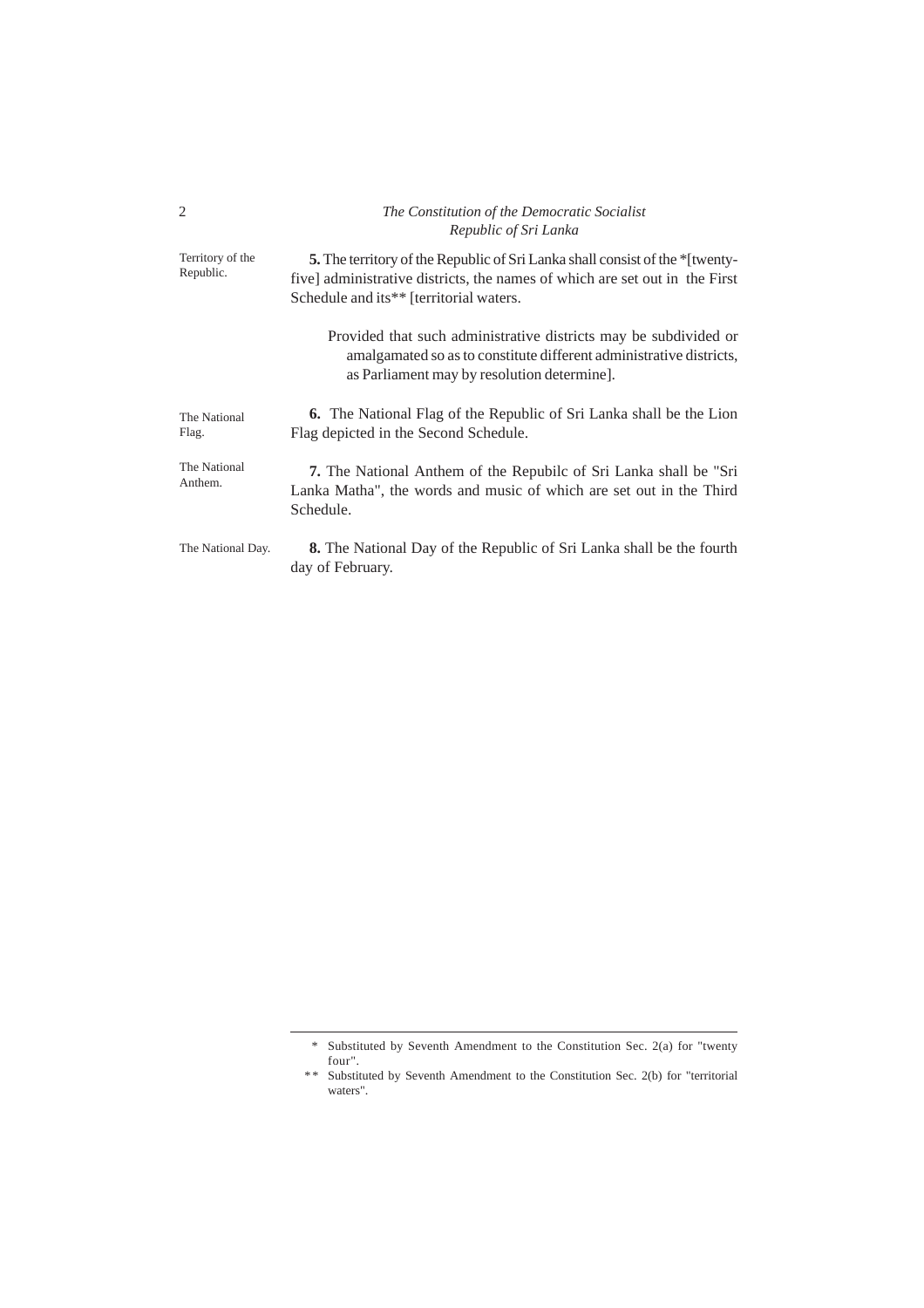| $\overline{2}$                | The Constitution of the Democratic Socialist<br>Republic of Sri Lanka                                                                                                                                  |
|-------------------------------|--------------------------------------------------------------------------------------------------------------------------------------------------------------------------------------------------------|
| Territory of the<br>Republic. | 5. The territory of the Republic of Sri Lanka shall consist of the *[twenty-<br>five] administrative districts, the names of which are set out in the First<br>Schedule and its** [territorial waters. |
|                               | Provided that such administrative districts may be subdivided or<br>amalgamated so as to constitute different administrative districts,<br>as Parliament may by resolution determine.                  |
| The National<br>Flag.         | 6. The National Flag of the Republic of Sri Lanka shall be the Lion<br>Flag depicted in the Second Schedule.                                                                                           |
| The National<br>Anthem.       | 7. The National Anthem of the Repubilc of Sri Lanka shall be "Sri<br>Lanka Matha", the words and music of which are set out in the Third<br>Schedule.                                                  |
| The National Day.             | <b>8.</b> The National Day of the Republic of Sri Lanka shall be the fourth<br>day of February.                                                                                                        |

<sup>\*</sup> Substituted by Seventh Amendment to the Constitution Sec. 2(a) for "twenty four".

<sup>\* \*</sup> Substituted by Seventh Amendment to the Constitution Sec. 2(b) for "territorial waters".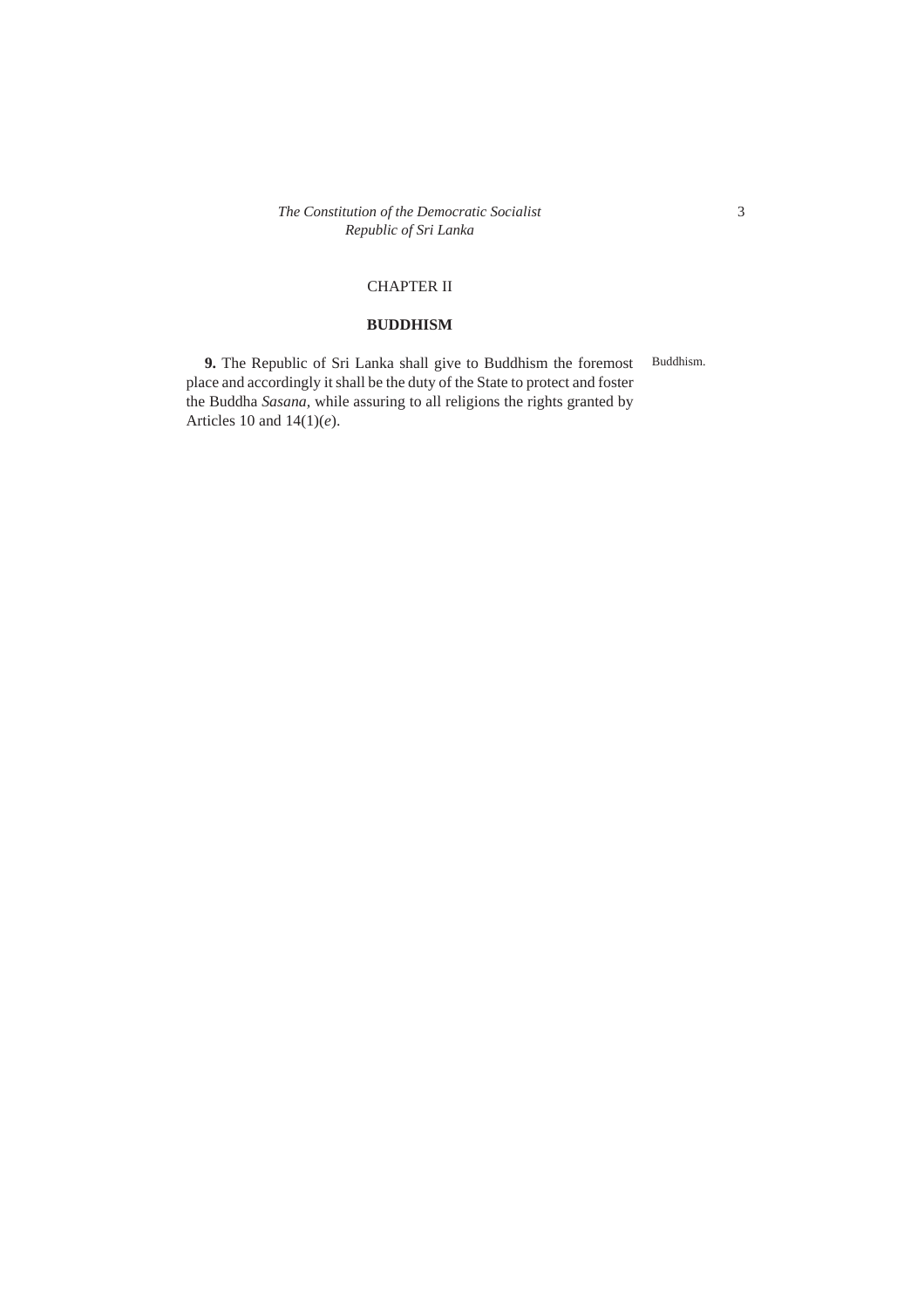# CHAPTER II

#### **BUDDHISM**

Buddhism.

**9.** The Republic of Sri Lanka shall give to Buddhism the foremost place and accordingly it shall be the duty of the State to protect and foster the Buddha *Sasana,* while assuring to all religions the rights granted by Articles 10 and 14(1)(*e*).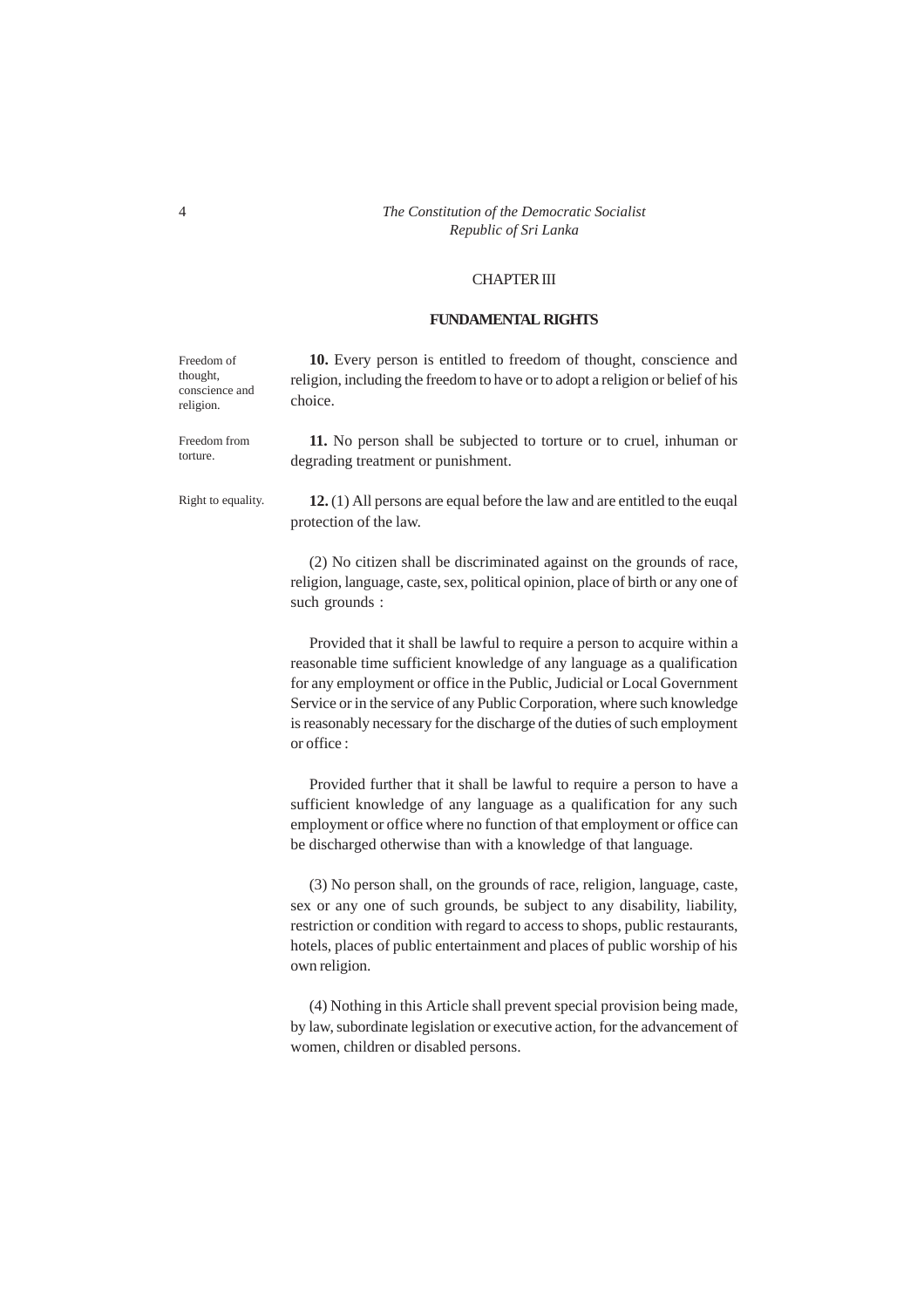### CHAPTER III

#### **FUNDAMENTAL RIGHTS**

Freedom of thought, conscience and religion.

torture.

**10.** Every person is entitled to freedom of thought, conscience and religion, including the freedom to have or to adopt a religion or belief of his choice.

**11.** No person shall be subjected to torture or to cruel, inhuman or degrading treatment or punishment. Freedom from

Right to equality.

**12.** (1) All persons are equal before the law and are entitled to the euqal protection of the law.

(2) No citizen shall be discriminated against on the grounds of race, religion, language, caste, sex, political opinion, place of birth or any one of such grounds :

Provided that it shall be lawful to require a person to acquire within a reasonable time sufficient knowledge of any language as a qualification for any employment or office in the Public, Judicial or Local Government Service or in the service of any Public Corporation, where such knowledge is reasonably necessary for the discharge of the duties of such employment or office :

Provided further that it shall be lawful to require a person to have a sufficient knowledge of any language as a qualification for any such employment or office where no function of that employment or office can be discharged otherwise than with a knowledge of that language.

(3) No person shall, on the grounds of race, religion, language, caste, sex or any one of such grounds, be subject to any disability, liability, restriction or condition with regard to access to shops, public restaurants, hotels, places of public entertainment and places of public worship of his own religion.

(4) Nothing in this Article shall prevent special provision being made, by law, subordinate legislation or executive action, for the advancement of women, children or disabled persons.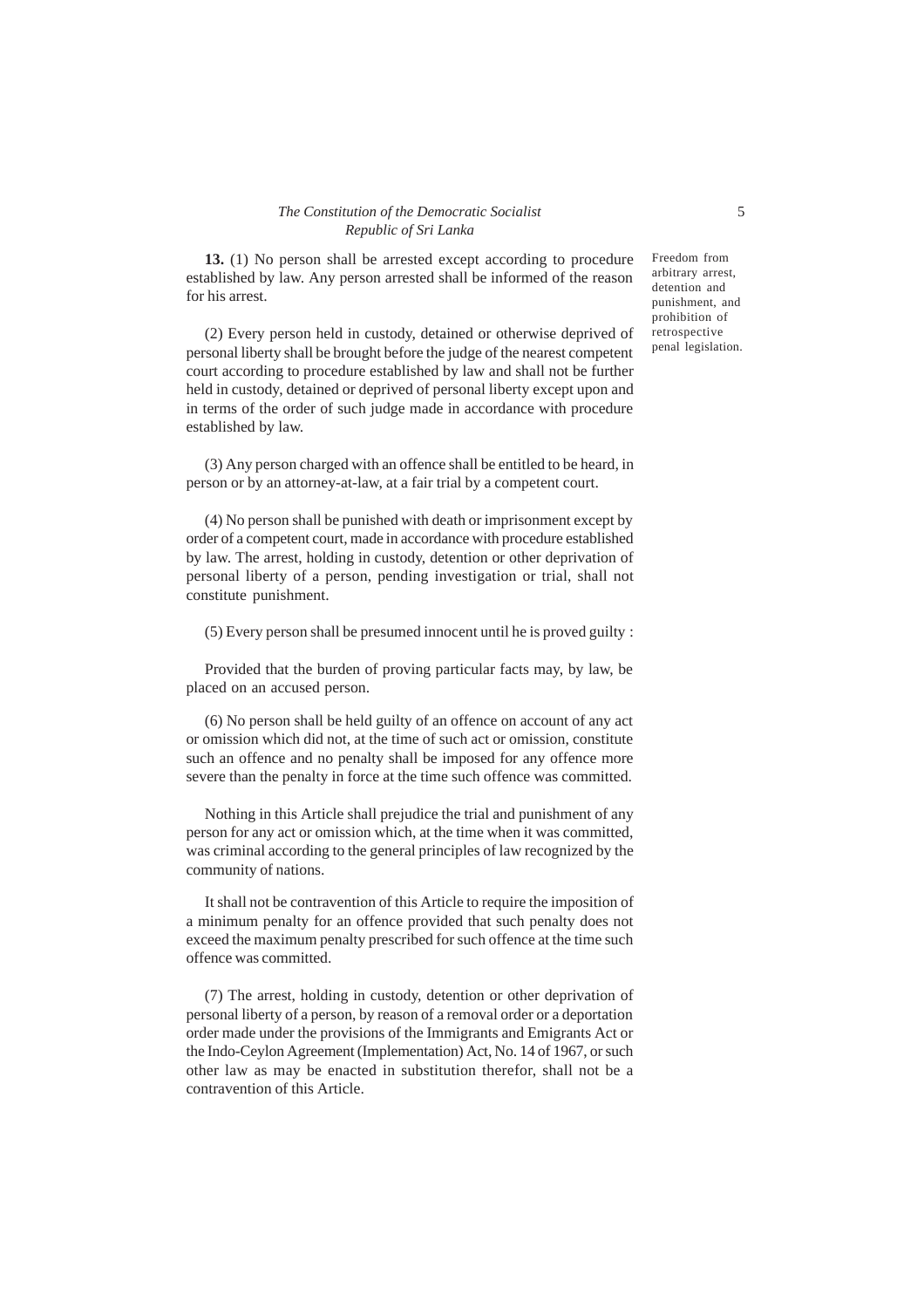**13.** (1) No person shall be arrested except according to procedure established by law. Any person arrested shall be informed of the reason for his arrest.

(2) Every person held in custody, detained or otherwise deprived of personal liberty shall be brought before the judge of the nearest competent court according to procedure established by law and shall not be further held in custody, detained or deprived of personal liberty except upon and in terms of the order of such judge made in accordance with procedure established by law.

(3) Any person charged with an offence shall be entitled to be heard, in person or by an attorney-at-law, at a fair trial by a competent court.

(4) No person shall be punished with death or imprisonment except by order of a competent court, made in accordance with procedure established by law. The arrest, holding in custody, detention or other deprivation of personal liberty of a person, pending investigation or trial, shall not constitute punishment.

(5) Every person shall be presumed innocent until he is proved guilty :

Provided that the burden of proving particular facts may, by law, be placed on an accused person.

(6) No person shall be held guilty of an offence on account of any act or omission which did not, at the time of such act or omission, constitute such an offence and no penalty shall be imposed for any offence more severe than the penalty in force at the time such offence was committed.

Nothing in this Article shall prejudice the trial and punishment of any person for any act or omission which, at the time when it was committed, was criminal according to the general principles of law recognized by the community of nations.

It shall not be contravention of this Article to require the imposition of a minimum penalty for an offence provided that such penalty does not exceed the maximum penalty prescribed for such offence at the time such offence was committed.

(7) The arrest, holding in custody, detention or other deprivation of personal liberty of a person, by reason of a removal order or a deportation order made under the provisions of the Immigrants and Emigrants Act or the Indo-Ceylon Agreement (Implementation) Act, No. 14 of 1967, or such other law as may be enacted in substitution therefor, shall not be a contravention of this Article.

Freedom from arbitrary arrest, detention and punishment, and prohibition of retrospective penal legislation.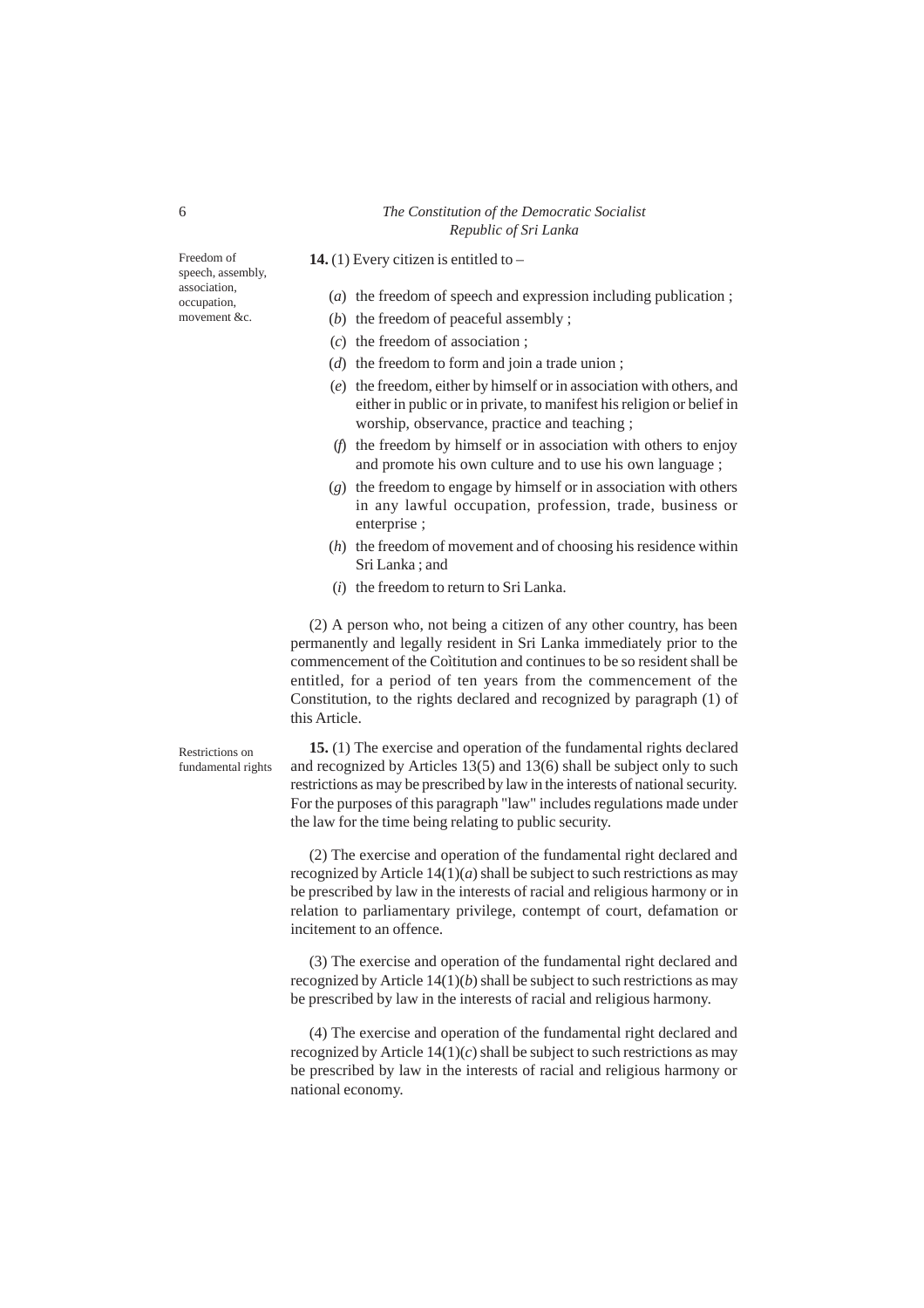Freedom of speech, assembly, association, occupation, movement &c.

Restrictions on fundamental rights

- **14.** (1) Every citizen is entitled to
	- (*a*) the freedom of speech and expression including publication ;
	- (*b*) the freedom of peaceful assembly ;
	- (*c*) the freedom of association ;
	- (*d*) the freedom to form and join a trade union ;
	- (*e*) the freedom, either by himself or in association with others, and either in public or in private, to manifest his religion or belief in worship, observance, practice and teaching ;
	- (*f*) the freedom by himself or in association with others to enjoy and promote his own culture and to use his own language ;
	- (*g*) the freedom to engage by himself or in association with others in any lawful occupation, profession, trade, business or enterprise ;
	- (*h*) the freedom of movement and of choosing his residence within Sri Lanka ; and
	- (*i*) the freedom to return to Sri Lanka.

(2) A person who, not being a citizen of any other country, has been permanently and legally resident in Sri Lanka immediately prior to the commencement of the Coìtitution and continues to be so resident shall be entitled, for a period of ten years from the commencement of the Constitution, to the rights declared and recognized by paragraph (1) of this Article.

**15.** (1) The exercise and operation of the fundamental rights declared and recognized by Articles 13(5) and 13(6) shall be subject only to such restrictions as may be prescribed by law in the interests of national security. For the purposes of this paragraph "law" includes regulations made under the law for the time being relating to public security.

(2) The exercise and operation of the fundamental right declared and recognized by Article  $14(1)(a)$  shall be subject to such restrictions as may be prescribed by law in the interests of racial and religious harmony or in relation to parliamentary privilege, contempt of court, defamation or incitement to an offence.

(3) The exercise and operation of the fundamental right declared and recognized by Article 14(1)(*b*) shall be subject to such restrictions as may be prescribed by law in the interests of racial and religious harmony.

(4) The exercise and operation of the fundamental right declared and recognized by Article  $14(1)(c)$  shall be subject to such restrictions as may be prescribed by law in the interests of racial and religious harmony or national economy.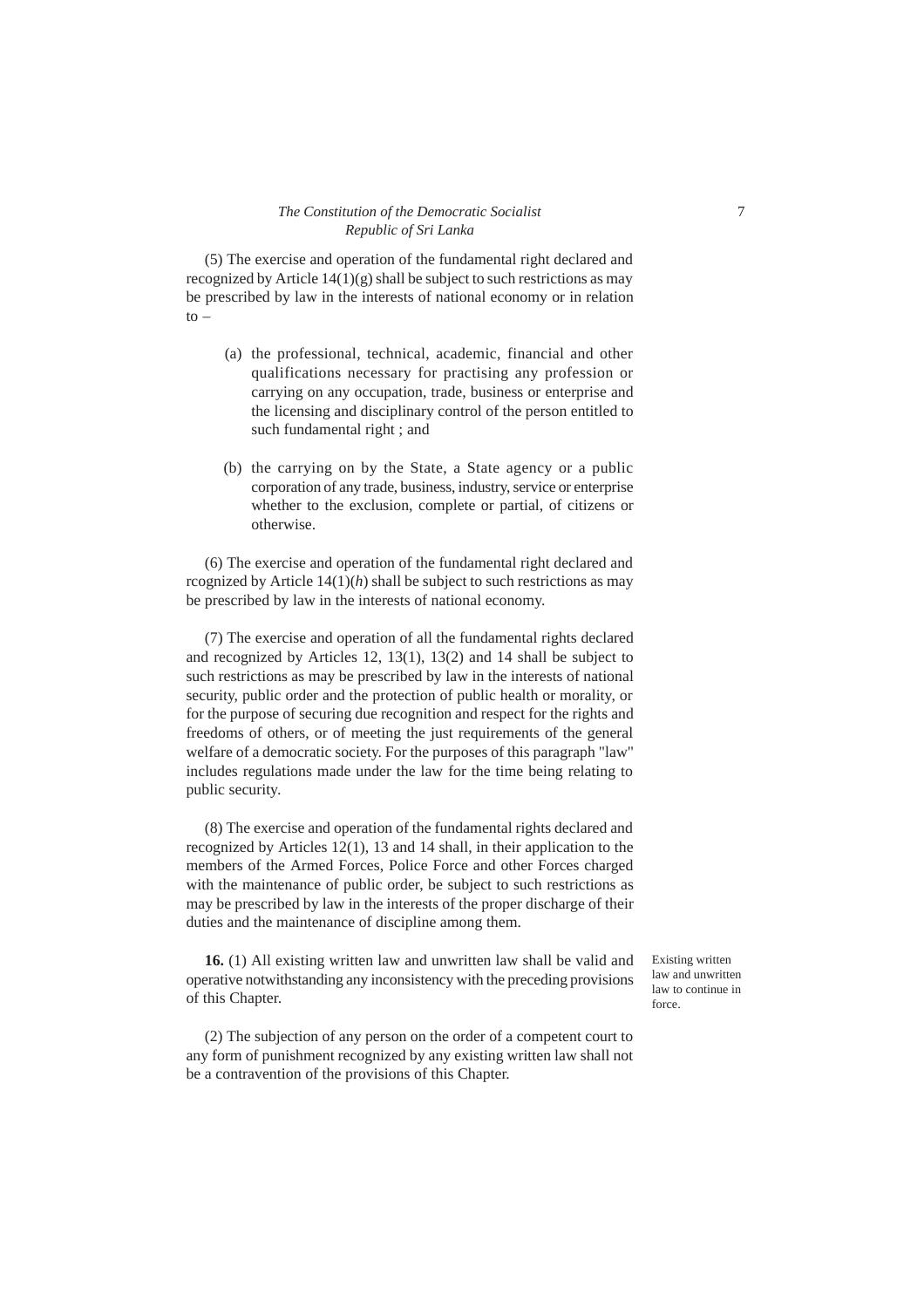(5) The exercise and operation of the fundamental right declared and recognized by Article  $14(1)(g)$  shall be subject to such restrictions as may be prescribed by law in the interests of national economy or in relation  $to -$ 

- (a) the professional, technical, academic, financial and other qualifications necessary for practising any profession or carrying on any occupation, trade, business or enterprise and the licensing and disciplinary control of the person entitled to such fundamental right ; and
- (b) the carrying on by the State, a State agency or a public corporation of any trade, business, industry, service or enterprise whether to the exclusion, complete or partial, of citizens or otherwise.

(6) The exercise and operation of the fundamental right declared and rcognized by Article  $14(1)(h)$  shall be subject to such restrictions as may be prescribed by law in the interests of national economy.

(7) The exercise and operation of all the fundamental rights declared and recognized by Articles 12, 13(1), 13(2) and 14 shall be subject to such restrictions as may be prescribed by law in the interests of national security, public order and the protection of public health or morality, or for the purpose of securing due recognition and respect for the rights and freedoms of others, or of meeting the just requirements of the general welfare of a democratic society. For the purposes of this paragraph "law" includes regulations made under the law for the time being relating to public security.

(8) The exercise and operation of the fundamental rights declared and recognized by Articles 12(1), 13 and 14 shall, in their application to the members of the Armed Forces, Police Force and other Forces charged with the maintenance of public order, be subject to such restrictions as may be prescribed by law in the interests of the proper discharge of their duties and the maintenance of discipline among them.

**16.** (1) All existing written law and unwritten law shall be valid and operative notwithstanding any inconsistency with the preceding provisions of this Chapter.

(2) The subjection of any person on the order of a competent court to any form of punishment recognized by any existing written law shall not be a contravention of the provisions of this Chapter.

Existing written law and unwritten law to continue in force.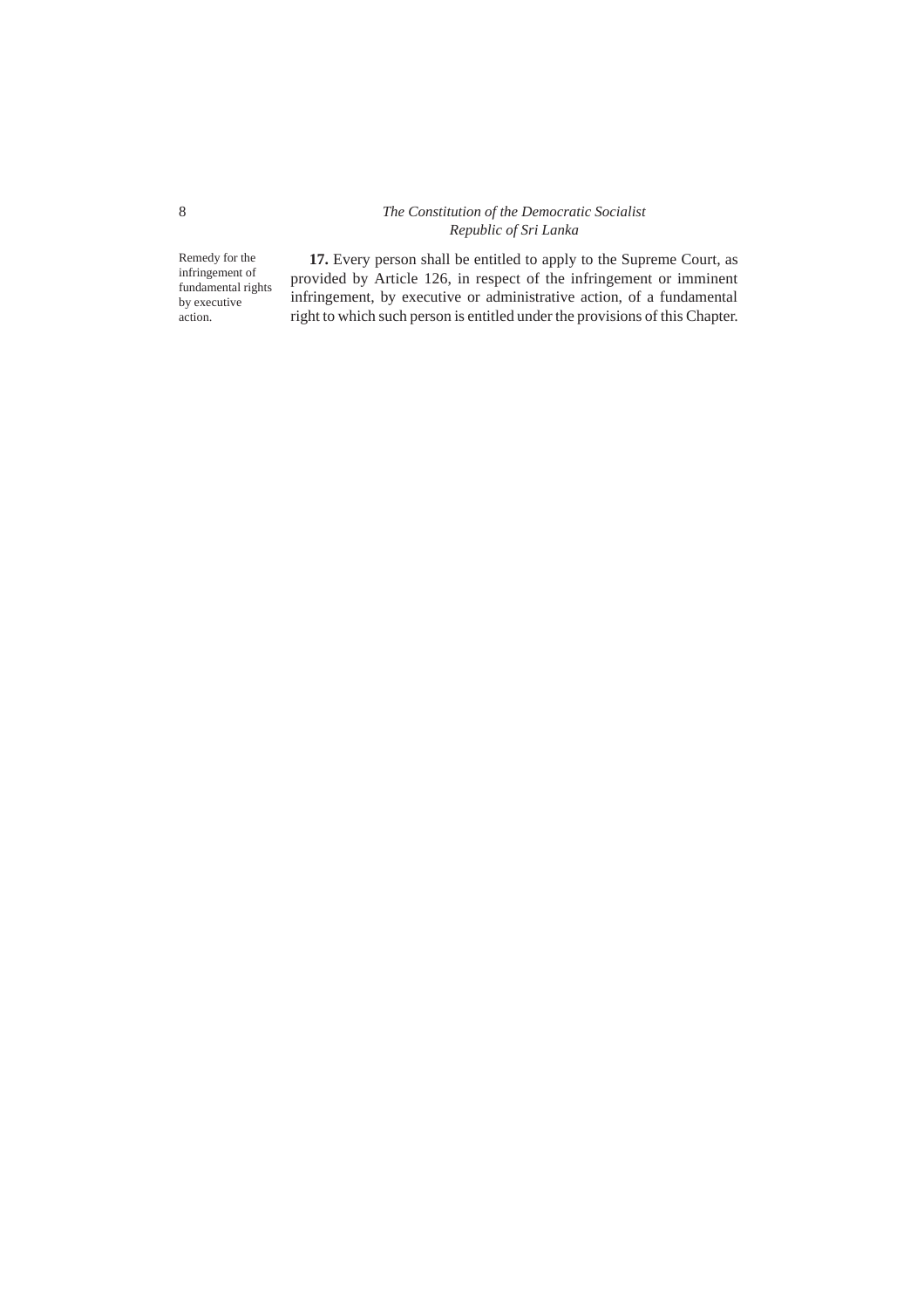Remedy for the infringement of fundamental rights by executive action.

**17.** Every person shall be entitled to apply to the Supreme Court, as provided by Article 126, in respect of the infringement or imminent infringement, by executive or administrative action, of a fundamental right to which such person is entitled under the provisions of this Chapter.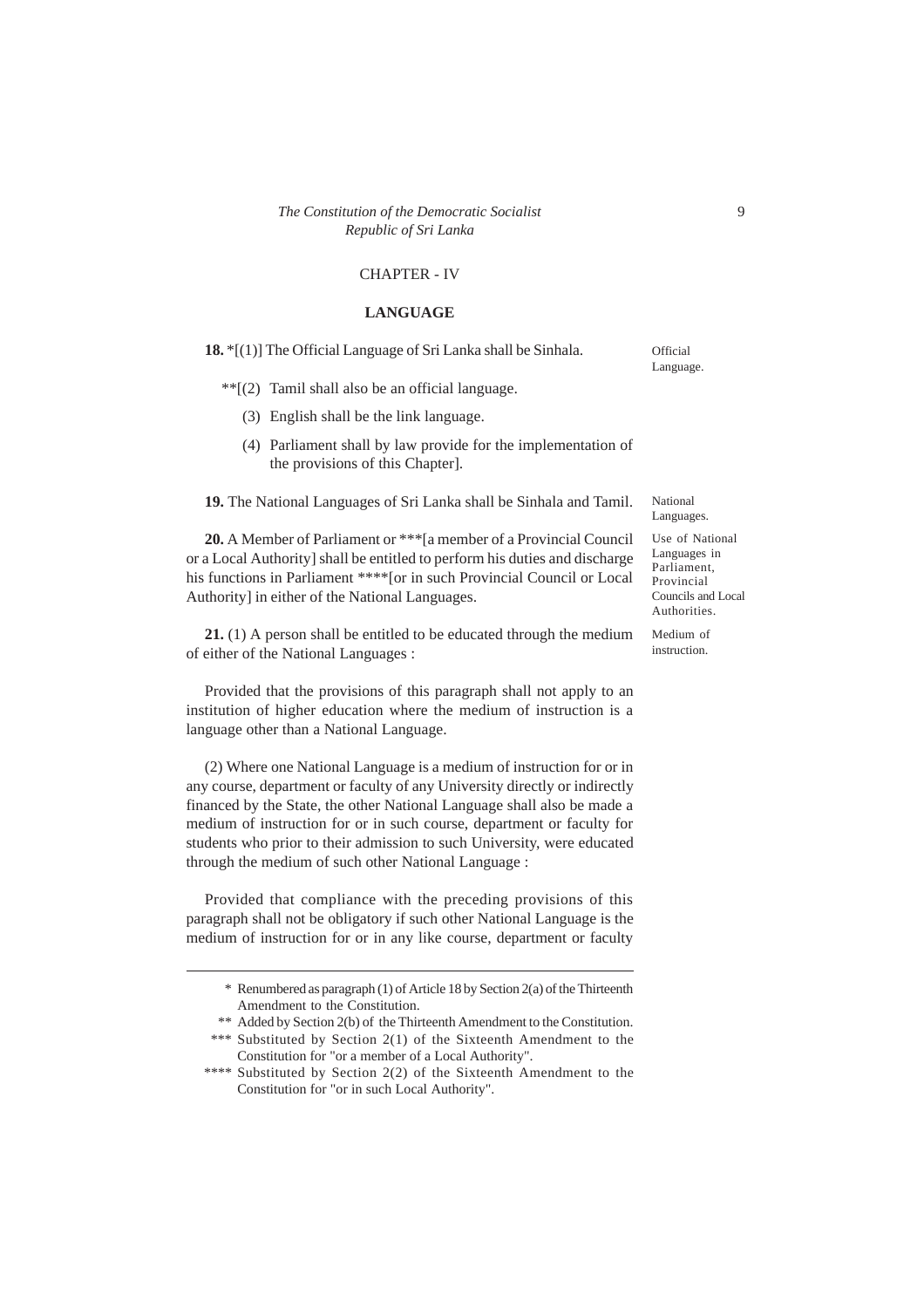#### CHAPTER - IV

#### **LANGUAGE**

**18.** \*[(1)] The Official Language of Sri Lanka shall be Sinhala.

\*\*[(2) Tamil shall also be an official language.

- (3) English shall be the link language.
- (4) Parliament shall by law provide for the implementation of the provisions of this Chapter].

**19.** The National Languages of Sri Lanka shall be Sinhala and Tamil.

**20.** A Member of Parliament or \*\*\*[a member of a Provincial Council or a Local Authority] shall be entitled to perform his duties and discharge his functions in Parliament \*\*\*\*[or in such Provincial Council or Local Authority] in either of the National Languages.

**21.** (1) A person shall be entitled to be educated through the medium of either of the National Languages :

Provided that the provisions of this paragraph shall not apply to an institution of higher education where the medium of instruction is a language other than a National Language.

(2) Where one National Language is a medium of instruction for or in any course, department or faculty of any University directly or indirectly financed by the State, the other National Language shall also be made a medium of instruction for or in such course, department or faculty for students who prior to their admission to such University, were educated through the medium of such other National Language :

Provided that compliance with the preceding provisions of this paragraph shall not be obligatory if such other National Language is the medium of instruction for or in any like course, department or faculty

\*\* Added by Section 2(b) of the Thirteenth Amendment to the Constitution.

National Languages.

Official Language.

Use of National Languages in Parliament, Provincial Councils and Local Authorities.

Medium of instruction.

<sup>\*</sup> Renumbered as paragraph (1) of Article 18 by Section 2(a) of the Thirteenth Amendment to the Constitution.

<sup>\*\*\*</sup> Substituted by Section 2(1) of the Sixteenth Amendment to the Constitution for "or a member of a Local Authority".

<sup>\*\*\*\*</sup> Substituted by Section 2(2) of the Sixteenth Amendment to the Constitution for "or in such Local Authority".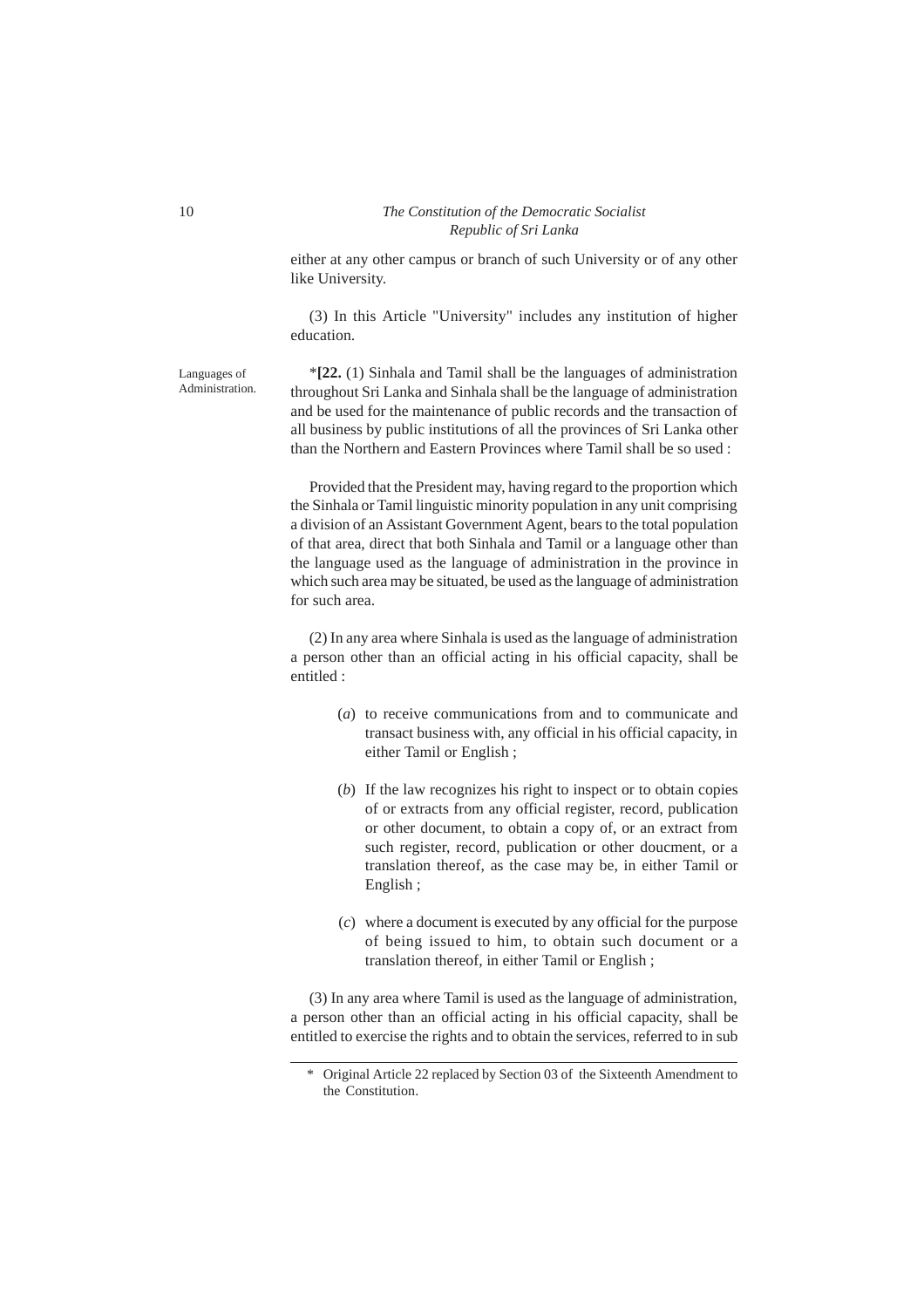either at any other campus or branch of such University or of any other like University.

(3) In this Article "University" includes any institution of higher education.

\***[22.** (1) Sinhala and Tamil shall be the languages of administration throughout Sri Lanka and Sinhala shall be the language of administration and be used for the maintenance of public records and the transaction of all business by public institutions of all the provinces of Sri Lanka other than the Northern and Eastern Provinces where Tamil shall be so used :

Provided that the President may, having regard to the proportion which the Sinhala or Tamil linguistic minority population in any unit comprising a division of an Assistant Government Agent, bears to the total population of that area, direct that both Sinhala and Tamil or a language other than the language used as the language of administration in the province in which such area may be situated, be used as the language of administration for such area.

(2) In any area where Sinhala is used as the language of administration a person other than an official acting in his official capacity, shall be entitled :

- (*a*) to receive communications from and to communicate and transact business with, any official in his official capacity, in either Tamil or English ;
- (*b*) If the law recognizes his right to inspect or to obtain copies of or extracts from any official register, record, publication or other document, to obtain a copy of, or an extract from such register, record, publication or other doucment, or a translation thereof, as the case may be, in either Tamil or English ;
- (*c*) where a document is executed by any official for the purpose of being issued to him, to obtain such document or a translation thereof, in either Tamil or English ;

(3) In any area where Tamil is used as the language of administration, a person other than an official acting in his official capacity, shall be entitled to exercise the rights and to obtain the services, referred to in sub

Languages of Administration.

<sup>\*</sup> Original Article 22 replaced by Section 03 of the Sixteenth Amendment to the Constitution.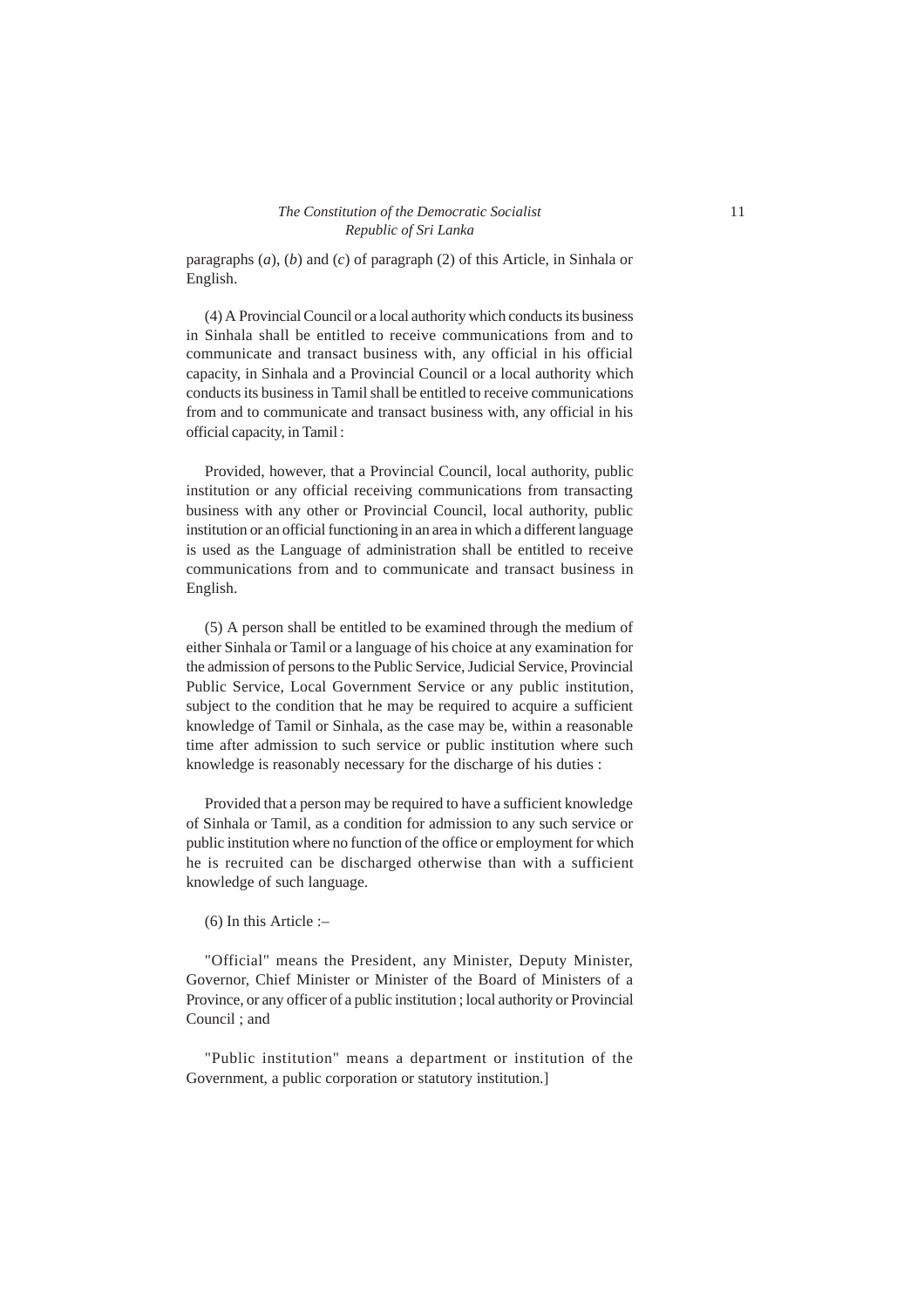paragraphs (*a*), (*b*) and (*c*) of paragraph (2) of this Article, in Sinhala or English.

(4) A Provincial Council or a local authority which conducts its business in Sinhala shall be entitled to receive communications from and to communicate and transact business with, any official in his official capacity, in Sinhala and a Provincial Council or a local authority which conducts its business in Tamil shall be entitled to receive communications from and to communicate and transact business with, any official in his official capacity, in Tamil :

Provided, however, that a Provincial Council, local authority, public institution or any official receiving communications from transacting business with any other or Provincial Council, local authority, public institution or an official functioning in an area in which a different language is used as the Language of administration shall be entitled to receive communications from and to communicate and transact business in English.

(5) A person shall be entitled to be examined through the medium of either Sinhala or Tamil or a language of his choice at any examination for the admission of persons to the Public Service, Judicial Service, Provincial Public Service, Local Government Service or any public institution, subject to the condition that he may be required to acquire a sufficient knowledge of Tamil or Sinhala, as the case may be, within a reasonable time after admission to such service or public institution where such knowledge is reasonably necessary for the discharge of his duties :

Provided that a person may be required to have a sufficient knowledge of Sinhala or Tamil, as a condition for admission to any such service or public institution where no function of the office or employment for which he is recruited can be discharged otherwise than with a sufficient knowledge of such language.

(6) In this Article :–

"Official" means the President, any Minister, Deputy Minister, Governor, Chief Minister or Minister of the Board of Ministers of a Province, or any officer of a public institution ; local authority or Provincial Council ; and

"Public institution" means a department or institution of the Government, a public corporation or statutory institution.]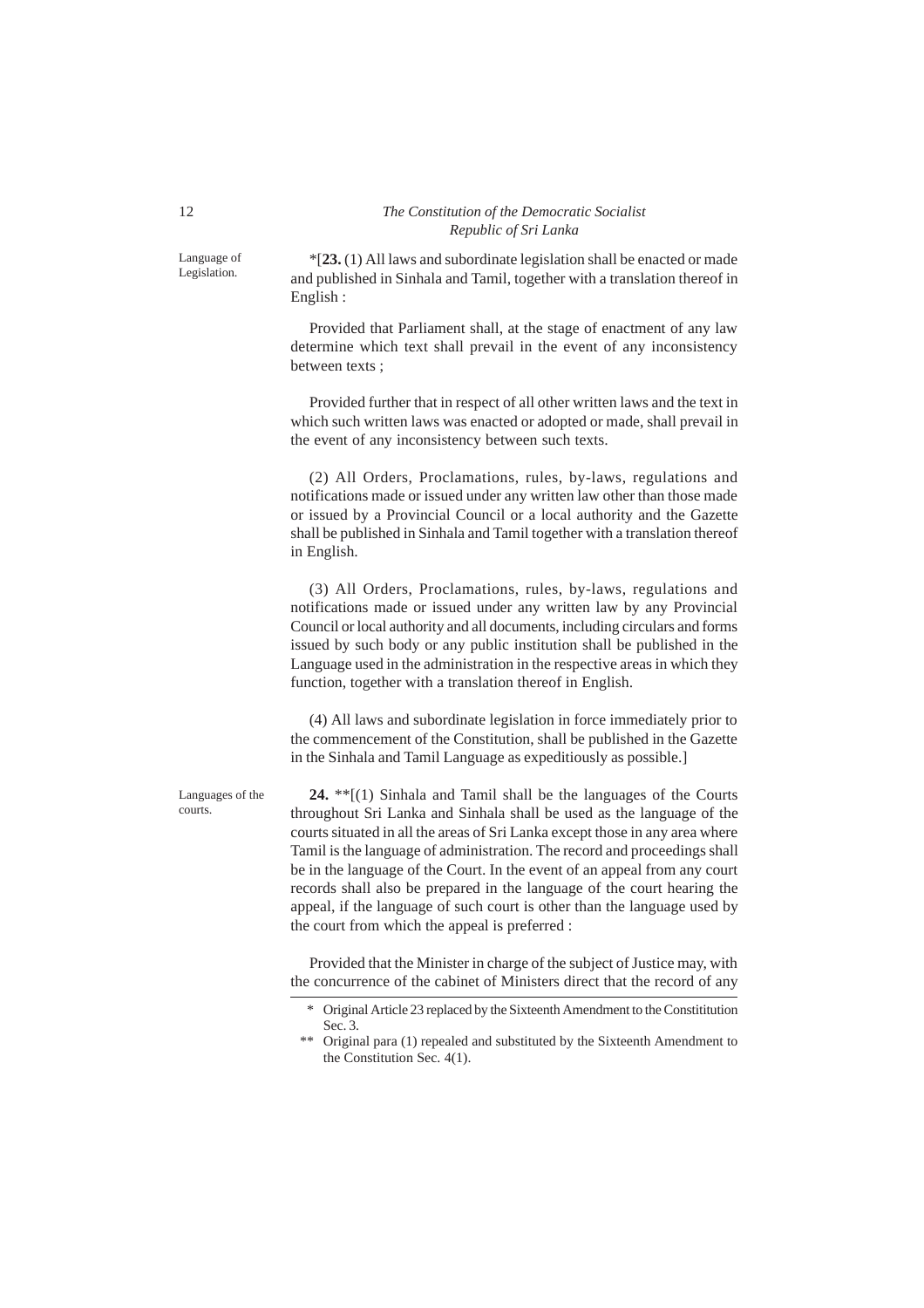Language of Legislation.

\*[**23.** (1) All laws and subordinate legislation shall be enacted or made and published in Sinhala and Tamil, together with a translation thereof in English :

Provided that Parliament shall, at the stage of enactment of any law determine which text shall prevail in the event of any inconsistency between texts ;

Provided further that in respect of all other written laws and the text in which such written laws was enacted or adopted or made, shall prevail in the event of any inconsistency between such texts.

(2) All Orders, Proclamations, rules, by-laws, regulations and notifications made or issued under any written law other than those made or issued by a Provincial Council or a local authority and the Gazette shall be published in Sinhala and Tamil together with a translation thereof in English.

(3) All Orders, Proclamations, rules, by-laws, regulations and notifications made or issued under any written law by any Provincial Council or local authority and all documents, including circulars and forms issued by such body or any public institution shall be published in the Language used in the administration in the respective areas in which they function, together with a translation thereof in English.

(4) All laws and subordinate legislation in force immediately prior to the commencement of the Constitution, shall be published in the Gazette in the Sinhala and Tamil Language as expeditiously as possible.]

**24.** \*\*[(1) Sinhala and Tamil shall be the languages of the Courts throughout Sri Lanka and Sinhala shall be used as the language of the courts situated in all the areas of Sri Lanka except those in any area where Tamil is the language of administration. The record and proceedings shall be in the language of the Court. In the event of an appeal from any court records shall also be prepared in the language of the court hearing the appeal, if the language of such court is other than the language used by the court from which the appeal is preferred :

Provided that the Minister in charge of the subject of Justice may, with the concurrence of the cabinet of Ministers direct that the record of any

Languages of the courts.

Original Article 23 replaced by the Sixteenth Amendment to the Constititution Sec. 3.

<sup>\*\*</sup> Original para (1) repealed and substituted by the Sixteenth Amendment to the Constitution Sec. 4(1).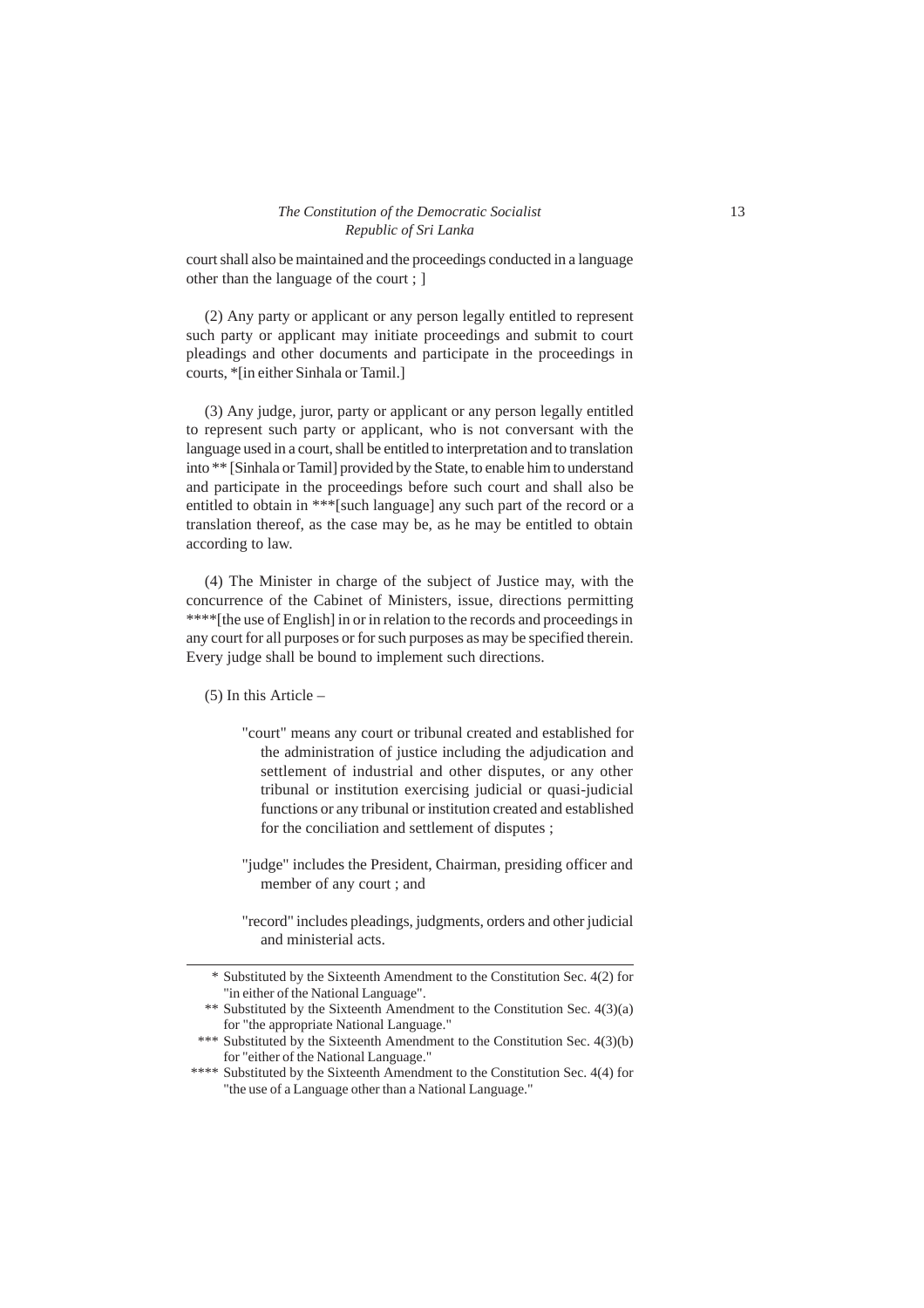court shall also be maintained and the proceedings conducted in a language other than the language of the court ; ]

(2) Any party or applicant or any person legally entitled to represent such party or applicant may initiate proceedings and submit to court pleadings and other documents and participate in the proceedings in courts, \*[in either Sinhala or Tamil.]

(3) Any judge, juror, party or applicant or any person legally entitled to represent such party or applicant, who is not conversant with the language used in a court, shall be entitled to interpretation and to translation into \*\* [Sinhala or Tamil] provided by the State, to enable him to understand and participate in the proceedings before such court and shall also be entitled to obtain in \*\*\*[such language] any such part of the record or a translation thereof, as the case may be, as he may be entitled to obtain according to law.

(4) The Minister in charge of the subject of Justice may, with the concurrence of the Cabinet of Ministers, issue, directions permitting \*\*\*\*[the use of English] in or in relation to the records and proceedings in any court for all purposes or for such purposes as may be specified therein. Every judge shall be bound to implement such directions.

#### (5) In this Article –

- "court" means any court or tribunal created and established for the administration of justice including the adjudication and settlement of industrial and other disputes, or any other tribunal or institution exercising judicial or quasi-judicial functions or any tribunal or institution created and established for the conciliation and settlement of disputes ;
- "judge" includes the President, Chairman, presiding officer and member of any court ; and
- "record" includes pleadings, judgments, orders and other judicial and ministerial acts.

<sup>\*</sup> Substituted by the Sixteenth Amendment to the Constitution Sec. 4(2) for "in either of the National Language".

 $**$  Substituted by the Sixteenth Amendment to the Constitution Sec.  $4(3)(a)$ for "the appropriate National Language."

<sup>\*\*\*</sup> Substituted by the Sixteenth Amendment to the Constitution Sec. 4(3)(b) for "either of the National Language."

<sup>\*\*\*\*</sup> Substituted by the Sixteenth Amendment to the Constitution Sec. 4(4) for "the use of a Language other than a National Language."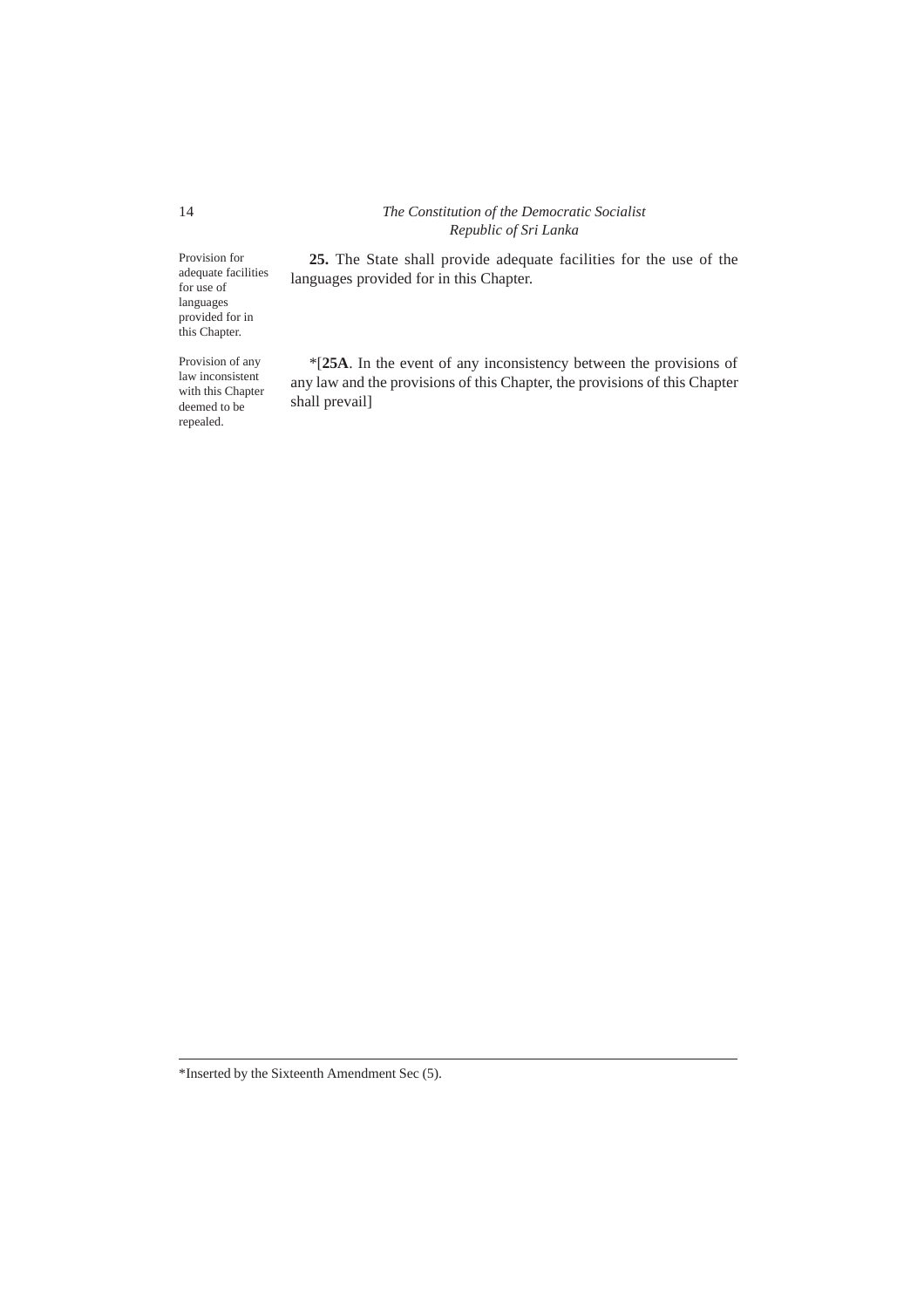Provision for adequate facilities for use of languages provided for in this Chapter.

Provision of any law inconsistent with this Chapter deemed to be repealed.

**25.** The State shall provide adequate facilities for the use of the languages provided for in this Chapter.

\*[**25A**. In the event of any inconsistency between the provisions of any law and the provisions of this Chapter, the provisions of this Chapter shall prevail]

\*Inserted by the Sixteenth Amendment Sec (5).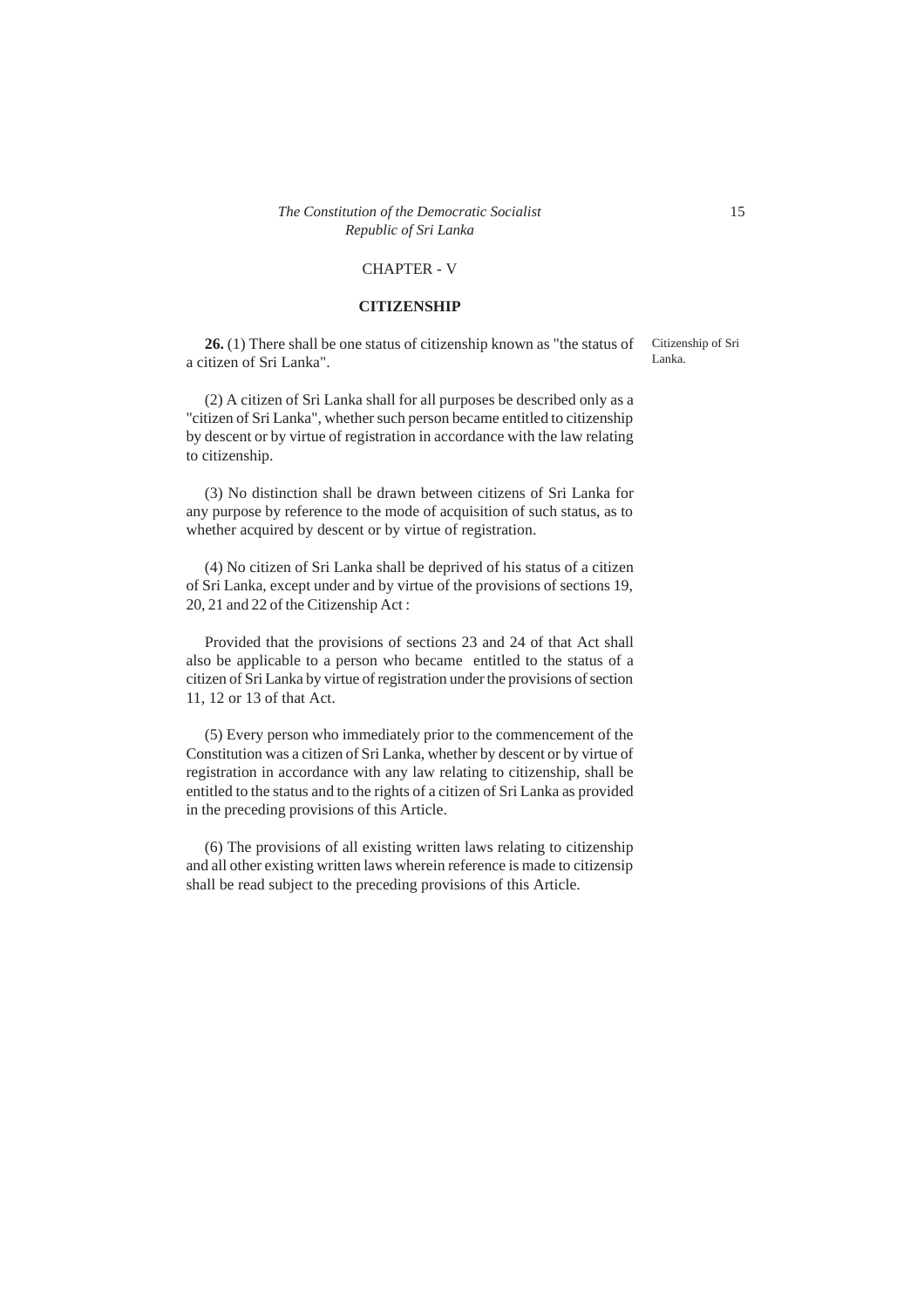## CHAPTER - V

#### **CITIZENSHIP**

**26.** (1) There shall be one status of citizenship known as "the status of a citizen of Sri Lanka".

Citizenship of Sri Lanka.

(2) A citizen of Sri Lanka shall for all purposes be described only as a "citizen of Sri Lanka", whether such person became entitled to citizenship by descent or by virtue of registration in accordance with the law relating to citizenship.

(3) No distinction shall be drawn between citizens of Sri Lanka for any purpose by reference to the mode of acquisition of such status, as to whether acquired by descent or by virtue of registration.

(4) No citizen of Sri Lanka shall be deprived of his status of a citizen of Sri Lanka, except under and by virtue of the provisions of sections 19, 20, 21 and 22 of the Citizenship Act :

Provided that the provisions of sections 23 and 24 of that Act shall also be applicable to a person who became entitled to the status of a citizen of Sri Lanka by virtue of registration under the provisions of section 11, 12 or 13 of that Act.

(5) Every person who immediately prior to the commencement of the Constitution was a citizen of Sri Lanka, whether by descent or by virtue of registration in accordance with any law relating to citizenship, shall be entitled to the status and to the rights of a citizen of Sri Lanka as provided in the preceding provisions of this Article.

(6) The provisions of all existing written laws relating to citizenship and all other existing written laws wherein reference is made to citizensip shall be read subject to the preceding provisions of this Article.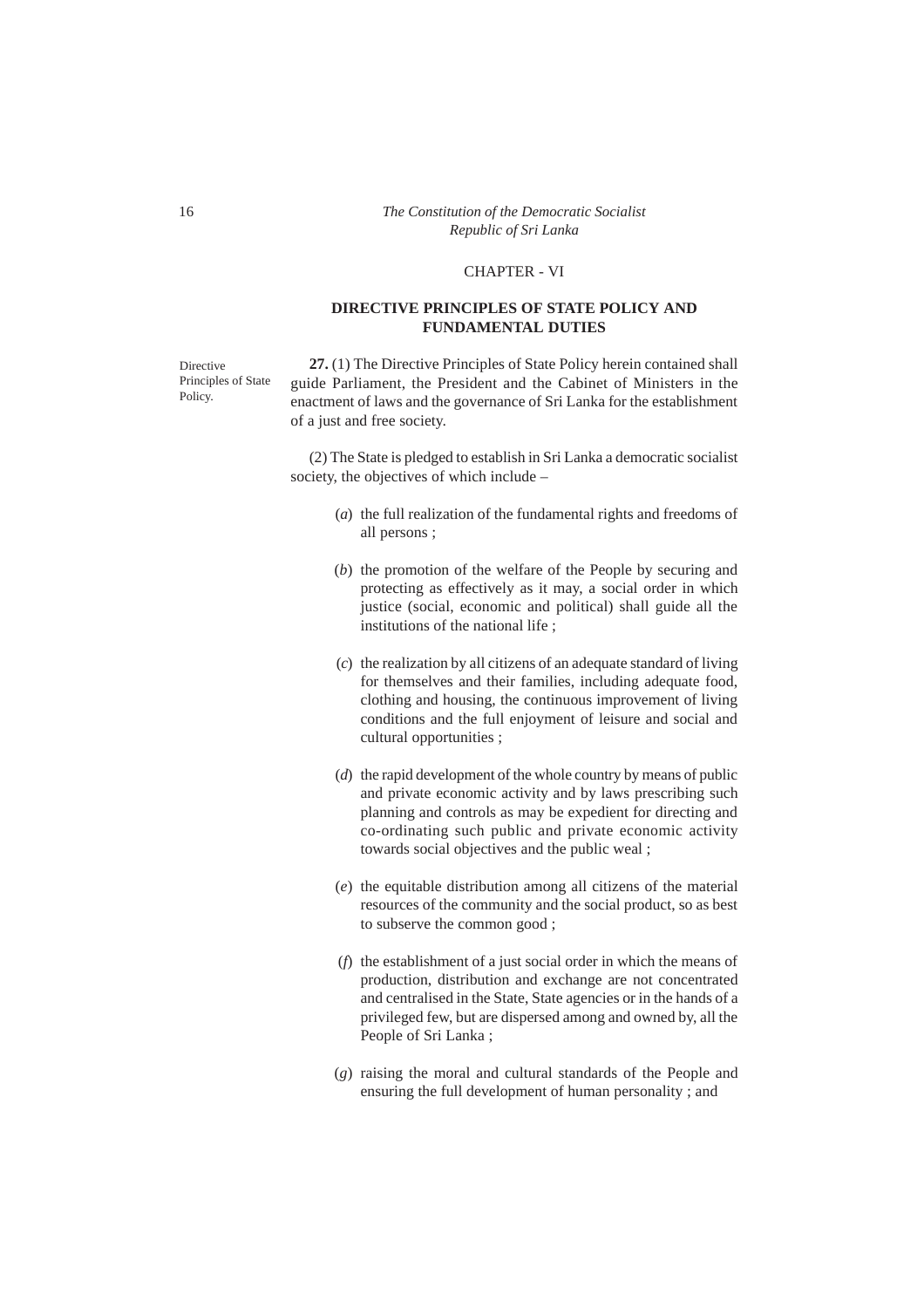#### CHAPTER - VI

#### **DIRECTIVE PRINCIPLES OF STATE POLICY AND FUNDAMENTAL DUTIES**

Directive Principles of State Policy.

**27.** (1) The Directive Principles of State Policy herein contained shall guide Parliament, the President and the Cabinet of Ministers in the enactment of laws and the governance of Sri Lanka for the establishment of a just and free society.

(2) The State is pledged to establish in Sri Lanka a democratic socialist society, the objectives of which include –

- (*a*) the full realization of the fundamental rights and freedoms of all persons ;
- (*b*) the promotion of the welfare of the People by securing and protecting as effectively as it may, a social order in which justice (social, economic and political) shall guide all the institutions of the national life ;
- (*c*) the realization by all citizens of an adequate standard of living for themselves and their families, including adequate food, clothing and housing, the continuous improvement of living conditions and the full enjoyment of leisure and social and cultural opportunities ;
- (*d*) the rapid development of the whole country by means of public and private economic activity and by laws prescribing such planning and controls as may be expedient for directing and co-ordinating such public and private economic activity towards social objectives and the public weal ;
- (*e*) the equitable distribution among all citizens of the material resources of the community and the social product, so as best to subserve the common good ;
- (*f*) the establishment of a just social order in which the means of production, distribution and exchange are not concentrated and centralised in the State, State agencies or in the hands of a privileged few, but are dispersed among and owned by, all the People of Sri Lanka ;
- (*g*) raising the moral and cultural standards of the People and ensuring the full development of human personality ; and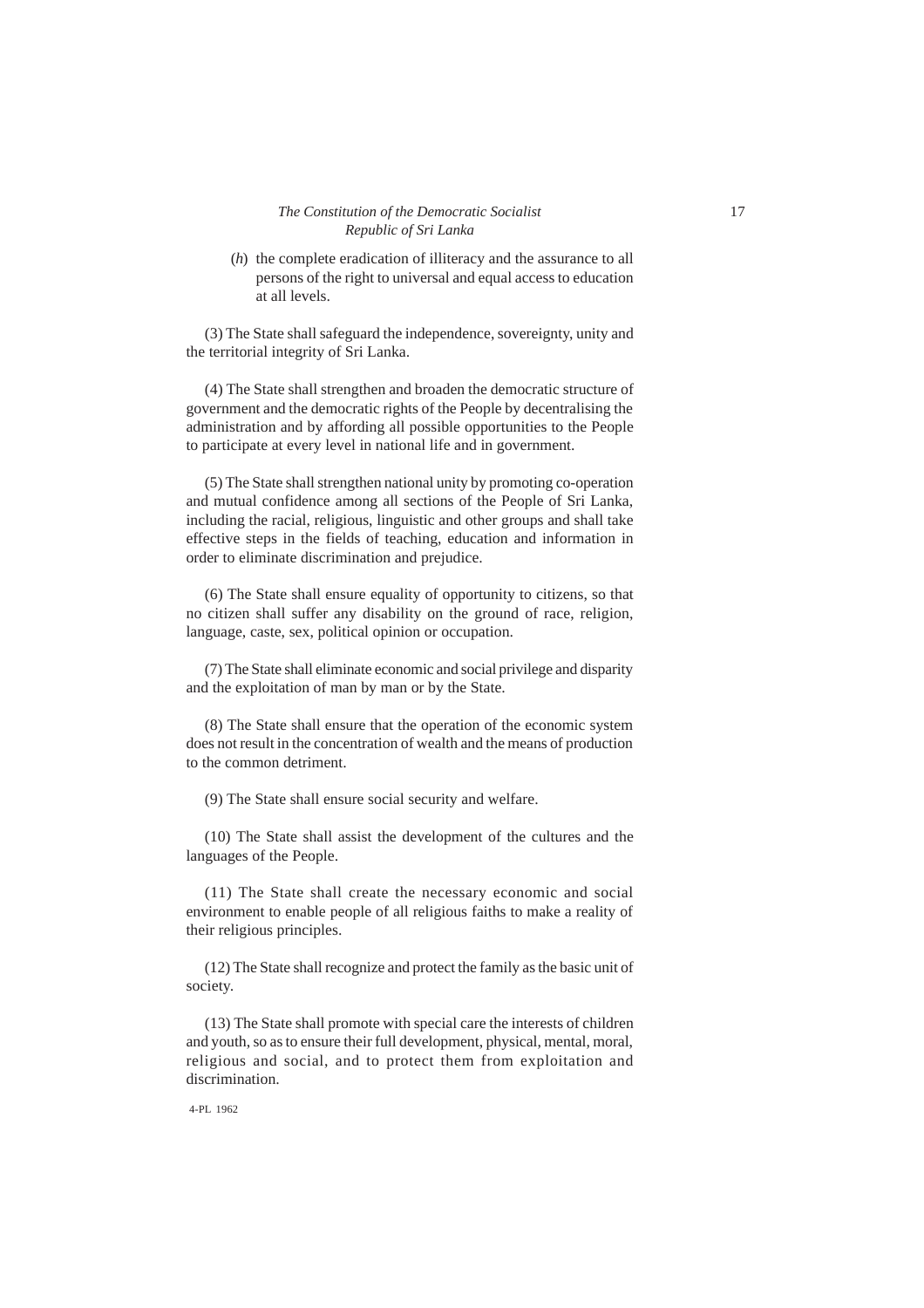(*h*) the complete eradication of illiteracy and the assurance to all persons of the right to universal and equal access to education at all levels.

(3) The State shall safeguard the independence, sovereignty, unity and the territorial integrity of Sri Lanka.

(4) The State shall strengthen and broaden the democratic structure of government and the democratic rights of the People by decentralising the administration and by affording all possible opportunities to the People to participate at every level in national life and in government.

(5) The State shall strengthen national unity by promoting co-operation and mutual confidence among all sections of the People of Sri Lanka, including the racial, religious, linguistic and other groups and shall take effective steps in the fields of teaching, education and information in order to eliminate discrimination and prejudice.

(6) The State shall ensure equality of opportunity to citizens, so that no citizen shall suffer any disability on the ground of race, religion, language, caste, sex, political opinion or occupation.

(7) The State shall eliminate economic and social privilege and disparity and the exploitation of man by man or by the State.

(8) The State shall ensure that the operation of the economic system does not result in the concentration of wealth and the means of production to the common detriment.

(9) The State shall ensure social security and welfare.

(10) The State shall assist the development of the cultures and the languages of the People.

(11) The State shall create the necessary economic and social environment to enable people of all religious faiths to make a reality of their religious principles.

(12) The State shall recognize and protect the family as the basic unit of society.

(13) The State shall promote with special care the interests of children and youth, so as to ensure their full development, physical, mental, moral, religious and social, and to protect them from exploitation and discrimination.

4-PL 1962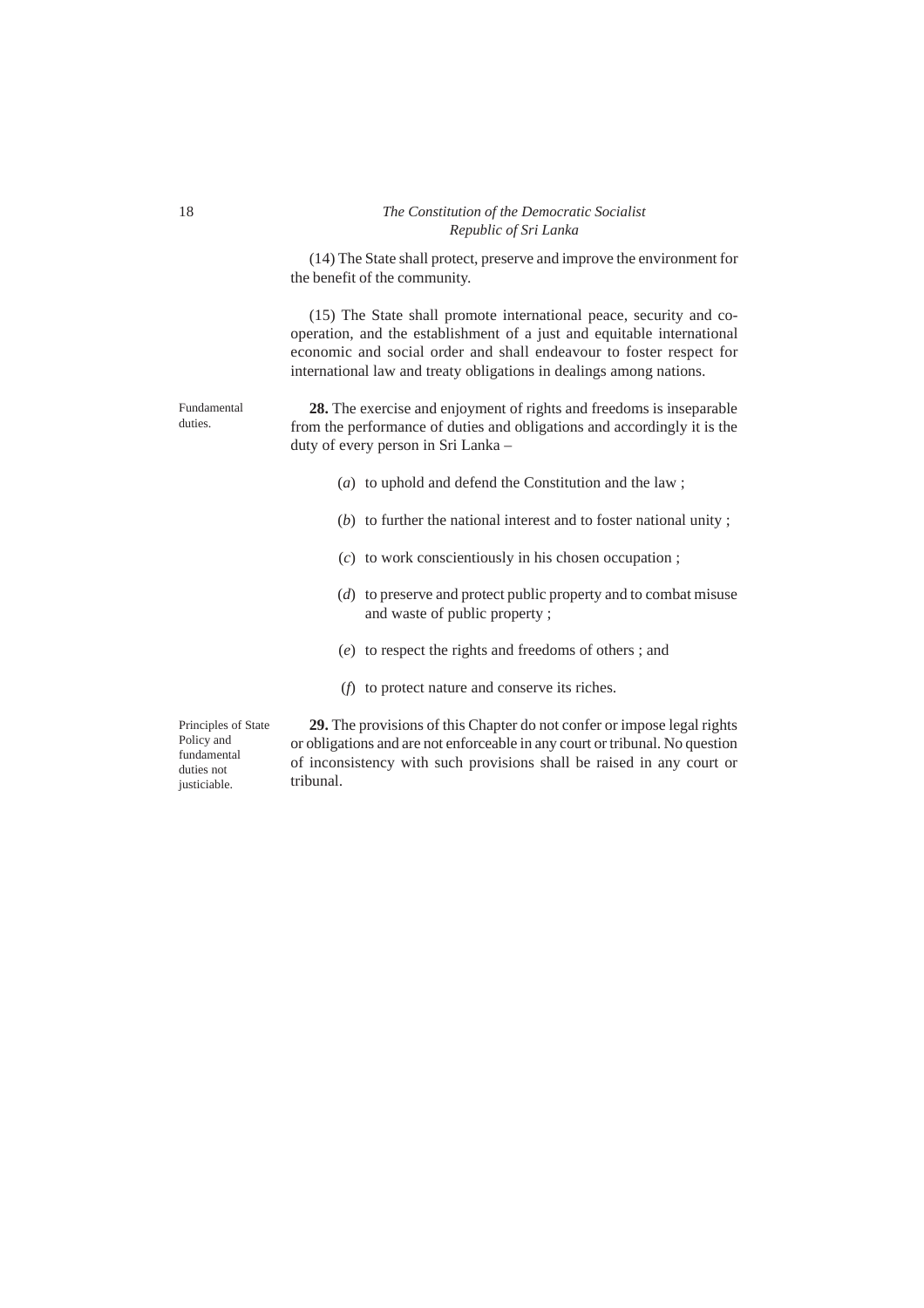(14) The State shall protect, preserve and improve the environment for the benefit of the community.

(15) The State shall promote international peace, security and cooperation, and the establishment of a just and equitable international economic and social order and shall endeavour to foster respect for international law and treaty obligations in dealings among nations.

Fundamental duties.

**28.** The exercise and enjoyment of rights and freedoms is inseparable from the performance of duties and obligations and accordingly it is the duty of every person in Sri Lanka –

- (*a*) to uphold and defend the Constitution and the law ;
- (*b*) to further the national interest and to foster national unity ;
- (*c*) to work conscientiously in his chosen occupation ;
- (*d*) to preserve and protect public property and to combat misuse and waste of public property ;
- (*e*) to respect the rights and freedoms of others ; and
- (*f*) to protect nature and conserve its riches.

Principles of State Policy and fundamental duties not justiciable.

**29.** The provisions of this Chapter do not confer or impose legal rights or obligations and are not enforceable in any court or tribunal. No question of inconsistency with such provisions shall be raised in any court or tribunal.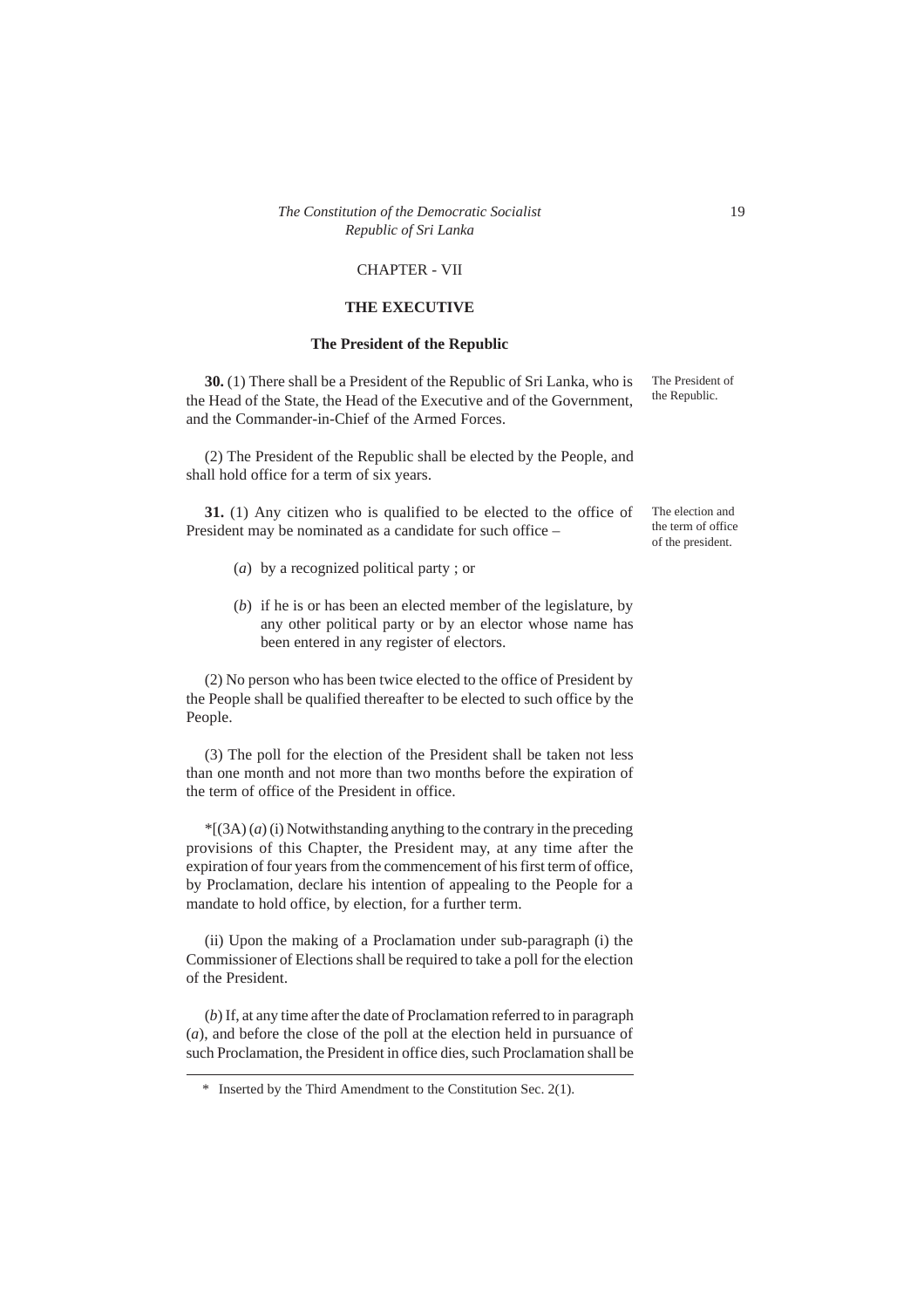#### CHAPTER - VII

#### **THE EXECUTIVE**

#### **The President of the Republic**

**30.** (1) There shall be a President of the Republic of Sri Lanka, who is the Head of the State, the Head of the Executive and of the Government, and the Commander-in-Chief of the Armed Forces. The President of the Republic.

(2) The President of the Republic shall be elected by the People, and shall hold office for a term of six years.

**31.** (1) Any citizen who is qualified to be elected to the office of President may be nominated as a candidate for such office –

- (*a*) by a recognized political party ; or
- (*b*) if he is or has been an elected member of the legislature, by any other political party or by an elector whose name has been entered in any register of electors.

(2) No person who has been twice elected to the office of President by the People shall be qualified thereafter to be elected to such office by the People.

(3) The poll for the election of the President shall be taken not less than one month and not more than two months before the expiration of the term of office of the President in office.

 $*(3A)(a)$  (i) Notwithstanding anything to the contrary in the preceding provisions of this Chapter, the President may, at any time after the expiration of four years from the commencement of his first term of office, by Proclamation, declare his intention of appealing to the People for a mandate to hold office, by election, for a further term.

(ii) Upon the making of a Proclamation under sub-paragraph (i) the Commissioner of Elections shall be required to take a poll for the election of the President.

(*b*) If, at any time after the date of Proclamation referred to in paragraph (*a*), and before the close of the poll at the election held in pursuance of such Proclamation, the President in office dies, such Proclamation shall be

The election and the term of office of the president.

<sup>\*</sup> Inserted by the Third Amendment to the Constitution Sec. 2(1).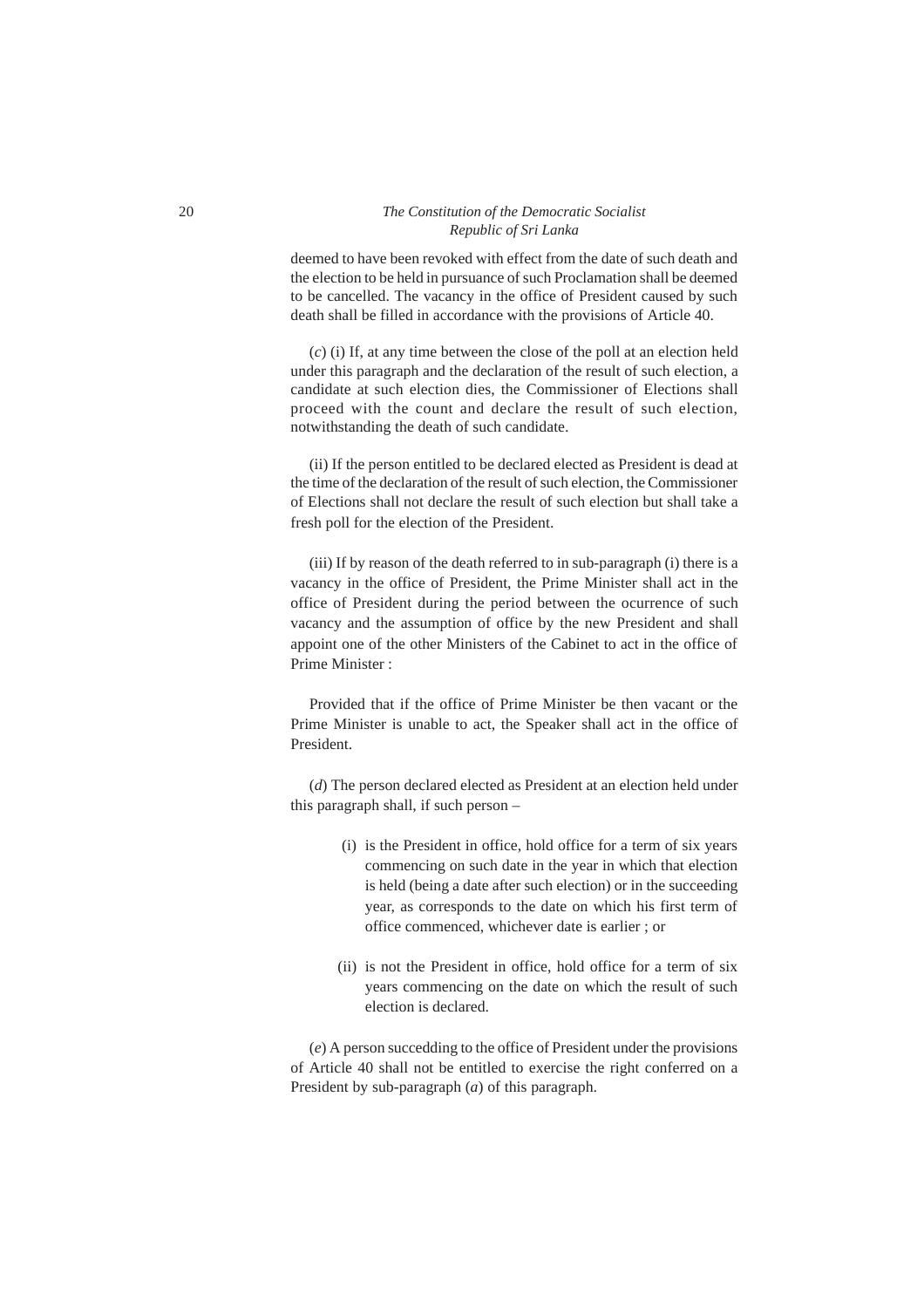deemed to have been revoked with effect from the date of such death and the election to be held in pursuance of such Proclamation shall be deemed to be cancelled. The vacancy in the office of President caused by such death shall be filled in accordance with the provisions of Article 40.

(*c*) (i) If, at any time between the close of the poll at an election held under this paragraph and the declaration of the result of such election, a candidate at such election dies, the Commissioner of Elections shall proceed with the count and declare the result of such election, notwithstanding the death of such candidate.

(ii) If the person entitled to be declared elected as President is dead at the time of the declaration of the result of such election, the Commissioner of Elections shall not declare the result of such election but shall take a fresh poll for the election of the President.

(iii) If by reason of the death referred to in sub-paragraph (i) there is a vacancy in the office of President, the Prime Minister shall act in the office of President during the period between the ocurrence of such vacancy and the assumption of office by the new President and shall appoint one of the other Ministers of the Cabinet to act in the office of Prime Minister :

Provided that if the office of Prime Minister be then vacant or the Prime Minister is unable to act, the Speaker shall act in the office of President.

(*d*) The person declared elected as President at an election held under this paragraph shall, if such person –

- (i) is the President in office, hold office for a term of six years commencing on such date in the year in which that election is held (being a date after such election) or in the succeeding year, as corresponds to the date on which his first term of office commenced, whichever date is earlier ; or
- (ii) is not the President in office, hold office for a term of six years commencing on the date on which the result of such election is declared.

(*e*) A person succedding to the office of President under the provisions of Article 40 shall not be entitled to exercise the right conferred on a President by sub-paragraph (*a*) of this paragraph.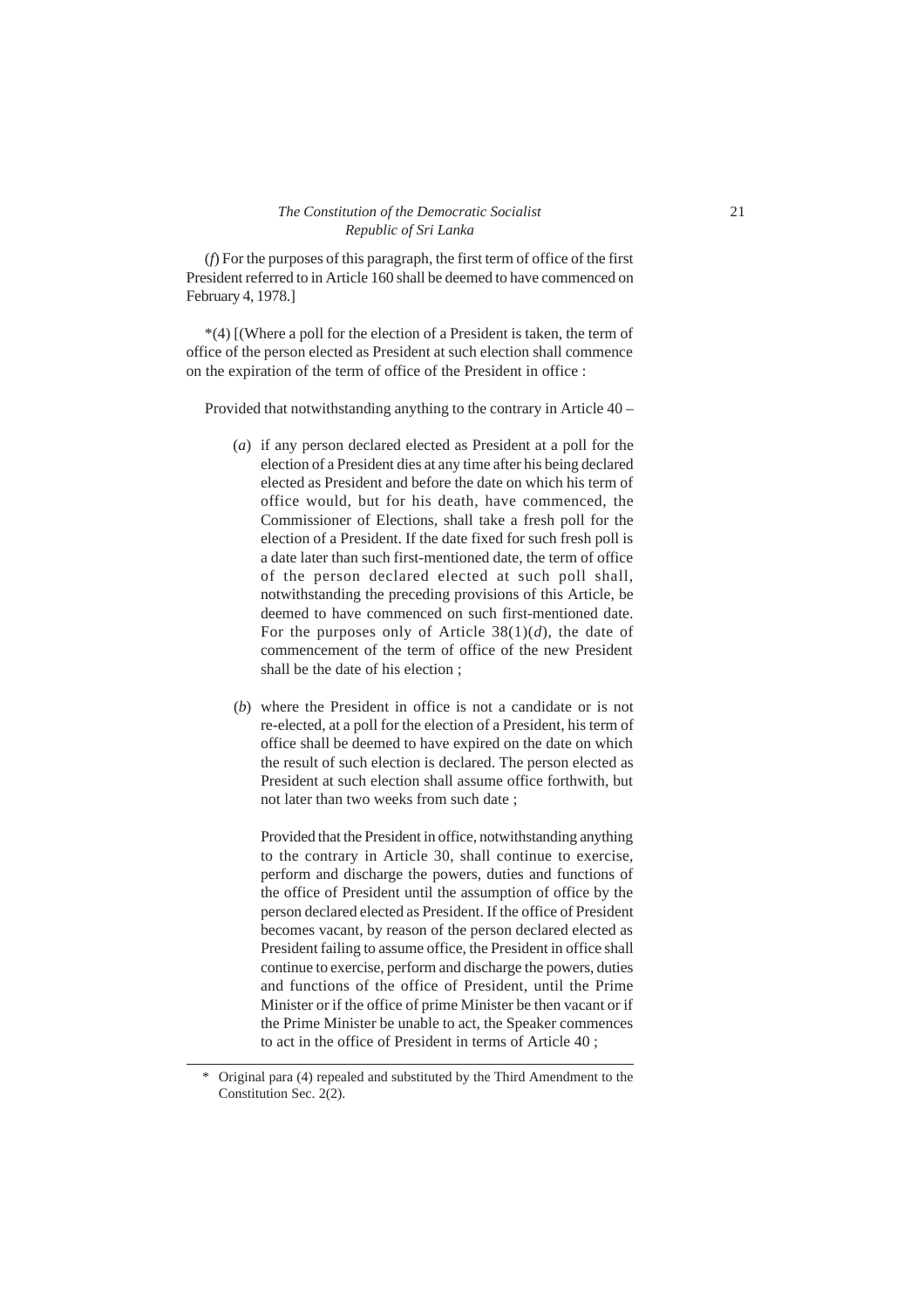(*f*) For the purposes of this paragraph, the first term of office of the first President referred to in Article 160 shall be deemed to have commenced on February 4, 1978.]

\*(4) [(Where a poll for the election of a President is taken, the term of office of the person elected as President at such election shall commence on the expiration of the term of office of the President in office :

Provided that notwithstanding anything to the contrary in Article 40 –

- (*a*) if any person declared elected as President at a poll for the election of a President dies at any time after his being declared elected as President and before the date on which his term of office would, but for his death, have commenced, the Commissioner of Elections, shall take a fresh poll for the election of a President. If the date fixed for such fresh poll is a date later than such first-mentioned date, the term of office of the person declared elected at such poll shall, notwithstanding the preceding provisions of this Article, be deemed to have commenced on such first-mentioned date. For the purposes only of Article 38(1)(*d*), the date of commencement of the term of office of the new President shall be the date of his election ;
- (*b*) where the President in office is not a candidate or is not re-elected, at a poll for the election of a President, his term of office shall be deemed to have expired on the date on which the result of such election is declared. The person elected as President at such election shall assume office forthwith, but not later than two weeks from such date ;

Provided that the President in office, notwithstanding anything to the contrary in Article 30, shall continue to exercise, perform and discharge the powers, duties and functions of the office of President until the assumption of office by the person declared elected as President. If the office of President becomes vacant, by reason of the person declared elected as President failing to assume office, the President in office shall continue to exercise, perform and discharge the powers, duties and functions of the office of President, until the Prime Minister or if the office of prime Minister be then vacant or if the Prime Minister be unable to act, the Speaker commences to act in the office of President in terms of Article 40 ;

Original para (4) repealed and substituted by the Third Amendment to the Constitution Sec. 2(2).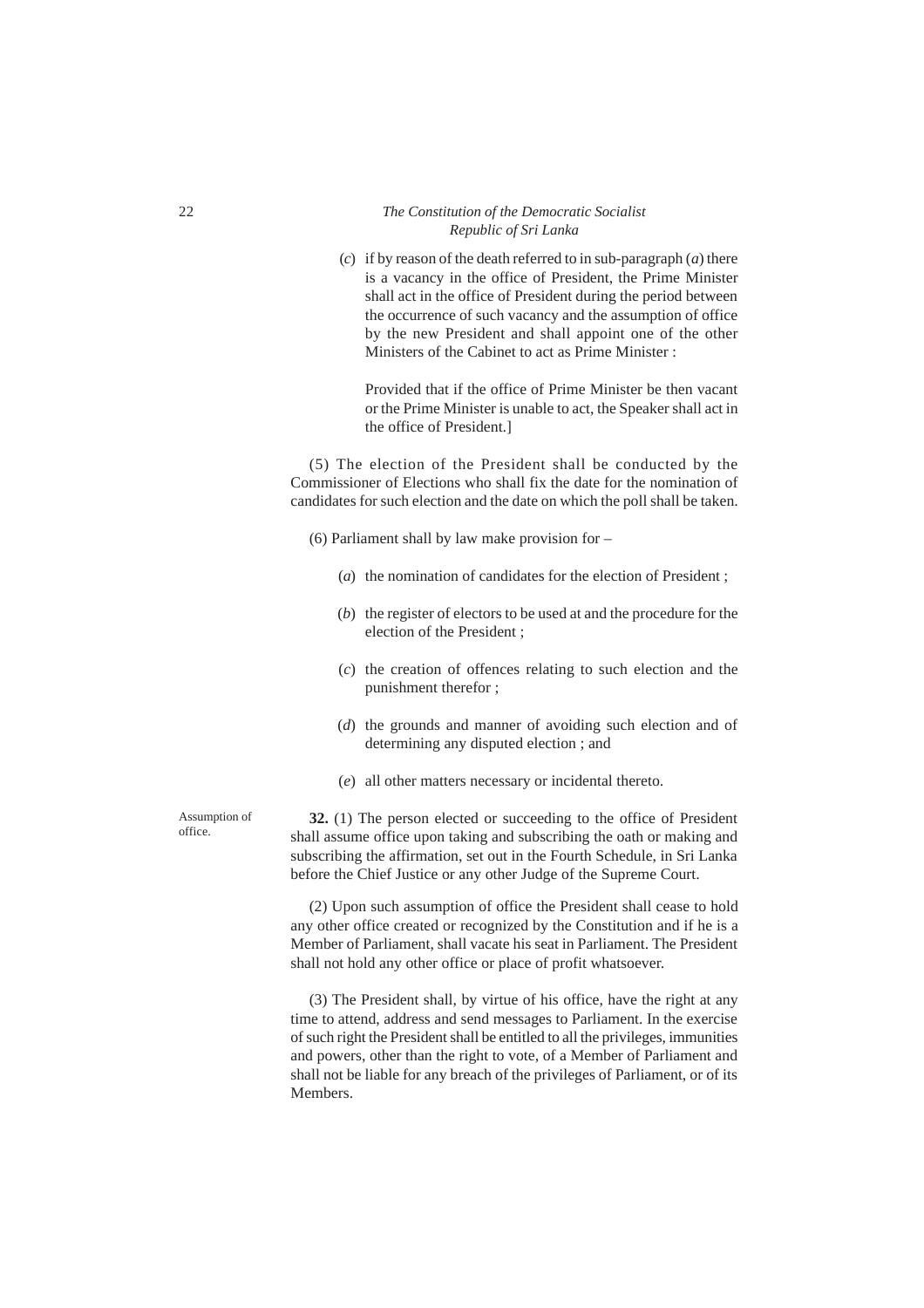(*c*) if by reason of the death referred to in sub-paragraph (*a*) there is a vacancy in the office of President, the Prime Minister shall act in the office of President during the period between the occurrence of such vacancy and the assumption of office by the new President and shall appoint one of the other Ministers of the Cabinet to act as Prime Minister :

Provided that if the office of Prime Minister be then vacant or the Prime Minister is unable to act, the Speaker shall act in the office of President.]

(5) The election of the President shall be conducted by the Commissioner of Elections who shall fix the date for the nomination of candidates for such election and the date on which the poll shall be taken.

- (6) Parliament shall by law make provision for
	- (*a*) the nomination of candidates for the election of President ;
	- (*b*) the register of electors to be used at and the procedure for the election of the President ;
	- (*c*) the creation of offences relating to such election and the punishment therefor ;
	- (*d*) the grounds and manner of avoiding such election and of determining any disputed election ; and
	- (*e*) all other matters necessary or incidental thereto.

**32.** (1) The person elected or succeeding to the office of President shall assume office upon taking and subscribing the oath or making and subscribing the affirmation, set out in the Fourth Schedule, in Sri Lanka before the Chief Justice or any other Judge of the Supreme Court.

(2) Upon such assumption of office the President shall cease to hold any other office created or recognized by the Constitution and if he is a Member of Parliament, shall vacate his seat in Parliament. The President shall not hold any other office or place of profit whatsoever.

(3) The President shall, by virtue of his office, have the right at any time to attend, address and send messages to Parliament. In the exercise of such right the President shall be entitled to all the privileges, immunities and powers, other than the right to vote, of a Member of Parliament and shall not be liable for any breach of the privileges of Parliament, or of its Members.

Assumption of office.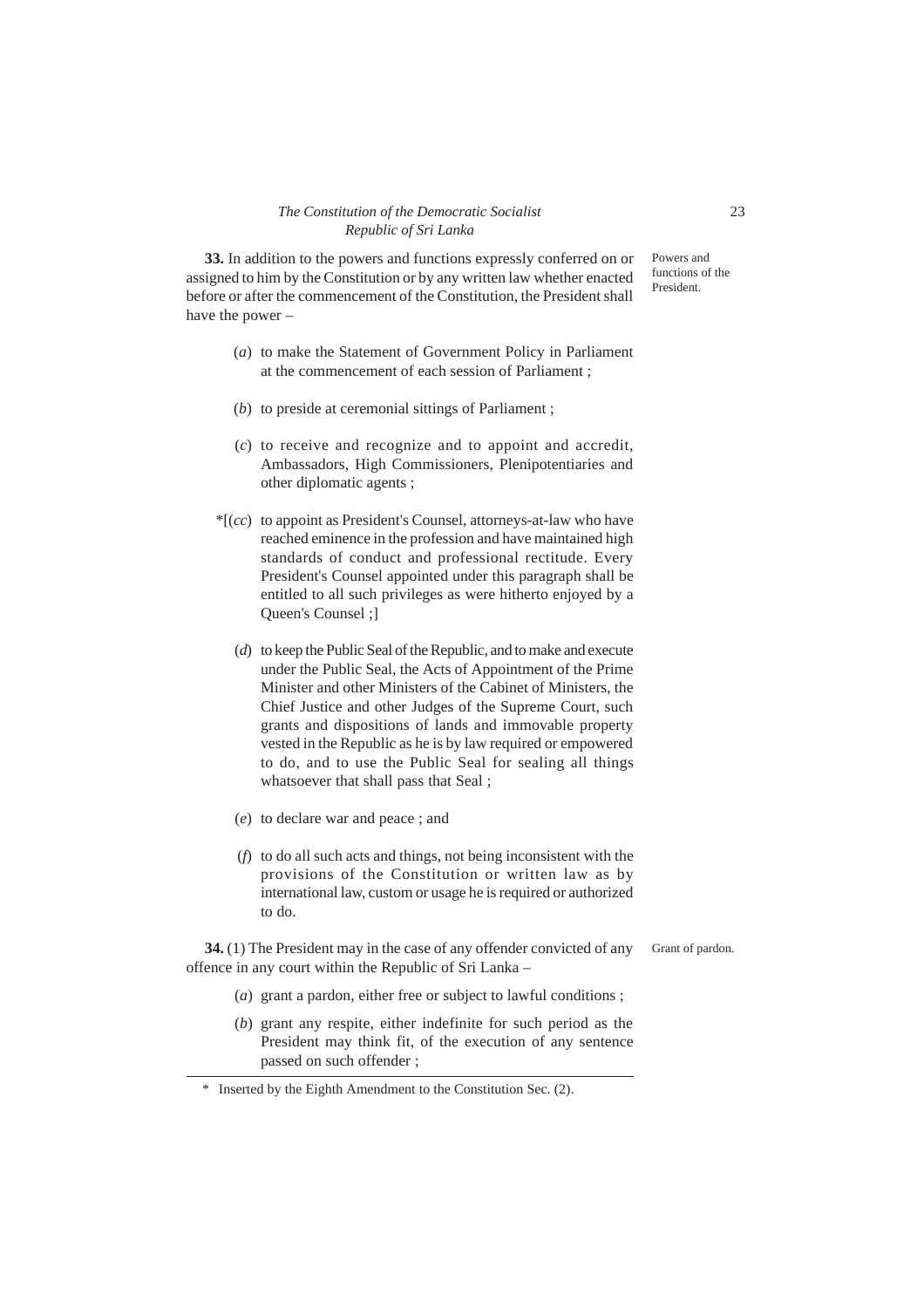**33.** In addition to the powers and functions expressly conferred on or assigned to him by the Constitution or by any written law whether enacted before or after the commencement of the Constitution, the President shall have the power –

- (*a*) to make the Statement of Government Policy in Parliament at the commencement of each session of Parliament ;
- (*b*) to preside at ceremonial sittings of Parliament ;
- (*c*) to receive and recognize and to appoint and accredit, Ambassadors, High Commissioners, Plenipotentiaries and other diplomatic agents ;
- \*[(*cc*) to appoint as President's Counsel, attorneys-at-law who have reached eminence in the profession and have maintained high standards of conduct and professional rectitude. Every President's Counsel appointed under this paragraph shall be entitled to all such privileges as were hitherto enjoyed by a Queen's Counsel ;]
	- (*d*) to keep the Public Seal of the Republic, and to make and execute under the Public Seal, the Acts of Appointment of the Prime Minister and other Ministers of the Cabinet of Ministers, the Chief Justice and other Judges of the Supreme Court, such grants and dispositions of lands and immovable property vested in the Republic as he is by law required or empowered to do, and to use the Public Seal for sealing all things whatsoever that shall pass that Seal ;
	- (*e*) to declare war and peace ; and

offence in any court within the Republic of Sri Lanka –

(*f*) to do all such acts and things, not being inconsistent with the provisions of the Constitution or written law as by international law, custom or usage he is required or authorized to do.

Grant of pardon.

(*a*) grant a pardon, either free or subject to lawful conditions ;

**34.** (1) The President may in the case of any offender convicted of any

(*b*) grant any respite, either indefinite for such period as the President may think fit, of the execution of any sentence passed on such offender ;

Powers and functions of the President.

<sup>\*</sup> Inserted by the Eighth Amendment to the Constitution Sec. (2).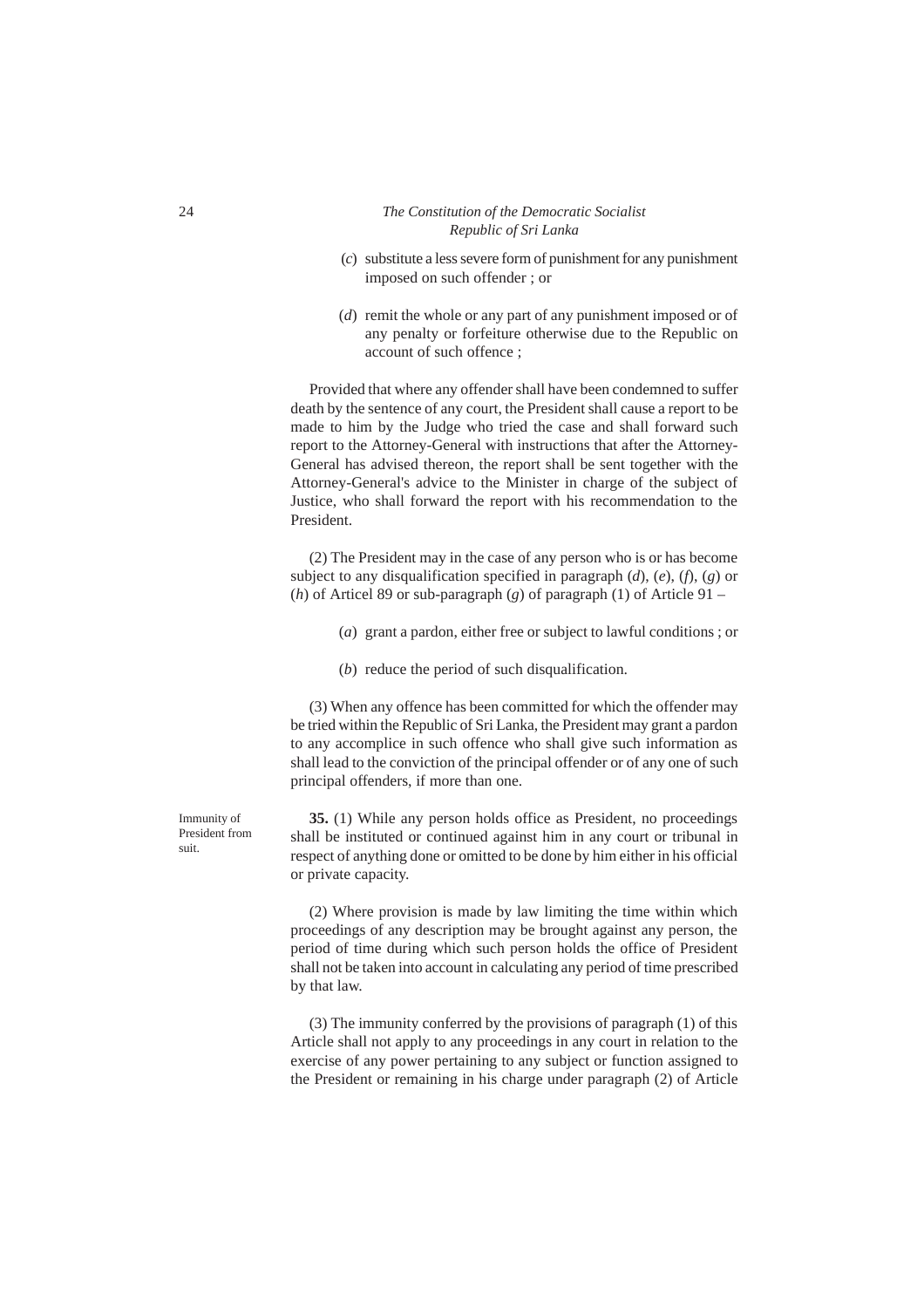- (*c*) substitute a less severe form of punishment for any punishment imposed on such offender ; or
- (*d*) remit the whole or any part of any punishment imposed or of any penalty or forfeiture otherwise due to the Republic on account of such offence ;

Provided that where any offender shall have been condemned to suffer death by the sentence of any court, the President shall cause a report to be made to him by the Judge who tried the case and shall forward such report to the Attorney-General with instructions that after the Attorney-General has advised thereon, the report shall be sent together with the Attorney-General's advice to the Minister in charge of the subject of Justice, who shall forward the report with his recommendation to the President.

(2) The President may in the case of any person who is or has become subject to any disqualification specified in paragraph (*d*), (*e*), (*f*), (*g*) or (*h*) of Articel 89 or sub-paragraph (*g*) of paragraph (1) of Article 91 –

- (*a*) grant a pardon, either free or subject to lawful conditions ; or
- (*b*) reduce the period of such disqualification.

(3) When any offence has been committed for which the offender may be tried within the Republic of Sri Lanka, the President may grant a pardon to any accomplice in such offence who shall give such information as shall lead to the conviction of the principal offender or of any one of such principal offenders, if more than one.

**35.** (1) While any person holds office as President, no proceedings shall be instituted or continued against him in any court or tribunal in respect of anything done or omitted to be done by him either in his official or private capacity.

(2) Where provision is made by law limiting the time within which proceedings of any description may be brought against any person, the period of time during which such person holds the office of President shall not be taken into account in calculating any period of time prescribed by that law.

(3) The immunity conferred by the provisions of paragraph (1) of this Article shall not apply to any proceedings in any court in relation to the exercise of any power pertaining to any subject or function assigned to the President or remaining in his charge under paragraph (2) of Article

Immunity of President from suit.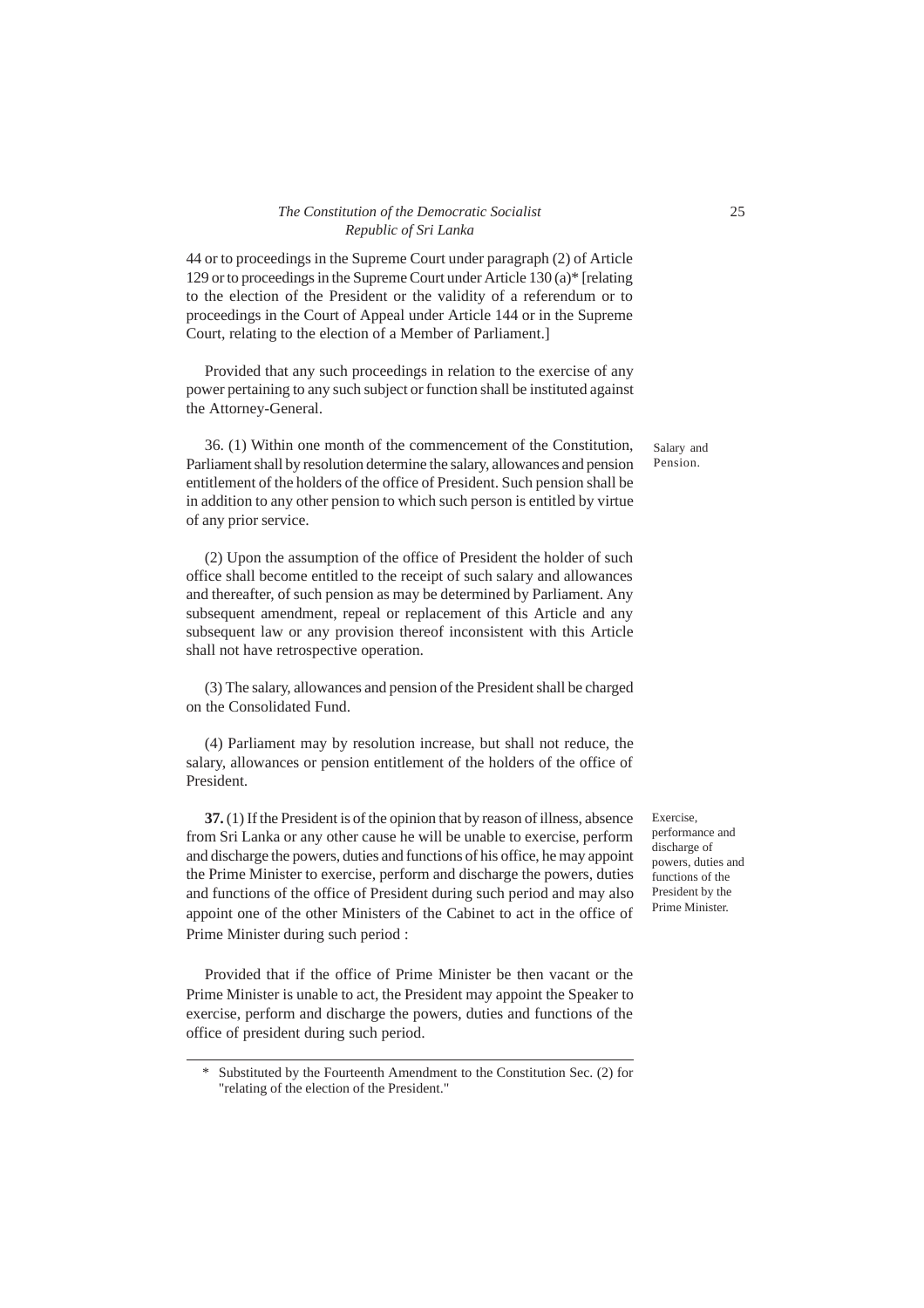44 or to proceedings in the Supreme Court under paragraph (2) of Article 129 or to proceedings in the Supreme Court under Article 130 (a)\* [relating to the election of the President or the validity of a referendum or to proceedings in the Court of Appeal under Article 144 or in the Supreme Court, relating to the election of a Member of Parliament.]

Provided that any such proceedings in relation to the exercise of any power pertaining to any such subject or function shall be instituted against the Attorney-General.

36. (1) Within one month of the commencement of the Constitution, Parliament shall by resolution determine the salary, allowances and pension entitlement of the holders of the office of President. Such pension shall be in addition to any other pension to which such person is entitled by virtue of any prior service.

(2) Upon the assumption of the office of President the holder of such office shall become entitled to the receipt of such salary and allowances and thereafter, of such pension as may be determined by Parliament. Any subsequent amendment, repeal or replacement of this Article and any subsequent law or any provision thereof inconsistent with this Article shall not have retrospective operation.

(3) The salary, allowances and pension of the President shall be charged on the Consolidated Fund.

(4) Parliament may by resolution increase, but shall not reduce, the salary, allowances or pension entitlement of the holders of the office of President.

**37.** (1) If the President is of the opinion that by reason of illness, absence from Sri Lanka or any other cause he will be unable to exercise, perform and discharge the powers, duties and functions of his office, he may appoint the Prime Minister to exercise, perform and discharge the powers, duties and functions of the office of President during such period and may also appoint one of the other Ministers of the Cabinet to act in the office of Prime Minister during such period :

Provided that if the office of Prime Minister be then vacant or the Prime Minister is unable to act, the President may appoint the Speaker to exercise, perform and discharge the powers, duties and functions of the office of president during such period.

Exercise, performance and discharge of powers, duties and functions of the President by the Prime Minister.

Salary and Pension.

Substituted by the Fourteenth Amendment to the Constitution Sec. (2) for "relating of the election of the President."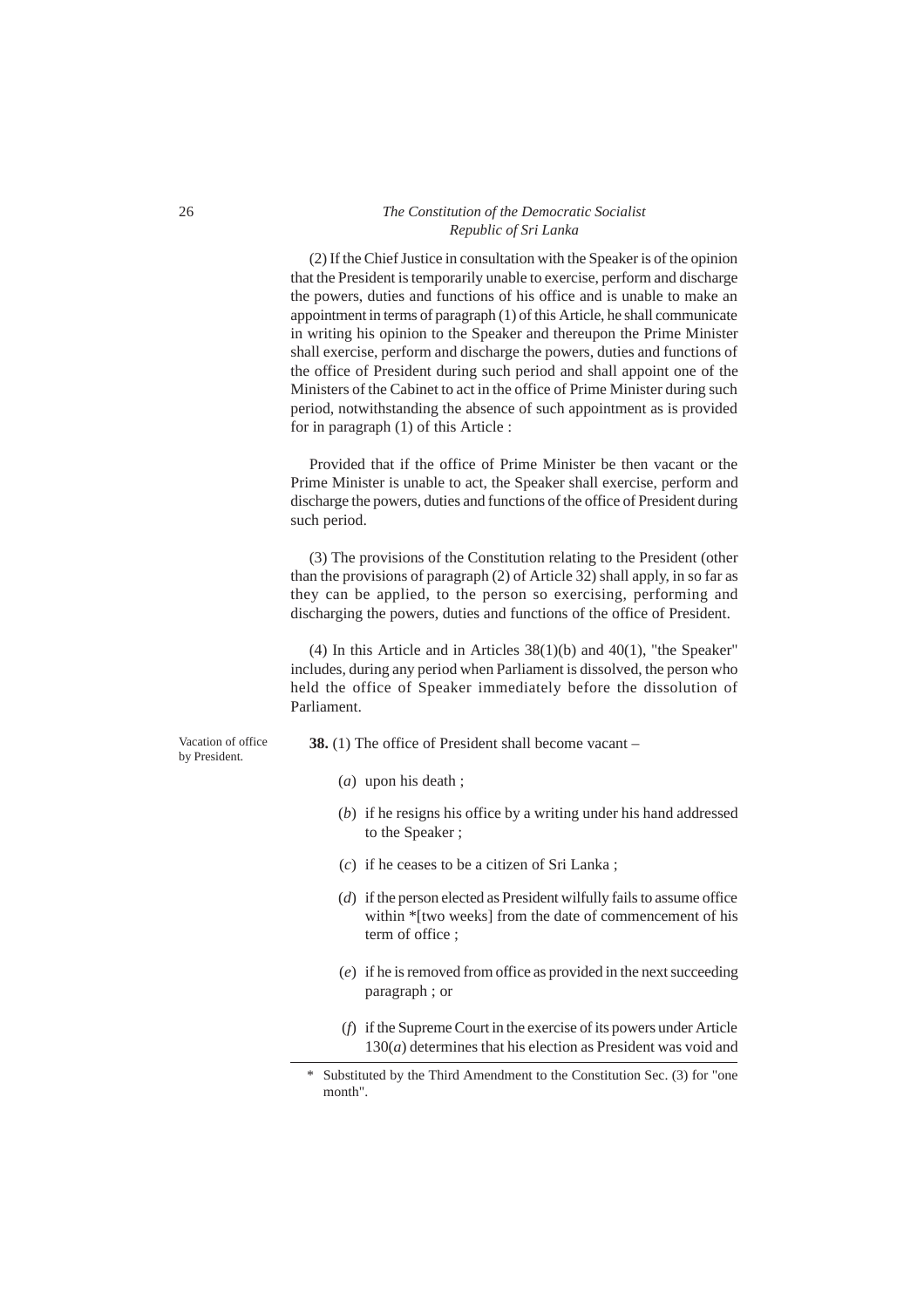(2) If the Chief Justice in consultation with the Speaker is of the opinion that the President is temporarily unable to exercise, perform and discharge the powers, duties and functions of his office and is unable to make an appointment in terms of paragraph (1) of this Article, he shall communicate in writing his opinion to the Speaker and thereupon the Prime Minister shall exercise, perform and discharge the powers, duties and functions of the office of President during such period and shall appoint one of the Ministers of the Cabinet to act in the office of Prime Minister during such period, notwithstanding the absence of such appointment as is provided for in paragraph (1) of this Article :

Provided that if the office of Prime Minister be then vacant or the Prime Minister is unable to act, the Speaker shall exercise, perform and discharge the powers, duties and functions of the office of President during such period.

(3) The provisions of the Constitution relating to the President (other than the provisions of paragraph (2) of Article 32) shall apply, in so far as they can be applied, to the person so exercising, performing and discharging the powers, duties and functions of the office of President.

(4) In this Article and in Articles 38(1)(b) and 40(1), "the Speaker" includes, during any period when Parliament is dissolved, the person who held the office of Speaker immediately before the dissolution of Parliament.

Vacation of office by President.

**38.** (1) The office of President shall become vacant –

- (*a*) upon his death ;
- (*b*) if he resigns his office by a writing under his hand addressed to the Speaker ;
- (*c*) if he ceases to be a citizen of Sri Lanka ;
- (*d*) if the person elected as President wilfully fails to assume office within \*[two weeks] from the date of commencement of his term of office ;
- (*e*) if he is removed from office as provided in the next succeeding paragraph ; or
- (*f*) if the Supreme Court in the exercise of its powers under Article 130(*a*) determines that his election as President was void and

<sup>\*</sup> Substituted by the Third Amendment to the Constitution Sec. (3) for "one month".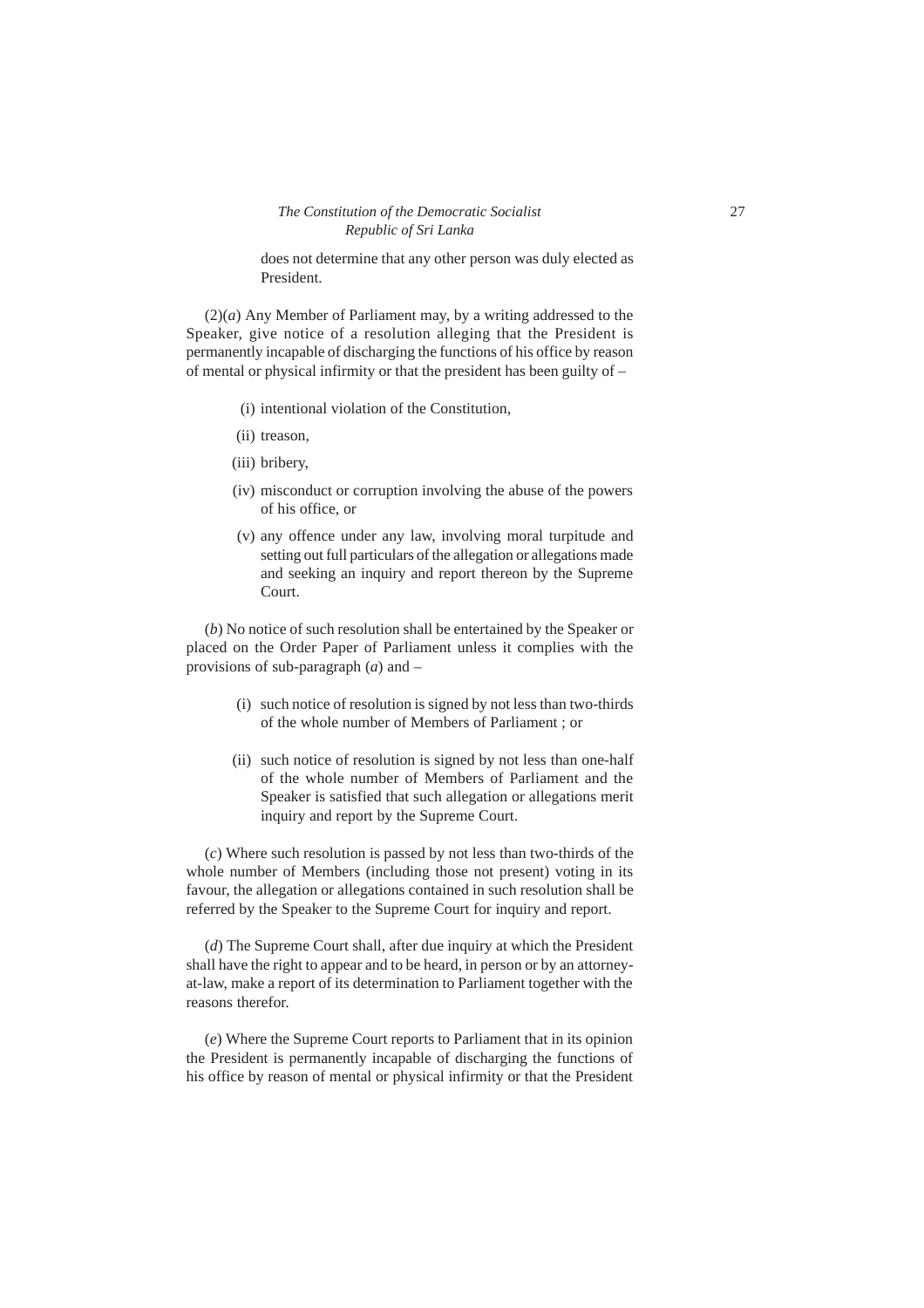does not determine that any other person was duly elected as President.

(2)(*a*) Any Member of Parliament may, by a writing addressed to the Speaker, give notice of a resolution alleging that the President is permanently incapable of discharging the functions of his office by reason of mental or physical infirmity or that the president has been guilty of –

- (i) intentional violation of the Constitution,
- (ii) treason,
- (iii) bribery,
- (iv) misconduct or corruption involving the abuse of the powers of his office, or
- (v) any offence under any law, involving moral turpitude and setting out full particulars of the allegation or allegations made and seeking an inquiry and report thereon by the Supreme Court.

(*b*) No notice of such resolution shall be entertained by the Speaker or placed on the Order Paper of Parliament unless it complies with the provisions of sub-paragraph (*a*) and –

- (i) such notice of resolution is signed by not less than two-thirds of the whole number of Members of Parliament ; or
- (ii) such notice of resolution is signed by not less than one-half of the whole number of Members of Parliament and the Speaker is satisfied that such allegation or allegations merit inquiry and report by the Supreme Court.

(*c*) Where such resolution is passed by not less than two-thirds of the whole number of Members (including those not present) voting in its favour, the allegation or allegations contained in such resolution shall be referred by the Speaker to the Supreme Court for inquiry and report.

(*d*) The Supreme Court shall, after due inquiry at which the President shall have the right to appear and to be heard, in person or by an attorneyat-law, make a report of its determination to Parliament together with the reasons therefor.

(*e*) Where the Supreme Court reports to Parliament that in its opinion the President is permanently incapable of discharging the functions of his office by reason of mental or physical infirmity or that the President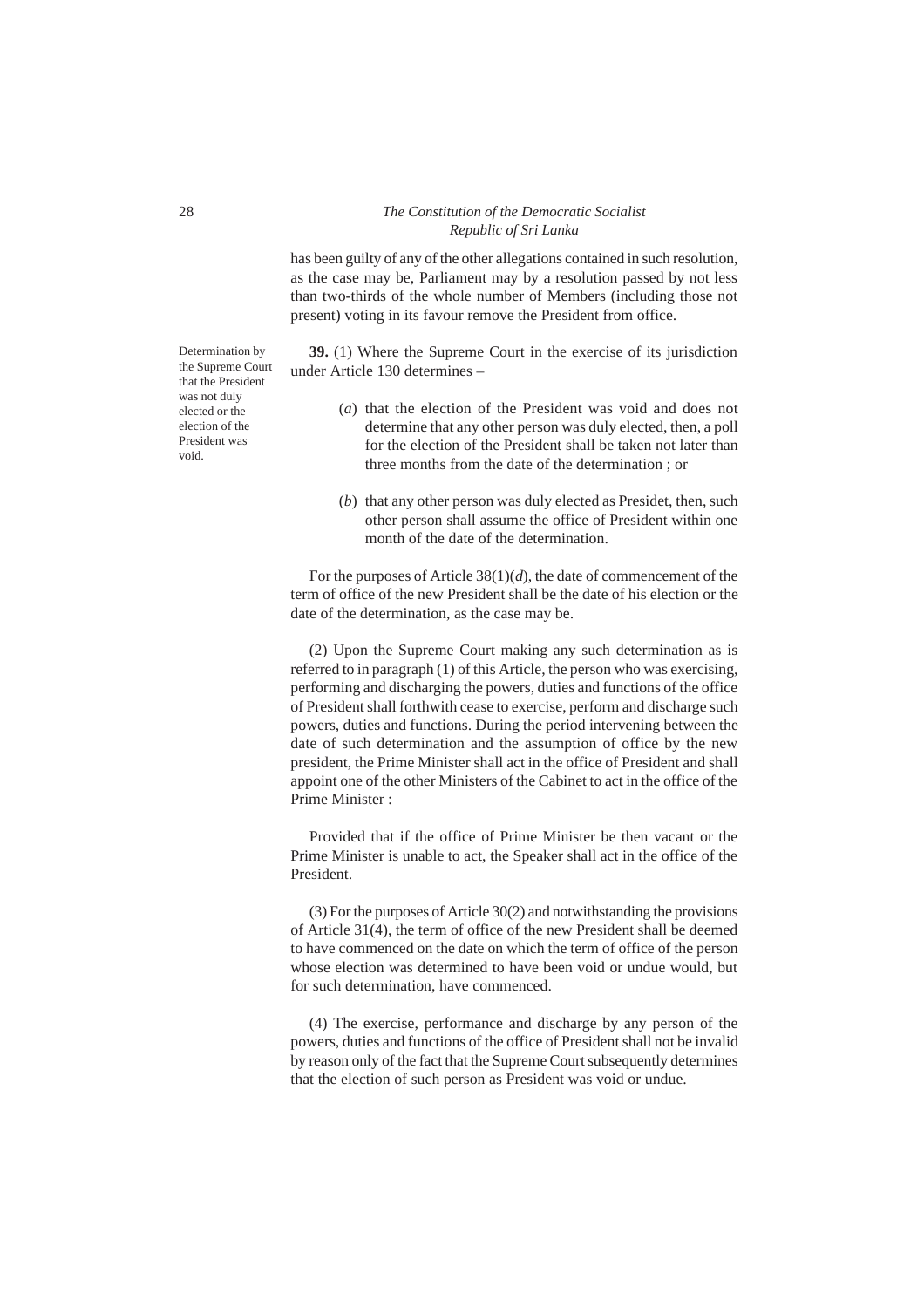has been guilty of any of the other allegations contained in such resolution, as the case may be, Parliament may by a resolution passed by not less than two-thirds of the whole number of Members (including those not present) voting in its favour remove the President from office.

**39.** (1) Where the Supreme Court in the exercise of its jurisdiction under Article 130 determines –

- (*a*) that the election of the President was void and does not determine that any other person was duly elected, then, a poll for the election of the President shall be taken not later than three months from the date of the determination ; or
- (*b*) that any other person was duly elected as Presidet, then, such other person shall assume the office of President within one month of the date of the determination.

For the purposes of Article 38(1)(*d*), the date of commencement of the term of office of the new President shall be the date of his election or the date of the determination, as the case may be.

(2) Upon the Supreme Court making any such determination as is referred to in paragraph (1) of this Article, the person who was exercising, performing and discharging the powers, duties and functions of the office of President shall forthwith cease to exercise, perform and discharge such powers, duties and functions. During the period intervening between the date of such determination and the assumption of office by the new president, the Prime Minister shall act in the office of President and shall appoint one of the other Ministers of the Cabinet to act in the office of the Prime Minister :

Provided that if the office of Prime Minister be then vacant or the Prime Minister is unable to act, the Speaker shall act in the office of the President.

(3) For the purposes of Article 30(2) and notwithstanding the provisions of Article 31(4), the term of office of the new President shall be deemed to have commenced on the date on which the term of office of the person whose election was determined to have been void or undue would, but for such determination, have commenced.

(4) The exercise, performance and discharge by any person of the powers, duties and functions of the office of President shall not be invalid by reason only of the fact that the Supreme Court subsequently determines that the election of such person as President was void or undue.

Determination by the Supreme Court that the President was not duly elected or the election of the President was void.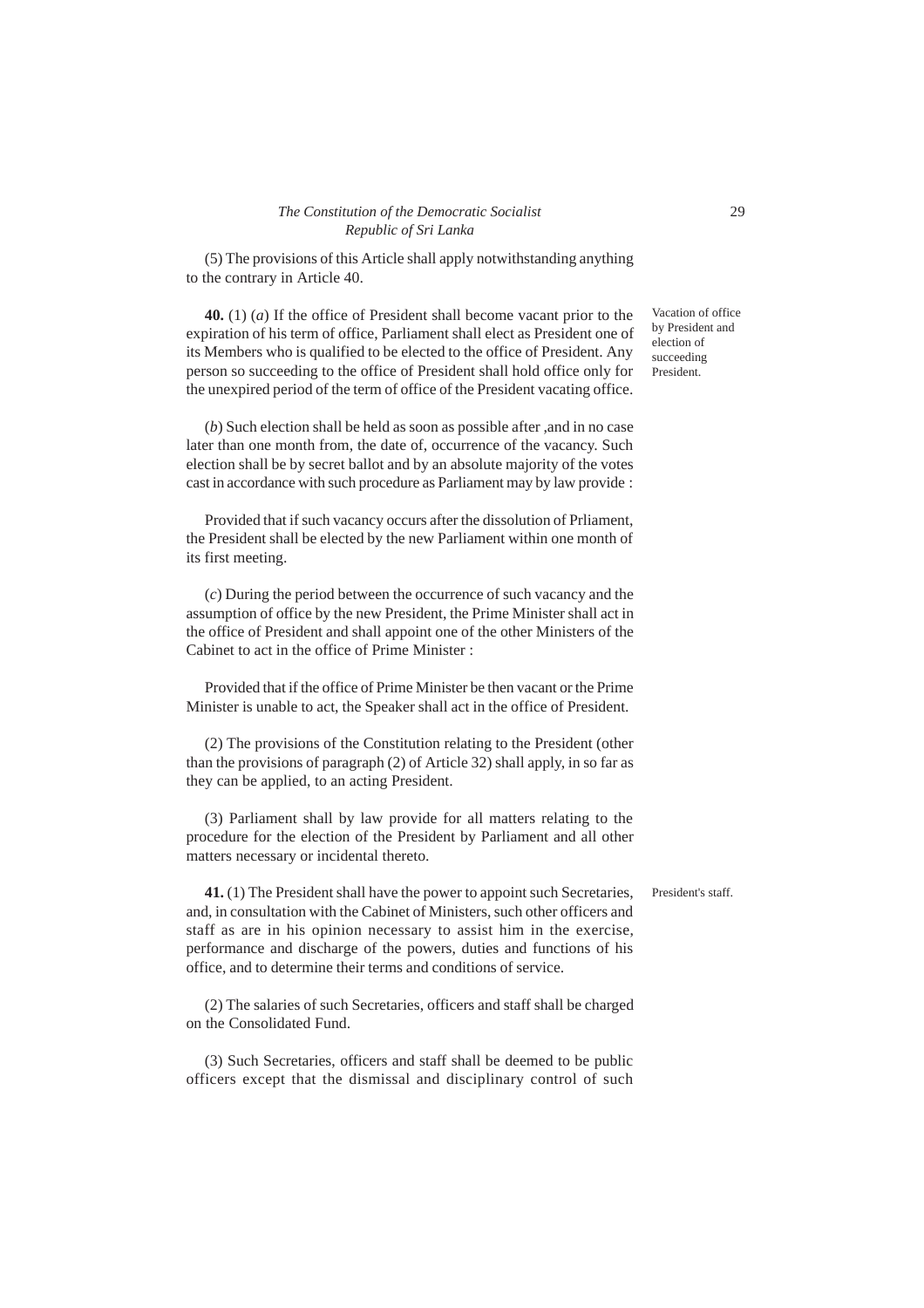(5) The provisions of this Article shall apply notwithstanding anything to the contrary in Article 40.

**40.** (1) (*a*) If the office of President shall become vacant prior to the expiration of his term of office, Parliament shall elect as President one of its Members who is qualified to be elected to the office of President. Any person so succeeding to the office of President shall hold office only for the unexpired period of the term of office of the President vacating office.

(*b*) Such election shall be held as soon as possible after ,and in no case later than one month from, the date of, occurrence of the vacancy. Such election shall be by secret ballot and by an absolute majority of the votes cast in accordance with such procedure as Parliament may by law provide :

Provided that if such vacancy occurs after the dissolution of Prliament, the President shall be elected by the new Parliament within one month of its first meeting.

(*c*) During the period between the occurrence of such vacancy and the assumption of office by the new President, the Prime Minister shall act in the office of President and shall appoint one of the other Ministers of the Cabinet to act in the office of Prime Minister :

Provided that if the office of Prime Minister be then vacant or the Prime Minister is unable to act, the Speaker shall act in the office of President.

(2) The provisions of the Constitution relating to the President (other than the provisions of paragraph (2) of Article 32) shall apply, in so far as they can be applied, to an acting President.

(3) Parliament shall by law provide for all matters relating to the procedure for the election of the President by Parliament and all other matters necessary or incidental thereto.

President's staff.

**41.** (1) The President shall have the power to appoint such Secretaries, and, in consultation with the Cabinet of Ministers, such other officers and staff as are in his opinion necessary to assist him in the exercise, performance and discharge of the powers, duties and functions of his office, and to determine their terms and conditions of service.

(2) The salaries of such Secretaries, officers and staff shall be charged on the Consolidated Fund.

(3) Such Secretaries, officers and staff shall be deemed to be public officers except that the dismissal and disciplinary control of such

Vacation of office by President and election of succeeding President.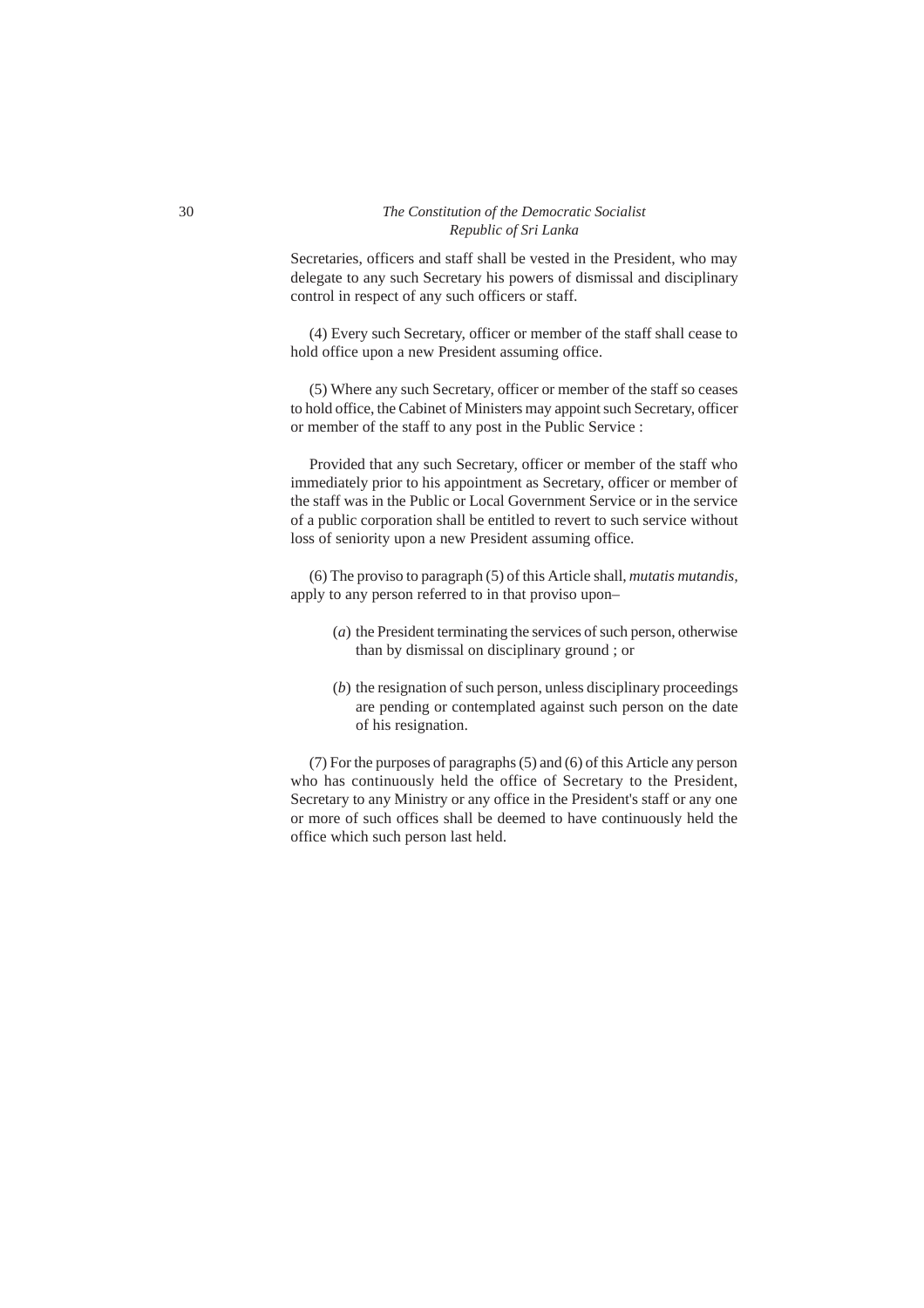Secretaries, officers and staff shall be vested in the President, who may delegate to any such Secretary his powers of dismissal and disciplinary control in respect of any such officers or staff.

(4) Every such Secretary, officer or member of the staff shall cease to hold office upon a new President assuming office.

(5) Where any such Secretary, officer or member of the staff so ceases to hold office, the Cabinet of Ministers may appoint such Secretary, officer or member of the staff to any post in the Public Service :

Provided that any such Secretary, officer or member of the staff who immediately prior to his appointment as Secretary, officer or member of the staff was in the Public or Local Government Service or in the service of a public corporation shall be entitled to revert to such service without loss of seniority upon a new President assuming office.

(6) The proviso to paragraph (5) of this Article shall, *mutatis mutandis,* apply to any person referred to in that proviso upon–

- (*a*) the President terminating the services of such person, otherwise than by dismissal on disciplinary ground ; or
- (*b*) the resignation of such person, unless disciplinary proceedings are pending or contemplated against such person on the date of his resignation.

(7) For the purposes of paragraphs (5) and (6) of this Article any person who has continuously held the office of Secretary to the President, Secretary to any Ministry or any office in the President's staff or any one or more of such offices shall be deemed to have continuously held the office which such person last held.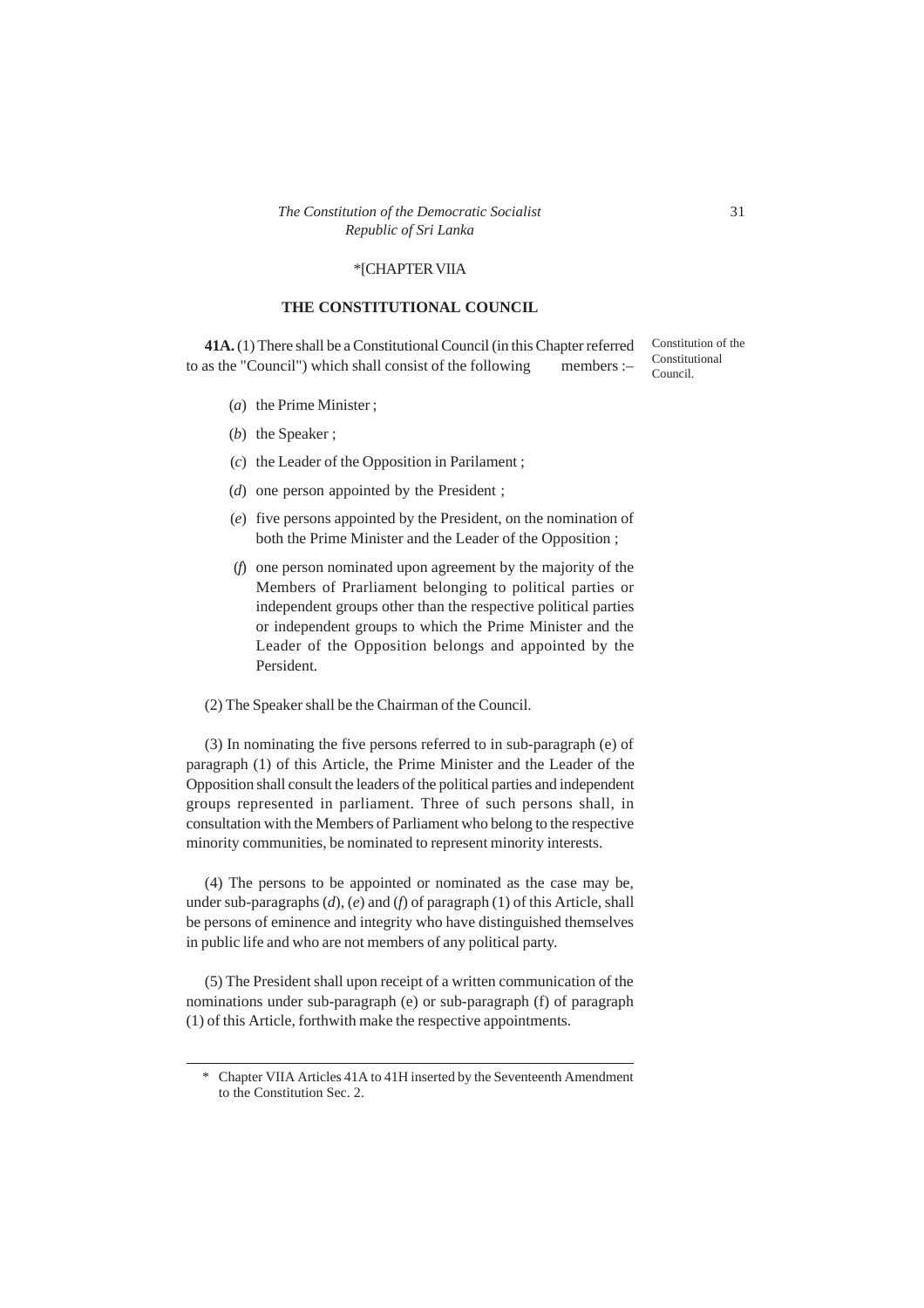# \*[CHAPTER VIIA

# **THE CONSTITUTIONAL COUNCIL**

**41A.** (1) There shall be a Constitutional Council (in this Chapter referred to as the "Council") which shall consist of the following members :–

Constitution of the Constitutional Council.

- (*a*) the Prime Minister ;
- (*b*) the Speaker ;
- (*c*) the Leader of the Opposition in Parilament ;
- (*d*) one person appointed by the President ;
- (*e*) five persons appointed by the President, on the nomination of both the Prime Minister and the Leader of the Opposition ;
- (*f*) one person nominated upon agreement by the majority of the Members of Prarliament belonging to political parties or independent groups other than the respective political parties or independent groups to which the Prime Minister and the Leader of the Opposition belongs and appointed by the Persident.
- (2) The Speaker shall be the Chairman of the Council.

(3) In nominating the five persons referred to in sub-paragraph (e) of paragraph (1) of this Article, the Prime Minister and the Leader of the Opposition shall consult the leaders of the political parties and independent groups represented in parliament. Three of such persons shall, in consultation with the Members of Parliament who belong to the respective minority communities, be nominated to represent minority interests.

(4) The persons to be appointed or nominated as the case may be, under sub-paragraphs (*d*), (*e*) and (*f*) of paragraph (1) of this Article, shall be persons of eminence and integrity who have distinguished themselves in public life and who are not members of any political party.

(5) The President shall upon receipt of a written communication of the nominations under sub-paragraph (e) or sub-paragraph (f) of paragraph (1) of this Article, forthwith make the respective appointments.

<sup>\*</sup> Chapter VIIA Articles 41A to 41H inserted by the Seventeenth Amendment to the Constitution Sec. 2.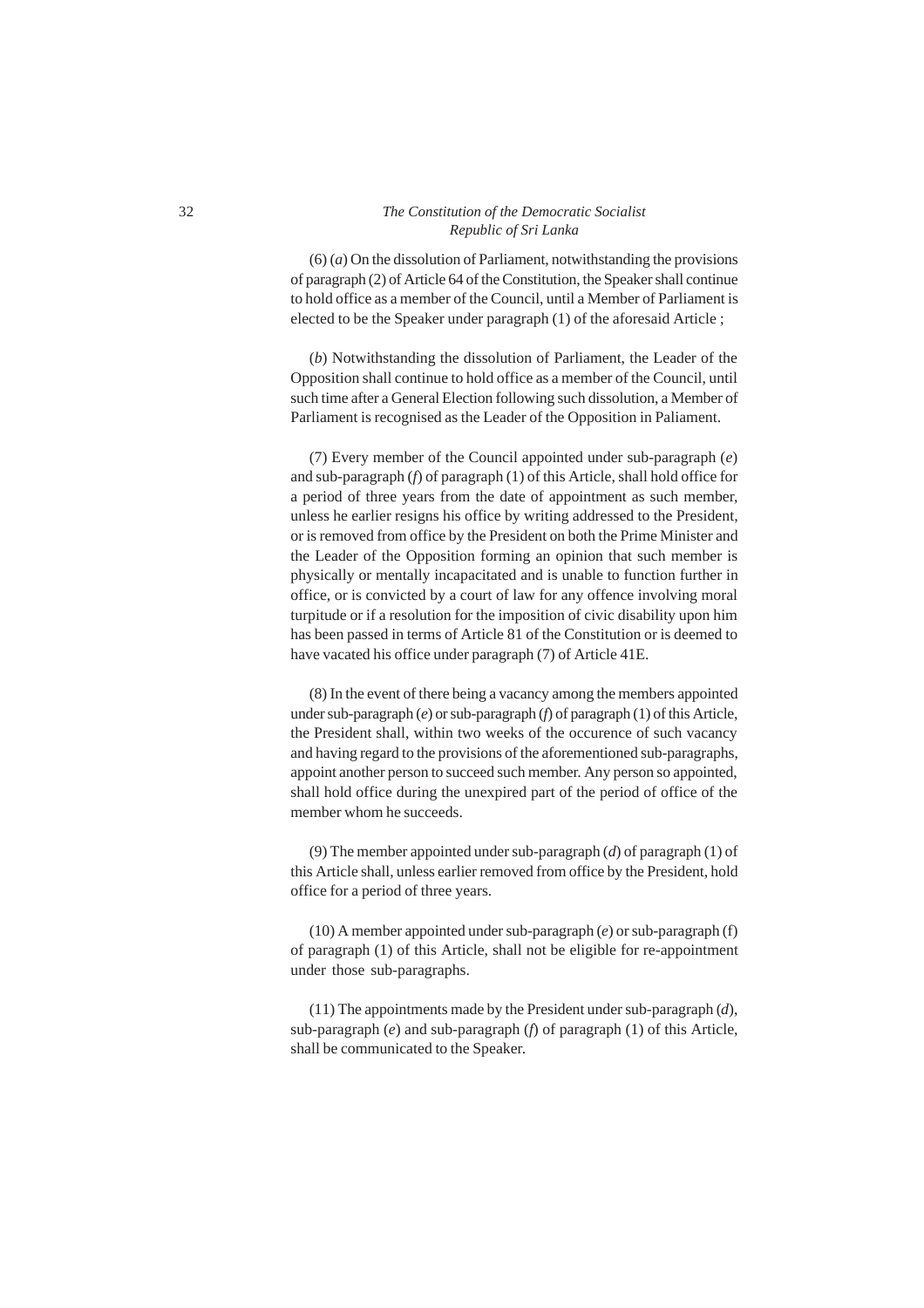(6) (*a*) On the dissolution of Parliament, notwithstanding the provisions of paragraph (2) of Article 64 of the Constitution, the Speaker shall continue to hold office as a member of the Council, until a Member of Parliament is elected to be the Speaker under paragraph (1) of the aforesaid Article ;

(*b*) Notwithstanding the dissolution of Parliament, the Leader of the Opposition shall continue to hold office as a member of the Council, until such time after a General Election following such dissolution, a Member of Parliament is recognised as the Leader of the Opposition in Paliament.

(7) Every member of the Council appointed under sub-paragraph (*e*) and sub-paragraph (*f*) of paragraph (1) of this Article, shall hold office for a period of three years from the date of appointment as such member, unless he earlier resigns his office by writing addressed to the President, or is removed from office by the President on both the Prime Minister and the Leader of the Opposition forming an opinion that such member is physically or mentally incapacitated and is unable to function further in office, or is convicted by a court of law for any offence involving moral turpitude or if a resolution for the imposition of civic disability upon him has been passed in terms of Article 81 of the Constitution or is deemed to have vacated his office under paragraph (7) of Article 41E.

(8) In the event of there being a vacancy among the members appointed under sub-paragraph (*e*) or sub-paragraph (*f*) of paragraph (1) of this Article, the President shall, within two weeks of the occurence of such vacancy and having regard to the provisions of the aforementioned sub-paragraphs, appoint another person to succeed such member. Any person so appointed, shall hold office during the unexpired part of the period of office of the member whom he succeeds.

(9) The member appointed under sub-paragraph (*d*) of paragraph (1) of this Article shall, unless earlier removed from office by the President, hold office for a period of three years.

(10) A member appointed under sub-paragraph (*e*) or sub-paragraph (f) of paragraph (1) of this Article, shall not be eligible for re-appointment under those sub-paragraphs.

(11) The appointments made by the President under sub-paragraph (*d*), sub-paragraph (*e*) and sub-paragraph (*f*) of paragraph (1) of this Article, shall be communicated to the Speaker.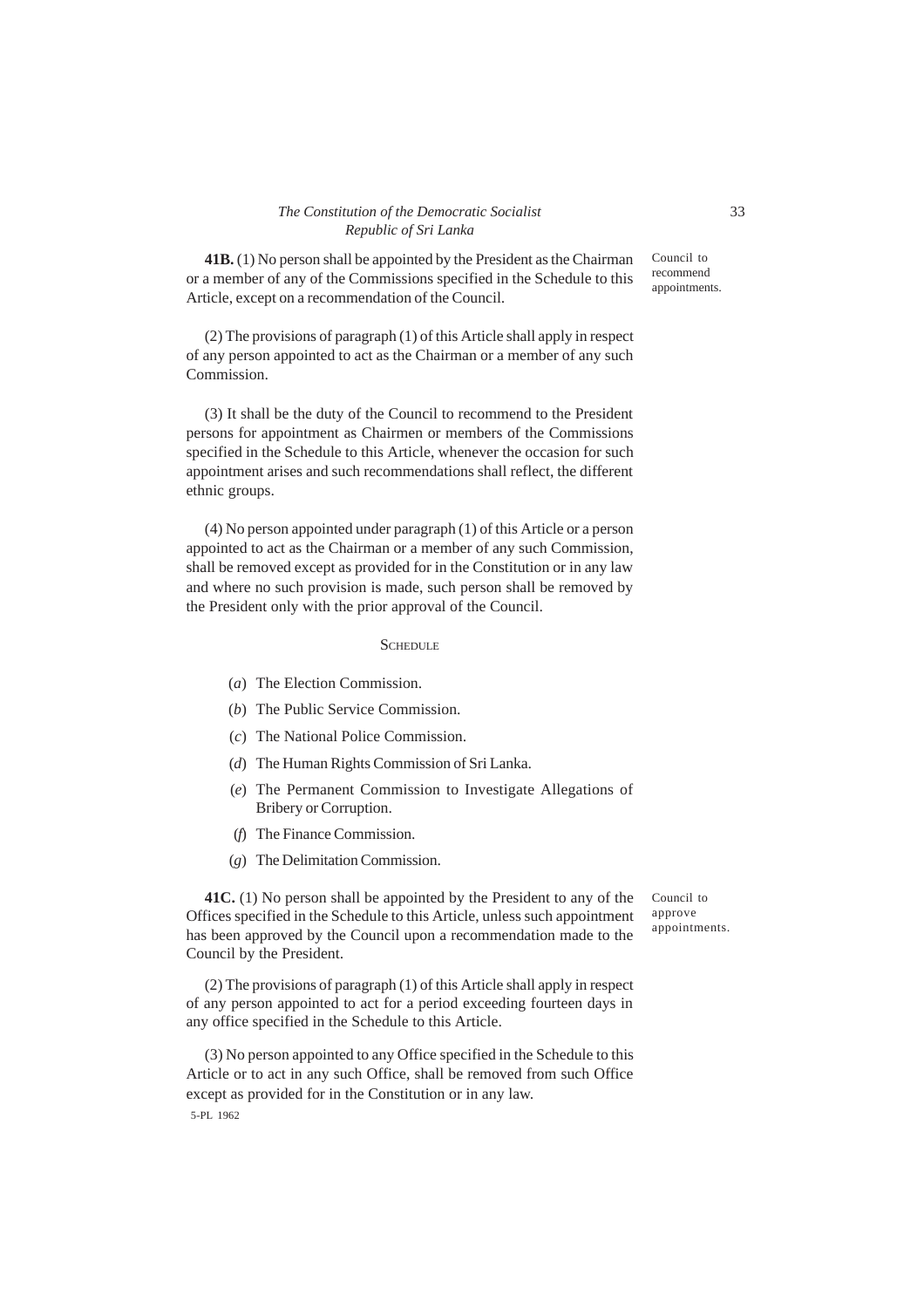**41B.** (1) No person shall be appointed by the President as the Chairman or a member of any of the Commissions specified in the Schedule to this Article, except on a recommendation of the Council.

(2) The provisions of paragraph (1) of this Article shall apply in respect of any person appointed to act as the Chairman or a member of any such Commission.

(3) It shall be the duty of the Council to recommend to the President persons for appointment as Chairmen or members of the Commissions specified in the Schedule to this Article, whenever the occasion for such appointment arises and such recommendations shall reflect, the different ethnic groups.

(4) No person appointed under paragraph (1) of this Article or a person appointed to act as the Chairman or a member of any such Commission, shall be removed except as provided for in the Constitution or in any law and where no such provision is made, such person shall be removed by the President only with the prior approval of the Council.

#### **SCHEDULE**

- (*a*) The Election Commission.
- (*b*) The Public Service Commission.
- (*c*) The National Police Commission.
- (*d*) The Human Rights Commission of Sri Lanka.
- (*e*) The Permanent Commission to Investigate Allegations of Bribery or Corruption.
- (*f*) The Finance Commission.
- (*g*) The Delimitation Commission.

**41C.** (1) No person shall be appointed by the President to any of the Offices specified in the Schedule to this Article, unless such appointment has been approved by the Council upon a recommendation made to the Council by the President.

Council to approve appointments.

(2) The provisions of paragraph (1) of this Article shall apply in respect of any person appointed to act for a period exceeding fourteen days in any office specified in the Schedule to this Article.

(3) No person appointed to any Office specified in the Schedule to this Article or to act in any such Office, shall be removed from such Office except as provided for in the Constitution or in any law. 5-PL 1962

Council to recommend appointments.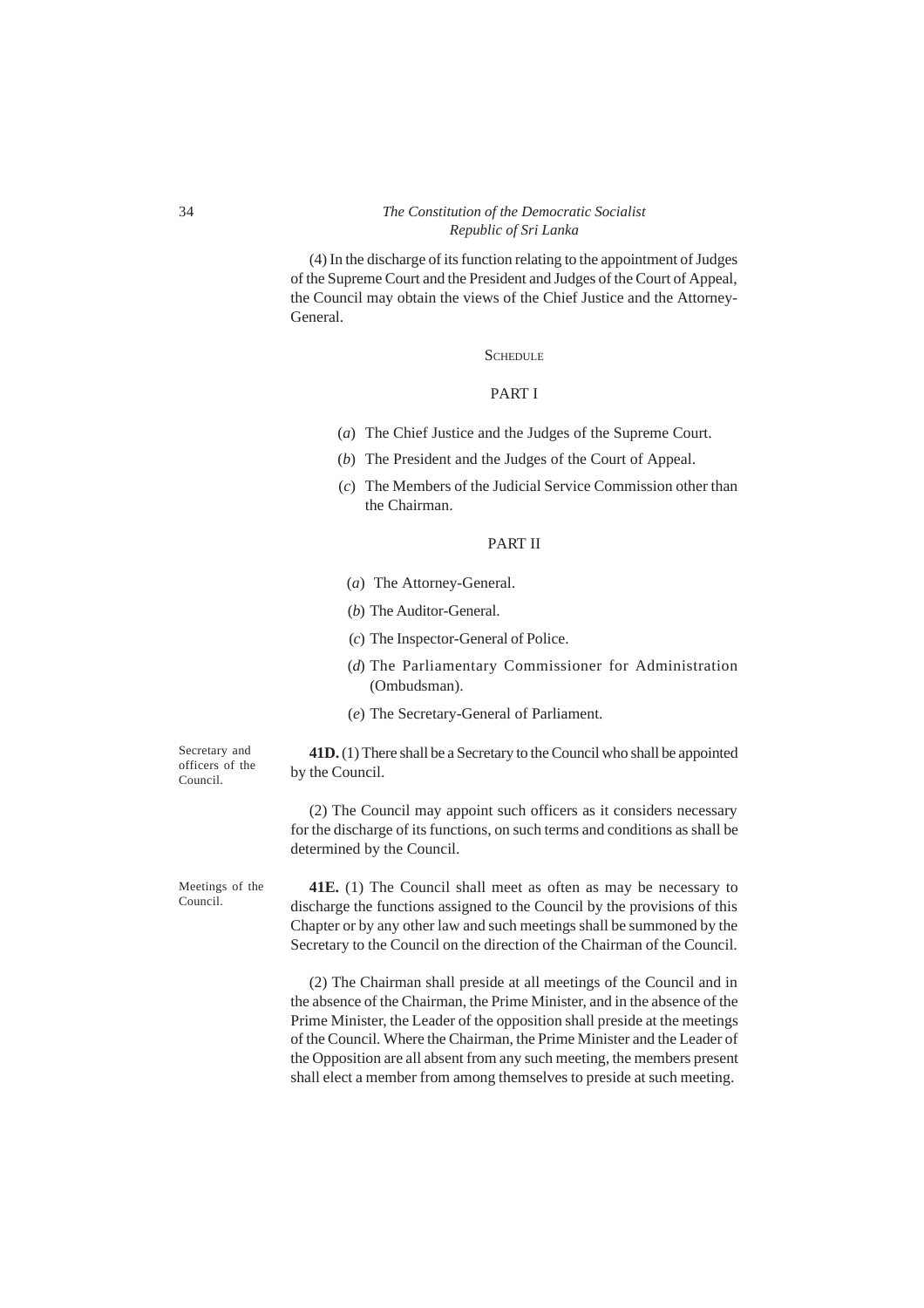(4) In the discharge of its function relating to the appointment of Judges of the Supreme Court and the President and Judges of the Court of Appeal, the Council may obtain the views of the Chief Justice and the Attorney-General.

**SCHEDULE** 

# PART I

- (*a*) The Chief Justice and the Judges of the Supreme Court.
- (*b*) The President and the Judges of the Court of Appeal.
- (*c*) The Members of the Judicial Service Commission other than the Chairman.

#### PART II

- (*a*) The Attorney-General.
- (*b*) The Auditor-General.
- (*c*) The Inspector-General of Police.
- (*d*) The Parliamentary Commissioner for Administration (Ombudsman).
- (*e*) The Secretary-General of Parliament.

**41D.** (1) There shall be a Secretary to the Council who shall be appointed by the Council.

(2) The Council may appoint such officers as it considers necessary for the discharge of its functions, on such terms and conditions as shall be determined by the Council.

**41E.** (1) The Council shall meet as often as may be necessary to discharge the functions assigned to the Council by the provisions of this Chapter or by any other law and such meetings shall be summoned by the Secretary to the Council on the direction of the Chairman of the Council.

(2) The Chairman shall preside at all meetings of the Council and in the absence of the Chairman, the Prime Minister, and in the absence of the Prime Minister, the Leader of the opposition shall preside at the meetings of the Council. Where the Chairman, the Prime Minister and the Leader of the Opposition are all absent from any such meeting, the members present shall elect a member from among themselves to preside at such meeting.

Secretary and officers of the Council.

Meetings of the Council.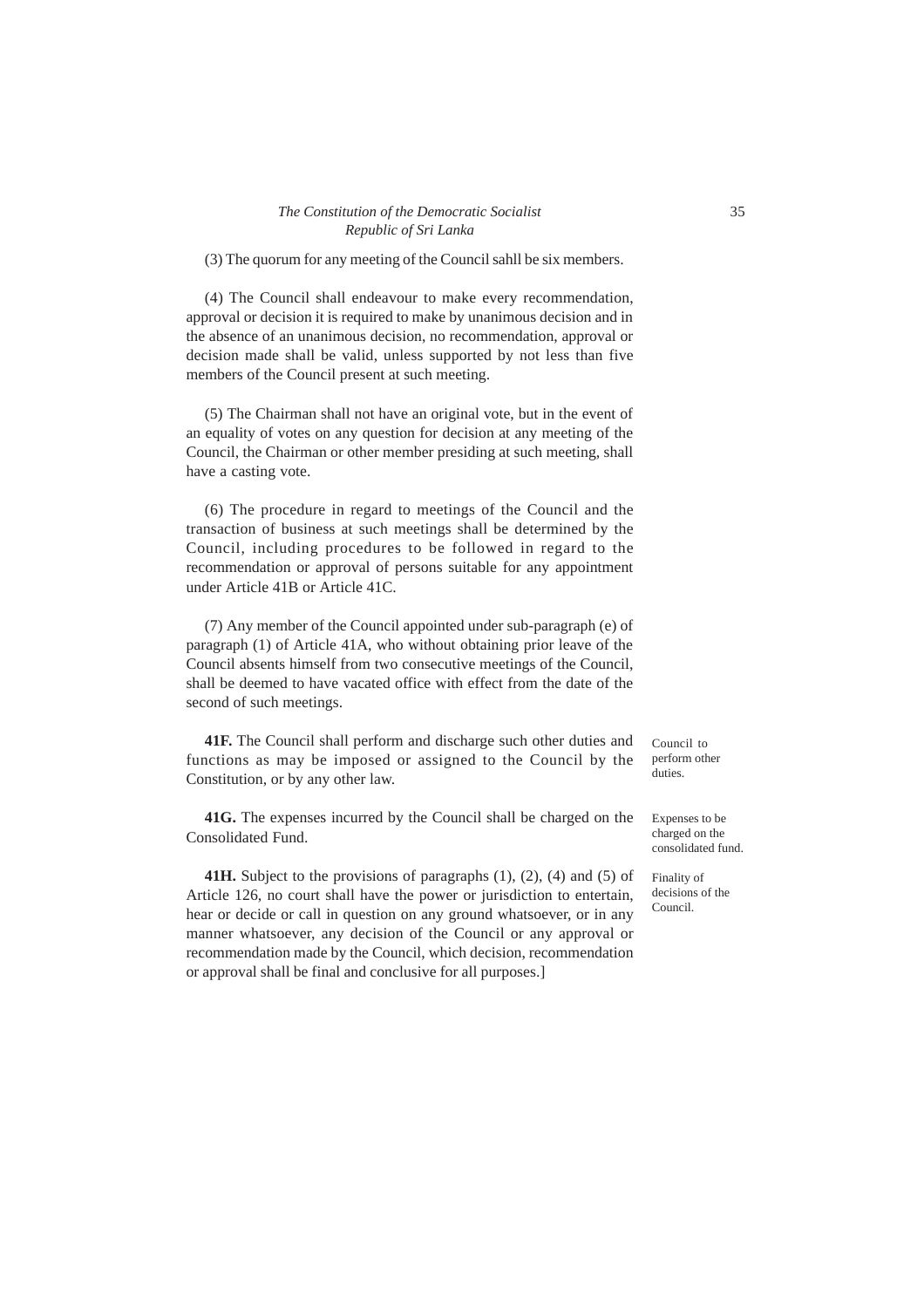(3) The quorum for any meeting of the Council sahll be six members.

(4) The Council shall endeavour to make every recommendation, approval or decision it is required to make by unanimous decision and in the absence of an unanimous decision, no recommendation, approval or decision made shall be valid, unless supported by not less than five members of the Council present at such meeting.

(5) The Chairman shall not have an original vote, but in the event of an equality of votes on any question for decision at any meeting of the Council, the Chairman or other member presiding at such meeting, shall have a casting vote.

(6) The procedure in regard to meetings of the Council and the transaction of business at such meetings shall be determined by the Council, including procedures to be followed in regard to the recommendation or approval of persons suitable for any appointment under Article 41B or Article 41C.

(7) Any member of the Council appointed under sub-paragraph (e) of paragraph (1) of Article 41A, who without obtaining prior leave of the Council absents himself from two consecutive meetings of the Council, shall be deemed to have vacated office with effect from the date of the second of such meetings.

**41F.** The Council shall perform and discharge such other duties and functions as may be imposed or assigned to the Council by the Constitution, or by any other law.

**41G.** The expenses incurred by the Council shall be charged on the Consolidated Fund.

41H. Subject to the provisions of paragraphs (1), (2), (4) and (5) of Article 126, no court shall have the power or jurisdiction to entertain, hear or decide or call in question on any ground whatsoever, or in any manner whatsoever, any decision of the Council or any approval or recommendation made by the Council, which decision, recommendation or approval shall be final and conclusive for all purposes.]

Council to perform other duties.

Expenses to be charged on the consolidated fund.

Finality of decisions of the Council.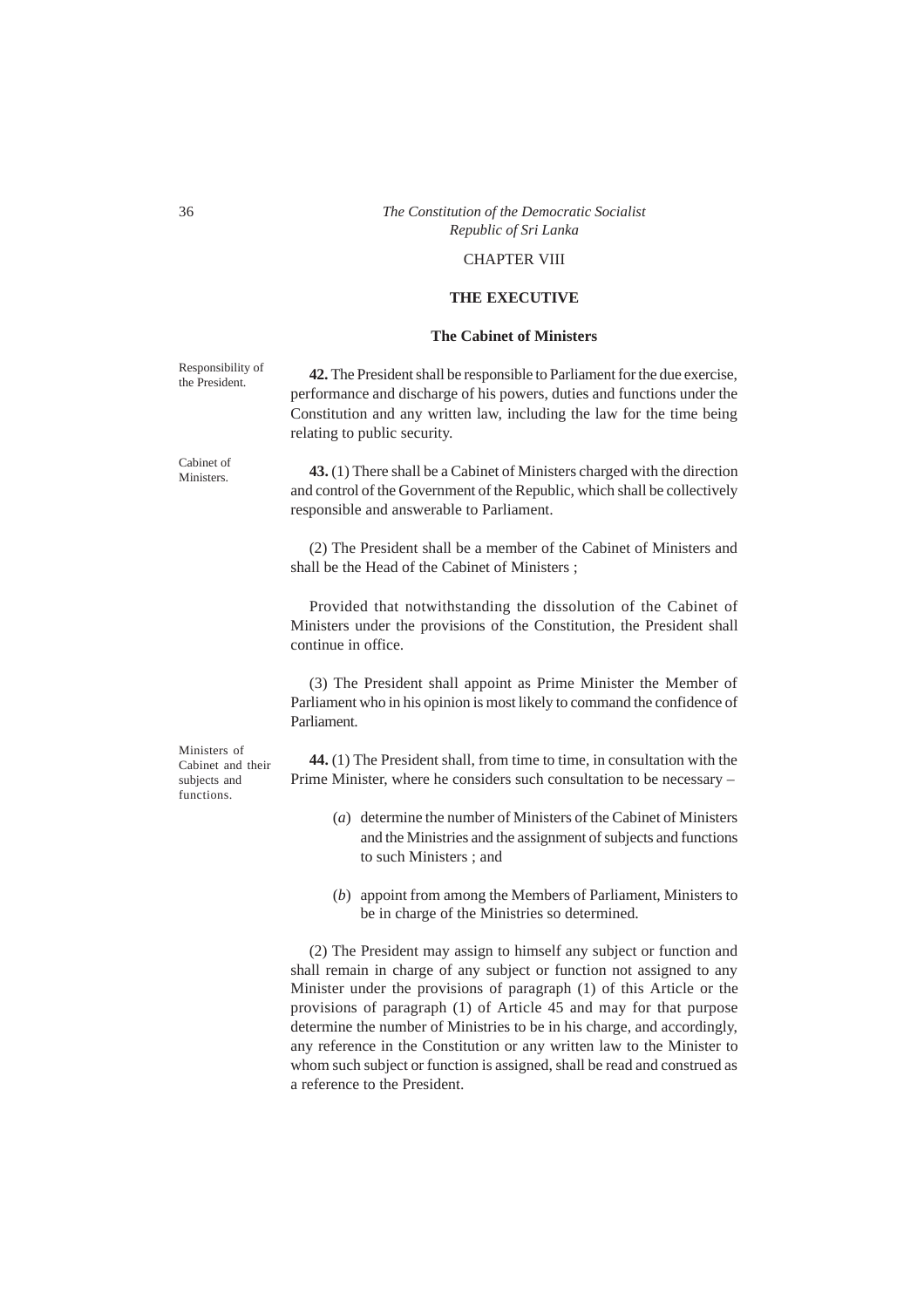# CHAPTER VIII

# **THE EXECUTIVE**

# **The Cabinet of Ministers**

**42.** The President shall be responsible to Parliament for the due exercise, performance and discharge of his powers, duties and functions under the Constitution and any written law, including the law for the time being relating to public security.

Cabinet of **Ministers** 

Responsibility of the President.

> **43.** (1) There shall be a Cabinet of Ministers charged with the direction and control of the Government of the Republic, which shall be collectively responsible and answerable to Parliament.

> (2) The President shall be a member of the Cabinet of Ministers and shall be the Head of the Cabinet of Ministers ;

> Provided that notwithstanding the dissolution of the Cabinet of Ministers under the provisions of the Constitution, the President shall continue in office.

> (3) The President shall appoint as Prime Minister the Member of Parliament who in his opinion is most likely to command the confidence of Parliament.

Ministers of Cabinet and their subjects and functions.

**44.** (1) The President shall, from time to time, in consultation with the Prime Minister, where he considers such consultation to be necessary –

- (*a*) determine the number of Ministers of the Cabinet of Ministers and the Ministries and the assignment of subjects and functions to such Ministers ; and
- (*b*) appoint from among the Members of Parliament, Ministers to be in charge of the Ministries so determined.

(2) The President may assign to himself any subject or function and shall remain in charge of any subject or function not assigned to any Minister under the provisions of paragraph (1) of this Article or the provisions of paragraph (1) of Article 45 and may for that purpose determine the number of Ministries to be in his charge, and accordingly, any reference in the Constitution or any written law to the Minister to whom such subject or function is assigned, shall be read and construed as a reference to the President.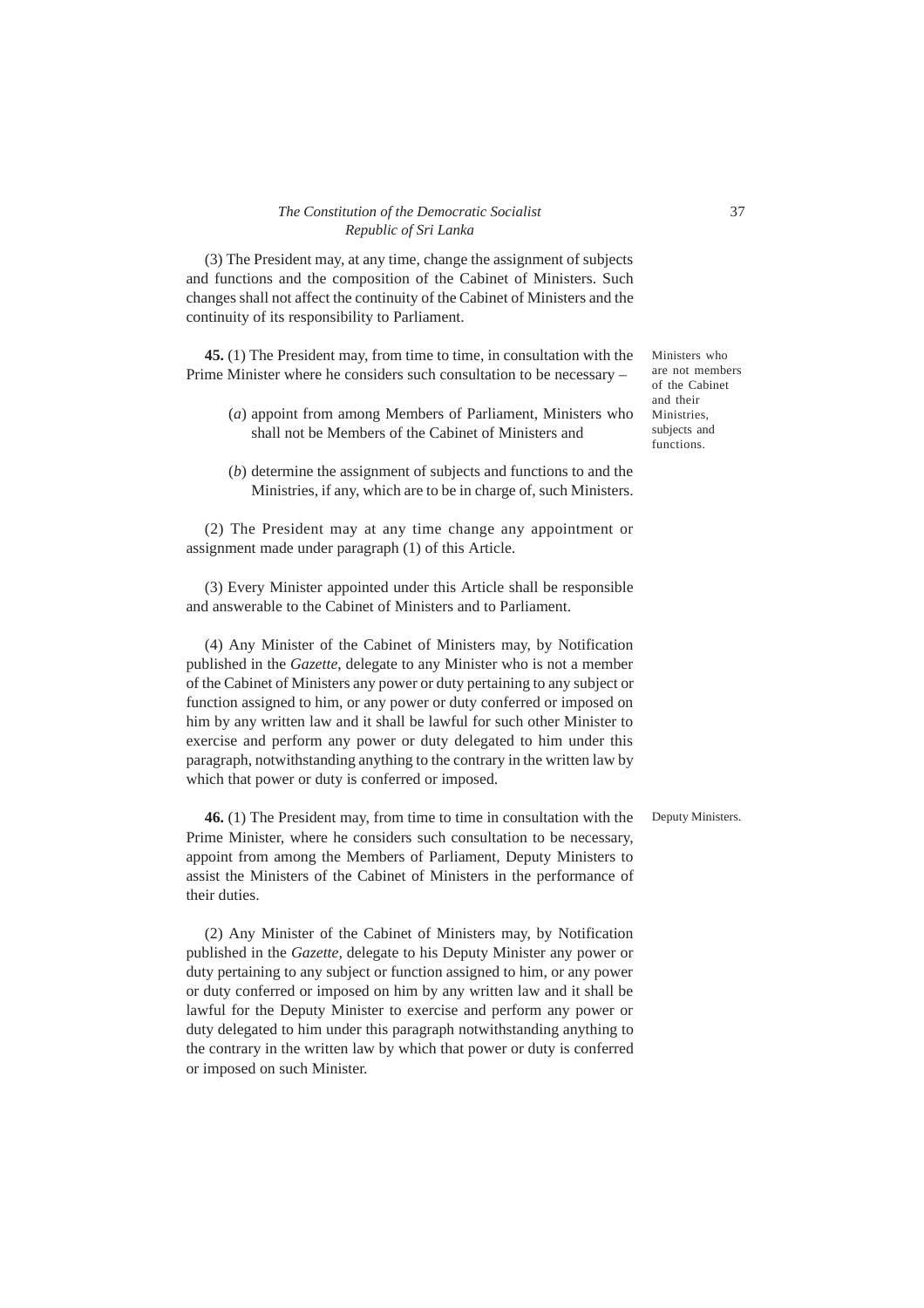(3) The President may, at any time, change the assignment of subjects and functions and the composition of the Cabinet of Ministers. Such changes shall not affect the continuity of the Cabinet of Ministers and the continuity of its responsibility to Parliament.

**45.** (1) The President may, from time to time, in consultation with the Prime Minister where he considers such consultation to be necessary –

- (*a*) appoint from among Members of Parliament, Ministers who shall not be Members of the Cabinet of Ministers and
- (*b*) determine the assignment of subjects and functions to and the Ministries, if any, which are to be in charge of, such Ministers.

(2) The President may at any time change any appointment or assignment made under paragraph (1) of this Article.

(3) Every Minister appointed under this Article shall be responsible and answerable to the Cabinet of Ministers and to Parliament.

(4) Any Minister of the Cabinet of Ministers may, by Notification published in the *Gazette,* delegate to any Minister who is not a member of the Cabinet of Ministers any power or duty pertaining to any subject or function assigned to him, or any power or duty conferred or imposed on him by any written law and it shall be lawful for such other Minister to exercise and perform any power or duty delegated to him under this paragraph, notwithstanding anything to the contrary in the written law by which that power or duty is conferred or imposed.

**46.** (1) The President may, from time to time in consultation with the Prime Minister, where he considers such consultation to be necessary, appoint from among the Members of Parliament, Deputy Ministers to assist the Ministers of the Cabinet of Ministers in the performance of their duties.

(2) Any Minister of the Cabinet of Ministers may, by Notification published in the *Gazette,* delegate to his Deputy Minister any power or duty pertaining to any subject or function assigned to him, or any power or duty conferred or imposed on him by any written law and it shall be lawful for the Deputy Minister to exercise and perform any power or duty delegated to him under this paragraph notwithstanding anything to the contrary in the written law by which that power or duty is conferred or imposed on such Minister.

Ministers who are not members of the Cabinet and their Ministries, subjects and functions.

Deputy Ministers.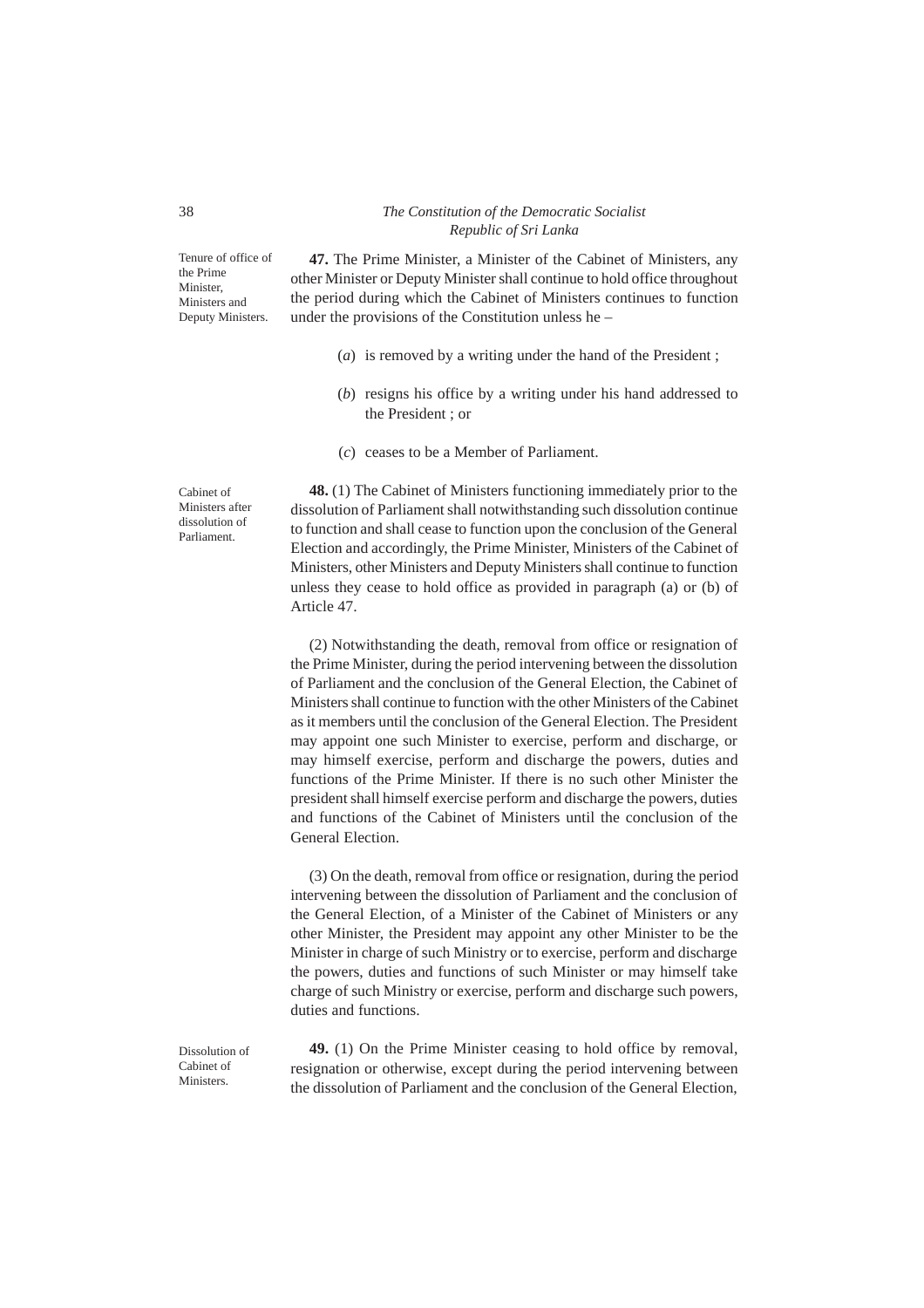**47.** The Prime Minister, a Minister of the Cabinet of Ministers, any

Tenure of office of the Prime Minister, Ministers and Deputy Ministers.

other Minister or Deputy Minister shall continue to hold office throughout the period during which the Cabinet of Ministers continues to function under the provisions of the Constitution unless he –

- (*a*) is removed by a writing under the hand of the President ;
- (*b*) resigns his office by a writing under his hand addressed to the President ; or
- (*c*) ceases to be a Member of Parliament.

**48.** (1) The Cabinet of Ministers functioning immediately prior to the dissolution of Parliament shall notwithstanding such dissolution continue to function and shall cease to function upon the conclusion of the General Election and accordingly, the Prime Minister, Ministers of the Cabinet of Ministers, other Ministers and Deputy Ministers shall continue to function unless they cease to hold office as provided in paragraph (a) or (b) of Article 47.

(2) Notwithstanding the death, removal from office or resignation of the Prime Minister, during the period intervening between the dissolution of Parliament and the conclusion of the General Election, the Cabinet of Ministers shall continue to function with the other Ministers of the Cabinet as it members until the conclusion of the General Election. The President may appoint one such Minister to exercise, perform and discharge, or may himself exercise, perform and discharge the powers, duties and functions of the Prime Minister. If there is no such other Minister the president shall himself exercise perform and discharge the powers, duties and functions of the Cabinet of Ministers until the conclusion of the General Election.

(3) On the death, removal from office or resignation, during the period intervening between the dissolution of Parliament and the conclusion of the General Election, of a Minister of the Cabinet of Ministers or any other Minister, the President may appoint any other Minister to be the Minister in charge of such Ministry or to exercise, perform and discharge the powers, duties and functions of such Minister or may himself take charge of such Ministry or exercise, perform and discharge such powers, duties and functions.

Dissolution of Cabinet of Ministers.

**49.** (1) On the Prime Minister ceasing to hold office by removal, resignation or otherwise, except during the period intervening between the dissolution of Parliament and the conclusion of the General Election,

Cabinet of Ministers after dissolution of Parliament.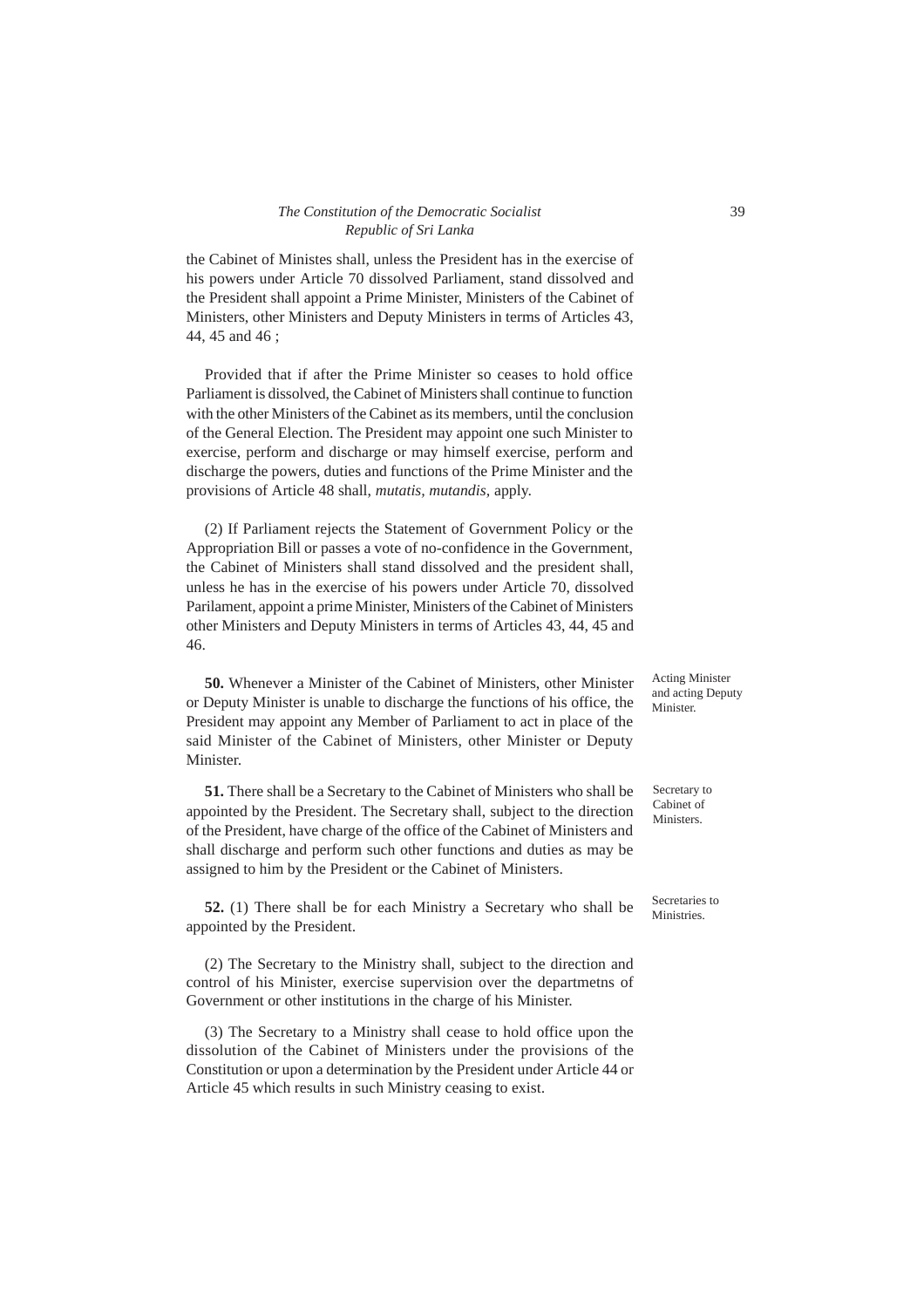the Cabinet of Ministes shall, unless the President has in the exercise of his powers under Article 70 dissolved Parliament, stand dissolved and the President shall appoint a Prime Minister, Ministers of the Cabinet of Ministers, other Ministers and Deputy Ministers in terms of Articles 43, 44, 45 and 46 ;

Provided that if after the Prime Minister so ceases to hold office Parliament is dissolved, the Cabinet of Ministers shall continue to function with the other Ministers of the Cabinet as its members, until the conclusion of the General Election. The President may appoint one such Minister to exercise, perform and discharge or may himself exercise, perform and discharge the powers, duties and functions of the Prime Minister and the provisions of Article 48 shall, *mutatis, mutandis,* apply.

(2) If Parliament rejects the Statement of Government Policy or the Appropriation Bill or passes a vote of no-confidence in the Government, the Cabinet of Ministers shall stand dissolved and the president shall, unless he has in the exercise of his powers under Article 70, dissolved Parilament, appoint a prime Minister, Ministers of the Cabinet of Ministers other Ministers and Deputy Ministers in terms of Articles 43, 44, 45 and 46.

**50.** Whenever a Minister of the Cabinet of Ministers, other Minister or Deputy Minister is unable to discharge the functions of his office, the President may appoint any Member of Parliament to act in place of the said Minister of the Cabinet of Ministers, other Minister or Deputy **Minister** 

**51.** There shall be a Secretary to the Cabinet of Ministers who shall be appointed by the President. The Secretary shall, subject to the direction of the President, have charge of the office of the Cabinet of Ministers and shall discharge and perform such other functions and duties as may be assigned to him by the President or the Cabinet of Ministers.

**52.** (1) There shall be for each Ministry a Secretary who shall be appointed by the President.

(2) The Secretary to the Ministry shall, subject to the direction and control of his Minister, exercise supervision over the departmetns of Government or other institutions in the charge of his Minister.

(3) The Secretary to a Ministry shall cease to hold office upon the dissolution of the Cabinet of Ministers under the provisions of the Constitution or upon a determination by the President under Article 44 or Article 45 which results in such Ministry ceasing to exist.

Acting Minister and acting Deputy Minister.

Secretary to Cabinet of Ministers.

Secretaries to Ministries.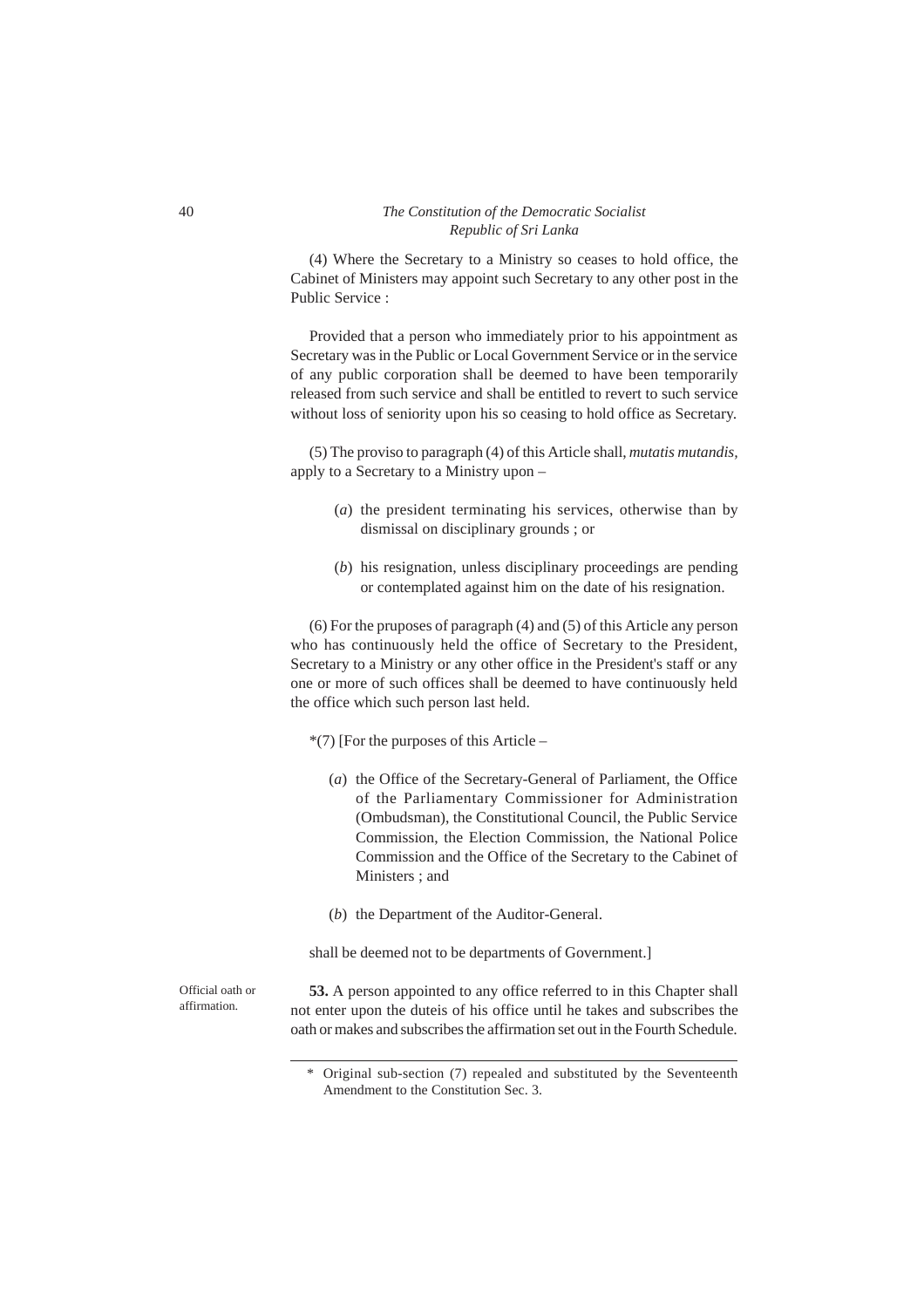(4) Where the Secretary to a Ministry so ceases to hold office, the Cabinet of Ministers may appoint such Secretary to any other post in the Public Service :

Provided that a person who immediately prior to his appointment as Secretary was in the Public or Local Government Service or in the service of any public corporation shall be deemed to have been temporarily released from such service and shall be entitled to revert to such service without loss of seniority upon his so ceasing to hold office as Secretary.

(5) The proviso to paragraph (4) of this Article shall, *mutatis mutandis,* apply to a Secretary to a Ministry upon –

- (*a*) the president terminating his services, otherwise than by dismissal on disciplinary grounds ; or
- (*b*) his resignation, unless disciplinary proceedings are pending or contemplated against him on the date of his resignation.

(6) For the pruposes of paragraph (4) and (5) of this Article any person who has continuously held the office of Secretary to the President, Secretary to a Ministry or any other office in the President's staff or any one or more of such offices shall be deemed to have continuously held the office which such person last held.

 $*(7)$  [For the purposes of this Article –

- (*a*) the Office of the Secretary-General of Parliament, the Office of the Parliamentary Commissioner for Administration (Ombudsman), the Constitutional Council, the Public Service Commission, the Election Commission, the National Police Commission and the Office of the Secretary to the Cabinet of Ministers ; and
- (*b*) the Department of the Auditor-General.

shall be deemed not to be departments of Government.]

Official oath or affirmation.

**53.** A person appointed to any office referred to in this Chapter shall not enter upon the duteis of his office until he takes and subscribes the oath or makes and subscribes the affirmation set out in the Fourth Schedule.

<sup>\*</sup> Original sub-section (7) repealed and substituted by the Seventeenth Amendment to the Constitution Sec. 3.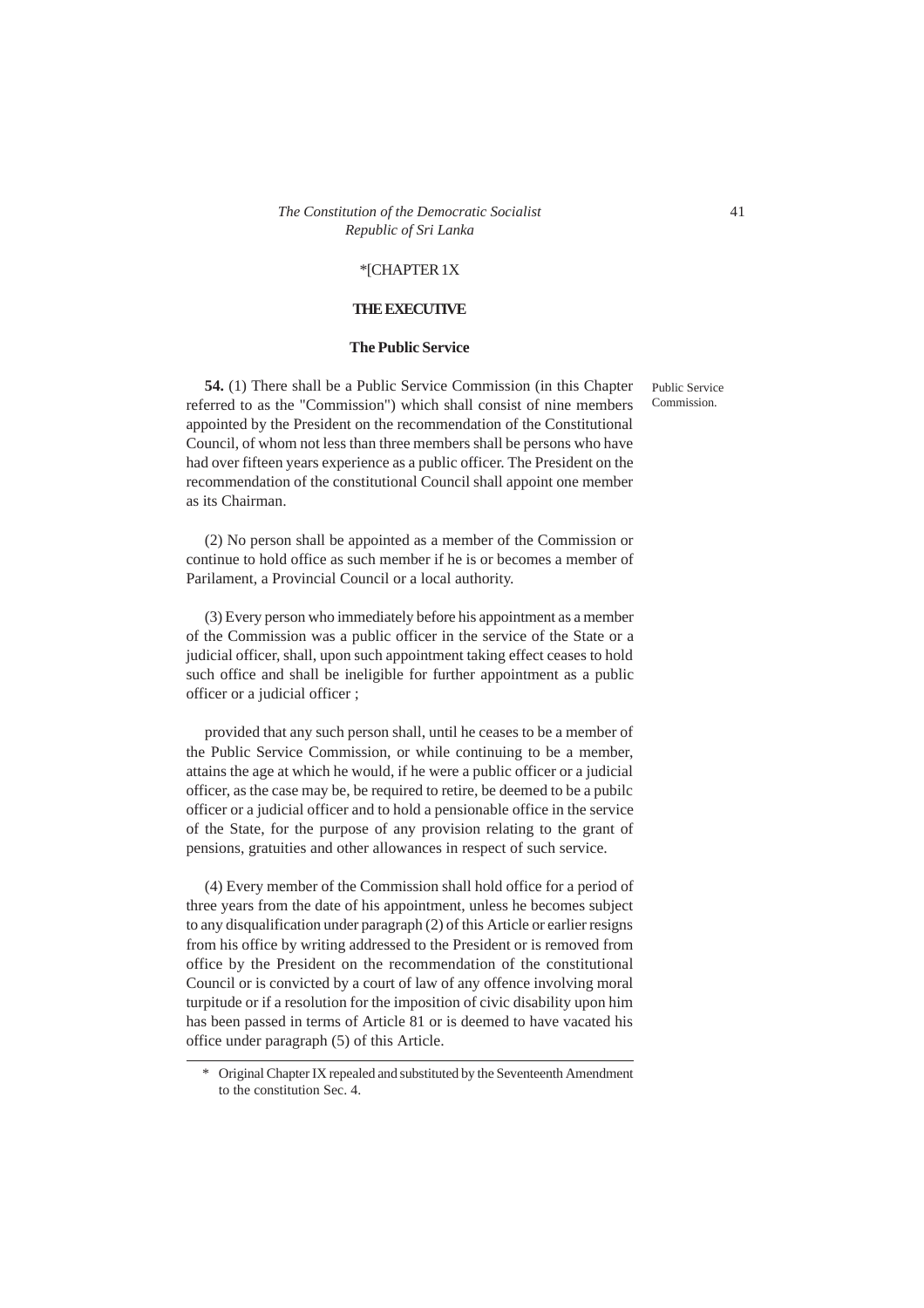# \*[CHAPTER 1X

### **THE EXECUTIVE**

#### **The Public Service**

**54.** (1) There shall be a Public Service Commission (in this Chapter referred to as the "Commission") which shall consist of nine members appointed by the President on the recommendation of the Constitutional Council, of whom not less than three members shall be persons who have had over fifteen years experience as a public officer. The President on the recommendation of the constitutional Council shall appoint one member as its Chairman.

(2) No person shall be appointed as a member of the Commission or continue to hold office as such member if he is or becomes a member of Parilament, a Provincial Council or a local authority.

(3) Every person who immediately before his appointment as a member of the Commission was a public officer in the service of the State or a judicial officer, shall, upon such appointment taking effect ceases to hold such office and shall be ineligible for further appointment as a public officer or a judicial officer ;

provided that any such person shall, until he ceases to be a member of the Public Service Commission, or while continuing to be a member, attains the age at which he would, if he were a public officer or a judicial officer, as the case may be, be required to retire, be deemed to be a pubilc officer or a judicial officer and to hold a pensionable office in the service of the State, for the purpose of any provision relating to the grant of pensions, gratuities and other allowances in respect of such service.

(4) Every member of the Commission shall hold office for a period of three years from the date of his appointment, unless he becomes subject to any disqualification under paragraph (2) of this Article or earlier resigns from his office by writing addressed to the President or is removed from office by the President on the recommendation of the constitutional Council or is convicted by a court of law of any offence involving moral turpitude or if a resolution for the imposition of civic disability upon him has been passed in terms of Article 81 or is deemed to have vacated his office under paragraph (5) of this Article.

Public Service Commission.

Original Chapter IX repealed and substituted by the Seventeenth Amendment to the constitution Sec. 4.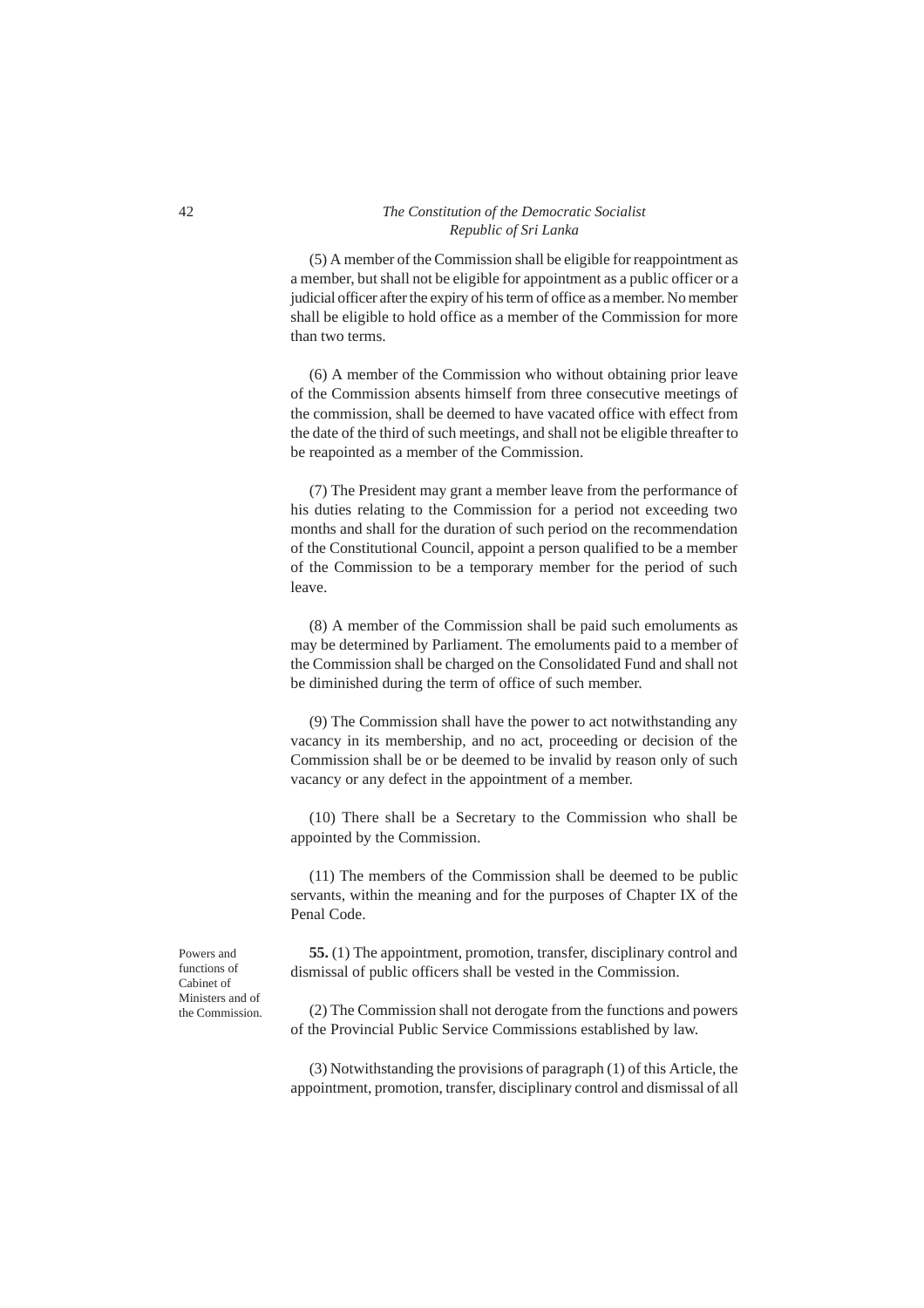(5) A member of the Commission shall be eligible for reappointment as a member, but shall not be eligible for appointment as a public officer or a judicial officer after the expiry of his term of office as a member. No member shall be eligible to hold office as a member of the Commission for more than two terms.

(6) A member of the Commission who without obtaining prior leave of the Commission absents himself from three consecutive meetings of the commission, shall be deemed to have vacated office with effect from the date of the third of such meetings, and shall not be eligible threafter to be reapointed as a member of the Commission.

(7) The President may grant a member leave from the performance of his duties relating to the Commission for a period not exceeding two months and shall for the duration of such period on the recommendation of the Constitutional Council, appoint a person qualified to be a member of the Commission to be a temporary member for the period of such leave.

(8) A member of the Commission shall be paid such emoluments as may be determined by Parliament. The emoluments paid to a member of the Commission shall be charged on the Consolidated Fund and shall not be diminished during the term of office of such member.

(9) The Commission shall have the power to act notwithstanding any vacancy in its membership, and no act, proceeding or decision of the Commission shall be or be deemed to be invalid by reason only of such vacancy or any defect in the appointment of a member.

(10) There shall be a Secretary to the Commission who shall be appointed by the Commission.

(11) The members of the Commission shall be deemed to be public servants, within the meaning and for the purposes of Chapter IX of the Penal Code.

**55.** (1) The appointment, promotion, transfer, disciplinary control and dismissal of public officers shall be vested in the Commission.

(2) The Commission shall not derogate from the functions and powers of the Provincial Public Service Commissions established by law.

(3) Notwithstanding the provisions of paragraph (1) of this Article, the appointment, promotion, transfer, disciplinary control and dismissal of all

Powers and functions of Cabinet of Ministers and of the Commission.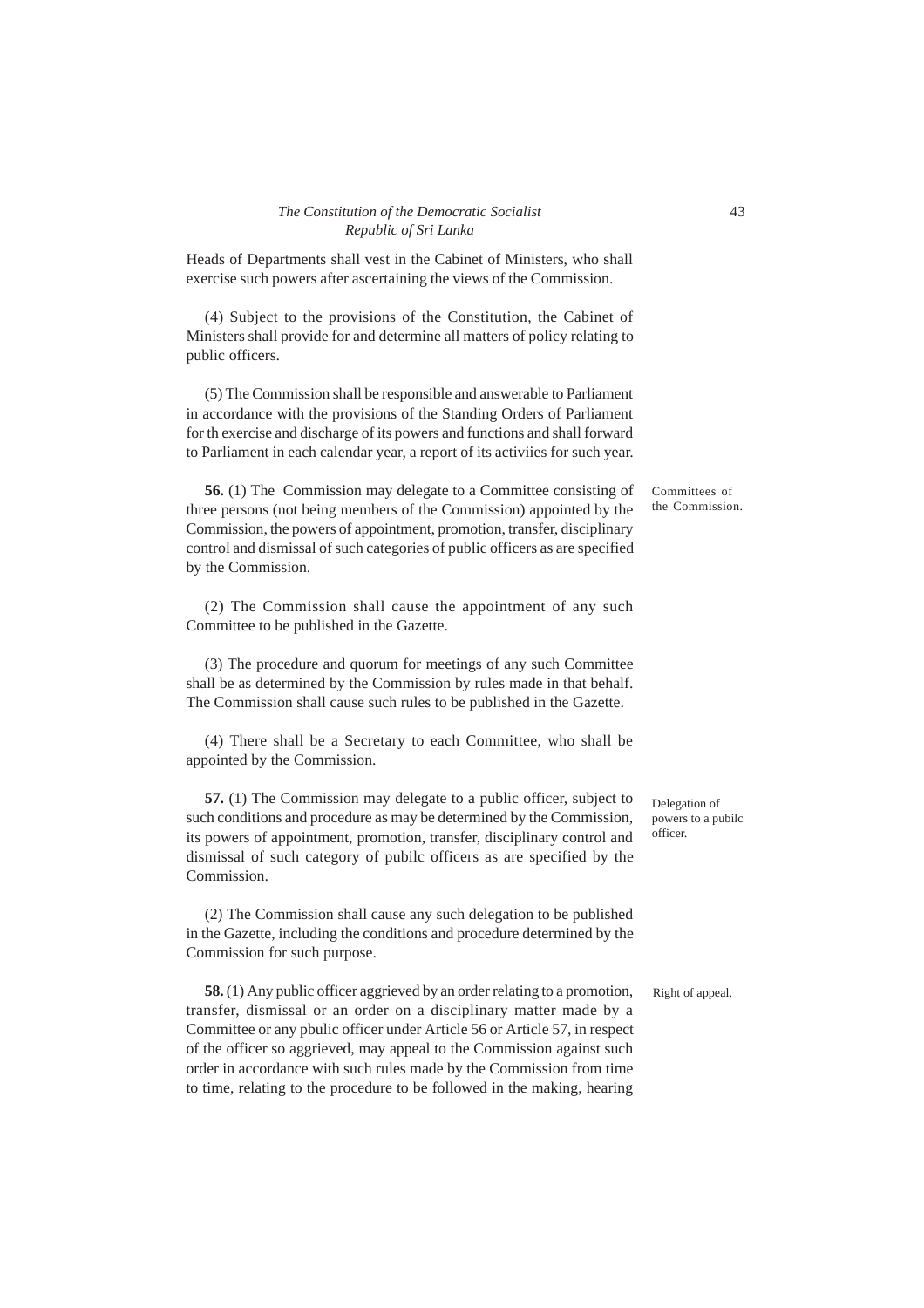Heads of Departments shall vest in the Cabinet of Ministers, who shall exercise such powers after ascertaining the views of the Commission.

(4) Subject to the provisions of the Constitution, the Cabinet of Ministers shall provide for and determine all matters of policy relating to public officers.

(5) The Commission shall be responsible and answerable to Parliament in accordance with the provisions of the Standing Orders of Parliament for th exercise and discharge of its powers and functions and shall forward to Parliament in each calendar year, a report of its activiies for such year.

**56.** (1) The Commission may delegate to a Committee consisting of three persons (not being members of the Commission) appointed by the Commission, the powers of appointment, promotion, transfer, disciplinary control and dismissal of such categories of public officers as are specified by the Commission.

(2) The Commission shall cause the appointment of any such Committee to be published in the Gazette.

(3) The procedure and quorum for meetings of any such Committee shall be as determined by the Commission by rules made in that behalf. The Commission shall cause such rules to be published in the Gazette.

(4) There shall be a Secretary to each Committee, who shall be appointed by the Commission.

**57.** (1) The Commission may delegate to a public officer, subject to such conditions and procedure as may be determined by the Commission, its powers of appointment, promotion, transfer, disciplinary control and dismissal of such category of pubilc officers as are specified by the Commission.

(2) The Commission shall cause any such delegation to be published in the Gazette, including the conditions and procedure determined by the Commission for such purpose.

**58.** (1) Any public officer aggrieved by an order relating to a promotion, transfer, dismissal or an order on a disciplinary matter made by a Committee or any pbulic officer under Article 56 or Article 57, in respect of the officer so aggrieved, may appeal to the Commission against such order in accordance with such rules made by the Commission from time to time, relating to the procedure to be followed in the making, hearing

Committees of the Commission.

Delegation of powers to a pubilc officer.

Right of appeal.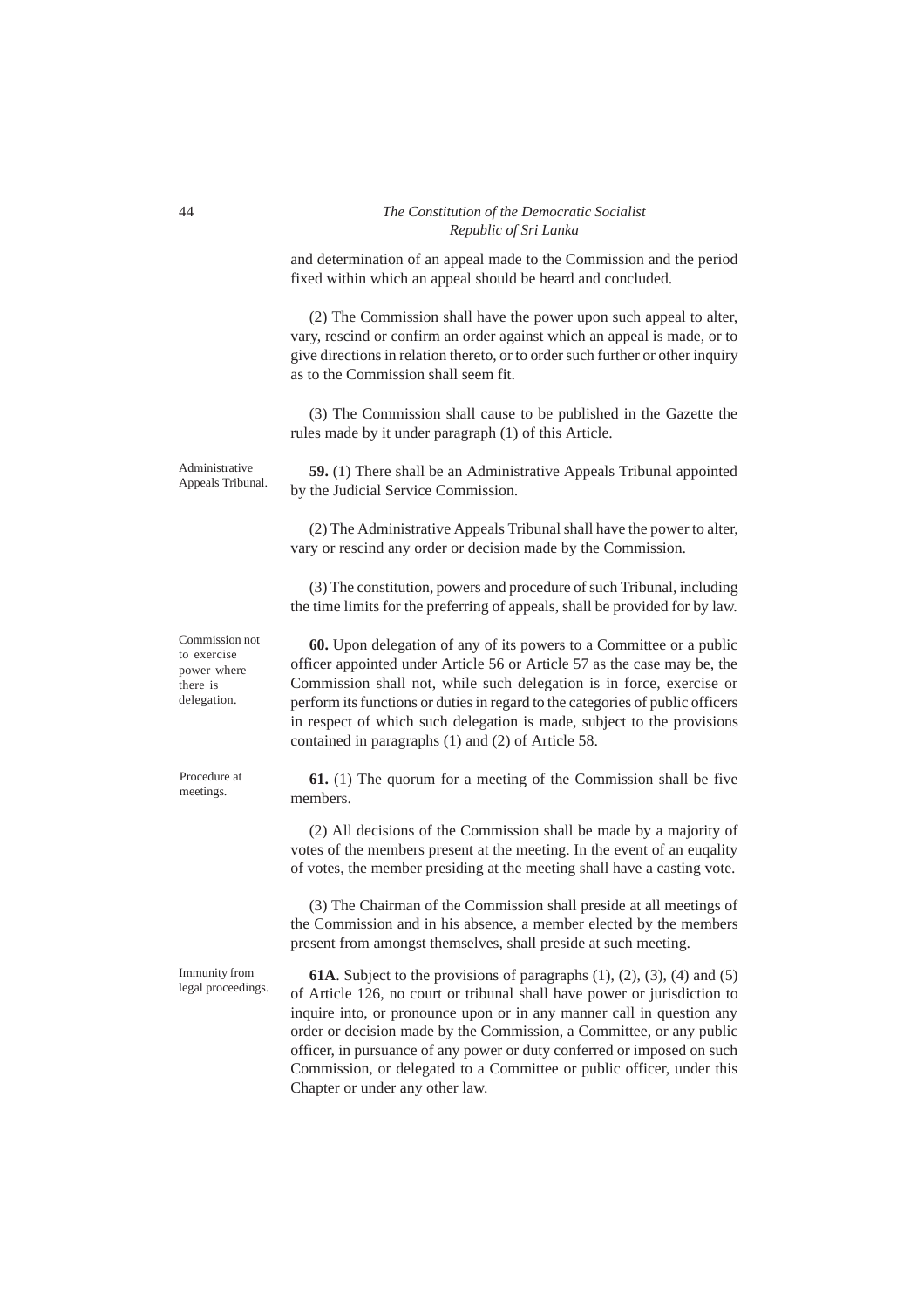and determination of an appeal made to the Commission and the period fixed within which an appeal should be heard and concluded.

(2) The Commission shall have the power upon such appeal to alter, vary, rescind or confirm an order against which an appeal is made, or to give directions in relation thereto, or to order such further or other inquiry as to the Commission shall seem fit.

(3) The Commission shall cause to be published in the Gazette the rules made by it under paragraph (1) of this Article.

**59.** (1) There shall be an Administrative Appeals Tribunal appointed by the Judicial Service Commission. Administrative Appeals Tribunal.

> (2) The Administrative Appeals Tribunal shall have the power to alter, vary or rescind any order or decision made by the Commission.

> (3) The constitution, powers and procedure of such Tribunal, including the time limits for the preferring of appeals, shall be provided for by law.

> **60.** Upon delegation of any of its powers to a Committee or a public officer appointed under Article 56 or Article 57 as the case may be, the Commission shall not, while such delegation is in force, exercise or perform its functions or duties in regard to the categories of public officers in respect of which such delegation is made, subject to the provisions

Commission not to exercise power where there is delegation.

Procedure at meetings.

**61.** (1) The quorum for a meeting of the Commission shall be five members.

contained in paragraphs (1) and (2) of Article 58.

(2) All decisions of the Commission shall be made by a majority of votes of the members present at the meeting. In the event of an euqality of votes, the member presiding at the meeting shall have a casting vote.

(3) The Chairman of the Commission shall preside at all meetings of the Commission and in his absence, a member elected by the members present from amongst themselves, shall preside at such meeting.

**61A**. Subject to the provisions of paragraphs  $(1)$ ,  $(2)$ ,  $(3)$ ,  $(4)$  and  $(5)$ of Article 126, no court or tribunal shall have power or jurisdiction to inquire into, or pronounce upon or in any manner call in question any order or decision made by the Commission, a Committee, or any public officer, in pursuance of any power or duty conferred or imposed on such Commission, or delegated to a Committee or public officer, under this Chapter or under any other law.

Immunity from legal proceedings.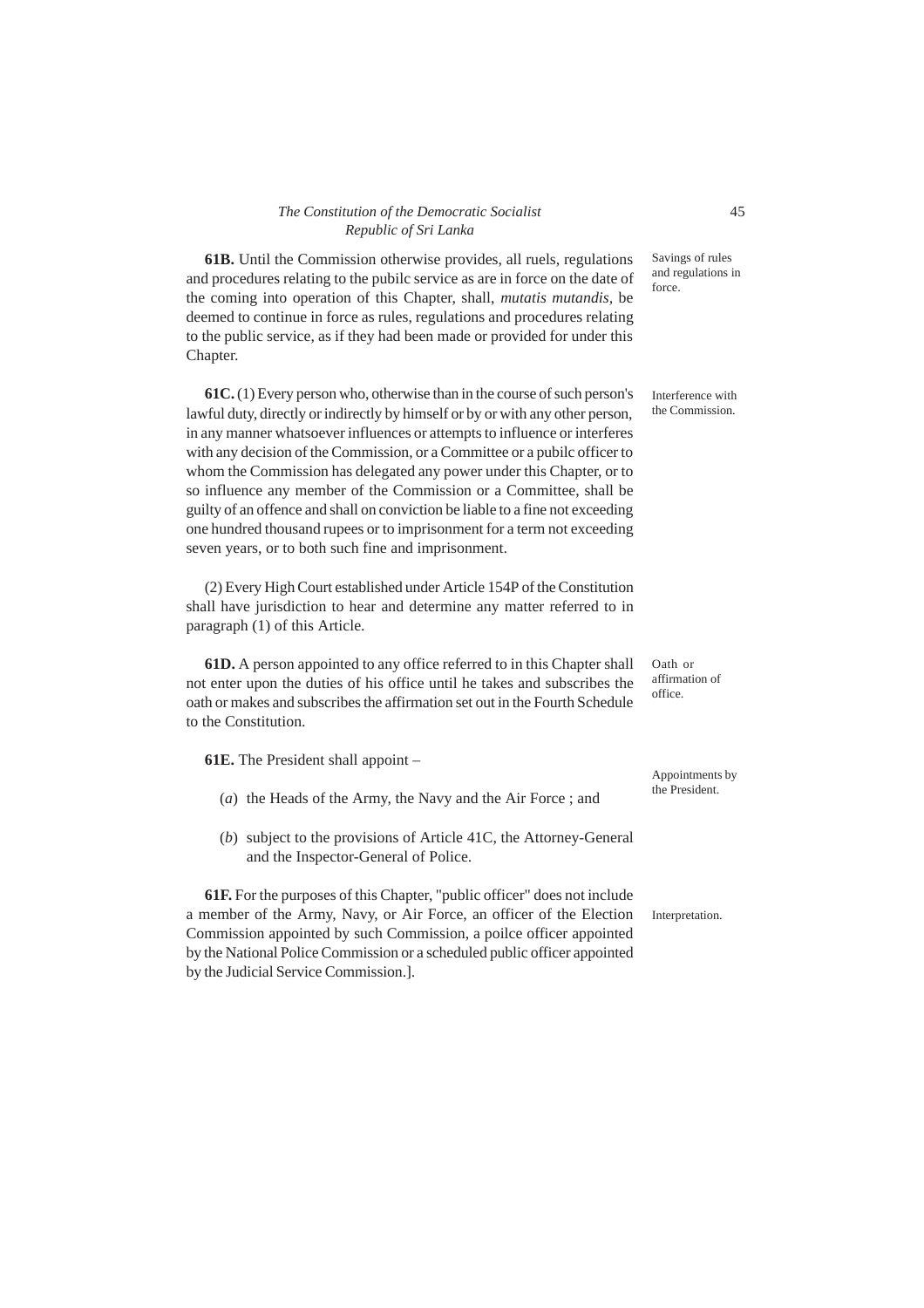**61B.** Until the Commission otherwise provides, all ruels, regulations and procedures relating to the pubilc service as are in force on the date of the coming into operation of this Chapter, shall, *mutatis mutandis,* be deemed to continue in force as rules, regulations and procedures relating to the public service, as if they had been made or provided for under this Chapter.

**61C.** (1) Every person who, otherwise than in the course of such person's lawful duty, directly or indirectly by himself or by or with any other person, in any manner whatsoever influences or attempts to influence or interferes with any decision of the Commission, or a Committee or a pubilc officer to whom the Commission has delegated any power under this Chapter, or to so influence any member of the Commission or a Committee, shall be guilty of an offence and shall on conviction be liable to a fine not exceeding one hundred thousand rupees or to imprisonment for a term not exceeding seven years, or to both such fine and imprisonment.

(2) Every High Court established under Article 154P of the Constitution shall have jurisdiction to hear and determine any matter referred to in paragraph (1) of this Article.

**61D.** A person appointed to any office referred to in this Chapter shall not enter upon the duties of his office until he takes and subscribes the oath or makes and subscribes the affirmation set out in the Fourth Schedule to the Constitution.

**61E.** The President shall appoint –

- (*a*) the Heads of the Army, the Navy and the Air Force ; and
- (*b*) subject to the provisions of Article 41C, the Attorney-General and the Inspector-General of Police.

**61F.** For the purposes of this Chapter, "public officer" does not include a member of the Army, Navy, or Air Force, an officer of the Election Commission appointed by such Commission, a poilce officer appointed by the National Police Commission or a scheduled public officer appointed by the Judicial Service Commission.].

Savings of rules and regulations in force.

Interference with the Commission.

Oath or affirmation of office.

Appointments by the President.

Interpretation.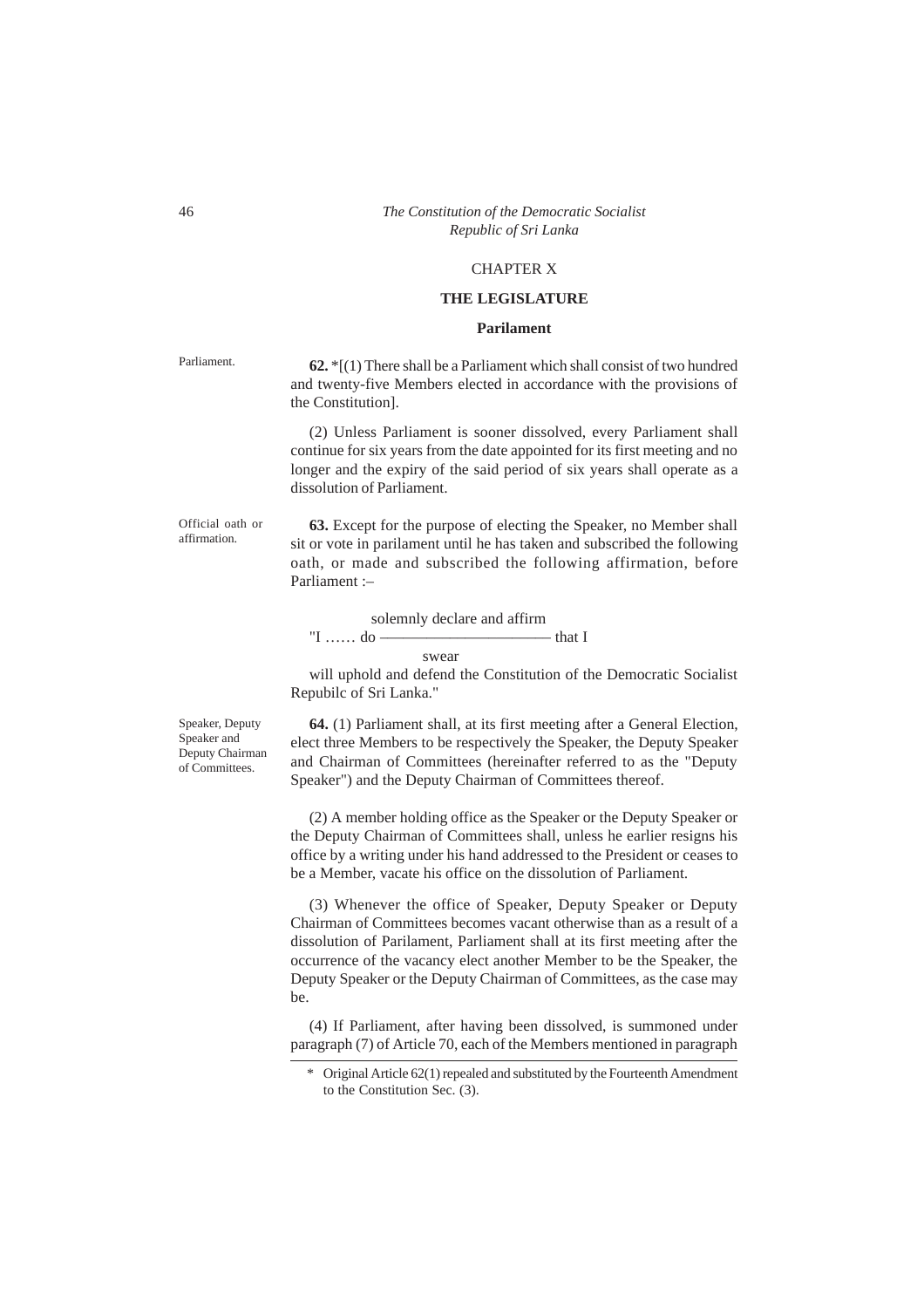# CHAPTER X

# **THE LEGISLATURE**

# **Parilament**

Parliament.

**62.** \*[(1) There shall be a Parliament which shall consist of two hundred and twenty-five Members elected in accordance with the provisions of the Constitution].

(2) Unless Parliament is sooner dissolved, every Parliament shall continue for six years from the date appointed for its first meeting and no longer and the expiry of the said period of six years shall operate as a dissolution of Parliament.

Official oath or affirmation.

**63.** Except for the purpose of electing the Speaker, no Member shall sit or vote in parilament until he has taken and subscribed the following oath, or made and subscribed the following affirmation, before Parliament :–

solemnly declare and affirm "I …… do –––––––––––––––––––––– that I swear

will uphold and defend the Constitution of the Democratic Socialist Repubilc of Sri Lanka."

Speaker, Deputy Speaker and Deputy Chairman of Committees.

**64.** (1) Parliament shall, at its first meeting after a General Election, elect three Members to be respectively the Speaker, the Deputy Speaker and Chairman of Committees (hereinafter referred to as the "Deputy Speaker") and the Deputy Chairman of Committees thereof.

(2) A member holding office as the Speaker or the Deputy Speaker or the Deputy Chairman of Committees shall, unless he earlier resigns his office by a writing under his hand addressed to the President or ceases to be a Member, vacate his office on the dissolution of Parliament.

(3) Whenever the office of Speaker, Deputy Speaker or Deputy Chairman of Committees becomes vacant otherwise than as a result of a dissolution of Parilament, Parliament shall at its first meeting after the occurrence of the vacancy elect another Member to be the Speaker, the Deputy Speaker or the Deputy Chairman of Committees, as the case may be.

(4) If Parliament, after having been dissolved, is summoned under paragraph (7) of Article 70, each of the Members mentioned in paragraph

<sup>\*</sup> Original Article 62(1) repealed and substituted by the Fourteenth Amendment to the Constitution Sec. (3).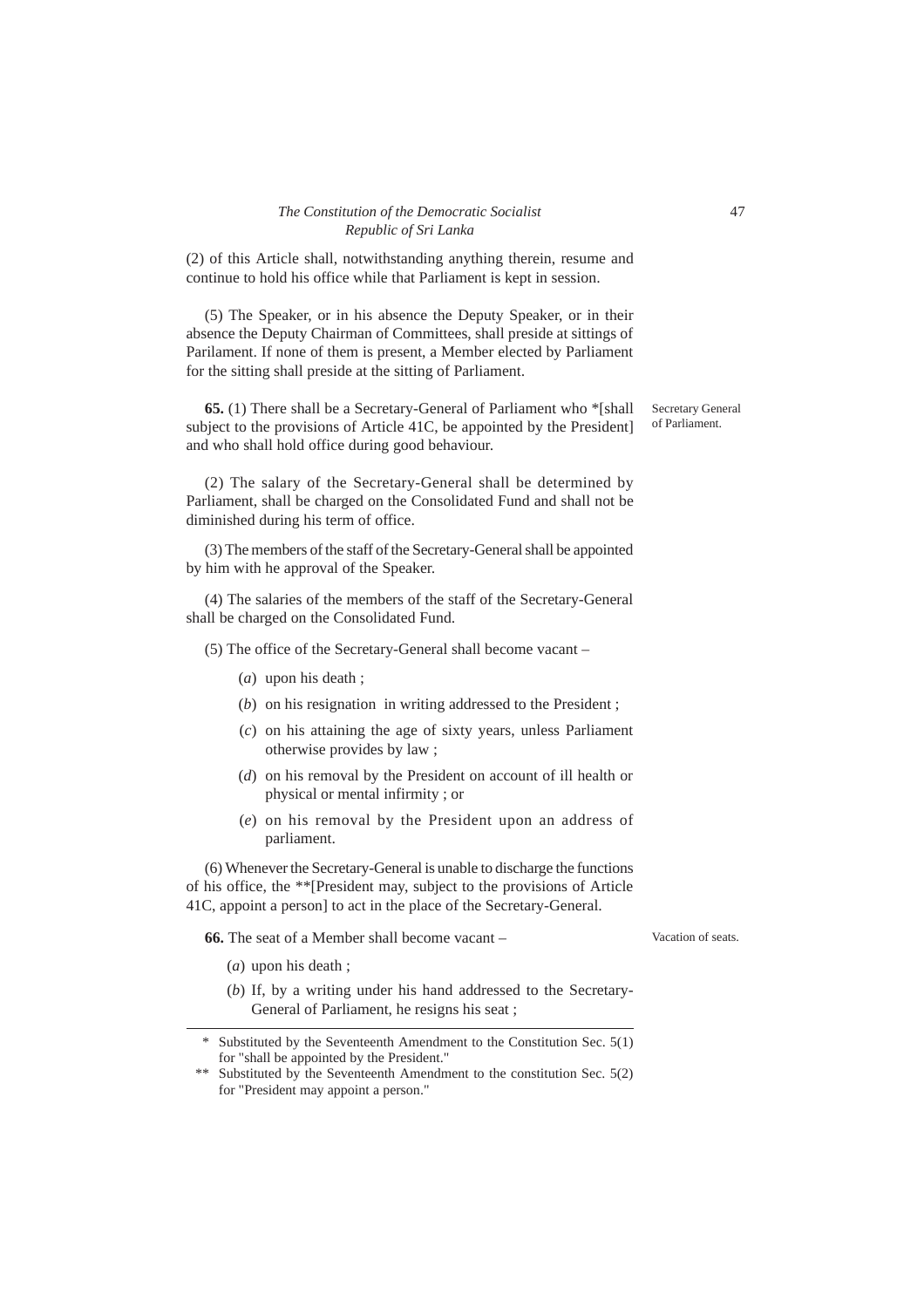(2) of this Article shall, notwithstanding anything therein, resume and continue to hold his office while that Parliament is kept in session.

(5) The Speaker, or in his absence the Deputy Speaker, or in their absence the Deputy Chairman of Committees, shall preside at sittings of Parilament. If none of them is present, a Member elected by Parliament for the sitting shall preside at the sitting of Parliament.

**65.** (1) There shall be a Secretary-General of Parliament who \*[shall subject to the provisions of Article 41C, be appointed by the President] and who shall hold office during good behaviour.

(2) The salary of the Secretary-General shall be determined by Parliament, shall be charged on the Consolidated Fund and shall not be diminished during his term of office.

(3) The members of the staff of the Secretary-General shall be appointed by him with he approval of the Speaker.

(4) The salaries of the members of the staff of the Secretary-General shall be charged on the Consolidated Fund.

(5) The office of the Secretary-General shall become vacant –

- (*a*) upon his death ;
- (*b*) on his resignation in writing addressed to the President ;
- (*c*) on his attaining the age of sixty years, unless Parliament otherwise provides by law ;
- (*d*) on his removal by the President on account of ill health or physical or mental infirmity ; or
- (*e*) on his removal by the President upon an address of parliament.

(6) Whenever the Secretary-General is unable to discharge the functions of his office, the \*\*[President may, subject to the provisions of Article 41C, appoint a person] to act in the place of the Secretary-General.

**66.** The seat of a Member shall become vacant –

(*a*) upon his death ;

(*b*) If, by a writing under his hand addressed to the Secretary-General of Parliament, he resigns his seat ;

Secretary General of Parliament.

Vacation of seats.

<sup>\*</sup> Substituted by the Seventeenth Amendment to the Constitution Sec. 5(1) for "shall be appointed by the President."

Substituted by the Seventeenth Amendment to the constitution Sec. 5(2) for "President may appoint a person."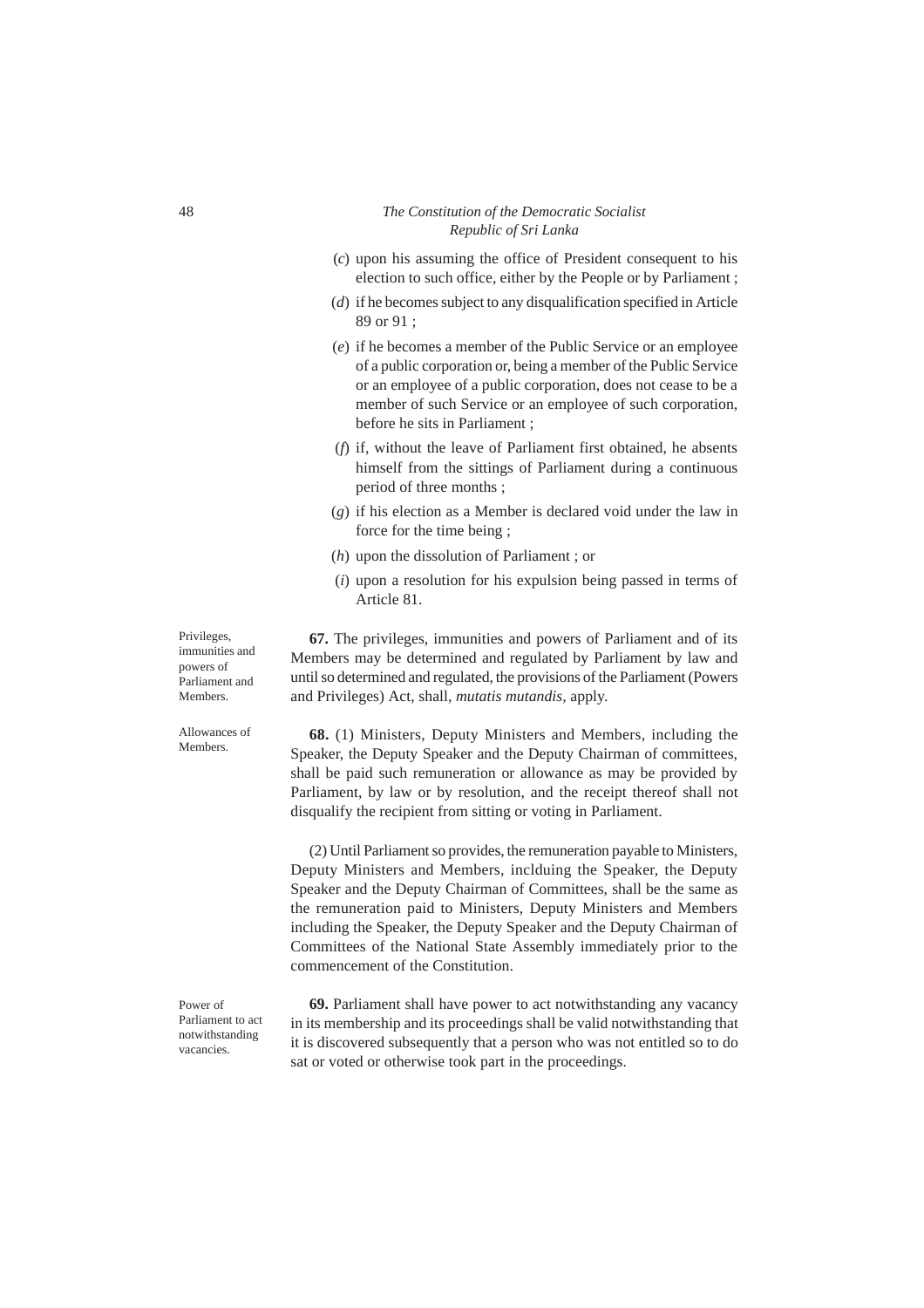- (*c*) upon his assuming the office of President consequent to his election to such office, either by the People or by Parliament ;
- (*d*) if he becomes subject to any disqualification specified in Article 89 or 91 ;
- (*e*) if he becomes a member of the Public Service or an employee of a public corporation or, being a member of the Public Service or an employee of a public corporation, does not cease to be a member of such Service or an employee of such corporation, before he sits in Parliament ;
- (*f*) if, without the leave of Parliament first obtained, he absents himself from the sittings of Parliament during a continuous period of three months ;
- (*g*) if his election as a Member is declared void under the law in force for the time being ;
- (*h*) upon the dissolution of Parliament ; or
- (*i*) upon a resolution for his expulsion being passed in terms of Article 81.

**67.** The privileges, immunities and powers of Parliament and of its Members may be determined and regulated by Parliament by law and until so determined and regulated, the provisions of the Parliament (Powers and Privileges) Act, shall, *mutatis mutandis,* apply.

**68.** (1) Ministers, Deputy Ministers and Members, including the Speaker, the Deputy Speaker and the Deputy Chairman of committees, shall be paid such remuneration or allowance as may be provided by Parliament, by law or by resolution, and the receipt thereof shall not disqualify the recipient from sitting or voting in Parliament.

(2) Until Parliament so provides, the remuneration payable to Ministers, Deputy Ministers and Members, inclduing the Speaker, the Deputy Speaker and the Deputy Chairman of Committees, shall be the same as the remuneration paid to Ministers, Deputy Ministers and Members including the Speaker, the Deputy Speaker and the Deputy Chairman of Committees of the National State Assembly immediately prior to the commencement of the Constitution.

**69.** Parliament shall have power to act notwithstanding any vacancy in its membership and its proceedings shall be valid notwithstanding that it is discovered subsequently that a person who was not entitled so to do sat or voted or otherwise took part in the proceedings.

Privileges, immunities and powers of Parliament and Members.

Allowances of **Members** 

Power of Parliament to act notwithstanding vacancies.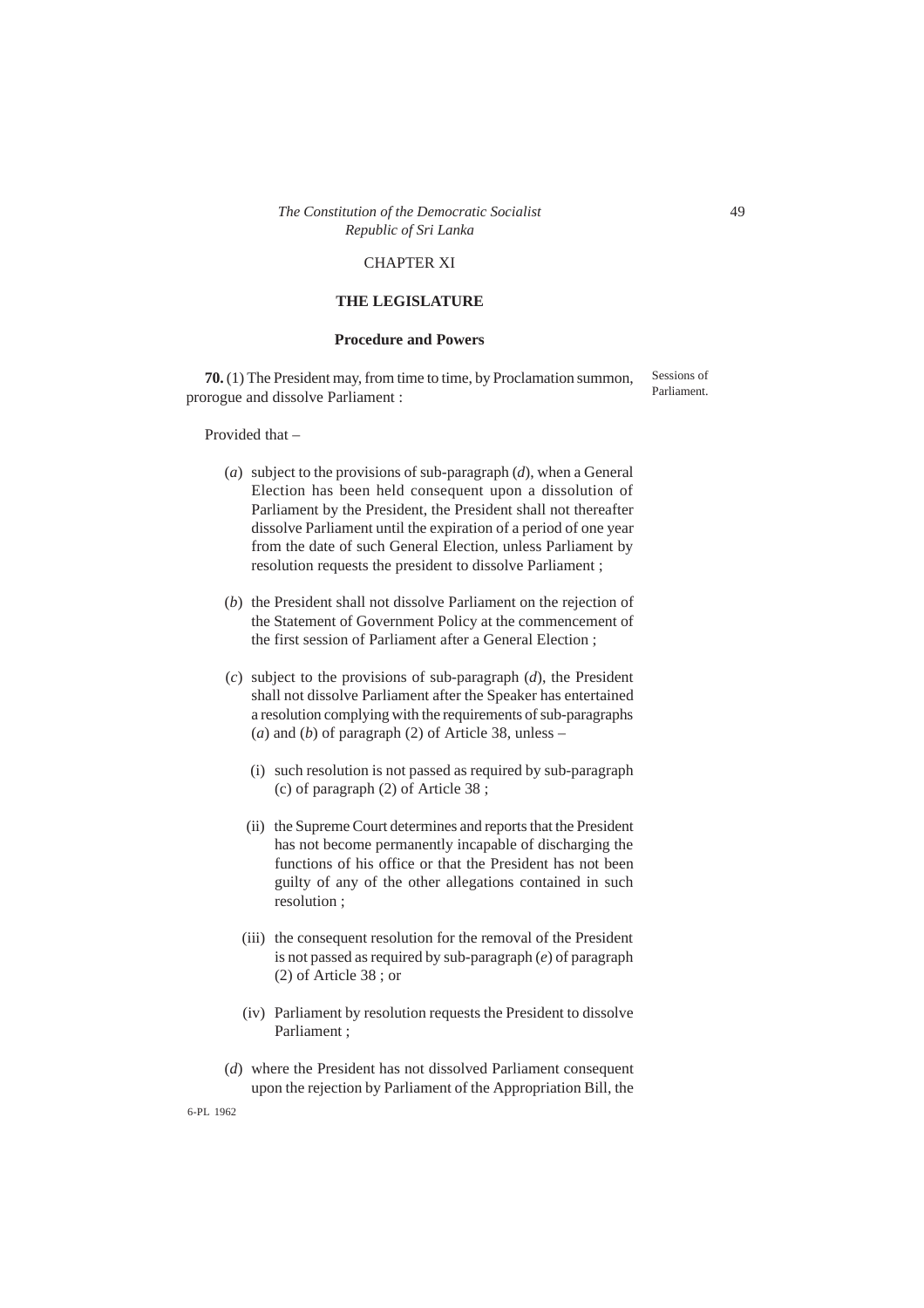# CHAPTER XI

# **THE LEGISLATURE**

#### **Procedure and Powers**

**70.** (1) The President may, from time to time, by Proclamation summon, prorogue and dissolve Parliament : Sessions of Parliament.

Provided that –

- (*a*) subject to the provisions of sub-paragraph (*d*), when a General Election has been held consequent upon a dissolution of Parliament by the President, the President shall not thereafter dissolve Parliament until the expiration of a period of one year from the date of such General Election, unless Parliament by resolution requests the president to dissolve Parliament ;
- (*b*) the President shall not dissolve Parliament on the rejection of the Statement of Government Policy at the commencement of the first session of Parliament after a General Election ;
- (*c*) subject to the provisions of sub-paragraph (*d*), the President shall not dissolve Parliament after the Speaker has entertained a resolution complying with the requirements of sub-paragraphs (*a*) and (*b*) of paragraph (2) of Article 38, unless –
	- (i) such resolution is not passed as required by sub-paragraph (c) of paragraph (2) of Article 38 ;
	- (ii) the Supreme Court determines and reports that the President has not become permanently incapable of discharging the functions of his office or that the President has not been guilty of any of the other allegations contained in such resolution ;
	- (iii) the consequent resolution for the removal of the President is not passed as required by sub-paragraph (*e*) of paragraph (2) of Article 38 ; or
	- (iv) Parliament by resolution requests the President to dissolve Parliament ;
- (*d*) where the President has not dissolved Parliament consequent upon the rejection by Parliament of the Appropriation Bill, the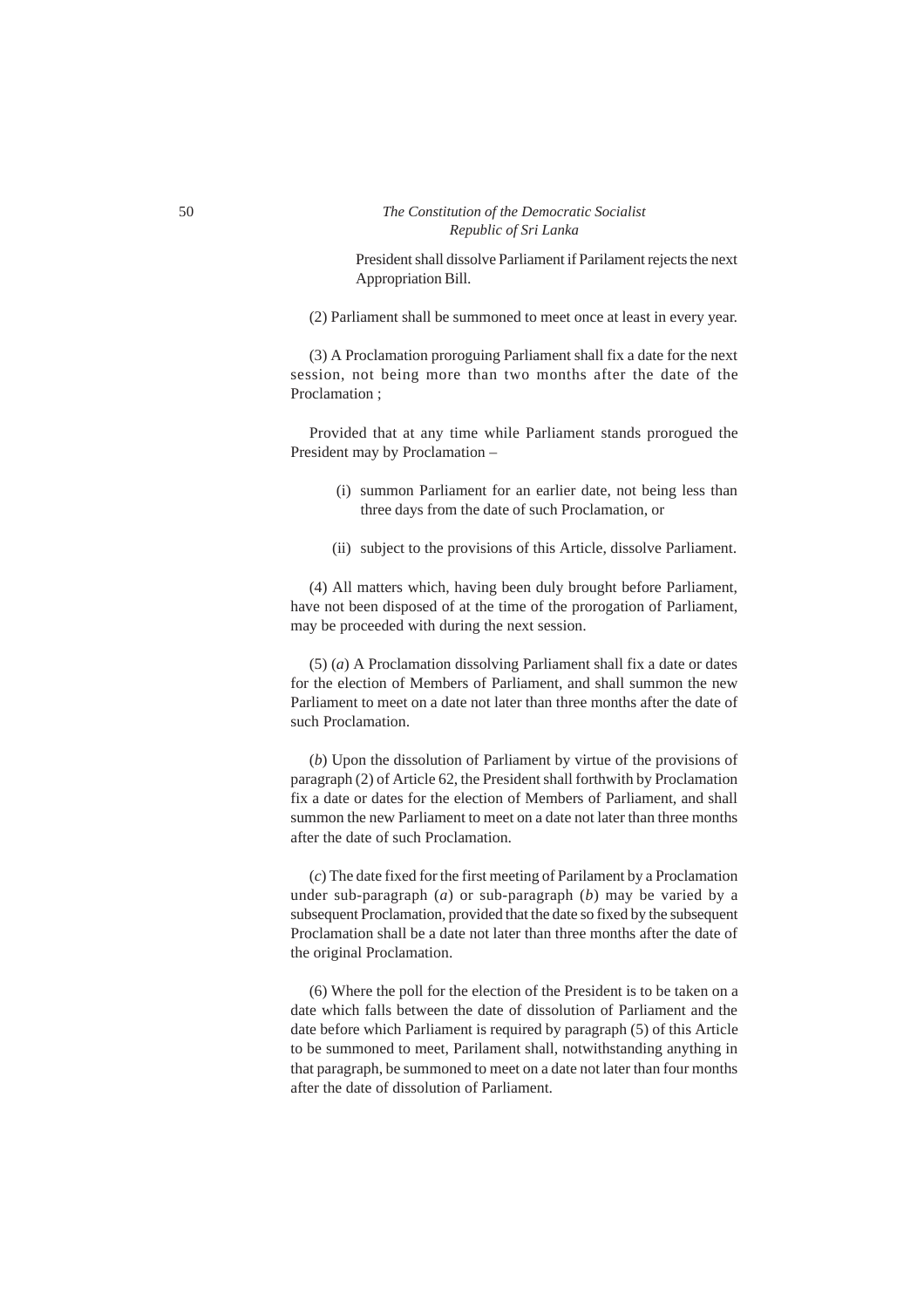President shall dissolve Parliament if Parilament rejects the next Appropriation Bill.

(2) Parliament shall be summoned to meet once at least in every year.

(3) A Proclamation proroguing Parliament shall fix a date for the next session, not being more than two months after the date of the Proclamation ;

Provided that at any time while Parliament stands prorogued the President may by Proclamation –

- (i) summon Parliament for an earlier date, not being less than three days from the date of such Proclamation, or
- (ii) subject to the provisions of this Article, dissolve Parliament.

(4) All matters which, having been duly brought before Parliament, have not been disposed of at the time of the prorogation of Parliament, may be proceeded with during the next session.

(5) (*a*) A Proclamation dissolving Parliament shall fix a date or dates for the election of Members of Parliament, and shall summon the new Parliament to meet on a date not later than three months after the date of such Proclamation.

(*b*) Upon the dissolution of Parliament by virtue of the provisions of paragraph (2) of Article 62, the President shall forthwith by Proclamation fix a date or dates for the election of Members of Parliament, and shall summon the new Parliament to meet on a date not later than three months after the date of such Proclamation.

(*c*) The date fixed for the first meeting of Parilament by a Proclamation under sub-paragraph (*a*) or sub-paragraph (*b*) may be varied by a subsequent Proclamation, provided that the date so fixed by the subsequent Proclamation shall be a date not later than three months after the date of the original Proclamation.

(6) Where the poll for the election of the President is to be taken on a date which falls between the date of dissolution of Parliament and the date before which Parliament is required by paragraph (5) of this Article to be summoned to meet, Parilament shall, notwithstanding anything in that paragraph, be summoned to meet on a date not later than four months after the date of dissolution of Parliament.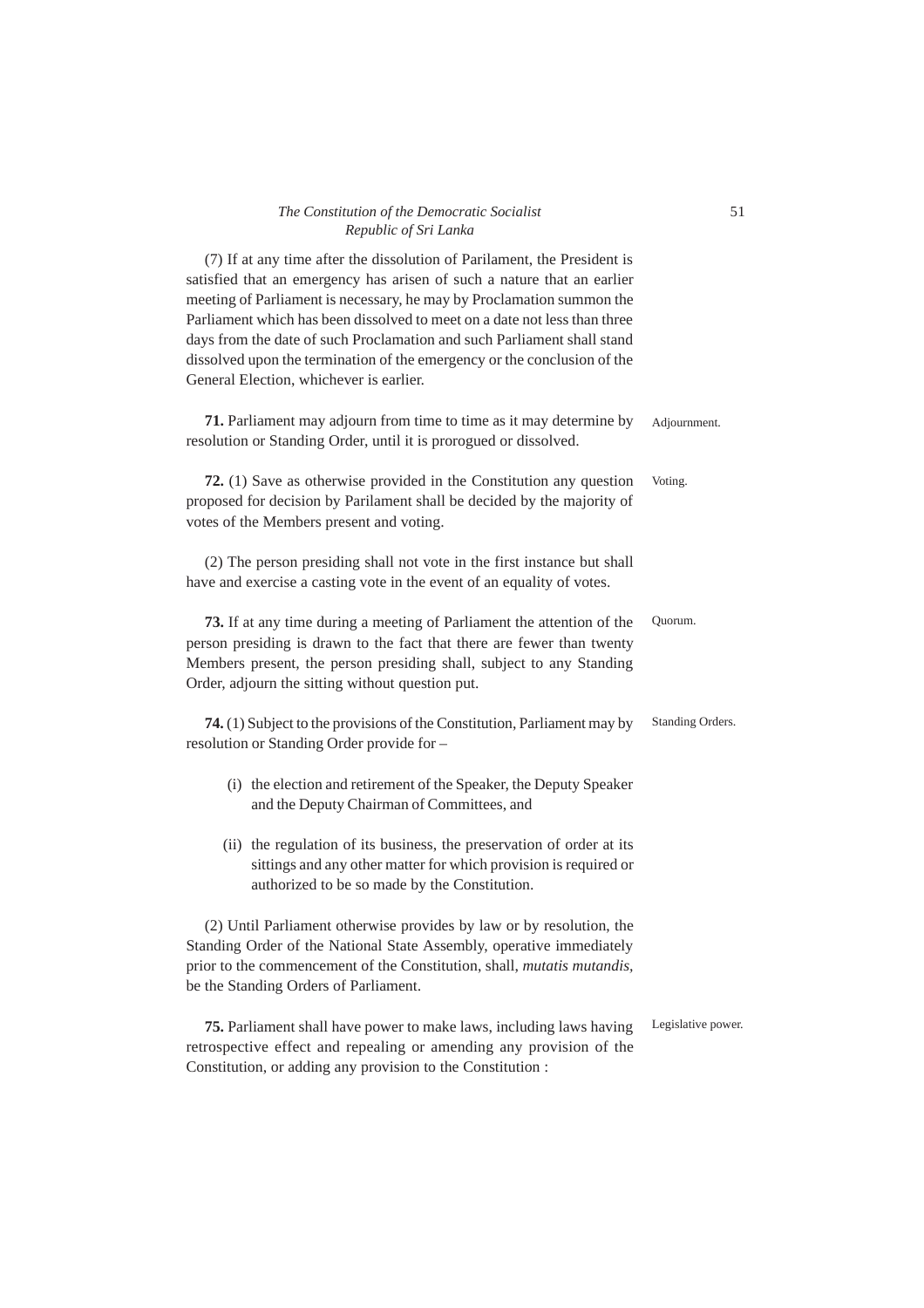(7) If at any time after the dissolution of Parilament, the President is satisfied that an emergency has arisen of such a nature that an earlier meeting of Parliament is necessary, he may by Proclamation summon the Parliament which has been dissolved to meet on a date not less than three days from the date of such Proclamation and such Parliament shall stand dissolved upon the termination of the emergency or the conclusion of the General Election, whichever is earlier.

**71.** Parliament may adjourn from time to time as it may determine by resolution or Standing Order, until it is prorogued or dissolved. **72.** (1) Save as otherwise provided in the Constitution any question proposed for decision by Parilament shall be decided by the majority of votes of the Members present and voting. (2) The person presiding shall not vote in the first instance but shall have and exercise a casting vote in the event of an equality of votes. **73.** If at any time during a meeting of Parliament the attention of the person presiding is drawn to the fact that there are fewer than twenty Members present, the person presiding shall, subject to any Standing Order, adjourn the sitting without question put. **74.** (1) Subject to the provisions of the Constitution, Parliament may by resolution or Standing Order provide for – (i) the election and retirement of the Speaker, the Deputy Speaker and the Deputy Chairman of Committees, and (ii) the regulation of its business, the preservation of order at its sittings and any other matter for which provision is required or authorized to be so made by the Constitution. (2) Until Parliament otherwise provides by law or by resolution, the Standing Order of the National State Assembly, operative immediately prior to the commencement of the Constitution, shall, *mutatis mutandis,* be the Standing Orders of Parliament. **75.** Parliament shall have power to make laws, including laws having retrospective effect and repealing or amending any provision of the Adjournment. Voting. Quorum. Standing Orders. Legislative power.

Constitution, or adding any provision to the Constitution :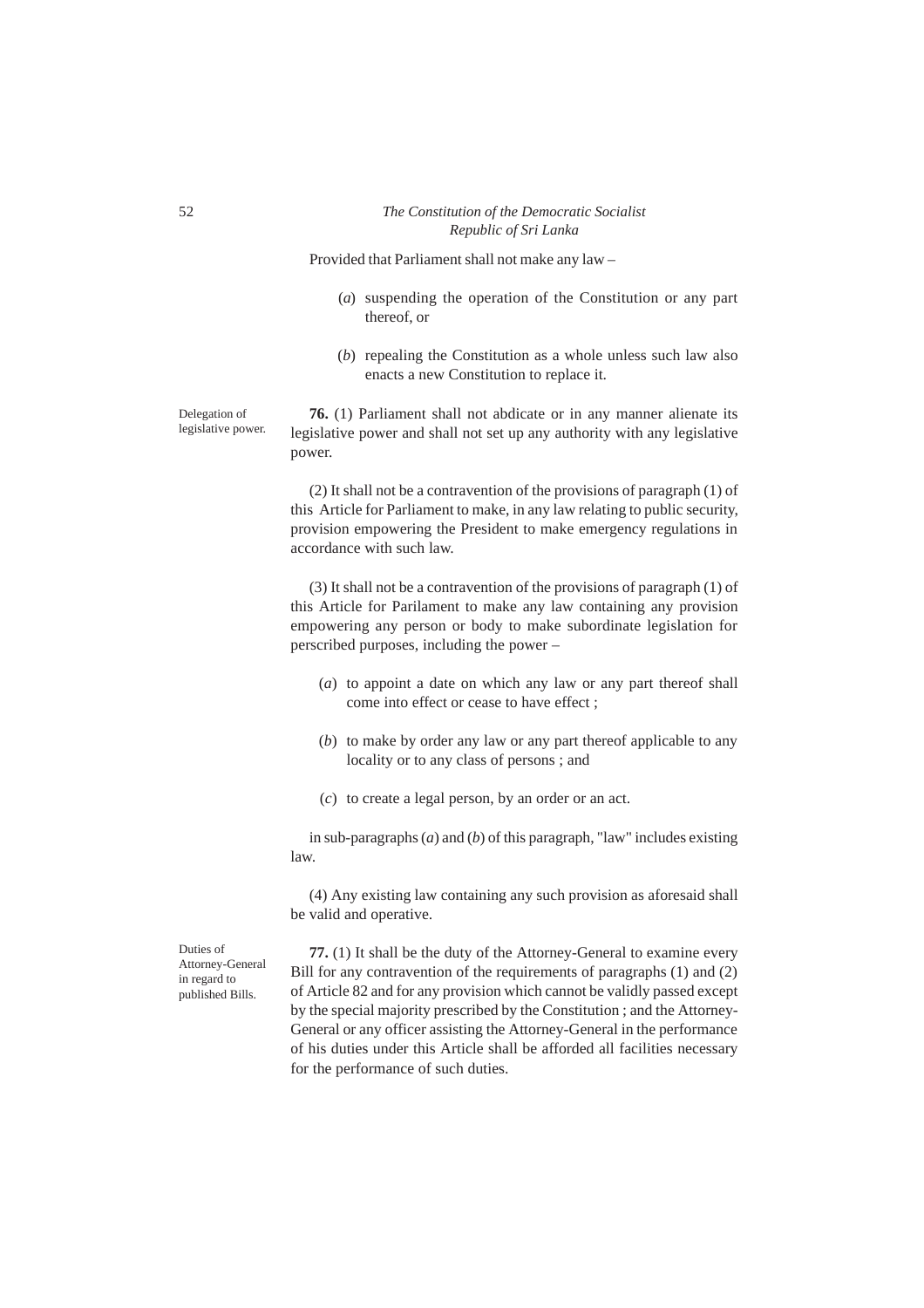Provided that Parliament shall not make any law –

- (*a*) suspending the operation of the Constitution or any part thereof, or
- (*b*) repealing the Constitution as a whole unless such law also enacts a new Constitution to replace it.

Delegation of legislative power.

**76.** (1) Parliament shall not abdicate or in any manner alienate its legislative power and shall not set up any authority with any legislative power.

(2) It shall not be a contravention of the provisions of paragraph (1) of this Article for Parliament to make, in any law relating to public security, provision empowering the President to make emergency regulations in accordance with such law.

(3) It shall not be a contravention of the provisions of paragraph (1) of this Article for Parilament to make any law containing any provision empowering any person or body to make subordinate legislation for perscribed purposes, including the power –

- (*a*) to appoint a date on which any law or any part thereof shall come into effect or cease to have effect ;
- (*b*) to make by order any law or any part thereof applicable to any locality or to any class of persons ; and
- (*c*) to create a legal person, by an order or an act.

in sub-paragraphs (*a*) and (*b*) of this paragraph, "law" includes existing law.

(4) Any existing law containing any such provision as aforesaid shall be valid and operative.

Duties of Attorney-General in regard to published Bills.

**77.** (1) It shall be the duty of the Attorney-General to examine every Bill for any contravention of the requirements of paragraphs (1) and (2) of Article 82 and for any provision which cannot be validly passed except by the special majority prescribed by the Constitution ; and the Attorney-General or any officer assisting the Attorney-General in the performance of his duties under this Article shall be afforded all facilities necessary for the performance of such duties.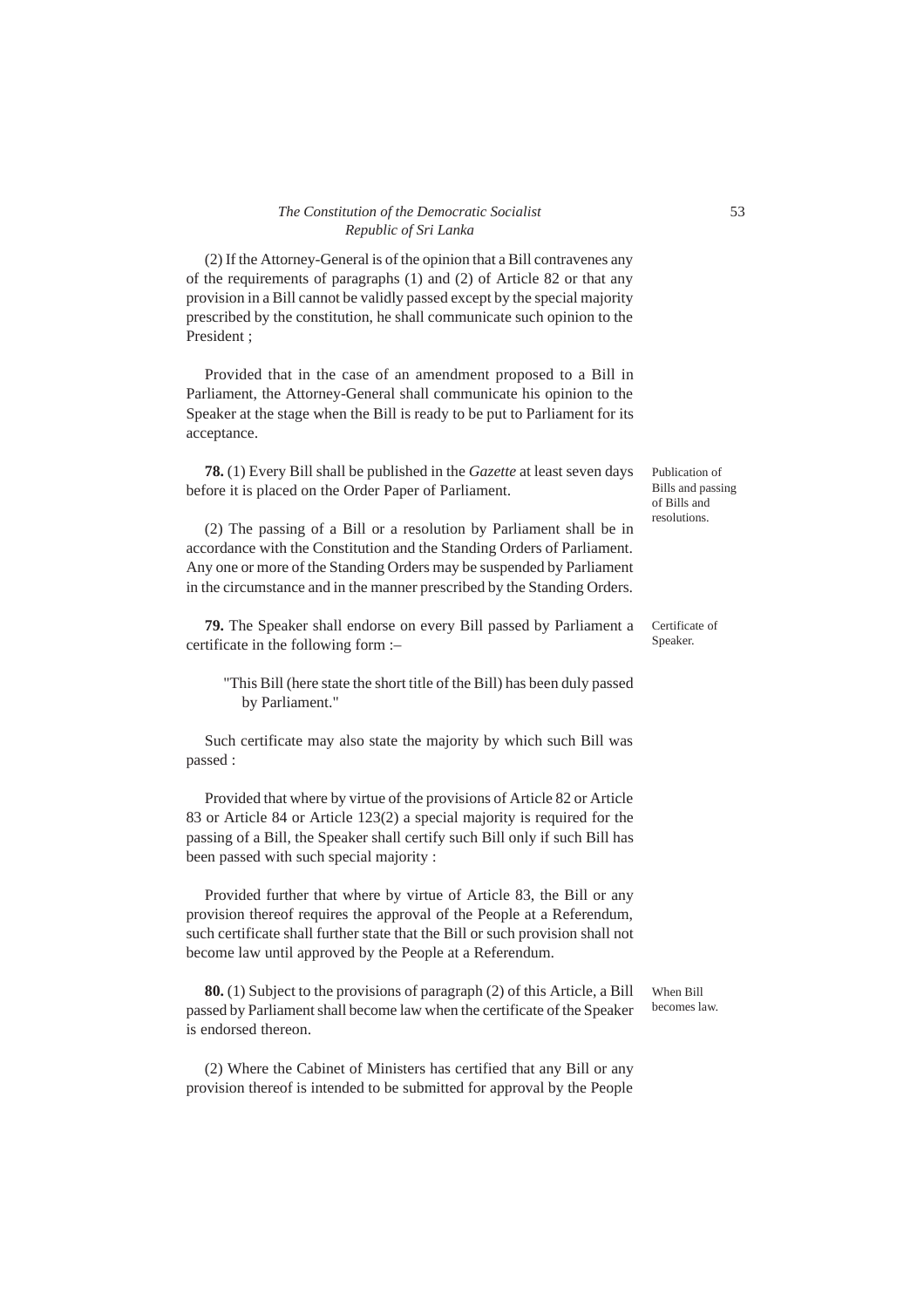(2) If the Attorney-General is of the opinion that a Bill contravenes any of the requirements of paragraphs (1) and (2) of Article 82 or that any provision in a Bill cannot be validly passed except by the special majority prescribed by the constitution, he shall communicate such opinion to the President ;

Provided that in the case of an amendment proposed to a Bill in Parliament, the Attorney-General shall communicate his opinion to the Speaker at the stage when the Bill is ready to be put to Parliament for its acceptance.

**78.** (1) Every Bill shall be published in the *Gazette* at least seven days before it is placed on the Order Paper of Parliament.

(2) The passing of a Bill or a resolution by Parliament shall be in accordance with the Constitution and the Standing Orders of Parliament. Any one or more of the Standing Orders may be suspended by Parliament in the circumstance and in the manner prescribed by the Standing Orders.

**79.** The Speaker shall endorse on every Bill passed by Parliament a certificate in the following form :–

"This Bill (here state the short title of the Bill) has been duly passed by Parliament."

Such certificate may also state the majority by which such Bill was passed :

Provided that where by virtue of the provisions of Article 82 or Article 83 or Article 84 or Article 123(2) a special majority is required for the passing of a Bill, the Speaker shall certify such Bill only if such Bill has been passed with such special majority :

Provided further that where by virtue of Article 83, the Bill or any provision thereof requires the approval of the People at a Referendum, such certificate shall further state that the Bill or such provision shall not become law until approved by the People at a Referendum.

**80.** (1) Subject to the provisions of paragraph (2) of this Article, a Bill passed by Parliament shall become law when the certificate of the Speaker is endorsed thereon.

(2) Where the Cabinet of Ministers has certified that any Bill or any provision thereof is intended to be submitted for approval by the People When Bill becomes law.

Publication of Bills and passing of Bills and resolutions.

Certificate of Speaker.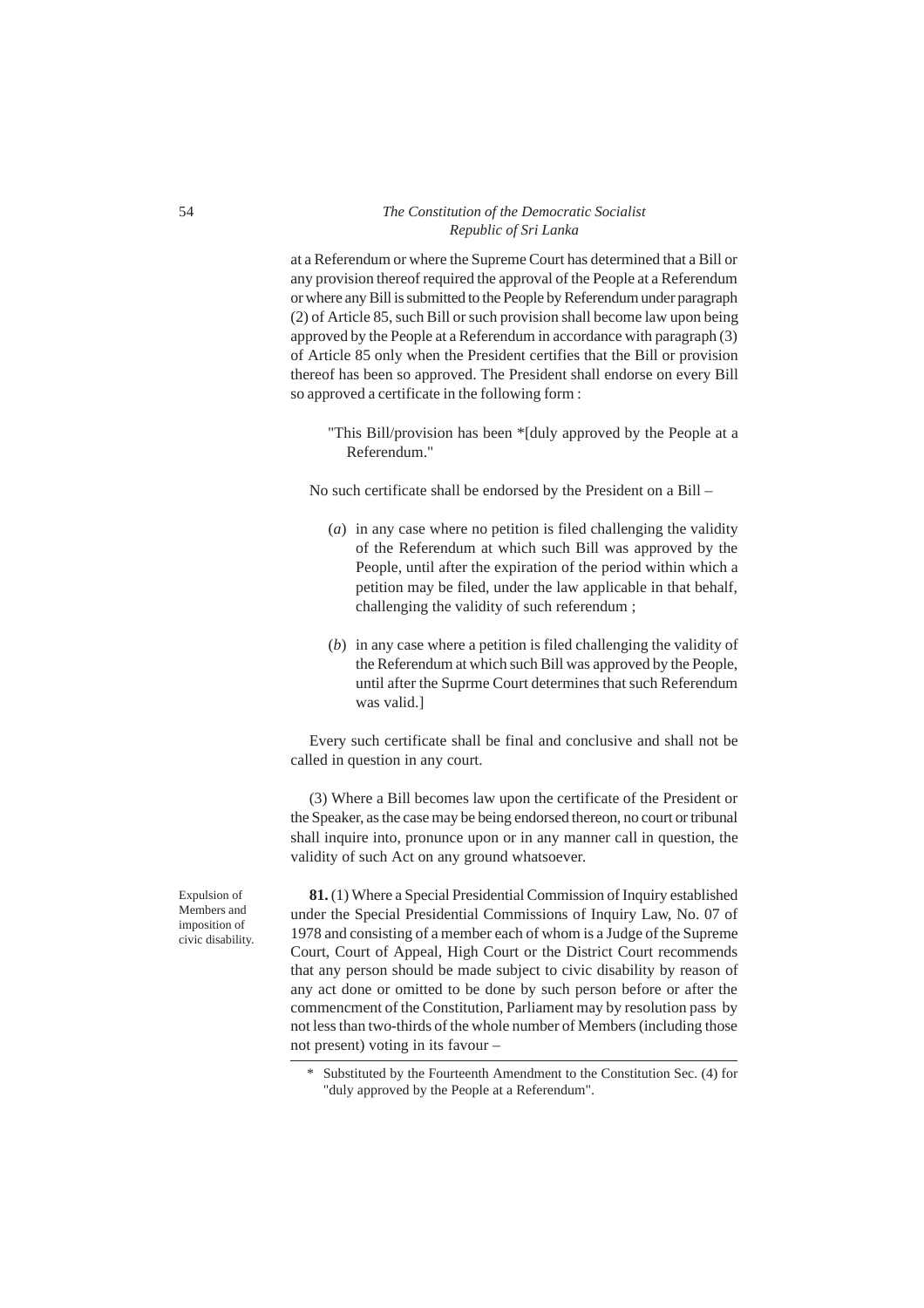at a Referendum or where the Supreme Court has determined that a Bill or any provision thereof required the approval of the People at a Referendum or where any Bill is submitted to the People by Referendum under paragraph (2) of Article 85, such Bill or such provision shall become law upon being approved by the People at a Referendum in accordance with paragraph (3) of Article 85 only when the President certifies that the Bill or provision thereof has been so approved. The President shall endorse on every Bill so approved a certificate in the following form :

"This Bill/provision has been \*[duly approved by the People at a Referendum."

No such certificate shall be endorsed by the President on a Bill –

- (*a*) in any case where no petition is filed challenging the validity of the Referendum at which such Bill was approved by the People, until after the expiration of the period within which a petition may be filed, under the law applicable in that behalf, challenging the validity of such referendum ;
- (*b*) in any case where a petition is filed challenging the validity of the Referendum at which such Bill was approved by the People, until after the Suprme Court determines that such Referendum was valid.]

Every such certificate shall be final and conclusive and shall not be called in question in any court.

(3) Where a Bill becomes law upon the certificate of the President or the Speaker, as the case may be being endorsed thereon, no court or tribunal shall inquire into, pronunce upon or in any manner call in question, the validity of such Act on any ground whatsoever.

**81.** (1) Where a Special Presidential Commission of Inquiry established under the Special Presidential Commissions of Inquiry Law, No. 07 of 1978 and consisting of a member each of whom is a Judge of the Supreme Court, Court of Appeal, High Court or the District Court recommends that any person should be made subject to civic disability by reason of any act done or omitted to be done by such person before or after the commencment of the Constitution, Parliament may by resolution pass by not less than two-thirds of the whole number of Members (including those not present) voting in its favour –

Expulsion of Members and imposition of civic disability.

Substituted by the Fourteenth Amendment to the Constitution Sec. (4) for "duly approved by the People at a Referendum".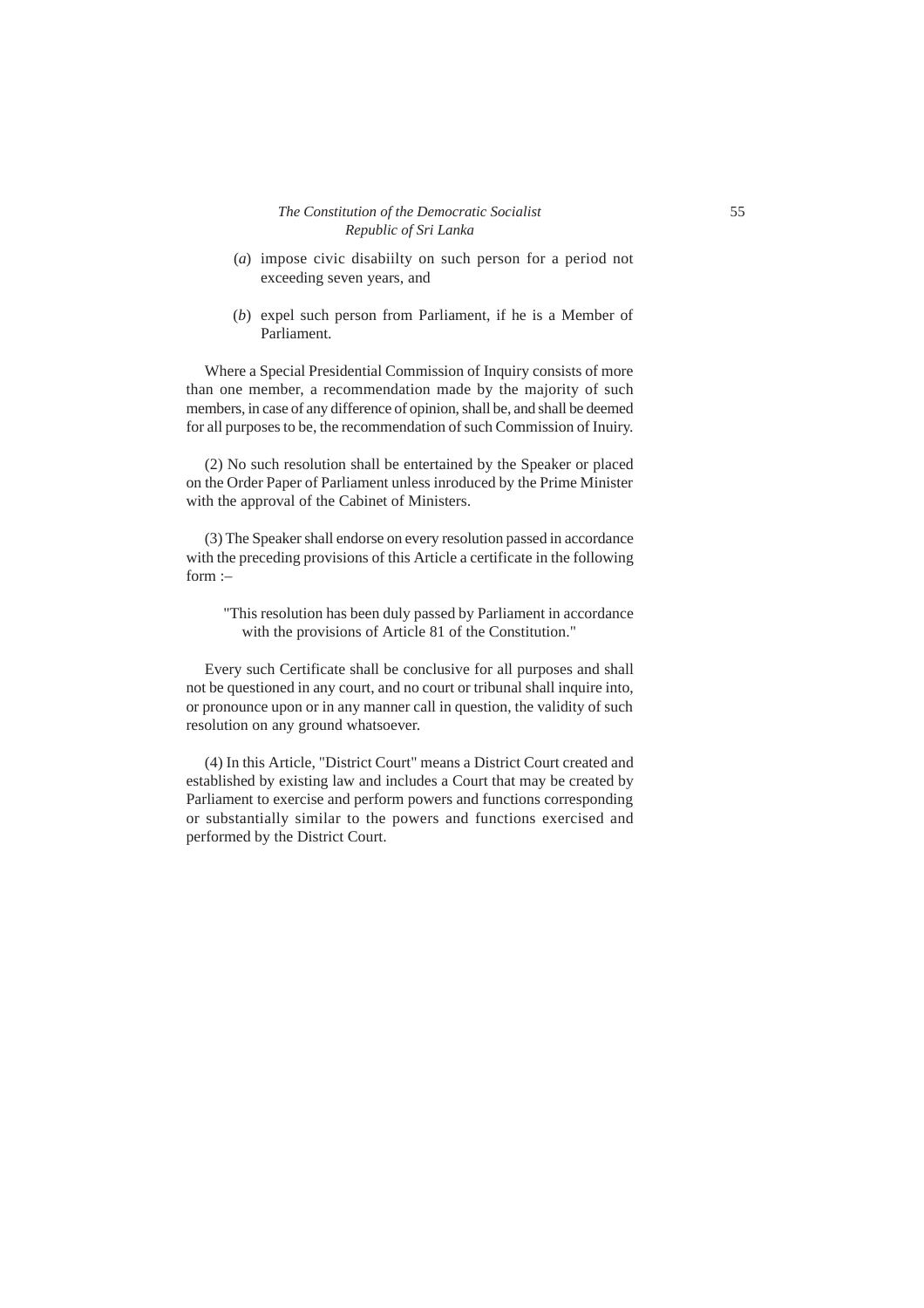- (*a*) impose civic disabiilty on such person for a period not exceeding seven years, and
- (*b*) expel such person from Parliament, if he is a Member of Parliament.

Where a Special Presidential Commission of Inquiry consists of more than one member, a recommendation made by the majority of such members, in case of any difference of opinion, shall be, and shall be deemed for all purposes to be, the recommendation of such Commission of Inuiry.

(2) No such resolution shall be entertained by the Speaker or placed on the Order Paper of Parliament unless inroduced by the Prime Minister with the approval of the Cabinet of Ministers.

(3) The Speaker shall endorse on every resolution passed in accordance with the preceding provisions of this Article a certificate in the following form :–

"This resolution has been duly passed by Parliament in accordance with the provisions of Article 81 of the Constitution."

Every such Certificate shall be conclusive for all purposes and shall not be questioned in any court, and no court or tribunal shall inquire into, or pronounce upon or in any manner call in question, the validity of such resolution on any ground whatsoever.

(4) In this Article, "District Court" means a District Court created and established by existing law and includes a Court that may be created by Parliament to exercise and perform powers and functions corresponding or substantially similar to the powers and functions exercised and performed by the District Court.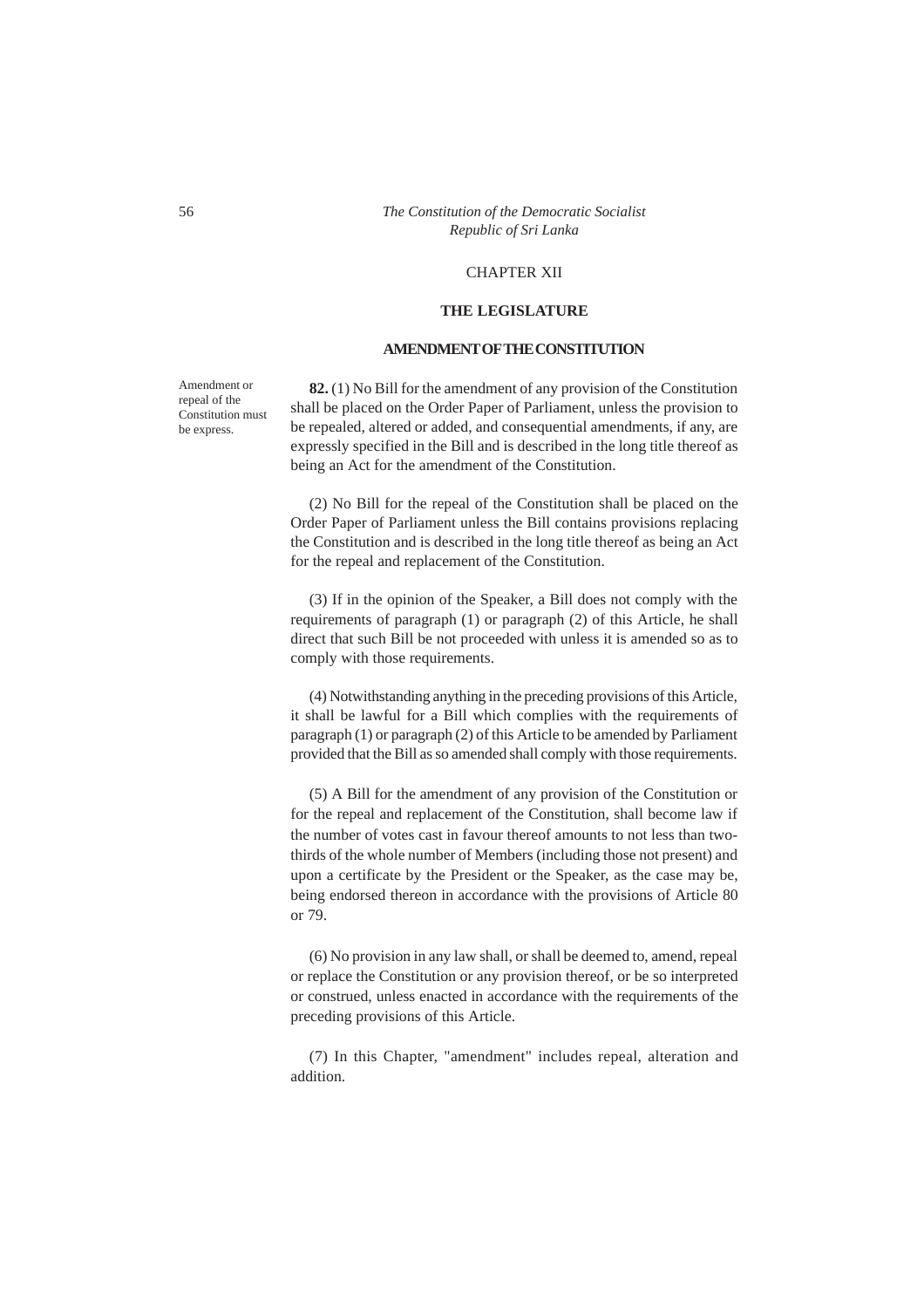#### CHAPTER XII

#### **THE LEGISLATURE**

# **AMENDMENT OF THE CONSTITUTION**

Amendment or repeal of the Constitution must be express.

**82.** (1) No Bill for the amendment of any provision of the Constitution shall be placed on the Order Paper of Parliament, unless the provision to be repealed, altered or added, and consequential amendments, if any, are expressly specified in the Bill and is described in the long title thereof as being an Act for the amendment of the Constitution.

(2) No Bill for the repeal of the Constitution shall be placed on the Order Paper of Parliament unless the Bill contains provisions replacing the Constitution and is described in the long title thereof as being an Act for the repeal and replacement of the Constitution.

(3) If in the opinion of the Speaker, a Bill does not comply with the requirements of paragraph (1) or paragraph (2) of this Article, he shall direct that such Bill be not proceeded with unless it is amended so as to comply with those requirements.

(4) Notwithstanding anything in the preceding provisions of this Article, it shall be lawful for a Bill which complies with the requirements of paragraph (1) or paragraph (2) of this Article to be amended by Parliament provided that the Bill as so amended shall comply with those requirements.

(5) A Bill for the amendment of any provision of the Constitution or for the repeal and replacement of the Constitution, shall become law if the number of votes cast in favour thereof amounts to not less than twothirds of the whole number of Members (including those not present) and upon a certificate by the President or the Speaker, as the case may be, being endorsed thereon in accordance with the provisions of Article 80 or 79.

(6) No provision in any law shall, or shall be deemed to, amend, repeal or replace the Constitution or any provision thereof, or be so interpreted or construed, unless enacted in accordance with the requirements of the preceding provisions of this Article.

(7) In this Chapter, "amendment" includes repeal, alteration and addition.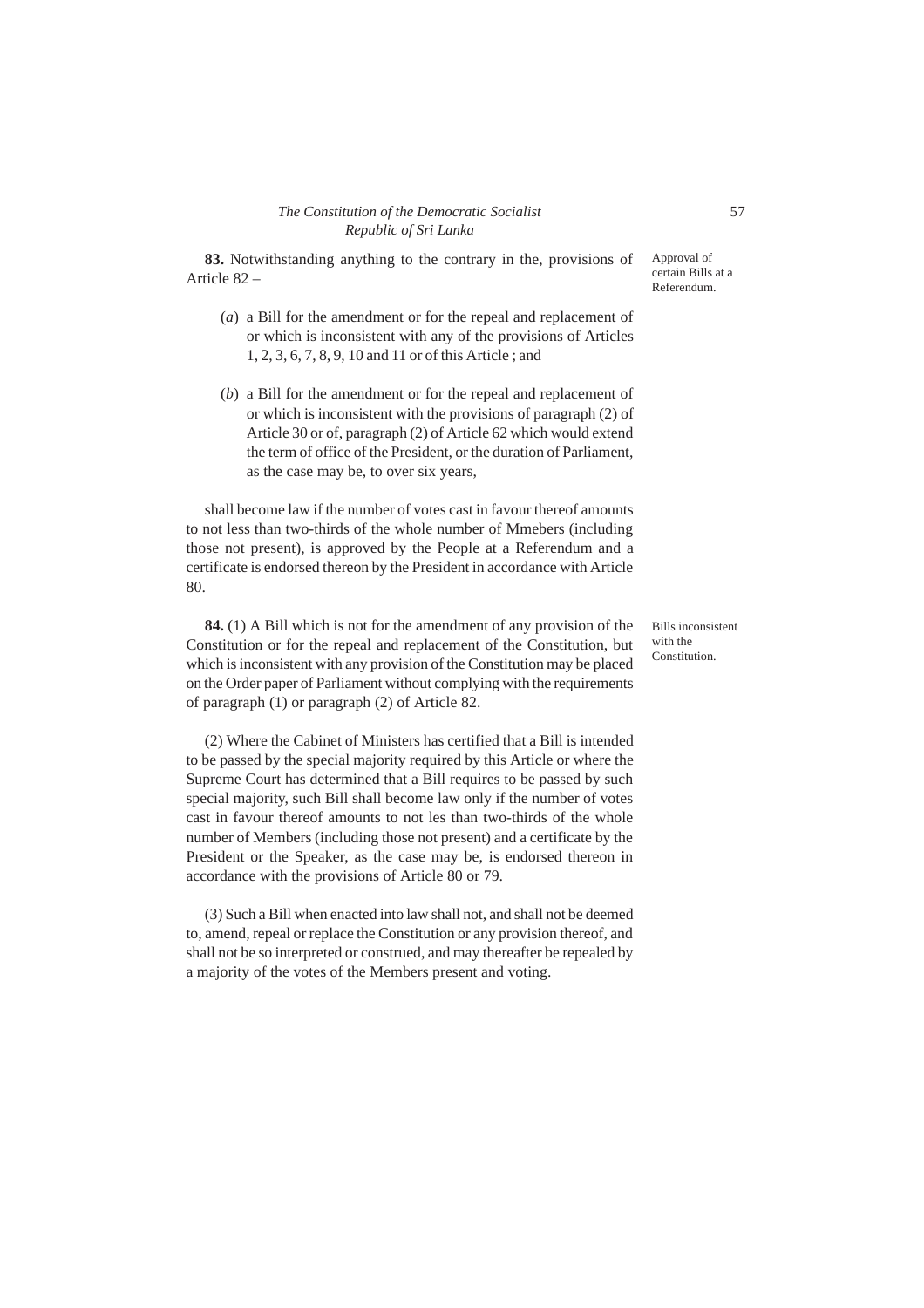**83.** Notwithstanding anything to the contrary in the, provisions of Article 82 –

- (*a*) a Bill for the amendment or for the repeal and replacement of or which is inconsistent with any of the provisions of Articles 1, 2, 3, 6, 7, 8, 9, 10 and 11 or of this Article ; and
- (*b*) a Bill for the amendment or for the repeal and replacement of or which is inconsistent with the provisions of paragraph (2) of Article 30 or of, paragraph (2) of Article 62 which would extend the term of office of the President, or the duration of Parliament, as the case may be, to over six years,

shall become law if the number of votes cast in favour thereof amounts to not less than two-thirds of the whole number of Mmebers (including those not present), is approved by the People at a Referendum and a certificate is endorsed thereon by the President in accordance with Article 80.

**84.** (1) A Bill which is not for the amendment of any provision of the Constitution or for the repeal and replacement of the Constitution, but which is inconsistent with any provision of the Constitution may be placed on the Order paper of Parliament without complying with the requirements of paragraph (1) or paragraph (2) of Article 82.

(2) Where the Cabinet of Ministers has certified that a Bill is intended to be passed by the special majority required by this Article or where the Supreme Court has determined that a Bill requires to be passed by such special majority, such Bill shall become law only if the number of votes cast in favour thereof amounts to not les than two-thirds of the whole number of Members (including those not present) and a certificate by the President or the Speaker, as the case may be, is endorsed thereon in accordance with the provisions of Article 80 or 79.

(3) Such a Bill when enacted into law shall not, and shall not be deemed to, amend, repeal or replace the Constitution or any provision thereof, and shall not be so interpreted or construed, and may thereafter be repealed by a majority of the votes of the Members present and voting.

Approval of certain Bills at a Referendum.

Bills inconsistent with the **Constitution**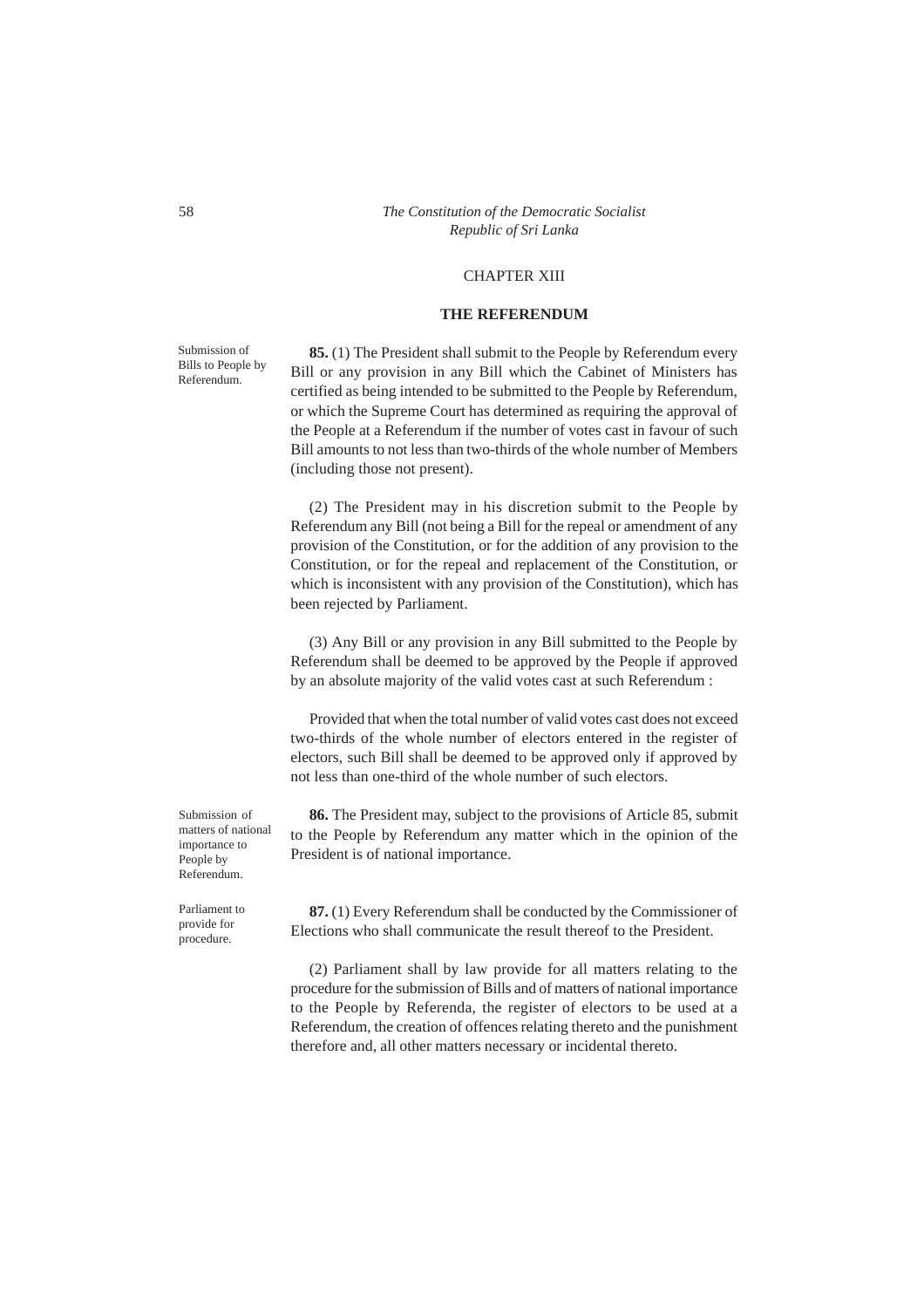## CHAPTER XIII

## **THE REFERENDUM**

Submission of Bills to People by Referendum.

**85.** (1) The President shall submit to the People by Referendum every Bill or any provision in any Bill which the Cabinet of Ministers has certified as being intended to be submitted to the People by Referendum, or which the Supreme Court has determined as requiring the approval of the People at a Referendum if the number of votes cast in favour of such Bill amounts to not less than two-thirds of the whole number of Members (including those not present).

(2) The President may in his discretion submit to the People by Referendum any Bill (not being a Bill for the repeal or amendment of any provision of the Constitution, or for the addition of any provision to the Constitution, or for the repeal and replacement of the Constitution, or which is inconsistent with any provision of the Constitution), which has been rejected by Parliament.

(3) Any Bill or any provision in any Bill submitted to the People by Referendum shall be deemed to be approved by the People if approved by an absolute majority of the valid votes cast at such Referendum :

Provided that when the total number of valid votes cast does not exceed two-thirds of the whole number of electors entered in the register of electors, such Bill shall be deemed to be approved only if approved by not less than one-third of the whole number of such electors.

**86.** The President may, subject to the provisions of Article 85, submit to the People by Referendum any matter which in the opinion of the President is of national importance.

Parliament to

**87.** (1) Every Referendum shall be conducted by the Commissioner of Elections who shall communicate the result thereof to the President.

(2) Parliament shall by law provide for all matters relating to the procedure for the submission of Bills and of matters of national importance to the People by Referenda, the register of electors to be used at a Referendum, the creation of offences relating thereto and the punishment therefore and, all other matters necessary or incidental thereto.

matters of national importance to People by Referendum.

Submission of

provide for procedure.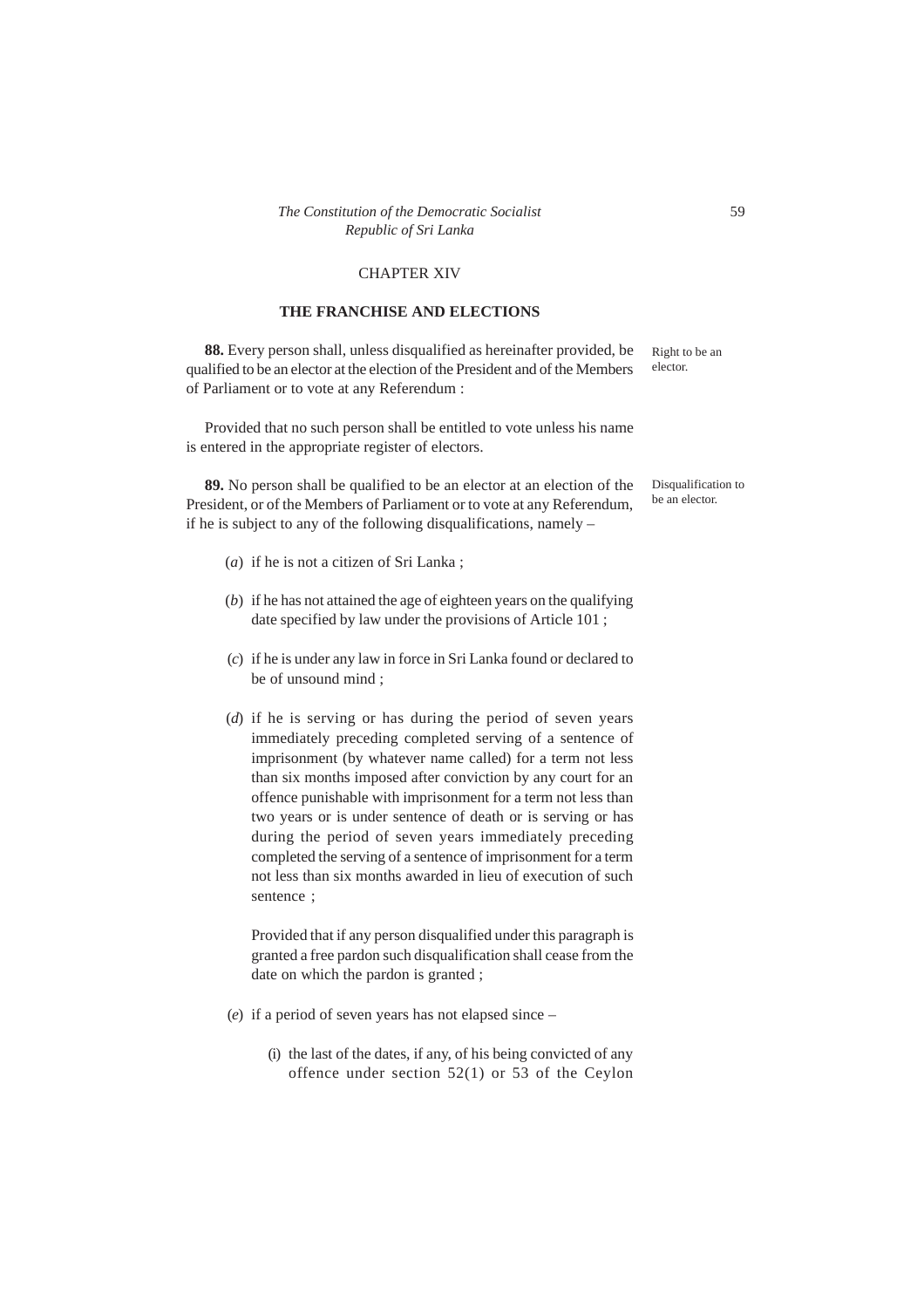## CHAPTER XIV

## **THE FRANCHISE AND ELECTIONS**

**88.** Every person shall, unless disqualified as hereinafter provided, be qualified to be an elector at the election of the President and of the Members of Parliament or to vote at any Referendum : Right to be an elector.

Provided that no such person shall be entitled to vote unless his name is entered in the appropriate register of electors.

**89.** No person shall be qualified to be an elector at an election of the President, or of the Members of Parliament or to vote at any Referendum, if he is subject to any of the following disqualifications, namely –

Disqualification to

be an elector.

- (*a*) if he is not a citizen of Sri Lanka ;
- (*b*) if he has not attained the age of eighteen years on the qualifying date specified by law under the provisions of Article 101 ;
- (*c*) if he is under any law in force in Sri Lanka found or declared to be of unsound mind ;
- (*d*) if he is serving or has during the period of seven years immediately preceding completed serving of a sentence of imprisonment (by whatever name called) for a term not less than six months imposed after conviction by any court for an offence punishable with imprisonment for a term not less than two years or is under sentence of death or is serving or has during the period of seven years immediately preceding completed the serving of a sentence of imprisonment for a term not less than six months awarded in lieu of execution of such sentence ;

Provided that if any person disqualified under this paragraph is granted a free pardon such disqualification shall cease from the date on which the pardon is granted ;

- (*e*) if a period of seven years has not elapsed since
	- (i) the last of the dates, if any, of his being convicted of any offence under section 52(1) or 53 of the Ceylon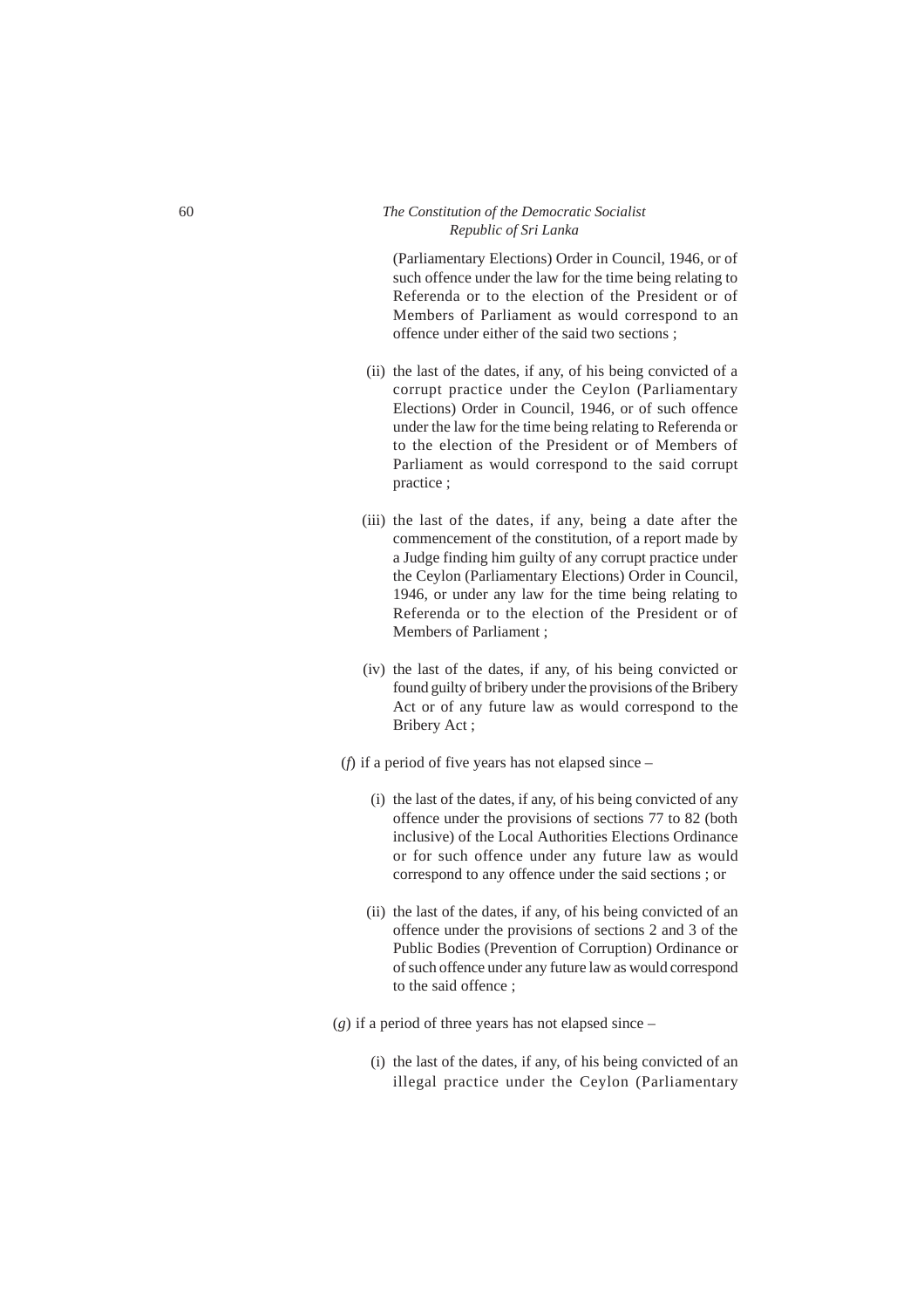(Parliamentary Elections) Order in Council, 1946, or of such offence under the law for the time being relating to Referenda or to the election of the President or of Members of Parliament as would correspond to an offence under either of the said two sections ;

- (ii) the last of the dates, if any, of his being convicted of a corrupt practice under the Ceylon (Parliamentary Elections) Order in Council, 1946, or of such offence under the law for the time being relating to Referenda or to the election of the President or of Members of Parliament as would correspond to the said corrupt practice ;
- (iii) the last of the dates, if any, being a date after the commencement of the constitution, of a report made by a Judge finding him guilty of any corrupt practice under the Ceylon (Parliamentary Elections) Order in Council, 1946, or under any law for the time being relating to Referenda or to the election of the President or of Members of Parliament ;
- (iv) the last of the dates, if any, of his being convicted or found guilty of bribery under the provisions of the Bribery Act or of any future law as would correspond to the Bribery Act ;
- (*f*) if a period of five years has not elapsed since
	- (i) the last of the dates, if any, of his being convicted of any offence under the provisions of sections 77 to 82 (both inclusive) of the Local Authorities Elections Ordinance or for such offence under any future law as would correspond to any offence under the said sections ; or
	- (ii) the last of the dates, if any, of his being convicted of an offence under the provisions of sections 2 and 3 of the Public Bodies (Prevention of Corruption) Ordinance or of such offence under any future law as would correspond to the said offence ;
- (*g*) if a period of three years has not elapsed since
	- (i) the last of the dates, if any, of his being convicted of an illegal practice under the Ceylon (Parliamentary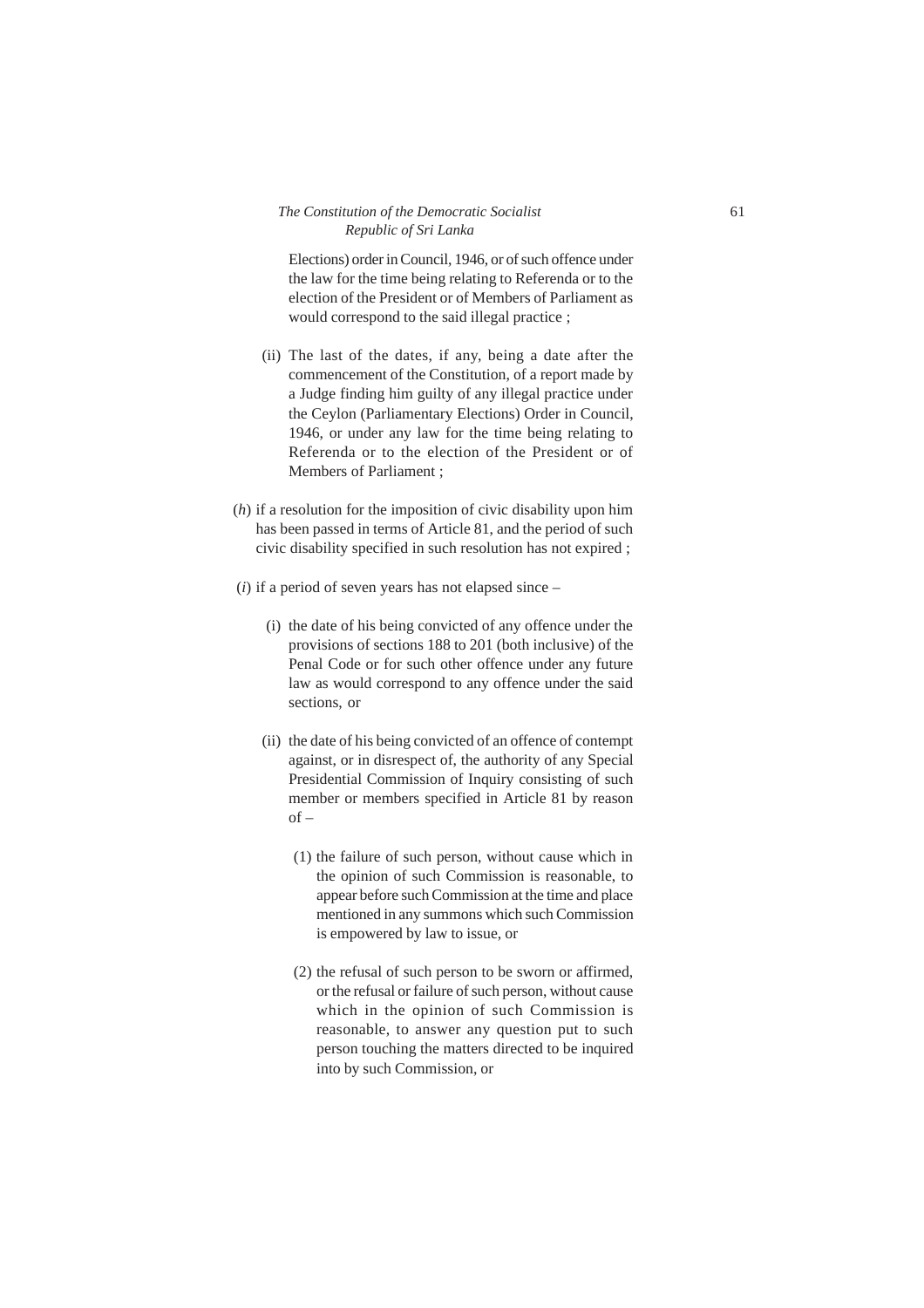Elections) order in Council, 1946, or of such offence under the law for the time being relating to Referenda or to the election of the President or of Members of Parliament as would correspond to the said illegal practice ;

- (ii) The last of the dates, if any, being a date after the commencement of the Constitution, of a report made by a Judge finding him guilty of any illegal practice under the Ceylon (Parliamentary Elections) Order in Council, 1946, or under any law for the time being relating to Referenda or to the election of the President or of Members of Parliament ;
- (*h*) if a resolution for the imposition of civic disability upon him has been passed in terms of Article 81, and the period of such civic disability specified in such resolution has not expired ;
- (*i*) if a period of seven years has not elapsed since
	- (i) the date of his being convicted of any offence under the provisions of sections 188 to 201 (both inclusive) of the Penal Code or for such other offence under any future law as would correspond to any offence under the said sections, or
	- (ii) the date of his being convicted of an offence of contempt against, or in disrespect of, the authority of any Special Presidential Commission of Inquiry consisting of such member or members specified in Article 81 by reason  $of -$ 
		- (1) the failure of such person, without cause which in the opinion of such Commission is reasonable, to appear before such Commission at the time and place mentioned in any summons which such Commission is empowered by law to issue, or
		- (2) the refusal of such person to be sworn or affirmed, or the refusal or failure of such person, without cause which in the opinion of such Commission is reasonable, to answer any question put to such person touching the matters directed to be inquired into by such Commission, or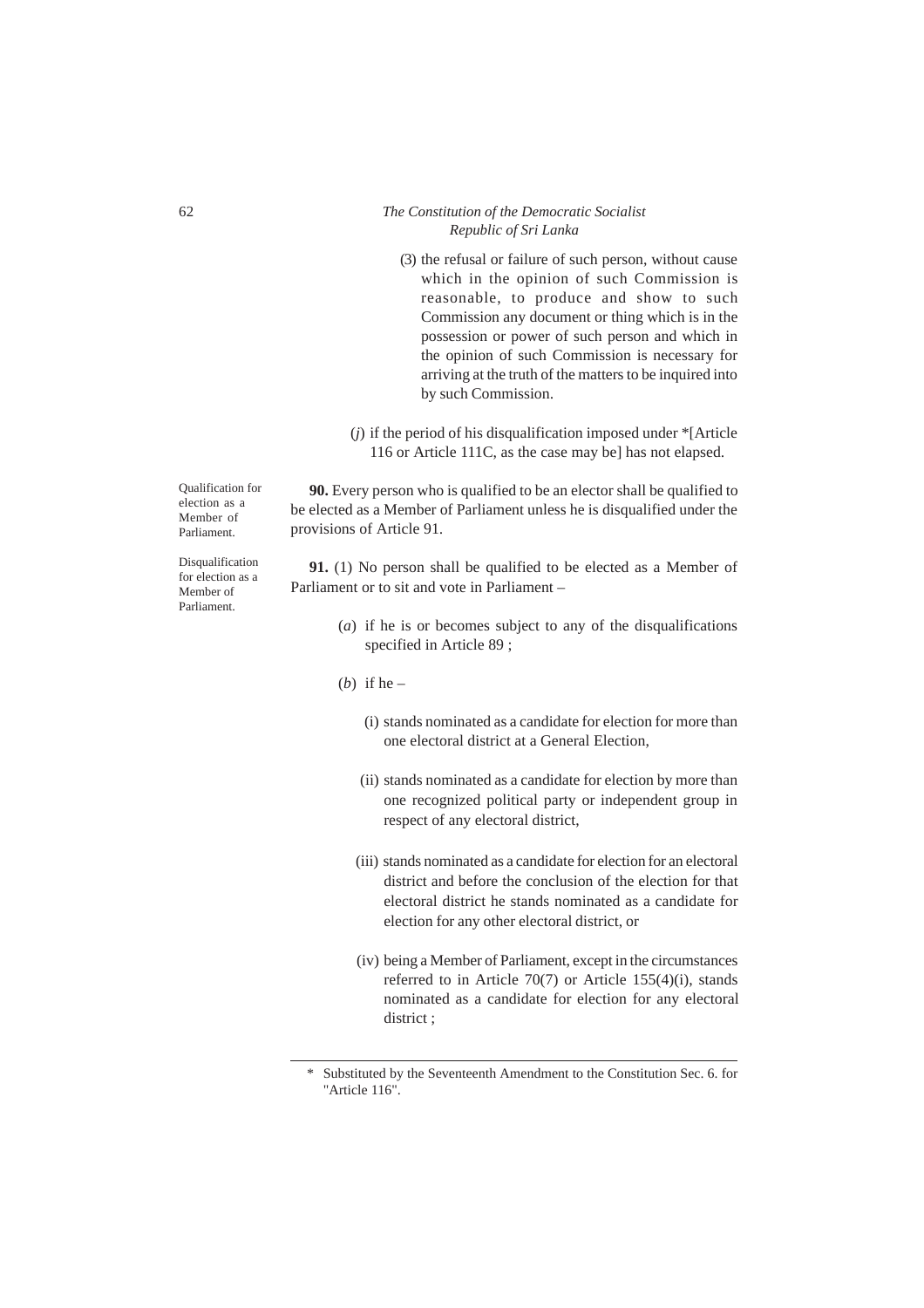- (3) the refusal or failure of such person, without cause which in the opinion of such Commission is reasonable, to produce and show to such Commission any document or thing which is in the possession or power of such person and which in the opinion of such Commission is necessary for arriving at the truth of the matters to be inquired into by such Commission.
- (*j*) if the period of his disqualification imposed under \*[Article 116 or Article 111C, as the case may be] has not elapsed.

**90.** Every person who is qualified to be an elector shall be qualified to be elected as a Member of Parliament unless he is disqualified under the provisions of Article 91.

**91.** (1) No person shall be qualified to be elected as a Member of Parliament or to sit and vote in Parliament –

- (*a*) if he is or becomes subject to any of the disqualifications specified in Article 89 ;
- (*b*) if he
	- (i) stands nominated as a candidate for election for more than one electoral district at a General Election,
	- (ii) stands nominated as a candidate for election by more than one recognized political party or independent group in respect of any electoral district,
	- (iii) stands nominated as a candidate for election for an electoral district and before the conclusion of the election for that electoral district he stands nominated as a candidate for election for any other electoral district, or
	- (iv) being a Member of Parliament, except in the circumstances referred to in Article 70(7) or Article 155(4)(i), stands nominated as a candidate for election for any electoral district;

Qualification for election as a Member of Parliament.

Disqualification for election as a Member of Parliament.

Substituted by the Seventeenth Amendment to the Constitution Sec. 6. for "Article 116".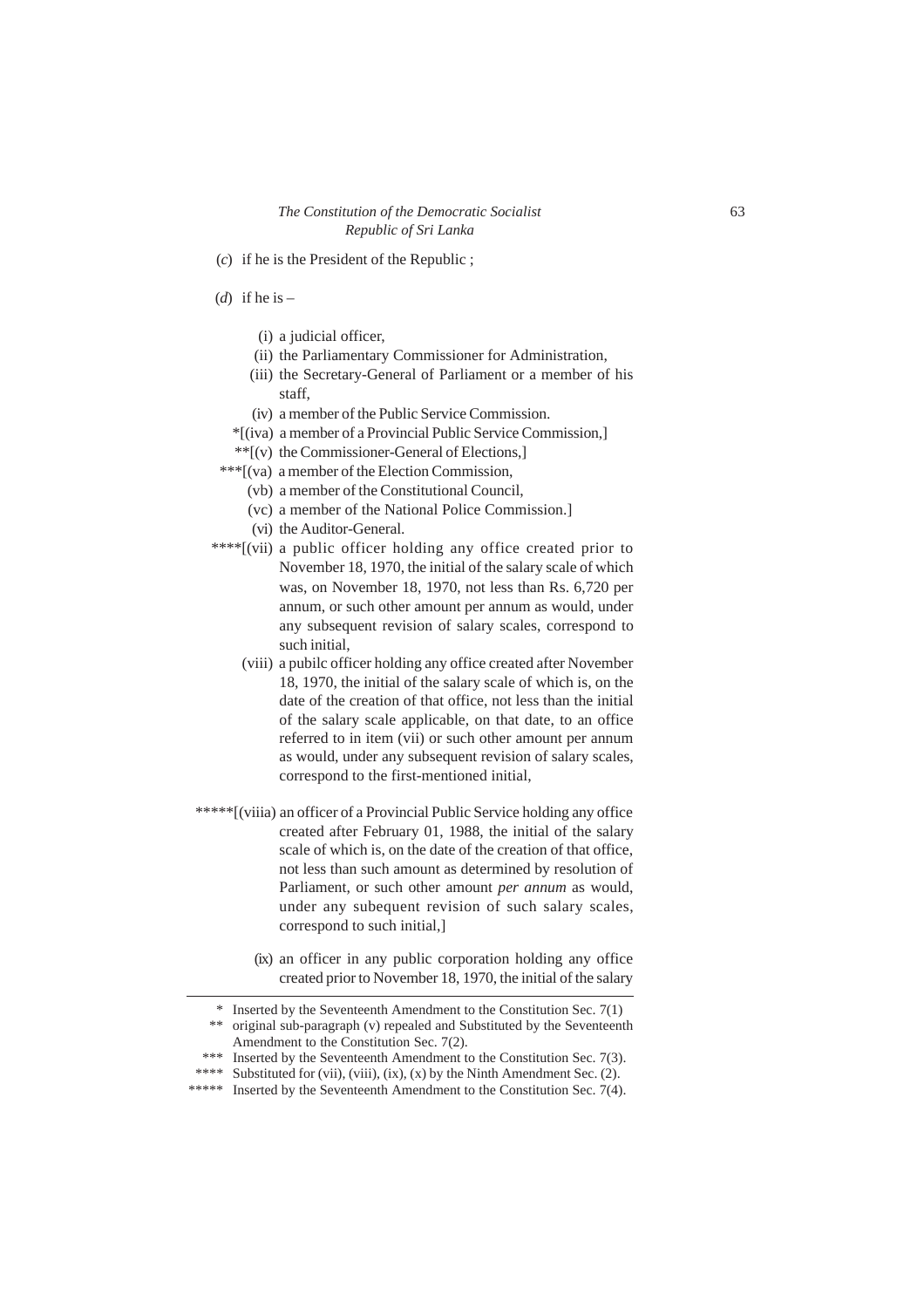- (*c*) if he is the President of the Republic ;
- (*d*) if he is
	- (i) a judicial officer,
	- (ii) the Parliamentary Commissioner for Administration,
	- (iii) the Secretary-General of Parliament or a member of his staff,
	- (iv) a member of the Public Service Commission.
	- \*[(iva) a member of a Provincial Public Service Commission,]
	- \*\*[(v) the Commissioner-General of Elections,]
- \*\*\*[(va) a member of the Election Commission,
	- (vb) a member of the Constitutional Council,
	- (vc) a member of the National Police Commission.]
	- (vi) the Auditor-General.
- \*\*\*\*[(vii) a public officer holding any office created prior to November 18, 1970, the initial of the salary scale of which was, on November 18, 1970, not less than Rs. 6,720 per annum, or such other amount per annum as would, under any subsequent revision of salary scales, correspond to such initial,
	- (viii) a pubilc officer holding any office created after November 18, 1970, the initial of the salary scale of which is, on the date of the creation of that office, not less than the initial of the salary scale applicable, on that date, to an office referred to in item (vii) or such other amount per annum as would, under any subsequent revision of salary scales, correspond to the first-mentioned initial,
- \*\*\*\*\*[(viiia) an officer of a Provincial Public Service holding any office created after February 01, 1988, the initial of the salary scale of which is, on the date of the creation of that office, not less than such amount as determined by resolution of Parliament, or such other amount *per annum* as would, under any subequent revision of such salary scales, correspond to such initial,]
	- (ix) an officer in any public corporation holding any office created prior to November 18, 1970, the initial of the salary

\*\*\*\*\* Inserted by the Seventeenth Amendment to the Constitution Sec. 7(4).

<sup>\*</sup> Inserted by the Seventeenth Amendment to the Constitution Sec. 7(1)

<sup>\*\*</sup> original sub-paragraph (v) repealed and Substituted by the Seventeenth Amendment to the Constitution Sec. 7(2).

<sup>\*\*\*</sup> Inserted by the Seventeenth Amendment to the Constitution Sec. 7(3).

Substituted for (vii), (viii),  $(ix)$ ,  $(x)$  by the Ninth Amendment Sec. (2).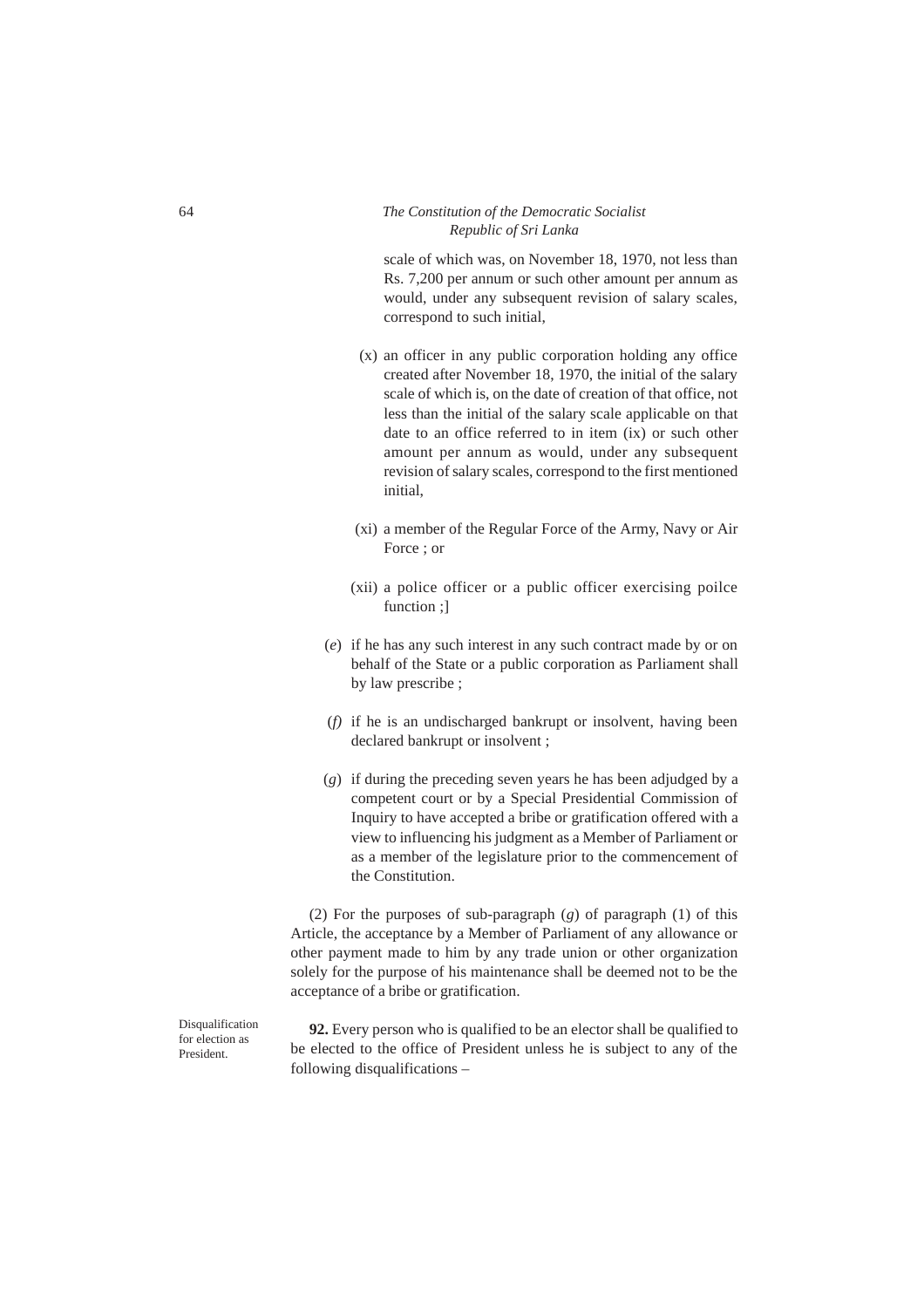scale of which was, on November 18, 1970, not less than Rs. 7,200 per annum or such other amount per annum as would, under any subsequent revision of salary scales, correspond to such initial,

- (x) an officer in any public corporation holding any office created after November 18, 1970, the initial of the salary scale of which is, on the date of creation of that office, not less than the initial of the salary scale applicable on that date to an office referred to in item (ix) or such other amount per annum as would, under any subsequent revision of salary scales, correspond to the first mentioned initial,
- (xi) a member of the Regular Force of the Army, Navy or Air Force ; or
- (xii) a police officer or a public officer exercising poilce function ;]
- (*e*) if he has any such interest in any such contract made by or on behalf of the State or a public corporation as Parliament shall by law prescribe ;
- (*f)* if he is an undischarged bankrupt or insolvent, having been declared bankrupt or insolvent ;
- (*g*) if during the preceding seven years he has been adjudged by a competent court or by a Special Presidential Commission of Inquiry to have accepted a bribe or gratification offered with a view to influencing his judgment as a Member of Parliament or as a member of the legislature prior to the commencement of the Constitution.

(2) For the purposes of sub-paragraph (*g*) of paragraph (1) of this Article, the acceptance by a Member of Parliament of any allowance or other payment made to him by any trade union or other organization solely for the purpose of his maintenance shall be deemed not to be the acceptance of a bribe or gratification.

Disqualification for election as President.

**92.** Every person who is qualified to be an elector shall be qualified to be elected to the office of President unless he is subject to any of the following disqualifications –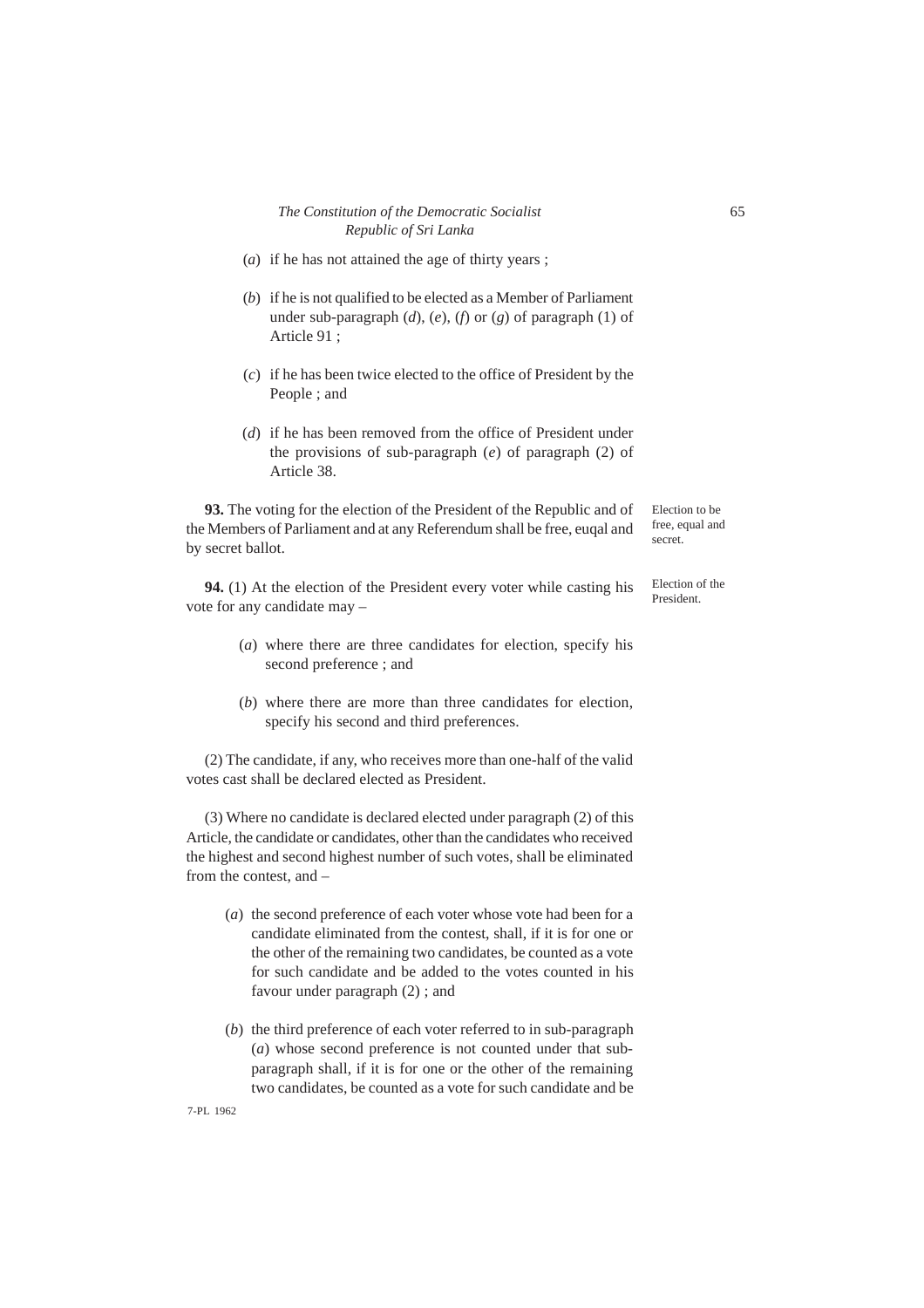- (*a*) if he has not attained the age of thirty years ;
- (*b*) if he is not qualified to be elected as a Member of Parliament under sub-paragraph (*d*), (*e*), (*f*) or (*g*) of paragraph (1) of Article 91 ;
- (*c*) if he has been twice elected to the office of President by the People ; and
- (*d*) if he has been removed from the office of President under the provisions of sub-paragraph (*e*) of paragraph (2) of Article 38.

**93.** The voting for the election of the President of the Republic and of the Members of Parliament and at any Referendum shall be free, euqal and by secret ballot.

**94.** (1) At the election of the President every voter while casting his vote for any candidate may –

- (*a*) where there are three candidates for election, specify his second preference ; and
- (*b*) where there are more than three candidates for election, specify his second and third preferences.

(2) The candidate, if any, who receives more than one-half of the valid votes cast shall be declared elected as President.

(3) Where no candidate is declared elected under paragraph (2) of this Article, the candidate or candidates, other than the candidates who received the highest and second highest number of such votes, shall be eliminated from the contest, and –

- (*a*) the second preference of each voter whose vote had been for a candidate eliminated from the contest, shall, if it is for one or the other of the remaining two candidates, be counted as a vote for such candidate and be added to the votes counted in his favour under paragraph (2) ; and
- (*b*) the third preference of each voter referred to in sub-paragraph (*a*) whose second preference is not counted under that subparagraph shall, if it is for one or the other of the remaining two candidates, be counted as a vote for such candidate and be

7-PL 1962

Election to be free, equal and secret.

Election of the President.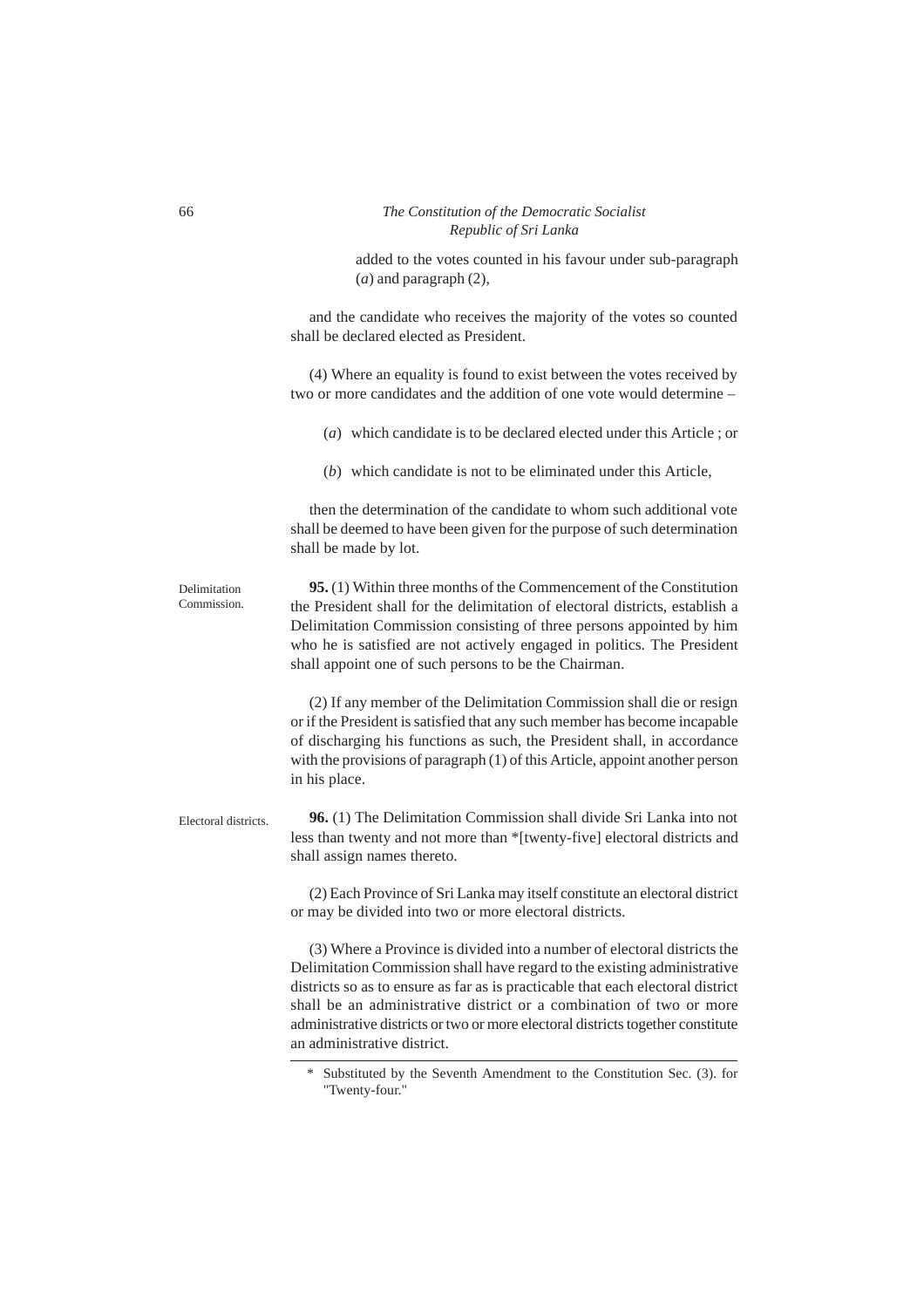added to the votes counted in his favour under sub-paragraph (*a*) and paragraph (2),

and the candidate who receives the majority of the votes so counted shall be declared elected as President.

(4) Where an equality is found to exist between the votes received by two or more candidates and the addition of one vote would determine –

(*a*) which candidate is to be declared elected under this Article ; or

(*b*) which candidate is not to be eliminated under this Article,

then the determination of the candidate to whom such additional vote shall be deemed to have been given for the purpose of such determination shall be made by lot.

**95.** (1) Within three months of the Commencement of the Constitution the President shall for the delimitation of electoral districts, establish a Delimitation Commission consisting of three persons appointed by him who he is satisfied are not actively engaged in politics. The President shall appoint one of such persons to be the Chairman.

(2) If any member of the Delimitation Commission shall die or resign or if the President is satisfied that any such member has become incapable of discharging his functions as such, the President shall, in accordance with the provisions of paragraph (1) of this Article, appoint another person in his place.

**96.** (1) The Delimitation Commission shall divide Sri Lanka into not less than twenty and not more than \*[twenty-five] electoral districts and shall assign names thereto. Electoral districts.

> (2) Each Province of Sri Lanka may itself constitute an electoral district or may be divided into two or more electoral districts.

> (3) Where a Province is divided into a number of electoral districts the Delimitation Commission shall have regard to the existing administrative districts so as to ensure as far as is practicable that each electoral district shall be an administrative district or a combination of two or more administrative districts or two or more electoral districts together constitute an administrative district.

Delimitation Commission.

Substituted by the Seventh Amendment to the Constitution Sec. (3). for "Twenty-four."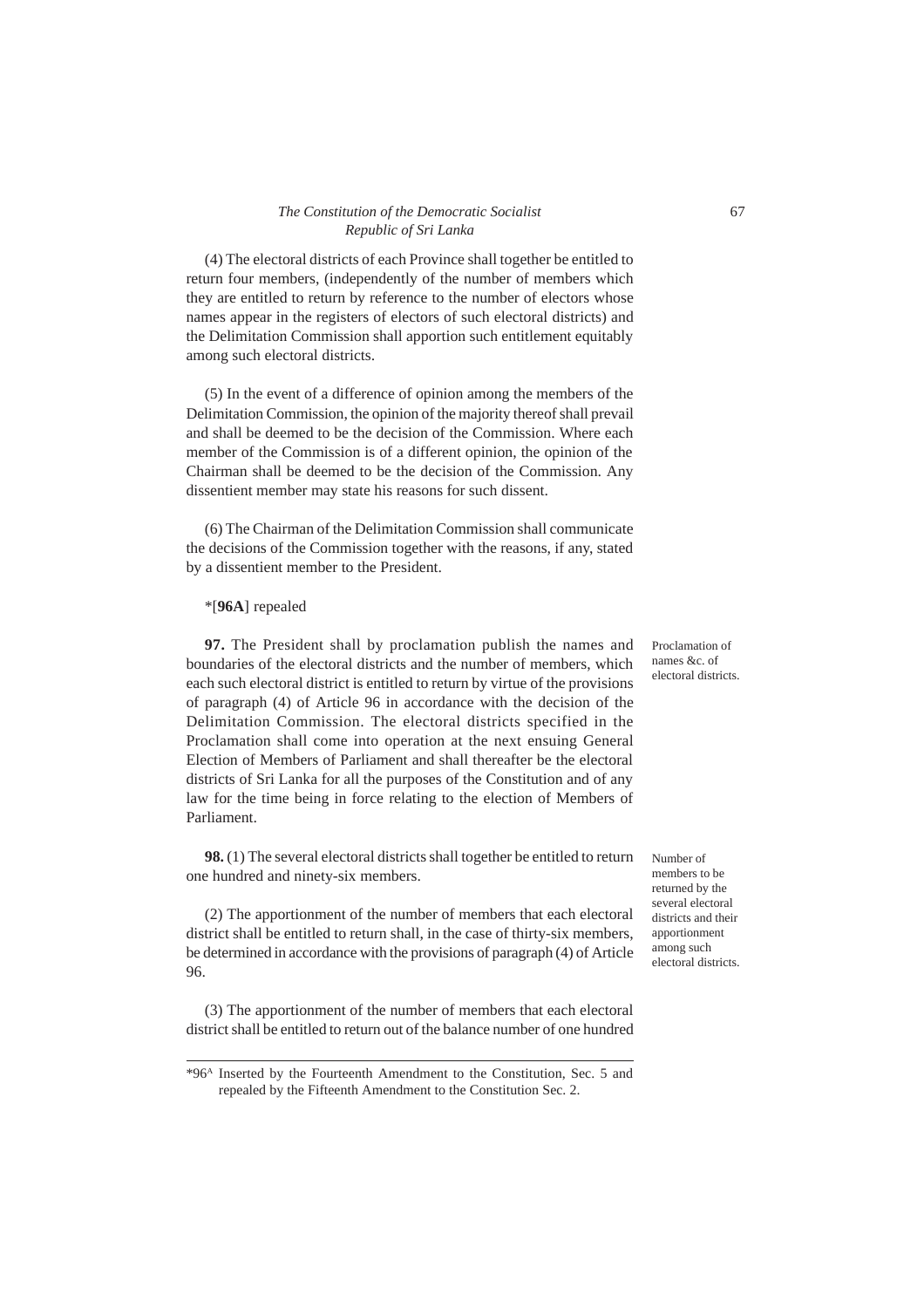(4) The electoral districts of each Province shall together be entitled to return four members, (independently of the number of members which they are entitled to return by reference to the number of electors whose names appear in the registers of electors of such electoral districts) and the Delimitation Commission shall apportion such entitlement equitably among such electoral districts.

(5) In the event of a difference of opinion among the members of the Delimitation Commission, the opinion of the majority thereof shall prevail and shall be deemed to be the decision of the Commission. Where each member of the Commission is of a different opinion, the opinion of the Chairman shall be deemed to be the decision of the Commission. Any dissentient member may state his reasons for such dissent.

(6) The Chairman of the Delimitation Commission shall communicate the decisions of the Commission together with the reasons, if any, stated by a dissentient member to the President.

## \*[**96A**] repealed

**97.** The President shall by proclamation publish the names and boundaries of the electoral districts and the number of members, which each such electoral district is entitled to return by virtue of the provisions of paragraph (4) of Article 96 in accordance with the decision of the Delimitation Commission. The electoral districts specified in the Proclamation shall come into operation at the next ensuing General Election of Members of Parliament and shall thereafter be the electoral districts of Sri Lanka for all the purposes of the Constitution and of any law for the time being in force relating to the election of Members of Parliament.

**98.** (1) The several electoral districts shall together be entitled to return one hundred and ninety-six members.

(2) The apportionment of the number of members that each electoral district shall be entitled to return shall, in the case of thirty-six members, be determined in accordance with the provisions of paragraph (4) of Article 96.

(3) The apportionment of the number of members that each electoral district shall be entitled to return out of the balance number of one hundred

Proclamation of names &c. of electoral districts.

Number of members to be returned by the several electoral districts and their apportionment among such electoral districts.

<sup>\*96</sup>A Inserted by the Fourteenth Amendment to the Constitution, Sec. 5 and repealed by the Fifteenth Amendment to the Constitution Sec. 2.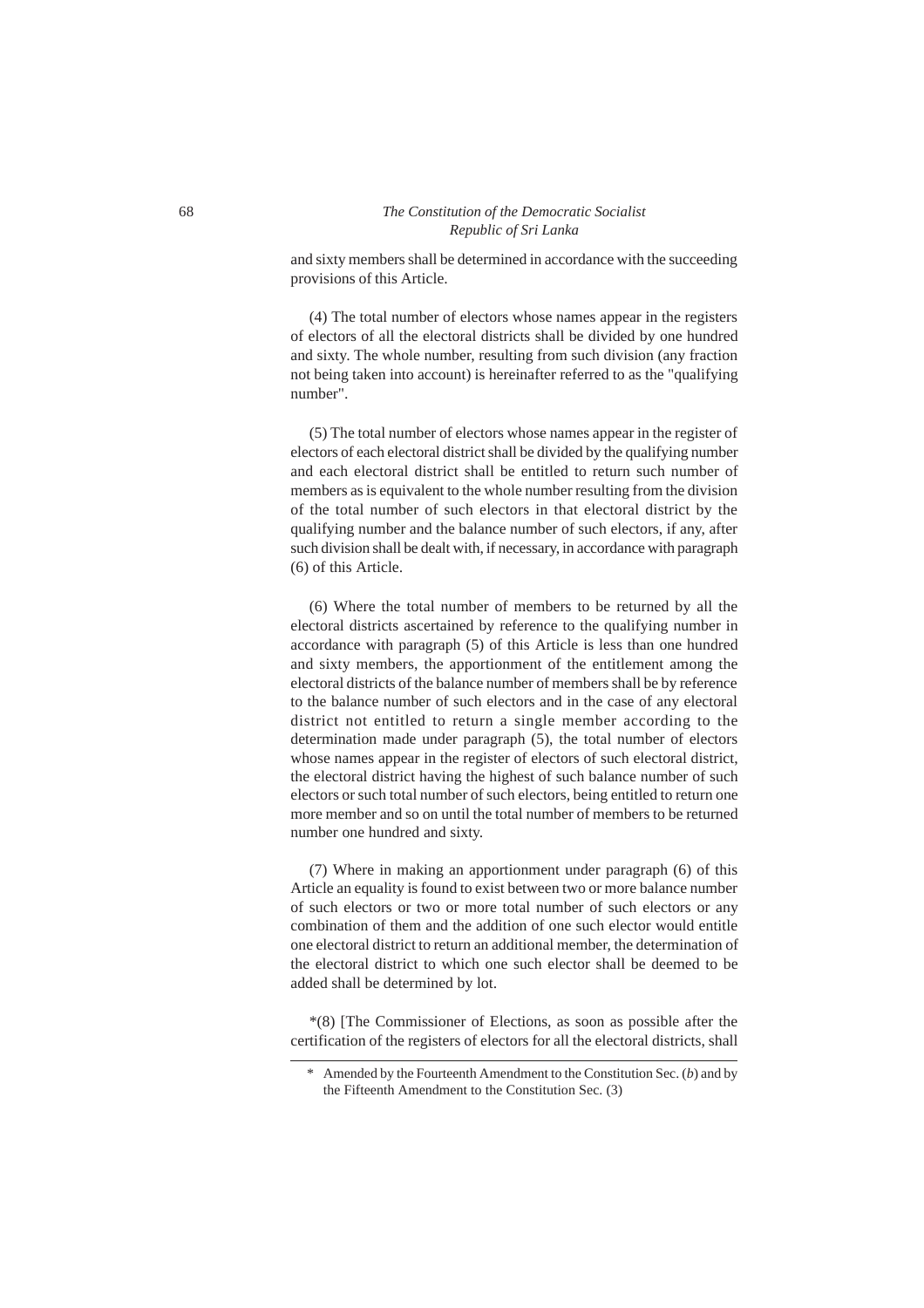and sixty members shall be determined in accordance with the succeeding provisions of this Article.

(4) The total number of electors whose names appear in the registers of electors of all the electoral districts shall be divided by one hundred and sixty. The whole number, resulting from such division (any fraction not being taken into account) is hereinafter referred to as the "qualifying number".

(5) The total number of electors whose names appear in the register of electors of each electoral district shall be divided by the qualifying number and each electoral district shall be entitled to return such number of members as is equivalent to the whole number resulting from the division of the total number of such electors in that electoral district by the qualifying number and the balance number of such electors, if any, after such division shall be dealt with, if necessary, in accordance with paragraph (6) of this Article.

(6) Where the total number of members to be returned by all the electoral districts ascertained by reference to the qualifying number in accordance with paragraph (5) of this Article is less than one hundred and sixty members, the apportionment of the entitlement among the electoral districts of the balance number of members shall be by reference to the balance number of such electors and in the case of any electoral district not entitled to return a single member according to the determination made under paragraph (5), the total number of electors whose names appear in the register of electors of such electoral district, the electoral district having the highest of such balance number of such electors or such total number of such electors, being entitled to return one more member and so on until the total number of members to be returned number one hundred and sixty.

(7) Where in making an apportionment under paragraph (6) of this Article an equality is found to exist between two or more balance number of such electors or two or more total number of such electors or any combination of them and the addition of one such elector would entitle one electoral district to return an additional member, the determination of the electoral district to which one such elector shall be deemed to be added shall be determined by lot.

\*(8) [The Commissioner of Elections, as soon as possible after the certification of the registers of electors for all the electoral districts, shall

<sup>\*</sup> Amended by the Fourteenth Amendment to the Constitution Sec. (*b*) and by the Fifteenth Amendment to the Constitution Sec. (3)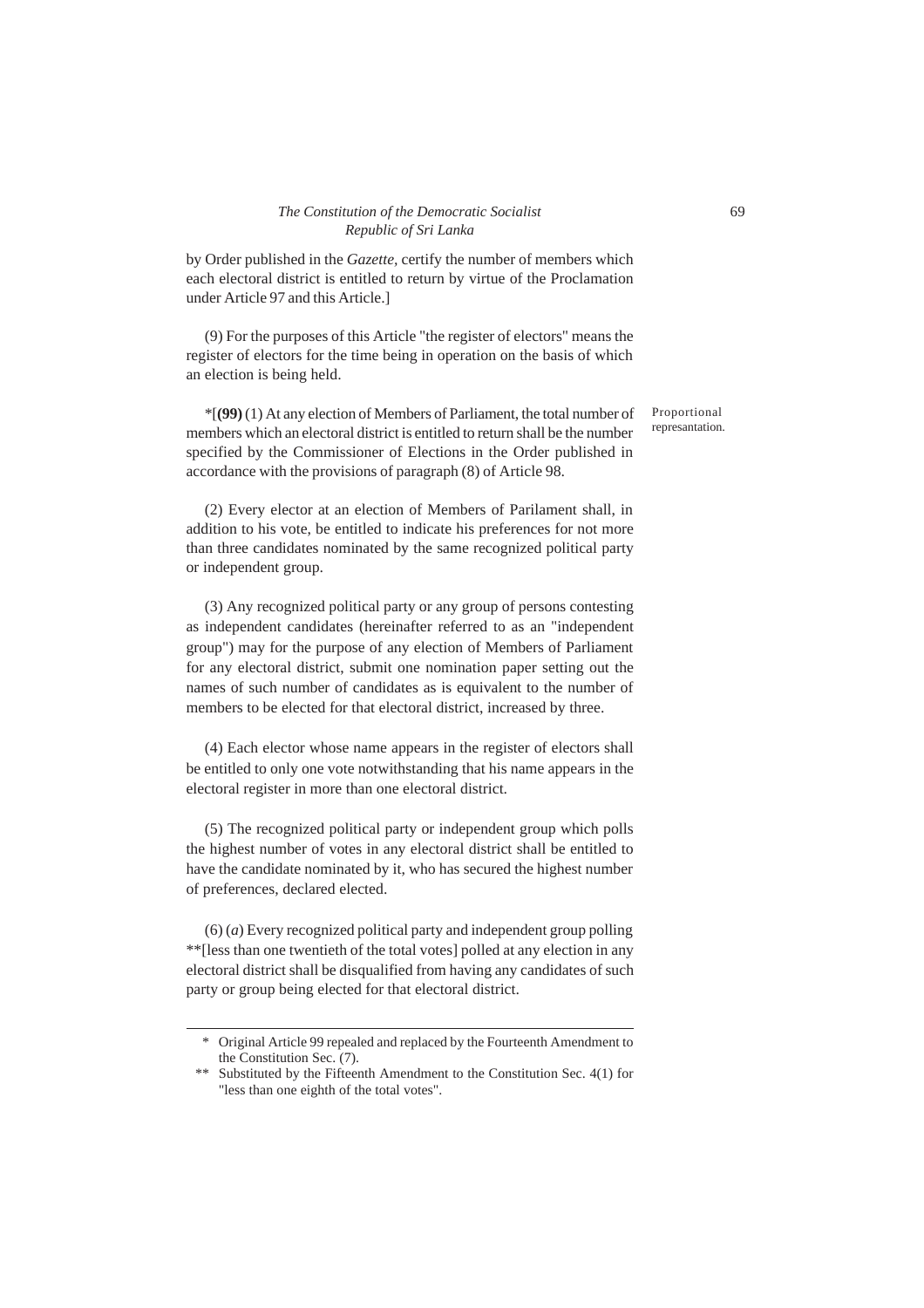by Order published in the *Gazette,* certify the number of members which each electoral district is entitled to return by virtue of the Proclamation under Article 97 and this Article.]

(9) For the purposes of this Article "the register of electors" means the register of electors for the time being in operation on the basis of which an election is being held.

\*[**(99)** (1) At any election of Members of Parliament, the total number of members which an electoral district is entitled to return shall be the number specified by the Commissioner of Elections in the Order published in accordance with the provisions of paragraph (8) of Article 98.

(2) Every elector at an election of Members of Parilament shall, in addition to his vote, be entitled to indicate his preferences for not more than three candidates nominated by the same recognized political party or independent group.

(3) Any recognized political party or any group of persons contesting as independent candidates (hereinafter referred to as an "independent group") may for the purpose of any election of Members of Parliament for any electoral district, submit one nomination paper setting out the names of such number of candidates as is equivalent to the number of members to be elected for that electoral district, increased by three.

(4) Each elector whose name appears in the register of electors shall be entitled to only one vote notwithstanding that his name appears in the electoral register in more than one electoral district.

(5) The recognized political party or independent group which polls the highest number of votes in any electoral district shall be entitled to have the candidate nominated by it, who has secured the highest number of preferences, declared elected.

(6) (*a*) Every recognized political party and independent group polling \*\*[less than one twentieth of the total votes] polled at any election in any electoral district shall be disqualified from having any candidates of such party or group being elected for that electoral district.

Proportional represantation.

<sup>\*</sup> Original Article 99 repealed and replaced by the Fourteenth Amendment to the Constitution Sec. (7).

<sup>\*\*</sup> Substituted by the Fifteenth Amendment to the Constitution Sec. 4(1) for "less than one eighth of the total votes".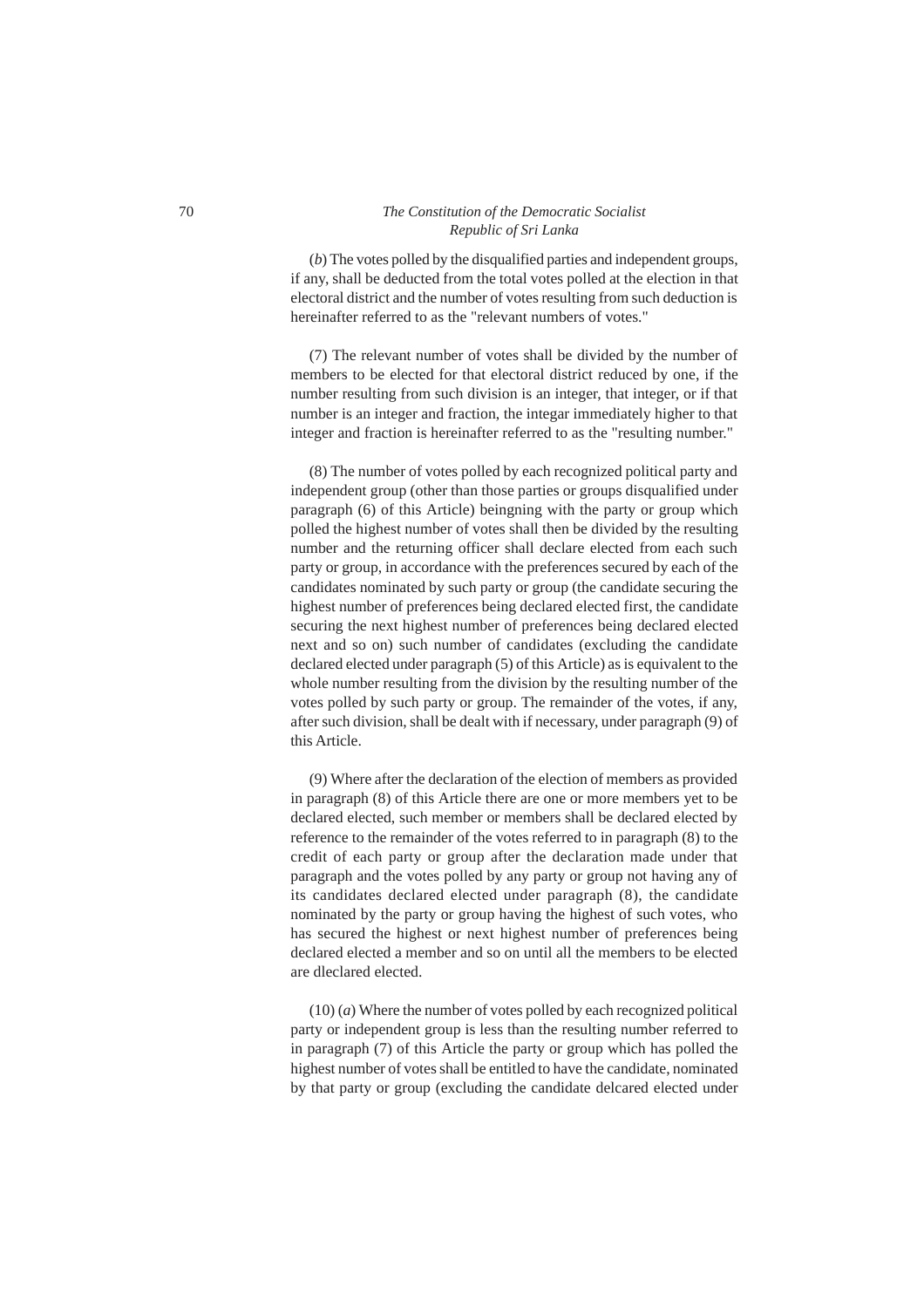(*b*) The votes polled by the disqualified parties and independent groups, if any, shall be deducted from the total votes polled at the election in that electoral district and the number of votes resulting from such deduction is hereinafter referred to as the "relevant numbers of votes."

(7) The relevant number of votes shall be divided by the number of members to be elected for that electoral district reduced by one, if the number resulting from such division is an integer, that integer, or if that number is an integer and fraction, the integar immediately higher to that integer and fraction is hereinafter referred to as the "resulting number."

(8) The number of votes polled by each recognized political party and independent group (other than those parties or groups disqualified under paragraph (6) of this Article) beingning with the party or group which polled the highest number of votes shall then be divided by the resulting number and the returning officer shall declare elected from each such party or group, in accordance with the preferences secured by each of the candidates nominated by such party or group (the candidate securing the highest number of preferences being declared elected first, the candidate securing the next highest number of preferences being declared elected next and so on) such number of candidates (excluding the candidate declared elected under paragraph (5) of this Article) as is equivalent to the whole number resulting from the division by the resulting number of the votes polled by such party or group. The remainder of the votes, if any, after such division, shall be dealt with if necessary, under paragraph (9) of this Article.

(9) Where after the declaration of the election of members as provided in paragraph (8) of this Article there are one or more members yet to be declared elected, such member or members shall be declared elected by reference to the remainder of the votes referred to in paragraph (8) to the credit of each party or group after the declaration made under that paragraph and the votes polled by any party or group not having any of its candidates declared elected under paragraph (8), the candidate nominated by the party or group having the highest of such votes, who has secured the highest or next highest number of preferences being declared elected a member and so on until all the members to be elected are dleclared elected.

(10) (*a*) Where the number of votes polled by each recognized political party or independent group is less than the resulting number referred to in paragraph (7) of this Article the party or group which has polled the highest number of votes shall be entitled to have the candidate, nominated by that party or group (excluding the candidate delcared elected under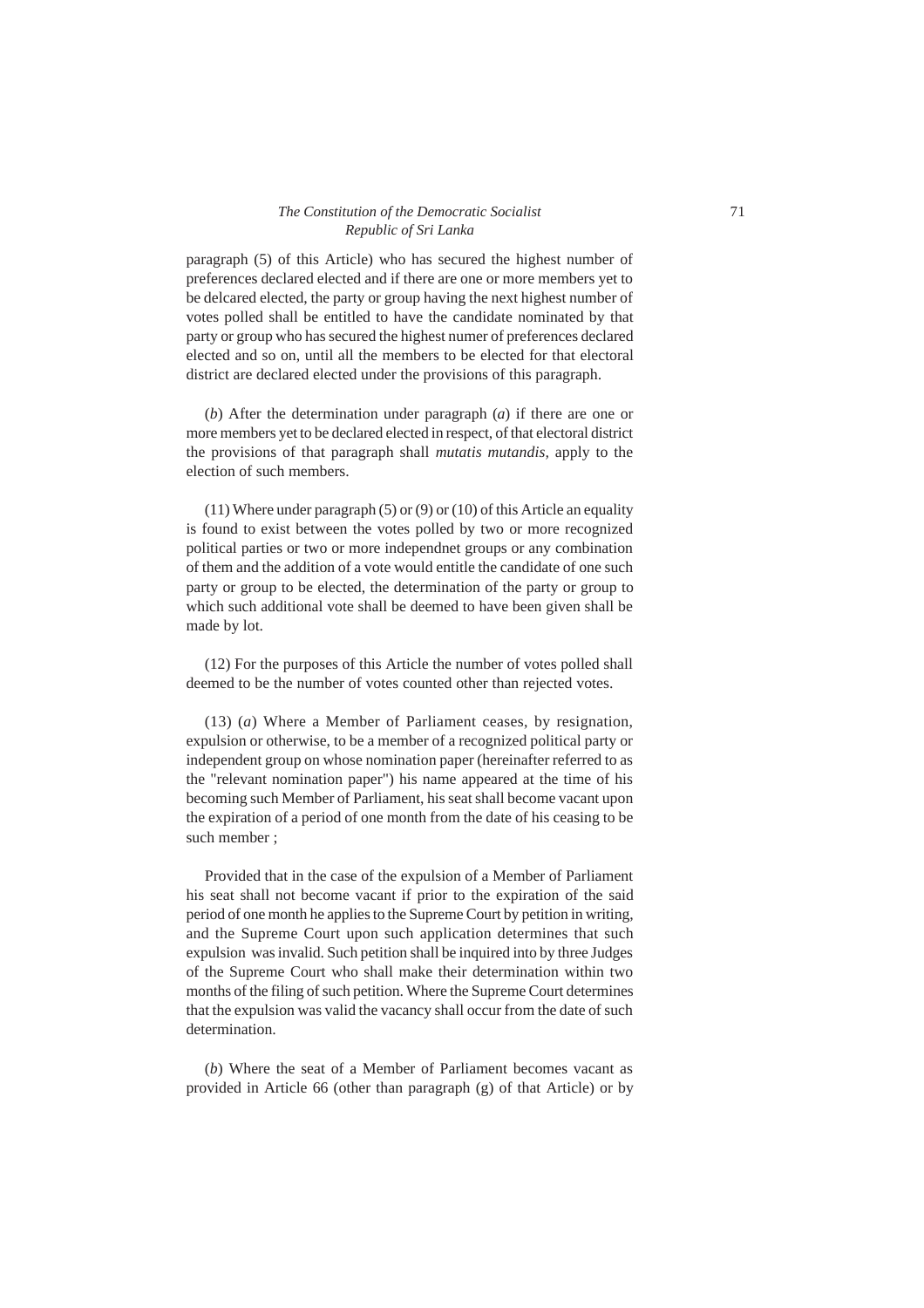paragraph (5) of this Article) who has secured the highest number of preferences declared elected and if there are one or more members yet to be delcared elected, the party or group having the next highest number of votes polled shall be entitled to have the candidate nominated by that party or group who has secured the highest numer of preferences declared elected and so on, until all the members to be elected for that electoral district are declared elected under the provisions of this paragraph.

(*b*) After the determination under paragraph (*a*) if there are one or more members yet to be declared elected in respect, of that electoral district the provisions of that paragraph shall *mutatis mutandis,* apply to the election of such members.

(11) Where under paragraph (5) or (9) or (10) of this Article an equality is found to exist between the votes polled by two or more recognized political parties or two or more independnet groups or any combination of them and the addition of a vote would entitle the candidate of one such party or group to be elected, the determination of the party or group to which such additional vote shall be deemed to have been given shall be made by lot.

(12) For the purposes of this Article the number of votes polled shall deemed to be the number of votes counted other than rejected votes.

(13) (*a*) Where a Member of Parliament ceases, by resignation, expulsion or otherwise, to be a member of a recognized political party or independent group on whose nomination paper (hereinafter referred to as the "relevant nomination paper") his name appeared at the time of his becoming such Member of Parliament, his seat shall become vacant upon the expiration of a period of one month from the date of his ceasing to be such member ;

Provided that in the case of the expulsion of a Member of Parliament his seat shall not become vacant if prior to the expiration of the said period of one month he applies to the Supreme Court by petition in writing, and the Supreme Court upon such application determines that such expulsion was invalid. Such petition shall be inquired into by three Judges of the Supreme Court who shall make their determination within two months of the filing of such petition. Where the Supreme Court determines that the expulsion was valid the vacancy shall occur from the date of such determination.

(*b*) Where the seat of a Member of Parliament becomes vacant as provided in Article 66 (other than paragraph (g) of that Article) or by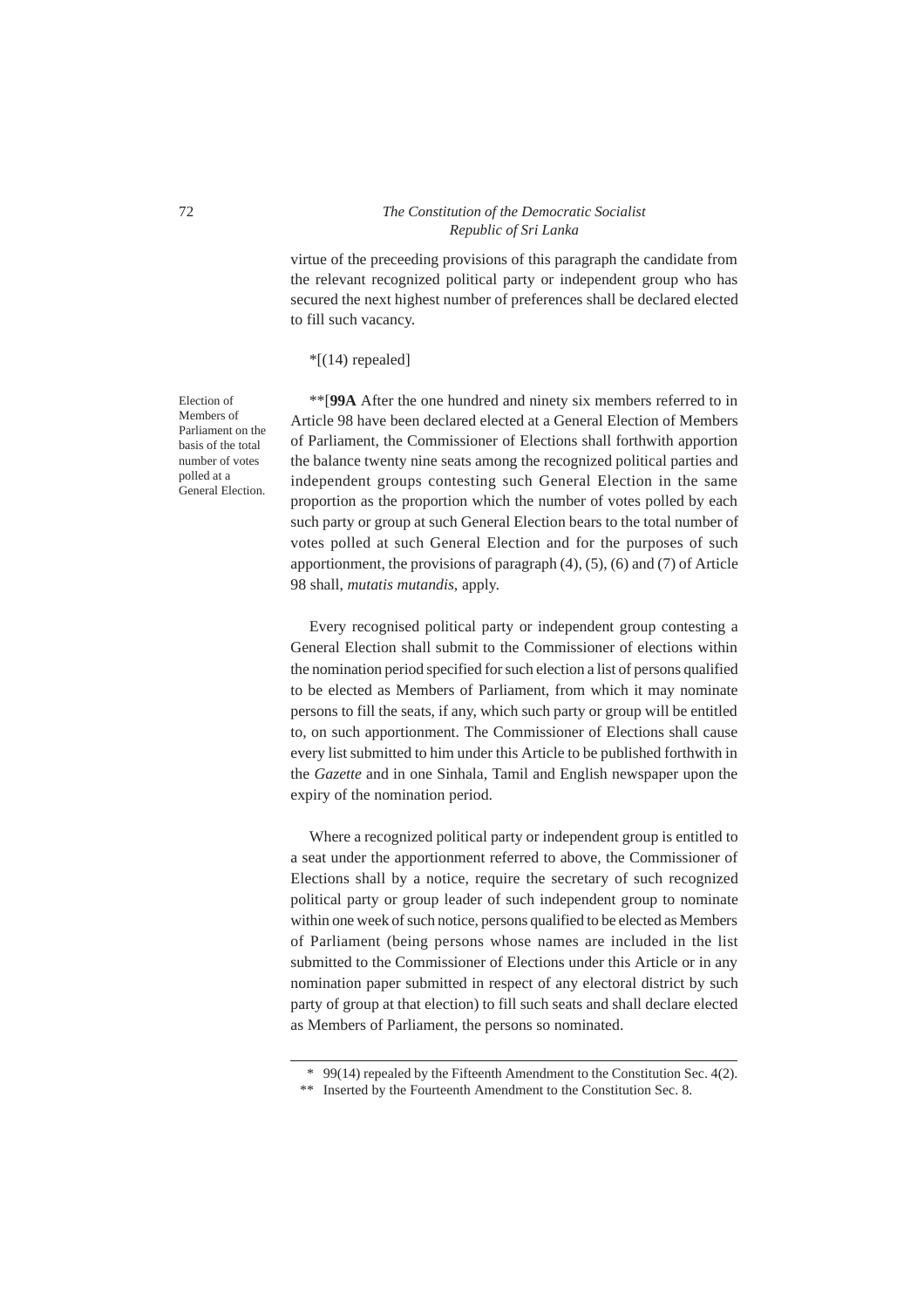virtue of the preceeding provisions of this paragraph the candidate from the relevant recognized political party or independent group who has secured the next highest number of preferences shall be declared elected to fill such vacancy.

## \*[(14) repealed]

\*\*[**99A** After the one hundred and ninety six members referred to in Article 98 have been declared elected at a General Election of Members of Parliament, the Commissioner of Elections shall forthwith apportion the balance twenty nine seats among the recognized political parties and independent groups contesting such General Election in the same proportion as the proportion which the number of votes polled by each such party or group at such General Election bears to the total number of votes polled at such General Election and for the purposes of such apportionment, the provisions of paragraph (4), (5), (6) and (7) of Article 98 shall, *mutatis mutandis,* apply.

Every recognised political party or independent group contesting a General Election shall submit to the Commissioner of elections within the nomination period specified for such election a list of persons qualified to be elected as Members of Parliament, from which it may nominate persons to fill the seats, if any, which such party or group will be entitled to, on such apportionment. The Commissioner of Elections shall cause every list submitted to him under this Article to be published forthwith in the *Gazette* and in one Sinhala, Tamil and English newspaper upon the expiry of the nomination period.

Where a recognized political party or independent group is entitled to a seat under the apportionment referred to above, the Commissioner of Elections shall by a notice, require the secretary of such recognized political party or group leader of such independent group to nominate within one week of such notice, persons qualified to be elected as Members of Parliament (being persons whose names are included in the list submitted to the Commissioner of Elections under this Article or in any nomination paper submitted in respect of any electoral district by such party of group at that election) to fill such seats and shall declare elected as Members of Parliament, the persons so nominated.

Election of Members of Parliament on the basis of the total number of votes polled at a General Election.

<sup>\* 99(14)</sup> repealed by the Fifteenth Amendment to the Constitution Sec. 4(2).

<sup>\*\*</sup> Inserted by the Fourteenth Amendment to the Constitution Sec. 8.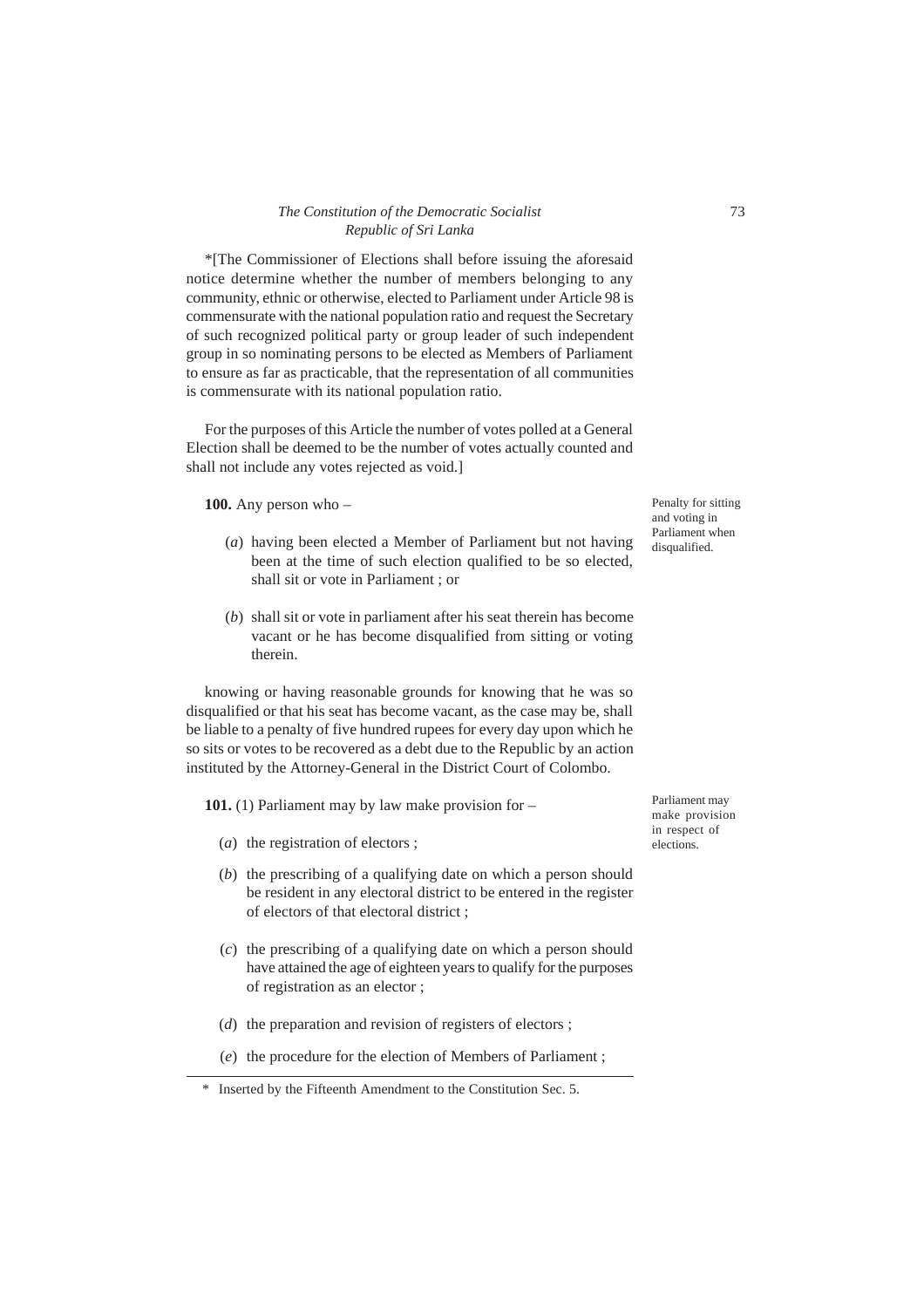\*[The Commissioner of Elections shall before issuing the aforesaid notice determine whether the number of members belonging to any community, ethnic or otherwise, elected to Parliament under Article 98 is commensurate with the national population ratio and request the Secretary of such recognized political party or group leader of such independent group in so nominating persons to be elected as Members of Parliament to ensure as far as practicable, that the representation of all communities is commensurate with its national population ratio.

For the purposes of this Article the number of votes polled at a General Election shall be deemed to be the number of votes actually counted and shall not include any votes rejected as void.]

**100.** Any person who –

- (*a*) having been elected a Member of Parliament but not having been at the time of such election qualified to be so elected, shall sit or vote in Parliament ; or
- (*b*) shall sit or vote in parliament after his seat therein has become vacant or he has become disqualified from sitting or voting therein.

knowing or having reasonable grounds for knowing that he was so disqualified or that his seat has become vacant, as the case may be, shall be liable to a penalty of five hundred rupees for every day upon which he so sits or votes to be recovered as a debt due to the Republic by an action instituted by the Attorney-General in the District Court of Colombo.

**101.** (1) Parliament may by law make provision for –

- (*a*) the registration of electors ;
- (*b*) the prescribing of a qualifying date on which a person should be resident in any electoral district to be entered in the register of electors of that electoral district ;
- (*c*) the prescribing of a qualifying date on which a person should have attained the age of eighteen years to qualify for the purposes of registration as an elector ;
- (*d*) the preparation and revision of registers of electors ;
- (*e*) the procedure for the election of Members of Parliament ;

Penalty for sitting and voting in Parliament when disqualified.

Parliament may make provision in respect of elections.

<sup>\*</sup> Inserted by the Fifteenth Amendment to the Constitution Sec. 5.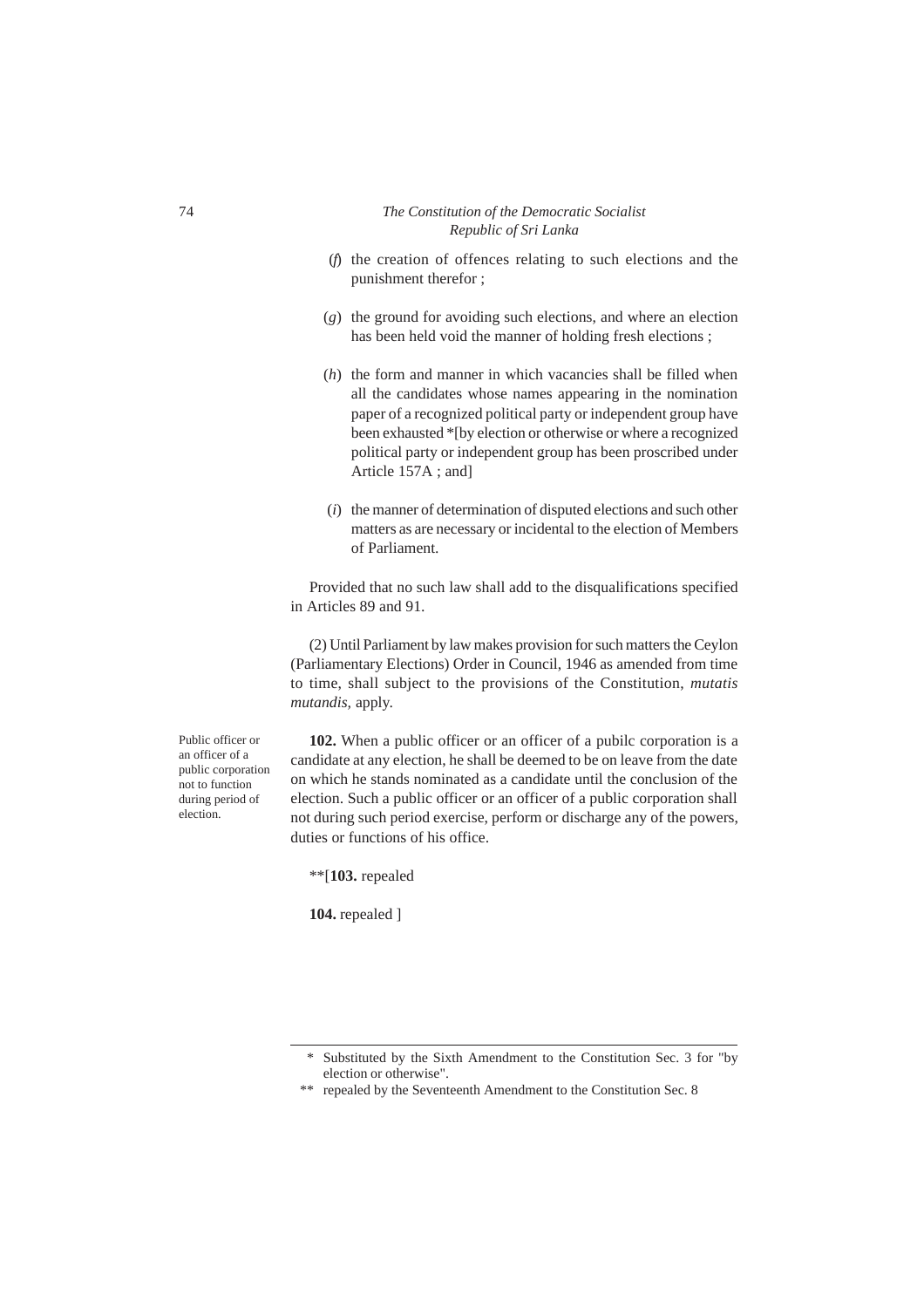- (*f*) the creation of offences relating to such elections and the punishment therefor ;
- (*g*) the ground for avoiding such elections, and where an election has been held void the manner of holding fresh elections ;
- (*h*) the form and manner in which vacancies shall be filled when all the candidates whose names appearing in the nomination paper of a recognized political party or independent group have been exhausted \*[by election or otherwise or where a recognized political party or independent group has been proscribed under Article 157A ; and]
- (*i*) the manner of determination of disputed elections and such other matters as are necessary or incidental to the election of Members of Parliament.

Provided that no such law shall add to the disqualifications specified in Articles 89 and 91.

(2) Until Parliament by law makes provision for such matters the Ceylon (Parliamentary Elections) Order in Council, 1946 as amended from time to time, shall subject to the provisions of the Constitution, *mutatis mutandis,* apply.

Public officer or an officer of a public corporation not to function during period of election.

**102.** When a public officer or an officer of a pubilc corporation is a candidate at any election, he shall be deemed to be on leave from the date on which he stands nominated as a candidate until the conclusion of the election. Such a public officer or an officer of a public corporation shall not during such period exercise, perform or discharge any of the powers, duties or functions of his office.

\*\*[**103.** repealed

**104.** repealed ]

<sup>\*</sup> Substituted by the Sixth Amendment to the Constitution Sec. 3 for "by election or otherwise".

<sup>\*\*</sup> repealed by the Seventeenth Amendment to the Constitution Sec. 8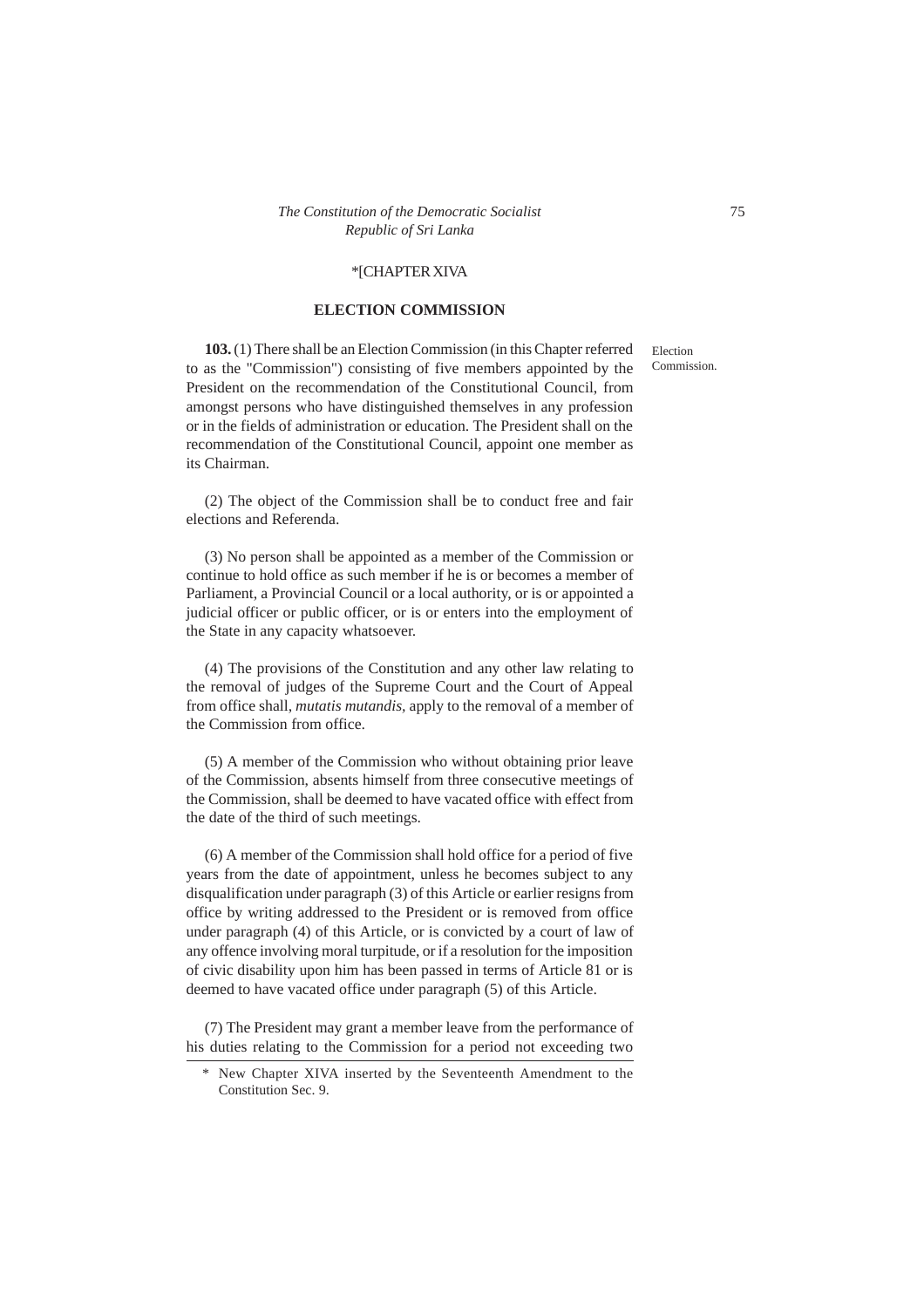# \*[CHAPTER XIVA

### **ELECTION COMMISSION**

Election Commission.

**103.** (1) There shall be an Election Commission (in this Chapter referred to as the "Commission") consisting of five members appointed by the President on the recommendation of the Constitutional Council, from amongst persons who have distinguished themselves in any profession or in the fields of administration or education. The President shall on the recommendation of the Constitutional Council, appoint one member as its Chairman.

(2) The object of the Commission shall be to conduct free and fair elections and Referenda.

(3) No person shall be appointed as a member of the Commission or continue to hold office as such member if he is or becomes a member of Parliament, a Provincial Council or a local authority, or is or appointed a judicial officer or public officer, or is or enters into the employment of the State in any capacity whatsoever.

(4) The provisions of the Constitution and any other law relating to the removal of judges of the Supreme Court and the Court of Appeal from office shall, *mutatis mutandis,* apply to the removal of a member of the Commission from office.

(5) A member of the Commission who without obtaining prior leave of the Commission, absents himself from three consecutive meetings of the Commission, shall be deemed to have vacated office with effect from the date of the third of such meetings.

(6) A member of the Commission shall hold office for a period of five years from the date of appointment, unless he becomes subject to any disqualification under paragraph (3) of this Article or earlier resigns from office by writing addressed to the President or is removed from office under paragraph (4) of this Article, or is convicted by a court of law of any offence involving moral turpitude, or if a resolution for the imposition of civic disability upon him has been passed in terms of Article 81 or is deemed to have vacated office under paragraph (5) of this Article.

(7) The President may grant a member leave from the performance of his duties relating to the Commission for a period not exceeding two

<sup>\*</sup> New Chapter XIVA inserted by the Seventeenth Amendment to the Constitution Sec. 9.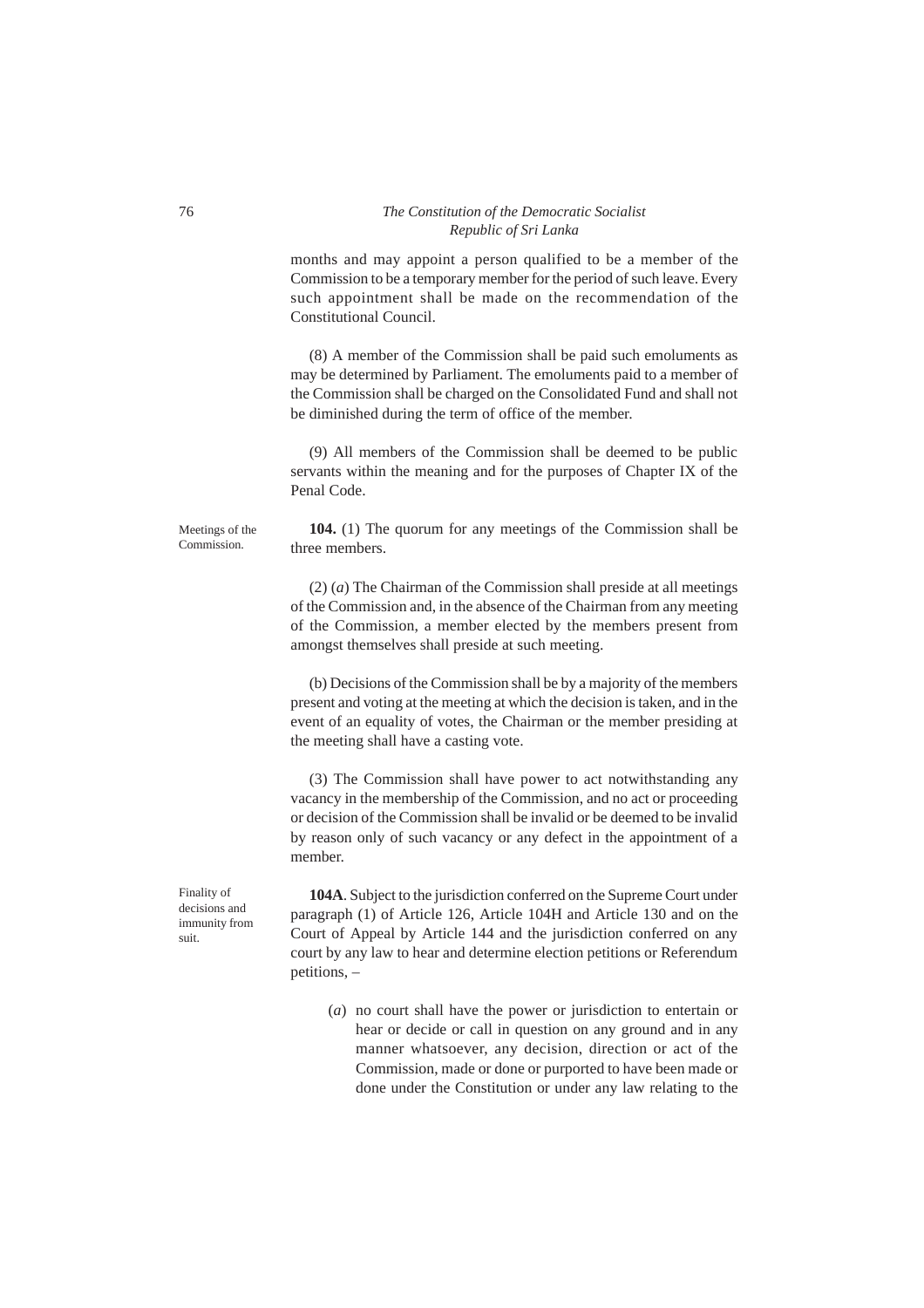months and may appoint a person qualified to be a member of the Commission to be a temporary member for the period of such leave. Every such appointment shall be made on the recommendation of the Constitutional Council.

(8) A member of the Commission shall be paid such emoluments as may be determined by Parliament. The emoluments paid to a member of the Commission shall be charged on the Consolidated Fund and shall not be diminished during the term of office of the member.

(9) All members of the Commission shall be deemed to be public servants within the meaning and for the purposes of Chapter IX of the Penal Code.

**104.** (1) The quorum for any meetings of the Commission shall be three members. Meetings of the

> (2) (*a*) The Chairman of the Commission shall preside at all meetings of the Commission and, in the absence of the Chairman from any meeting of the Commission, a member elected by the members present from amongst themselves shall preside at such meeting.

> (b) Decisions of the Commission shall be by a majority of the members present and voting at the meeting at which the decision is taken, and in the event of an equality of votes, the Chairman or the member presiding at the meeting shall have a casting vote.

> (3) The Commission shall have power to act notwithstanding any vacancy in the membership of the Commission, and no act or proceeding or decision of the Commission shall be invalid or be deemed to be invalid by reason only of such vacancy or any defect in the appointment of a member.

> **104A**. Subject to the jurisdiction conferred on the Supreme Court under paragraph (1) of Article 126, Article 104H and Article 130 and on the Court of Appeal by Article 144 and the jurisdiction conferred on any court by any law to hear and determine election petitions or Referendum petitions, –

(*a*) no court shall have the power or jurisdiction to entertain or hear or decide or call in question on any ground and in any manner whatsoever, any decision, direction or act of the Commission, made or done or purported to have been made or done under the Constitution or under any law relating to the

Finality of decisions and immunity from suit.

Commission.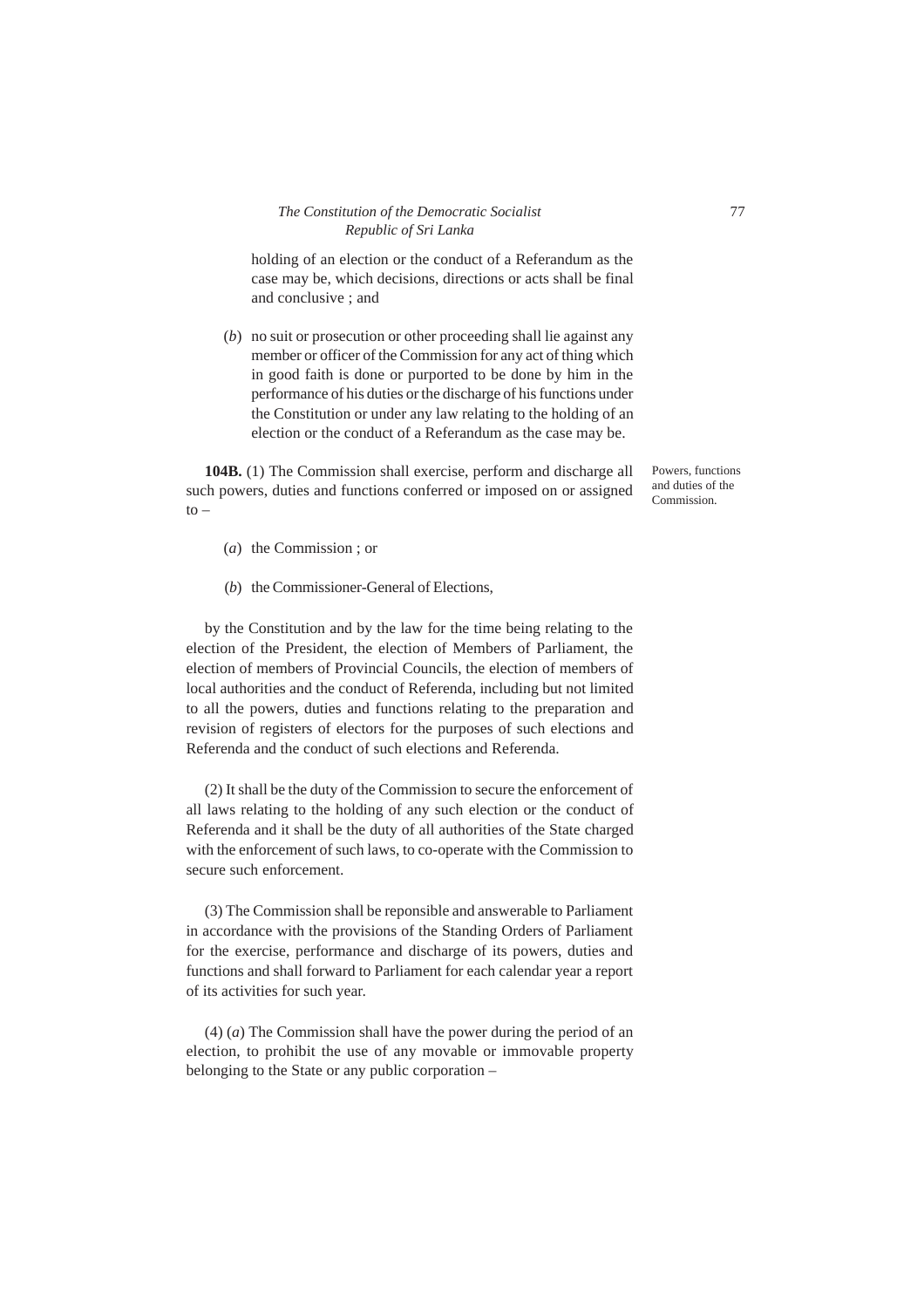holding of an election or the conduct of a Referandum as the case may be, which decisions, directions or acts shall be final and conclusive ; and

(*b*) no suit or prosecution or other proceeding shall lie against any member or officer of the Commission for any act of thing which in good faith is done or purported to be done by him in the performance of his duties or the discharge of his functions under the Constitution or under any law relating to the holding of an election or the conduct of a Referandum as the case may be.

**104B.** (1) The Commission shall exercise, perform and discharge all such powers, duties and functions conferred or imposed on or assigned to –

Powers, functions and duties of the Commission.

- (*a*) the Commission ; or
- (*b*) the Commissioner-General of Elections,

by the Constitution and by the law for the time being relating to the election of the President, the election of Members of Parliament, the election of members of Provincial Councils, the election of members of local authorities and the conduct of Referenda, including but not limited to all the powers, duties and functions relating to the preparation and revision of registers of electors for the purposes of such elections and Referenda and the conduct of such elections and Referenda.

(2) It shall be the duty of the Commission to secure the enforcement of all laws relating to the holding of any such election or the conduct of Referenda and it shall be the duty of all authorities of the State charged with the enforcement of such laws, to co-operate with the Commission to secure such enforcement.

(3) The Commission shall be reponsible and answerable to Parliament in accordance with the provisions of the Standing Orders of Parliament for the exercise, performance and discharge of its powers, duties and functions and shall forward to Parliament for each calendar year a report of its activities for such year.

(4) (*a*) The Commission shall have the power during the period of an election, to prohibit the use of any movable or immovable property belonging to the State or any public corporation –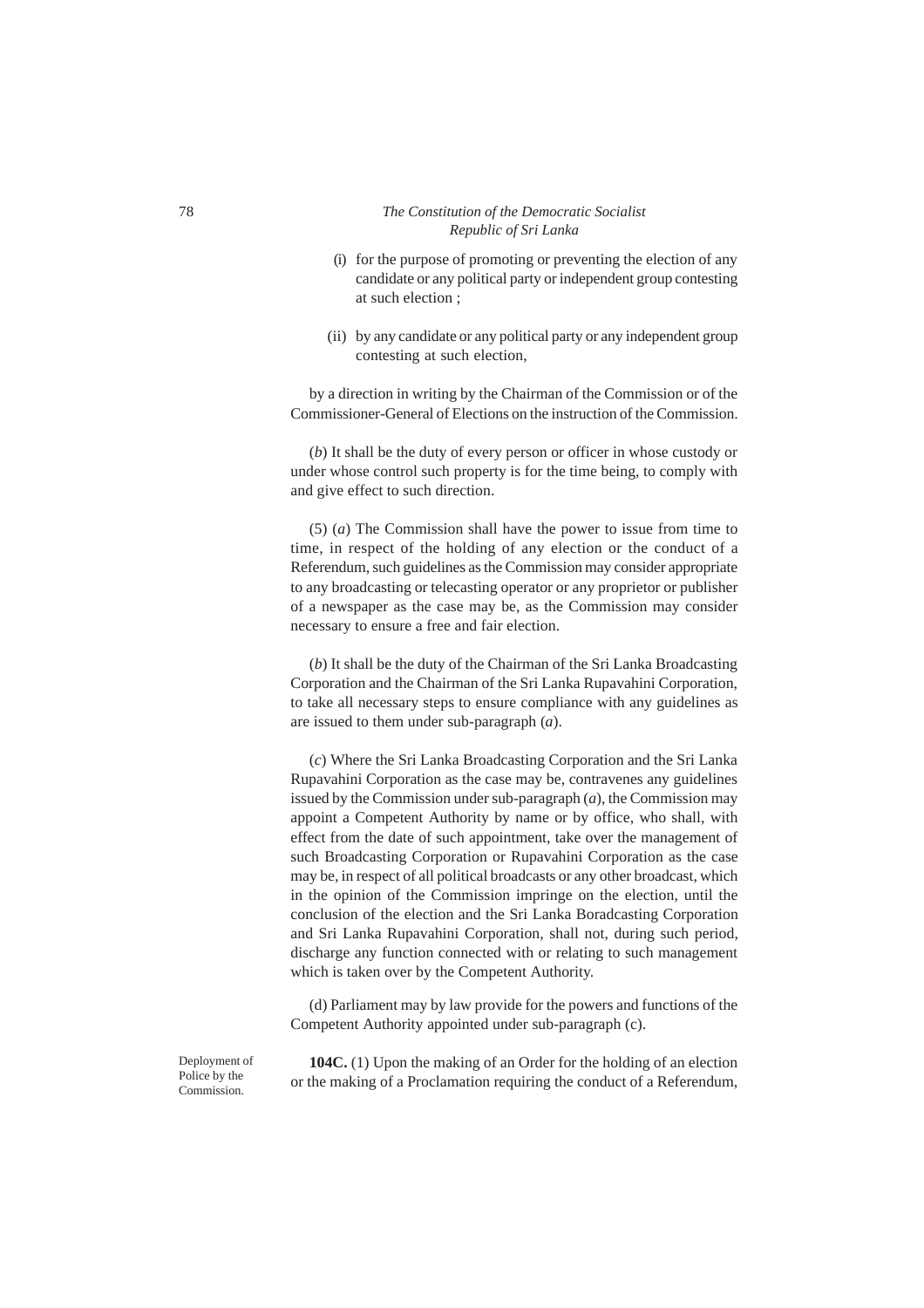- (i) for the purpose of promoting or preventing the election of any candidate or any political party or independent group contesting at such election ;
- (ii) by any candidate or any political party or any independent group contesting at such election,

by a direction in writing by the Chairman of the Commission or of the Commissioner-General of Elections on the instruction of the Commission.

(*b*) It shall be the duty of every person or officer in whose custody or under whose control such property is for the time being, to comply with and give effect to such direction.

(5) (*a*) The Commission shall have the power to issue from time to time, in respect of the holding of any election or the conduct of a Referendum, such guidelines as the Commission may consider appropriate to any broadcasting or telecasting operator or any proprietor or publisher of a newspaper as the case may be, as the Commission may consider necessary to ensure a free and fair election.

(*b*) It shall be the duty of the Chairman of the Sri Lanka Broadcasting Corporation and the Chairman of the Sri Lanka Rupavahini Corporation, to take all necessary steps to ensure compliance with any guidelines as are issued to them under sub-paragraph (*a*).

(*c*) Where the Sri Lanka Broadcasting Corporation and the Sri Lanka Rupavahini Corporation as the case may be, contravenes any guidelines issued by the Commission under sub-paragraph (*a*), the Commission may appoint a Competent Authority by name or by office, who shall, with effect from the date of such appointment, take over the management of such Broadcasting Corporation or Rupavahini Corporation as the case may be, in respect of all political broadcasts or any other broadcast, which in the opinion of the Commission impringe on the election, until the conclusion of the election and the Sri Lanka Boradcasting Corporation and Sri Lanka Rupavahini Corporation, shall not, during such period, discharge any function connected with or relating to such management which is taken over by the Competent Authority.

(d) Parliament may by law provide for the powers and functions of the Competent Authority appointed under sub-paragraph (c).

Deployment of Police by the Commission.

**104C.** (1) Upon the making of an Order for the holding of an election or the making of a Proclamation requiring the conduct of a Referendum,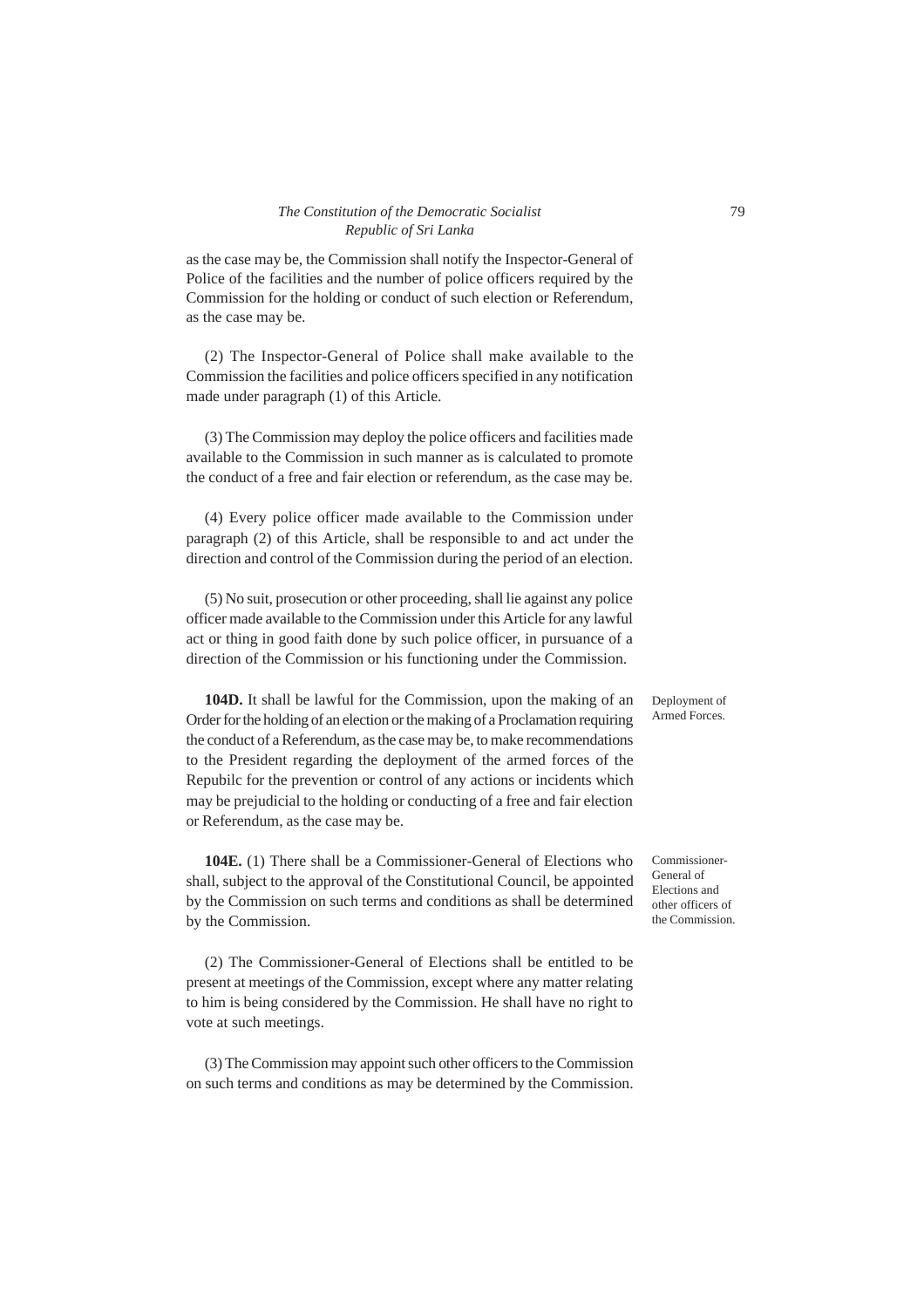as the case may be, the Commission shall notify the Inspector-General of Police of the facilities and the number of police officers required by the Commission for the holding or conduct of such election or Referendum, as the case may be.

(2) The Inspector-General of Police shall make available to the Commission the facilities and police officers specified in any notification made under paragraph (1) of this Article.

(3) The Commission may deploy the police officers and facilities made available to the Commission in such manner as is calculated to promote the conduct of a free and fair election or referendum, as the case may be.

(4) Every police officer made available to the Commission under paragraph (2) of this Article, shall be responsible to and act under the direction and control of the Commission during the period of an election.

(5) No suit, prosecution or other proceeding, shall lie against any police officer made available to the Commission under this Article for any lawful act or thing in good faith done by such police officer, in pursuance of a direction of the Commission or his functioning under the Commission.

**104D.** It shall be lawful for the Commission, upon the making of an Order for the holding of an election or the making of a Proclamation requiring the conduct of a Referendum, as the case may be, to make recommendations to the President regarding the deployment of the armed forces of the Repubilc for the prevention or control of any actions or incidents which may be prejudicial to the holding or conducting of a free and fair election or Referendum, as the case may be.

**104E.** (1) There shall be a Commissioner-General of Elections who shall, subject to the approval of the Constitutional Council, be appointed by the Commission on such terms and conditions as shall be determined by the Commission.

(2) The Commissioner-General of Elections shall be entitled to be present at meetings of the Commission, except where any matter relating to him is being considered by the Commission. He shall have no right to vote at such meetings.

(3) The Commission may appoint such other officers to the Commission on such terms and conditions as may be determined by the Commission. Deployment of Armed Forces.

Commissioner-General of Elections and other officers of the Commission.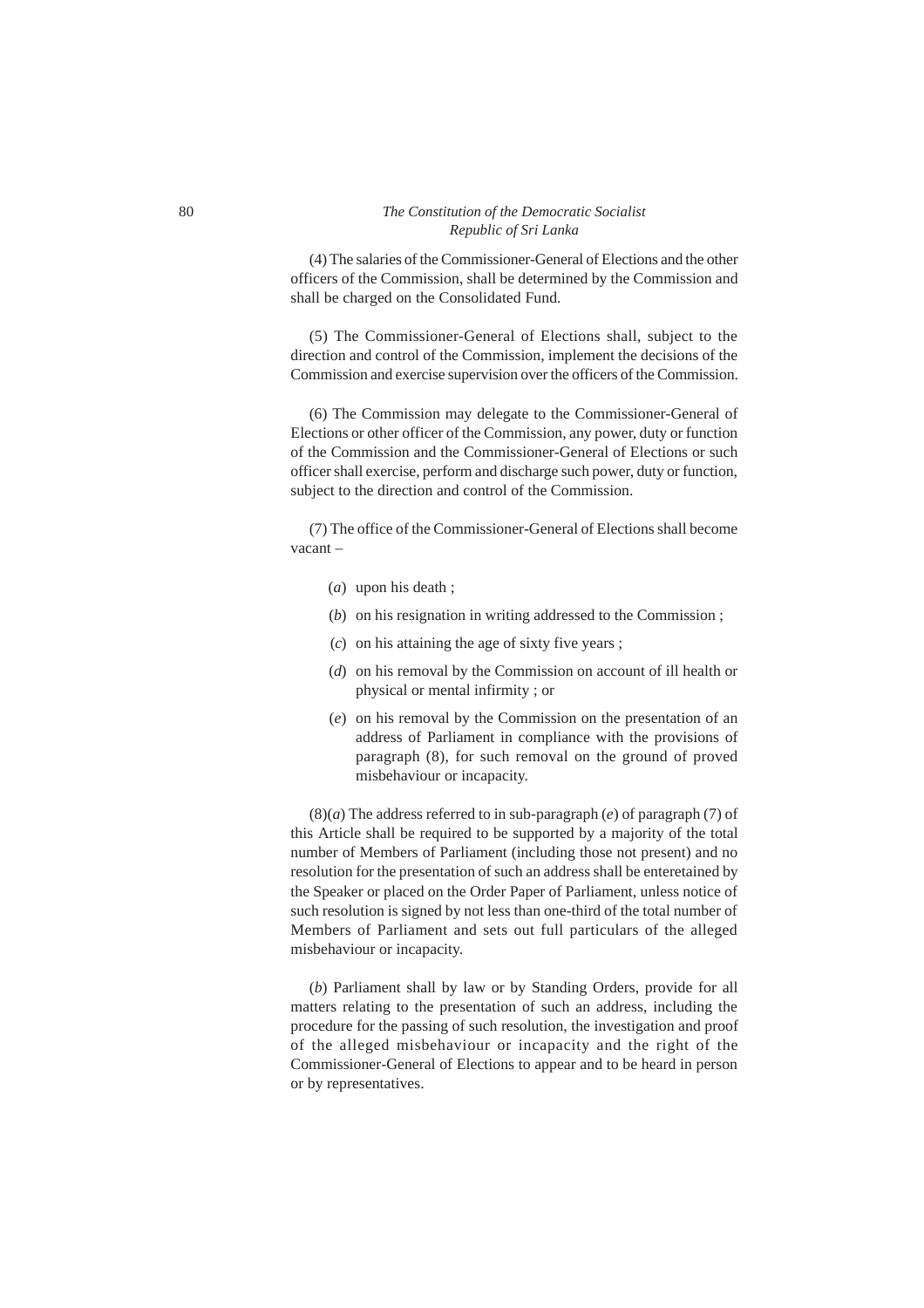(4) The salaries of the Commissioner-General of Elections and the other officers of the Commission, shall be determined by the Commission and shall be charged on the Consolidated Fund.

(5) The Commissioner-General of Elections shall, subject to the direction and control of the Commission, implement the decisions of the Commission and exercise supervision over the officers of the Commission.

(6) The Commission may delegate to the Commissioner-General of Elections or other officer of the Commission, any power, duty or function of the Commission and the Commissioner-General of Elections or such officer shall exercise, perform and discharge such power, duty or function, subject to the direction and control of the Commission.

(7) The office of the Commissioner-General of Elections shall become vacant –

- (*a*) upon his death ;
- (*b*) on his resignation in writing addressed to the Commission ;
- (*c*) on his attaining the age of sixty five years ;
- (*d*) on his removal by the Commission on account of ill health or physical or mental infirmity ; or
- (*e*) on his removal by the Commission on the presentation of an address of Parliament in compliance with the provisions of paragraph (8), for such removal on the ground of proved misbehaviour or incapacity.

(8)(*a*) The address referred to in sub-paragraph (*e*) of paragraph (7) of this Article shall be required to be supported by a majority of the total number of Members of Parliament (including those not present) and no resolution for the presentation of such an address shall be enteretained by the Speaker or placed on the Order Paper of Parliament, unless notice of such resolution is signed by not less than one-third of the total number of Members of Parliament and sets out full particulars of the alleged misbehaviour or incapacity.

(*b*) Parliament shall by law or by Standing Orders, provide for all matters relating to the presentation of such an address, including the procedure for the passing of such resolution, the investigation and proof of the alleged misbehaviour or incapacity and the right of the Commissioner-General of Elections to appear and to be heard in person or by representatives.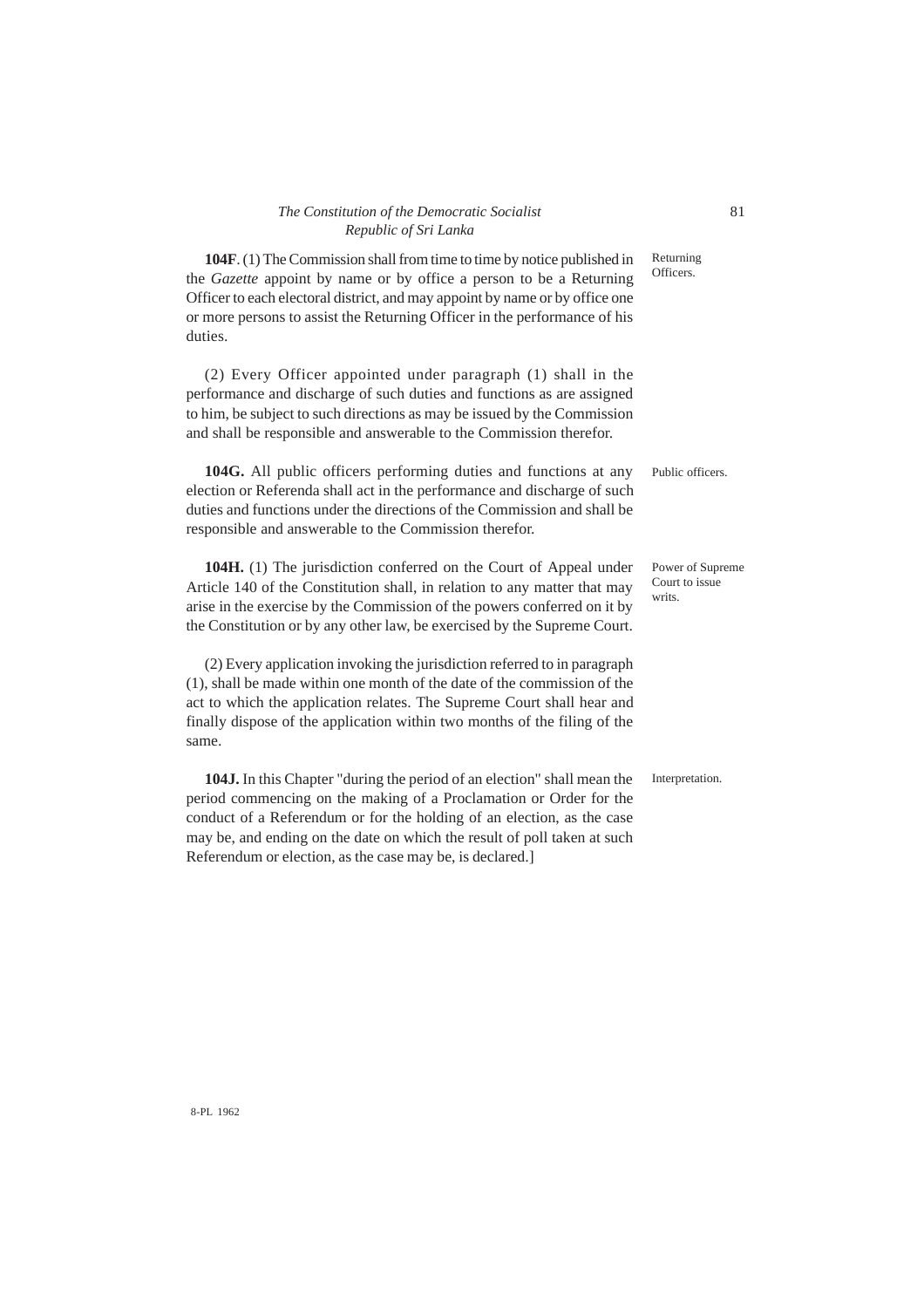**104F**. (1) The Commission shall from time to time by notice published in

the *Gazette* appoint by name or by office a person to be a Returning Officer to each electoral district, and may appoint by name or by office one or more persons to assist the Returning Officer in the performance of his (2) Every Officer appointed under paragraph (1) shall in the performance and discharge of such duties and functions as are assigned to him, be subject to such directions as may be issued by the Commission and shall be responsible and answerable to the Commission therefor. **104G.** All public officers performing duties and functions at any election or Referenda shall act in the performance and discharge of such duties and functions under the directions of the Commission and shall be responsible and answerable to the Commission therefor. **104H.** (1) The jurisdiction conferred on the Court of Appeal under Article 140 of the Constitution shall, in relation to any matter that may arise in the exercise by the Commission of the powers conferred on it by Public officers. Power of Supreme Court to issue writs.

(2) Every application invoking the jurisdiction referred to in paragraph (1), shall be made within one month of the date of the commission of the act to which the application relates. The Supreme Court shall hear and finally dispose of the application within two months of the filing of the same.

the Constitution or by any other law, be exercised by the Supreme Court.

**104J.** In this Chapter "during the period of an election" shall mean the period commencing on the making of a Proclamation or Order for the conduct of a Referendum or for the holding of an election, as the case may be, and ending on the date on which the result of poll taken at such Referendum or election, as the case may be, is declared.] Interpretation.

Returning Officers.

8-PL 1962

duties.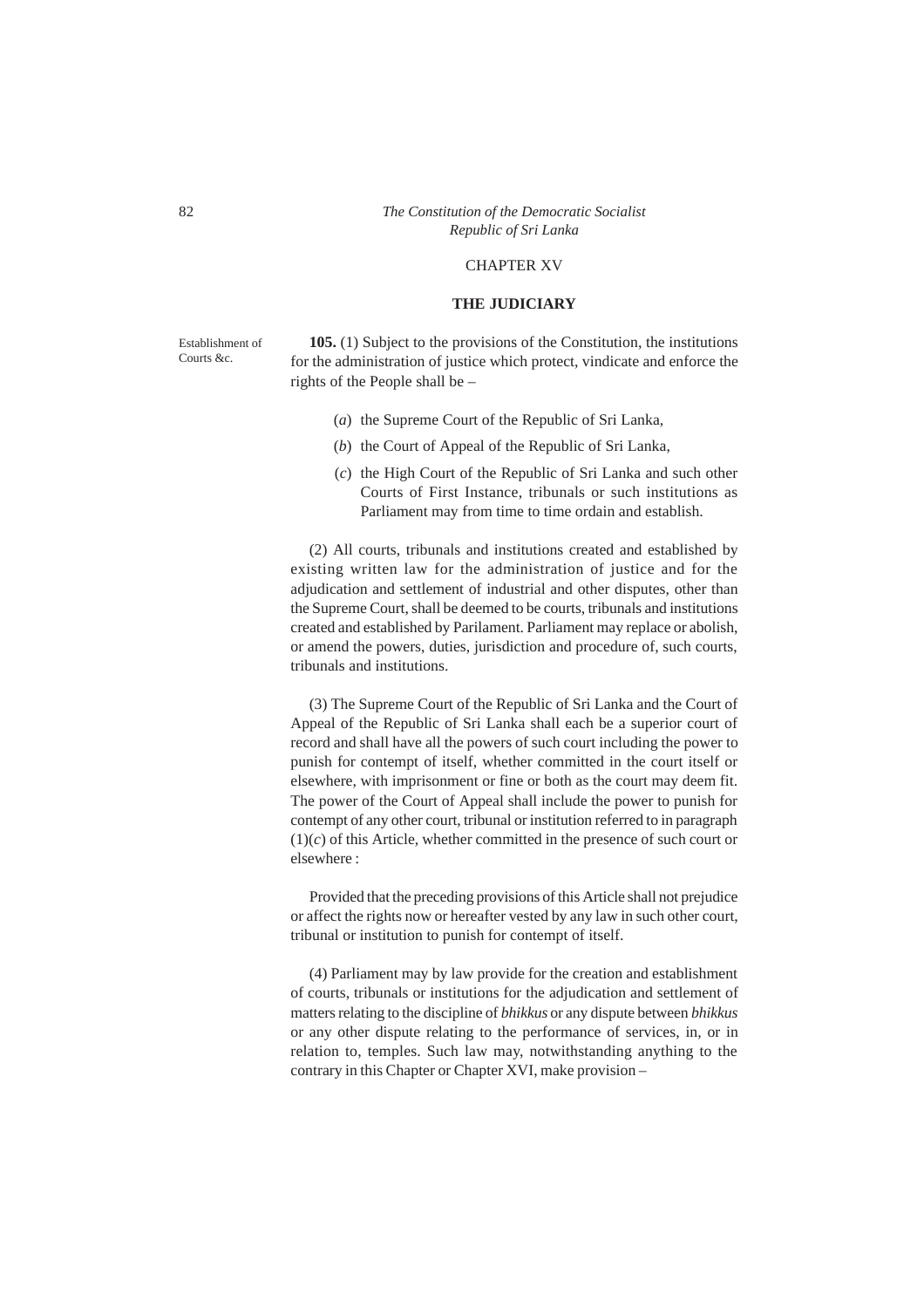# CHAPTER XV

#### **THE JUDICIARY**

Establishment of Courts &c.

**105.** (1) Subject to the provisions of the Constitution, the institutions for the administration of justice which protect, vindicate and enforce the rights of the People shall be –

- (*a*) the Supreme Court of the Republic of Sri Lanka,
- (*b*) the Court of Appeal of the Republic of Sri Lanka,
- (*c*) the High Court of the Republic of Sri Lanka and such other Courts of First Instance, tribunals or such institutions as Parliament may from time to time ordain and establish.

(2) All courts, tribunals and institutions created and established by existing written law for the administration of justice and for the adjudication and settlement of industrial and other disputes, other than the Supreme Court, shall be deemed to be courts, tribunals and institutions created and established by Parilament. Parliament may replace or abolish, or amend the powers, duties, jurisdiction and procedure of, such courts, tribunals and institutions.

(3) The Supreme Court of the Republic of Sri Lanka and the Court of Appeal of the Republic of Sri Lanka shall each be a superior court of record and shall have all the powers of such court including the power to punish for contempt of itself, whether committed in the court itself or elsewhere, with imprisonment or fine or both as the court may deem fit. The power of the Court of Appeal shall include the power to punish for contempt of any other court, tribunal or institution referred to in paragraph  $(1)(c)$  of this Article, whether committed in the presence of such court or elsewhere :

Provided that the preceding provisions of this Article shall not prejudice or affect the rights now or hereafter vested by any law in such other court, tribunal or institution to punish for contempt of itself.

(4) Parliament may by law provide for the creation and establishment of courts, tribunals or institutions for the adjudication and settlement of matters relating to the discipline of *bhikkus* or any dispute between *bhikkus* or any other dispute relating to the performance of services, in, or in relation to, temples. Such law may, notwithstanding anything to the contrary in this Chapter or Chapter XVI, make provision –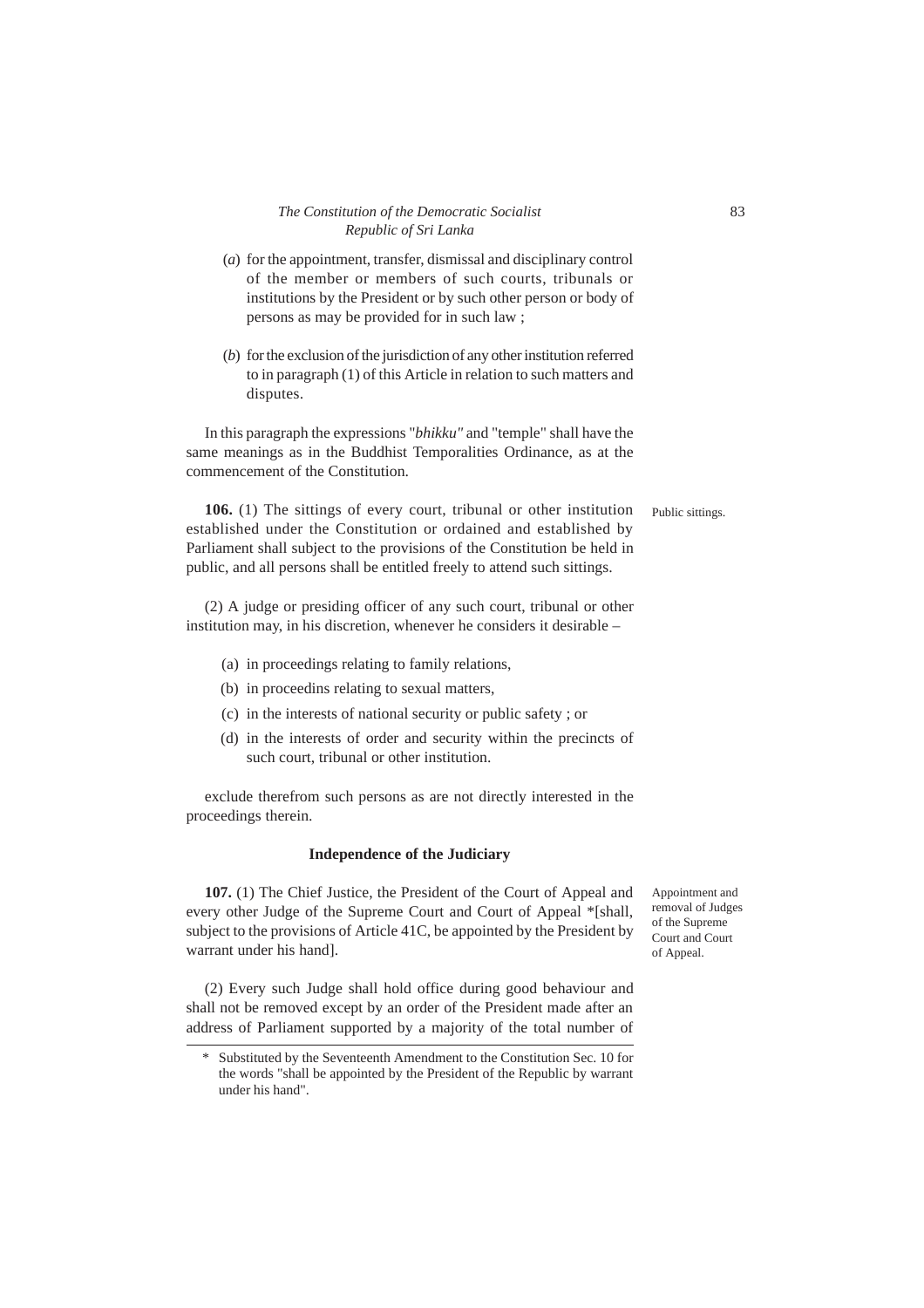- (*a*) for the appointment, transfer, dismissal and disciplinary control of the member or members of such courts, tribunals or institutions by the President or by such other person or body of persons as may be provided for in such law ;
- (*b*) for the exclusion of the jurisdiction of any other institution referred to in paragraph (1) of this Article in relation to such matters and disputes.

In this paragraph the expressions "*bhikku"* and "temple" shall have the same meanings as in the Buddhist Temporalities Ordinance, as at the commencement of the Constitution.

**106.** (1) The sittings of every court, tribunal or other institution established under the Constitution or ordained and established by Parliament shall subject to the provisions of the Constitution be held in public, and all persons shall be entitled freely to attend such sittings.

(2) A judge or presiding officer of any such court, tribunal or other institution may, in his discretion, whenever he considers it desirable –

- (a) in proceedings relating to family relations,
- (b) in proceedins relating to sexual matters,
- (c) in the interests of national security or public safety ; or
- (d) in the interests of order and security within the precincts of such court, tribunal or other institution.

exclude therefrom such persons as are not directly interested in the proceedings therein.

#### **Independence of the Judiciary**

**107.** (1) The Chief Justice, the President of the Court of Appeal and every other Judge of the Supreme Court and Court of Appeal \*[shall, subject to the provisions of Article 41C, be appointed by the President by warrant under his hand].

(2) Every such Judge shall hold office during good behaviour and shall not be removed except by an order of the President made after an address of Parliament supported by a majority of the total number of

Appointment and removal of Judges of the Supreme Court and Court of Appeal.

Public sittings.

Substituted by the Seventeenth Amendment to the Constitution Sec. 10 for the words "shall be appointed by the President of the Republic by warrant under his hand".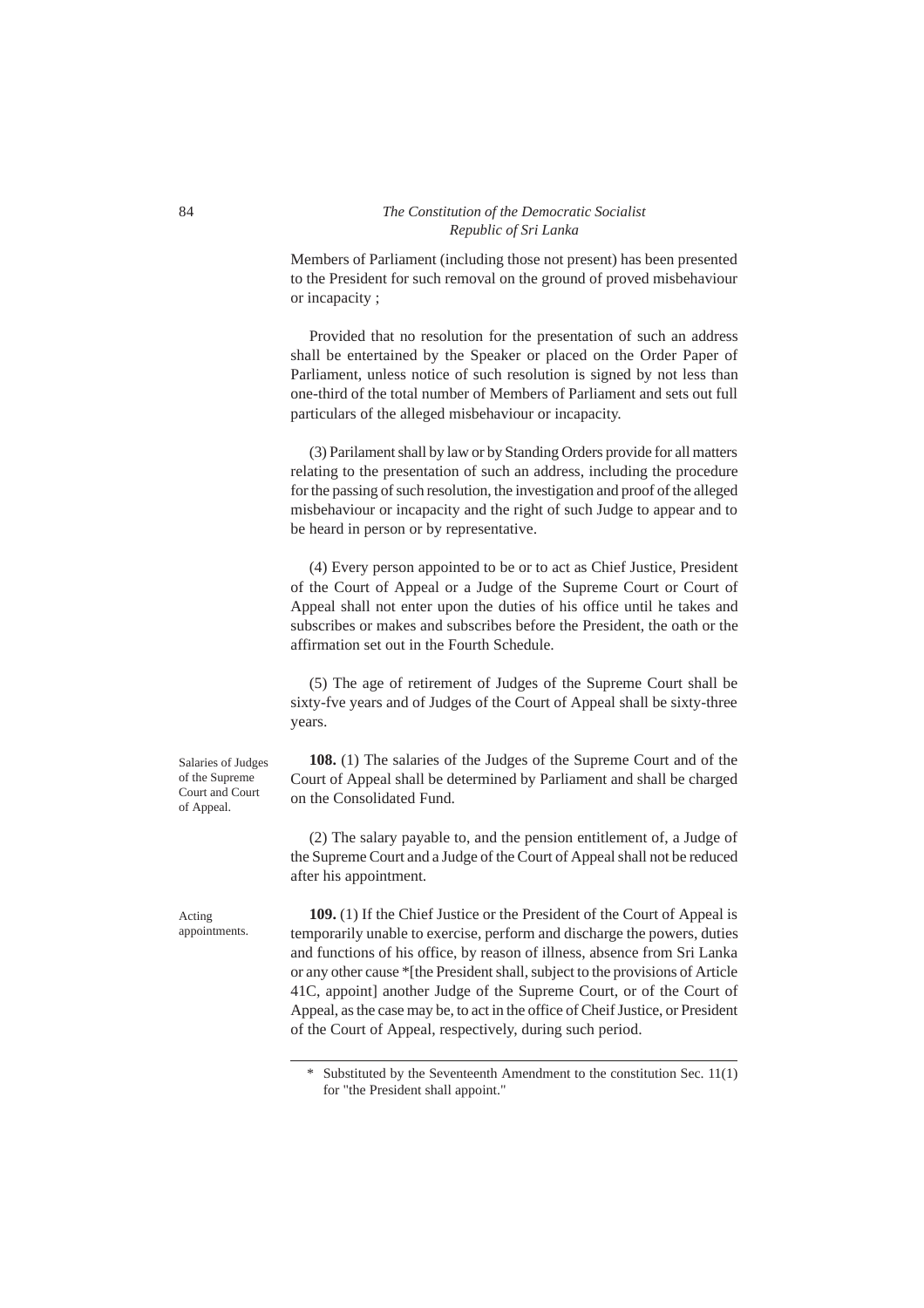Members of Parliament (including those not present) has been presented to the President for such removal on the ground of proved misbehaviour or incapacity ;

Provided that no resolution for the presentation of such an address shall be entertained by the Speaker or placed on the Order Paper of Parliament, unless notice of such resolution is signed by not less than one-third of the total number of Members of Parliament and sets out full particulars of the alleged misbehaviour or incapacity.

(3) Parilament shall by law or by Standing Orders provide for all matters relating to the presentation of such an address, including the procedure for the passing of such resolution, the investigation and proof of the alleged misbehaviour or incapacity and the right of such Judge to appear and to be heard in person or by representative.

(4) Every person appointed to be or to act as Chief Justice, President of the Court of Appeal or a Judge of the Supreme Court or Court of Appeal shall not enter upon the duties of his office until he takes and subscribes or makes and subscribes before the President, the oath or the affirmation set out in the Fourth Schedule.

(5) The age of retirement of Judges of the Supreme Court shall be sixty-fve years and of Judges of the Court of Appeal shall be sixty-three years.

**108.** (1) The salaries of the Judges of the Supreme Court and of the Court of Appeal shall be determined by Parliament and shall be charged on the Consolidated Fund.

(2) The salary payable to, and the pension entitlement of, a Judge of the Supreme Court and a Judge of the Court of Appeal shall not be reduced after his appointment.

Acting appointments.

Salaries of Judges of the Supreme Court and Court of Appeal.

> **109.** (1) If the Chief Justice or the President of the Court of Appeal is temporarily unable to exercise, perform and discharge the powers, duties and functions of his office, by reason of illness, absence from Sri Lanka or any other cause \*[the President shall, subject to the provisions of Article 41C, appoint] another Judge of the Supreme Court, or of the Court of Appeal, as the case may be, to act in the office of Cheif Justice, or President of the Court of Appeal, respectively, during such period.

<sup>\*</sup> Substituted by the Seventeenth Amendment to the constitution Sec. 11(1) for "the President shall appoint."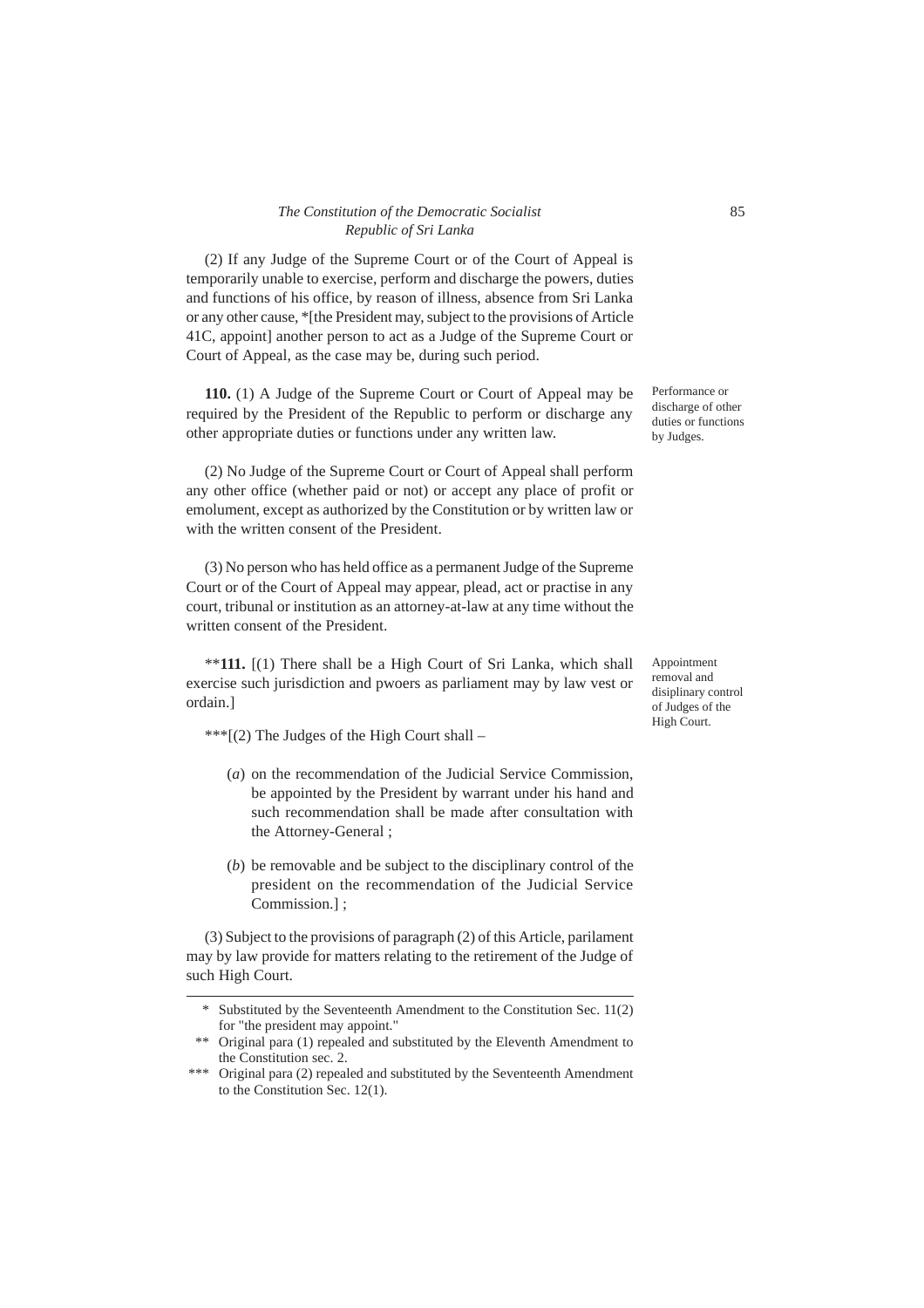(2) If any Judge of the Supreme Court or of the Court of Appeal is temporarily unable to exercise, perform and discharge the powers, duties and functions of his office, by reason of illness, absence from Sri Lanka or any other cause, \*[the President may, subject to the provisions of Article 41C, appoint] another person to act as a Judge of the Supreme Court or Court of Appeal, as the case may be, during such period.

**110.** (1) A Judge of the Supreme Court or Court of Appeal may be required by the President of the Republic to perform or discharge any other appropriate duties or functions under any written law.

(2) No Judge of the Supreme Court or Court of Appeal shall perform any other office (whether paid or not) or accept any place of profit or emolument, except as authorized by the Constitution or by written law or with the written consent of the President.

(3) No person who has held office as a permanent Judge of the Supreme Court or of the Court of Appeal may appear, plead, act or practise in any court, tribunal or institution as an attorney-at-law at any time without the written consent of the President.

\*\***111.** [(1) There shall be a High Court of Sri Lanka, which shall exercise such jurisdiction and pwoers as parliament may by law vest or ordain.]

\*\*\* $[(2)$  The Judges of the High Court shall –

- (*a*) on the recommendation of the Judicial Service Commission, be appointed by the President by warrant under his hand and such recommendation shall be made after consultation with the Attorney-General ;
- (*b*) be removable and be subject to the disciplinary control of the president on the recommendation of the Judicial Service Commission.] ;

(3) Subject to the provisions of paragraph (2) of this Article, parilament may by law provide for matters relating to the retirement of the Judge of such High Court.

Performance or discharge of other duties or functions by Judges.

Appointment removal and disiplinary control of Judges of the High Court.

<sup>\*</sup> Substituted by the Seventeenth Amendment to the Constitution Sec. 11(2) for "the president may appoint."

Original para (1) repealed and substituted by the Eleventh Amendment to the Constitution sec. 2.

<sup>\*\*\*</sup> Original para (2) repealed and substituted by the Seventeenth Amendment to the Constitution Sec. 12(1).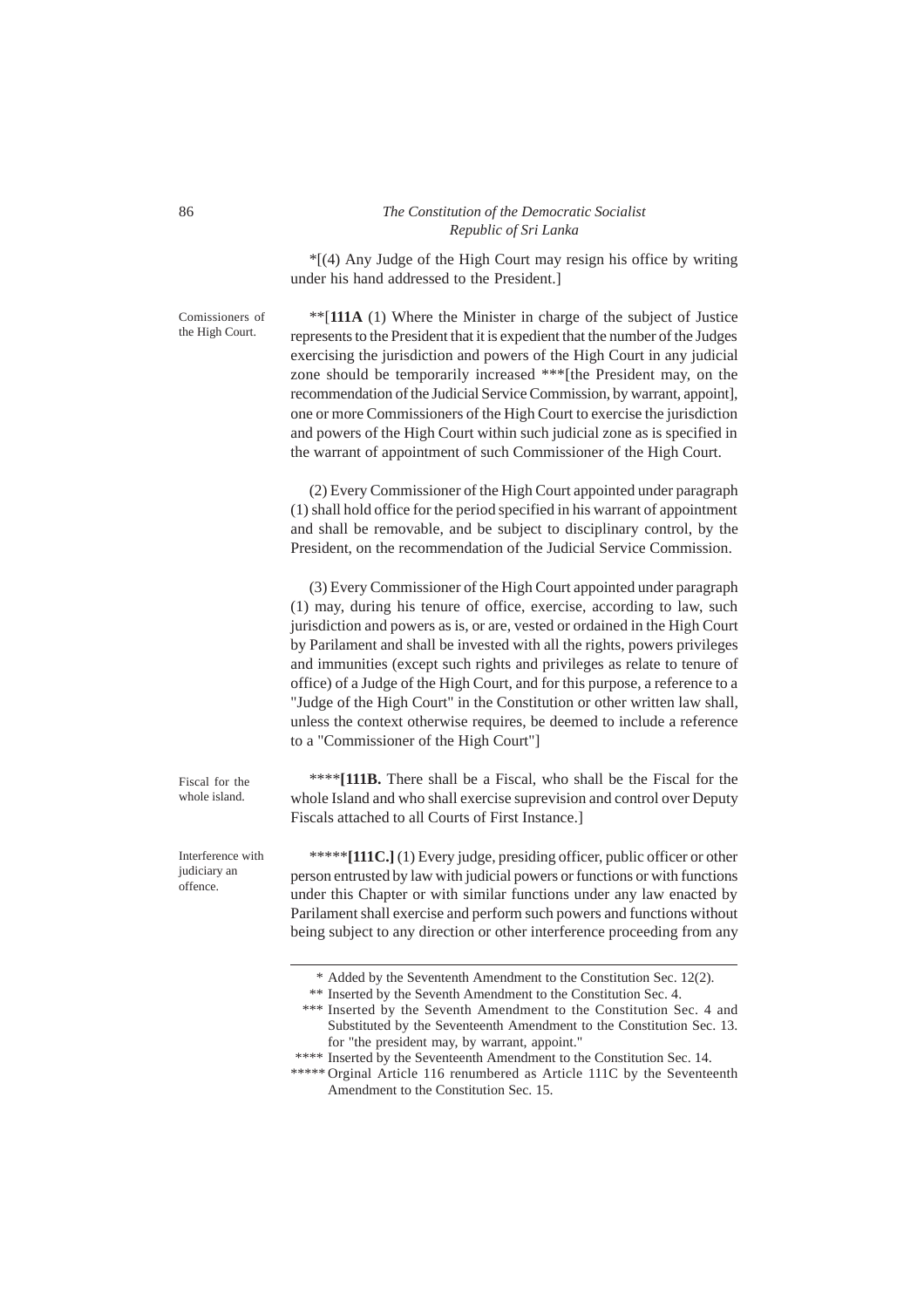\*[(4) Any Judge of the High Court may resign his office by writing under his hand addressed to the President.]

Comissioners of the High Court.

\*\*[**111A** (1) Where the Minister in charge of the subject of Justice represents to the President that it is expedient that the number of the Judges exercising the jurisdiction and powers of the High Court in any judicial zone should be temporarily increased \*\*\*[the President may, on the recommendation of the Judicial Service Commission, by warrant, appoint], one or more Commissioners of the High Court to exercise the jurisdiction and powers of the High Court within such judicial zone as is specified in the warrant of appointment of such Commissioner of the High Court.

(2) Every Commissioner of the High Court appointed under paragraph (1) shall hold office for the period specified in his warrant of appointment and shall be removable, and be subject to disciplinary control, by the President, on the recommendation of the Judicial Service Commission.

(3) Every Commissioner of the High Court appointed under paragraph (1) may, during his tenure of office, exercise, according to law, such jurisdiction and powers as is, or are, vested or ordained in the High Court by Parilament and shall be invested with all the rights, powers privileges and immunities (except such rights and privileges as relate to tenure of office) of a Judge of the High Court, and for this purpose, a reference to a "Judge of the High Court" in the Constitution or other written law shall, unless the context otherwise requires, be deemed to include a reference to a "Commissioner of the High Court"]

\*\*\*\***[111B.** There shall be a Fiscal, who shall be the Fiscal for the whole Island and who shall exercise suprevision and control over Deputy Fiscals attached to all Courts of First Instance.]

\*\*\*\*\***[111C.]** (1) Every judge, presiding officer, public officer or other person entrusted by law with judicial powers or functions or with functions under this Chapter or with similar functions under any law enacted by Parilament shall exercise and perform such powers and functions without being subject to any direction or other interference proceeding from any

Interference with

judiciary an offence.

Fiscal for the whole island.

<sup>\*</sup> Added by the Sevententh Amendment to the Constitution Sec. 12(2).

<sup>\*\*</sup> Inserted by the Seventh Amendment to the Constitution Sec. 4.

<sup>\*\*\*</sup> Inserted by the Seventh Amendment to the Constitution Sec. 4 and Substituted by the Seventeenth Amendment to the Constitution Sec. 13. for "the president may, by warrant, appoint."

<sup>\*\*\*\*</sup> Inserted by the Seventeenth Amendment to the Constitution Sec. 14.

<sup>\*\*\*\*\*</sup> Orginal Article 116 renumbered as Article 111C by the Seventeenth Amendment to the Constitution Sec. 15.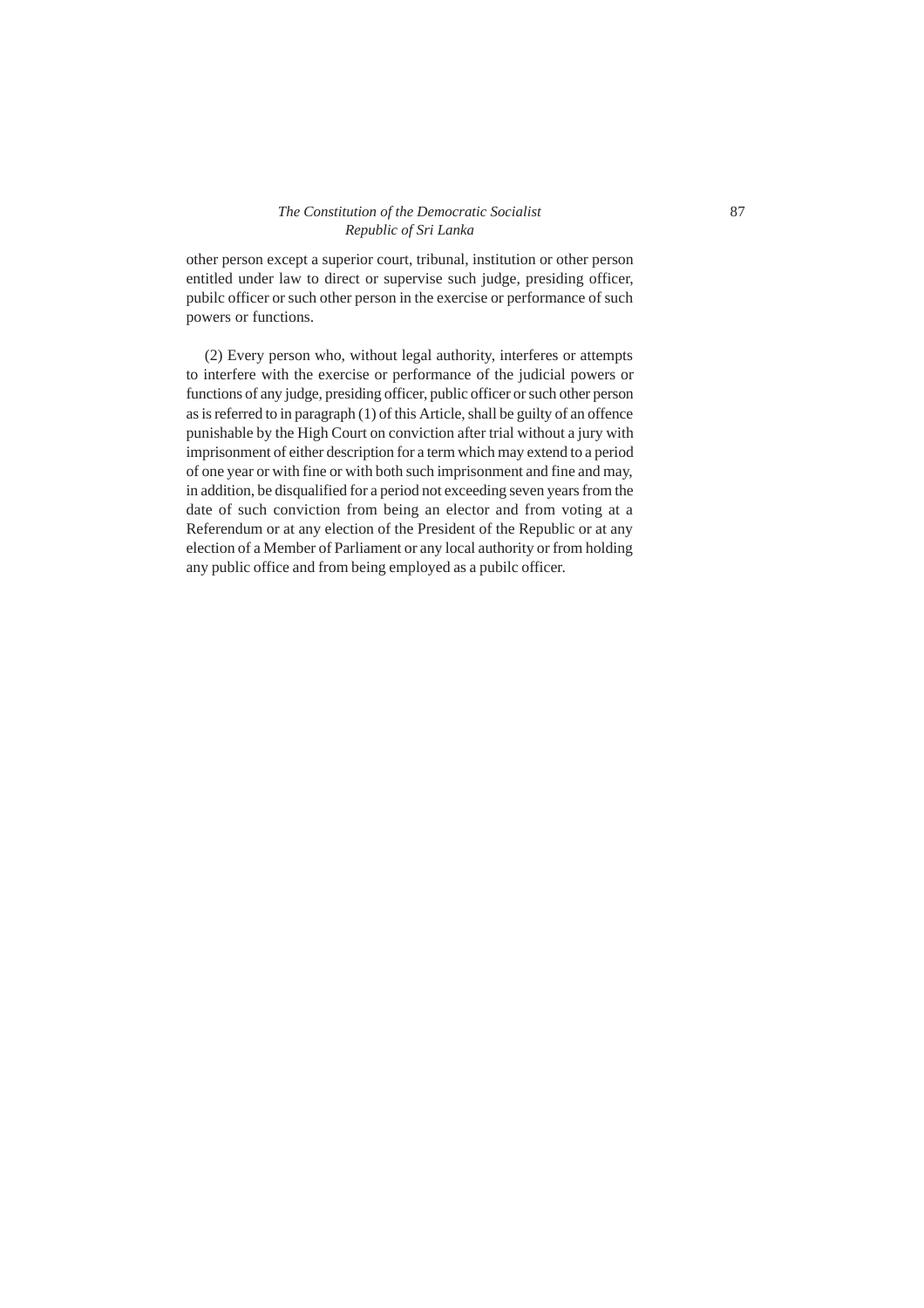other person except a superior court, tribunal, institution or other person entitled under law to direct or supervise such judge, presiding officer, pubilc officer or such other person in the exercise or performance of such powers or functions.

(2) Every person who, without legal authority, interferes or attempts to interfere with the exercise or performance of the judicial powers or functions of any judge, presiding officer, public officer or such other person as is referred to in paragraph (1) of this Article, shall be guilty of an offence punishable by the High Court on conviction after trial without a jury with imprisonment of either description for a term which may extend to a period of one year or with fine or with both such imprisonment and fine and may, in addition, be disqualified for a period not exceeding seven years from the date of such conviction from being an elector and from voting at a Referendum or at any election of the President of the Republic or at any election of a Member of Parliament or any local authority or from holding any public office and from being employed as a pubilc officer.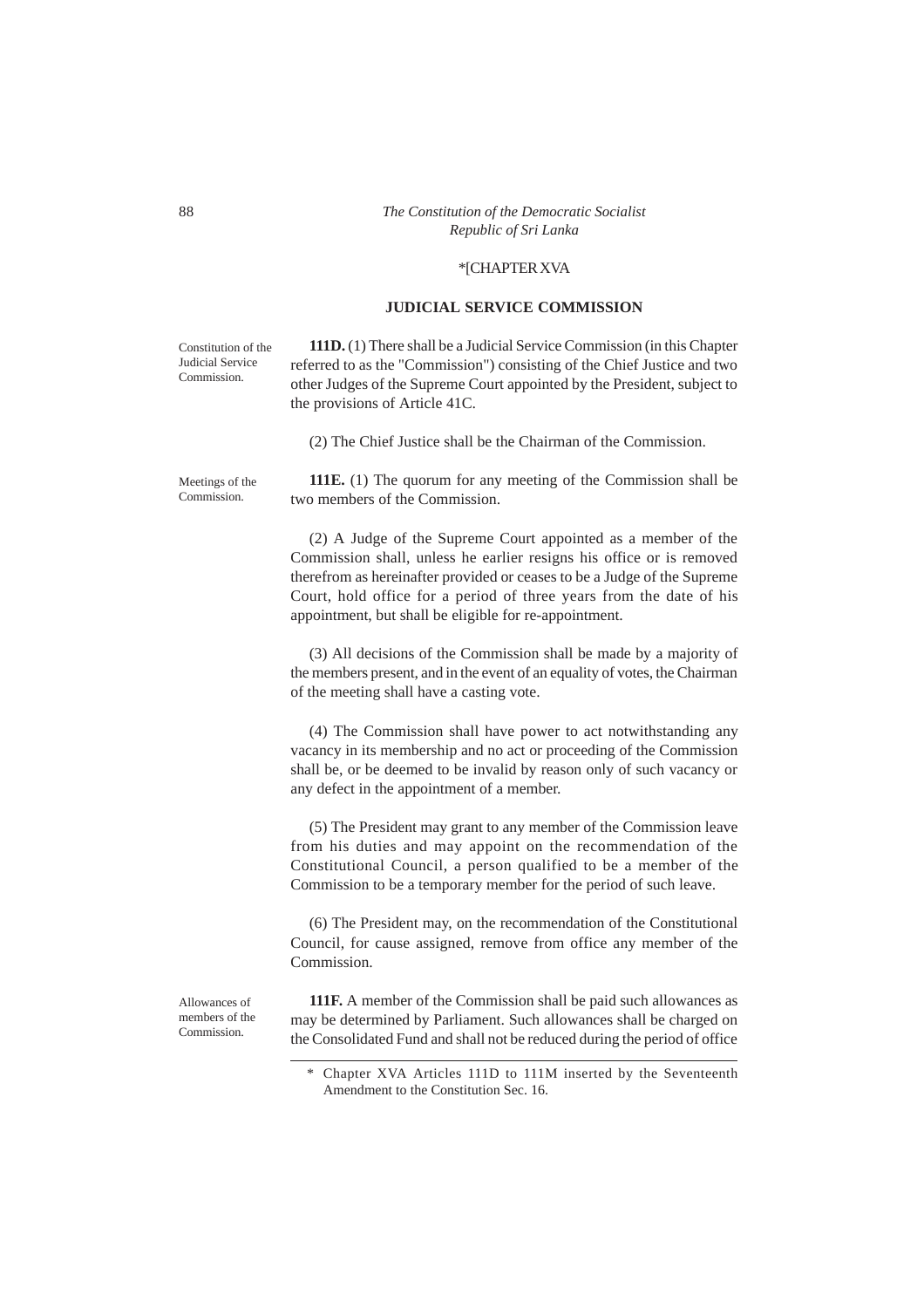#### \*[CHAPTER XVA

## **JUDICIAL SERVICE COMMISSION**

Constitution of the Judicial Service Commission.

**111D.** (1) There shall be a Judicial Service Commission (in this Chapter referred to as the "Commission") consisting of the Chief Justice and two other Judges of the Supreme Court appointed by the President, subject to the provisions of Article 41C.

(2) The Chief Justice shall be the Chairman of the Commission.

Meetings of the Commission.

**111E.** (1) The quorum for any meeting of the Commission shall be two members of the Commission.

(2) A Judge of the Supreme Court appointed as a member of the Commission shall, unless he earlier resigns his office or is removed therefrom as hereinafter provided or ceases to be a Judge of the Supreme Court, hold office for a period of three years from the date of his appointment, but shall be eligible for re-appointment.

(3) All decisions of the Commission shall be made by a majority of the members present, and in the event of an equality of votes, the Chairman of the meeting shall have a casting vote.

(4) The Commission shall have power to act notwithstanding any vacancy in its membership and no act or proceeding of the Commission shall be, or be deemed to be invalid by reason only of such vacancy or any defect in the appointment of a member.

(5) The President may grant to any member of the Commission leave from his duties and may appoint on the recommendation of the Constitutional Council, a person qualified to be a member of the Commission to be a temporary member for the period of such leave.

(6) The President may, on the recommendation of the Constitutional Council, for cause assigned, remove from office any member of the Commission.

Allowances of members of the Commission.

**111F.** A member of the Commission shall be paid such allowances as may be determined by Parliament. Such allowances shall be charged on the Consolidated Fund and shall not be reduced during the period of office

<sup>\*</sup> Chapter XVA Articles 111D to 111M inserted by the Seventeenth Amendment to the Constitution Sec. 16.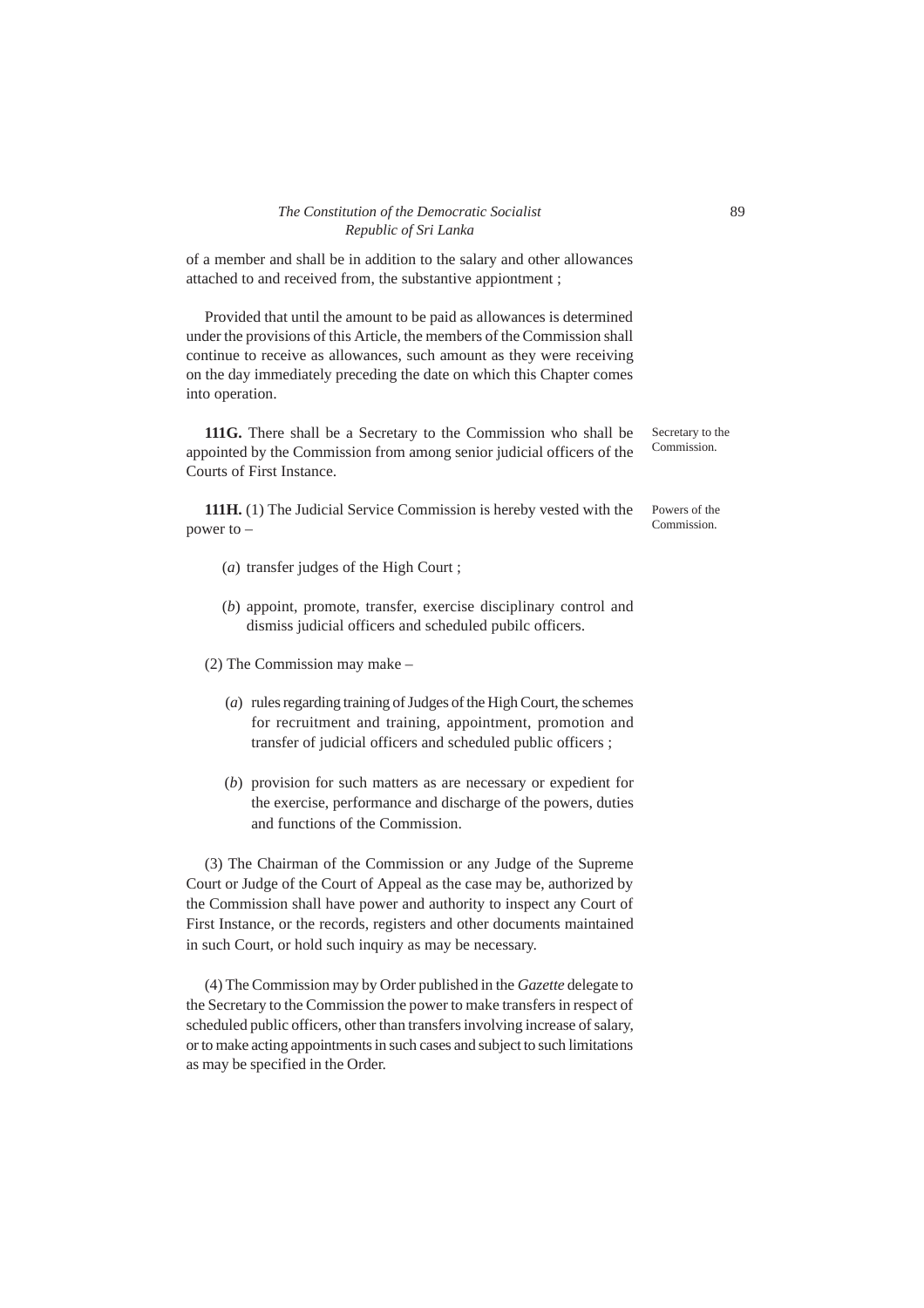of a member and shall be in addition to the salary and other allowances attached to and received from, the substantive appiontment ;

Provided that until the amount to be paid as allowances is determined under the provisions of this Article, the members of the Commission shall continue to receive as allowances, such amount as they were receiving on the day immediately preceding the date on which this Chapter comes into operation.

**111G.** There shall be a Secretary to the Commission who shall be appointed by the Commission from among senior judicial officers of the Courts of First Instance.

**111H.** (1) The Judicial Service Commission is hereby vested with the power to –

- (*a*) transfer judges of the High Court ;
- (*b*) appoint, promote, transfer, exercise disciplinary control and dismiss judicial officers and scheduled pubilc officers.
- (2) The Commission may make
	- (*a*) rules regarding training of Judges of the High Court, the schemes for recruitment and training, appointment, promotion and transfer of judicial officers and scheduled public officers ;
	- (*b*) provision for such matters as are necessary or expedient for the exercise, performance and discharge of the powers, duties and functions of the Commission.

(3) The Chairman of the Commission or any Judge of the Supreme Court or Judge of the Court of Appeal as the case may be, authorized by the Commission shall have power and authority to inspect any Court of First Instance, or the records, registers and other documents maintained in such Court, or hold such inquiry as may be necessary.

(4) The Commission may by Order published in the *Gazette* delegate to the Secretary to the Commission the power to make transfers in respect of scheduled public officers, other than transfers involving increase of salary, or to make acting appointments in such cases and subject to such limitations as may be specified in the Order.

Secretary to the Commission.

Powers of the Commission.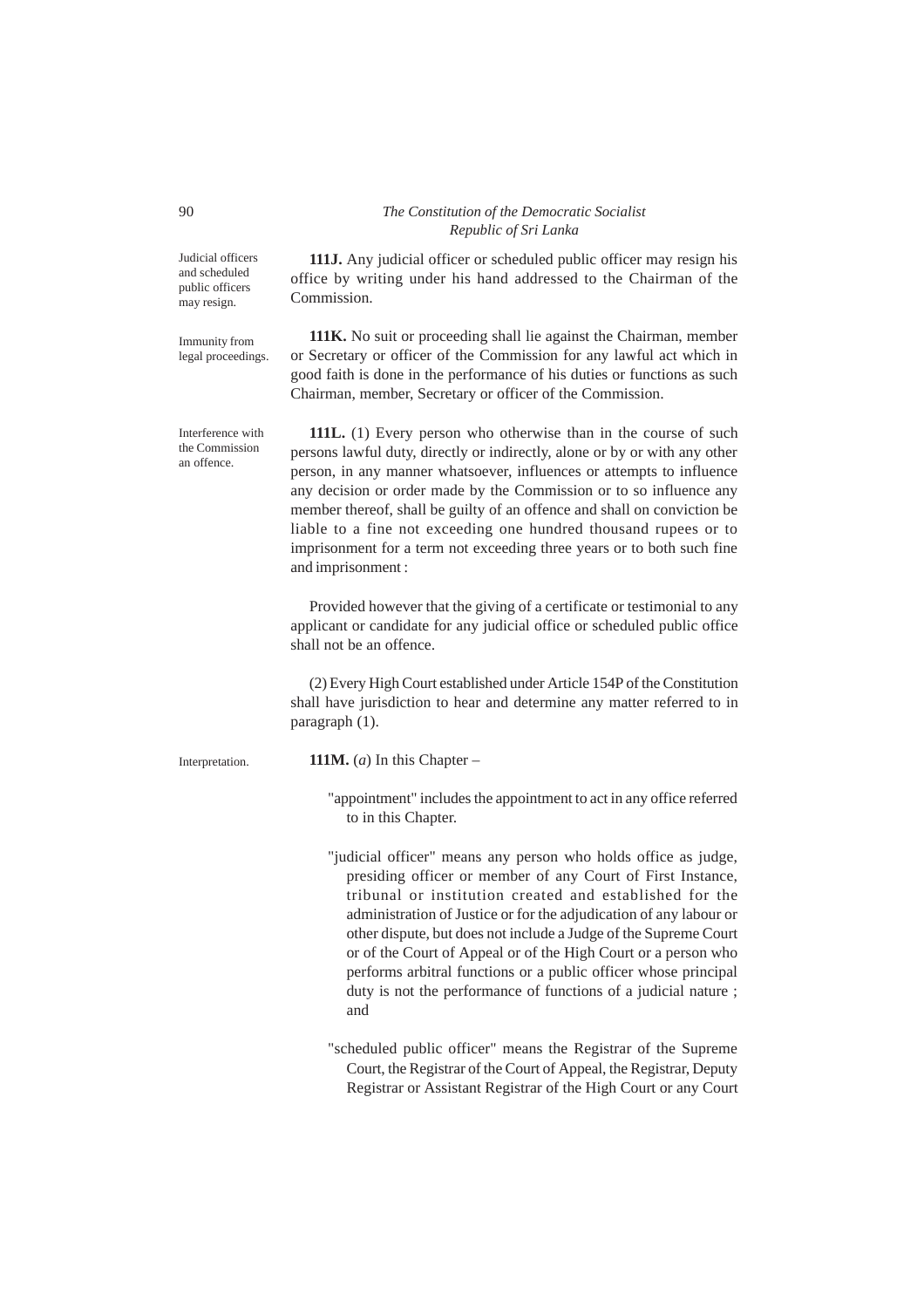Judicial officers and scheduled public officers may resign.

**111J.** Any judicial officer or scheduled public officer may resign his office by writing under his hand addressed to the Chairman of the Commission.

Immunity from legal proceedings.

Interference with the Commission an offence.

**111K.** No suit or proceeding shall lie against the Chairman, member or Secretary or officer of the Commission for any lawful act which in good faith is done in the performance of his duties or functions as such Chairman, member, Secretary or officer of the Commission.

**111L.** (1) Every person who otherwise than in the course of such persons lawful duty, directly or indirectly, alone or by or with any other person, in any manner whatsoever, influences or attempts to influence any decision or order made by the Commission or to so influence any member thereof, shall be guilty of an offence and shall on conviction be liable to a fine not exceeding one hundred thousand rupees or to imprisonment for a term not exceeding three years or to both such fine and imprisonment :

Provided however that the giving of a certificate or testimonial to any applicant or candidate for any judicial office or scheduled public office shall not be an offence.

(2) Every High Court established under Article 154P of the Constitution shall have jurisdiction to hear and determine any matter referred to in paragraph (1).

Interpretation.

- **111M.** (*a*) In this Chapter
	- "appointment" includes the appointment to act in any office referred to in this Chapter.
	- "judicial officer" means any person who holds office as judge, presiding officer or member of any Court of First Instance, tribunal or institution created and established for the administration of Justice or for the adjudication of any labour or other dispute, but does not include a Judge of the Supreme Court or of the Court of Appeal or of the High Court or a person who performs arbitral functions or a public officer whose principal duty is not the performance of functions of a judicial nature ; and

"scheduled public officer" means the Registrar of the Supreme Court, the Registrar of the Court of Appeal, the Registrar, Deputy Registrar or Assistant Registrar of the High Court or any Court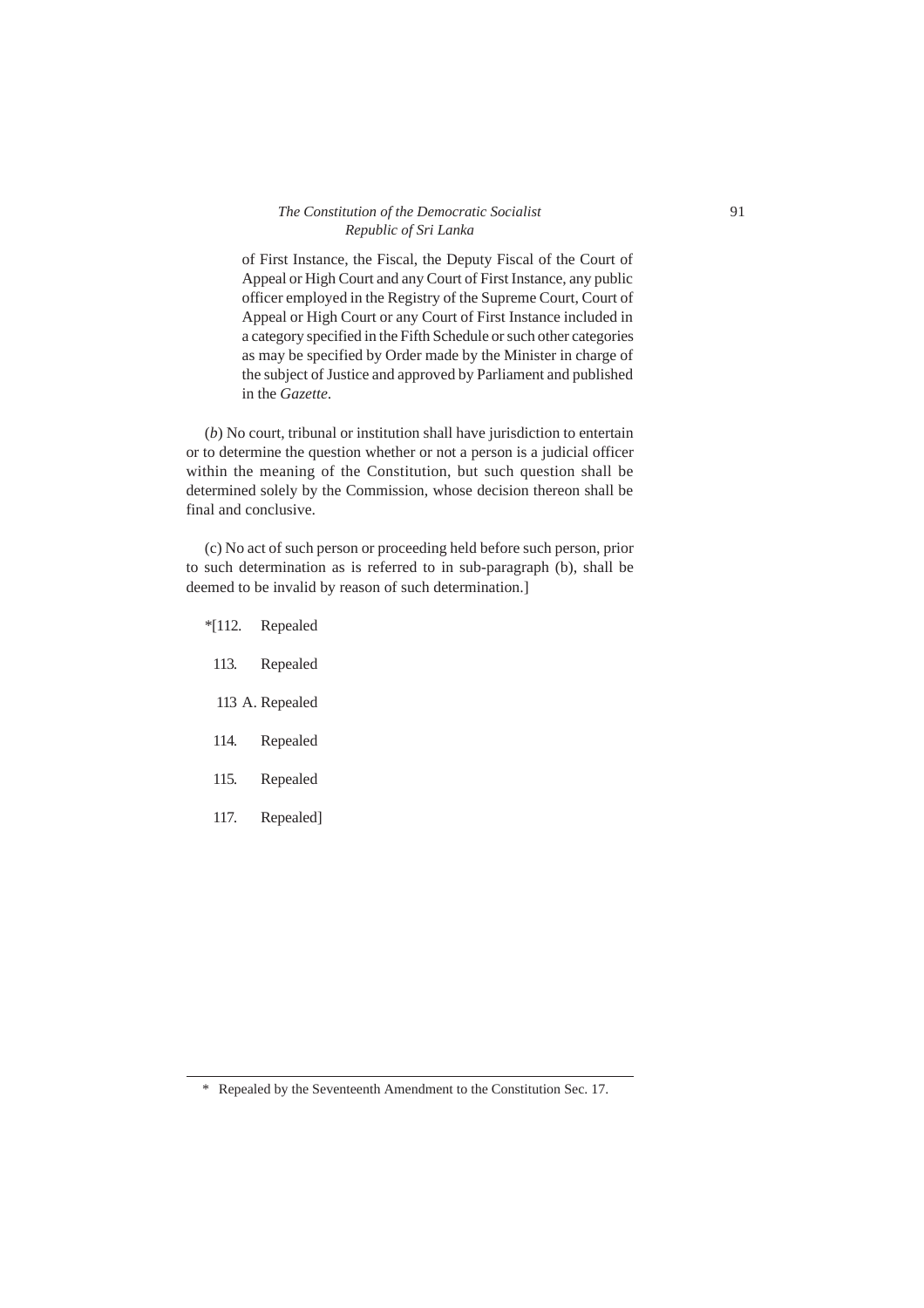of First Instance, the Fiscal, the Deputy Fiscal of the Court of Appeal or High Court and any Court of First Instance, any public officer employed in the Registry of the Supreme Court, Court of Appeal or High Court or any Court of First Instance included in a category specified in the Fifth Schedule or such other categories as may be specified by Order made by the Minister in charge of the subject of Justice and approved by Parliament and published in the *Gazette*.

(*b*) No court, tribunal or institution shall have jurisdiction to entertain or to determine the question whether or not a person is a judicial officer within the meaning of the Constitution, but such question shall be determined solely by the Commission, whose decision thereon shall be final and conclusive.

(c) No act of such person or proceeding held before such person, prior to such determination as is referred to in sub-paragraph (b), shall be deemed to be invalid by reason of such determination.]

- \*[112. Repealed
- 113. Repealed
- 113 A. Repealed
- 114. Repealed
- 115. Repealed
- 117. Repealed]

<sup>\*</sup> Repealed by the Seventeenth Amendment to the Constitution Sec. 17.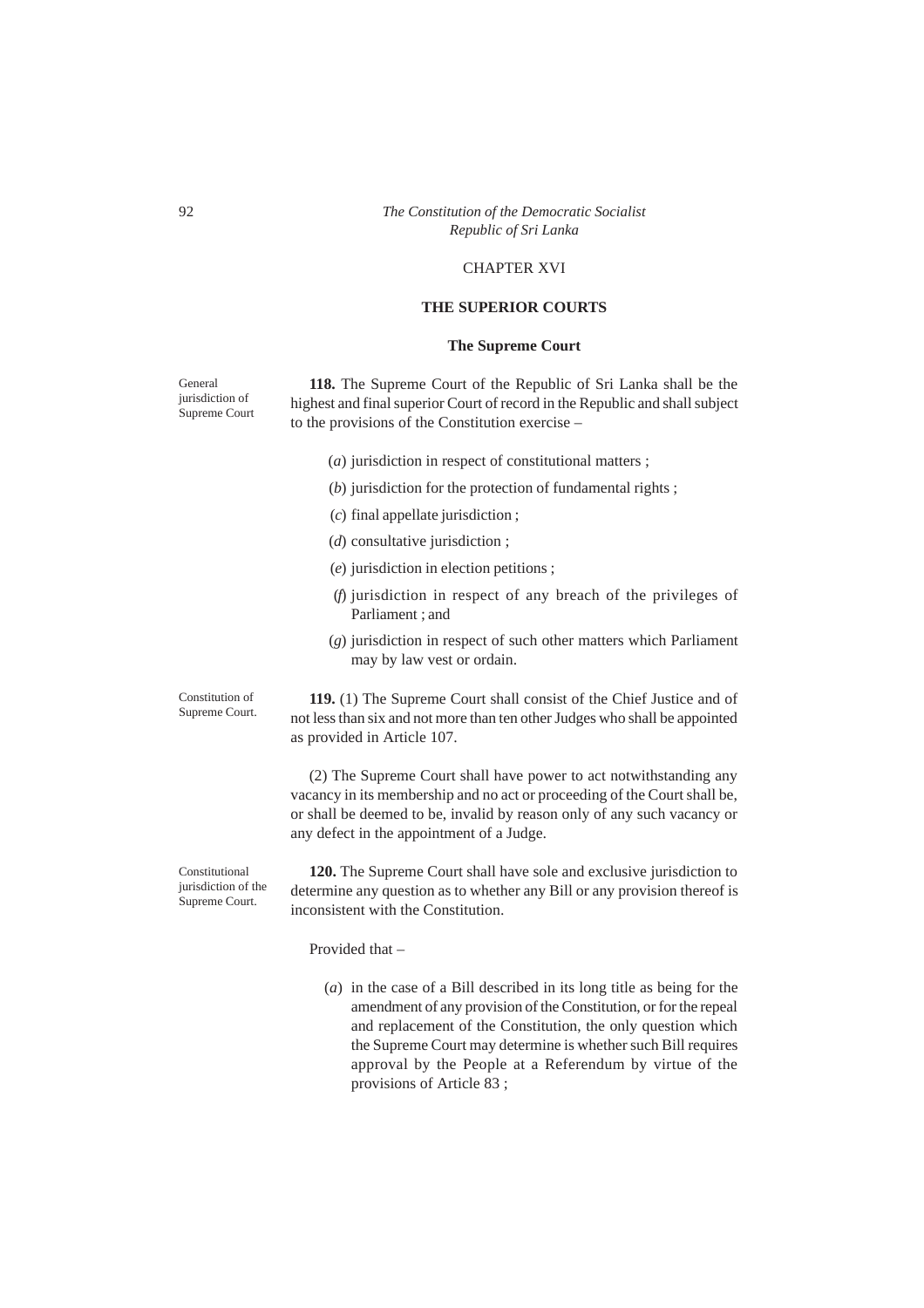## CHAPTER XVI

## **THE SUPERIOR COURTS**

#### **The Supreme Court**

**118.** The Supreme Court of the Republic of Sri Lanka shall be the highest and final superior Court of record in the Republic and shall subject to the provisions of the Constitution exercise –

- (*a*) jurisdiction in respect of constitutional matters ;
- (*b*) jurisdiction for the protection of fundamental rights :
- (*c*) final appellate jurisdiction ;
- (*d*) consultative jurisdiction ;
- (*e*) jurisdiction in election petitions ;
- (*f*) jurisdiction in respect of any breach of the privileges of Parliament ; and
- (*g*) jurisdiction in respect of such other matters which Parliament may by law vest or ordain.

Constitution of Supreme Court.

Constitutional jurisdiction of the Supreme Court.

**119.** (1) The Supreme Court shall consist of the Chief Justice and of not less than six and not more than ten other Judges who shall be appointed as provided in Article 107.

(2) The Supreme Court shall have power to act notwithstanding any vacancy in its membership and no act or proceeding of the Court shall be, or shall be deemed to be, invalid by reason only of any such vacancy or any defect in the appointment of a Judge.

**120.** The Supreme Court shall have sole and exclusive jurisdiction to determine any question as to whether any Bill or any provision thereof is inconsistent with the Constitution.

Provided that –

(*a*) in the case of a Bill described in its long title as being for the amendment of any provision of the Constitution, or for the repeal and replacement of the Constitution, the only question which the Supreme Court may determine is whether such Bill requires approval by the People at a Referendum by virtue of the provisions of Article 83 ;

General jurisdiction of Supreme Court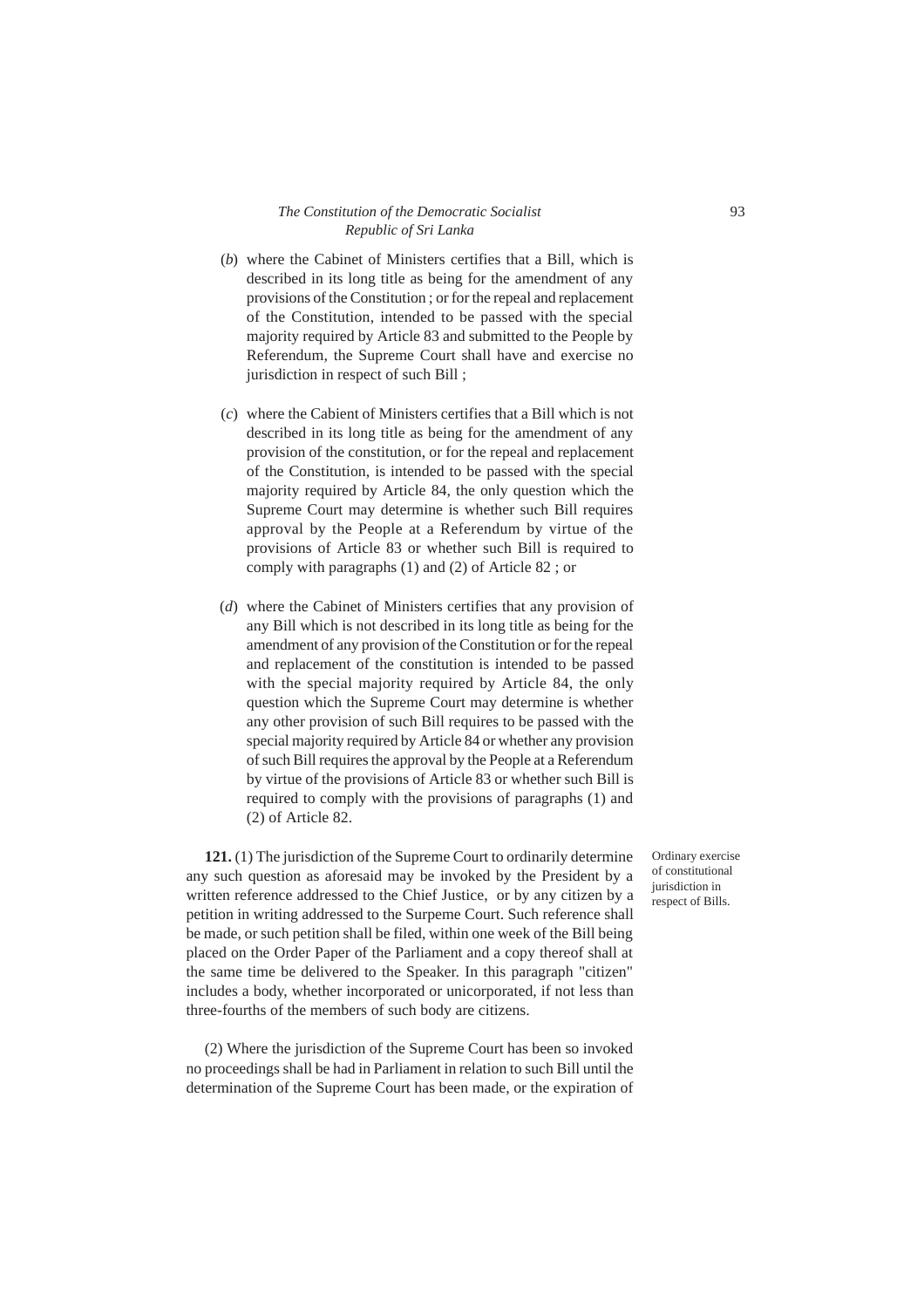- (*b*) where the Cabinet of Ministers certifies that a Bill, which is described in its long title as being for the amendment of any provisions of the Constitution ; or for the repeal and replacement of the Constitution, intended to be passed with the special majority required by Article 83 and submitted to the People by Referendum, the Supreme Court shall have and exercise no jurisdiction in respect of such Bill :
- (*c*) where the Cabient of Ministers certifies that a Bill which is not described in its long title as being for the amendment of any provision of the constitution, or for the repeal and replacement of the Constitution, is intended to be passed with the special majority required by Article 84, the only question which the Supreme Court may determine is whether such Bill requires approval by the People at a Referendum by virtue of the provisions of Article 83 or whether such Bill is required to comply with paragraphs (1) and (2) of Article 82 ; or
- (*d*) where the Cabinet of Ministers certifies that any provision of any Bill which is not described in its long title as being for the amendment of any provision of the Constitution or for the repeal and replacement of the constitution is intended to be passed with the special majority required by Article 84, the only question which the Supreme Court may determine is whether any other provision of such Bill requires to be passed with the special majority required by Article 84 or whether any provision of such Bill requires the approval by the People at a Referendum by virtue of the provisions of Article 83 or whether such Bill is required to comply with the provisions of paragraphs (1) and (2) of Article 82.

**121.** (1) The jurisdiction of the Supreme Court to ordinarily determine any such question as aforesaid may be invoked by the President by a written reference addressed to the Chief Justice, or by any citizen by a petition in writing addressed to the Surpeme Court. Such reference shall be made, or such petition shall be filed, within one week of the Bill being placed on the Order Paper of the Parliament and a copy thereof shall at the same time be delivered to the Speaker. In this paragraph "citizen" includes a body, whether incorporated or unicorporated, if not less than three-fourths of the members of such body are citizens.

(2) Where the jurisdiction of the Supreme Court has been so invoked no proceedings shall be had in Parliament in relation to such Bill until the determination of the Supreme Court has been made, or the expiration of Ordinary exercise of constitutional jurisdiction in respect of Bills.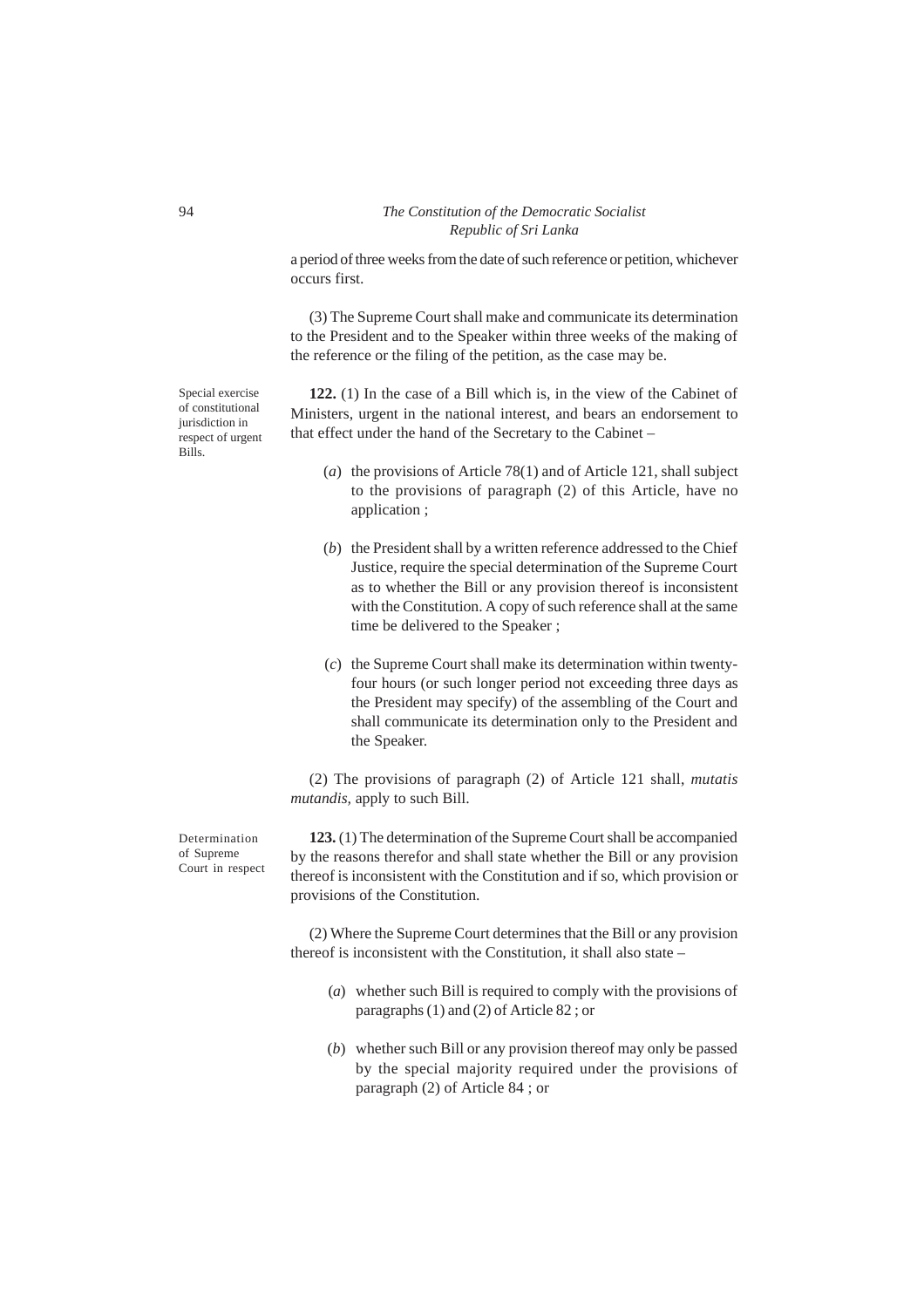a period of three weeks from the date of such reference or petition, whichever occurs first.

(3) The Supreme Court shall make and communicate its determination to the President and to the Speaker within three weeks of the making of the reference or the filing of the petition, as the case may be.

**122.** (1) In the case of a Bill which is, in the view of the Cabinet of Ministers, urgent in the national interest, and bears an endorsement to that effect under the hand of the Secretary to the Cabinet –

- (*a*) the provisions of Article 78(1) and of Article 121, shall subject to the provisions of paragraph (2) of this Article, have no application ;
- (*b*) the President shall by a written reference addressed to the Chief Justice, require the special determination of the Supreme Court as to whether the Bill or any provision thereof is inconsistent with the Constitution. A copy of such reference shall at the same time be delivered to the Speaker ;
- (*c*) the Supreme Court shall make its determination within twentyfour hours (or such longer period not exceeding three days as the President may specify) of the assembling of the Court and shall communicate its determination only to the President and the Speaker.

(2) The provisions of paragraph (2) of Article 121 shall, *mutatis mutandis,* apply to such Bill.

Determination of Supreme Court in respect

**123.** (1) The determination of the Supreme Court shall be accompanied by the reasons therefor and shall state whether the Bill or any provision thereof is inconsistent with the Constitution and if so, which provision or provisions of the Constitution.

(2) Where the Supreme Court determines that the Bill or any provision thereof is inconsistent with the Constitution, it shall also state –

- (*a*) whether such Bill is required to comply with the provisions of paragraphs (1) and (2) of Article 82 ; or
- (*b*) whether such Bill or any provision thereof may only be passed by the special majority required under the provisions of paragraph (2) of Article 84 ; or

Special exercise of constitutional jurisdiction in respect of urgent

Bills.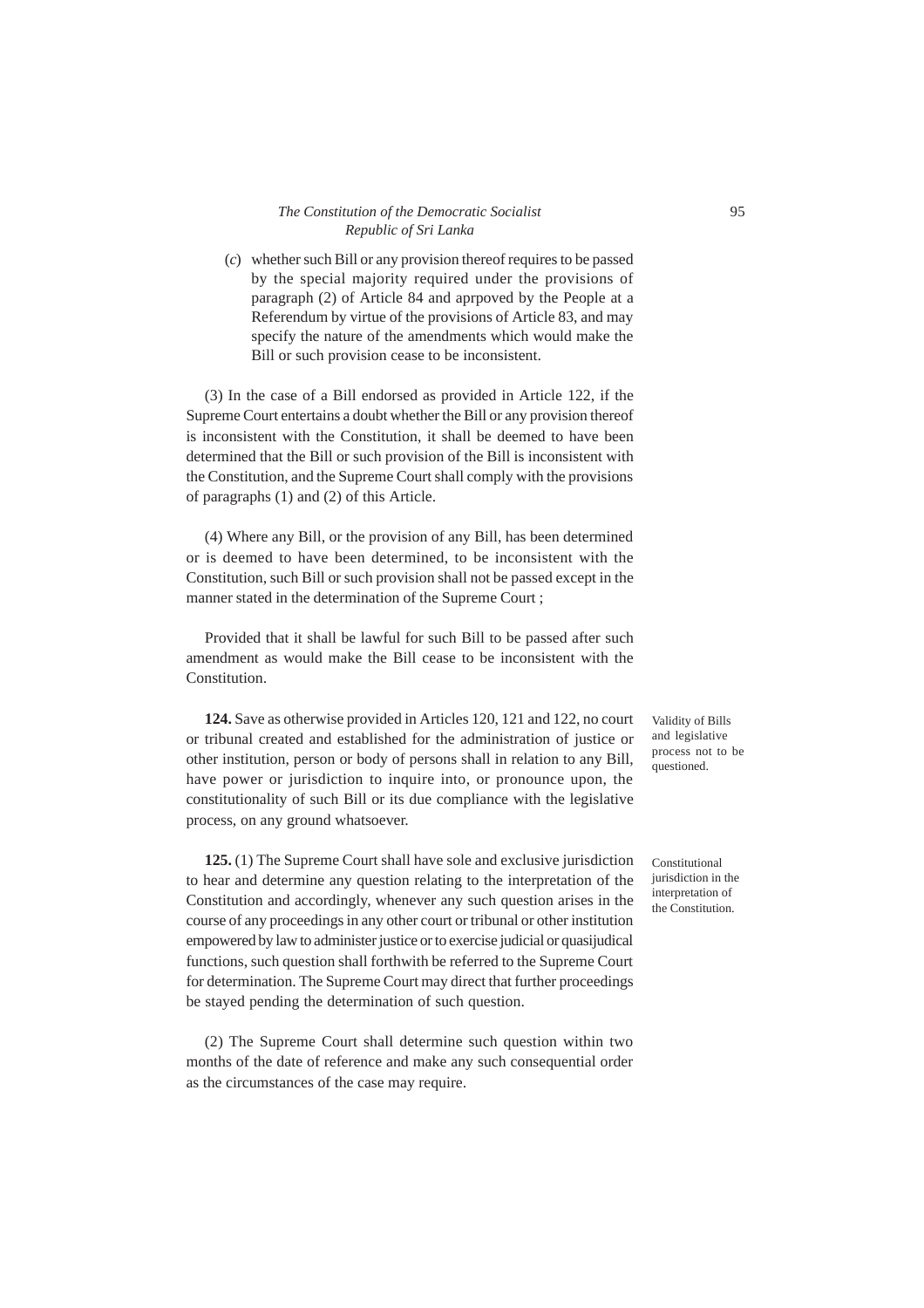(*c*) whether such Bill or any provision thereof requires to be passed by the special majority required under the provisions of paragraph (2) of Article 84 and aprpoved by the People at a Referendum by virtue of the provisions of Article 83, and may specify the nature of the amendments which would make the Bill or such provision cease to be inconsistent.

(3) In the case of a Bill endorsed as provided in Article 122, if the Supreme Court entertains a doubt whether the Bill or any provision thereof is inconsistent with the Constitution, it shall be deemed to have been determined that the Bill or such provision of the Bill is inconsistent with the Constitution, and the Supreme Court shall comply with the provisions of paragraphs (1) and (2) of this Article.

(4) Where any Bill, or the provision of any Bill, has been determined or is deemed to have been determined, to be inconsistent with the Constitution, such Bill or such provision shall not be passed except in the manner stated in the determination of the Supreme Court ;

Provided that it shall be lawful for such Bill to be passed after such amendment as would make the Bill cease to be inconsistent with the Constitution.

**124.** Save as otherwise provided in Articles 120, 121 and 122, no court or tribunal created and established for the administration of justice or other institution, person or body of persons shall in relation to any Bill, have power or jurisdiction to inquire into, or pronounce upon, the constitutionality of such Bill or its due compliance with the legislative process, on any ground whatsoever.

**125.** (1) The Supreme Court shall have sole and exclusive jurisdiction to hear and determine any question relating to the interpretation of the Constitution and accordingly, whenever any such question arises in the course of any proceedings in any other court or tribunal or other institution empowered by law to administer justice or to exercise judicial or quasijudical functions, such question shall forthwith be referred to the Supreme Court for determination. The Supreme Court may direct that further proceedings be stayed pending the determination of such question.

(2) The Supreme Court shall determine such question within two months of the date of reference and make any such consequential order as the circumstances of the case may require.

Validity of Bills and legislative process not to be questioned.

Constitutional jurisdiction in the interpretation of the Constitution.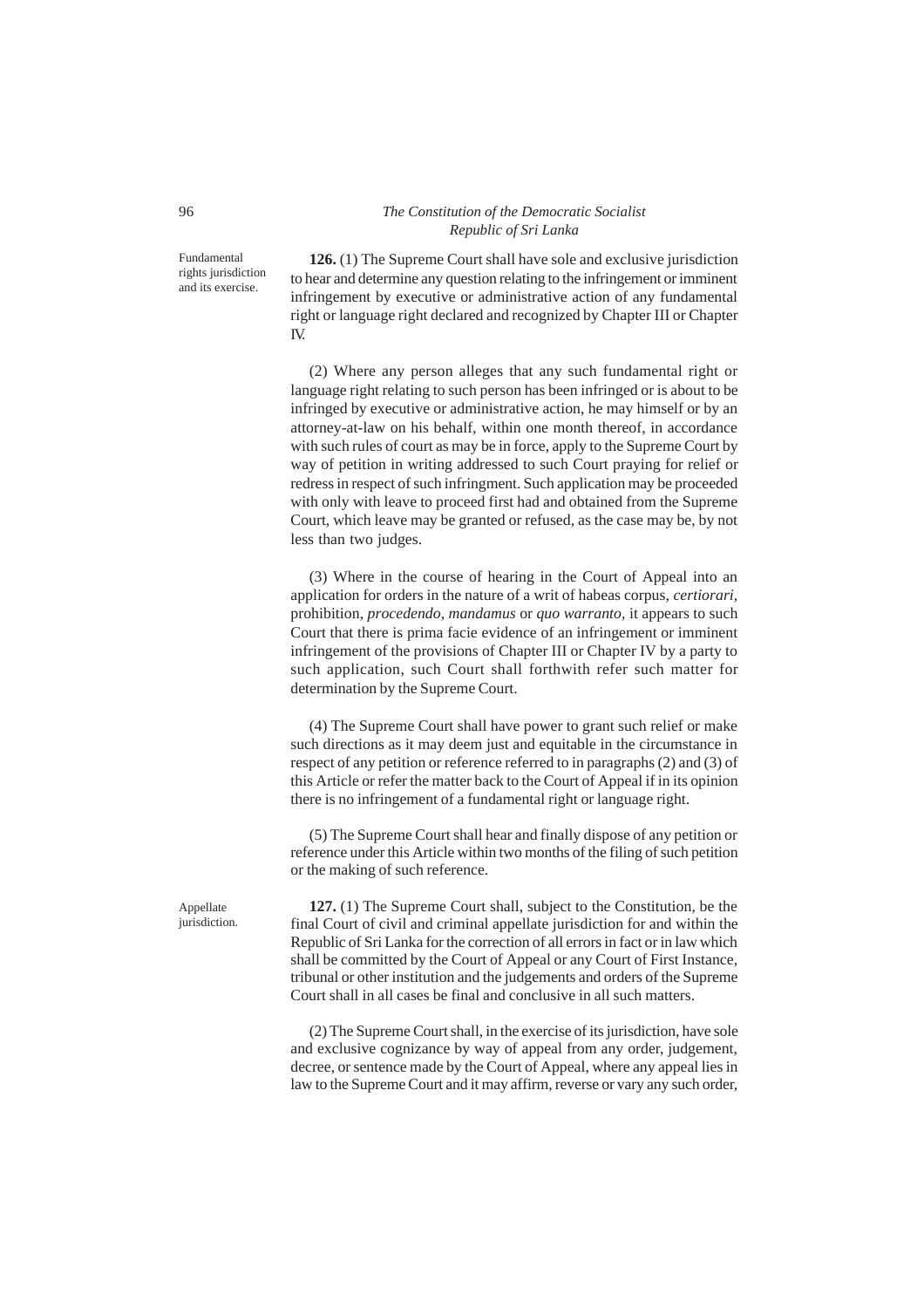Fundamental rights jurisdiction and its exercise.

**126.** (1) The Supreme Court shall have sole and exclusive jurisdiction to hear and determine any question relating to the infringement or imminent infringement by executive or administrative action of any fundamental right or language right declared and recognized by Chapter III or Chapter IV.

(2) Where any person alleges that any such fundamental right or language right relating to such person has been infringed or is about to be infringed by executive or administrative action, he may himself or by an attorney-at-law on his behalf, within one month thereof, in accordance with such rules of court as may be in force, apply to the Supreme Court by way of petition in writing addressed to such Court praying for relief or redress in respect of such infringment. Such application may be proceeded with only with leave to proceed first had and obtained from the Supreme Court, which leave may be granted or refused, as the case may be, by not less than two judges.

(3) Where in the course of hearing in the Court of Appeal into an application for orders in the nature of a writ of habeas corpus, *certiorari,* prohibition, *procedendo, mandamus* or *quo warranto,* it appears to such Court that there is prima facie evidence of an infringement or imminent infringement of the provisions of Chapter III or Chapter IV by a party to such application, such Court shall forthwith refer such matter for determination by the Supreme Court.

(4) The Supreme Court shall have power to grant such relief or make such directions as it may deem just and equitable in the circumstance in respect of any petition or reference referred to in paragraphs (2) and (3) of this Article or refer the matter back to the Court of Appeal if in its opinion there is no infringement of a fundamental right or language right.

(5) The Supreme Court shall hear and finally dispose of any petition or reference under this Article within two months of the filing of such petition or the making of such reference.

**127.** (1) The Supreme Court shall, subject to the Constitution, be the final Court of civil and criminal appellate jurisdiction for and within the Republic of Sri Lanka for the correction of all errors in fact or in law which shall be committed by the Court of Appeal or any Court of First Instance, tribunal or other institution and the judgements and orders of the Supreme Court shall in all cases be final and conclusive in all such matters.

(2) The Supreme Court shall, in the exercise of its jurisdiction, have sole and exclusive cognizance by way of appeal from any order, judgement, decree, or sentence made by the Court of Appeal, where any appeal lies in law to the Supreme Court and it may affirm, reverse or vary any such order,

Appellate jurisdiction.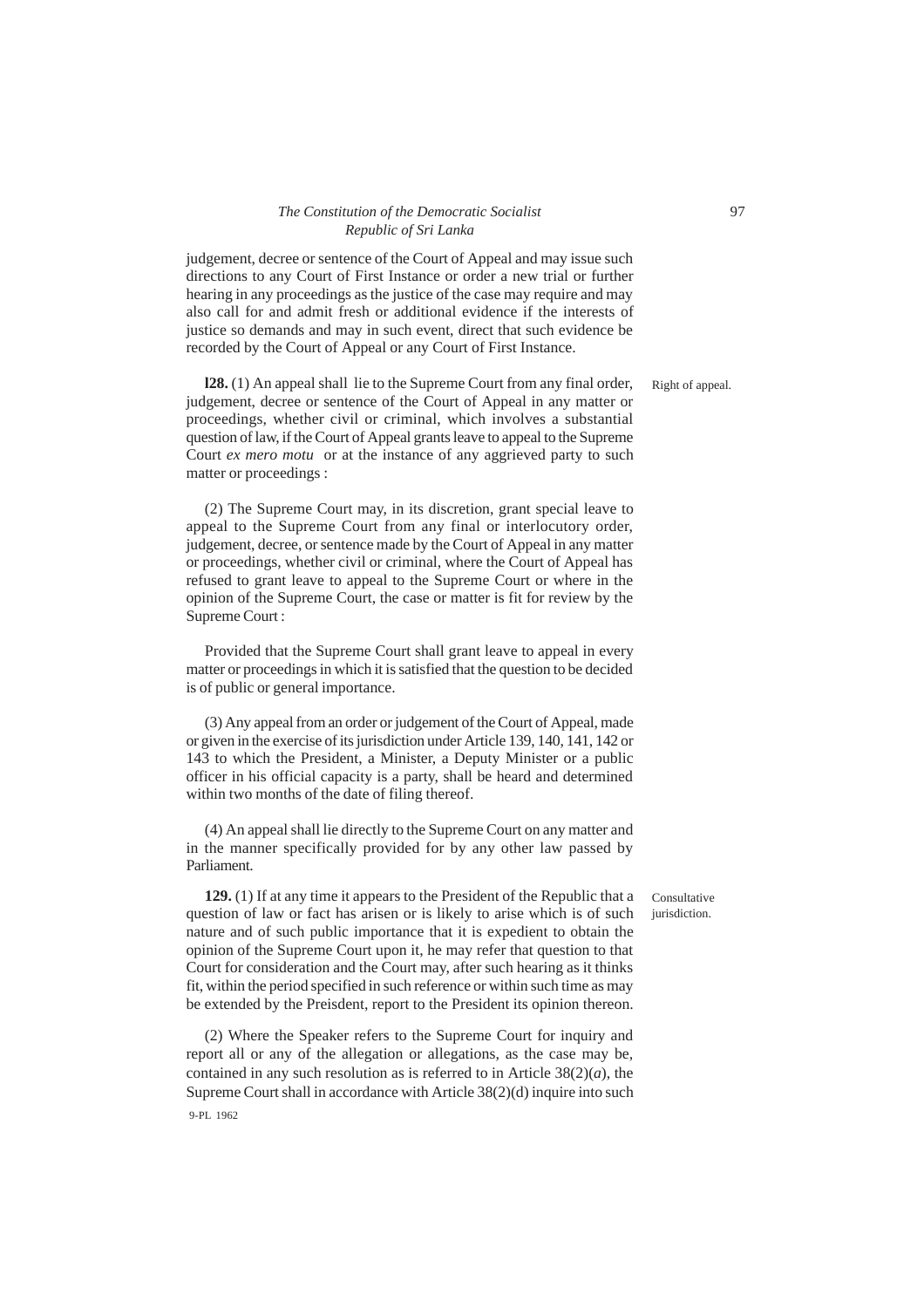judgement, decree or sentence of the Court of Appeal and may issue such directions to any Court of First Instance or order a new trial or further hearing in any proceedings as the justice of the case may require and may also call for and admit fresh or additional evidence if the interests of justice so demands and may in such event, direct that such evidence be recorded by the Court of Appeal or any Court of First Instance.

**l28.** (1) An appeal shall lie to the Supreme Court from any final order, judgement, decree or sentence of the Court of Appeal in any matter or proceedings, whether civil or criminal, which involves a substantial question of law, if the Court of Appeal grants leave to appeal to the Supreme Court *ex mero motu* or at the instance of any aggrieved party to such matter or proceedings :

(2) The Supreme Court may, in its discretion, grant special leave to appeal to the Supreme Court from any final or interlocutory order, judgement, decree, or sentence made by the Court of Appeal in any matter or proceedings, whether civil or criminal, where the Court of Appeal has refused to grant leave to appeal to the Supreme Court or where in the opinion of the Supreme Court, the case or matter is fit for review by the Supreme Court :

Provided that the Supreme Court shall grant leave to appeal in every matter or proceedings in which it is satisfied that the question to be decided is of public or general importance.

(3) Any appeal from an order or judgement of the Court of Appeal, made or given in the exercise of its jurisdiction under Article 139, 140, 141, 142 or 143 to which the President, a Minister, a Deputy Minister or a public officer in his official capacity is a party, shall be heard and determined within two months of the date of filing thereof.

(4) An appeal shall lie directly to the Supreme Court on any matter and in the manner specifically provided for by any other law passed by Parliament.

**129.** (1) If at any time it appears to the President of the Republic that a question of law or fact has arisen or is likely to arise which is of such nature and of such public importance that it is expedient to obtain the opinion of the Supreme Court upon it, he may refer that question to that Court for consideration and the Court may, after such hearing as it thinks fit, within the period specified in such reference or within such time as may be extended by the Preisdent, report to the President its opinion thereon.

(2) Where the Speaker refers to the Supreme Court for inquiry and report all or any of the allegation or allegations, as the case may be, contained in any such resolution as is referred to in Article  $38(2)(a)$ , the Supreme Court shall in accordance with Article 38(2)(d) inquire into such 9-PL 1962

Consultative jurisdiction.

Right of appeal.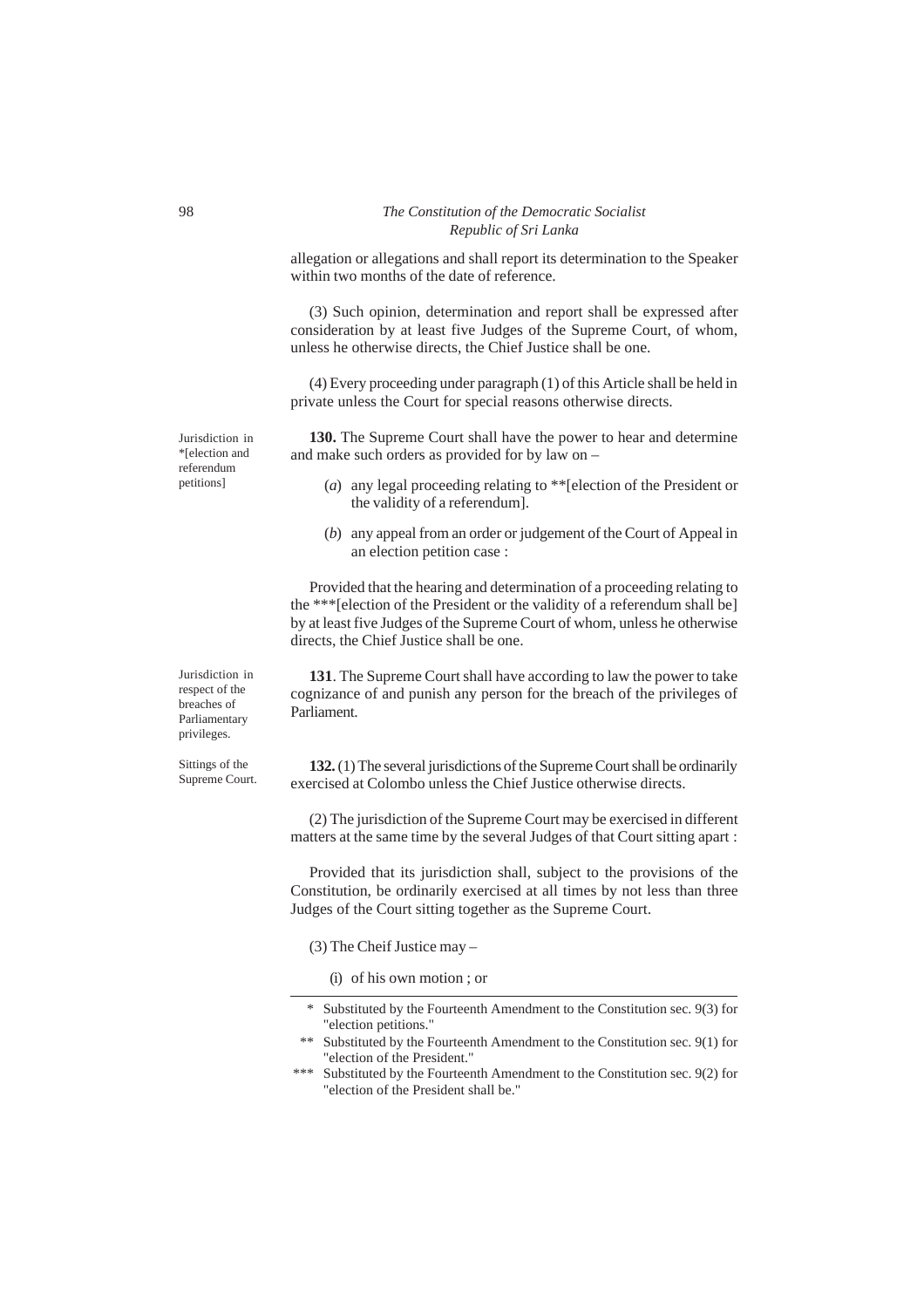allegation or allegations and shall report its determination to the Speaker within two months of the date of reference.

(3) Such opinion, determination and report shall be expressed after consideration by at least five Judges of the Supreme Court, of whom, unless he otherwise directs, the Chief Justice shall be one.

(4) Every proceeding under paragraph (1) of this Article shall be held in private unless the Court for special reasons otherwise directs.

**130.** The Supreme Court shall have the power to hear and determine and make such orders as provided for by law on –

(*a*) any legal proceeding relating to \*\*[election of the President or the validity of a referendum].

(*b*) any appeal from an order or judgement of the Court of Appeal in an election petition case :

Provided that the hearing and determination of a proceeding relating to the \*\*\*[election of the President or the validity of a referendum shall be] by at least five Judges of the Supreme Court of whom, unless he otherwise directs, the Chief Justice shall be one.

**131**. The Supreme Court shall have according to law the power to take cognizance of and punish any person for the breach of the privileges of Parliament.

**132.** (1) The several jurisdictions of the Supreme Court shall be ordinarily exercised at Colombo unless the Chief Justice otherwise directs.

(2) The jurisdiction of the Supreme Court may be exercised in different matters at the same time by the several Judges of that Court sitting apart :

Provided that its jurisdiction shall, subject to the provisions of the Constitution, be ordinarily exercised at all times by not less than three Judges of the Court sitting together as the Supreme Court.

(3) The Cheif Justice may –

(i) of his own motion ; or

Jurisdiction in \*[election and referendum petitions]

Jurisdiction in respect of the breaches of Parliamentary privileges.

Sittings of the Supreme Court.

<sup>\*</sup> Substituted by the Fourteenth Amendment to the Constitution sec. 9(3) for "election petitions."

<sup>\*\*</sup> Substituted by the Fourteenth Amendment to the Constitution sec. 9(1) for "election of the President."

<sup>\*\*\*</sup> Substituted by the Fourteenth Amendment to the Constitution sec. 9(2) for "election of the President shall be."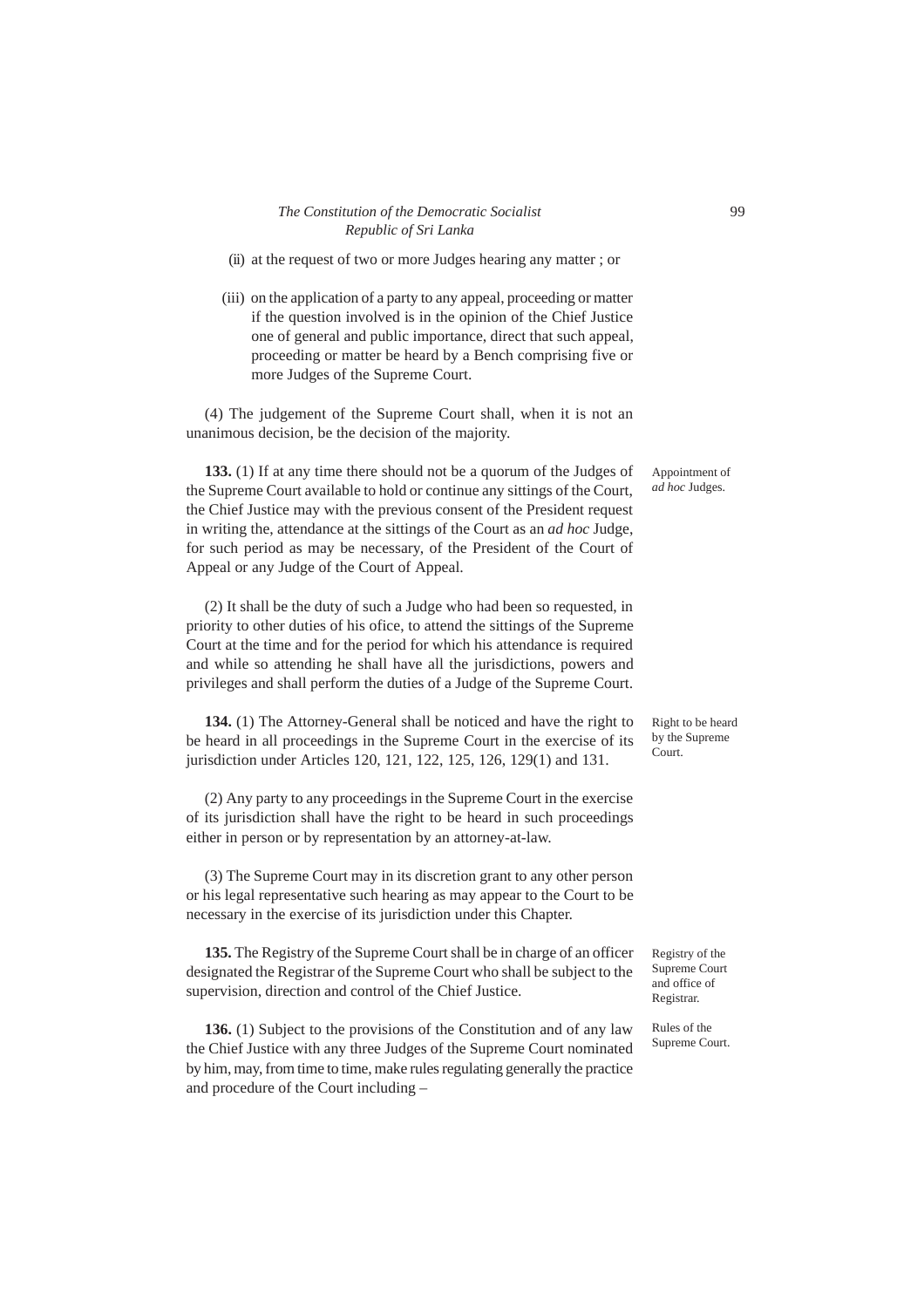## (ii) at the request of two or more Judges hearing any matter ; or

(iii) on the application of a party to any appeal, proceeding or matter if the question involved is in the opinion of the Chief Justice one of general and public importance, direct that such appeal, proceeding or matter be heard by a Bench comprising five or more Judges of the Supreme Court.

(4) The judgement of the Supreme Court shall, when it is not an unanimous decision, be the decision of the majority.

**133.** (1) If at any time there should not be a quorum of the Judges of the Supreme Court available to hold or continue any sittings of the Court, the Chief Justice may with the previous consent of the President request in writing the, attendance at the sittings of the Court as an *ad hoc* Judge, for such period as may be necessary, of the President of the Court of Appeal or any Judge of the Court of Appeal.

(2) It shall be the duty of such a Judge who had been so requested, in priority to other duties of his ofice, to attend the sittings of the Supreme Court at the time and for the period for which his attendance is required and while so attending he shall have all the jurisdictions, powers and privileges and shall perform the duties of a Judge of the Supreme Court.

**134.** (1) The Attorney-General shall be noticed and have the right to be heard in all proceedings in the Supreme Court in the exercise of its jurisdiction under Articles 120, 121, 122, 125, 126, 129(1) and 131.

(2) Any party to any proceedings in the Supreme Court in the exercise of its jurisdiction shall have the right to be heard in such proceedings either in person or by representation by an attorney-at-law.

(3) The Supreme Court may in its discretion grant to any other person or his legal representative such hearing as may appear to the Court to be necessary in the exercise of its jurisdiction under this Chapter.

**135.** The Registry of the Supreme Court shall be in charge of an officer designated the Registrar of the Supreme Court who shall be subject to the supervision, direction and control of the Chief Justice.

**136.** (1) Subject to the provisions of the Constitution and of any law the Chief Justice with any three Judges of the Supreme Court nominated by him, may, from time to time, make rules regulating generally the practice and procedure of the Court including –

Appointment of *ad hoc* Judges.

Right to be heard by the Supreme Court.

Registry of the Supreme Court and office of Registrar.

Rules of the Supreme Court.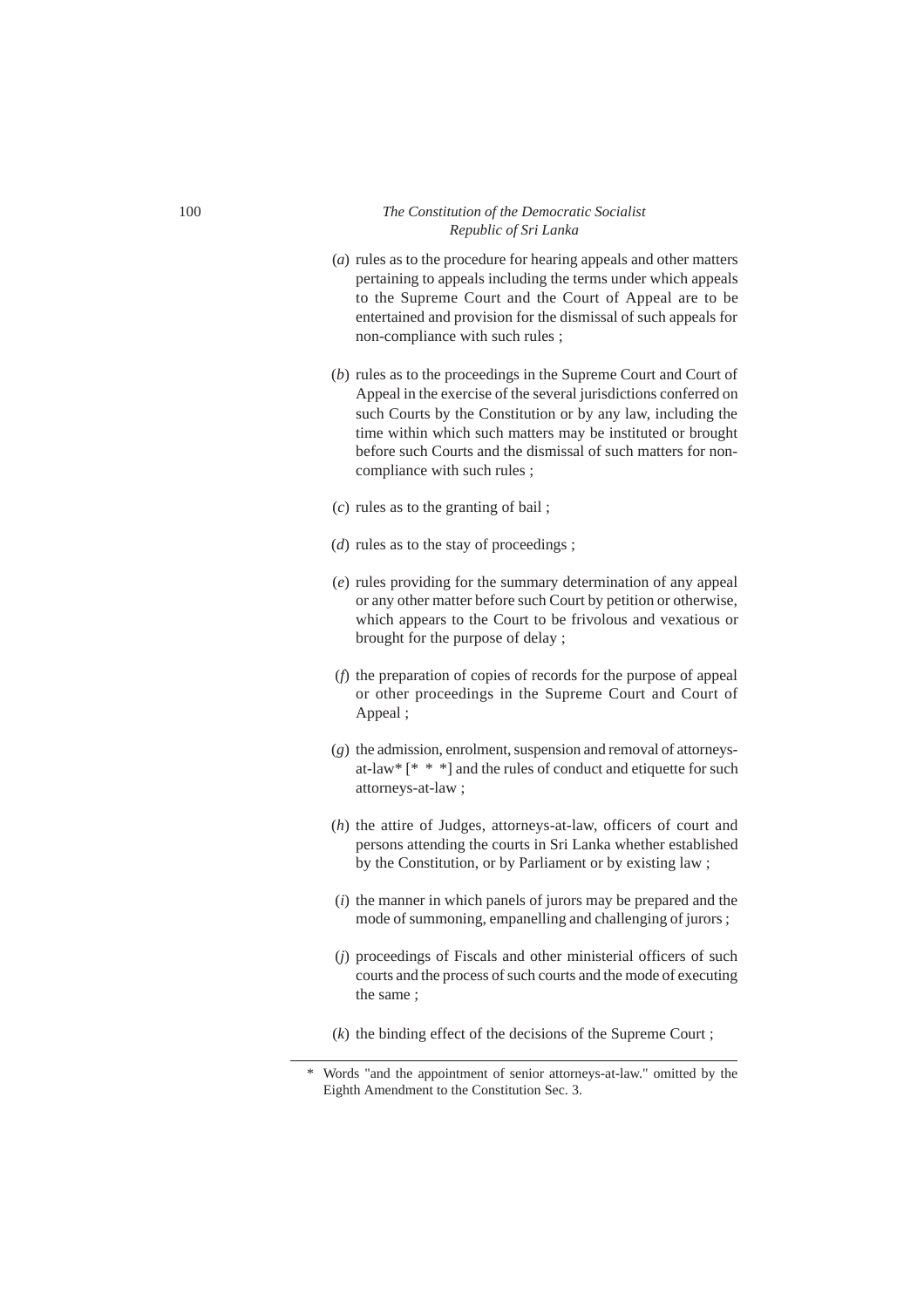- (*a*) rules as to the procedure for hearing appeals and other matters pertaining to appeals including the terms under which appeals to the Supreme Court and the Court of Appeal are to be entertained and provision for the dismissal of such appeals for non-compliance with such rules ;
- (*b*) rules as to the proceedings in the Supreme Court and Court of Appeal in the exercise of the several jurisdictions conferred on such Courts by the Constitution or by any law, including the time within which such matters may be instituted or brought before such Courts and the dismissal of such matters for noncompliance with such rules ;
- (*c*) rules as to the granting of bail ;
- (*d*) rules as to the stay of proceedings ;
- (*e*) rules providing for the summary determination of any appeal or any other matter before such Court by petition or otherwise, which appears to the Court to be frivolous and vexatious or brought for the purpose of delay ;
- (*f*) the preparation of copies of records for the purpose of appeal or other proceedings in the Supreme Court and Court of Appeal ;
- (*g*) the admission, enrolment, suspension and removal of attorneysat-law\* [\* \* \*] and the rules of conduct and etiquette for such attorneys-at-law ;
- (*h*) the attire of Judges, attorneys-at-law, officers of court and persons attending the courts in Sri Lanka whether established by the Constitution, or by Parliament or by existing law ;
- (*i*) the manner in which panels of jurors may be prepared and the mode of summoning, empanelling and challenging of jurors ;
- (*j*) proceedings of Fiscals and other ministerial officers of such courts and the process of such courts and the mode of executing the same ;
- (*k*) the binding effect of the decisions of the Supreme Court ;

<sup>\*</sup> Words "and the appointment of senior attorneys-at-law." omitted by the Eighth Amendment to the Constitution Sec. 3.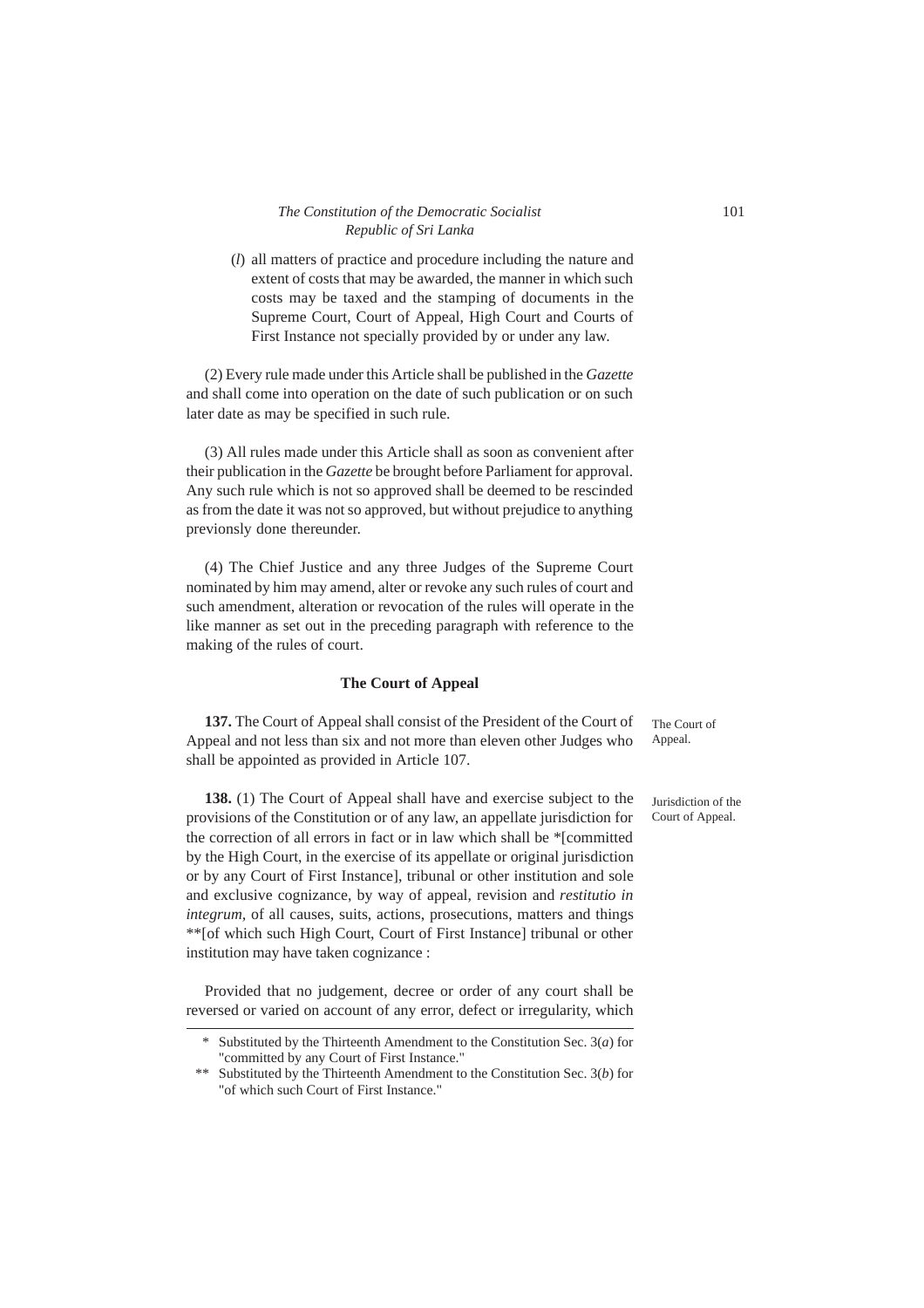(*l*) all matters of practice and procedure including the nature and extent of costs that may be awarded, the manner in which such costs may be taxed and the stamping of documents in the Supreme Court, Court of Appeal, High Court and Courts of First Instance not specially provided by or under any law.

(2) Every rule made under this Article shall be published in the *Gazette* and shall come into operation on the date of such publication or on such later date as may be specified in such rule.

(3) All rules made under this Article shall as soon as convenient after their publication in the *Gazette* be brought before Parliament for approval. Any such rule which is not so approved shall be deemed to be rescinded as from the date it was not so approved, but without prejudice to anything previonsly done thereunder.

(4) The Chief Justice and any three Judges of the Supreme Court nominated by him may amend, alter or revoke any such rules of court and such amendment, alteration or revocation of the rules will operate in the like manner as set out in the preceding paragraph with reference to the making of the rules of court.

#### **The Court of Appeal**

**137.** The Court of Appeal shall consist of the President of the Court of Appeal and not less than six and not more than eleven other Judges who shall be appointed as provided in Article 107.

The Court of Appeal.

**138.** (1) The Court of Appeal shall have and exercise subject to the provisions of the Constitution or of any law, an appellate jurisdiction for the correction of all errors in fact or in law which shall be \*[committed by the High Court, in the exercise of its appellate or original jurisdiction or by any Court of First Instance], tribunal or other institution and sole and exclusive cognizance, by way of appeal, revision and *restitutio in integrum,* of all causes, suits, actions, prosecutions, matters and things \*\*[of which such High Court, Court of First Instance] tribunal or other institution may have taken cognizance :

Provided that no judgement, decree or order of any court shall be reversed or varied on account of any error, defect or irregularity, which

Jurisdiction of the Court of Appeal.

Substituted by the Thirteenth Amendment to the Constitution Sec.  $3(a)$  for "committed by any Court of First Instance."

<sup>\*\*</sup> Substituted by the Thirteenth Amendment to the Constitution Sec. 3(*b*) for "of which such Court of First Instance."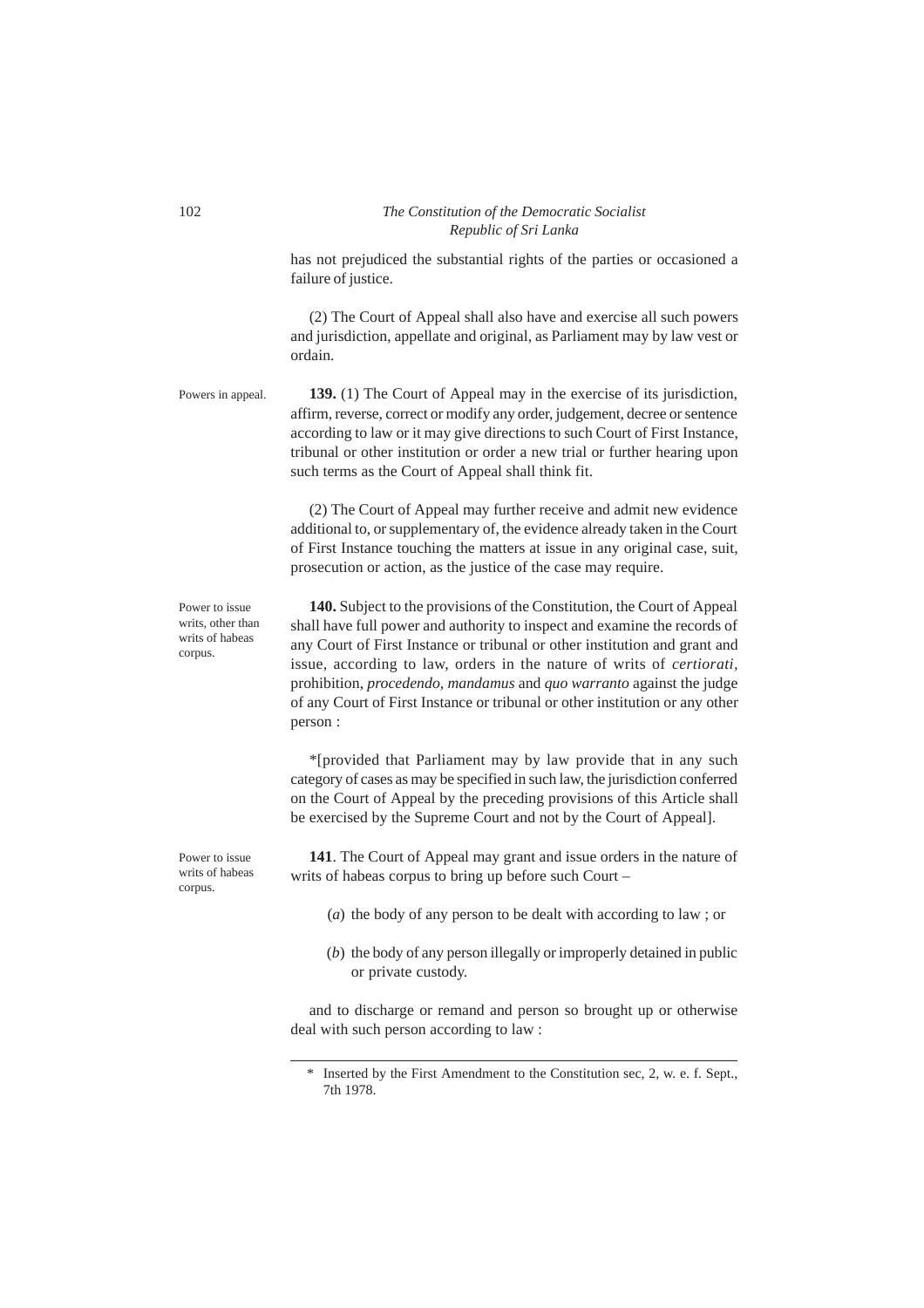has not prejudiced the substantial rights of the parties or occasioned a failure of justice.

(2) The Court of Appeal shall also have and exercise all such powers and jurisdiction, appellate and original, as Parliament may by law vest or ordain.

**139.** (1) The Court of Appeal may in the exercise of its jurisdiction, affirm, reverse, correct or modify any order, judgement, decree or sentence according to law or it may give directions to such Court of First Instance, tribunal or other institution or order a new trial or further hearing upon such terms as the Court of Appeal shall think fit. Powers in appeal.

> (2) The Court of Appeal may further receive and admit new evidence additional to, or supplementary of, the evidence already taken in the Court of First Instance touching the matters at issue in any original case, suit, prosecution or action, as the justice of the case may require.

Power to issue writs, other than writs of habeas corpus.

**140.** Subject to the provisions of the Constitution, the Court of Appeal shall have full power and authority to inspect and examine the records of any Court of First Instance or tribunal or other institution and grant and issue, according to law, orders in the nature of writs of *certiorati,* prohibition, *procedendo, mandamus* and *quo warranto* against the judge of any Court of First Instance or tribunal or other institution or any other person :

\*[provided that Parliament may by law provide that in any such category of cases as may be specified in such law, the jurisdiction conferred on the Court of Appeal by the preceding provisions of this Article shall be exercised by the Supreme Court and not by the Court of Appeal].

Power to issue writs of habeas corpus.

**141**. The Court of Appeal may grant and issue orders in the nature of writs of habeas corpus to bring up before such Court –

- (*a*) the body of any person to be dealt with according to law ; or
- (*b*) the body of any person illegally or improperly detained in public or private custody.

and to discharge or remand and person so brought up or otherwise deal with such person according to law :

<sup>\*</sup> Inserted by the First Amendment to the Constitution sec, 2, w. e. f. Sept., 7th 1978.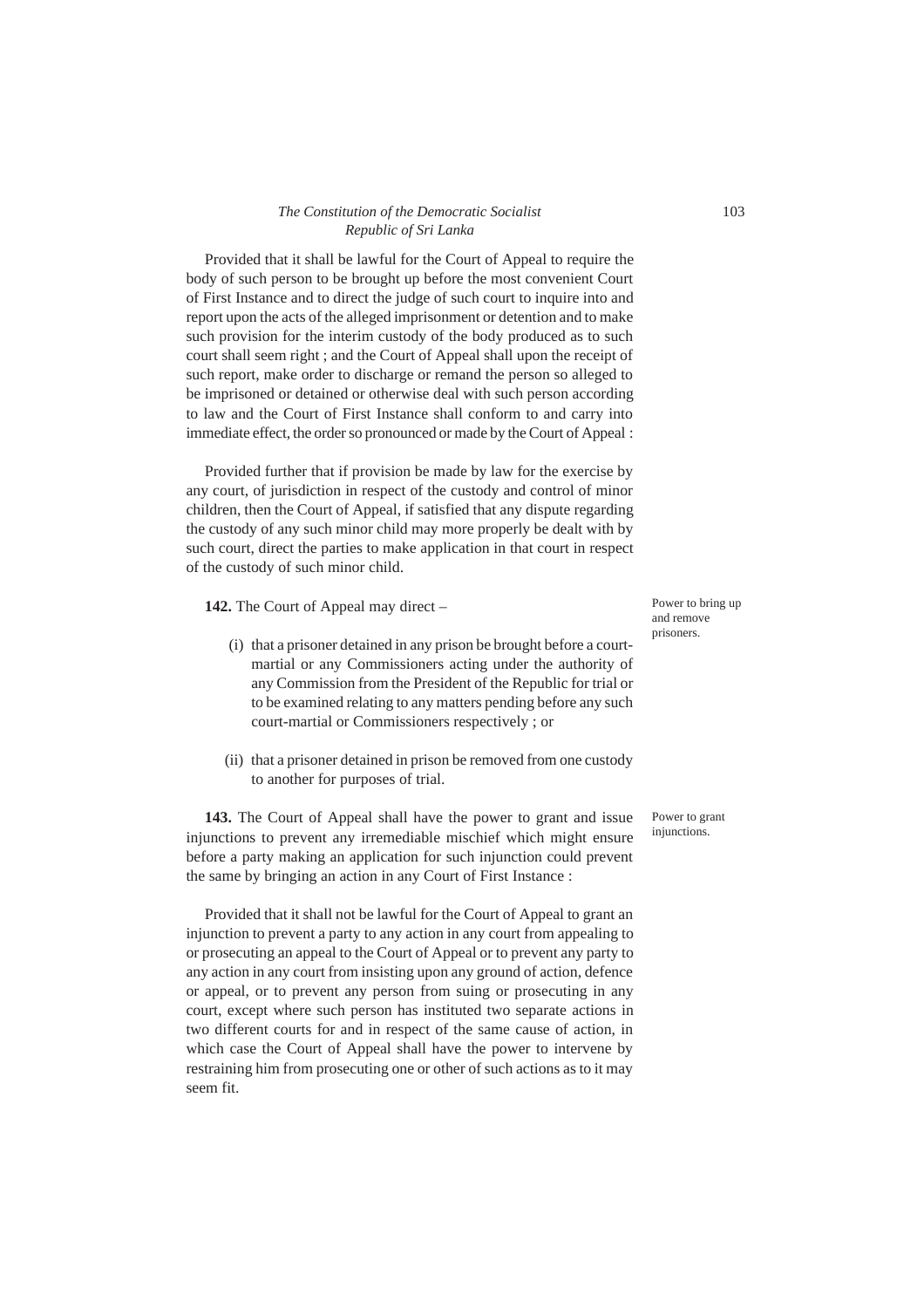Provided that it shall be lawful for the Court of Appeal to require the body of such person to be brought up before the most convenient Court of First Instance and to direct the judge of such court to inquire into and report upon the acts of the alleged imprisonment or detention and to make such provision for the interim custody of the body produced as to such court shall seem right ; and the Court of Appeal shall upon the receipt of such report, make order to discharge or remand the person so alleged to be imprisoned or detained or otherwise deal with such person according to law and the Court of First Instance shall conform to and carry into immediate effect, the order so pronounced or made by the Court of Appeal :

Provided further that if provision be made by law for the exercise by any court, of jurisdiction in respect of the custody and control of minor children, then the Court of Appeal, if satisfied that any dispute regarding the custody of any such minor child may more properly be dealt with by such court, direct the parties to make application in that court in respect of the custody of such minor child.

**142.** The Court of Appeal may direct –

- (i) that a prisoner detained in any prison be brought before a courtmartial or any Commissioners acting under the authority of any Commission from the President of the Republic for trial or to be examined relating to any matters pending before any such court-martial or Commissioners respectively ; or
- (ii) that a prisoner detained in prison be removed from one custody to another for purposes of trial.

**143.** The Court of Appeal shall have the power to grant and issue injunctions to prevent any irremediable mischief which might ensure before a party making an application for such injunction could prevent the same by bringing an action in any Court of First Instance :

Provided that it shall not be lawful for the Court of Appeal to grant an injunction to prevent a party to any action in any court from appealing to or prosecuting an appeal to the Court of Appeal or to prevent any party to any action in any court from insisting upon any ground of action, defence or appeal, or to prevent any person from suing or prosecuting in any court, except where such person has instituted two separate actions in two different courts for and in respect of the same cause of action, in which case the Court of Appeal shall have the power to intervene by restraining him from prosecuting one or other of such actions as to it may seem fit.

Power to bring up and remove prisoners.

Power to grant injunctions.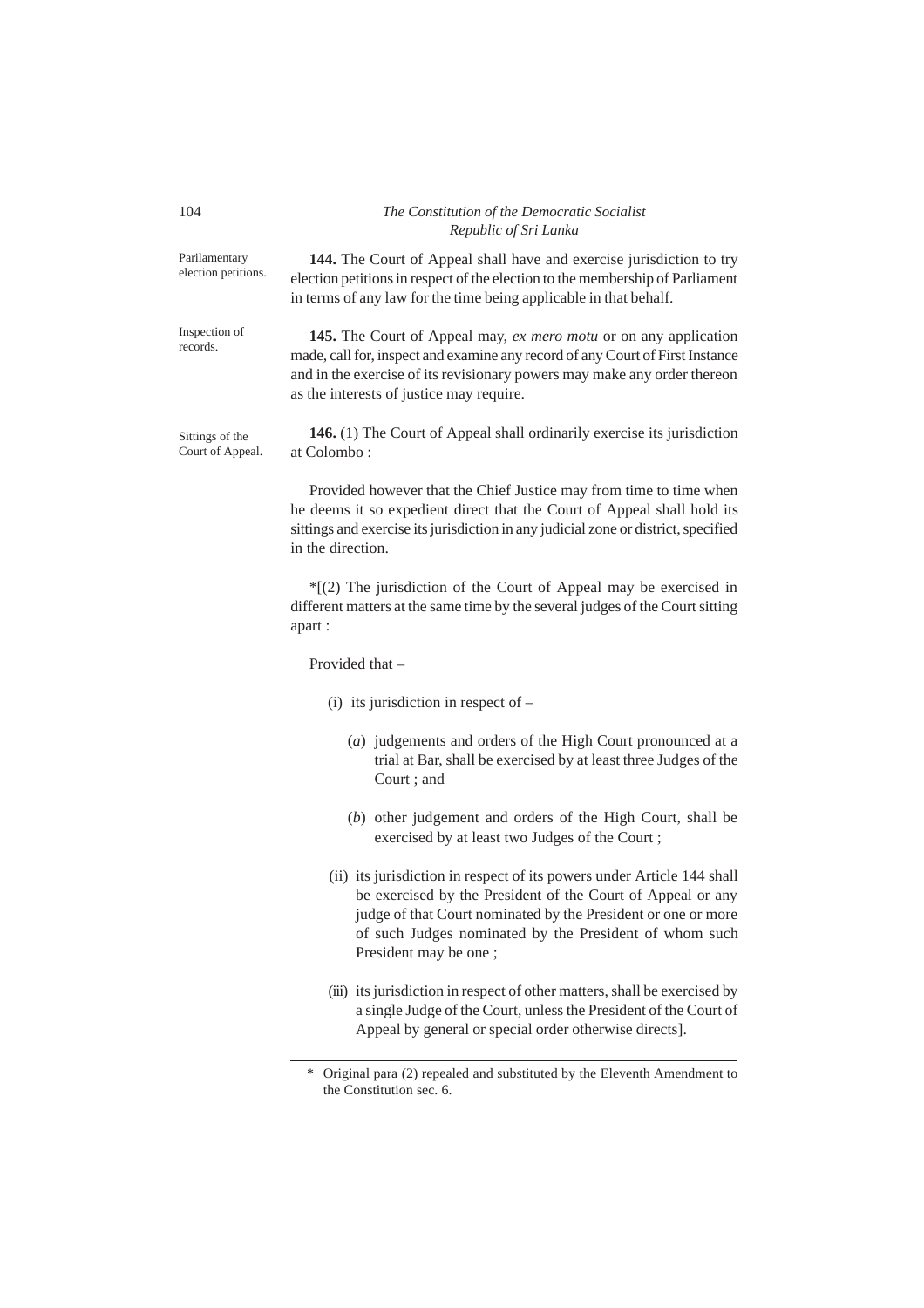Parilamentary election petitions.

**144.** The Court of Appeal shall have and exercise jurisdiction to try election petitions in respect of the election to the membership of Parliament in terms of any law for the time being applicable in that behalf.

Inspection of records.

Sittings of the

**145.** The Court of Appeal may, *ex mero motu* or on any application made, call for, inspect and examine any record of any Court of First Instance and in the exercise of its revisionary powers may make any order thereon as the interests of justice may require.

**146.** (1) The Court of Appeal shall ordinarily exercise its jurisdiction at Colombo : Court of Appeal.

> Provided however that the Chief Justice may from time to time when he deems it so expedient direct that the Court of Appeal shall hold its sittings and exercise its jurisdiction in any judicial zone or district, specified in the direction.

> \*[(2) The jurisdiction of the Court of Appeal may be exercised in different matters at the same time by the several judges of the Court sitting apart :

# Provided that –

- (i) its jurisdiction in respect of
	- (*a*) judgements and orders of the High Court pronounced at a trial at Bar, shall be exercised by at least three Judges of the Court ; and
	- (*b*) other judgement and orders of the High Court, shall be exercised by at least two Judges of the Court ;
- (ii) its jurisdiction in respect of its powers under Article 144 shall be exercised by the President of the Court of Appeal or any judge of that Court nominated by the President or one or more of such Judges nominated by the President of whom such President may be one ;
- (iii) its jurisdiction in respect of other matters, shall be exercised by a single Judge of the Court, unless the President of the Court of Appeal by general or special order otherwise directs].

<sup>\*</sup> Original para (2) repealed and substituted by the Eleventh Amendment to the Constitution sec. 6.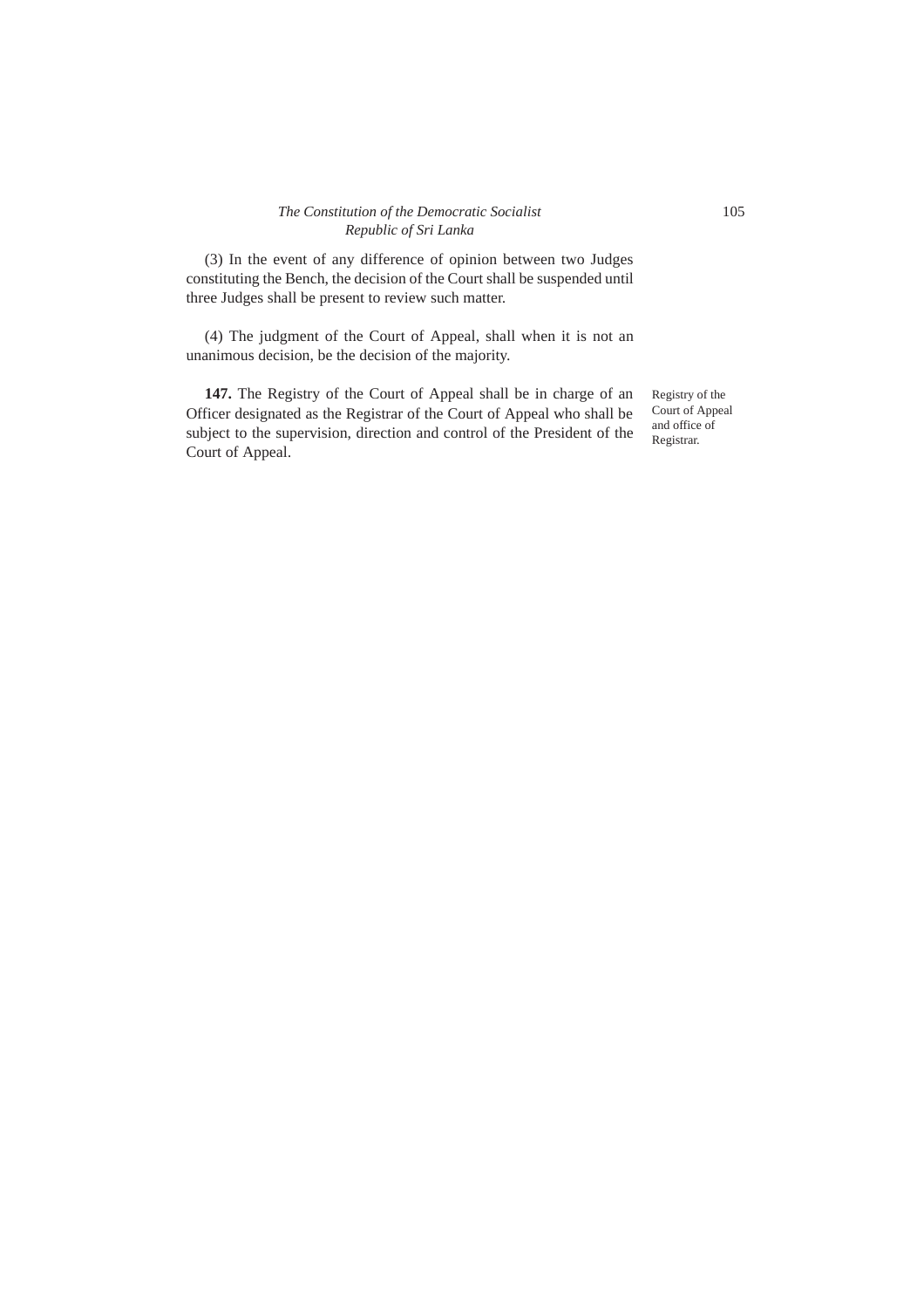(3) In the event of any difference of opinion between two Judges constituting the Bench, the decision of the Court shall be suspended until three Judges shall be present to review such matter.

(4) The judgment of the Court of Appeal, shall when it is not an unanimous decision, be the decision of the majority.

**147.** The Registry of the Court of Appeal shall be in charge of an Officer designated as the Registrar of the Court of Appeal who shall be subject to the supervision, direction and control of the President of the Court of Appeal.

Registry of the Court of Appeal and office of Registrar.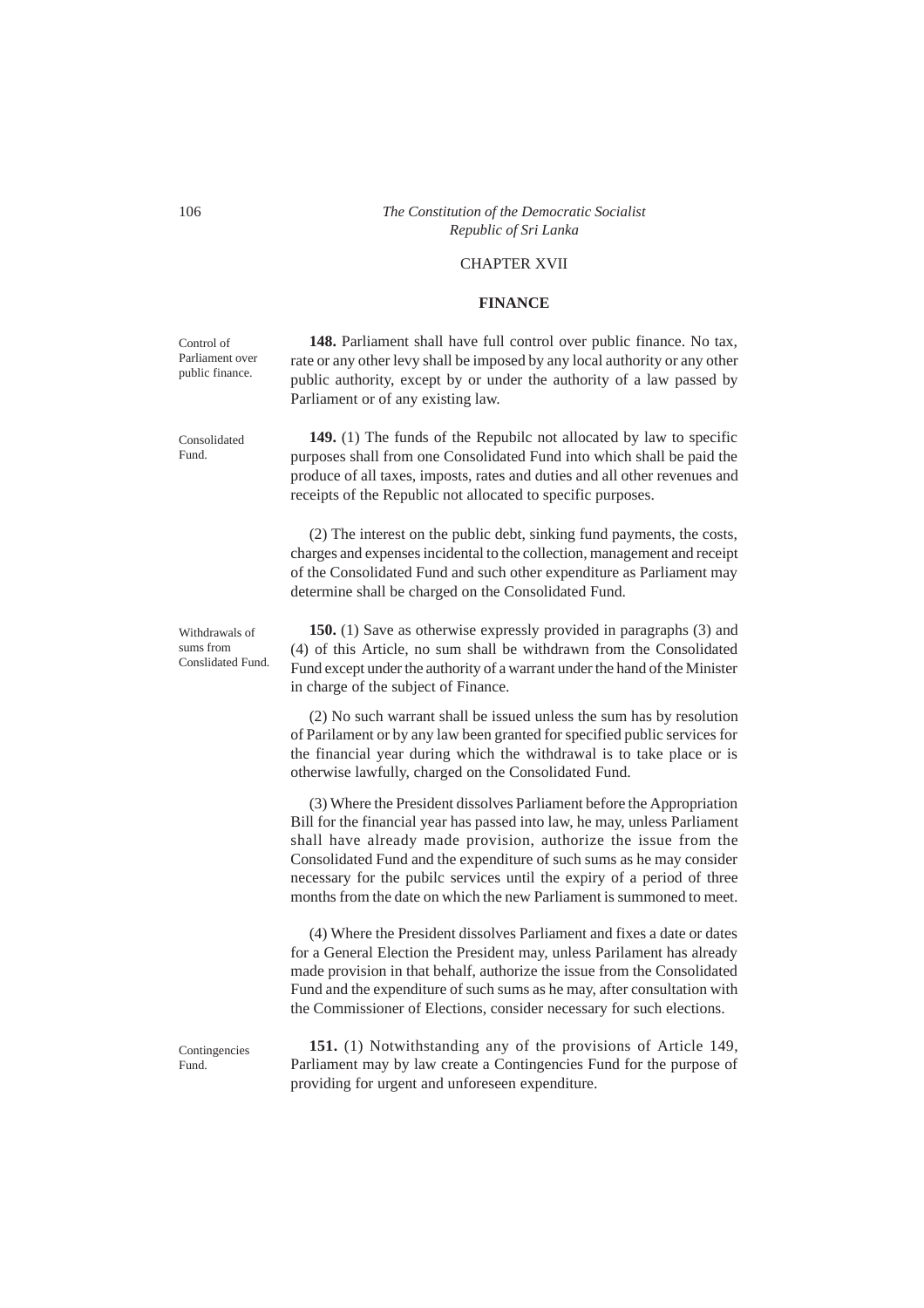# CHAPTER XVII

# **FINANCE**

**148.** Parliament shall have full control over public finance. No tax, rate or any other levy shall be imposed by any local authority or any other public authority, except by or under the authority of a law passed by Parliament or of any existing law.

**149.** (1) The funds of the Repubilc not allocated by law to specific purposes shall from one Consolidated Fund into which shall be paid the produce of all taxes, imposts, rates and duties and all other revenues and receipts of the Republic not allocated to specific purposes.

(2) The interest on the public debt, sinking fund payments, the costs, charges and expenses incidental to the collection, management and receipt of the Consolidated Fund and such other expenditure as Parliament may determine shall be charged on the Consolidated Fund.

**150.** (1) Save as otherwise expressly provided in paragraphs (3) and (4) of this Article, no sum shall be withdrawn from the Consolidated Fund except under the authority of a warrant under the hand of the Minister in charge of the subject of Finance.

(2) No such warrant shall be issued unless the sum has by resolution of Parilament or by any law been granted for specified public services for the financial year during which the withdrawal is to take place or is otherwise lawfully, charged on the Consolidated Fund.

(3) Where the President dissolves Parliament before the Appropriation Bill for the financial year has passed into law, he may, unless Parliament shall have already made provision, authorize the issue from the Consolidated Fund and the expenditure of such sums as he may consider necessary for the pubilc services until the expiry of a period of three months from the date on which the new Parliament is summoned to meet.

(4) Where the President dissolves Parliament and fixes a date or dates for a General Election the President may, unless Parilament has already made provision in that behalf, authorize the issue from the Consolidated Fund and the expenditure of such sums as he may, after consultation with the Commissioner of Elections, consider necessary for such elections.

Contingencies Fund.

**151.** (1) Notwithstanding any of the provisions of Article 149, Parliament may by law create a Contingencies Fund for the purpose of providing for urgent and unforeseen expenditure.

Control of Parliament over public finance.

Consolidated Fund.

106

Withdrawals of

sums from Conslidated Fund.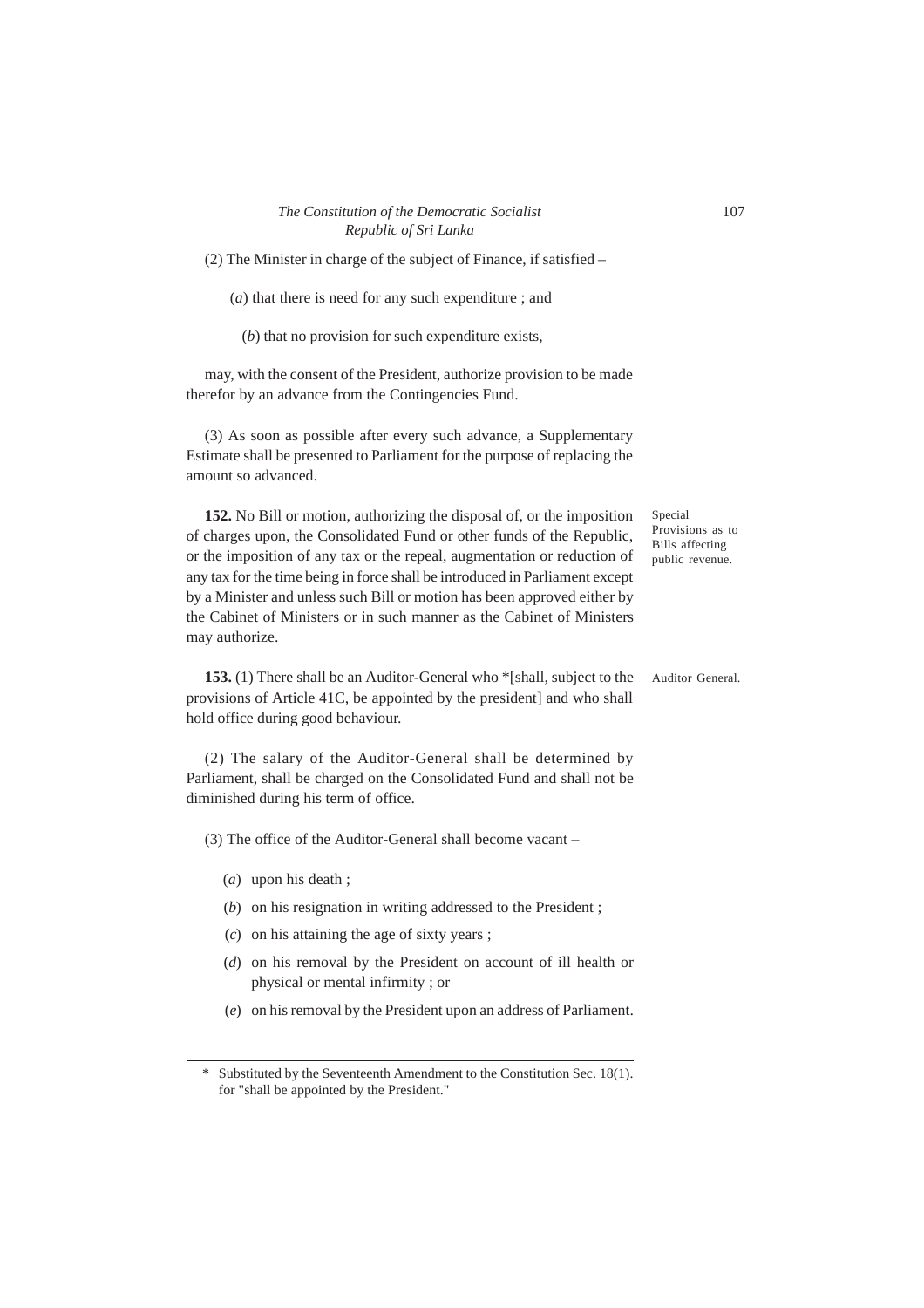(2) The Minister in charge of the subject of Finance, if satisfied –

- (*a*) that there is need for any such expenditure ; and
	- (*b*) that no provision for such expenditure exists,

may, with the consent of the President, authorize provision to be made therefor by an advance from the Contingencies Fund.

(3) As soon as possible after every such advance, a Supplementary Estimate shall be presented to Parliament for the purpose of replacing the amount so advanced.

**152.** No Bill or motion, authorizing the disposal of, or the imposition of charges upon, the Consolidated Fund or other funds of the Republic, or the imposition of any tax or the repeal, augmentation or reduction of any tax for the time being in force shall be introduced in Parliament except by a Minister and unless such Bill or motion has been approved either by the Cabinet of Ministers or in such manner as the Cabinet of Ministers may authorize.

**153.** (1) There shall be an Auditor-General who \*[shall, subject to the provisions of Article 41C, be appointed by the president] and who shall hold office during good behaviour.

(2) The salary of the Auditor-General shall be determined by Parliament, shall be charged on the Consolidated Fund and shall not be diminished during his term of office.

(3) The office of the Auditor-General shall become vacant –

- (*a*) upon his death ;
- (*b*) on his resignation in writing addressed to the President ;
- (*c*) on his attaining the age of sixty years ;
- (*d*) on his removal by the President on account of ill health or physical or mental infirmity ; or
- (*e*) on his removal by the President upon an address of Parliament.

Special Provisions as to Bills affecting public revenue.

Auditor General.

<sup>\*</sup> Substituted by the Seventeenth Amendment to the Constitution Sec. 18(1). for "shall be appointed by the President."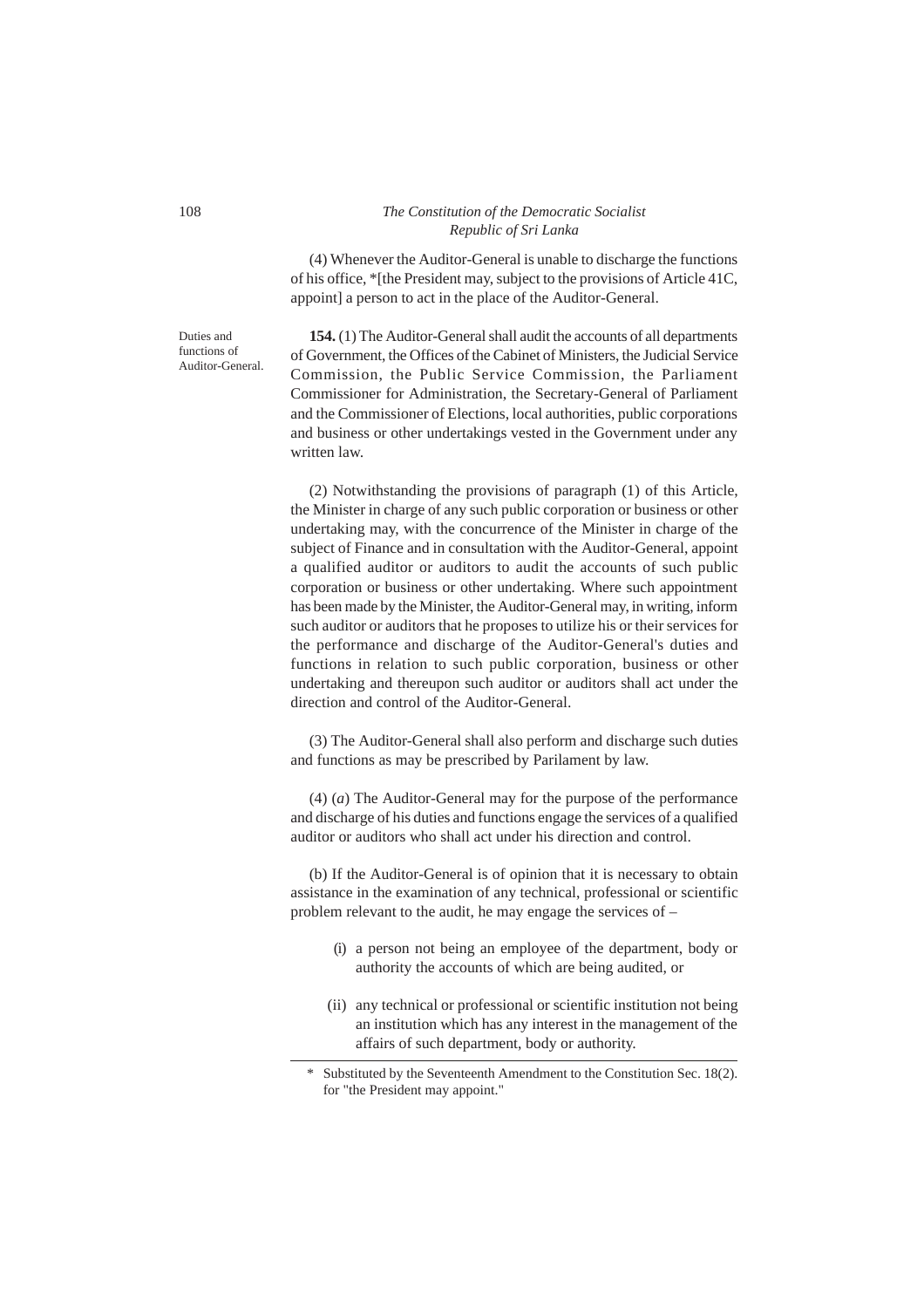(4) Whenever the Auditor-General is unable to discharge the functions of his office, \*[the President may, subject to the provisions of Article 41C, appoint] a person to act in the place of the Auditor-General.

Duties and functions of Auditor-General.

**154.** (1) The Auditor-General shall audit the accounts of all departments of Government, the Offices of the Cabinet of Ministers, the Judicial Service Commission, the Public Service Commission, the Parliament Commissioner for Administration, the Secretary-General of Parliament and the Commissioner of Elections, local authorities, public corporations and business or other undertakings vested in the Government under any written law.

(2) Notwithstanding the provisions of paragraph (1) of this Article, the Minister in charge of any such public corporation or business or other undertaking may, with the concurrence of the Minister in charge of the subject of Finance and in consultation with the Auditor-General, appoint a qualified auditor or auditors to audit the accounts of such public corporation or business or other undertaking. Where such appointment has been made by the Minister, the Auditor-General may, in writing, inform such auditor or auditors that he proposes to utilize his or their services for the performance and discharge of the Auditor-General's duties and functions in relation to such public corporation, business or other undertaking and thereupon such auditor or auditors shall act under the direction and control of the Auditor-General.

(3) The Auditor-General shall also perform and discharge such duties and functions as may be prescribed by Parilament by law.

(4) (*a*) The Auditor-General may for the purpose of the performance and discharge of his duties and functions engage the services of a qualified auditor or auditors who shall act under his direction and control.

(b) If the Auditor-General is of opinion that it is necessary to obtain assistance in the examination of any technical, professional or scientific problem relevant to the audit, he may engage the services of –

- (i) a person not being an employee of the department, body or authority the accounts of which are being audited, or
- (ii) any technical or professional or scientific institution not being an institution which has any interest in the management of the affairs of such department, body or authority.

<sup>\*</sup> Substituted by the Seventeenth Amendment to the Constitution Sec. 18(2). for "the President may appoint."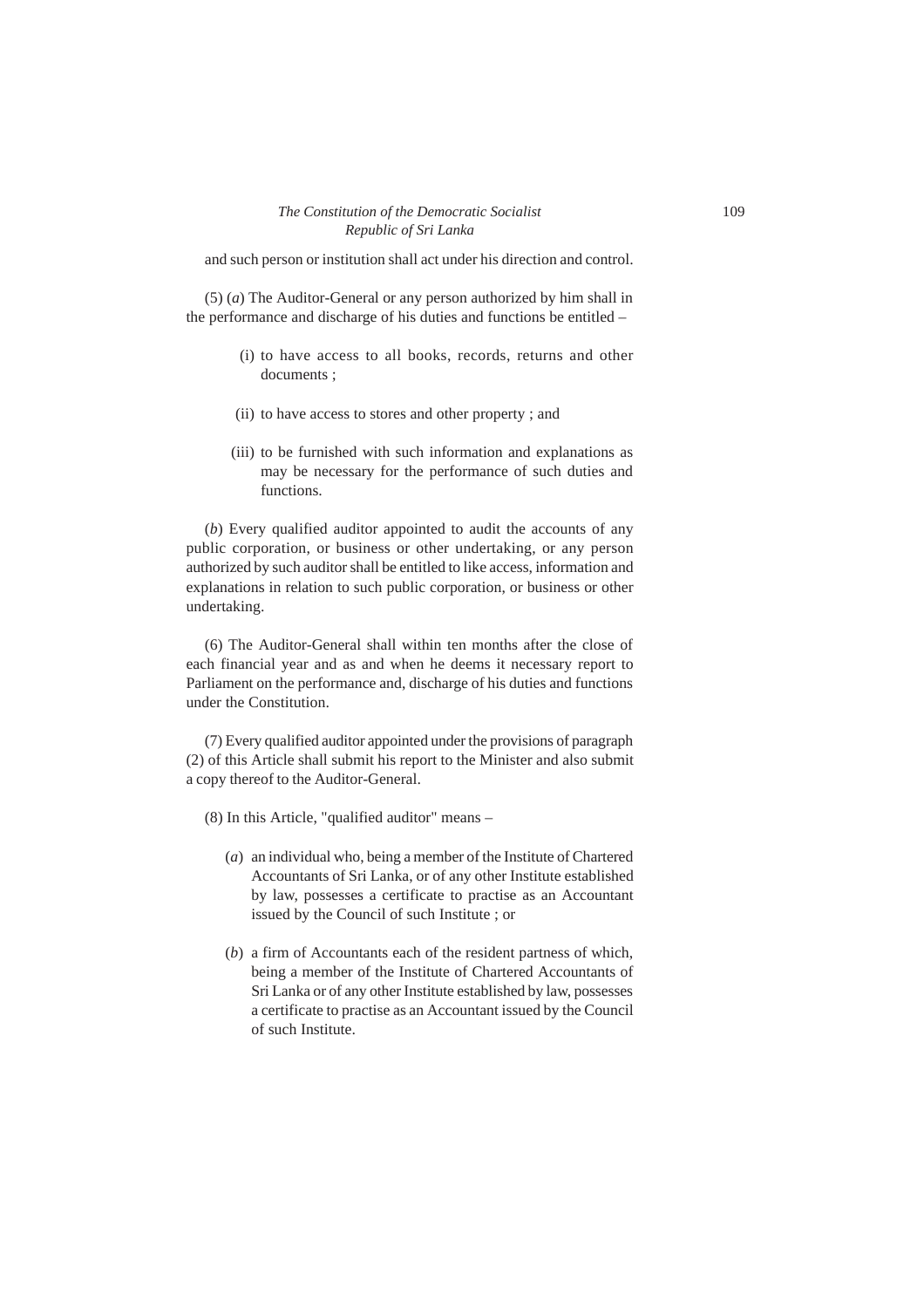and such person or institution shall act under his direction and control.

(5) (*a*) The Auditor-General or any person authorized by him shall in the performance and discharge of his duties and functions be entitled –

- (i) to have access to all books, records, returns and other documents ;
- (ii) to have access to stores and other property ; and
- (iii) to be furnished with such information and explanations as may be necessary for the performance of such duties and functions.

(*b*) Every qualified auditor appointed to audit the accounts of any public corporation, or business or other undertaking, or any person authorized by such auditor shall be entitled to like access, information and explanations in relation to such public corporation, or business or other undertaking.

(6) The Auditor-General shall within ten months after the close of each financial year and as and when he deems it necessary report to Parliament on the performance and, discharge of his duties and functions under the Constitution.

(7) Every qualified auditor appointed under the provisions of paragraph (2) of this Article shall submit his report to the Minister and also submit a copy thereof to the Auditor-General.

- (8) In this Article, "qualified auditor" means
	- (*a*) an individual who, being a member of the Institute of Chartered Accountants of Sri Lanka, or of any other Institute established by law, possesses a certificate to practise as an Accountant issued by the Council of such Institute ; or
	- (*b*) a firm of Accountants each of the resident partness of which, being a member of the Institute of Chartered Accountants of Sri Lanka or of any other Institute established by law, possesses a certificate to practise as an Accountant issued by the Council of such Institute.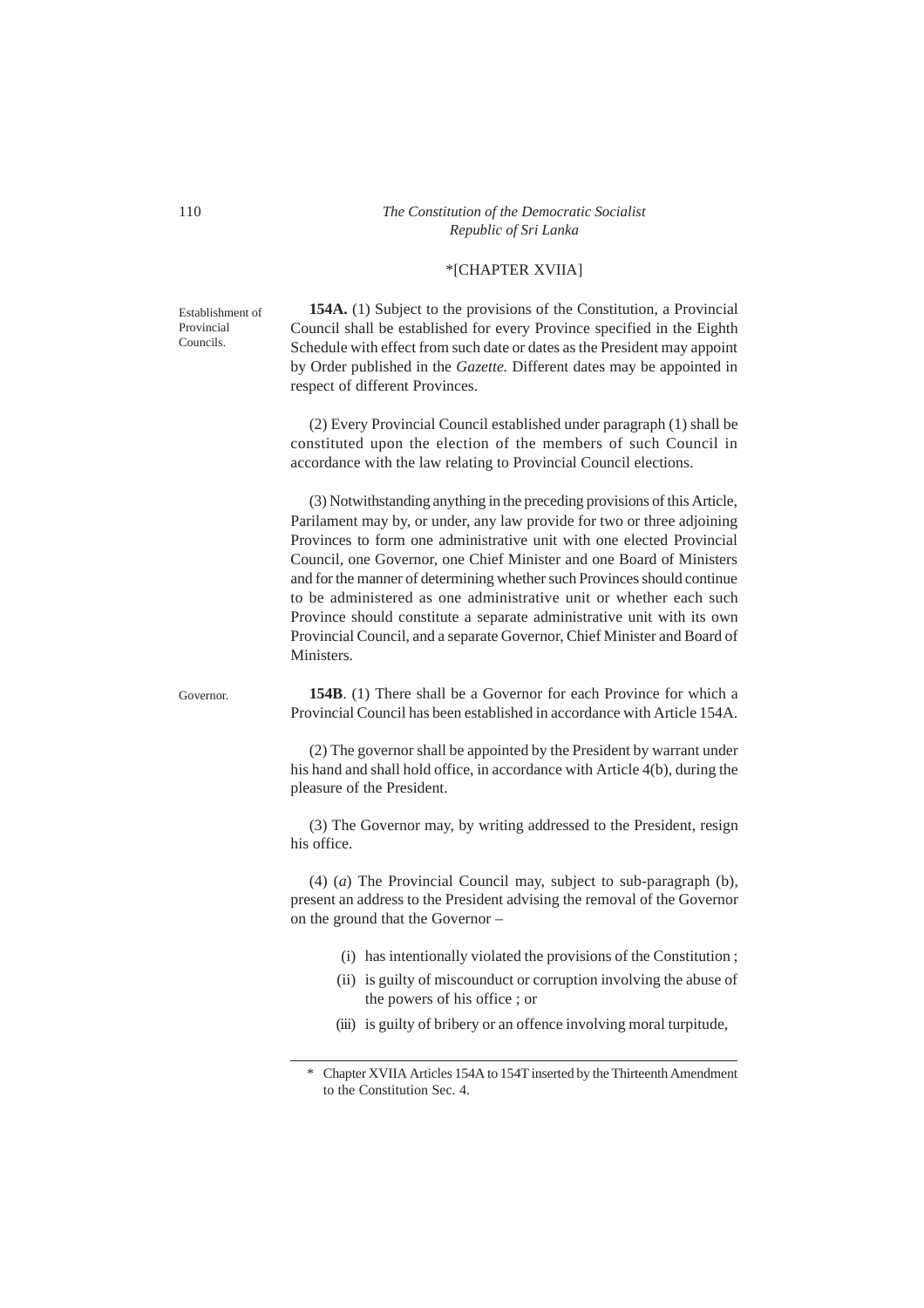#### \*[CHAPTER XVIIA]

Establishment of Provincial Councils.

**154A.** (1) Subject to the provisions of the Constitution, a Provincial Council shall be established for every Province specified in the Eighth Schedule with effect from such date or dates as the President may appoint by Order published in the *Gazette.* Different dates may be appointed in respect of different Provinces.

(2) Every Provincial Council established under paragraph (1) shall be constituted upon the election of the members of such Council in accordance with the law relating to Provincial Council elections.

(3) Notwithstanding anything in the preceding provisions of this Article, Parilament may by, or under, any law provide for two or three adjoining Provinces to form one administrative unit with one elected Provincial Council, one Governor, one Chief Minister and one Board of Ministers and for the manner of determining whether such Provinces should continue to be administered as one administrative unit or whether each such Province should constitute a separate administrative unit with its own Provincial Council, and a separate Governor, Chief Minister and Board of Ministers.

**154B**. (1) There shall be a Governor for each Province for which a Provincial Council has been established in accordance with Article 154A.

(2) The governor shall be appointed by the President by warrant under his hand and shall hold office, in accordance with Article 4(b), during the pleasure of the President.

(3) The Governor may, by writing addressed to the President, resign his office.

(4) (*a*) The Provincial Council may, subject to sub-paragraph (b), present an address to the President advising the removal of the Governor on the ground that the Governor –

- (i) has intentionally violated the provisions of the Constitution ;
- (ii) is guilty of miscounduct or corruption involving the abuse of the powers of his office ; or
- (iii) is guilty of bribery or an offence involving moral turpitude,

Governor.

<sup>\*</sup> Chapter XVIIA Articles 154A to 154T inserted by the Thirteenth Amendment to the Constitution Sec. 4.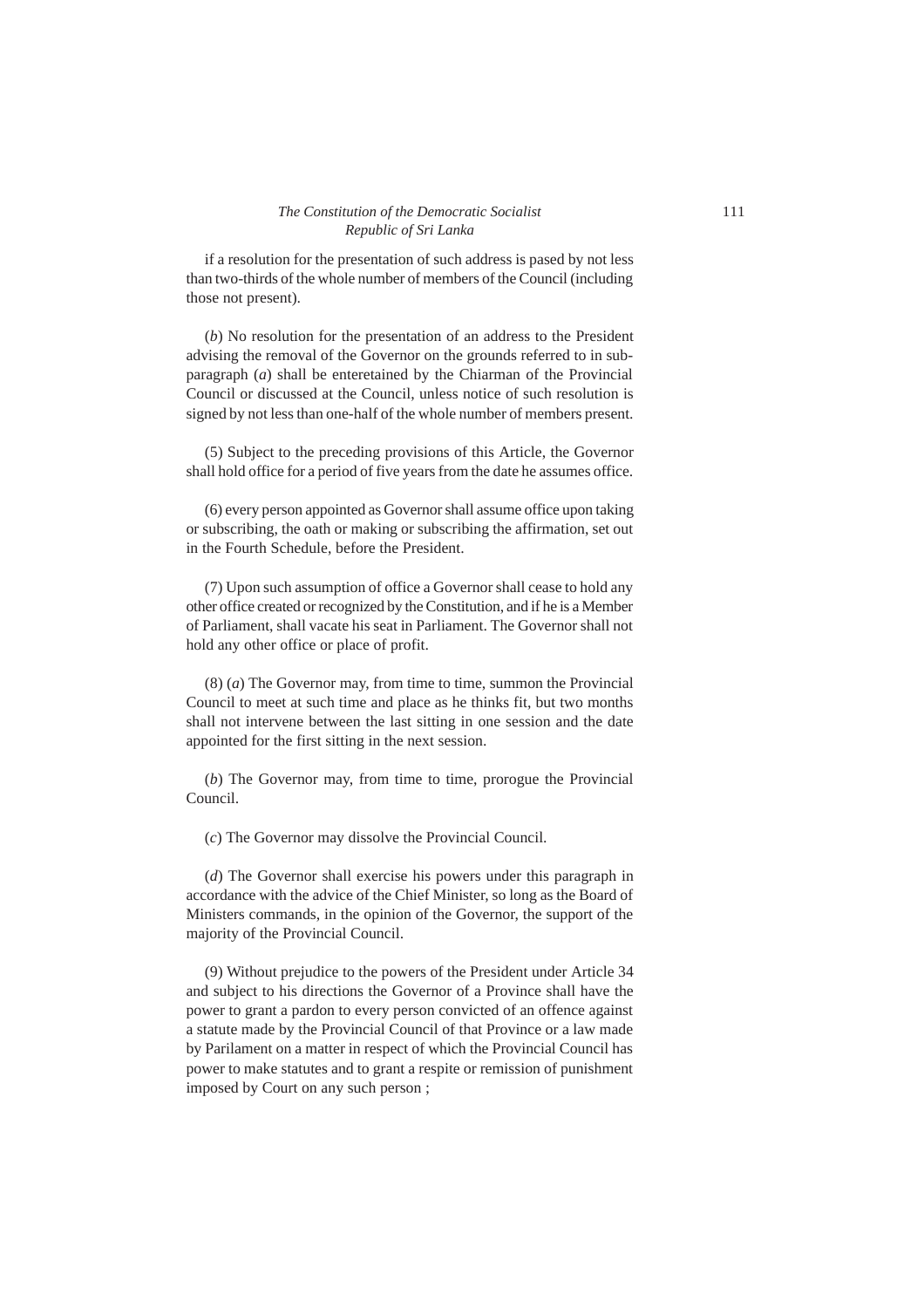if a resolution for the presentation of such address is pased by not less than two-thirds of the whole number of members of the Council (including those not present).

(*b*) No resolution for the presentation of an address to the President advising the removal of the Governor on the grounds referred to in subparagraph (*a*) shall be enteretained by the Chiarman of the Provincial Council or discussed at the Council, unless notice of such resolution is signed by not less than one-half of the whole number of members present.

(5) Subject to the preceding provisions of this Article, the Governor shall hold office for a period of five years from the date he assumes office.

(6) every person appointed as Governor shall assume office upon taking or subscribing, the oath or making or subscribing the affirmation, set out in the Fourth Schedule, before the President.

(7) Upon such assumption of office a Governor shall cease to hold any other office created or recognized by the Constitution, and if he is a Member of Parliament, shall vacate his seat in Parliament. The Governor shall not hold any other office or place of profit.

(8) (*a*) The Governor may, from time to time, summon the Provincial Council to meet at such time and place as he thinks fit, but two months shall not intervene between the last sitting in one session and the date appointed for the first sitting in the next session.

(*b*) The Governor may, from time to time, prorogue the Provincial Council.

(*c*) The Governor may dissolve the Provincial Council.

(*d*) The Governor shall exercise his powers under this paragraph in accordance with the advice of the Chief Minister, so long as the Board of Ministers commands, in the opinion of the Governor, the support of the majority of the Provincial Council.

(9) Without prejudice to the powers of the President under Article 34 and subject to his directions the Governor of a Province shall have the power to grant a pardon to every person convicted of an offence against a statute made by the Provincial Council of that Province or a law made by Parilament on a matter in respect of which the Provincial Council has power to make statutes and to grant a respite or remission of punishment imposed by Court on any such person ;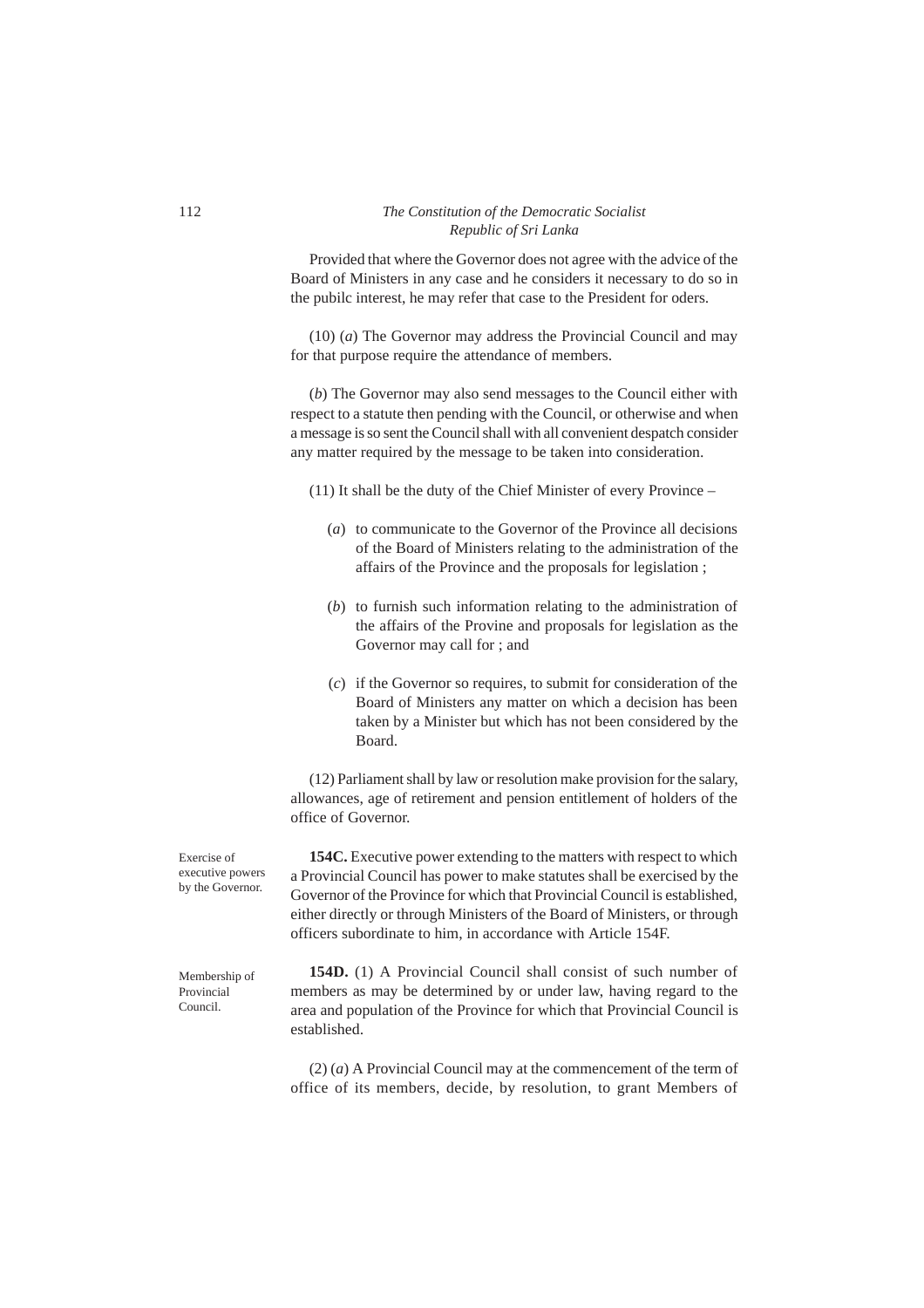Provided that where the Governor does not agree with the advice of the Board of Ministers in any case and he considers it necessary to do so in the pubilc interest, he may refer that case to the President for oders.

(10) (*a*) The Governor may address the Provincial Council and may for that purpose require the attendance of members.

(*b*) The Governor may also send messages to the Council either with respect to a statute then pending with the Council, or otherwise and when a message is so sent the Council shall with all convenient despatch consider any matter required by the message to be taken into consideration.

(11) It shall be the duty of the Chief Minister of every Province –

- (*a*) to communicate to the Governor of the Province all decisions of the Board of Ministers relating to the administration of the affairs of the Province and the proposals for legislation ;
- (*b*) to furnish such information relating to the administration of the affairs of the Provine and proposals for legislation as the Governor may call for ; and
- (*c*) if the Governor so requires, to submit for consideration of the Board of Ministers any matter on which a decision has been taken by a Minister but which has not been considered by the Board.

(12) Parliament shall by law or resolution make provision for the salary, allowances, age of retirement and pension entitlement of holders of the office of Governor.

**154C.** Executive power extending to the matters with respect to which a Provincial Council has power to make statutes shall be exercised by the Governor of the Province for which that Provincial Council is established, either directly or through Ministers of the Board of Ministers, or through officers subordinate to him, in accordance with Article 154F.

**154D.** (1) A Provincial Council shall consist of such number of members as may be determined by or under law, having regard to the area and population of the Province for which that Provincial Council is established.

(2) (*a*) A Provincial Council may at the commencement of the term of office of its members, decide, by resolution, to grant Members of

Exercise of executive powers by the Governor.

Membership of Provincial Council.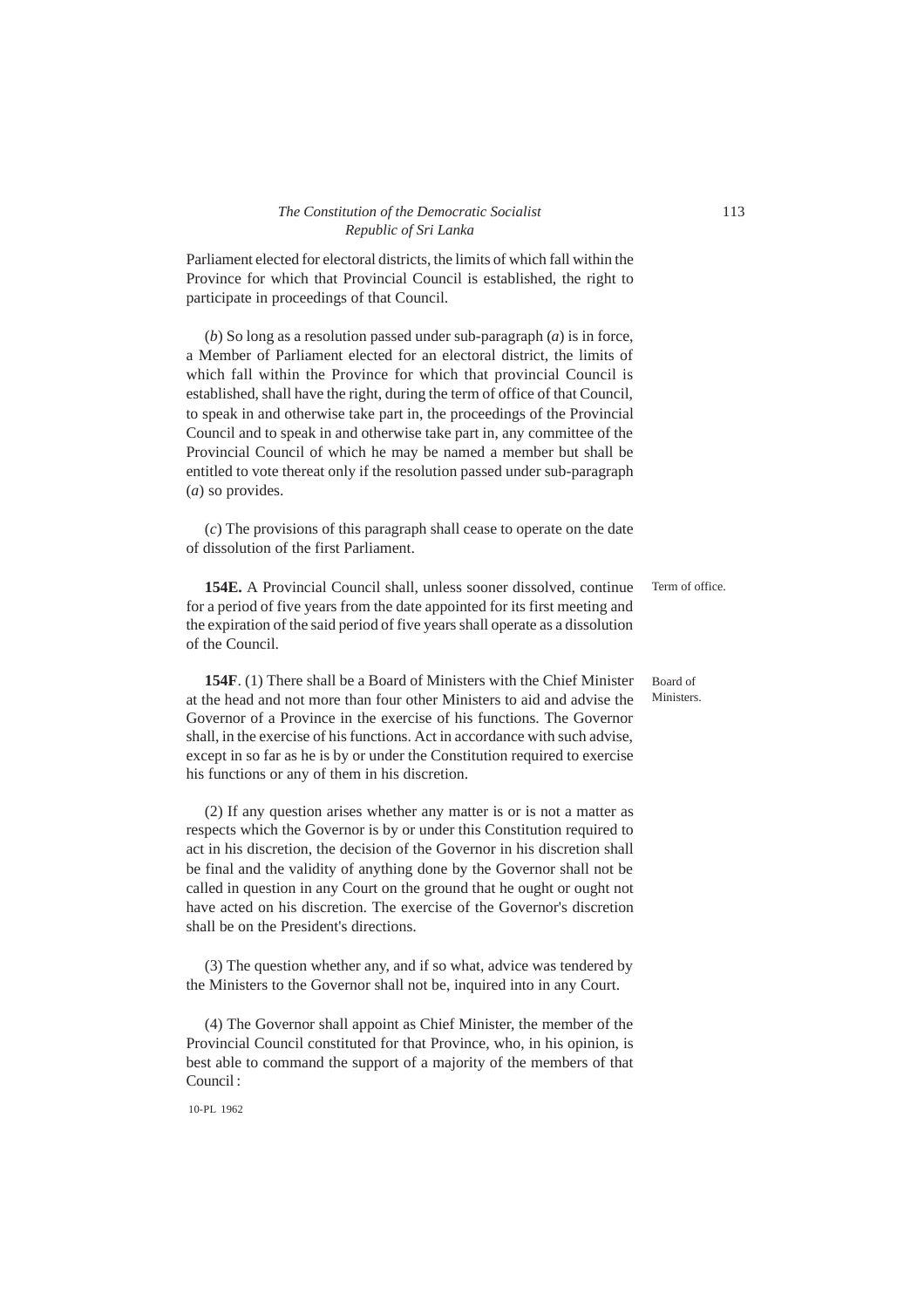Parliament elected for electoral districts, the limits of which fall within the Province for which that Provincial Council is established, the right to participate in proceedings of that Council.

(*b*) So long as a resolution passed under sub-paragraph (*a*) is in force, a Member of Parliament elected for an electoral district, the limits of which fall within the Province for which that provincial Council is established, shall have the right, during the term of office of that Council, to speak in and otherwise take part in, the proceedings of the Provincial Council and to speak in and otherwise take part in, any committee of the Provincial Council of which he may be named a member but shall be entitled to vote thereat only if the resolution passed under sub-paragraph (*a*) so provides.

(*c*) The provisions of this paragraph shall cease to operate on the date of dissolution of the first Parliament.

**154E.** A Provincial Council shall, unless sooner dissolved, continue for a period of five years from the date appointed for its first meeting and the expiration of the said period of five years shall operate as a dissolution of the Council.

**154F**. (1) There shall be a Board of Ministers with the Chief Minister at the head and not more than four other Ministers to aid and advise the Governor of a Province in the exercise of his functions. The Governor shall, in the exercise of his functions. Act in accordance with such advise, except in so far as he is by or under the Constitution required to exercise his functions or any of them in his discretion.

(2) If any question arises whether any matter is or is not a matter as respects which the Governor is by or under this Constitution required to act in his discretion, the decision of the Governor in his discretion shall be final and the validity of anything done by the Governor shall not be called in question in any Court on the ground that he ought or ought not have acted on his discretion. The exercise of the Governor's discretion shall be on the President's directions.

(3) The question whether any, and if so what, advice was tendered by the Ministers to the Governor shall not be, inquired into in any Court.

(4) The Governor shall appoint as Chief Minister, the member of the Provincial Council constituted for that Province, who, in his opinion, is best able to command the support of a majority of the members of that Council :

10-PL 1962

Term of office.

Board of **Ministers**.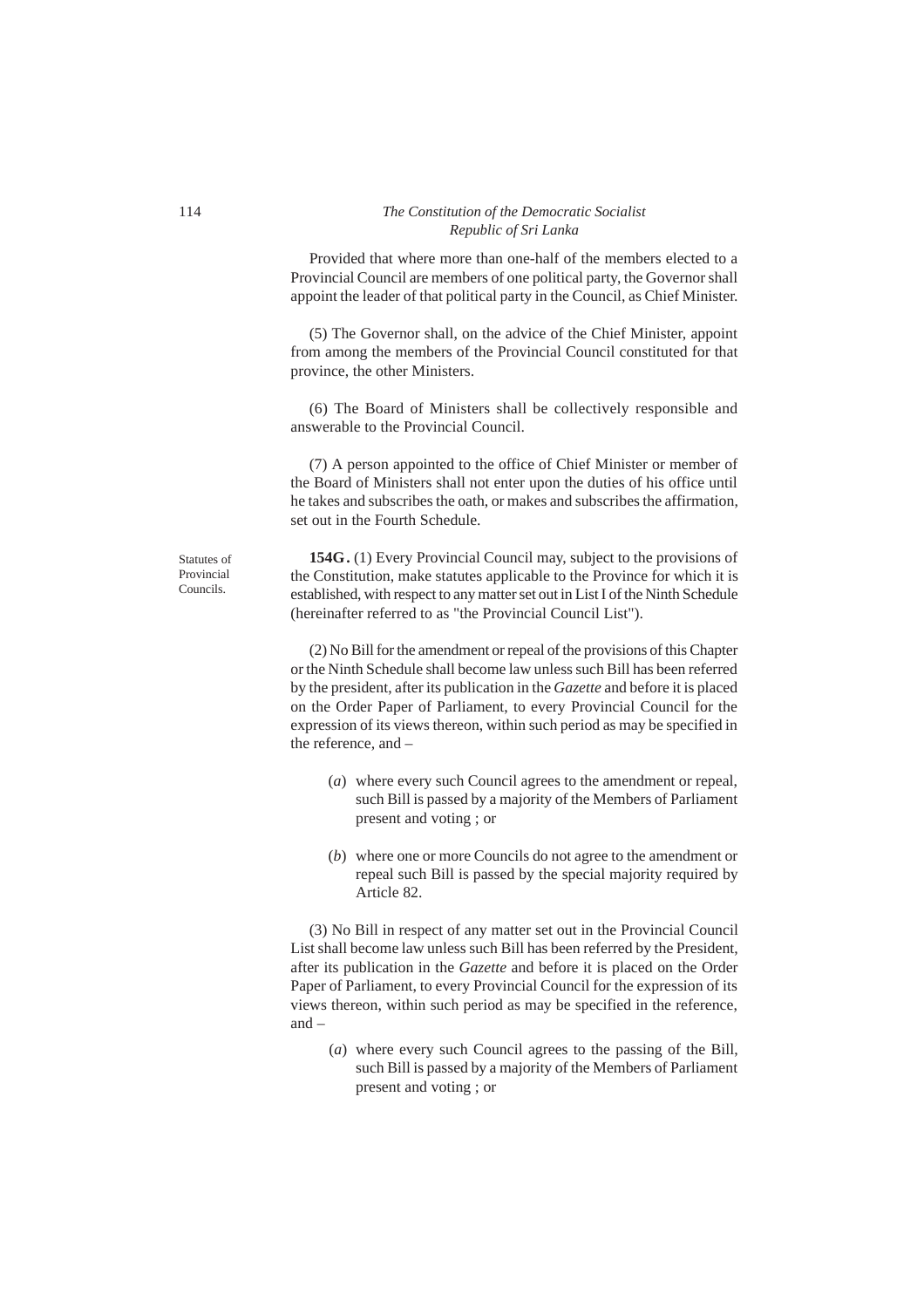Provided that where more than one-half of the members elected to a Provincial Council are members of one political party, the Governor shall appoint the leader of that political party in the Council, as Chief Minister.

(5) The Governor shall, on the advice of the Chief Minister, appoint from among the members of the Provincial Council constituted for that province, the other Ministers.

(6) The Board of Ministers shall be collectively responsible and answerable to the Provincial Council.

(7) A person appointed to the office of Chief Minister or member of the Board of Ministers shall not enter upon the duties of his office until he takes and subscribes the oath, or makes and subscribes the affirmation, set out in the Fourth Schedule.

**154G.** (1) Every Provincial Council may, subject to the provisions of the Constitution, make statutes applicable to the Province for which it is established, with respect to any matter set out in List I of the Ninth Schedule (hereinafter referred to as "the Provincial Council List").

(2) No Bill for the amendment or repeal of the provisions of this Chapter or the Ninth Schedule shall become law unless such Bill has been referred by the president, after its publication in the *Gazette* and before it is placed on the Order Paper of Parliament, to every Provincial Council for the expression of its views thereon, within such period as may be specified in the reference, and –

- (*a*) where every such Council agrees to the amendment or repeal, such Bill is passed by a majority of the Members of Parliament present and voting ; or
- (*b*) where one or more Councils do not agree to the amendment or repeal such Bill is passed by the special majority required by Article 82.

(3) No Bill in respect of any matter set out in the Provincial Council List shall become law unless such Bill has been referred by the President, after its publication in the *Gazette* and before it is placed on the Order Paper of Parliament, to every Provincial Council for the expression of its views thereon, within such period as may be specified in the reference, and –

(*a*) where every such Council agrees to the passing of the Bill, such Bill is passed by a majority of the Members of Parliament present and voting ; or

Statutes of Provincial Councils.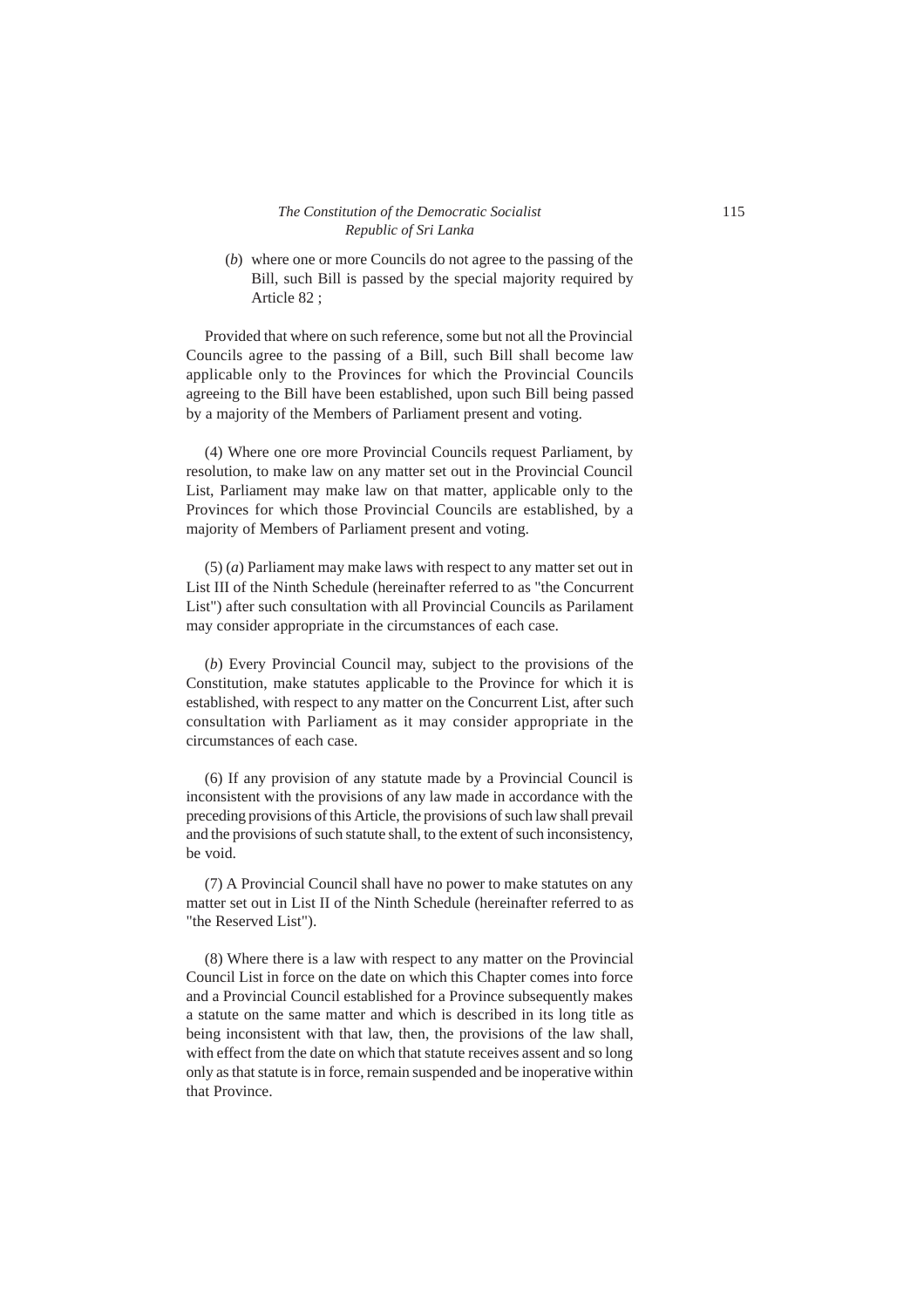(*b*) where one or more Councils do not agree to the passing of the Bill, such Bill is passed by the special majority required by Article 82 ;

Provided that where on such reference, some but not all the Provincial Councils agree to the passing of a Bill, such Bill shall become law applicable only to the Provinces for which the Provincial Councils agreeing to the Bill have been established, upon such Bill being passed by a majority of the Members of Parliament present and voting.

(4) Where one ore more Provincial Councils request Parliament, by resolution, to make law on any matter set out in the Provincial Council List, Parliament may make law on that matter, applicable only to the Provinces for which those Provincial Councils are established, by a majority of Members of Parliament present and voting.

(5) (*a*) Parliament may make laws with respect to any matter set out in List III of the Ninth Schedule (hereinafter referred to as "the Concurrent List") after such consultation with all Provincial Councils as Parilament may consider appropriate in the circumstances of each case.

(*b*) Every Provincial Council may, subject to the provisions of the Constitution, make statutes applicable to the Province for which it is established, with respect to any matter on the Concurrent List, after such consultation with Parliament as it may consider appropriate in the circumstances of each case.

(6) If any provision of any statute made by a Provincial Council is inconsistent with the provisions of any law made in accordance with the preceding provisions of this Article, the provisions of such law shall prevail and the provisions of such statute shall, to the extent of such inconsistency, be void.

(7) A Provincial Council shall have no power to make statutes on any matter set out in List II of the Ninth Schedule (hereinafter referred to as "the Reserved List").

(8) Where there is a law with respect to any matter on the Provincial Council List in force on the date on which this Chapter comes into force and a Provincial Council established for a Province subsequently makes a statute on the same matter and which is described in its long title as being inconsistent with that law, then, the provisions of the law shall, with effect from the date on which that statute receives assent and so long only as that statute is in force, remain suspended and be inoperative within that Province.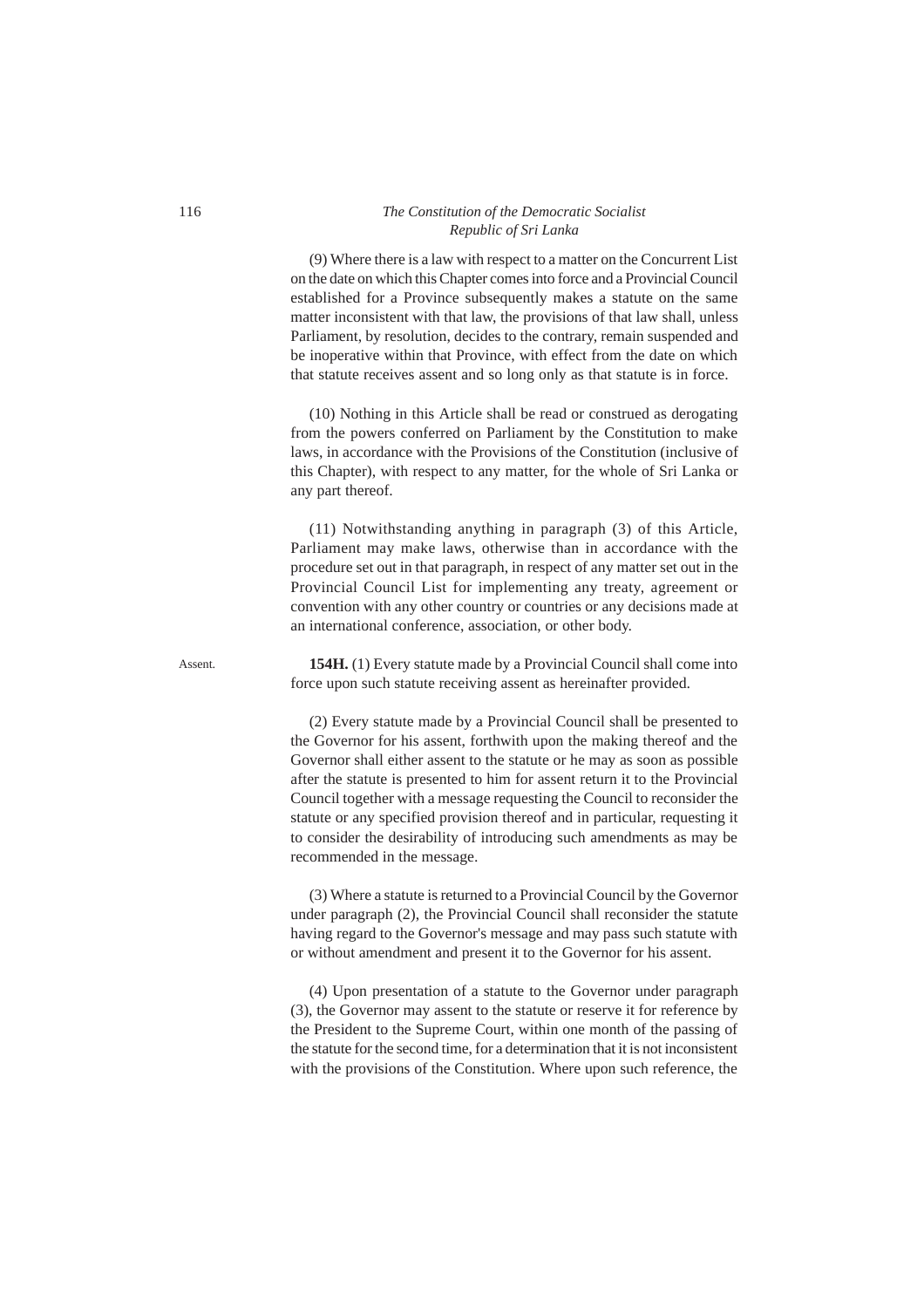(9) Where there is a law with respect to a matter on the Concurrent List on the date on which this Chapter comes into force and a Provincial Council established for a Province subsequently makes a statute on the same matter inconsistent with that law, the provisions of that law shall, unless Parliament, by resolution, decides to the contrary, remain suspended and be inoperative within that Province, with effect from the date on which that statute receives assent and so long only as that statute is in force.

(10) Nothing in this Article shall be read or construed as derogating from the powers conferred on Parliament by the Constitution to make laws, in accordance with the Provisions of the Constitution (inclusive of this Chapter), with respect to any matter, for the whole of Sri Lanka or any part thereof.

(11) Notwithstanding anything in paragraph (3) of this Article, Parliament may make laws, otherwise than in accordance with the procedure set out in that paragraph, in respect of any matter set out in the Provincial Council List for implementing any treaty, agreement or convention with any other country or countries or any decisions made at an international conference, association, or other body.

**154H.** (1) Every statute made by a Provincial Council shall come into force upon such statute receiving assent as hereinafter provided.

(2) Every statute made by a Provincial Council shall be presented to the Governor for his assent, forthwith upon the making thereof and the Governor shall either assent to the statute or he may as soon as possible after the statute is presented to him for assent return it to the Provincial Council together with a message requesting the Council to reconsider the statute or any specified provision thereof and in particular, requesting it to consider the desirability of introducing such amendments as may be recommended in the message.

(3) Where a statute is returned to a Provincial Council by the Governor under paragraph (2), the Provincial Council shall reconsider the statute having regard to the Governor's message and may pass such statute with or without amendment and present it to the Governor for his assent.

(4) Upon presentation of a statute to the Governor under paragraph (3), the Governor may assent to the statute or reserve it for reference by the President to the Supreme Court, within one month of the passing of the statute for the second time, for a determination that it is not inconsistent with the provisions of the Constitution. Where upon such reference, the

Assent.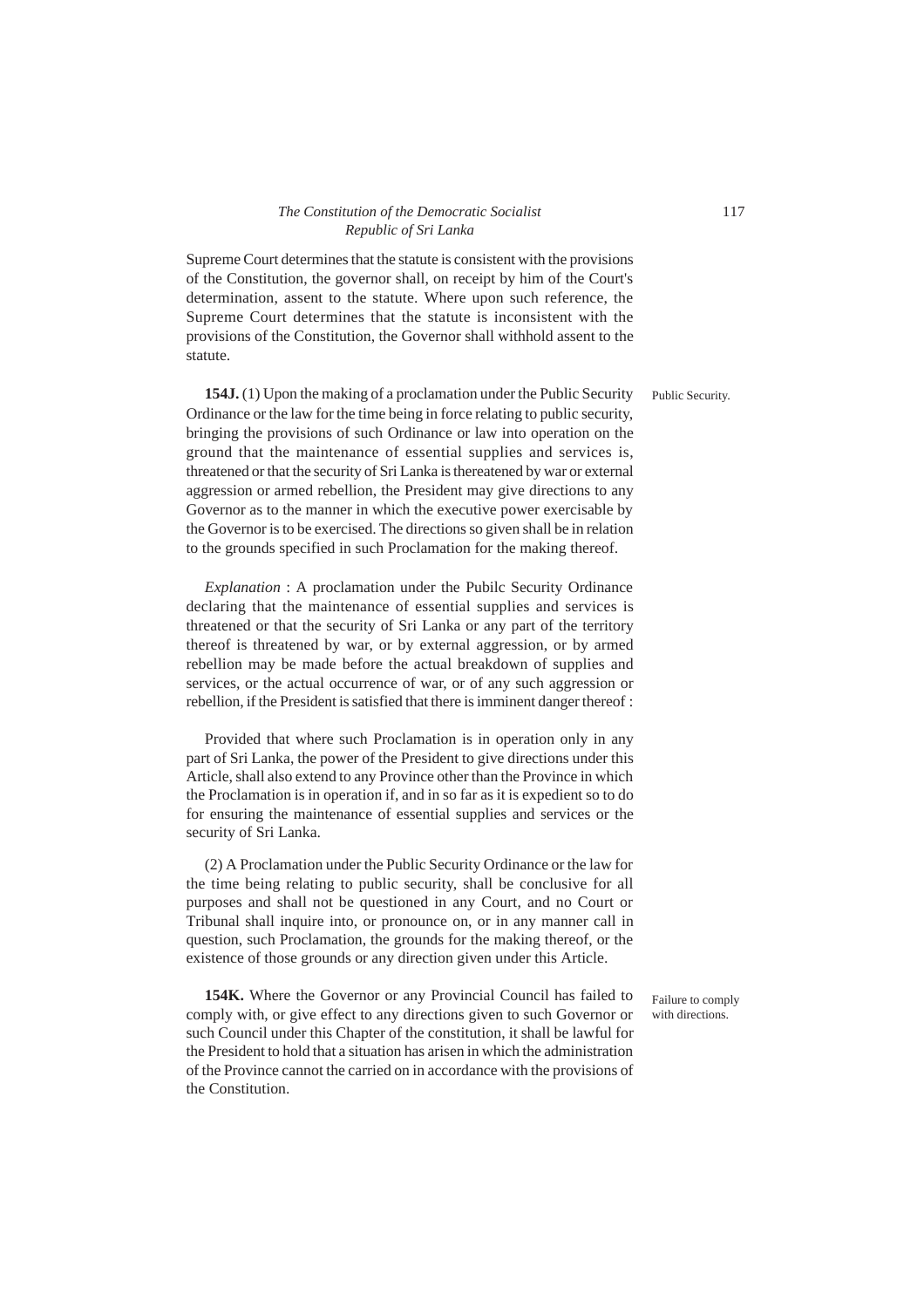Supreme Court determines that the statute is consistent with the provisions of the Constitution, the governor shall, on receipt by him of the Court's determination, assent to the statute. Where upon such reference, the Supreme Court determines that the statute is inconsistent with the provisions of the Constitution, the Governor shall withhold assent to the statute.

**154J.** (1) Upon the making of a proclamation under the Public Security Ordinance or the law for the time being in force relating to public security, bringing the provisions of such Ordinance or law into operation on the ground that the maintenance of essential supplies and services is, threatened or that the security of Sri Lanka is thereatened by war or external aggression or armed rebellion, the President may give directions to any Governor as to the manner in which the executive power exercisable by the Governor is to be exercised. The directions so given shall be in relation to the grounds specified in such Proclamation for the making thereof.

*Explanation* : A proclamation under the Pubilc Security Ordinance declaring that the maintenance of essential supplies and services is threatened or that the security of Sri Lanka or any part of the territory thereof is threatened by war, or by external aggression, or by armed rebellion may be made before the actual breakdown of supplies and services, or the actual occurrence of war, or of any such aggression or rebellion, if the President is satisfied that there is imminent danger thereof :

Provided that where such Proclamation is in operation only in any part of Sri Lanka, the power of the President to give directions under this Article, shall also extend to any Province other than the Province in which the Proclamation is in operation if, and in so far as it is expedient so to do for ensuring the maintenance of essential supplies and services or the security of Sri Lanka.

(2) A Proclamation under the Public Security Ordinance or the law for the time being relating to public security, shall be conclusive for all purposes and shall not be questioned in any Court, and no Court or Tribunal shall inquire into, or pronounce on, or in any manner call in question, such Proclamation, the grounds for the making thereof, or the existence of those grounds or any direction given under this Article.

**154K.** Where the Governor or any Provincial Council has failed to comply with, or give effect to any directions given to such Governor or such Council under this Chapter of the constitution, it shall be lawful for the President to hold that a situation has arisen in which the administration of the Province cannot the carried on in accordance with the provisions of the Constitution.

Failure to comply with directions.

Public Security.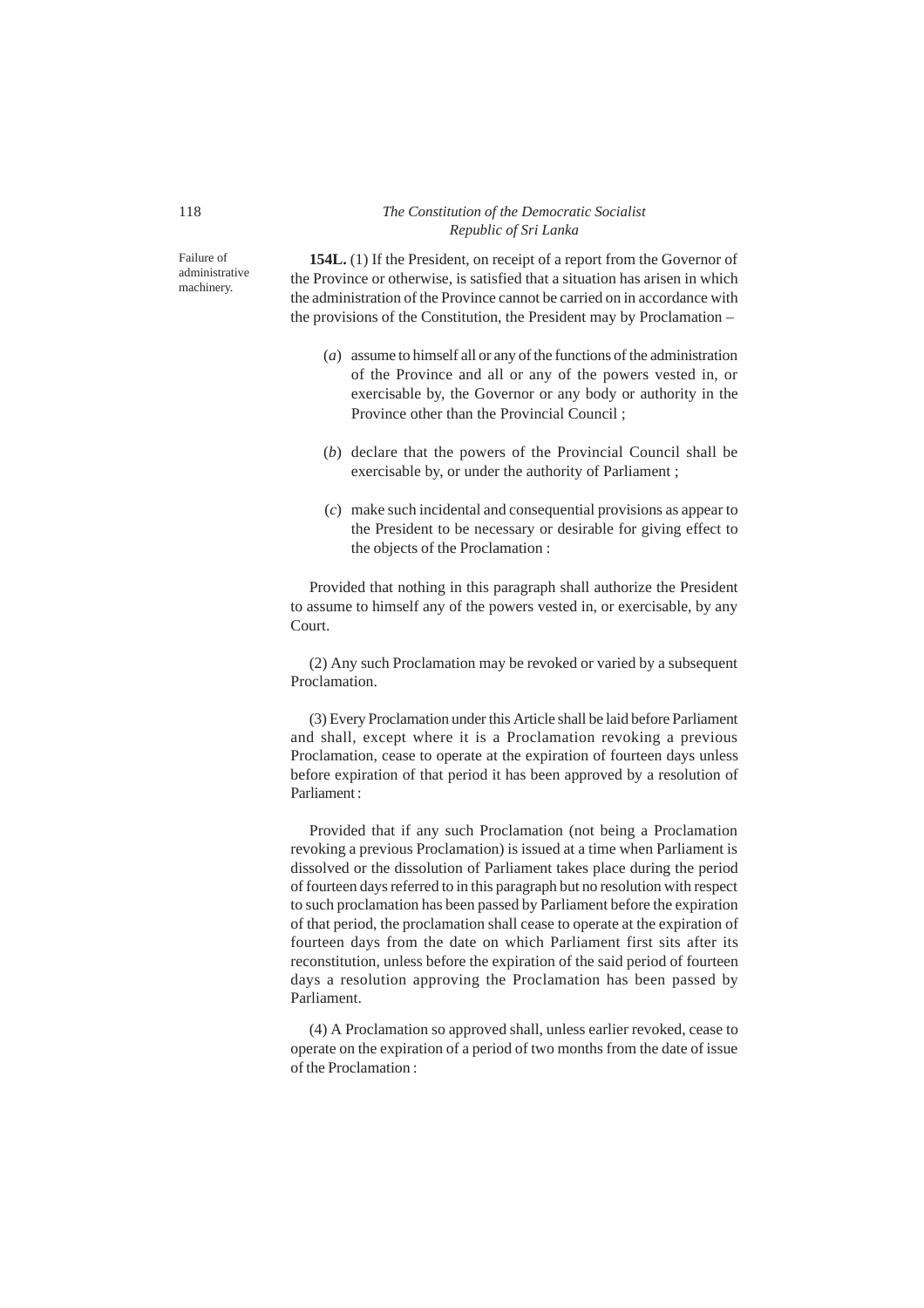Failure of administrative machinery.

**154L.** (1) If the President, on receipt of a report from the Governor of the Province or otherwise, is satisfied that a situation has arisen in which the administration of the Province cannot be carried on in accordance with the provisions of the Constitution, the President may by Proclamation –

- (*a*) assume to himself all or any of the functions of the administration of the Province and all or any of the powers vested in, or exercisable by, the Governor or any body or authority in the Province other than the Provincial Council ;
- (*b*) declare that the powers of the Provincial Council shall be exercisable by, or under the authority of Parliament ;
- (*c*) make such incidental and consequential provisions as appear to the President to be necessary or desirable for giving effect to the objects of the Proclamation :

Provided that nothing in this paragraph shall authorize the President to assume to himself any of the powers vested in, or exercisable, by any Court.

(2) Any such Proclamation may be revoked or varied by a subsequent Proclamation.

(3) Every Proclamation under this Article shall be laid before Parliament and shall, except where it is a Proclamation revoking a previous Proclamation, cease to operate at the expiration of fourteen days unless before expiration of that period it has been approved by a resolution of Parliament :

Provided that if any such Proclamation (not being a Proclamation revoking a previous Proclamation) is issued at a time when Parliament is dissolved or the dissolution of Parliament takes place during the period of fourteen days referred to in this paragraph but no resolution with respect to such proclamation has been passed by Parliament before the expiration of that period, the proclamation shall cease to operate at the expiration of fourteen days from the date on which Parliament first sits after its reconstitution, unless before the expiration of the said period of fourteen days a resolution approving the Proclamation has been passed by Parliament.

(4) A Proclamation so approved shall, unless earlier revoked, cease to operate on the expiration of a period of two months from the date of issue of the Proclamation :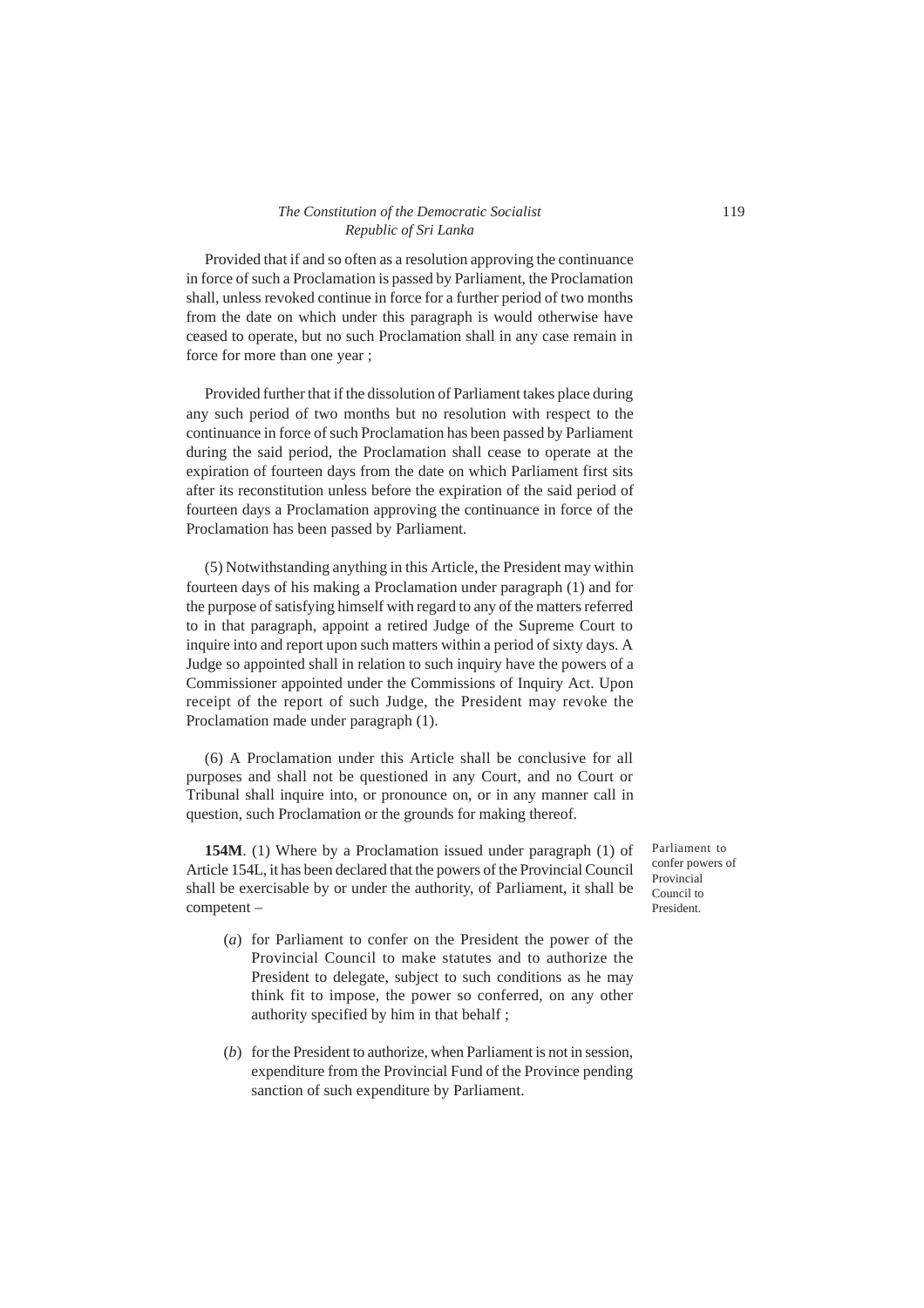Provided that if and so often as a resolution approving the continuance in force of such a Proclamation is passed by Parliament, the Proclamation shall, unless revoked continue in force for a further period of two months from the date on which under this paragraph is would otherwise have ceased to operate, but no such Proclamation shall in any case remain in force for more than one year ;

Provided further that if the dissolution of Parliament takes place during any such period of two months but no resolution with respect to the continuance in force of such Proclamation has been passed by Parliament during the said period, the Proclamation shall cease to operate at the expiration of fourteen days from the date on which Parliament first sits after its reconstitution unless before the expiration of the said period of fourteen days a Proclamation approving the continuance in force of the Proclamation has been passed by Parliament.

(5) Notwithstanding anything in this Article, the President may within fourteen days of his making a Proclamation under paragraph (1) and for the purpose of satisfying himself with regard to any of the matters referred to in that paragraph, appoint a retired Judge of the Supreme Court to inquire into and report upon such matters within a period of sixty days. A Judge so appointed shall in relation to such inquiry have the powers of a Commissioner appointed under the Commissions of Inquiry Act. Upon receipt of the report of such Judge, the President may revoke the Proclamation made under paragraph (1).

(6) A Proclamation under this Article shall be conclusive for all purposes and shall not be questioned in any Court, and no Court or Tribunal shall inquire into, or pronounce on, or in any manner call in question, such Proclamation or the grounds for making thereof.

**154M**. (1) Where by a Proclamation issued under paragraph (1) of Article 154L, it has been declared that the powers of the Provincial Council shall be exercisable by or under the authority, of Parliament, it shall be competent –

- (*a*) for Parliament to confer on the President the power of the Provincial Council to make statutes and to authorize the President to delegate, subject to such conditions as he may think fit to impose, the power so conferred, on any other authority specified by him in that behalf ;
- (*b*) for the President to authorize, when Parliament is not in session, expenditure from the Provincial Fund of the Province pending sanction of such expenditure by Parliament.

Parliament to confer powers of Provincial Council to President.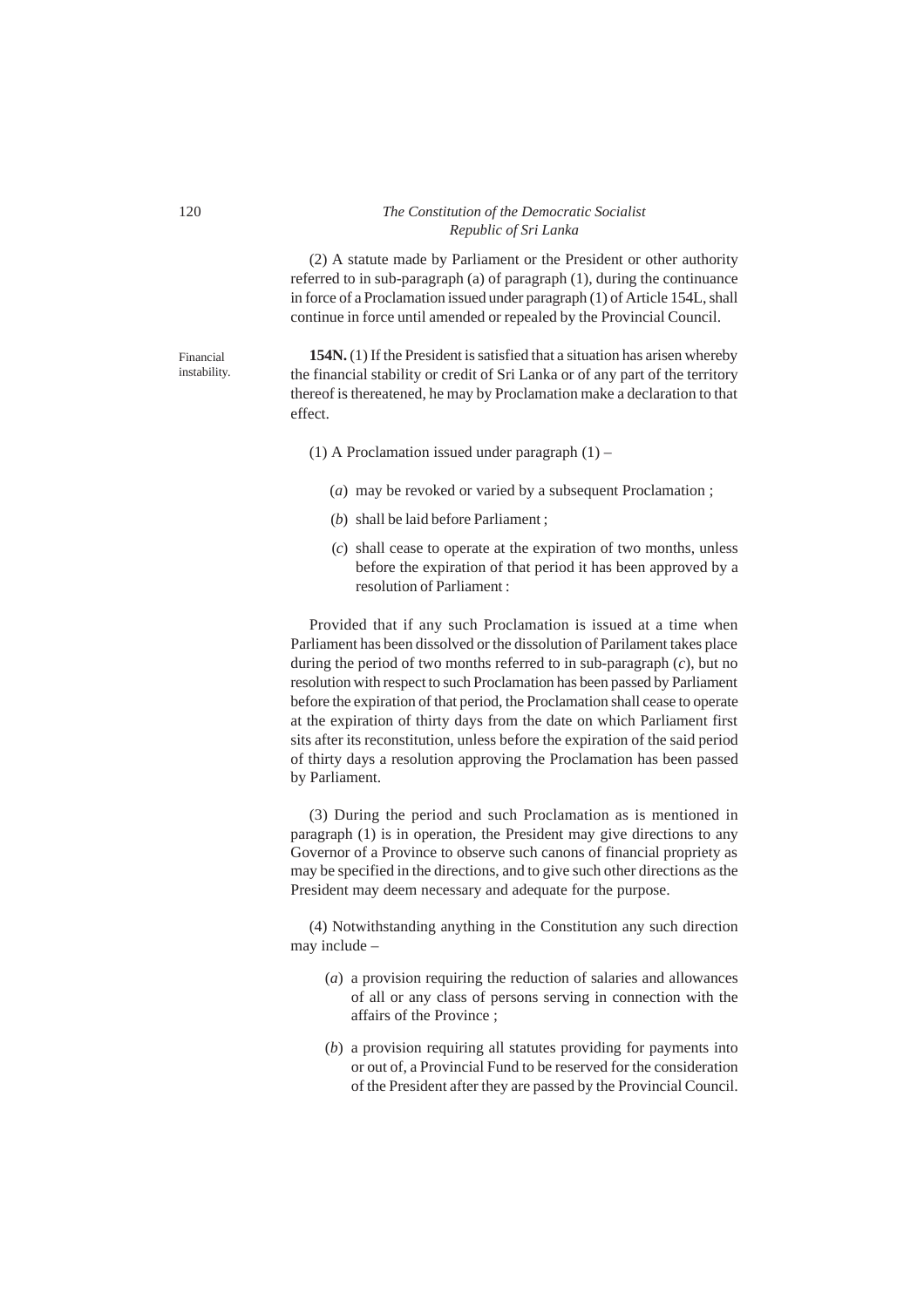(2) A statute made by Parliament or the President or other authority referred to in sub-paragraph (a) of paragraph (1), during the continuance in force of a Proclamation issued under paragraph (1) of Article 154L, shall continue in force until amended or repealed by the Provincial Council.

**154N.** (1) If the President is satisfied that a situation has arisen whereby the financial stability or credit of Sri Lanka or of any part of the territory thereof is thereatened, he may by Proclamation make a declaration to that effect.

- (1) A Proclamation issued under paragraph  $(1)$ 
	- (*a*) may be revoked or varied by a subsequent Proclamation ;
	- (*b*) shall be laid before Parliament ;
	- (*c*) shall cease to operate at the expiration of two months, unless before the expiration of that period it has been approved by a resolution of Parliament :

Provided that if any such Proclamation is issued at a time when Parliament has been dissolved or the dissolution of Parilament takes place during the period of two months referred to in sub-paragraph (*c*), but no resolution with respect to such Proclamation has been passed by Parliament before the expiration of that period, the Proclamation shall cease to operate at the expiration of thirty days from the date on which Parliament first sits after its reconstitution, unless before the expiration of the said period of thirty days a resolution approving the Proclamation has been passed by Parliament.

(3) During the period and such Proclamation as is mentioned in paragraph (1) is in operation, the President may give directions to any Governor of a Province to observe such canons of financial propriety as may be specified in the directions, and to give such other directions as the President may deem necessary and adequate for the purpose.

(4) Notwithstanding anything in the Constitution any such direction may include –

- (*a*) a provision requiring the reduction of salaries and allowances of all or any class of persons serving in connection with the affairs of the Province ;
- (*b*) a provision requiring all statutes providing for payments into or out of, a Provincial Fund to be reserved for the consideration of the President after they are passed by the Provincial Council.

Financial instability.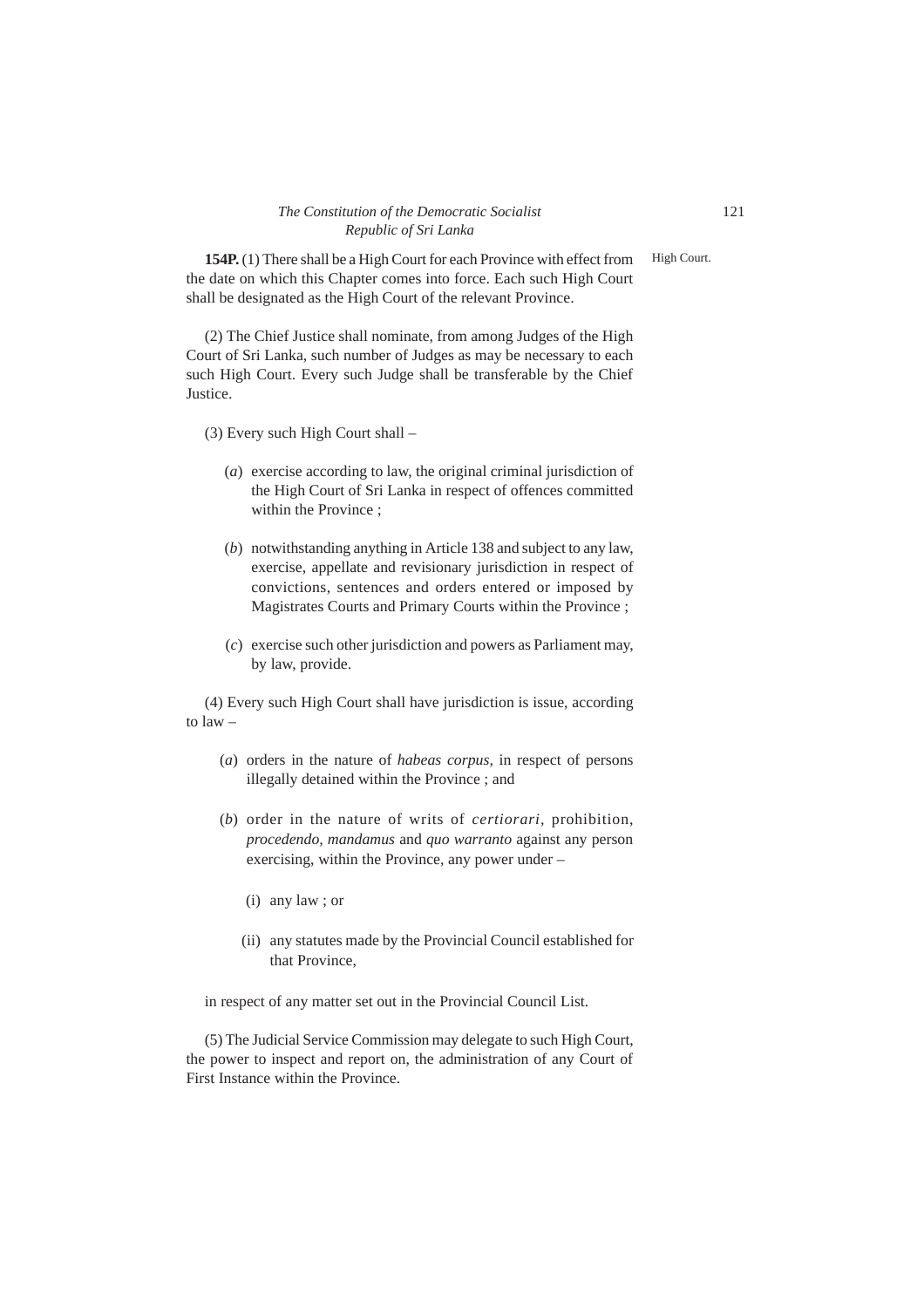High Court.

**154P.** (1) There shall be a High Court for each Province with effect from the date on which this Chapter comes into force. Each such High Court shall be designated as the High Court of the relevant Province.

(2) The Chief Justice shall nominate, from among Judges of the High Court of Sri Lanka, such number of Judges as may be necessary to each such High Court. Every such Judge shall be transferable by the Chief Justice.

(3) Every such High Court shall –

- (*a*) exercise according to law, the original criminal jurisdiction of the High Court of Sri Lanka in respect of offences committed within the Province ;
- (*b*) notwithstanding anything in Article 138 and subject to any law, exercise, appellate and revisionary jurisdiction in respect of convictions, sentences and orders entered or imposed by Magistrates Courts and Primary Courts within the Province ;
- (*c*) exercise such other jurisdiction and powers as Parliament may, by law, provide.

(4) Every such High Court shall have jurisdiction is issue, according to law –

- (*a*) orders in the nature of *habeas corpus,* in respect of persons illegally detained within the Province ; and
- (*b*) order in the nature of writs of *certiorari,* prohibition, *procedendo, mandamus* and *quo warranto* against any person exercising, within the Province, any power under –
	- (i) any law ; or
	- (ii) any statutes made by the Provincial Council established for that Province,

in respect of any matter set out in the Provincial Council List.

(5) The Judicial Service Commission may delegate to such High Court, the power to inspect and report on, the administration of any Court of First Instance within the Province.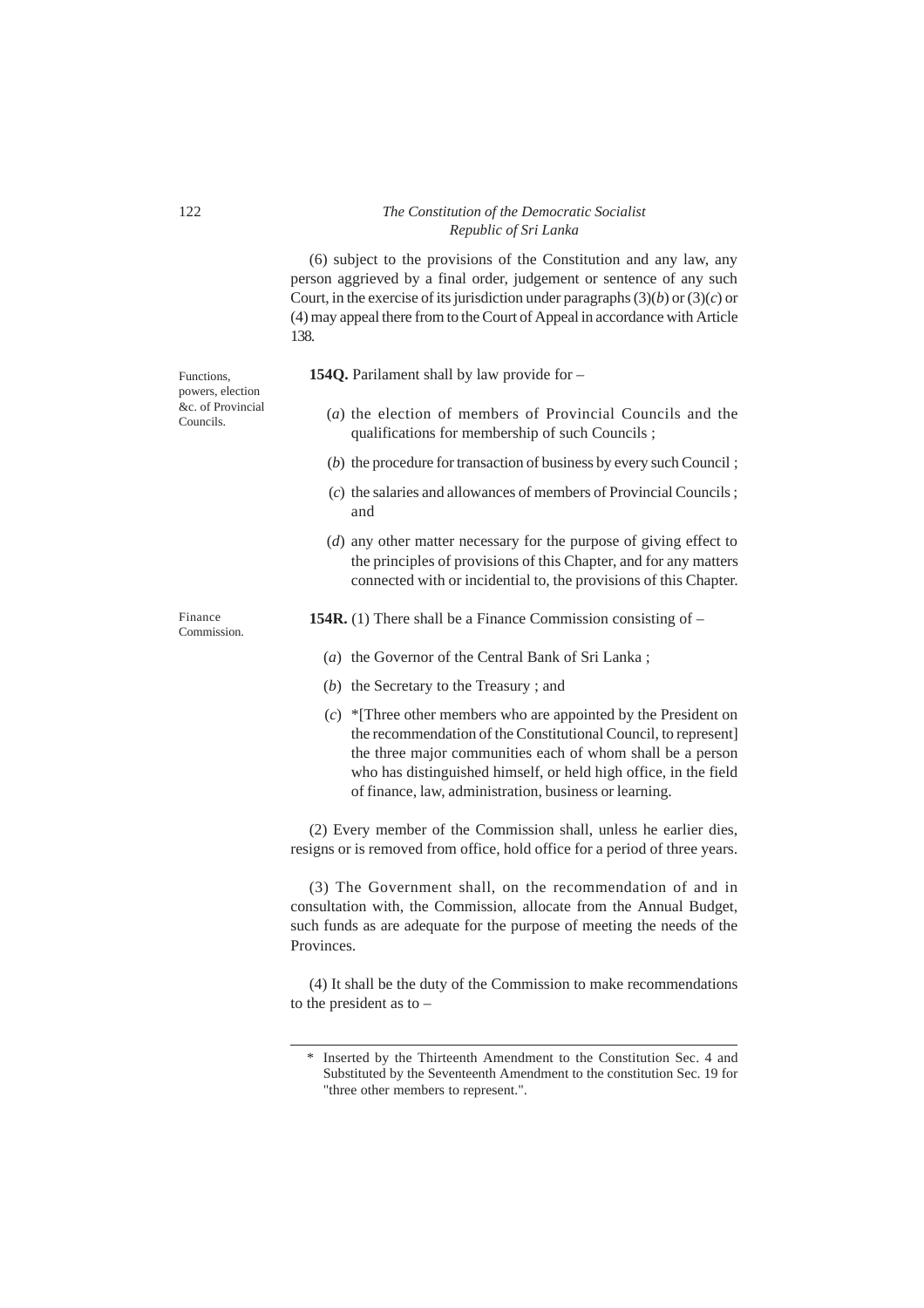(6) subject to the provisions of the Constitution and any law, any person aggrieved by a final order, judgement or sentence of any such Court, in the exercise of its jurisdiction under paragraphs  $(3)(b)$  or  $(3)(c)$  or (4) may appeal there from to the Court of Appeal in accordance with Article 138.

**154Q.** Parilament shall by law provide for –

- (*a*) the election of members of Provincial Councils and the qualifications for membership of such Councils ;
- (*b*) the procedure for transaction of business by every such Council ;
- (*c*) the salaries and allowances of members of Provincial Councils ; and
- (*d*) any other matter necessary for the purpose of giving effect to the principles of provisions of this Chapter, and for any matters connected with or incidential to, the provisions of this Chapter.

**154R.** (1) There shall be a Finance Commission consisting of –

- (*a*) the Governor of the Central Bank of Sri Lanka ;
- (*b*) the Secretary to the Treasury ; and
- (*c*) \*[Three other members who are appointed by the President on the recommendation of the Constitutional Council, to represent] the three major communities each of whom shall be a person who has distinguished himself, or held high office, in the field of finance, law, administration, business or learning.

(2) Every member of the Commission shall, unless he earlier dies, resigns or is removed from office, hold office for a period of three years.

(3) The Government shall, on the recommendation of and in consultation with, the Commission, allocate from the Annual Budget, such funds as are adequate for the purpose of meeting the needs of the Provinces.

(4) It shall be the duty of the Commission to make recommendations to the president as to –

**Functions** powers, election &c. of Provincial Councils.

Finance Commission.

<sup>\*</sup> Inserted by the Thirteenth Amendment to the Constitution Sec. 4 and Substituted by the Seventeenth Amendment to the constitution Sec. 19 for "three other members to represent.".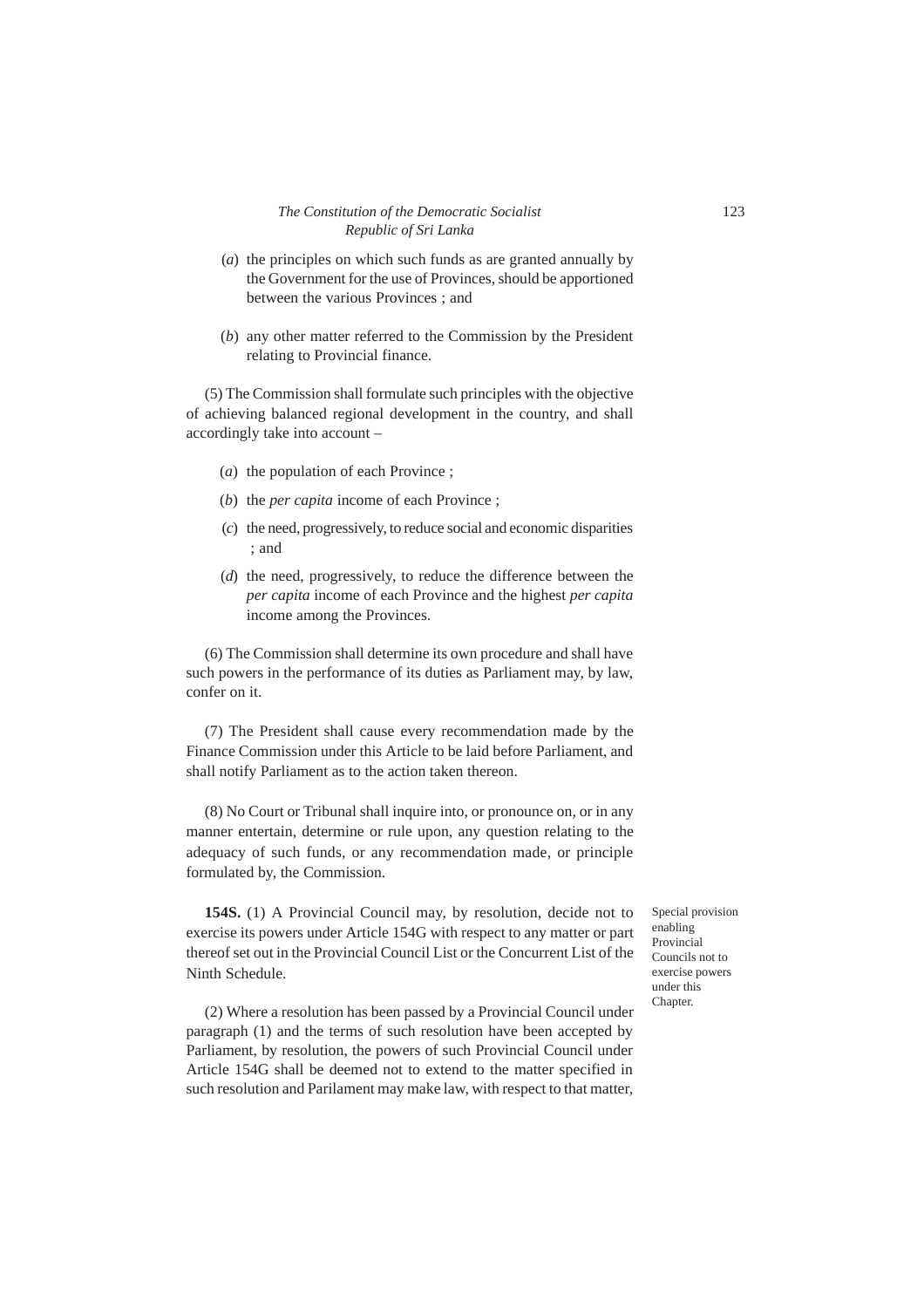- (*a*) the principles on which such funds as are granted annually by the Government for the use of Provinces, should be apportioned between the various Provinces ; and
- (*b*) any other matter referred to the Commission by the President relating to Provincial finance.

(5) The Commission shall formulate such principles with the objective of achieving balanced regional development in the country, and shall accordingly take into account –

- (*a*) the population of each Province ;
- (*b*) the *per capita* income of each Province ;
- (*c*) the need, progressively, to reduce social and economic disparities ; and
- (*d*) the need, progressively, to reduce the difference between the *per capita* income of each Province and the highest *per capita* income among the Provinces.

(6) The Commission shall determine its own procedure and shall have such powers in the performance of its duties as Parliament may, by law, confer on it.

(7) The President shall cause every recommendation made by the Finance Commission under this Article to be laid before Parliament, and shall notify Parliament as to the action taken thereon.

(8) No Court or Tribunal shall inquire into, or pronounce on, or in any manner entertain, determine or rule upon, any question relating to the adequacy of such funds, or any recommendation made, or principle formulated by, the Commission.

**154S.** (1) A Provincial Council may, by resolution, decide not to exercise its powers under Article 154G with respect to any matter or part thereof set out in the Provincial Council List or the Concurrent List of the Ninth Schedule.

(2) Where a resolution has been passed by a Provincial Council under paragraph (1) and the terms of such resolution have been accepted by Parliament, by resolution, the powers of such Provincial Council under Article 154G shall be deemed not to extend to the matter specified in such resolution and Parilament may make law, with respect to that matter,

Special provision enabling Provincial Councils not to exercise powers under this Chapter.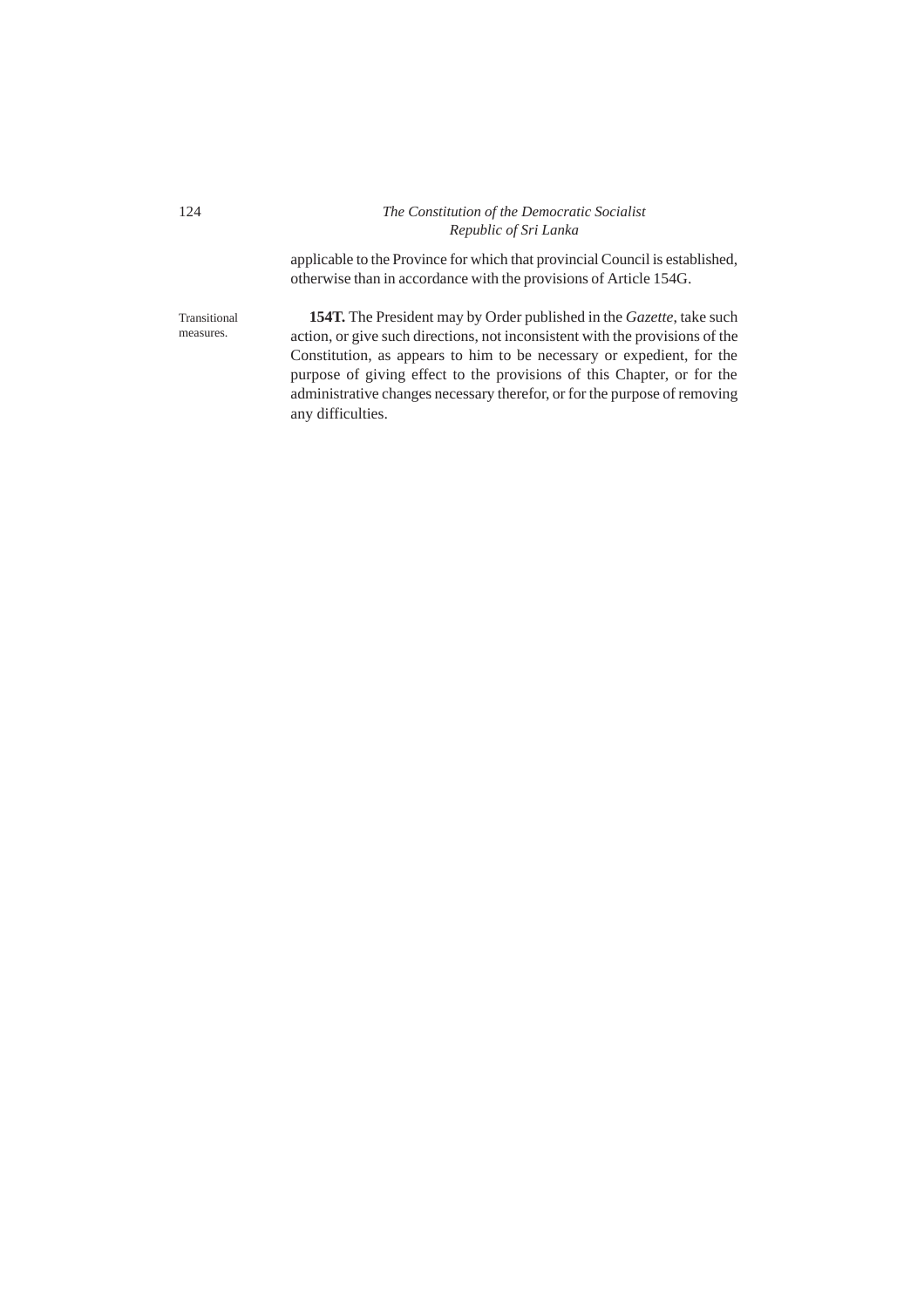applicable to the Province for which that provincial Council is established, otherwise than in accordance with the provisions of Article 154G.

Transitional measures.

**154T.** The President may by Order published in the *Gazette*, take such action, or give such directions, not inconsistent with the provisions of the Constitution, as appears to him to be necessary or expedient, for the purpose of giving effect to the provisions of this Chapter, or for the administrative changes necessary therefor, or for the purpose of removing any difficulties.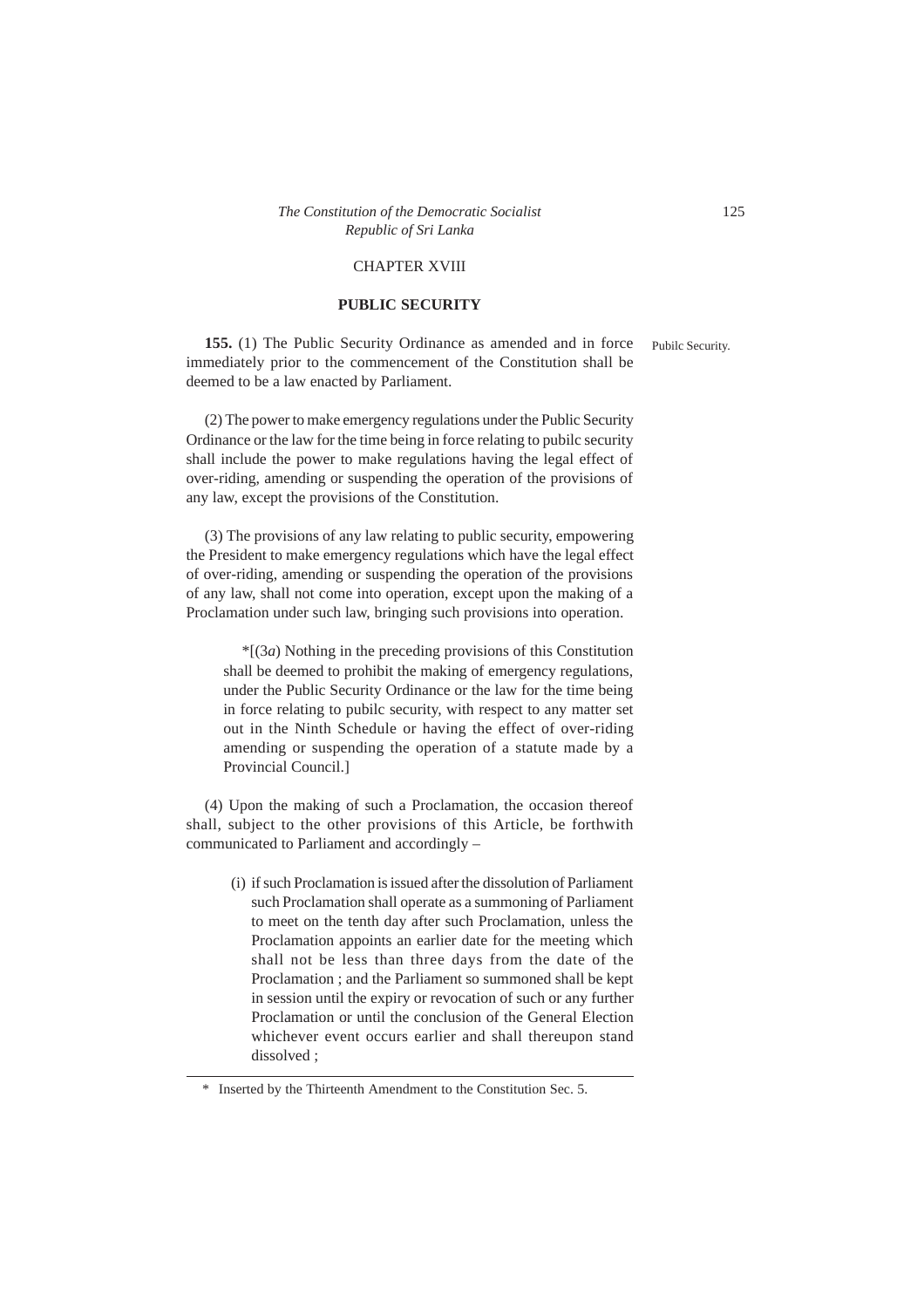# CHAPTER XVIII

### **PUBLIC SECURITY**

**155.** (1) The Public Security Ordinance as amended and in force immediately prior to the commencement of the Constitution shall be deemed to be a law enacted by Parliament. Pubilc Security.

(2) The power to make emergency regulations under the Public Security Ordinance or the law for the time being in force relating to pubilc security shall include the power to make regulations having the legal effect of over-riding, amending or suspending the operation of the provisions of any law, except the provisions of the Constitution.

(3) The provisions of any law relating to public security, empowering the President to make emergency regulations which have the legal effect of over-riding, amending or suspending the operation of the provisions of any law, shall not come into operation, except upon the making of a Proclamation under such law, bringing such provisions into operation.

\*[(3*a*) Nothing in the preceding provisions of this Constitution shall be deemed to prohibit the making of emergency regulations, under the Public Security Ordinance or the law for the time being in force relating to pubilc security, with respect to any matter set out in the Ninth Schedule or having the effect of over-riding amending or suspending the operation of a statute made by a Provincial Council.]

(4) Upon the making of such a Proclamation, the occasion thereof shall, subject to the other provisions of this Article, be forthwith communicated to Parliament and accordingly –

> (i) if such Proclamation is issued after the dissolution of Parliament such Proclamation shall operate as a summoning of Parliament to meet on the tenth day after such Proclamation, unless the Proclamation appoints an earlier date for the meeting which shall not be less than three days from the date of the Proclamation ; and the Parliament so summoned shall be kept in session until the expiry or revocation of such or any further Proclamation or until the conclusion of the General Election whichever event occurs earlier and shall thereupon stand dissolved ;

<sup>\*</sup> Inserted by the Thirteenth Amendment to the Constitution Sec. 5.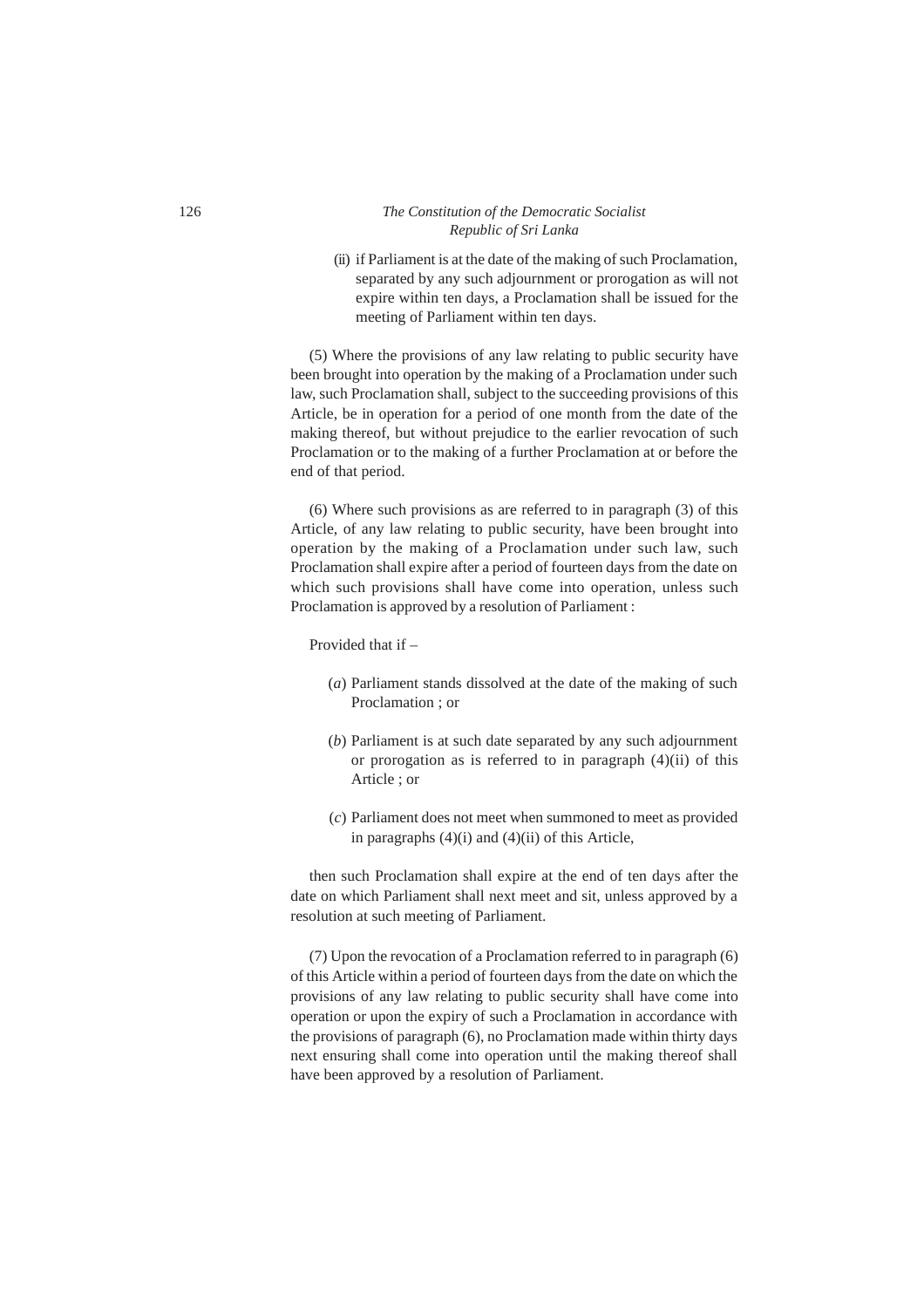(ii) if Parliament is at the date of the making of such Proclamation, separated by any such adjournment or prorogation as will not expire within ten days, a Proclamation shall be issued for the meeting of Parliament within ten days.

(5) Where the provisions of any law relating to public security have been brought into operation by the making of a Proclamation under such law, such Proclamation shall, subject to the succeeding provisions of this Article, be in operation for a period of one month from the date of the making thereof, but without prejudice to the earlier revocation of such Proclamation or to the making of a further Proclamation at or before the end of that period.

(6) Where such provisions as are referred to in paragraph (3) of this Article, of any law relating to public security, have been brought into operation by the making of a Proclamation under such law, such Proclamation shall expire after a period of fourteen days from the date on which such provisions shall have come into operation, unless such Proclamation is approved by a resolution of Parliament :

Provided that if –

- (*a*) Parliament stands dissolved at the date of the making of such Proclamation ; or
- (*b*) Parliament is at such date separated by any such adjournment or prorogation as is referred to in paragraph (4)(ii) of this Article ; or
- (*c*) Parliament does not meet when summoned to meet as provided in paragraphs  $(4)(i)$  and  $(4)(ii)$  of this Article,

then such Proclamation shall expire at the end of ten days after the date on which Parliament shall next meet and sit, unless approved by a resolution at such meeting of Parliament.

(7) Upon the revocation of a Proclamation referred to in paragraph (6) of this Article within a period of fourteen days from the date on which the provisions of any law relating to public security shall have come into operation or upon the expiry of such a Proclamation in accordance with the provisions of paragraph (6), no Proclamation made within thirty days next ensuring shall come into operation until the making thereof shall have been approved by a resolution of Parliament.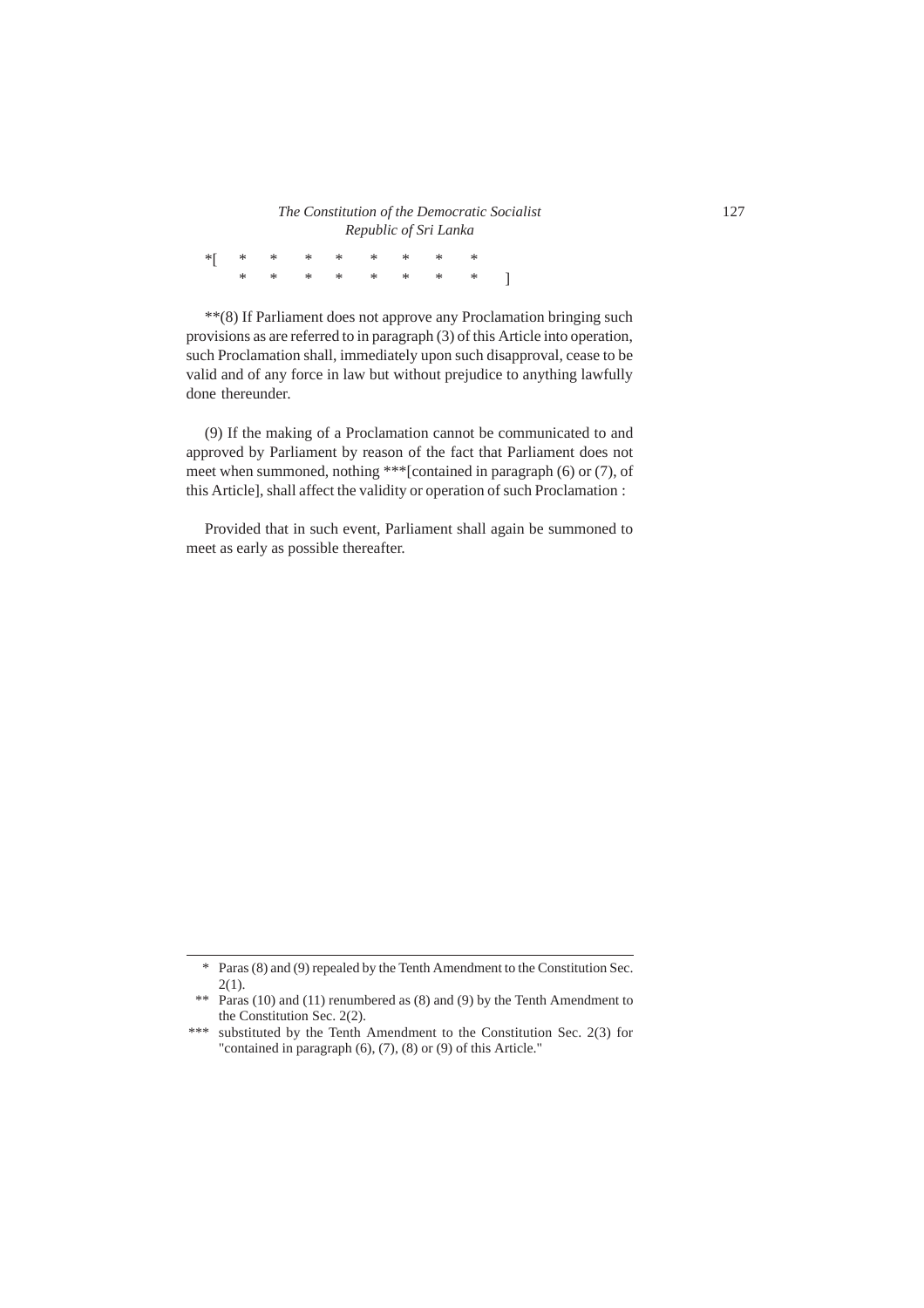|  | $*$ * * * * * * * * |  |  |                                                   |  |
|--|---------------------|--|--|---------------------------------------------------|--|
|  |                     |  |  | $*$ * * * * * * * $\begin{bmatrix} \end{bmatrix}$ |  |

\*\*(8) If Parliament does not approve any Proclamation bringing such provisions as are referred to in paragraph (3) of this Article into operation, such Proclamation shall, immediately upon such disapproval, cease to be valid and of any force in law but without prejudice to anything lawfully done thereunder.

(9) If the making of a Proclamation cannot be communicated to and approved by Parliament by reason of the fact that Parliament does not meet when summoned, nothing \*\*\*[contained in paragraph (6) or (7), of this Article], shall affect the validity or operation of such Proclamation :

Provided that in such event, Parliament shall again be summoned to meet as early as possible thereafter.

<sup>\*</sup> Paras (8) and (9) repealed by the Tenth Amendment to the Constitution Sec.  $2(1)$ .

<sup>\*\*</sup> Paras (10) and (11) renumbered as (8) and (9) by the Tenth Amendment to the Constitution Sec. 2(2).

<sup>\*\*\*</sup> substituted by the Tenth Amendment to the Constitution Sec. 2(3) for "contained in paragraph (6), (7), (8) or (9) of this Article."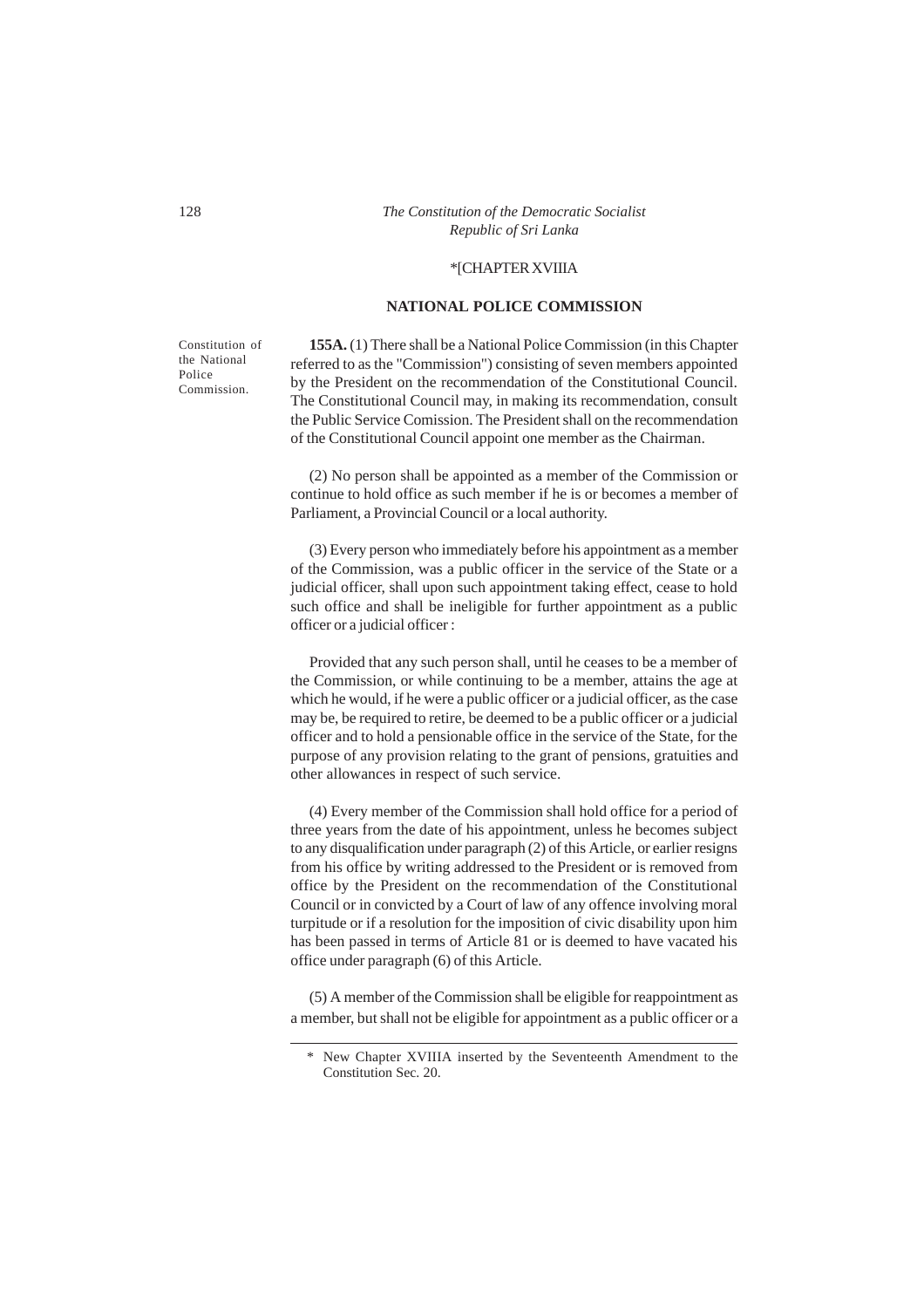# \*[CHAPTER XVIIIA

# **NATIONAL POLICE COMMISSION**

Constitution of the National Police Commission.

**155A.** (1) There shall be a National Police Commission (in this Chapter referred to as the "Commission") consisting of seven members appointed by the President on the recommendation of the Constitutional Council. The Constitutional Council may, in making its recommendation, consult the Public Service Comission. The President shall on the recommendation of the Constitutional Council appoint one member as the Chairman.

(2) No person shall be appointed as a member of the Commission or continue to hold office as such member if he is or becomes a member of Parliament, a Provincial Council or a local authority.

(3) Every person who immediately before his appointment as a member of the Commission, was a public officer in the service of the State or a judicial officer, shall upon such appointment taking effect, cease to hold such office and shall be ineligible for further appointment as a public officer or a judicial officer :

Provided that any such person shall, until he ceases to be a member of the Commission, or while continuing to be a member, attains the age at which he would, if he were a public officer or a judicial officer, as the case may be, be required to retire, be deemed to be a public officer or a judicial officer and to hold a pensionable office in the service of the State, for the purpose of any provision relating to the grant of pensions, gratuities and other allowances in respect of such service.

(4) Every member of the Commission shall hold office for a period of three years from the date of his appointment, unless he becomes subject to any disqualification under paragraph (2) of this Article, or earlier resigns from his office by writing addressed to the President or is removed from office by the President on the recommendation of the Constitutional Council or in convicted by a Court of law of any offence involving moral turpitude or if a resolution for the imposition of civic disability upon him has been passed in terms of Article 81 or is deemed to have vacated his office under paragraph (6) of this Article.

(5) A member of the Commission shall be eligible for reappointment as a member, but shall not be eligible for appointment as a public officer or a

New Chapter XVIIIA inserted by the Seventeenth Amendment to the Constitution Sec. 20.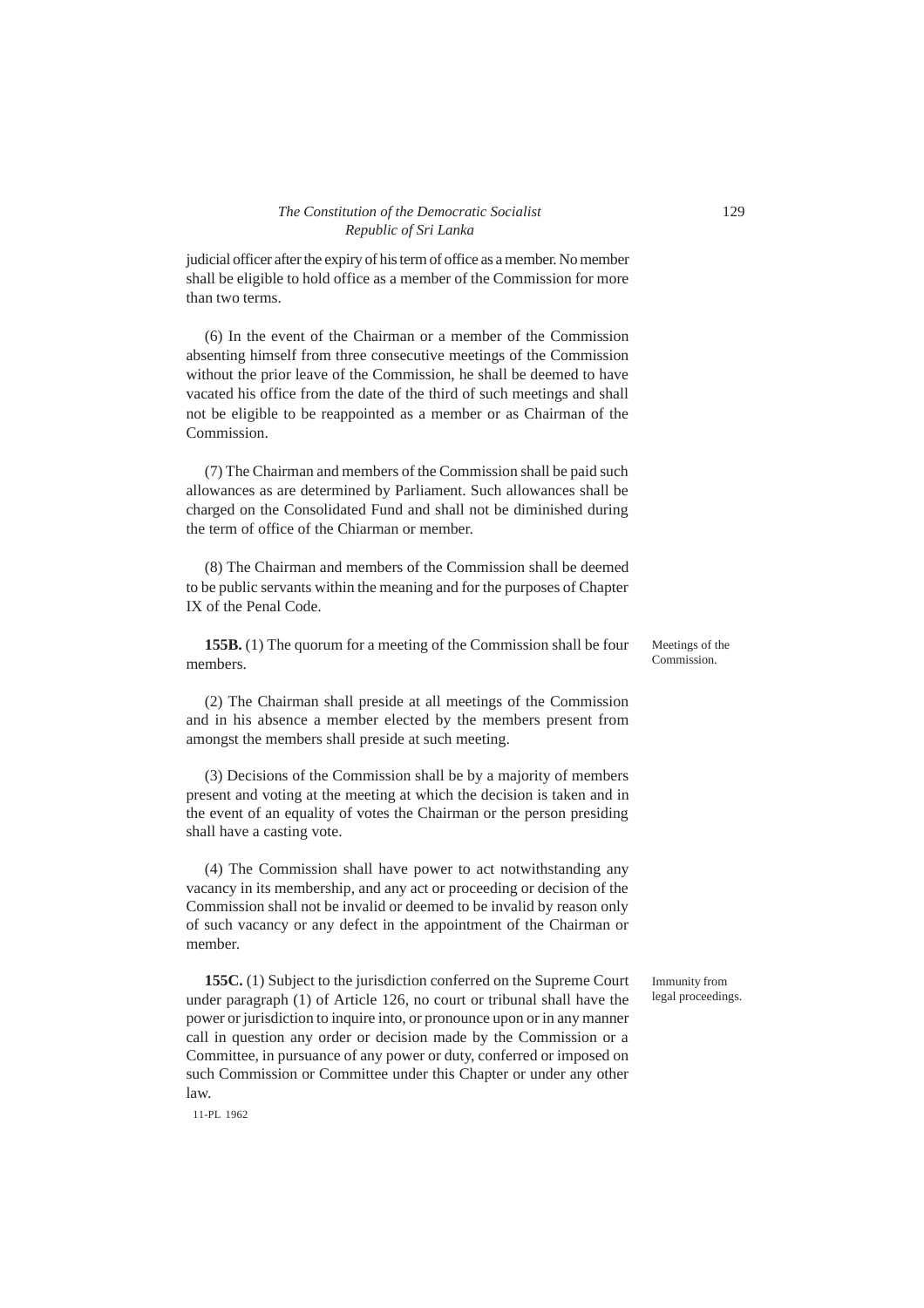judicial officer after the expiry of his term of office as a member. No member shall be eligible to hold office as a member of the Commission for more than two terms.

(6) In the event of the Chairman or a member of the Commission absenting himself from three consecutive meetings of the Commission without the prior leave of the Commission, he shall be deemed to have vacated his office from the date of the third of such meetings and shall not be eligible to be reappointed as a member or as Chairman of the Commission.

(7) The Chairman and members of the Commission shall be paid such allowances as are determined by Parliament. Such allowances shall be charged on the Consolidated Fund and shall not be diminished during the term of office of the Chiarman or member.

(8) The Chairman and members of the Commission shall be deemed to be public servants within the meaning and for the purposes of Chapter IX of the Penal Code.

**155B.** (1) The quorum for a meeting of the Commission shall be four members.

(2) The Chairman shall preside at all meetings of the Commission and in his absence a member elected by the members present from amongst the members shall preside at such meeting.

(3) Decisions of the Commission shall be by a majority of members present and voting at the meeting at which the decision is taken and in the event of an equality of votes the Chairman or the person presiding shall have a casting vote.

(4) The Commission shall have power to act notwithstanding any vacancy in its membership, and any act or proceeding or decision of the Commission shall not be invalid or deemed to be invalid by reason only of such vacancy or any defect in the appointment of the Chairman or member.

**155C.** (1) Subject to the jurisdiction conferred on the Supreme Court under paragraph (1) of Article 126, no court or tribunal shall have the power or jurisdiction to inquire into, or pronounce upon or in any manner call in question any order or decision made by the Commission or a Committee, in pursuance of any power or duty, conferred or imposed on such Commission or Committee under this Chapter or under any other law.

Immunity from legal proceedings.

Meetings of the Commission.

11-PL 1962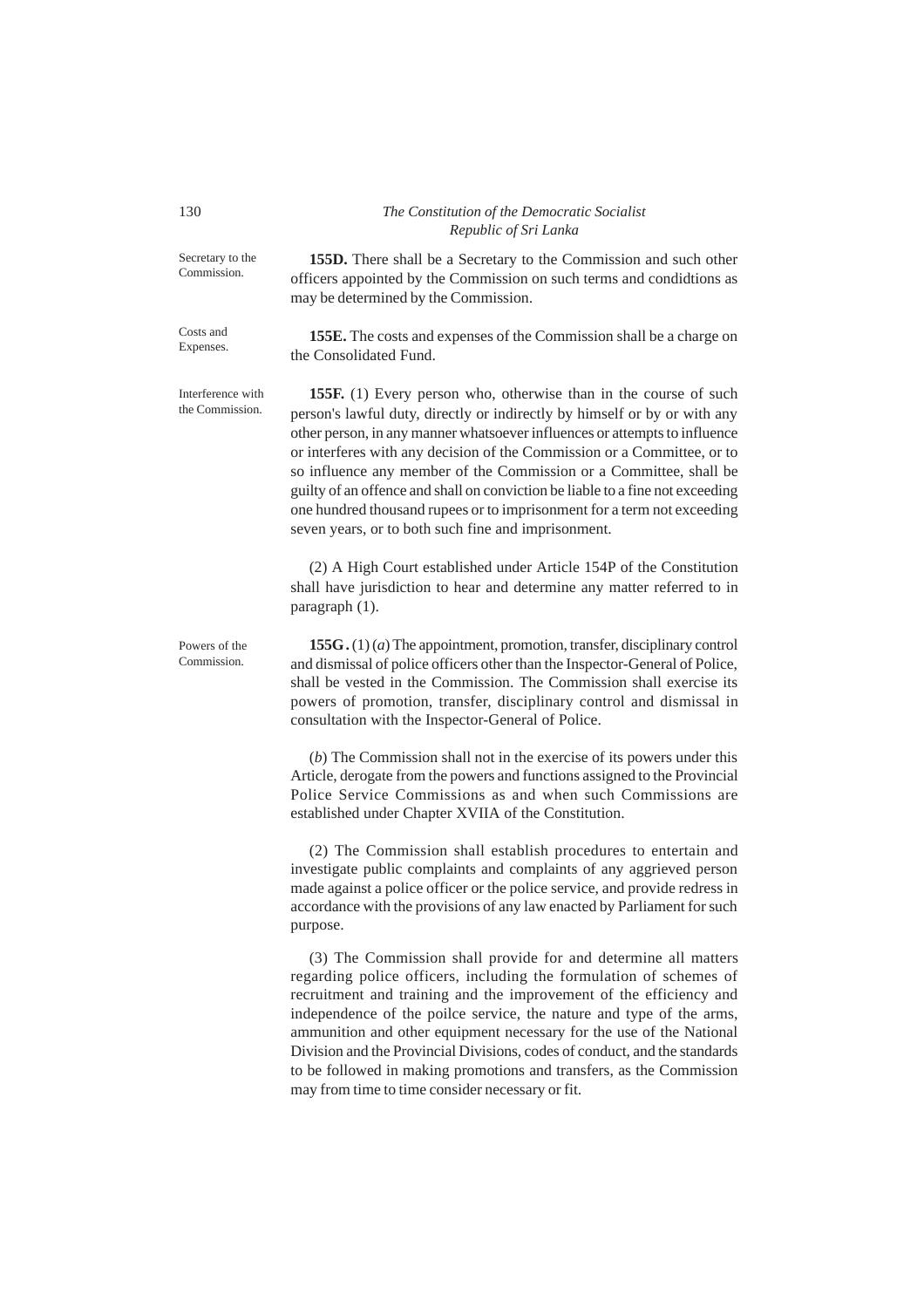may be determined by the Commission.

**155D.** There shall be a Secretary to the Commission and such other officers appointed by the Commission on such terms and condidtions as

Secretary to the Commission.

Costs and Expenses.

**155E.** The costs and expenses of the Commission shall be a charge on the Consolidated Fund.

Interference with the Commission.

Powers of the Commission.

**155F.** (1) Every person who, otherwise than in the course of such person's lawful duty, directly or indirectly by himself or by or with any other person, in any manner whatsoever influences or attempts to influence or interferes with any decision of the Commission or a Committee, or to so influence any member of the Commission or a Committee, shall be guilty of an offence and shall on conviction be liable to a fine not exceeding one hundred thousand rupees or to imprisonment for a term not exceeding seven years, or to both such fine and imprisonment.

(2) A High Court established under Article 154P of the Constitution shall have jurisdiction to hear and determine any matter referred to in paragraph (1).

**155G.** (1) (*a*) The appointment, promotion, transfer, disciplinary control and dismissal of police officers other than the Inspector-General of Police, shall be vested in the Commission. The Commission shall exercise its powers of promotion, transfer, disciplinary control and dismissal in consultation with the Inspector-General of Police.

(*b*) The Commission shall not in the exercise of its powers under this Article, derogate from the powers and functions assigned to the Provincial Police Service Commissions as and when such Commissions are established under Chapter XVIIA of the Constitution.

(2) The Commission shall establish procedures to entertain and investigate public complaints and complaints of any aggrieved person made against a police officer or the police service, and provide redress in accordance with the provisions of any law enacted by Parliament for such purpose.

(3) The Commission shall provide for and determine all matters regarding police officers, including the formulation of schemes of recruitment and training and the improvement of the efficiency and independence of the poilce service, the nature and type of the arms, ammunition and other equipment necessary for the use of the National Division and the Provincial Divisions, codes of conduct, and the standards to be followed in making promotions and transfers, as the Commission may from time to time consider necessary or fit.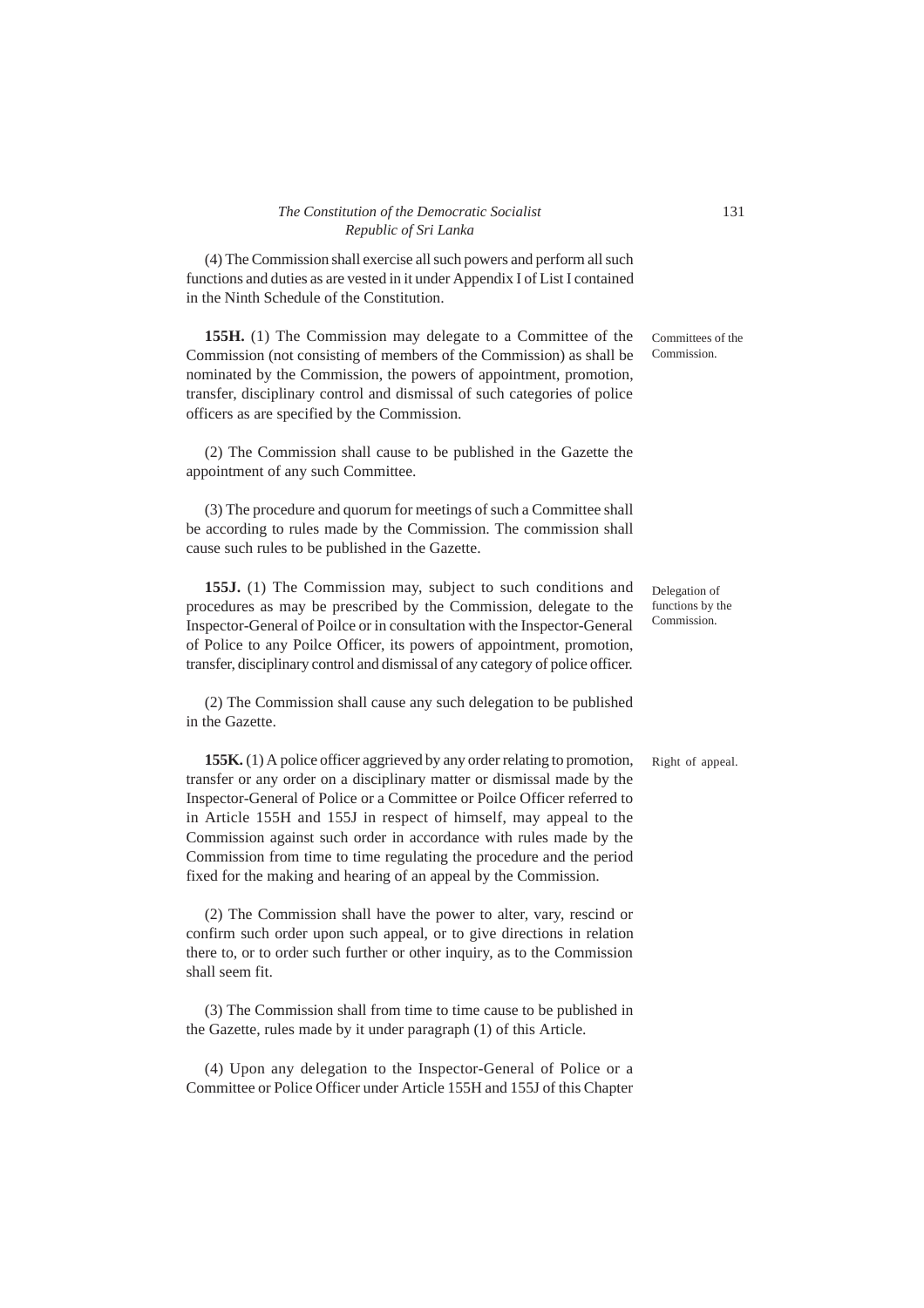(4) The Commission shall exercise all such powers and perform all such functions and duties as are vested in it under Appendix I of List I contained in the Ninth Schedule of the Constitution.

**155H.** (1) The Commission may delegate to a Committee of the Commission (not consisting of members of the Commission) as shall be nominated by the Commission, the powers of appointment, promotion, transfer, disciplinary control and dismissal of such categories of police officers as are specified by the Commission.

(2) The Commission shall cause to be published in the Gazette the appointment of any such Committee.

(3) The procedure and quorum for meetings of such a Committee shall be according to rules made by the Commission. The commission shall cause such rules to be published in the Gazette.

**155J.** (1) The Commission may, subject to such conditions and procedures as may be prescribed by the Commission, delegate to the Inspector-General of Poilce or in consultation with the Inspector-General of Police to any Poilce Officer, its powers of appointment, promotion, transfer, disciplinary control and dismissal of any category of police officer.

(2) The Commission shall cause any such delegation to be published in the Gazette.

**155K.** (1) A police officer aggrieved by any order relating to promotion, transfer or any order on a disciplinary matter or dismissal made by the Inspector-General of Police or a Committee or Poilce Officer referred to in Article 155H and 155J in respect of himself, may appeal to the Commission against such order in accordance with rules made by the Commission from time to time regulating the procedure and the period fixed for the making and hearing of an appeal by the Commission.

(2) The Commission shall have the power to alter, vary, rescind or confirm such order upon such appeal, or to give directions in relation there to, or to order such further or other inquiry, as to the Commission shall seem fit.

(3) The Commission shall from time to time cause to be published in the Gazette, rules made by it under paragraph (1) of this Article.

(4) Upon any delegation to the Inspector-General of Police or a Committee or Police Officer under Article 155H and 155J of this Chapter Committees of the Commission.

Delegation of functions by the Commission.

Right of appeal.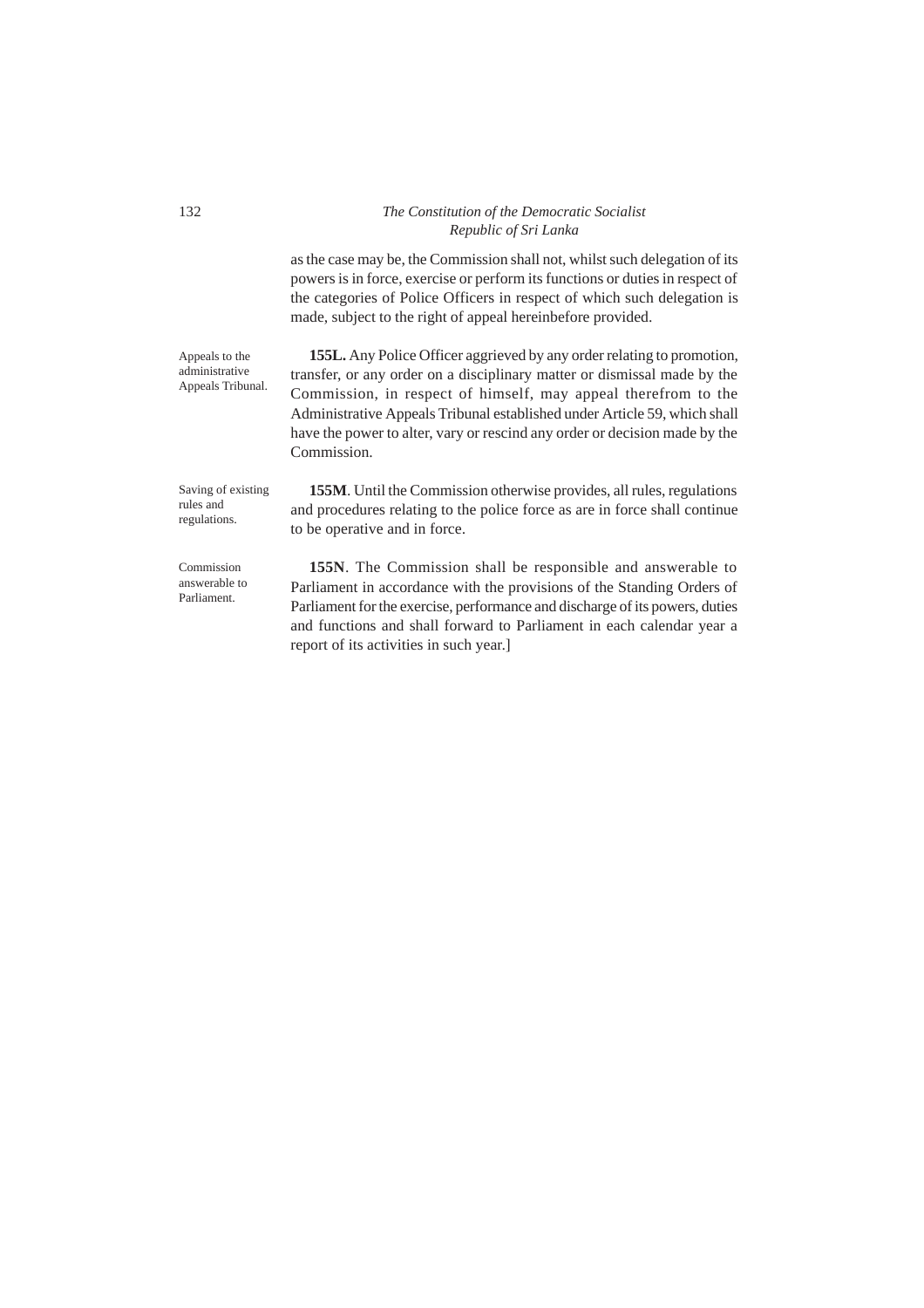as the case may be, the Commission shall not, whilst such delegation of its powers is in force, exercise or perform its functions or duties in respect of the categories of Police Officers in respect of which such delegation is made, subject to the right of appeal hereinbefore provided.

Appeals to the administrative Appeals Tribunal.

**155L.** Any Police Officer aggrieved by any order relating to promotion, transfer, or any order on a disciplinary matter or dismissal made by the Commission, in respect of himself, may appeal therefrom to the Administrative Appeals Tribunal established under Article 59, which shall have the power to alter, vary or rescind any order or decision made by the Commission.

**155M**. Until the Commission otherwise provides, all rules, regulations and procedures relating to the police force as are in force shall continue to be operative and in force. Saving of existing rules and regulations.

Commission answerable to Parliament.

**155N**. The Commission shall be responsible and answerable to Parliament in accordance with the provisions of the Standing Orders of Parliament for the exercise, performance and discharge of its powers, duties and functions and shall forward to Parliament in each calendar year a report of its activities in such year.]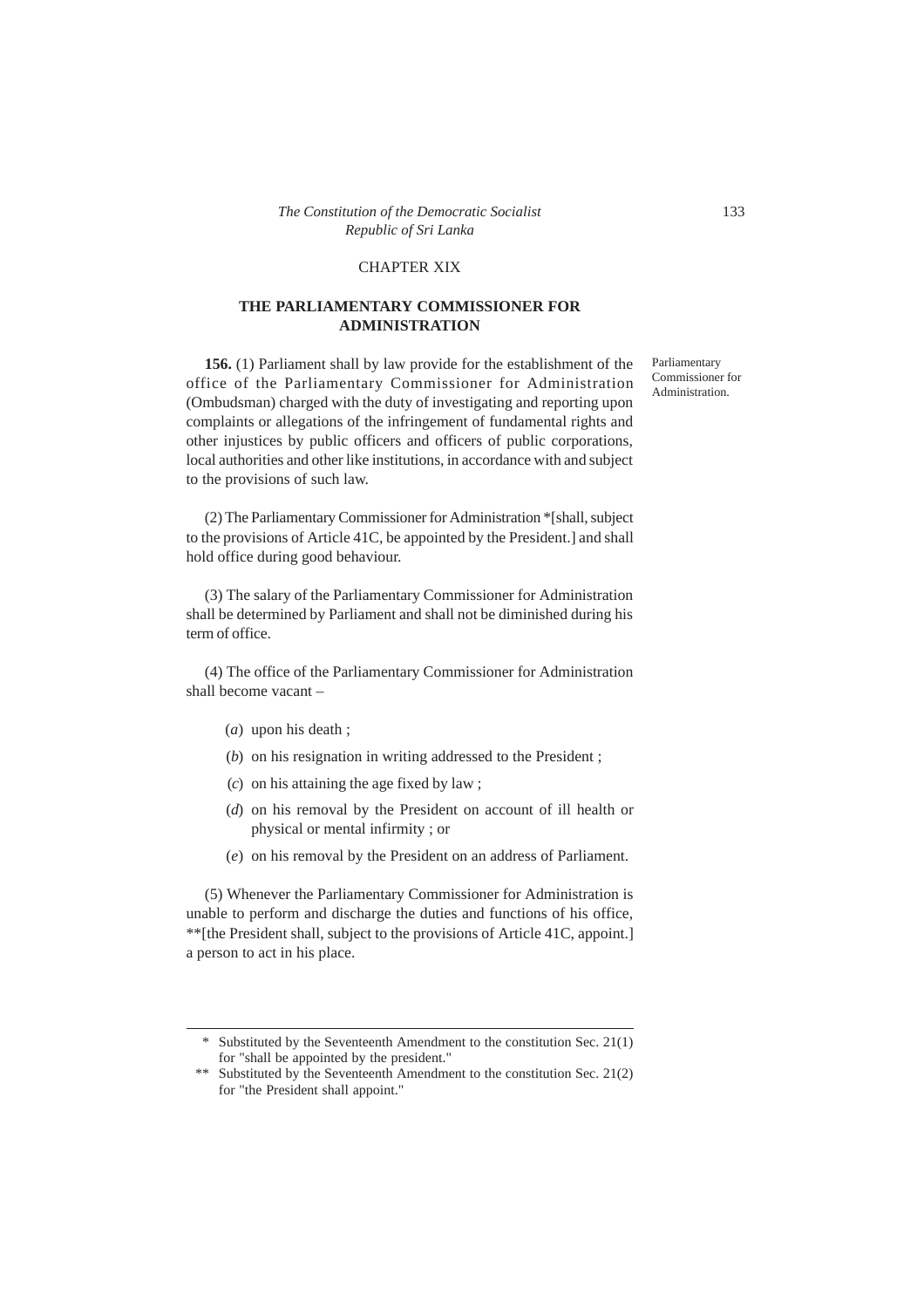## CHAPTER XIX

## **THE PARLIAMENTARY COMMISSIONER FOR ADMINISTRATION**

**156.** (1) Parliament shall by law provide for the establishment of the office of the Parliamentary Commissioner for Administration (Ombudsman) charged with the duty of investigating and reporting upon complaints or allegations of the infringement of fundamental rights and other injustices by public officers and officers of public corporations, local authorities and other like institutions, in accordance with and subject to the provisions of such law.

(2) The Parliamentary Commissioner for Administration \*[shall, subject to the provisions of Article 41C, be appointed by the President.] and shall hold office during good behaviour.

(3) The salary of the Parliamentary Commissioner for Administration shall be determined by Parliament and shall not be diminished during his term of office.

(4) The office of the Parliamentary Commissioner for Administration shall become vacant –

- (*a*) upon his death ;
- (*b*) on his resignation in writing addressed to the President ;
- (*c*) on his attaining the age fixed by law ;
- (*d*) on his removal by the President on account of ill health or physical or mental infirmity ; or
- (*e*) on his removal by the President on an address of Parliament.

(5) Whenever the Parliamentary Commissioner for Administration is unable to perform and discharge the duties and functions of his office, \*\*[the President shall, subject to the provisions of Article 41C, appoint.] a person to act in his place.

Parliamentary Commissioner for Administration.

<sup>\*</sup> Substituted by the Seventeenth Amendment to the constitution Sec. 21(1) for "shall be appointed by the president."

<sup>\*\*</sup> Substituted by the Seventeenth Amendment to the constitution Sec. 21(2) for "the President shall appoint."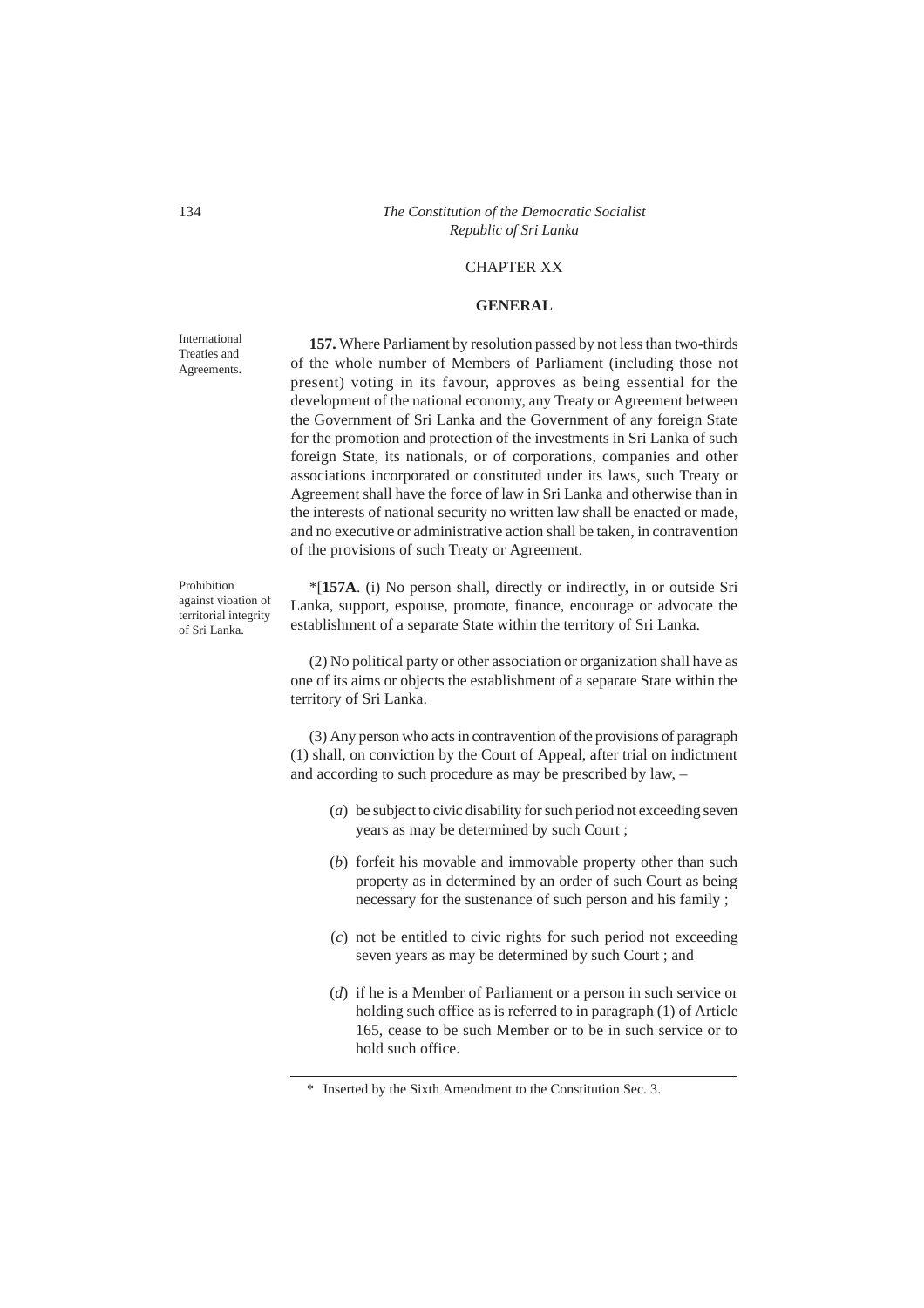# CHAPTER XX

### **GENERAL**

**157.** Where Parliament by resolution passed by not less than two-thirds of the whole number of Members of Parliament (including those not present) voting in its favour, approves as being essential for the development of the national economy, any Treaty or Agreement between the Government of Sri Lanka and the Government of any foreign State for the promotion and protection of the investments in Sri Lanka of such foreign State, its nationals, or of corporations, companies and other associations incorporated or constituted under its laws, such Treaty or Agreement shall have the force of law in Sri Lanka and otherwise than in the interests of national security no written law shall be enacted or made, and no executive or administrative action shall be taken, in contravention of the provisions of such Treaty or Agreement.

Prohibition against vioation of territorial integrity of Sri Lanka.

\*[**157A**. (i) No person shall, directly or indirectly, in or outside Sri Lanka, support, espouse, promote, finance, encourage or advocate the establishment of a separate State within the territory of Sri Lanka.

(2) No political party or other association or organization shall have as one of its aims or objects the establishment of a separate State within the territory of Sri Lanka.

(3) Any person who acts in contravention of the provisions of paragraph (1) shall, on conviction by the Court of Appeal, after trial on indictment and according to such procedure as may be prescribed by law, –

- (*a*) be subject to civic disability for such period not exceeding seven years as may be determined by such Court ;
- (*b*) forfeit his movable and immovable property other than such property as in determined by an order of such Court as being necessary for the sustenance of such person and his family ;
- (*c*) not be entitled to civic rights for such period not exceeding seven years as may be determined by such Court ; and
- (*d*) if he is a Member of Parliament or a person in such service or holding such office as is referred to in paragraph (1) of Article 165, cease to be such Member or to be in such service or to hold such office.

International Treaties and Agreements.

<sup>\*</sup> Inserted by the Sixth Amendment to the Constitution Sec. 3.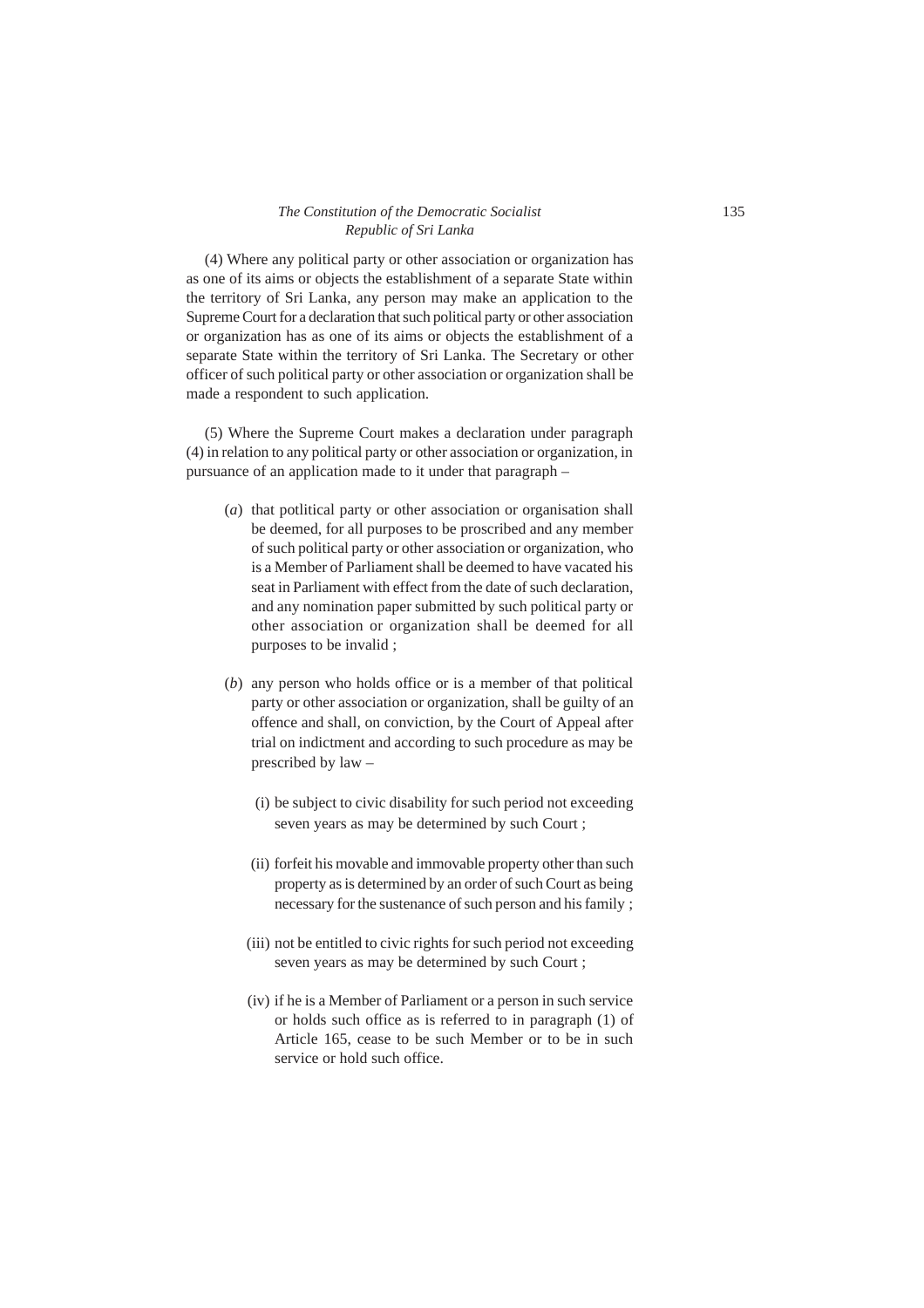(4) Where any political party or other association or organization has as one of its aims or objects the establishment of a separate State within the territory of Sri Lanka, any person may make an application to the Supreme Court for a declaration that such political party or other association or organization has as one of its aims or objects the establishment of a separate State within the territory of Sri Lanka. The Secretary or other officer of such political party or other association or organization shall be made a respondent to such application.

(5) Where the Supreme Court makes a declaration under paragraph (4) in relation to any political party or other association or organization, in pursuance of an application made to it under that paragraph –

- (*a*) that potlitical party or other association or organisation shall be deemed, for all purposes to be proscribed and any member of such political party or other association or organization, who is a Member of Parliament shall be deemed to have vacated his seat in Parliament with effect from the date of such declaration, and any nomination paper submitted by such political party or other association or organization shall be deemed for all purposes to be invalid ;
- (*b*) any person who holds office or is a member of that political party or other association or organization, shall be guilty of an offence and shall, on conviction, by the Court of Appeal after trial on indictment and according to such procedure as may be prescribed by law –
	- (i) be subject to civic disability for such period not exceeding seven years as may be determined by such Court ;
	- (ii) forfeit his movable and immovable property other than such property as is determined by an order of such Court as being necessary for the sustenance of such person and his family ;
	- (iii) not be entitled to civic rights for such period not exceeding seven years as may be determined by such Court ;
	- (iv) if he is a Member of Parliament or a person in such service or holds such office as is referred to in paragraph (1) of Article 165, cease to be such Member or to be in such service or hold such office.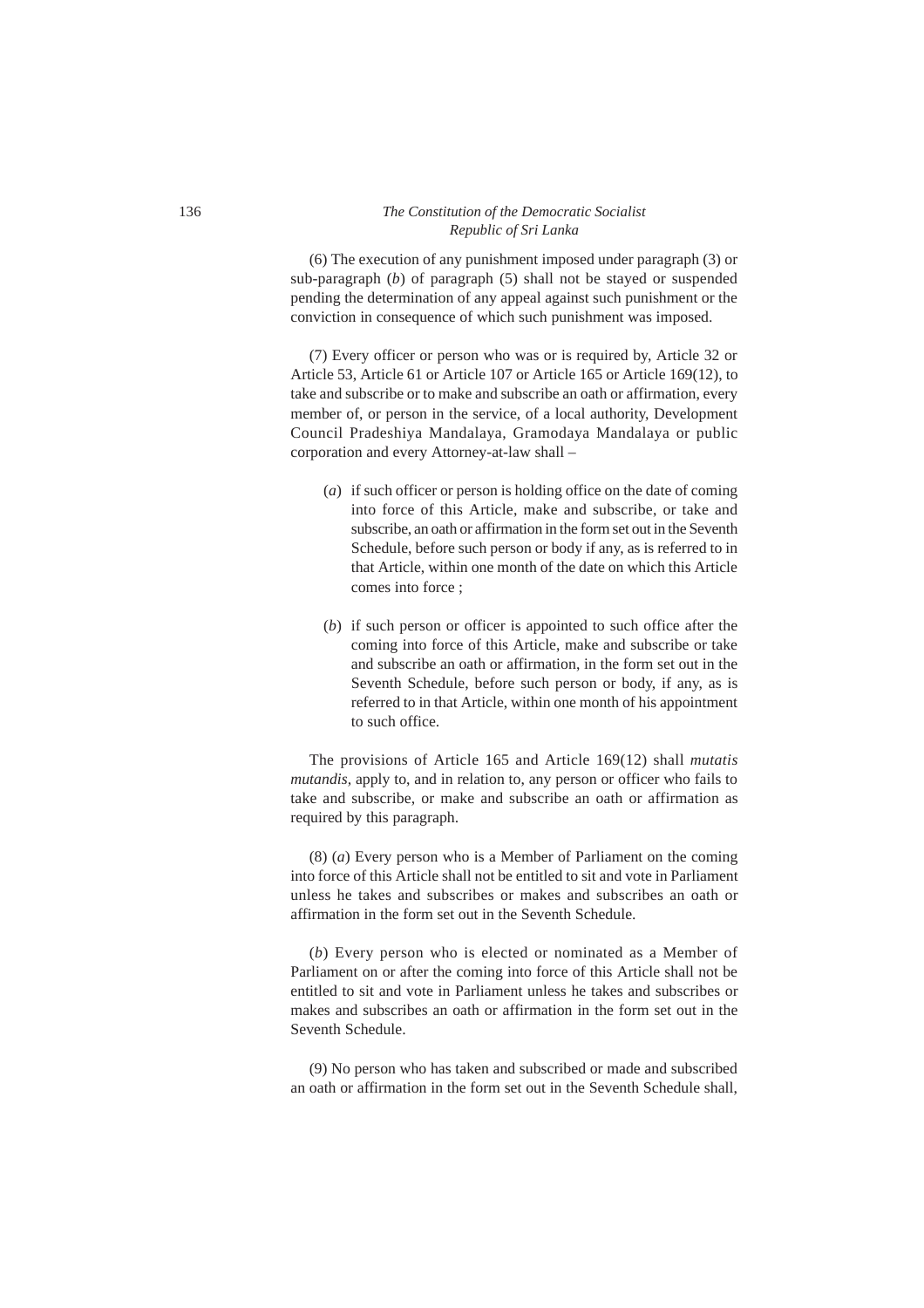(6) The execution of any punishment imposed under paragraph (3) or sub-paragraph (*b*) of paragraph (5) shall not be stayed or suspended pending the determination of any appeal against such punishment or the conviction in consequence of which such punishment was imposed.

(7) Every officer or person who was or is required by, Article 32 or Article 53, Article 61 or Article 107 or Article 165 or Article 169(12), to take and subscribe or to make and subscribe an oath or affirmation, every member of, or person in the service, of a local authority, Development Council Pradeshiya Mandalaya, Gramodaya Mandalaya or public corporation and every Attorney-at-law shall –

- (*a*) if such officer or person is holding office on the date of coming into force of this Article, make and subscribe, or take and subscribe, an oath or affirmation in the form set out in the Seventh Schedule, before such person or body if any, as is referred to in that Article, within one month of the date on which this Article comes into force ;
- (*b*) if such person or officer is appointed to such office after the coming into force of this Article, make and subscribe or take and subscribe an oath or affirmation, in the form set out in the Seventh Schedule, before such person or body, if any, as is referred to in that Article, within one month of his appointment to such office.

The provisions of Article 165 and Article 169(12) shall *mutatis mutandis,* apply to, and in relation to, any person or officer who fails to take and subscribe, or make and subscribe an oath or affirmation as required by this paragraph.

(8) (*a*) Every person who is a Member of Parliament on the coming into force of this Article shall not be entitled to sit and vote in Parliament unless he takes and subscribes or makes and subscribes an oath or affirmation in the form set out in the Seventh Schedule.

(*b*) Every person who is elected or nominated as a Member of Parliament on or after the coming into force of this Article shall not be entitled to sit and vote in Parliament unless he takes and subscribes or makes and subscribes an oath or affirmation in the form set out in the Seventh Schedule.

(9) No person who has taken and subscribed or made and subscribed an oath or affirmation in the form set out in the Seventh Schedule shall,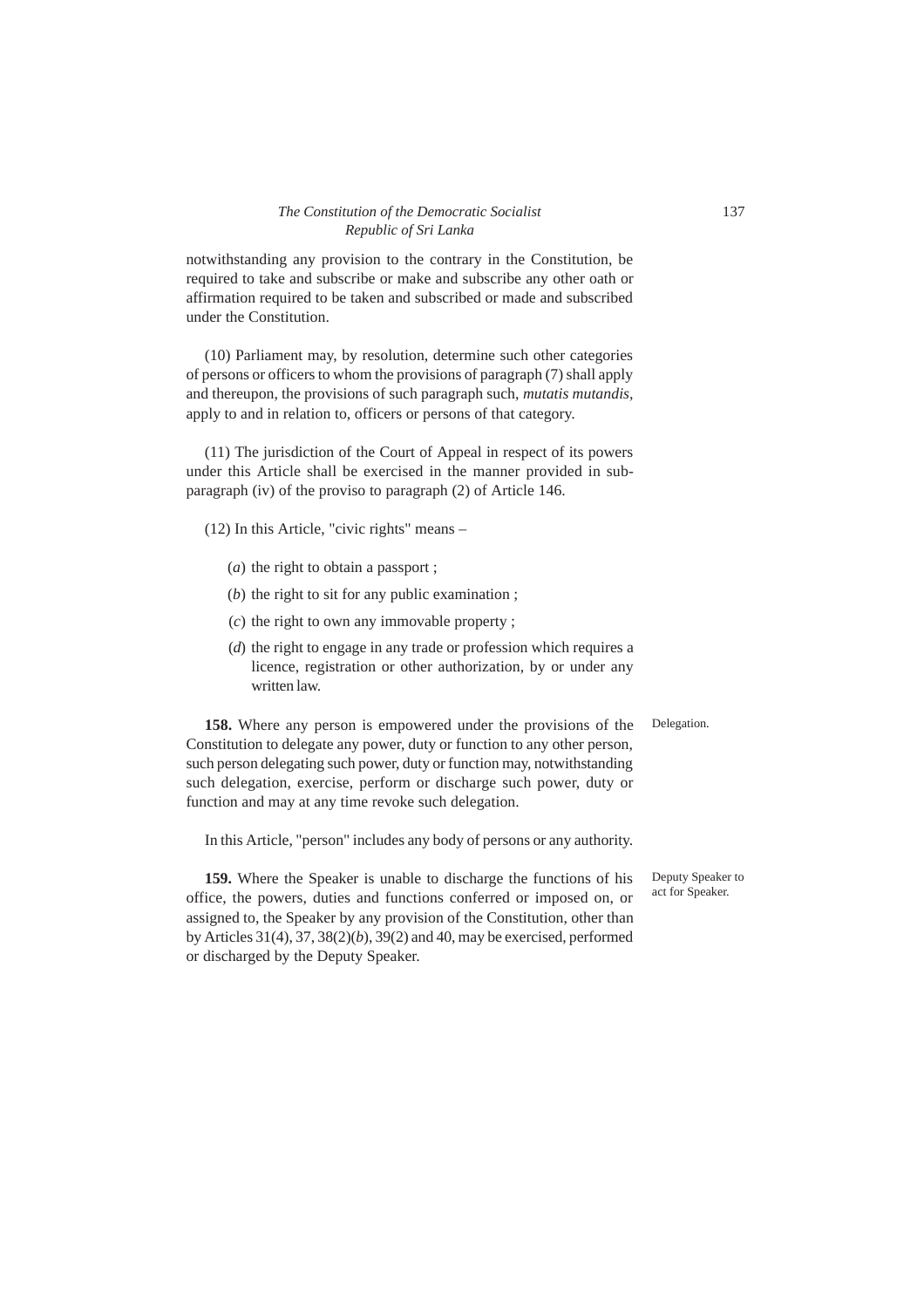notwithstanding any provision to the contrary in the Constitution, be required to take and subscribe or make and subscribe any other oath or affirmation required to be taken and subscribed or made and subscribed under the Constitution.

(10) Parliament may, by resolution, determine such other categories of persons or officers to whom the provisions of paragraph (7) shall apply and thereupon, the provisions of such paragraph such, *mutatis mutandis,* apply to and in relation to, officers or persons of that category.

(11) The jurisdiction of the Court of Appeal in respect of its powers under this Article shall be exercised in the manner provided in subparagraph (iv) of the proviso to paragraph (2) of Article 146.

(12) In this Article, "civic rights" means –

- (*a*) the right to obtain a passport ;
- (*b*) the right to sit for any public examination ;
- (*c*) the right to own any immovable property ;
- (*d*) the right to engage in any trade or profession which requires a licence, registration or other authorization, by or under any written law.

Delegation.

**158.** Where any person is empowered under the provisions of the Constitution to delegate any power, duty or function to any other person, such person delegating such power, duty or function may, notwithstanding such delegation, exercise, perform or discharge such power, duty or function and may at any time revoke such delegation.

In this Article, "person" includes any body of persons or any authority.

**159.** Where the Speaker is unable to discharge the functions of his office, the powers, duties and functions conferred or imposed on, or assigned to, the Speaker by any provision of the Constitution, other than by Articles 31(4), 37, 38(2)(*b*), 39(2) and 40, may be exercised, performed or discharged by the Deputy Speaker.

Deputy Speaker to act for Speaker.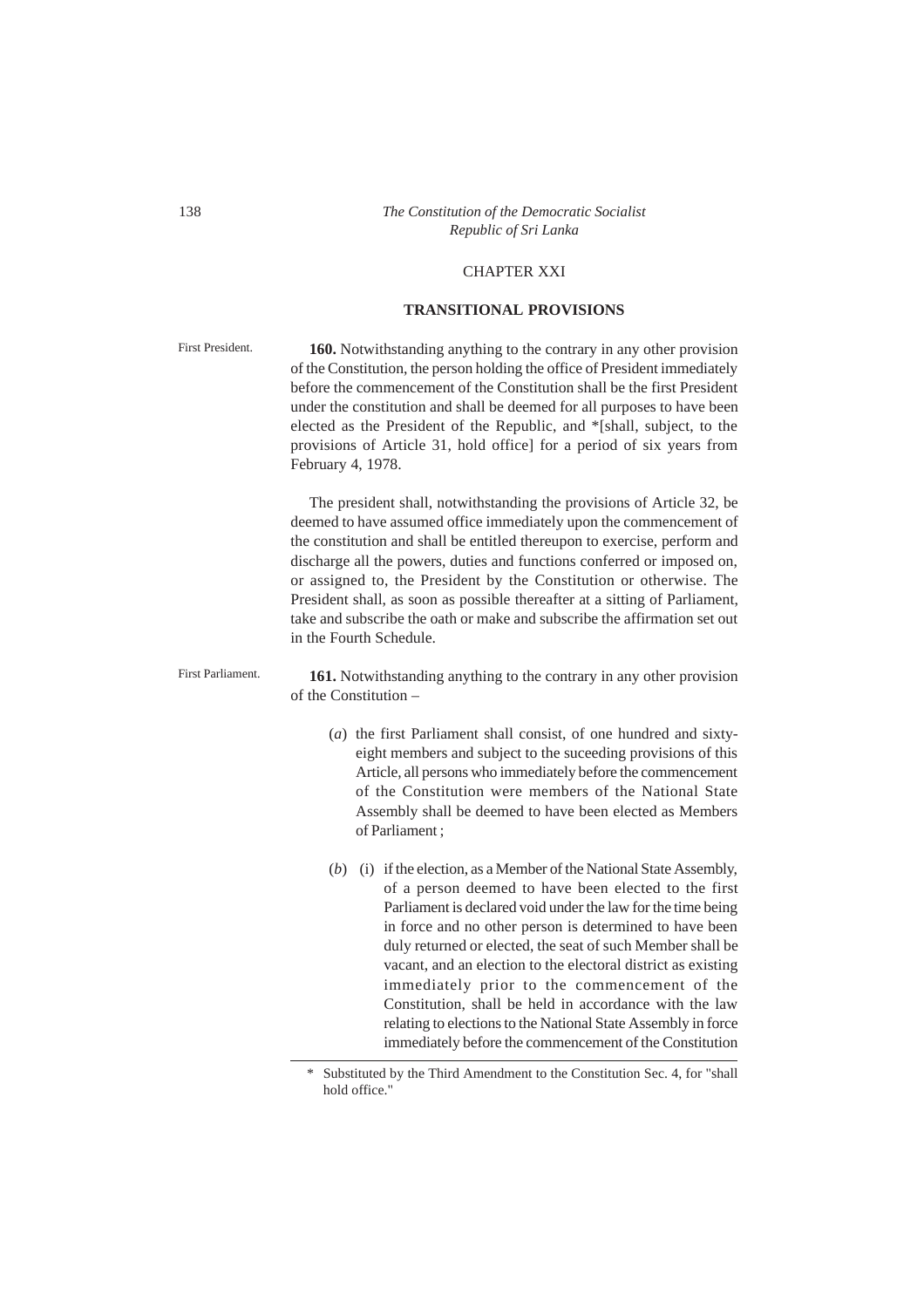## CHAPTER XXI

#### **TRANSITIONAL PROVISIONS**

**160.** Notwithstanding anything to the contrary in any other provision of the Constitution, the person holding the office of President immediately before the commencement of the Constitution shall be the first President under the constitution and shall be deemed for all purposes to have been elected as the President of the Republic, and \*[shall, subject, to the provisions of Article 31, hold office] for a period of six years from February 4, 1978. First President.

> The president shall, notwithstanding the provisions of Article 32, be deemed to have assumed office immediately upon the commencement of the constitution and shall be entitled thereupon to exercise, perform and discharge all the powers, duties and functions conferred or imposed on, or assigned to, the President by the Constitution or otherwise. The President shall, as soon as possible thereafter at a sitting of Parliament, take and subscribe the oath or make and subscribe the affirmation set out in the Fourth Schedule.

#### First Parliament.

**161.** Notwithstanding anything to the contrary in any other provision of the Constitution –

- (*a*) the first Parliament shall consist, of one hundred and sixtyeight members and subject to the suceeding provisions of this Article, all persons who immediately before the commencement of the Constitution were members of the National State Assembly shall be deemed to have been elected as Members of Parliament ;
- (*b*) (i) if the election, as a Member of the National State Assembly, of a person deemed to have been elected to the first Parliament is declared void under the law for the time being in force and no other person is determined to have been duly returned or elected, the seat of such Member shall be vacant, and an election to the electoral district as existing immediately prior to the commencement of the Constitution, shall be held in accordance with the law relating to elections to the National State Assembly in force immediately before the commencement of the Constitution

Substituted by the Third Amendment to the Constitution Sec. 4, for "shall hold office."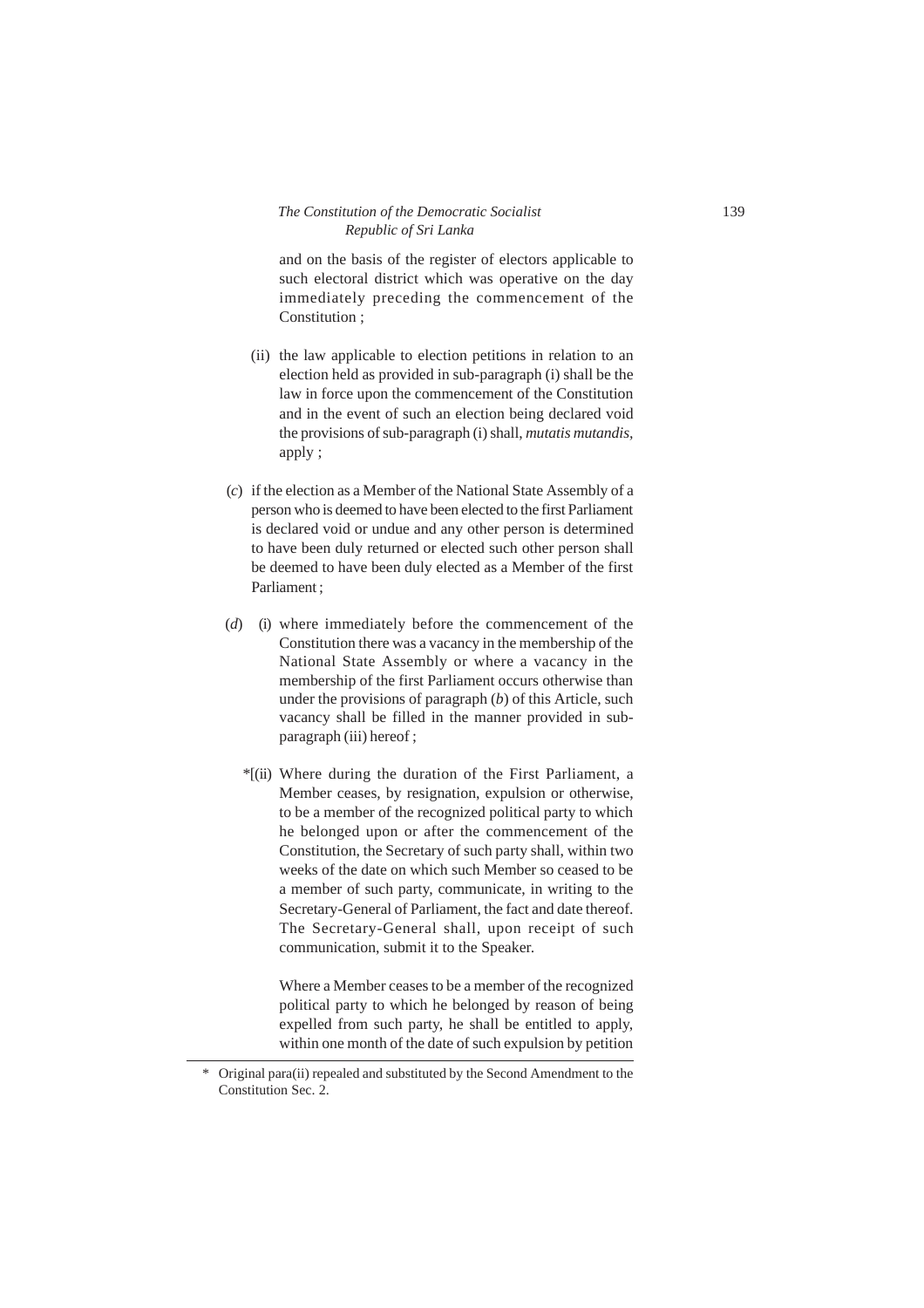and on the basis of the register of electors applicable to such electoral district which was operative on the day immediately preceding the commencement of the Constitution ;

- (ii) the law applicable to election petitions in relation to an election held as provided in sub-paragraph (i) shall be the law in force upon the commencement of the Constitution and in the event of such an election being declared void the provisions of sub-paragraph (i) shall, *mutatis mutandis,* apply ;
- (*c*) if the election as a Member of the National State Assembly of a person who is deemed to have been elected to the first Parliament is declared void or undue and any other person is determined to have been duly returned or elected such other person shall be deemed to have been duly elected as a Member of the first Parliament ;
- (*d*) (i) where immediately before the commencement of the Constitution there was a vacancy in the membership of the National State Assembly or where a vacancy in the membership of the first Parliament occurs otherwise than under the provisions of paragraph (*b*) of this Article, such vacancy shall be filled in the manner provided in subparagraph (iii) hereof;
	- \*[(ii) Where during the duration of the First Parliament, a Member ceases, by resignation, expulsion or otherwise, to be a member of the recognized political party to which he belonged upon or after the commencement of the Constitution, the Secretary of such party shall, within two weeks of the date on which such Member so ceased to be a member of such party, communicate, in writing to the Secretary-General of Parliament, the fact and date thereof. The Secretary-General shall, upon receipt of such communication, submit it to the Speaker.

Where a Member ceases to be a member of the recognized political party to which he belonged by reason of being expelled from such party, he shall be entitled to apply, within one month of the date of such expulsion by petition

Original para(ii) repealed and substituted by the Second Amendment to the Constitution Sec. 2.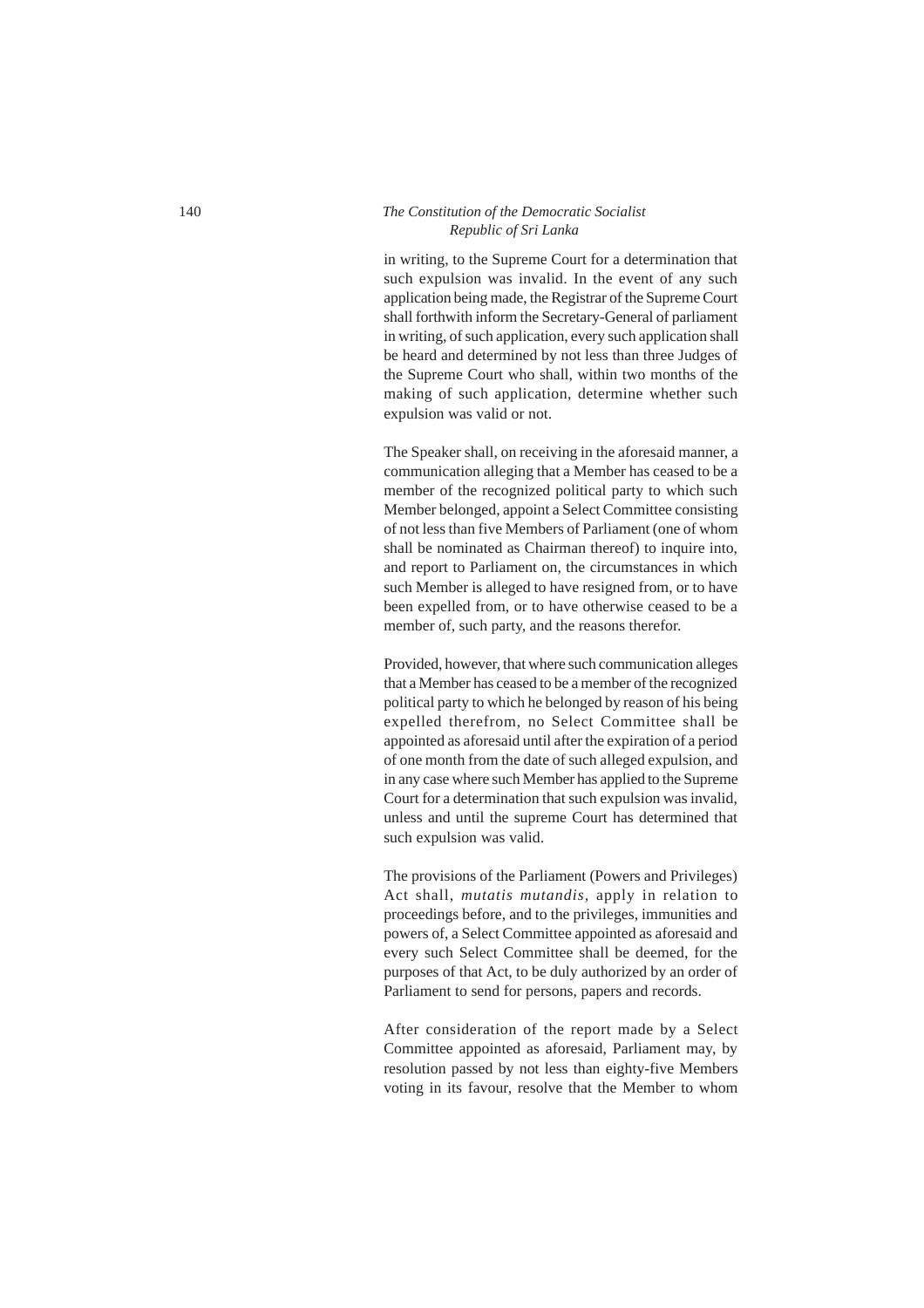in writing, to the Supreme Court for a determination that such expulsion was invalid. In the event of any such application being made, the Registrar of the Supreme Court shall forthwith inform the Secretary-General of parliament in writing, of such application, every such application shall be heard and determined by not less than three Judges of the Supreme Court who shall, within two months of the making of such application, determine whether such expulsion was valid or not.

The Speaker shall, on receiving in the aforesaid manner, a communication alleging that a Member has ceased to be a member of the recognized political party to which such Member belonged, appoint a Select Committee consisting of not less than five Members of Parliament (one of whom shall be nominated as Chairman thereof) to inquire into, and report to Parliament on, the circumstances in which such Member is alleged to have resigned from, or to have been expelled from, or to have otherwise ceased to be a member of, such party, and the reasons therefor.

Provided, however, that where such communication alleges that a Member has ceased to be a member of the recognized political party to which he belonged by reason of his being expelled therefrom, no Select Committee shall be appointed as aforesaid until after the expiration of a period of one month from the date of such alleged expulsion, and in any case where such Member has applied to the Supreme Court for a determination that such expulsion was invalid, unless and until the supreme Court has determined that such expulsion was valid.

The provisions of the Parliament (Powers and Privileges) Act shall, *mutatis mutandis,* apply in relation to proceedings before, and to the privileges, immunities and powers of, a Select Committee appointed as aforesaid and every such Select Committee shall be deemed, for the purposes of that Act, to be duly authorized by an order of Parliament to send for persons, papers and records.

After consideration of the report made by a Select Committee appointed as aforesaid, Parliament may, by resolution passed by not less than eighty-five Members voting in its favour, resolve that the Member to whom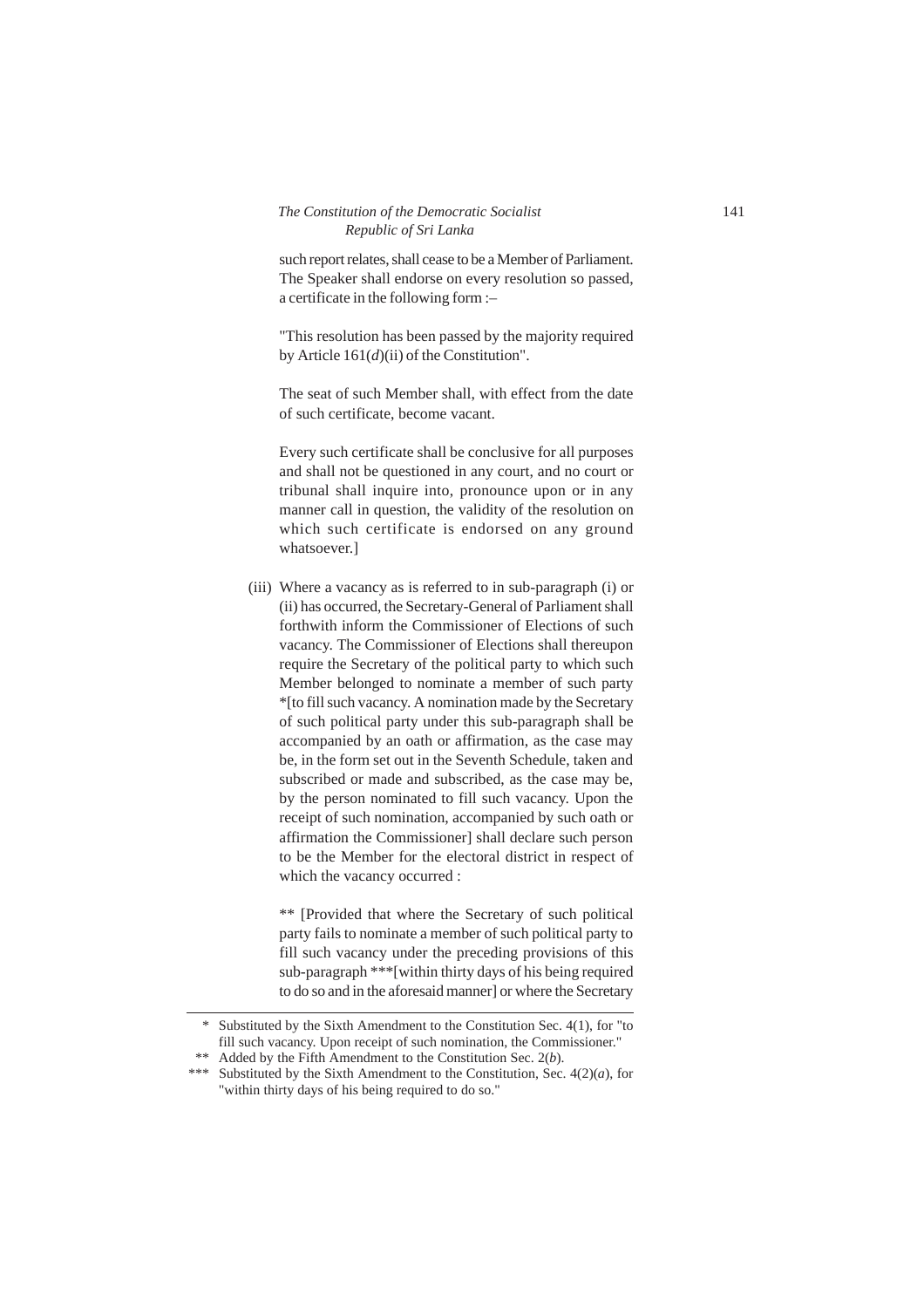such report relates, shall cease to be a Member of Parliament. The Speaker shall endorse on every resolution so passed, a certificate in the following form :–

"This resolution has been passed by the majority required by Article 161(*d*)(ii) of the Constitution".

The seat of such Member shall, with effect from the date of such certificate, become vacant.

Every such certificate shall be conclusive for all purposes and shall not be questioned in any court, and no court or tribunal shall inquire into, pronounce upon or in any manner call in question, the validity of the resolution on which such certificate is endorsed on any ground whatsoever.]

(iii) Where a vacancy as is referred to in sub-paragraph (i) or (ii) has occurred, the Secretary-General of Parliament shall forthwith inform the Commissioner of Elections of such vacancy. The Commissioner of Elections shall thereupon require the Secretary of the political party to which such Member belonged to nominate a member of such party \*[to fill such vacancy. A nomination made by the Secretary of such political party under this sub-paragraph shall be accompanied by an oath or affirmation, as the case may be, in the form set out in the Seventh Schedule, taken and subscribed or made and subscribed, as the case may be, by the person nominated to fill such vacancy. Upon the receipt of such nomination, accompanied by such oath or affirmation the Commissioner] shall declare such person to be the Member for the electoral district in respect of which the vacancy occurred :

\*\* [Provided that where the Secretary of such political party fails to nominate a member of such political party to fill such vacancy under the preceding provisions of this sub-paragraph \*\*\*[within thirty days of his being required to do so and in the aforesaid manner] or where the Secretary

<sup>\*</sup> Substituted by the Sixth Amendment to the Constitution Sec. 4(1), for "to fill such vacancy. Upon receipt of such nomination, the Commissioner."

Added by the Fifth Amendment to the Constitution Sec. 2(*b*).

Substituted by the Sixth Amendment to the Constitution, Sec.  $4(2)(a)$ , for "within thirty days of his being required to do so."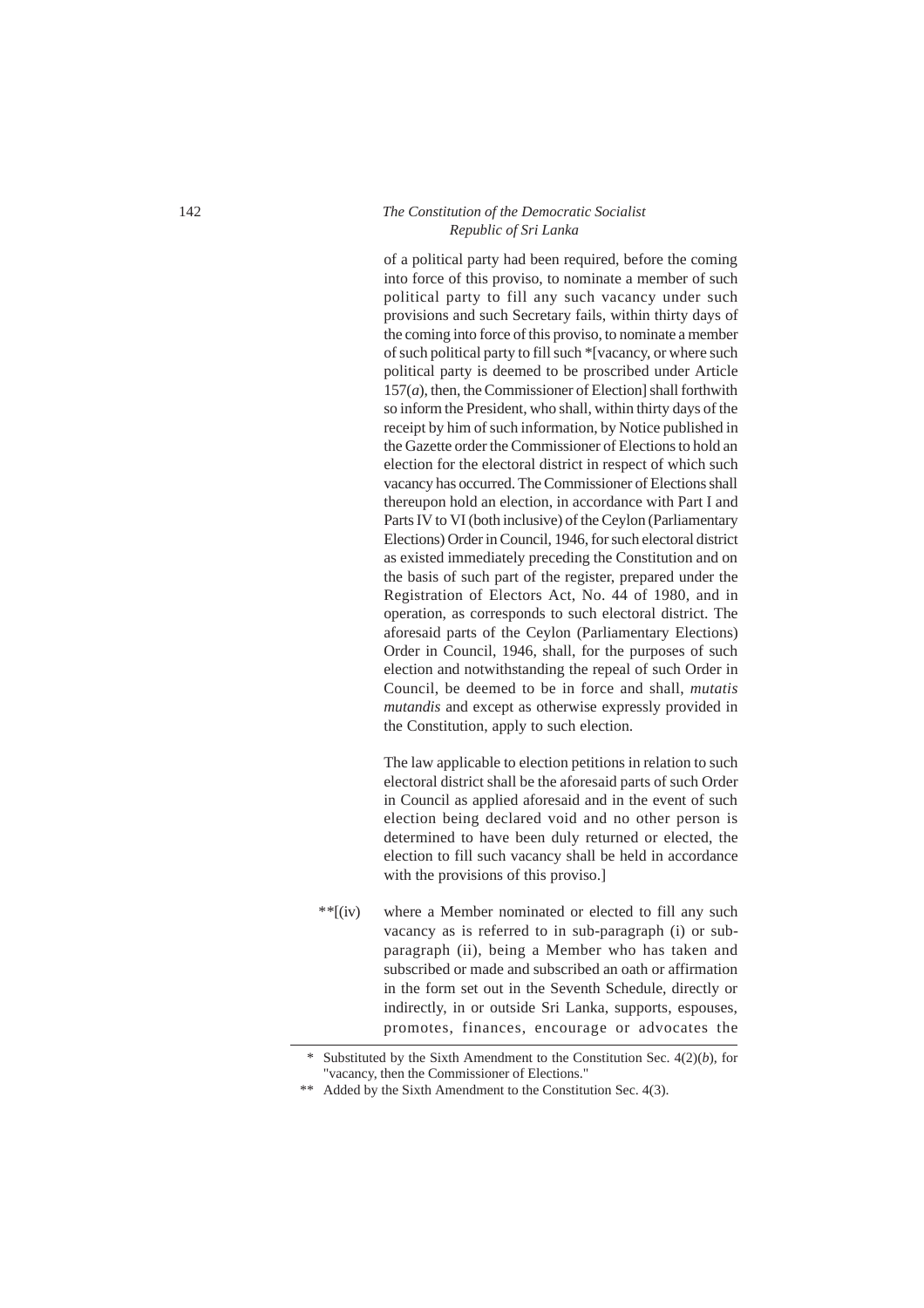of a political party had been required, before the coming into force of this proviso, to nominate a member of such political party to fill any such vacancy under such provisions and such Secretary fails, within thirty days of the coming into force of this proviso, to nominate a member of such political party to fill such \*[vacancy, or where such political party is deemed to be proscribed under Article 157(*a*), then, the Commissioner of Election] shall forthwith so inform the President, who shall, within thirty days of the receipt by him of such information, by Notice published in the Gazette order the Commissioner of Elections to hold an election for the electoral district in respect of which such vacancy has occurred. The Commissioner of Elections shall thereupon hold an election, in accordance with Part I and Parts IV to VI (both inclusive) of the Ceylon (Parliamentary Elections) Order in Council, 1946, for such electoral district as existed immediately preceding the Constitution and on the basis of such part of the register, prepared under the Registration of Electors Act, No. 44 of 1980, and in operation, as corresponds to such electoral district. The aforesaid parts of the Ceylon (Parliamentary Elections) Order in Council, 1946, shall, for the purposes of such election and notwithstanding the repeal of such Order in Council, be deemed to be in force and shall, *mutatis mutandis* and except as otherwise expressly provided in the Constitution, apply to such election.

The law applicable to election petitions in relation to such electoral district shall be the aforesaid parts of such Order in Council as applied aforesaid and in the event of such election being declared void and no other person is determined to have been duly returned or elected, the election to fill such vacancy shall be held in accordance with the provisions of this proviso.]

\*\*[(iv) where a Member nominated or elected to fill any such vacancy as is referred to in sub-paragraph (i) or subparagraph (ii), being a Member who has taken and subscribed or made and subscribed an oath or affirmation in the form set out in the Seventh Schedule, directly or indirectly, in or outside Sri Lanka, supports, espouses, promotes, finances, encourage or advocates the

Substituted by the Sixth Amendment to the Constitution Sec.  $4(2)(b)$ , for "vacancy, then the Commissioner of Elections."

<sup>\*\*</sup> Added by the Sixth Amendment to the Constitution Sec. 4(3).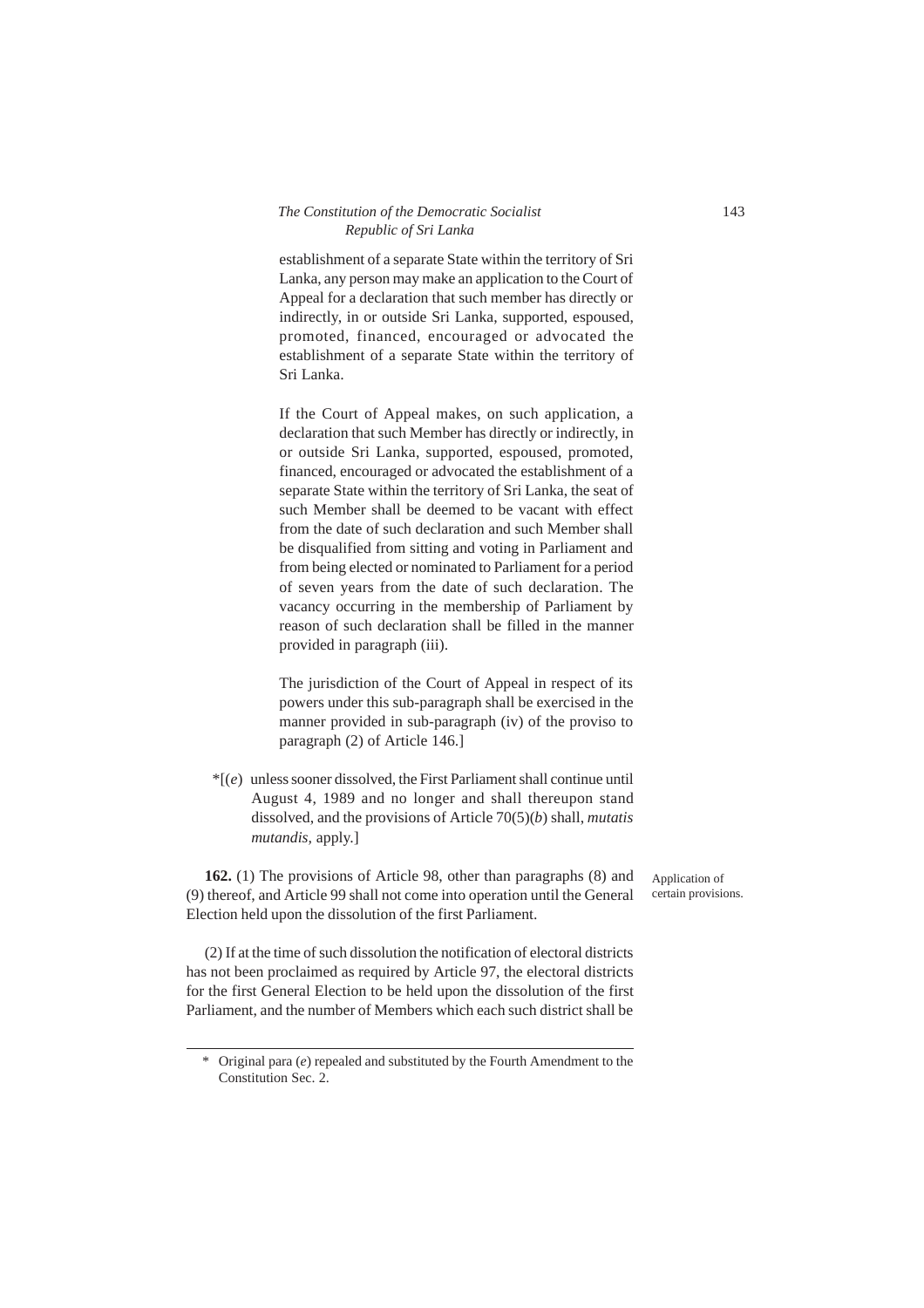establishment of a separate State within the territory of Sri Lanka, any person may make an application to the Court of Appeal for a declaration that such member has directly or indirectly, in or outside Sri Lanka, supported, espoused, promoted, financed, encouraged or advocated the establishment of a separate State within the territory of Sri Lanka.

If the Court of Appeal makes, on such application, a declaration that such Member has directly or indirectly, in or outside Sri Lanka, supported, espoused, promoted, financed, encouraged or advocated the establishment of a separate State within the territory of Sri Lanka, the seat of such Member shall be deemed to be vacant with effect from the date of such declaration and such Member shall be disqualified from sitting and voting in Parliament and from being elected or nominated to Parliament for a period of seven years from the date of such declaration. The vacancy occurring in the membership of Parliament by reason of such declaration shall be filled in the manner provided in paragraph (iii).

The jurisdiction of the Court of Appeal in respect of its powers under this sub-paragraph shall be exercised in the manner provided in sub-paragraph (iv) of the proviso to paragraph (2) of Article 146.]

\*[(*e*) unless sooner dissolved, the First Parliament shall continue until August 4, 1989 and no longer and shall thereupon stand dissolved, and the provisions of Article 70(5)(*b*) shall, *mutatis mutandis,* apply.]

**162.** (1) The provisions of Article 98, other than paragraphs (8) and (9) thereof, and Article 99 shall not come into operation until the General Election held upon the dissolution of the first Parliament.

Application of certain provisions.

(2) If at the time of such dissolution the notification of electoral districts has not been proclaimed as required by Article 97, the electoral districts for the first General Election to be held upon the dissolution of the first Parliament, and the number of Members which each such district shall be

<sup>\*</sup> Original para (*e*) repealed and substituted by the Fourth Amendment to the Constitution Sec. 2.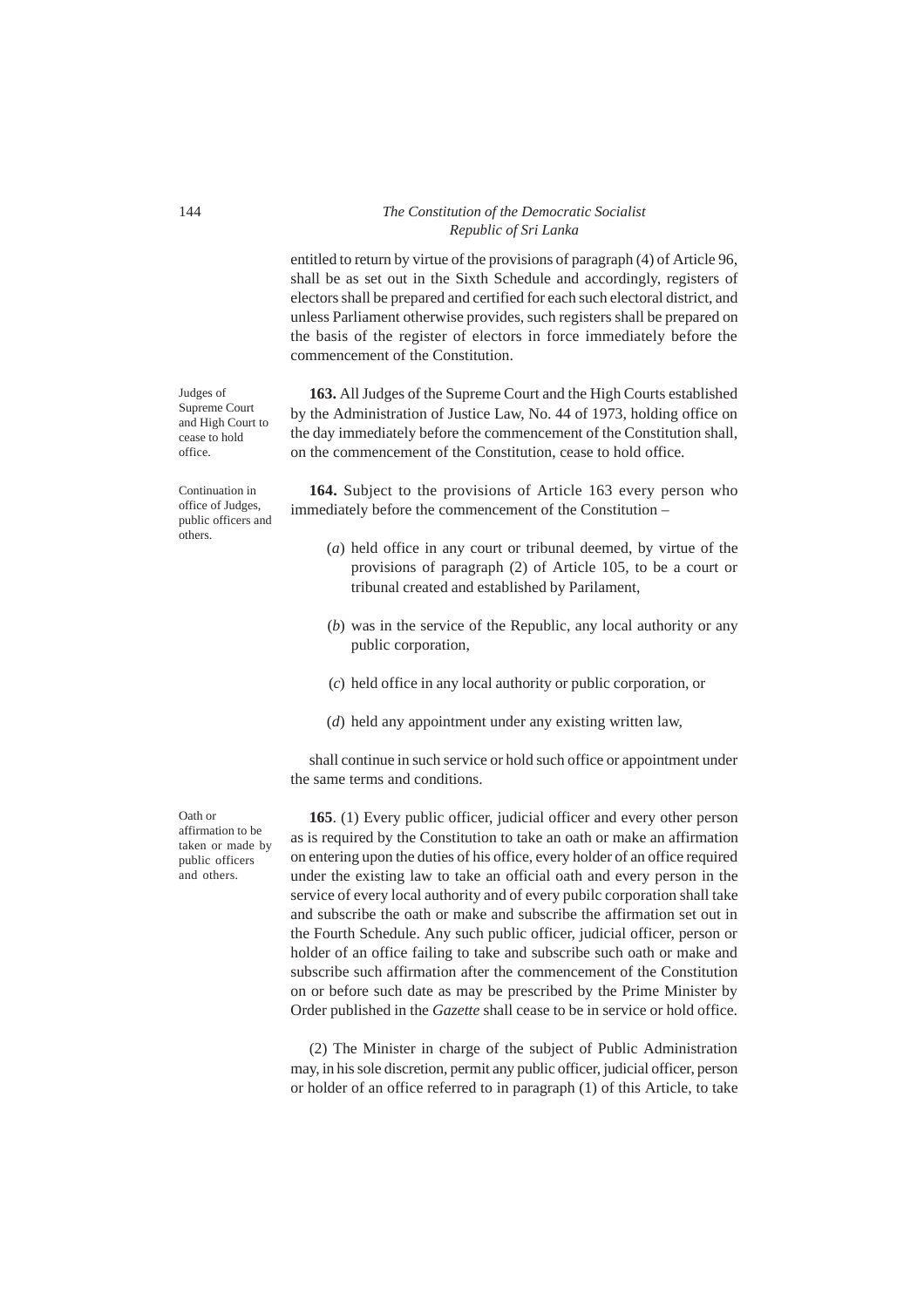entitled to return by virtue of the provisions of paragraph (4) of Article 96, shall be as set out in the Sixth Schedule and accordingly, registers of electors shall be prepared and certified for each such electoral district, and unless Parliament otherwise provides, such registers shall be prepared on the basis of the register of electors in force immediately before the commencement of the Constitution.

**163.** All Judges of the Supreme Court and the High Courts established by the Administration of Justice Law, No. 44 of 1973, holding office on the day immediately before the commencement of the Constitution shall, on the commencement of the Constitution, cease to hold office.

**164.** Subject to the provisions of Article 163 every person who immediately before the commencement of the Constitution –

- (*a*) held office in any court or tribunal deemed, by virtue of the provisions of paragraph (2) of Article 105, to be a court or tribunal created and established by Parilament,
- (*b*) was in the service of the Republic, any local authority or any public corporation,
- (*c*) held office in any local authority or public corporation, or
- (*d*) held any appointment under any existing written law,

shall continue in such service or hold such office or appointment under the same terms and conditions.

**165**. (1) Every public officer, judicial officer and every other person as is required by the Constitution to take an oath or make an affirmation on entering upon the duties of his office, every holder of an office required under the existing law to take an official oath and every person in the service of every local authority and of every pubilc corporation shall take and subscribe the oath or make and subscribe the affirmation set out in the Fourth Schedule. Any such public officer, judicial officer, person or holder of an office failing to take and subscribe such oath or make and subscribe such affirmation after the commencement of the Constitution on or before such date as may be prescribed by the Prime Minister by Order published in the *Gazette* shall cease to be in service or hold office.

(2) The Minister in charge of the subject of Public Administration may, in his sole discretion, permit any public officer, judicial officer, person or holder of an office referred to in paragraph (1) of this Article, to take

Judges of Supreme Court and High Court to cease to hold office.

Continuation in office of Judges, public officers and others.

Oath or affirmation to be taken or made by public officers and others.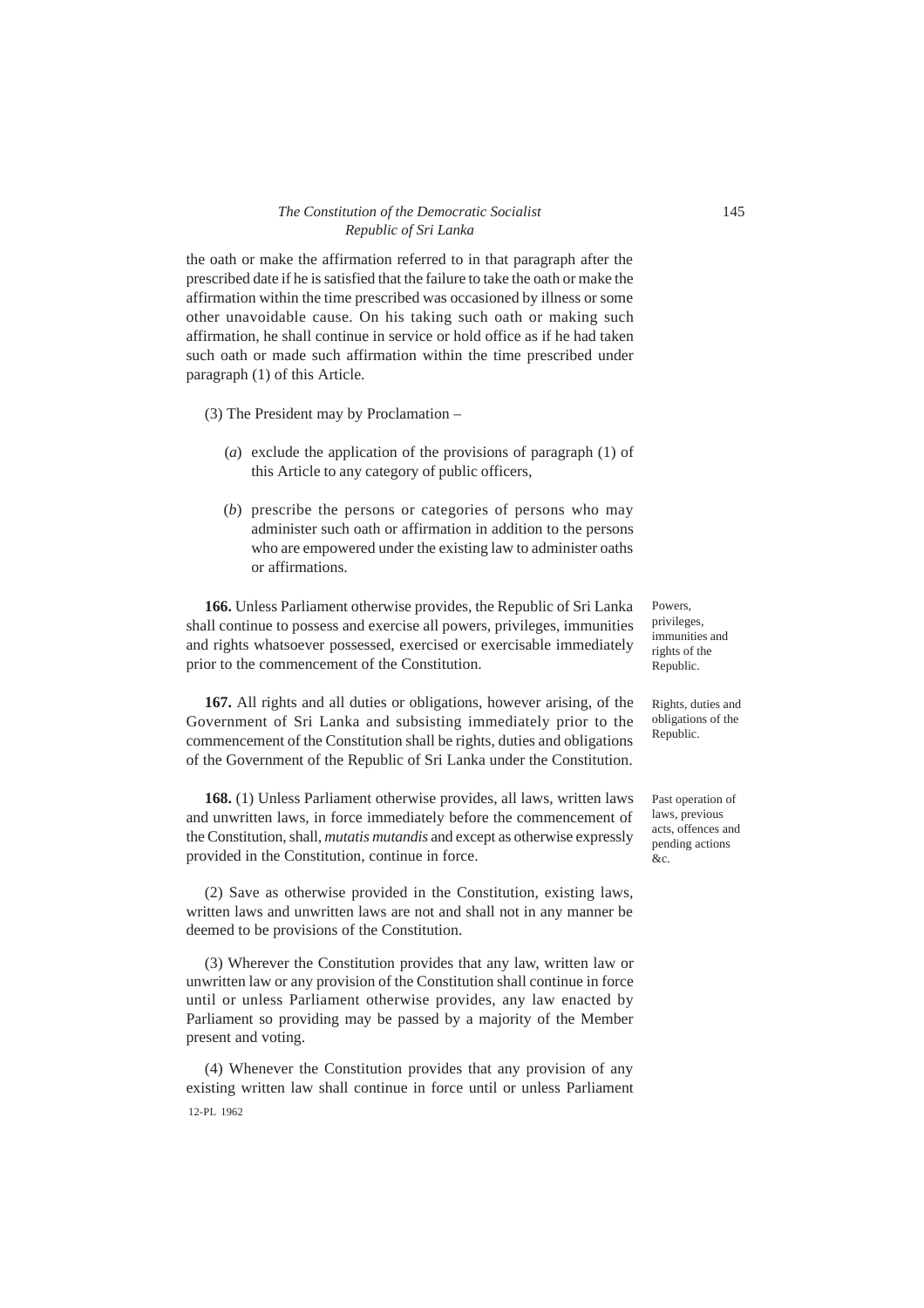the oath or make the affirmation referred to in that paragraph after the prescribed date if he is satisfied that the failure to take the oath or make the affirmation within the time prescribed was occasioned by illness or some other unavoidable cause. On his taking such oath or making such affirmation, he shall continue in service or hold office as if he had taken such oath or made such affirmation within the time prescribed under paragraph (1) of this Article.

- (3) The President may by Proclamation
	- (*a*) exclude the application of the provisions of paragraph (1) of this Article to any category of public officers,
	- (*b*) prescribe the persons or categories of persons who may administer such oath or affirmation in addition to the persons who are empowered under the existing law to administer oaths or affirmations.

**166.** Unless Parliament otherwise provides, the Republic of Sri Lanka shall continue to possess and exercise all powers, privileges, immunities and rights whatsoever possessed, exercised or exercisable immediately prior to the commencement of the Constitution.

**167.** All rights and all duties or obligations, however arising, of the Government of Sri Lanka and subsisting immediately prior to the commencement of the Constitution shall be rights, duties and obligations of the Government of the Republic of Sri Lanka under the Constitution.

**168.** (1) Unless Parliament otherwise provides, all laws, written laws and unwritten laws, in force immediately before the commencement of the Constitution, shall, *mutatis mutandis* and except as otherwise expressly provided in the Constitution, continue in force.

(2) Save as otherwise provided in the Constitution, existing laws, written laws and unwritten laws are not and shall not in any manner be deemed to be provisions of the Constitution.

(3) Wherever the Constitution provides that any law, written law or unwritten law or any provision of the Constitution shall continue in force until or unless Parliament otherwise provides, any law enacted by Parliament so providing may be passed by a majority of the Member present and voting.

(4) Whenever the Constitution provides that any provision of any existing written law shall continue in force until or unless Parliament 12-PL 1962

Powers, privileges, immunities and rights of the Republic.

Rights, duties and obligations of the Republic.

Past operation of laws, previous acts, offences and pending actions &c.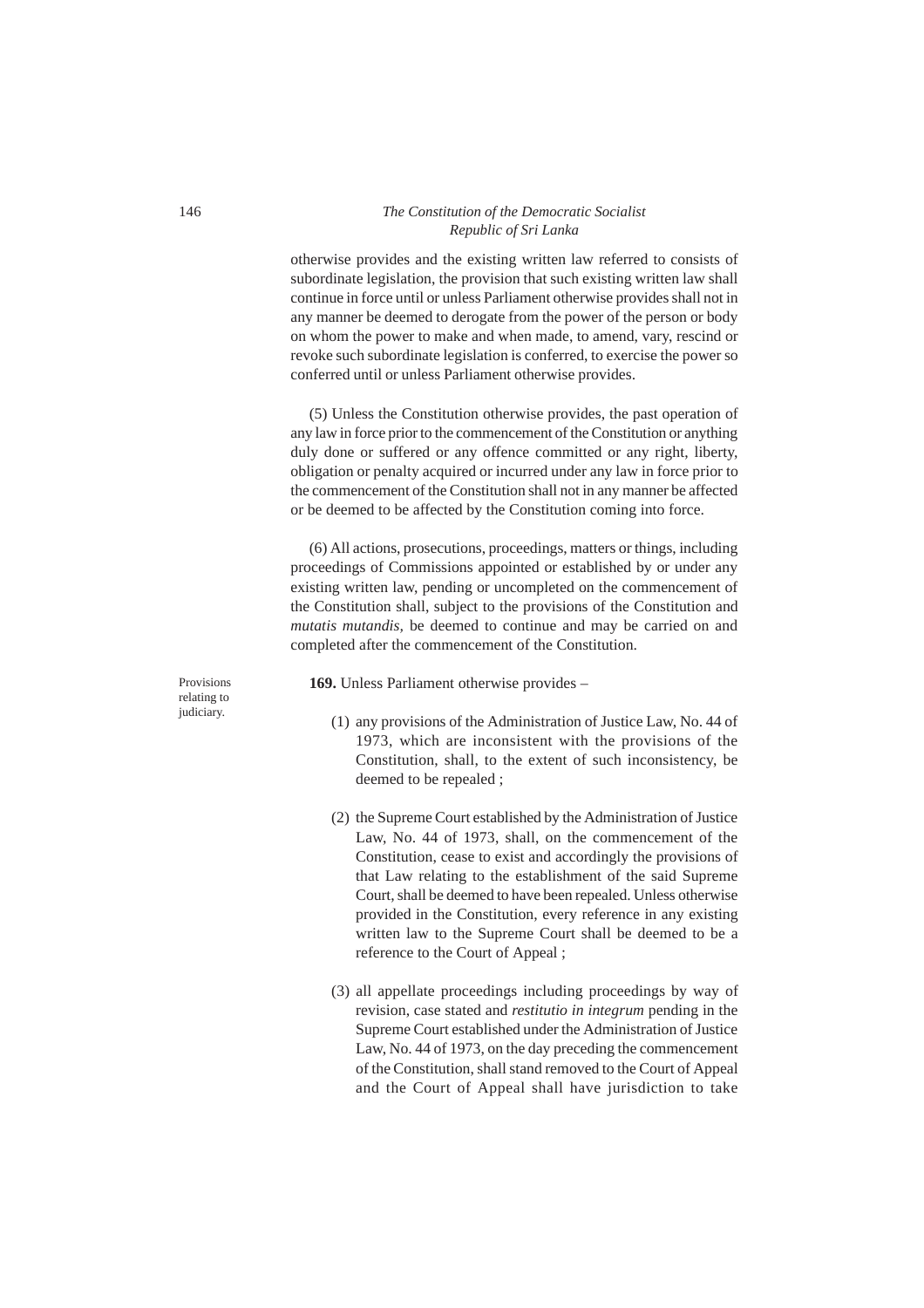otherwise provides and the existing written law referred to consists of subordinate legislation, the provision that such existing written law shall continue in force until or unless Parliament otherwise provides shall not in any manner be deemed to derogate from the power of the person or body on whom the power to make and when made, to amend, vary, rescind or revoke such subordinate legislation is conferred, to exercise the power so conferred until or unless Parliament otherwise provides.

(5) Unless the Constitution otherwise provides, the past operation of any law in force prior to the commencement of the Constitution or anything duly done or suffered or any offence committed or any right, liberty, obligation or penalty acquired or incurred under any law in force prior to the commencement of the Constitution shall not in any manner be affected or be deemed to be affected by the Constitution coming into force.

(6) All actions, prosecutions, proceedings, matters or things, including proceedings of Commissions appointed or established by or under any existing written law, pending or uncompleted on the commencement of the Constitution shall, subject to the provisions of the Constitution and *mutatis mutandis,* be deemed to continue and may be carried on and completed after the commencement of the Constitution.

Provisions relating to judiciary.

**169.** Unless Parliament otherwise provides –

- (1) any provisions of the Administration of Justice Law, No. 44 of 1973, which are inconsistent with the provisions of the Constitution, shall, to the extent of such inconsistency, be deemed to be repealed ;
- (2) the Supreme Court established by the Administration of Justice Law, No. 44 of 1973, shall, on the commencement of the Constitution, cease to exist and accordingly the provisions of that Law relating to the establishment of the said Supreme Court, shall be deemed to have been repealed. Unless otherwise provided in the Constitution, every reference in any existing written law to the Supreme Court shall be deemed to be a reference to the Court of Appeal ;
- (3) all appellate proceedings including proceedings by way of revision, case stated and *restitutio in integrum* pending in the Supreme Court established under the Administration of Justice Law, No. 44 of 1973, on the day preceding the commencement of the Constitution, shall stand removed to the Court of Appeal and the Court of Appeal shall have jurisdiction to take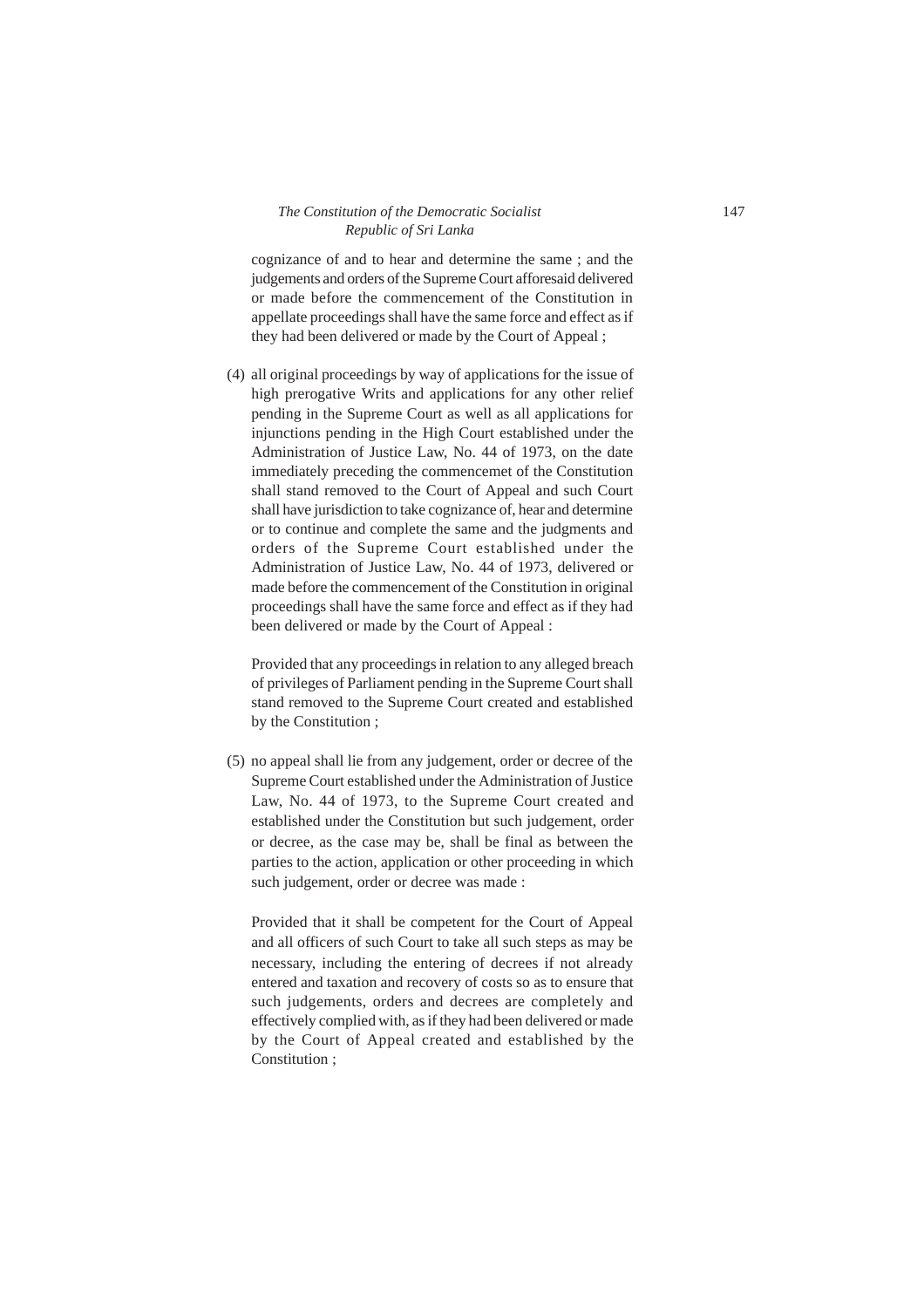cognizance of and to hear and determine the same ; and the judgements and orders of the Supreme Court afforesaid delivered or made before the commencement of the Constitution in appellate proceedings shall have the same force and effect as if they had been delivered or made by the Court of Appeal ;

(4) all original proceedings by way of applications for the issue of high prerogative Writs and applications for any other relief pending in the Supreme Court as well as all applications for injunctions pending in the High Court established under the Administration of Justice Law, No. 44 of 1973, on the date immediately preceding the commencemet of the Constitution shall stand removed to the Court of Appeal and such Court shall have jurisdiction to take cognizance of, hear and determine or to continue and complete the same and the judgments and orders of the Supreme Court established under the Administration of Justice Law, No. 44 of 1973, delivered or made before the commencement of the Constitution in original proceedings shall have the same force and effect as if they had been delivered or made by the Court of Appeal :

Provided that any proceedings in relation to any alleged breach of privileges of Parliament pending in the Supreme Court shall stand removed to the Supreme Court created and established by the Constitution ;

(5) no appeal shall lie from any judgement, order or decree of the Supreme Court established under the Administration of Justice Law, No. 44 of 1973, to the Supreme Court created and established under the Constitution but such judgement, order or decree, as the case may be, shall be final as between the parties to the action, application or other proceeding in which such judgement, order or decree was made :

Provided that it shall be competent for the Court of Appeal and all officers of such Court to take all such steps as may be necessary, including the entering of decrees if not already entered and taxation and recovery of costs so as to ensure that such judgements, orders and decrees are completely and effectively complied with, as if they had been delivered or made by the Court of Appeal created and established by the Constitution ;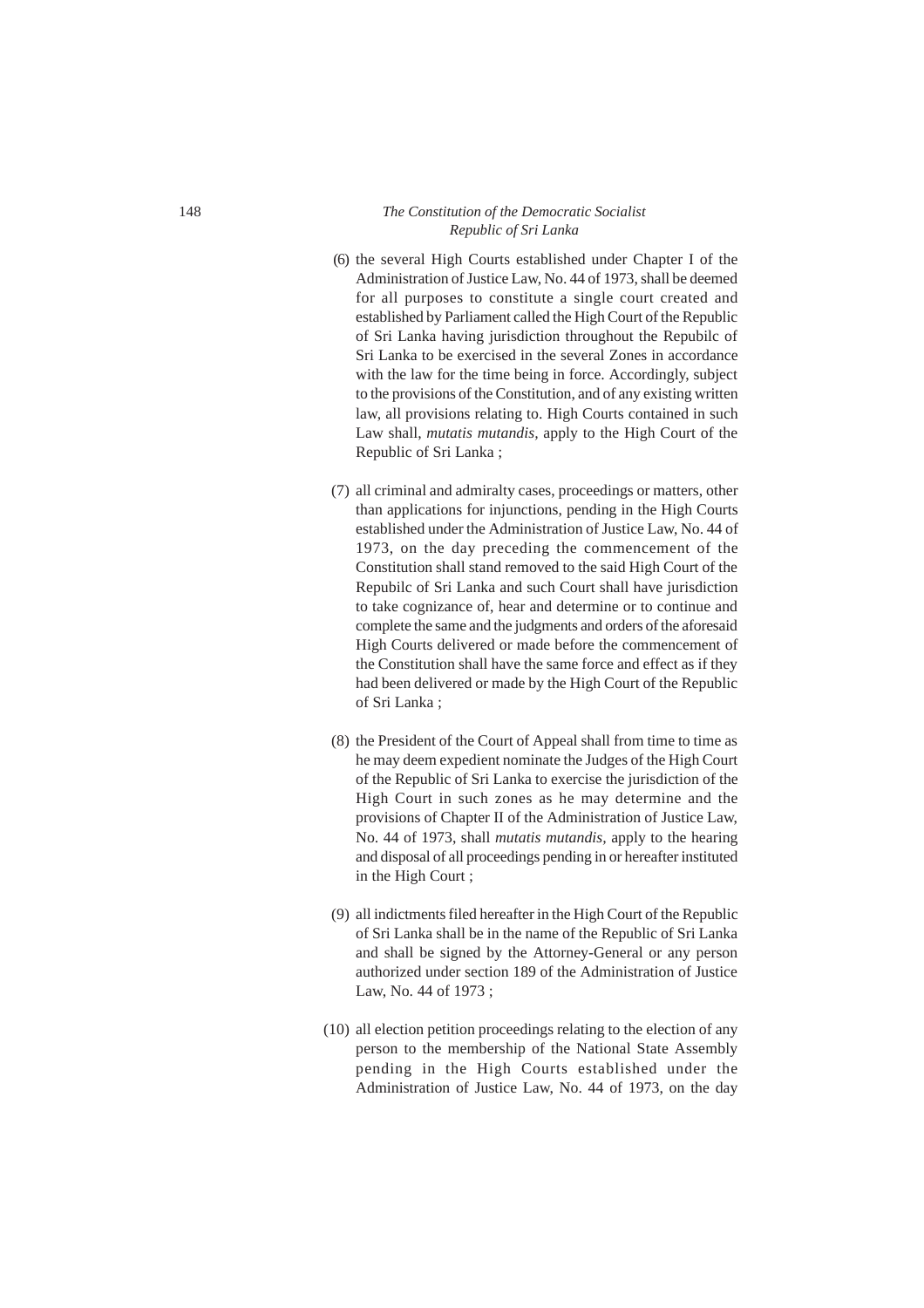- (6) the several High Courts established under Chapter I of the Administration of Justice Law, No. 44 of 1973, shall be deemed for all purposes to constitute a single court created and established by Parliament called the High Court of the Republic of Sri Lanka having jurisdiction throughout the Repubilc of Sri Lanka to be exercised in the several Zones in accordance with the law for the time being in force. Accordingly, subject to the provisions of the Constitution, and of any existing written law, all provisions relating to. High Courts contained in such Law shall, *mutatis mutandis,* apply to the High Court of the Republic of Sri Lanka ;
- (7) all criminal and admiralty cases, proceedings or matters, other than applications for injunctions, pending in the High Courts established under the Administration of Justice Law, No. 44 of 1973, on the day preceding the commencement of the Constitution shall stand removed to the said High Court of the Repubilc of Sri Lanka and such Court shall have jurisdiction to take cognizance of, hear and determine or to continue and complete the same and the judgments and orders of the aforesaid High Courts delivered or made before the commencement of the Constitution shall have the same force and effect as if they had been delivered or made by the High Court of the Republic of Sri Lanka ;
- (8) the President of the Court of Appeal shall from time to time as he may deem expedient nominate the Judges of the High Court of the Republic of Sri Lanka to exercise the jurisdiction of the High Court in such zones as he may determine and the provisions of Chapter II of the Administration of Justice Law, No. 44 of 1973, shall *mutatis mutandis,* apply to the hearing and disposal of all proceedings pending in or hereafter instituted in the High Court ;
- (9) all indictments filed hereafter in the High Court of the Republic of Sri Lanka shall be in the name of the Republic of Sri Lanka and shall be signed by the Attorney-General or any person authorized under section 189 of the Administration of Justice Law, No. 44 of 1973 ;
- (10) all election petition proceedings relating to the election of any person to the membership of the National State Assembly pending in the High Courts established under the Administration of Justice Law, No. 44 of 1973, on the day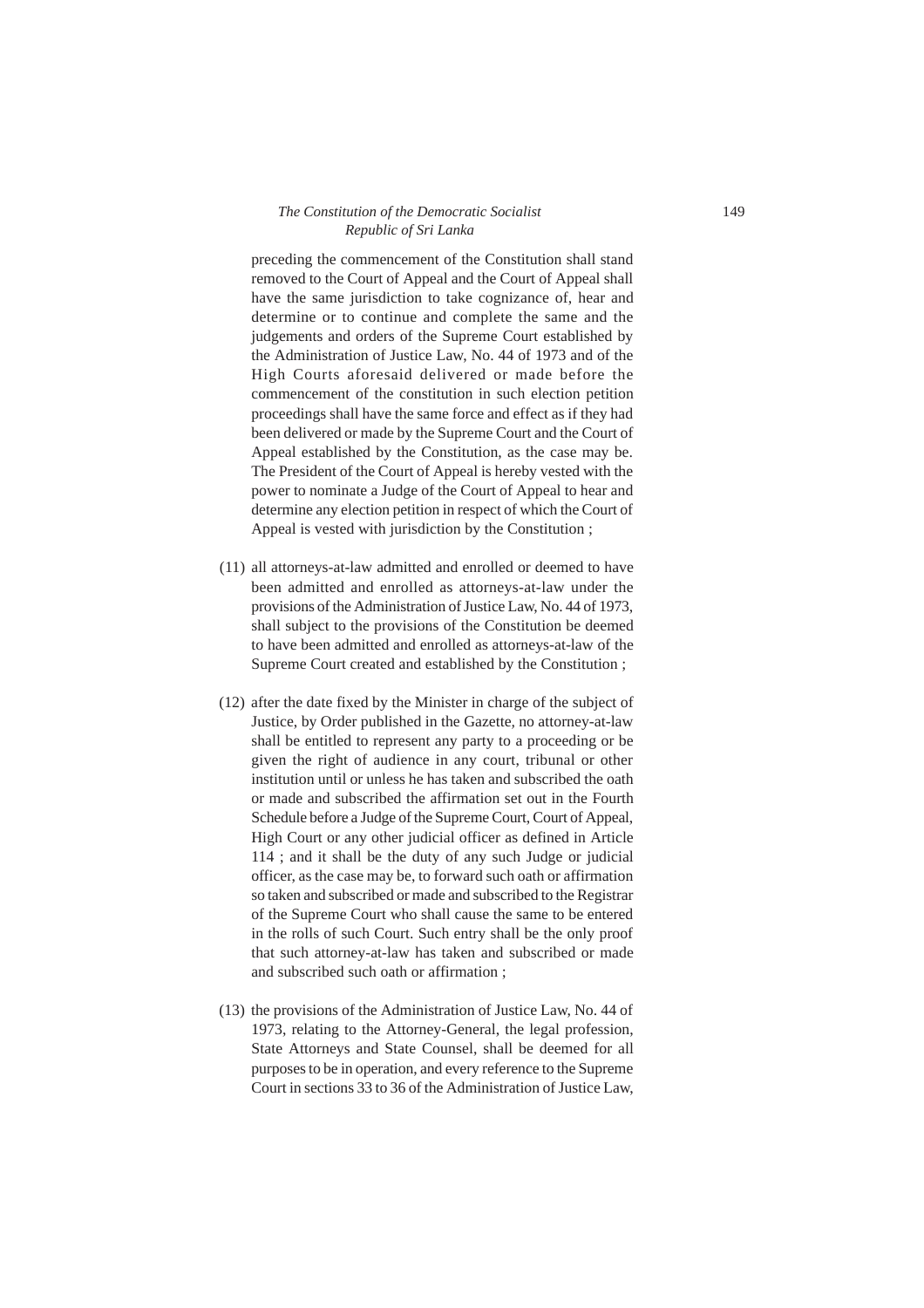preceding the commencement of the Constitution shall stand removed to the Court of Appeal and the Court of Appeal shall have the same jurisdiction to take cognizance of, hear and determine or to continue and complete the same and the judgements and orders of the Supreme Court established by the Administration of Justice Law, No. 44 of 1973 and of the High Courts aforesaid delivered or made before the commencement of the constitution in such election petition proceedings shall have the same force and effect as if they had been delivered or made by the Supreme Court and the Court of Appeal established by the Constitution, as the case may be. The President of the Court of Appeal is hereby vested with the power to nominate a Judge of the Court of Appeal to hear and determine any election petition in respect of which the Court of Appeal is vested with jurisdiction by the Constitution ;

- (11) all attorneys-at-law admitted and enrolled or deemed to have been admitted and enrolled as attorneys-at-law under the provisions of the Administration of Justice Law, No. 44 of 1973, shall subject to the provisions of the Constitution be deemed to have been admitted and enrolled as attorneys-at-law of the Supreme Court created and established by the Constitution ;
- (12) after the date fixed by the Minister in charge of the subject of Justice, by Order published in the Gazette*,* no attorney-at-law shall be entitled to represent any party to a proceeding or be given the right of audience in any court, tribunal or other institution until or unless he has taken and subscribed the oath or made and subscribed the affirmation set out in the Fourth Schedule before a Judge of the Supreme Court, Court of Appeal, High Court or any other judicial officer as defined in Article 114 ; and it shall be the duty of any such Judge or judicial officer, as the case may be, to forward such oath or affirmation so taken and subscribed or made and subscribed to the Registrar of the Supreme Court who shall cause the same to be entered in the rolls of such Court. Such entry shall be the only proof that such attorney-at-law has taken and subscribed or made and subscribed such oath or affirmation ;
- (13) the provisions of the Administration of Justice Law, No. 44 of 1973, relating to the Attorney-General, the legal profession, State Attorneys and State Counsel, shall be deemed for all purposes to be in operation, and every reference to the Supreme Court in sections 33 to 36 of the Administration of Justice Law,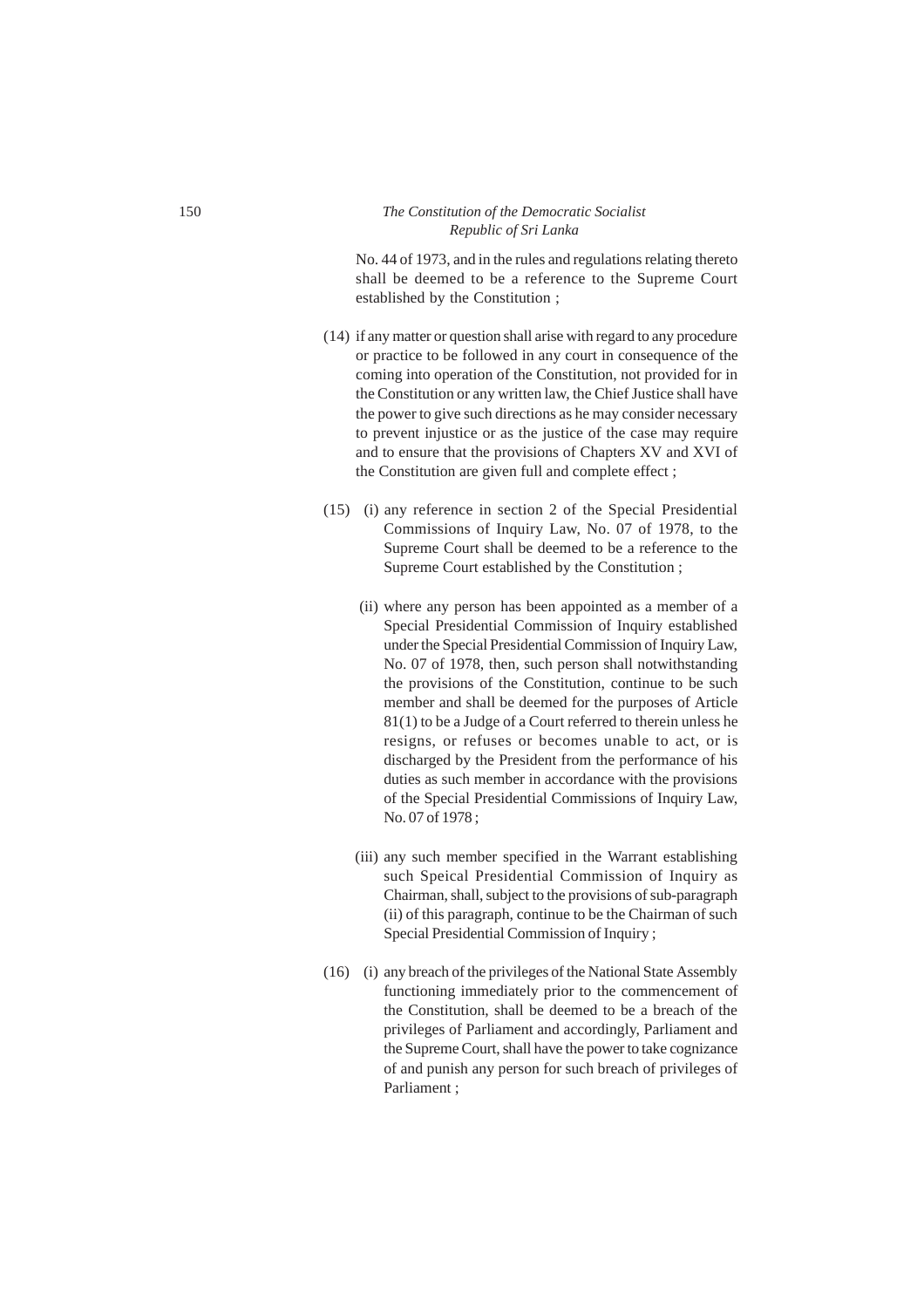No. 44 of 1973, and in the rules and regulations relating thereto shall be deemed to be a reference to the Supreme Court established by the Constitution ;

- (14) if any matter or question shall arise with regard to any procedure or practice to be followed in any court in consequence of the coming into operation of the Constitution, not provided for in the Constitution or any written law, the Chief Justice shall have the power to give such directions as he may consider necessary to prevent injustice or as the justice of the case may require and to ensure that the provisions of Chapters XV and XVI of the Constitution are given full and complete effect ;
- (15) (i) any reference in section 2 of the Special Presidential Commissions of Inquiry Law, No. 07 of 1978, to the Supreme Court shall be deemed to be a reference to the Supreme Court established by the Constitution ;
	- (ii) where any person has been appointed as a member of a Special Presidential Commission of Inquiry established under the Special Presidential Commission of Inquiry Law, No. 07 of 1978, then, such person shall notwithstanding the provisions of the Constitution, continue to be such member and shall be deemed for the purposes of Article 81(1) to be a Judge of a Court referred to therein unless he resigns, or refuses or becomes unable to act, or is discharged by the President from the performance of his duties as such member in accordance with the provisions of the Special Presidential Commissions of Inquiry Law, No. 07 of 1978 ;
	- (iii) any such member specified in the Warrant establishing such Speical Presidential Commission of Inquiry as Chairman, shall, subject to the provisions of sub-paragraph (ii) of this paragraph, continue to be the Chairman of such Special Presidential Commission of Inquiry ;
- (16) (i) any breach of the privileges of the National State Assembly functioning immediately prior to the commencement of the Constitution, shall be deemed to be a breach of the privileges of Parliament and accordingly, Parliament and the Supreme Court, shall have the power to take cognizance of and punish any person for such breach of privileges of Parliament ;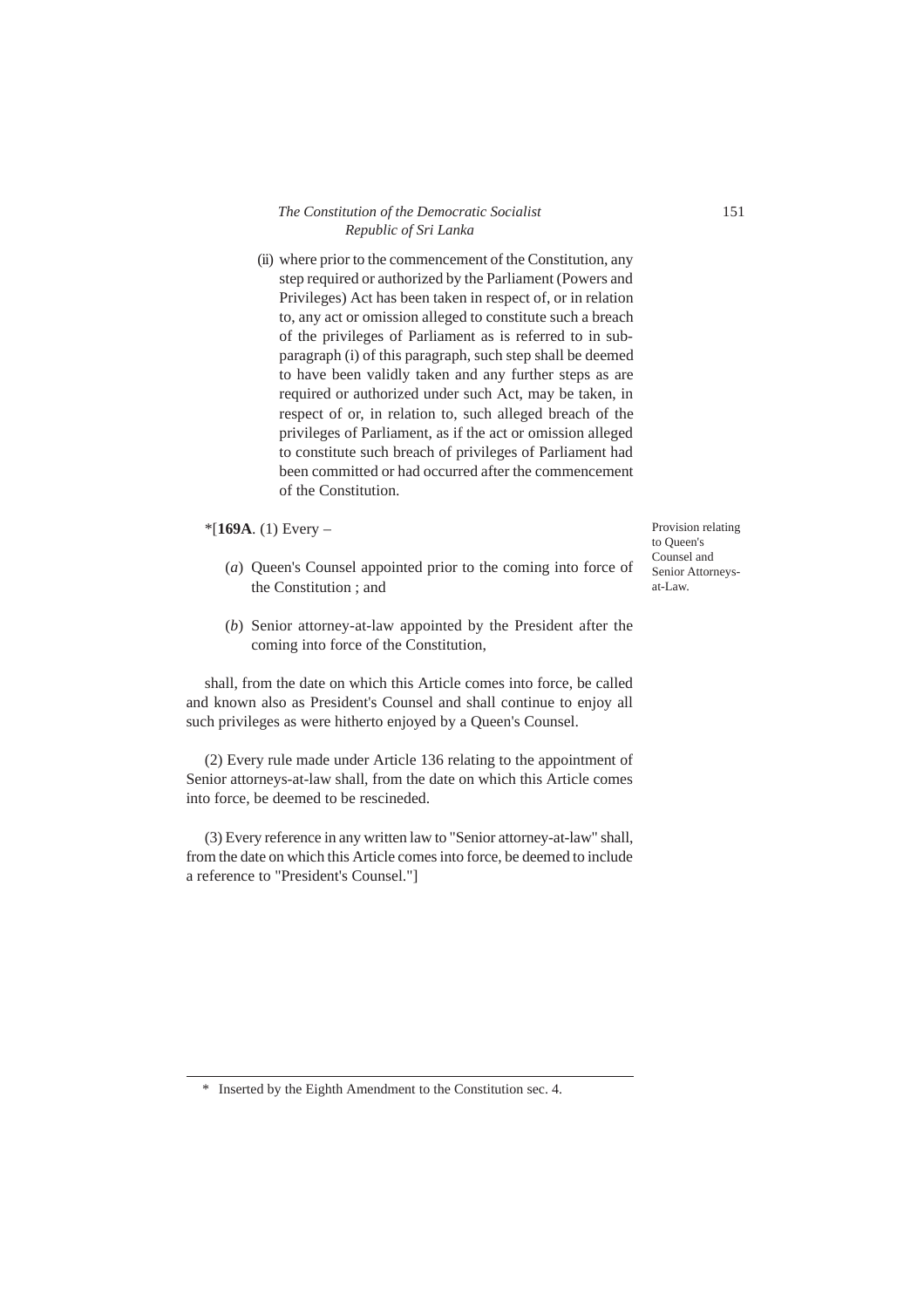(ii) where prior to the commencement of the Constitution, any step required or authorized by the Parliament (Powers and Privileges) Act has been taken in respect of, or in relation to, any act or omission alleged to constitute such a breach of the privileges of Parliament as is referred to in subparagraph (i) of this paragraph, such step shall be deemed to have been validly taken and any further steps as are required or authorized under such Act, may be taken, in respect of or, in relation to, such alleged breach of the privileges of Parliament, as if the act or omission alleged to constitute such breach of privileges of Parliament had been committed or had occurred after the commencement of the Constitution.

\*[**169A**. (1) Every –

- (*a*) Queen's Counsel appointed prior to the coming into force of the Constitution ; and
- (*b*) Senior attorney-at-law appointed by the President after the coming into force of the Constitution,

shall, from the date on which this Article comes into force, be called and known also as President's Counsel and shall continue to enjoy all such privileges as were hitherto enjoyed by a Queen's Counsel.

(2) Every rule made under Article 136 relating to the appointment of Senior attorneys-at-law shall, from the date on which this Article comes into force, be deemed to be rescineded.

(3) Every reference in any written law to "Senior attorney-at-law" shall, from the date on which this Article comes into force, be deemed to include a reference to "President's Counsel."]

Provision relating to Queen's Counsel and Senior Attorneysat-Law.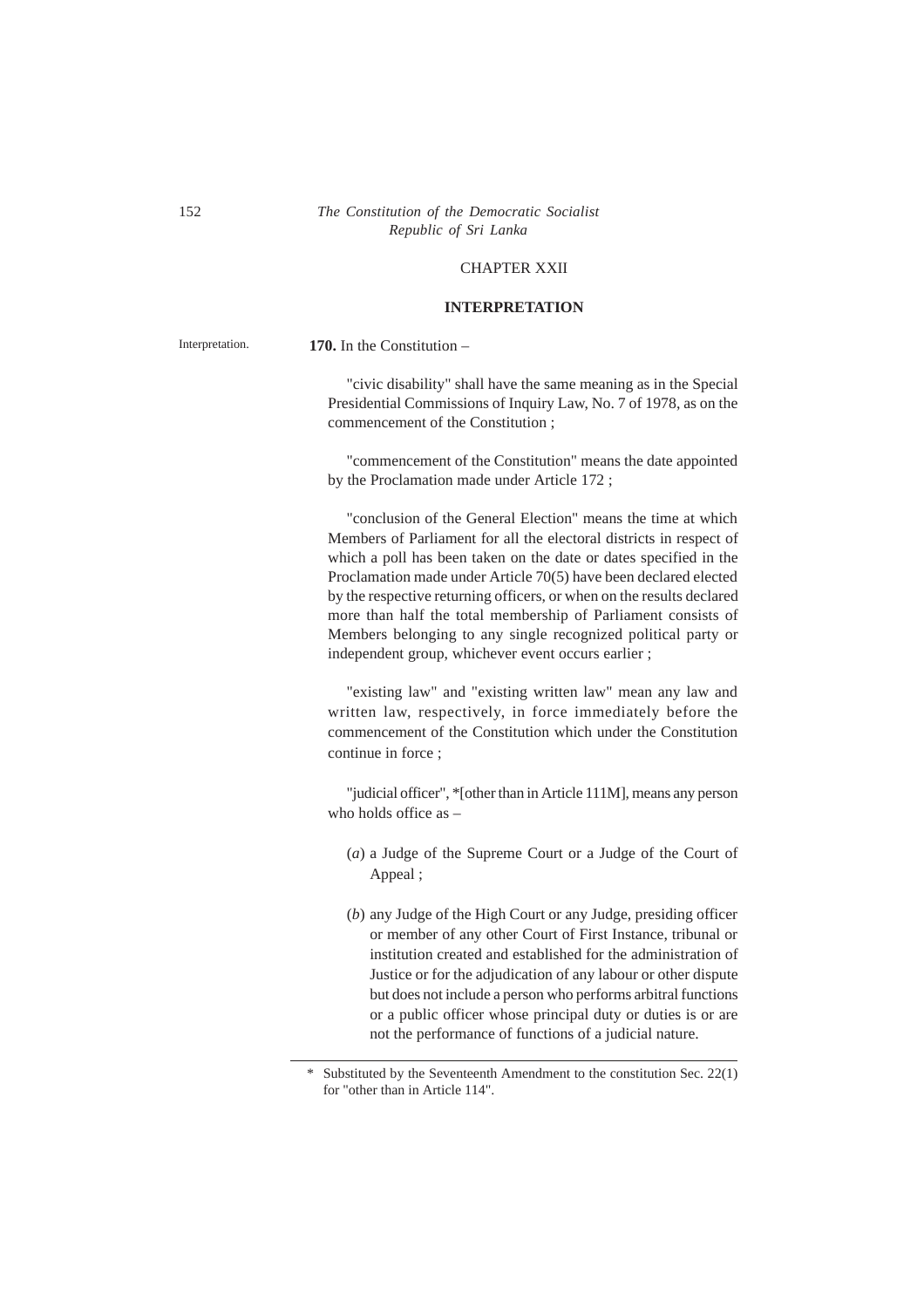### CHAPTER XXII

#### **INTERPRETATION**

**170.** In the Constitution – Interpretation.

> "civic disability" shall have the same meaning as in the Special Presidential Commissions of Inquiry Law, No. 7 of 1978, as on the commencement of the Constitution ;

> "commencement of the Constitution" means the date appointed by the Proclamation made under Article 172 ;

> "conclusion of the General Election" means the time at which Members of Parliament for all the electoral districts in respect of which a poll has been taken on the date or dates specified in the Proclamation made under Article 70(5) have been declared elected by the respective returning officers, or when on the results declared more than half the total membership of Parliament consists of Members belonging to any single recognized political party or independent group, whichever event occurs earlier ;

> "existing law" and "existing written law" mean any law and written law, respectively, in force immediately before the commencement of the Constitution which under the Constitution continue in force ;

> "judicial officer", \*[other than in Article 111M], means any person who holds office as –

- (*a*) a Judge of the Supreme Court or a Judge of the Court of Appeal ;
- (*b*) any Judge of the High Court or any Judge, presiding officer or member of any other Court of First Instance, tribunal or institution created and established for the administration of Justice or for the adjudication of any labour or other dispute but does not include a person who performs arbitral functions or a public officer whose principal duty or duties is or are not the performance of functions of a judicial nature.

<sup>\*</sup> Substituted by the Seventeenth Amendment to the constitution Sec. 22(1) for "other than in Article 114".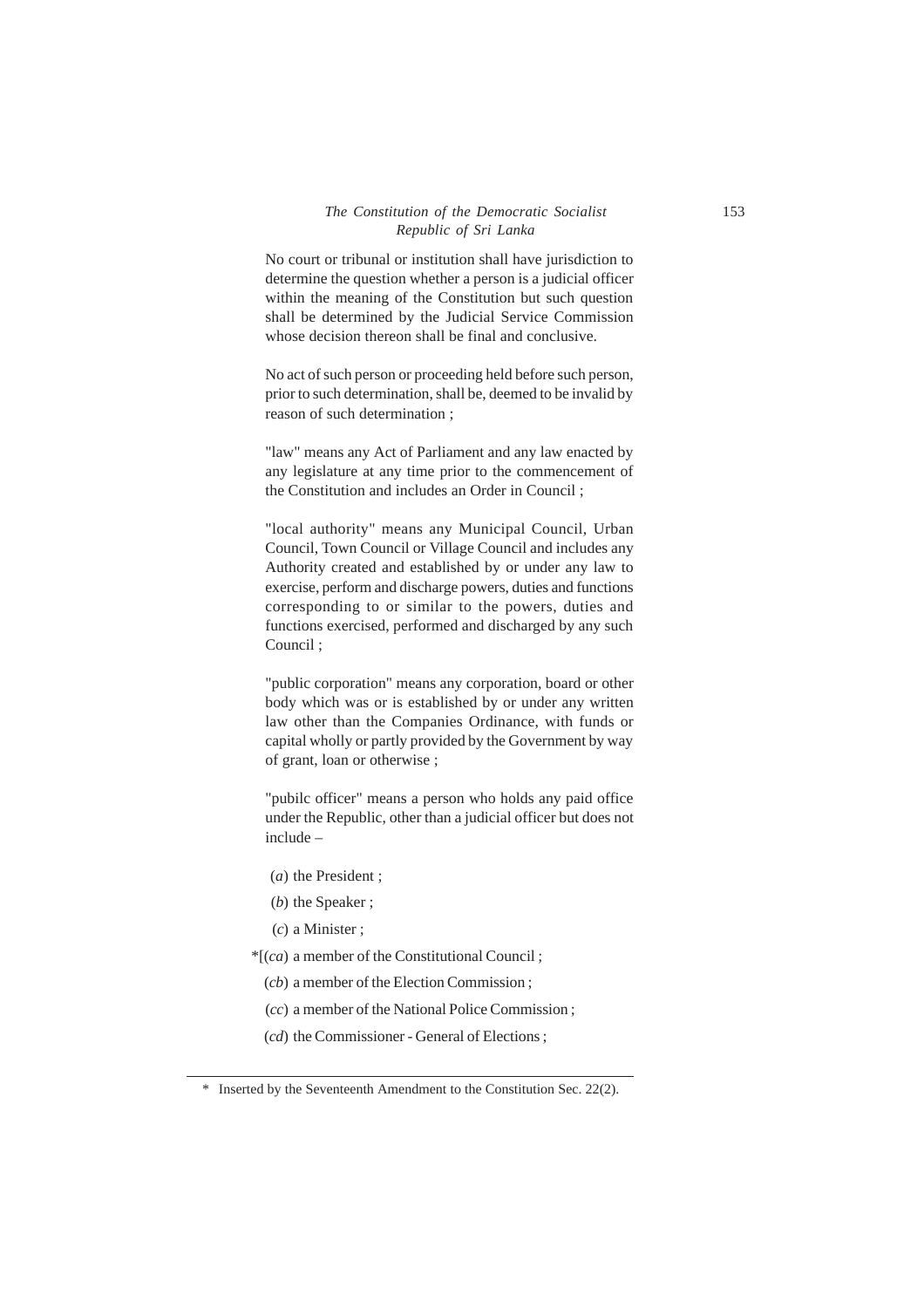No court or tribunal or institution shall have jurisdiction to determine the question whether a person is a judicial officer within the meaning of the Constitution but such question shall be determined by the Judicial Service Commission whose decision thereon shall be final and conclusive.

No act of such person or proceeding held before such person, prior to such determination, shall be, deemed to be invalid by reason of such determination ;

"law" means any Act of Parliament and any law enacted by any legislature at any time prior to the commencement of the Constitution and includes an Order in Council ;

"local authority" means any Municipal Council, Urban Council, Town Council or Village Council and includes any Authority created and established by or under any law to exercise, perform and discharge powers, duties and functions corresponding to or similar to the powers, duties and functions exercised, performed and discharged by any such Council ;

"public corporation" means any corporation, board or other body which was or is established by or under any written law other than the Companies Ordinance, with funds or capital wholly or partly provided by the Government by way of grant, loan or otherwise ;

"pubilc officer" means a person who holds any paid office under the Republic, other than a judicial officer but does not include –

- (*a*) the President ;
- (*b*) the Speaker ;
- (*c*) a Minister ;

\*[(*ca*) a member of the Constitutional Council ;

- (*cb*) a member of the Election Commission ;
- (*cc*) a member of the National Police Commission ;
- (*cd*) the Commissioner General of Elections ;

<sup>\*</sup> Inserted by the Seventeenth Amendment to the Constitution Sec. 22(2).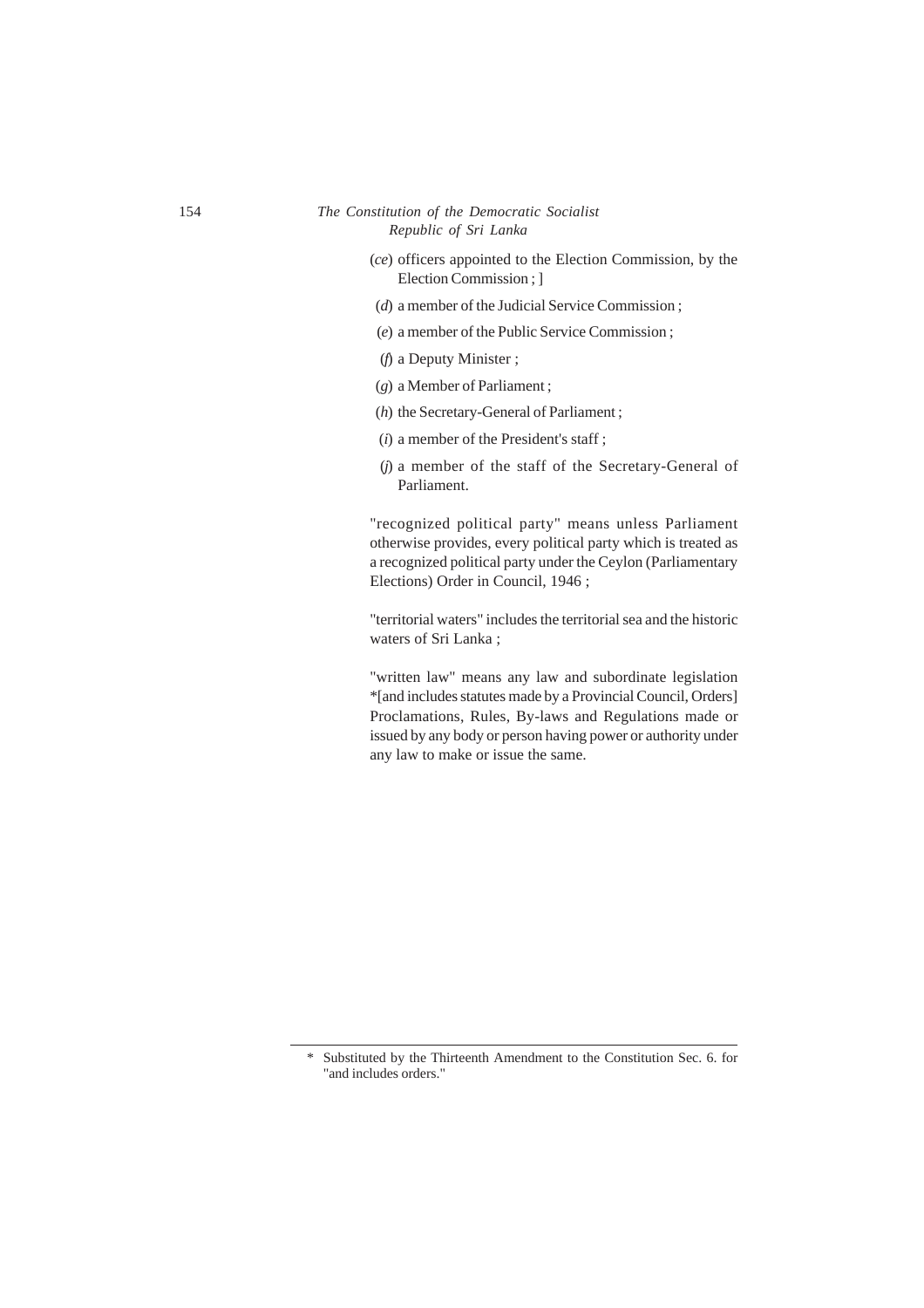- *The Constitution of the Democratic Socialist Republic of Sri Lanka*
	- (*ce*) officers appointed to the Election Commission, by the Election Commission ; ]
	- (*d*) a member of the Judicial Service Commission ;
	- (*e*) a member of the Public Service Commission ;
	- (*f*) a Deputy Minister ;
	- (*g*) a Member of Parliament ;
	- (*h*) the Secretary-General of Parliament ;
	- (*i*) a member of the President's staff ;
	- (*j*) a member of the staff of the Secretary-General of Parliament.

"recognized political party" means unless Parliament otherwise provides, every political party which is treated as a recognized political party under the Ceylon (Parliamentary Elections) Order in Council, 1946 ;

"territorial waters" includes the territorial sea and the historic waters of Sri Lanka ;

"written law" means any law and subordinate legislation \*[and includes statutes made by a Provincial Council, Orders] Proclamations, Rules, By-laws and Regulations made or issued by any body or person having power or authority under any law to make or issue the same.

<sup>\*</sup> Substituted by the Thirteenth Amendment to the Constitution Sec. 6. for "and includes orders."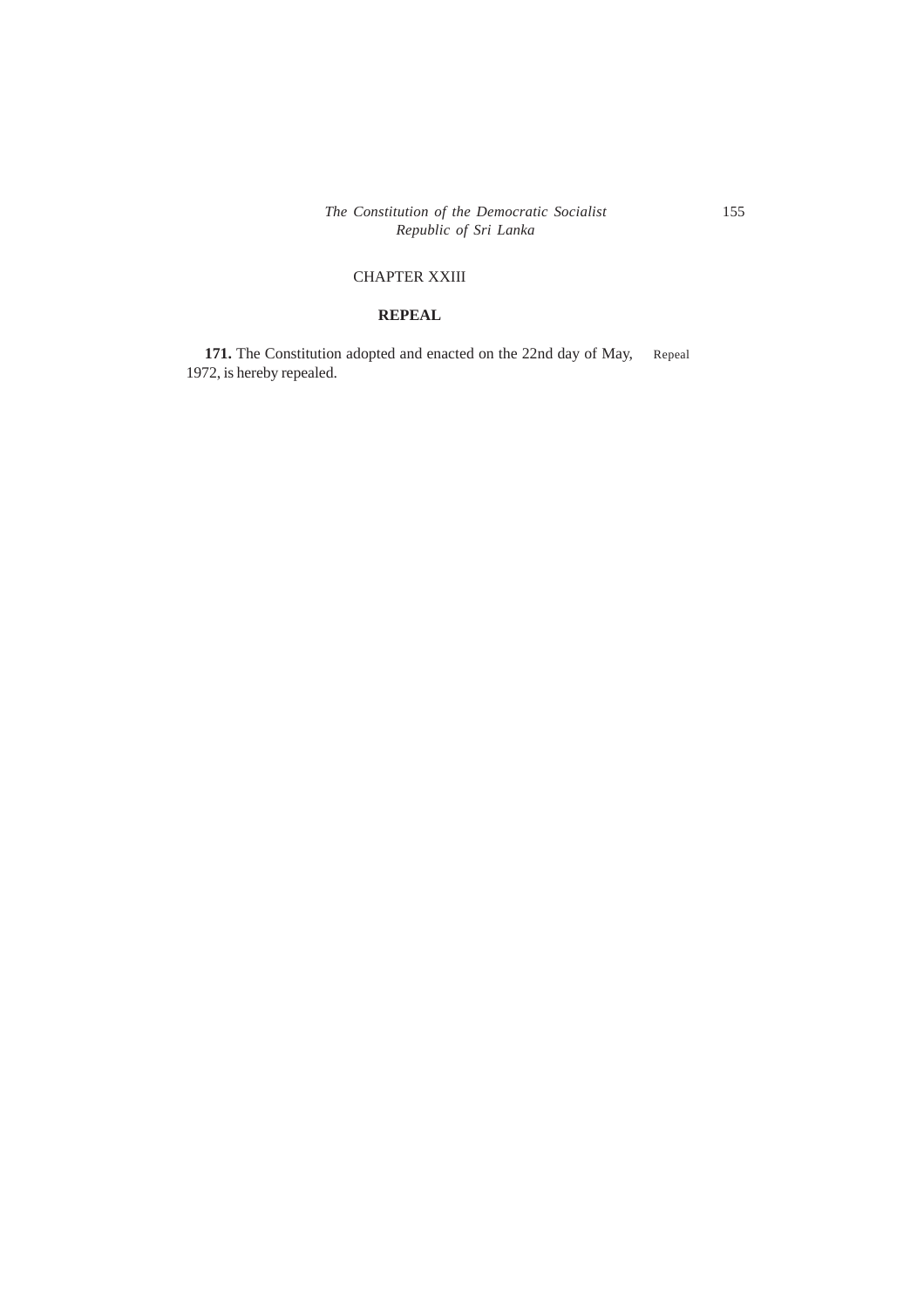# CHAPTER XXIII

# **REPEAL**

171. The Constitution adopted and enacted on the 22nd day of May, Repeal 1972, is hereby repealed.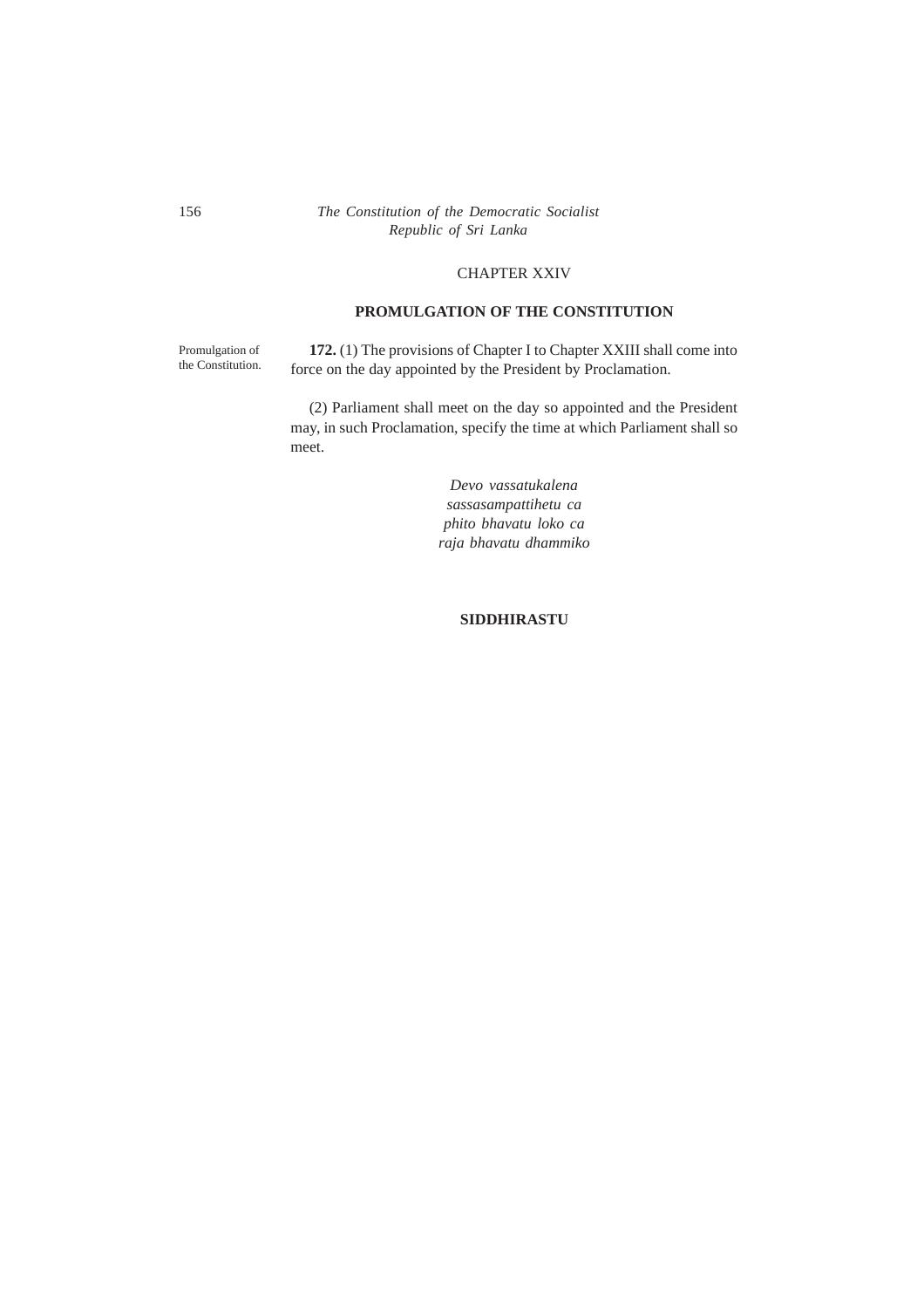# CHAPTER XXIV

# **PROMULGATION OF THE CONSTITUTION**

Promulgation of the Constitution.

**172.** (1) The provisions of Chapter I to Chapter XXIII shall come into force on the day appointed by the President by Proclamation.

(2) Parliament shall meet on the day so appointed and the President may, in such Proclamation, specify the time at which Parliament shall so meet.

> *Devo vassatukalena sassasampattihetu ca phito bhavatu loko ca raja bhavatu dhammiko*

## **SIDDHIRASTU**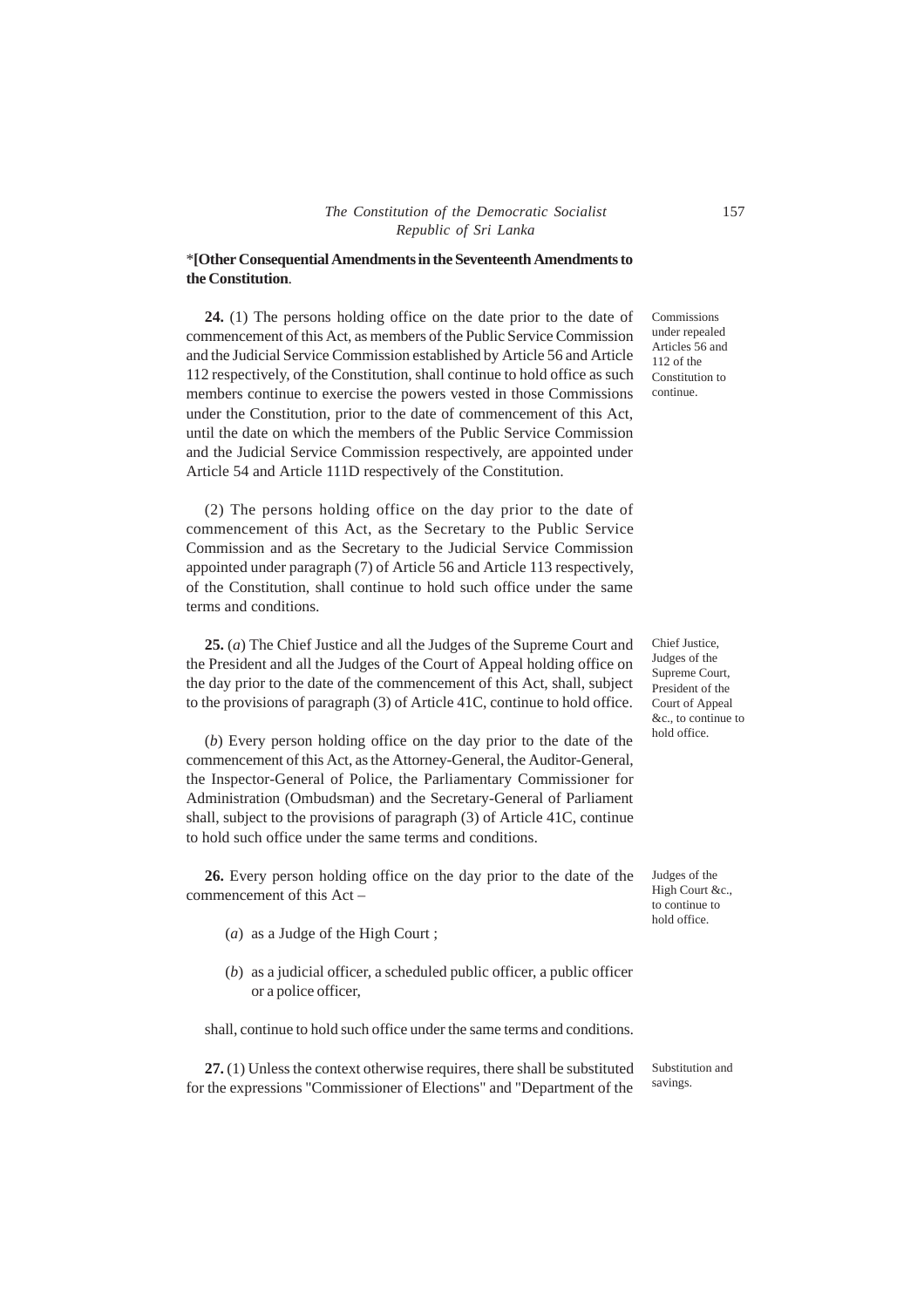## \***[Other Consequential Amendments in the Seventeenth Amendments to the Constitution**.

**24.** (1) The persons holding office on the date prior to the date of commencement of this Act, as members of the Public Service Commission and the Judicial Service Commission established by Article 56 and Article 112 respectively, of the Constitution, shall continue to hold office as such members continue to exercise the powers vested in those Commissions under the Constitution, prior to the date of commencement of this Act, until the date on which the members of the Public Service Commission and the Judicial Service Commission respectively, are appointed under Article 54 and Article 111D respectively of the Constitution.

(2) The persons holding office on the day prior to the date of commencement of this Act, as the Secretary to the Public Service Commission and as the Secretary to the Judicial Service Commission appointed under paragraph (7) of Article 56 and Article 113 respectively, of the Constitution, shall continue to hold such office under the same terms and conditions.

**25.** (*a*) The Chief Justice and all the Judges of the Supreme Court and the President and all the Judges of the Court of Appeal holding office on the day prior to the date of the commencement of this Act, shall, subject to the provisions of paragraph (3) of Article 41C, continue to hold office.

(*b*) Every person holding office on the day prior to the date of the commencement of this Act, as the Attorney-General, the Auditor-General, the Inspector-General of Police, the Parliamentary Commissioner for Administration (Ombudsman) and the Secretary-General of Parliament shall, subject to the provisions of paragraph (3) of Article 41C, continue to hold such office under the same terms and conditions.

**26.** Every person holding office on the day prior to the date of the commencement of this Act –

- (*a*) as a Judge of the High Court ;
- (*b*) as a judicial officer, a scheduled public officer, a public officer or a police officer,

shall, continue to hold such office under the same terms and conditions.

**27.** (1) Unless the context otherwise requires, there shall be substituted for the expressions "Commissioner of Elections" and "Department of the

Commissions under repealed Articles 56 and 112 of the Constitution to continue.

Chief Justice, Judges of the Supreme Court, President of the Court of Appeal &c., to continue to hold office.

Judges of the High Court &c., to continue to hold office.

Substitution and savings.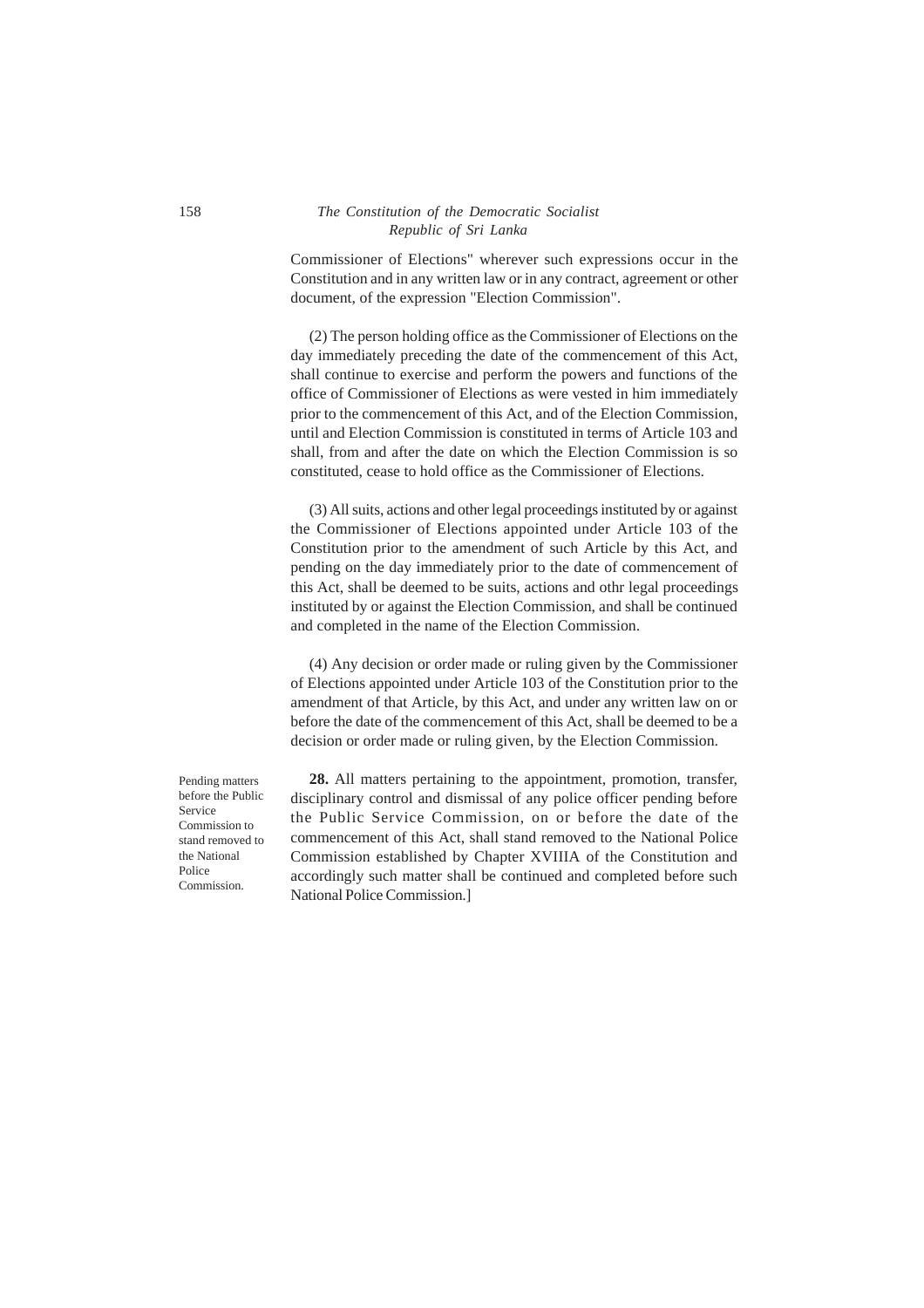Commissioner of Elections" wherever such expressions occur in the Constitution and in any written law or in any contract, agreement or other document, of the expression "Election Commission".

(2) The person holding office as the Commissioner of Elections on the day immediately preceding the date of the commencement of this Act, shall continue to exercise and perform the powers and functions of the office of Commissioner of Elections as were vested in him immediately prior to the commencement of this Act, and of the Election Commission, until and Election Commission is constituted in terms of Article 103 and shall, from and after the date on which the Election Commission is so constituted, cease to hold office as the Commissioner of Elections.

(3) All suits, actions and other legal proceedings instituted by or against the Commissioner of Elections appointed under Article 103 of the Constitution prior to the amendment of such Article by this Act, and pending on the day immediately prior to the date of commencement of this Act, shall be deemed to be suits, actions and othr legal proceedings instituted by or against the Election Commission, and shall be continued and completed in the name of the Election Commission.

(4) Any decision or order made or ruling given by the Commissioner of Elections appointed under Article 103 of the Constitution prior to the amendment of that Article, by this Act, and under any written law on or before the date of the commencement of this Act, shall be deemed to be a decision or order made or ruling given, by the Election Commission.

Pending matters before the Public Service Commission to stand removed to the National Police Commission.

**28.** All matters pertaining to the appointment, promotion, transfer, disciplinary control and dismissal of any police officer pending before the Public Service Commission, on or before the date of the commencement of this Act, shall stand removed to the National Police Commission established by Chapter XVIIIA of the Constitution and accordingly such matter shall be continued and completed before such National Police Commission.]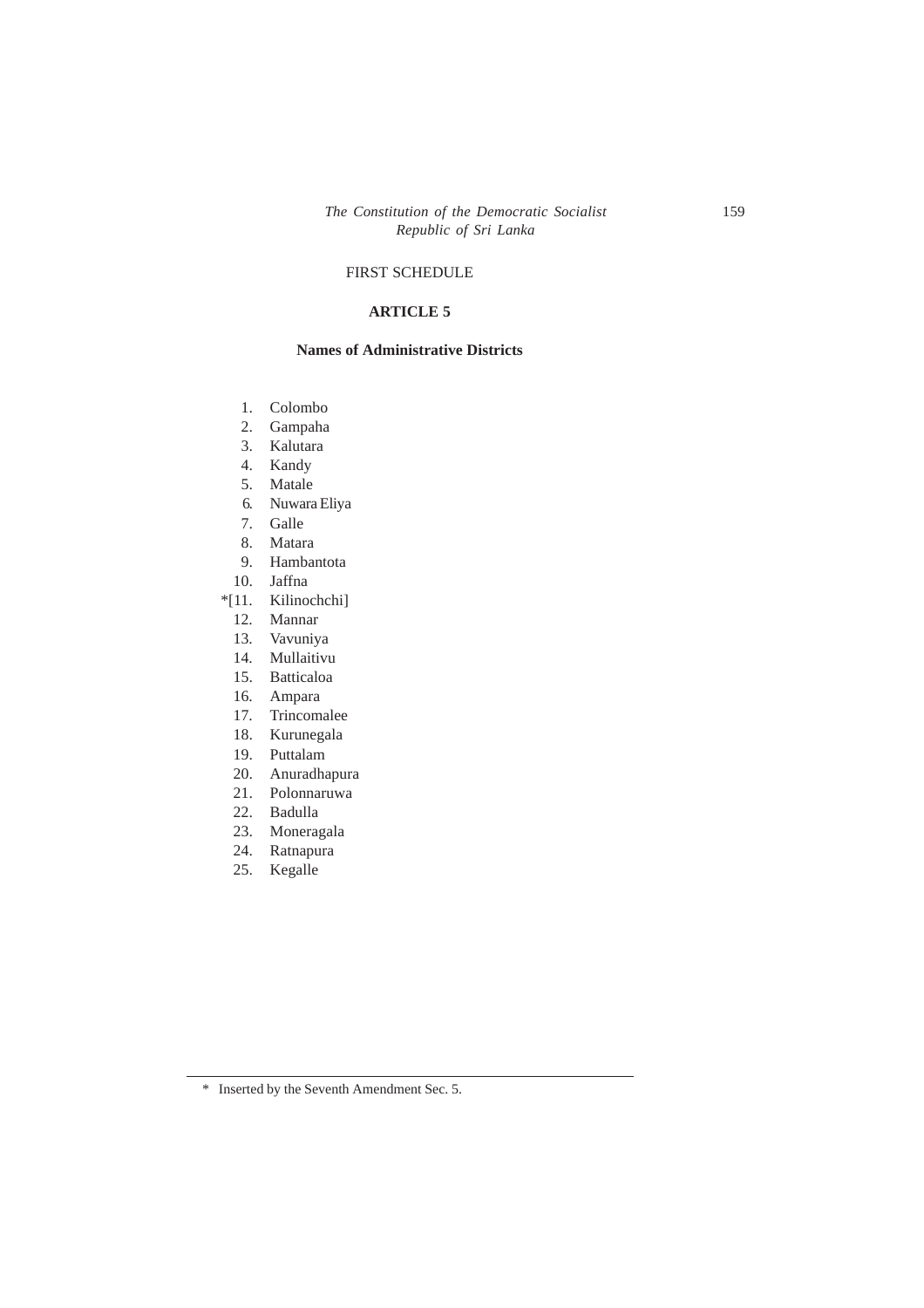# FIRST SCHEDULE

# **ARTICLE 5**

# **Names of Administrative Districts**

- 1. Colombo
- 2. Gampaha
- 3. Kalutara
- 4. Kandy
- 5. Matale
- 6. Nuwara Eliya
- 7. Galle
- 8. Matara
- 9. Hambantota
- 10. Jaffna

# \*[11. Kilinochchi]

- 12. Mannar
- 13. Vavuniya
- 14. Mullaitivu
- 15. Batticaloa
- 16. Ampara
- 17. Trincomalee
- 18. Kurunegala
- 19. Puttalam
- 20. Anuradhapura
- 21. Polonnaruwa
- 22. Badulla
- 23. Moneragala
- 24. Ratnapura
- 25. Kegalle

<sup>\*</sup> Inserted by the Seventh Amendment Sec. 5.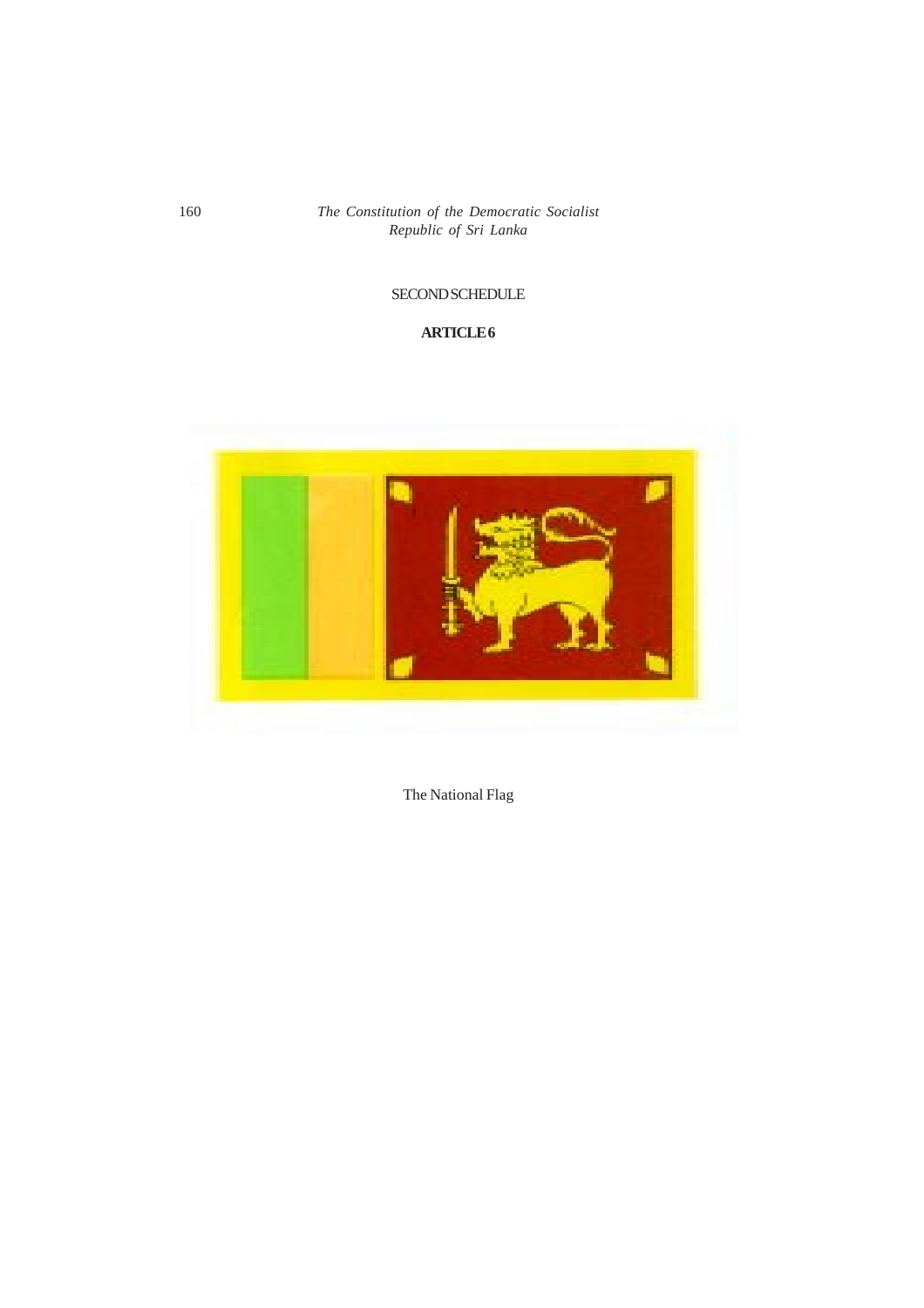# SECOND SCHEDULE

# **ARTICLE 6**



The National Flag

160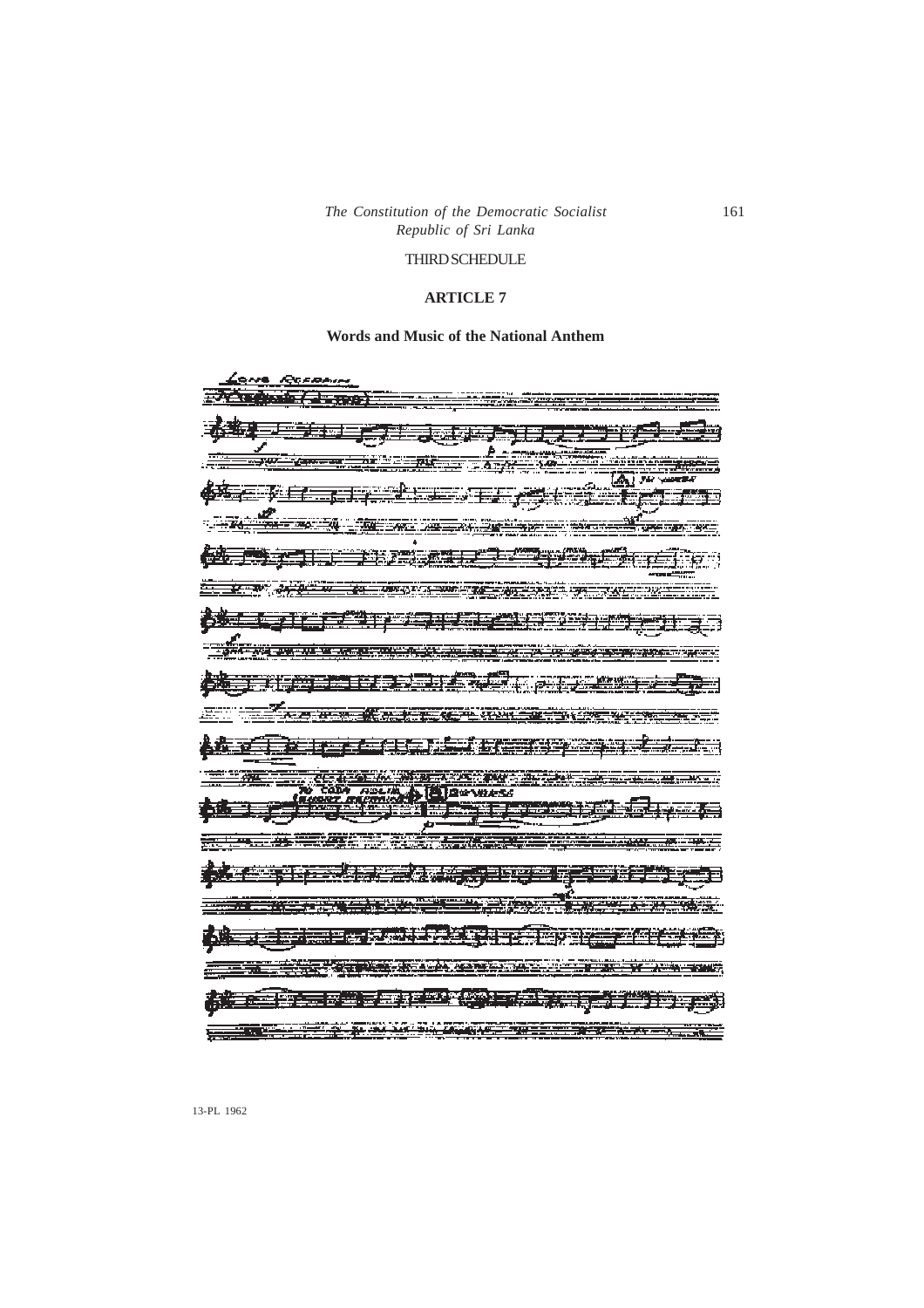## THIRD SCHEDULE

## **ARTICLE 7**

## **Words and Music of the National Anthem**

حبيري REFRAME **FAARDING CERRS** ..<del>. 30</del> ram senog Z, ŢБ, 74 車 **SALES 200** 37. **APAC** 感情事 33 क्र - 7 -24  $\lambda$ سيد 3324 运  $\overline{\phantom{a}}$  $H = 2$ ц. **TLU** лī. <u> Wand</u> Téte يتعقوب **Strategie Schwarz** 半空客 **The Company**  $\mathcal{L} = \mathcal{L}$  ,  $\mathcal{L} = \mathcal{L}$ ₩ 医泰德斯安 4545 فتبيت فيرتبط स्त an a

13-PL 1962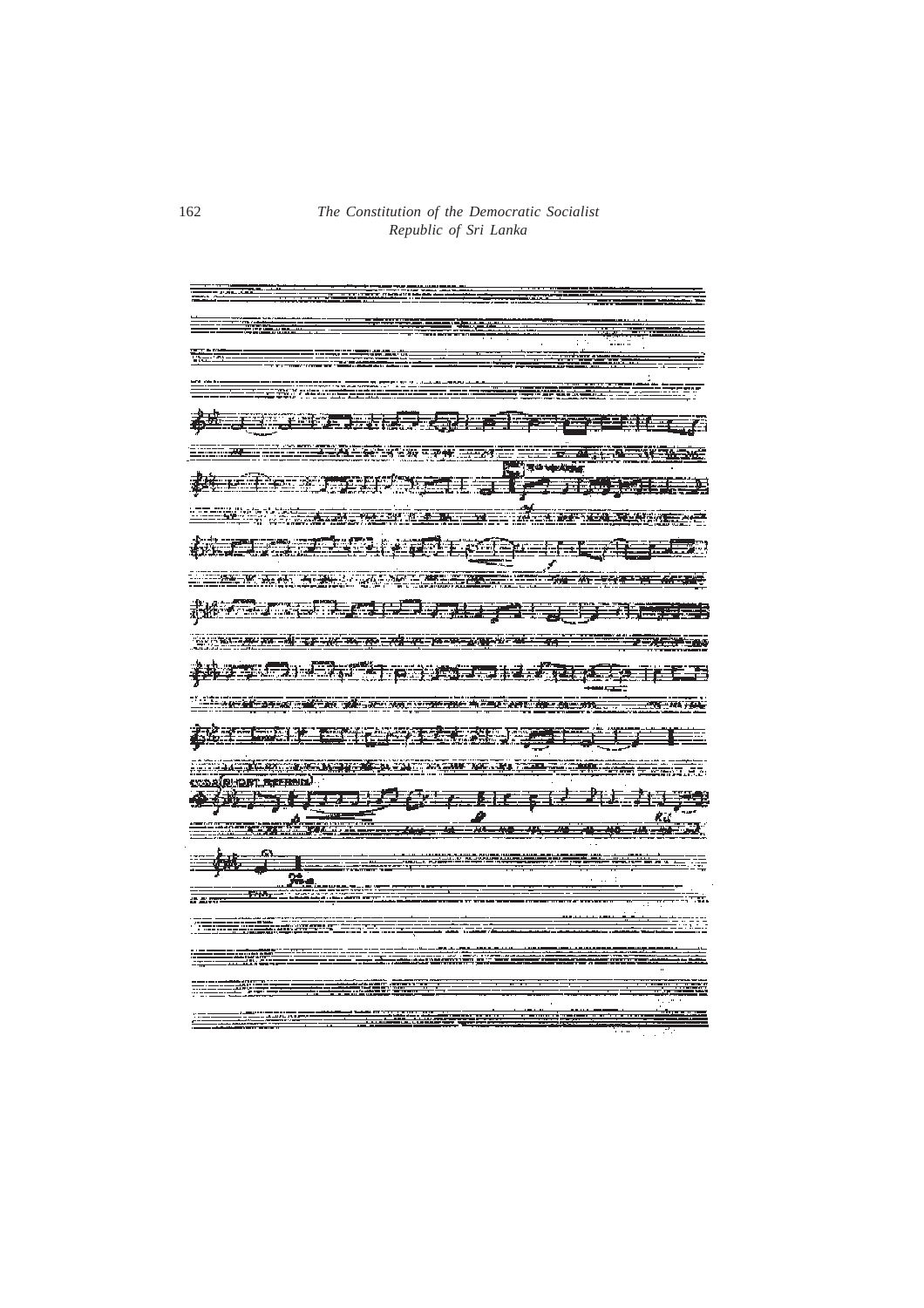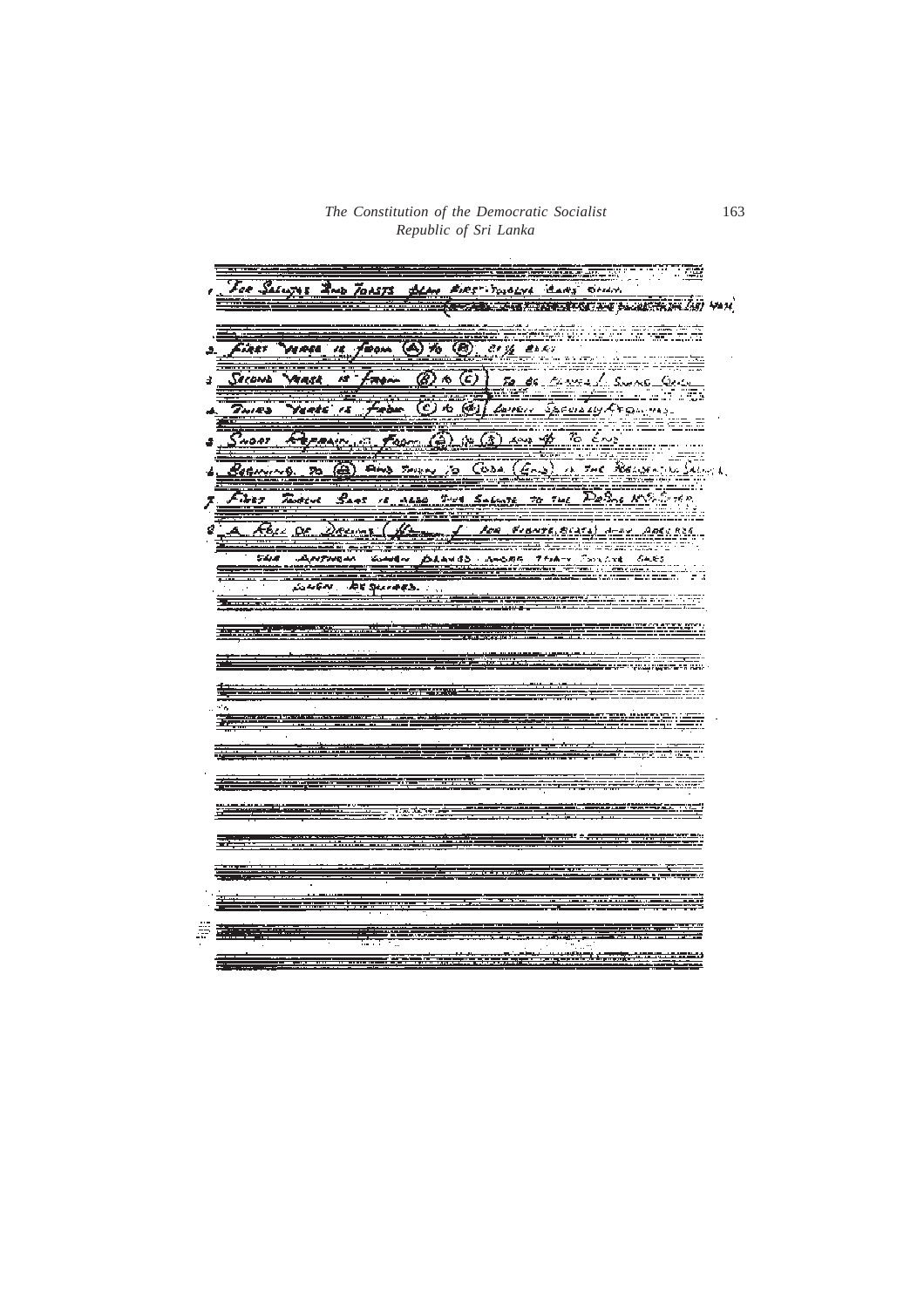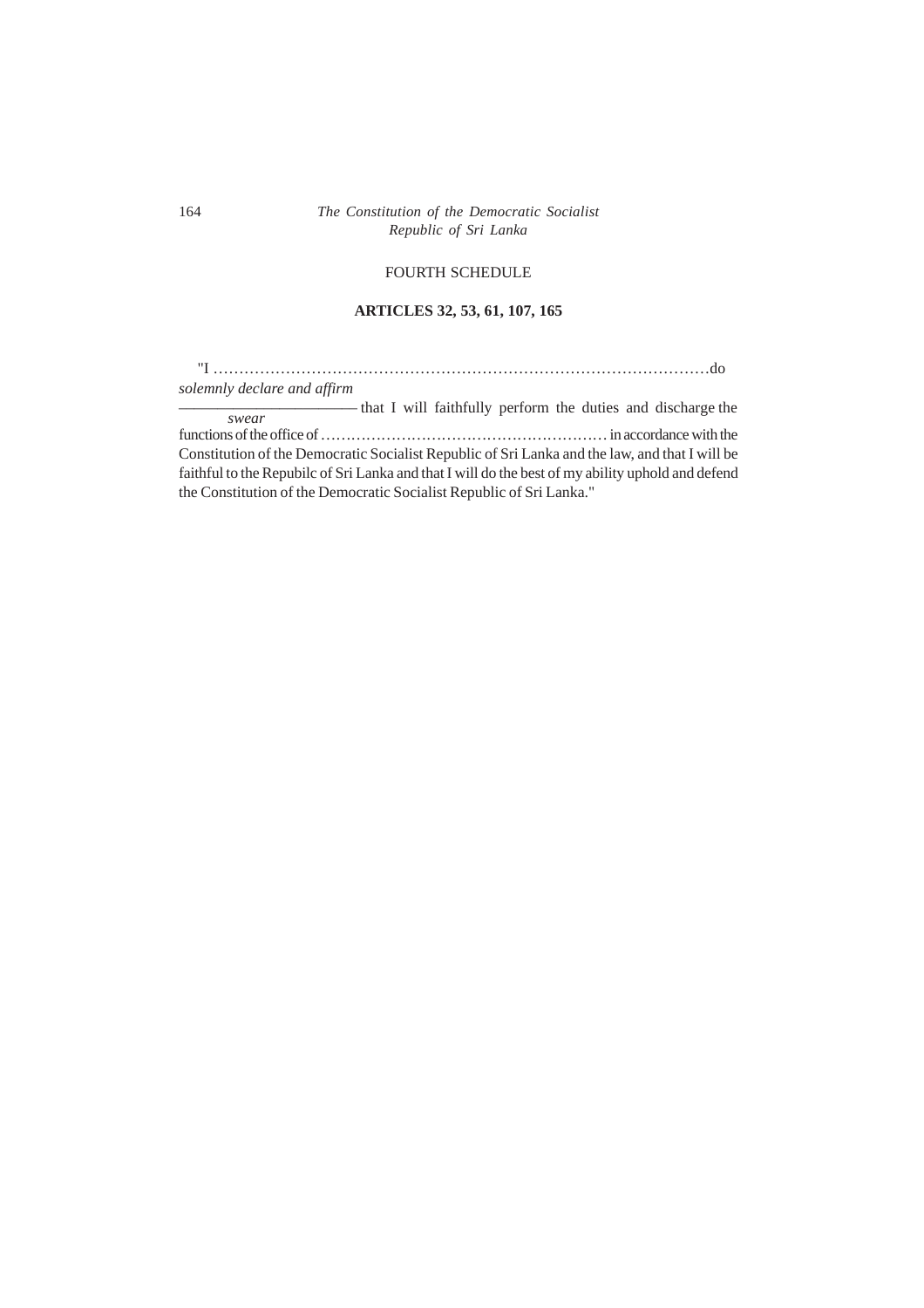## FOURTH SCHEDULE

## **ARTICLES 32, 53, 61, 107, 165**

"I ……………………………………………………………………………………do *solemnly declare and affirm* ––––––––––––––––––––––– that I will faithfully perform the duties and discharge the *swear*

functions of the office of ………………………………………………… in accordance with the Constitution of the Democratic Socialist Republic of Sri Lanka and the law, and that I will be faithful to the Repubilc of Sri Lanka and that I will do the best of my ability uphold and defend the Constitution of the Democratic Socialist Republic of Sri Lanka."

164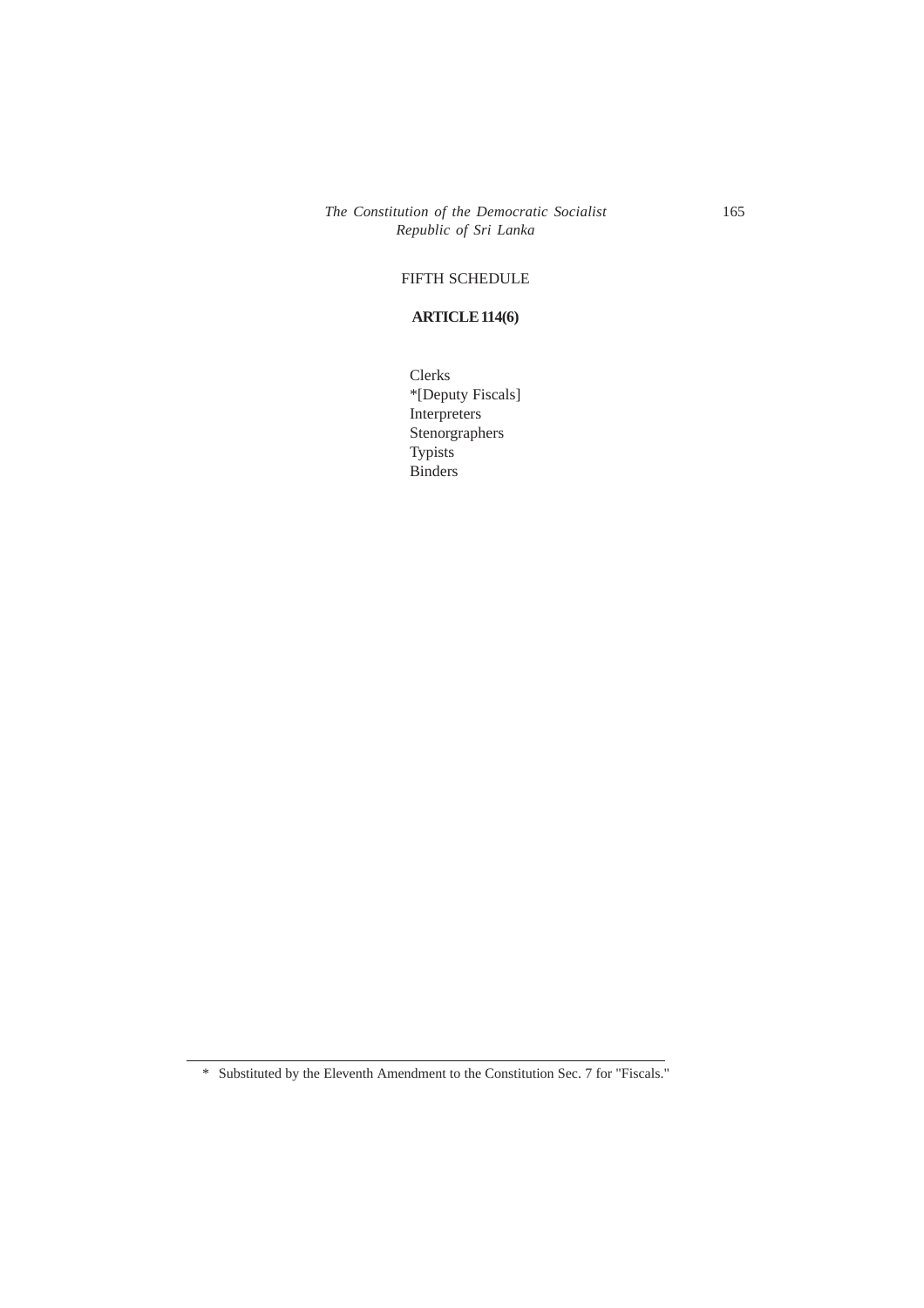# FIFTH SCHEDULE

# **ARTICLE 114(6)**

Clerks \*[Deputy Fiscals] Interpreters Stenorgraphers Typists Binders

<sup>\*</sup> Substituted by the Eleventh Amendment to the Constitution Sec. 7 for "Fiscals."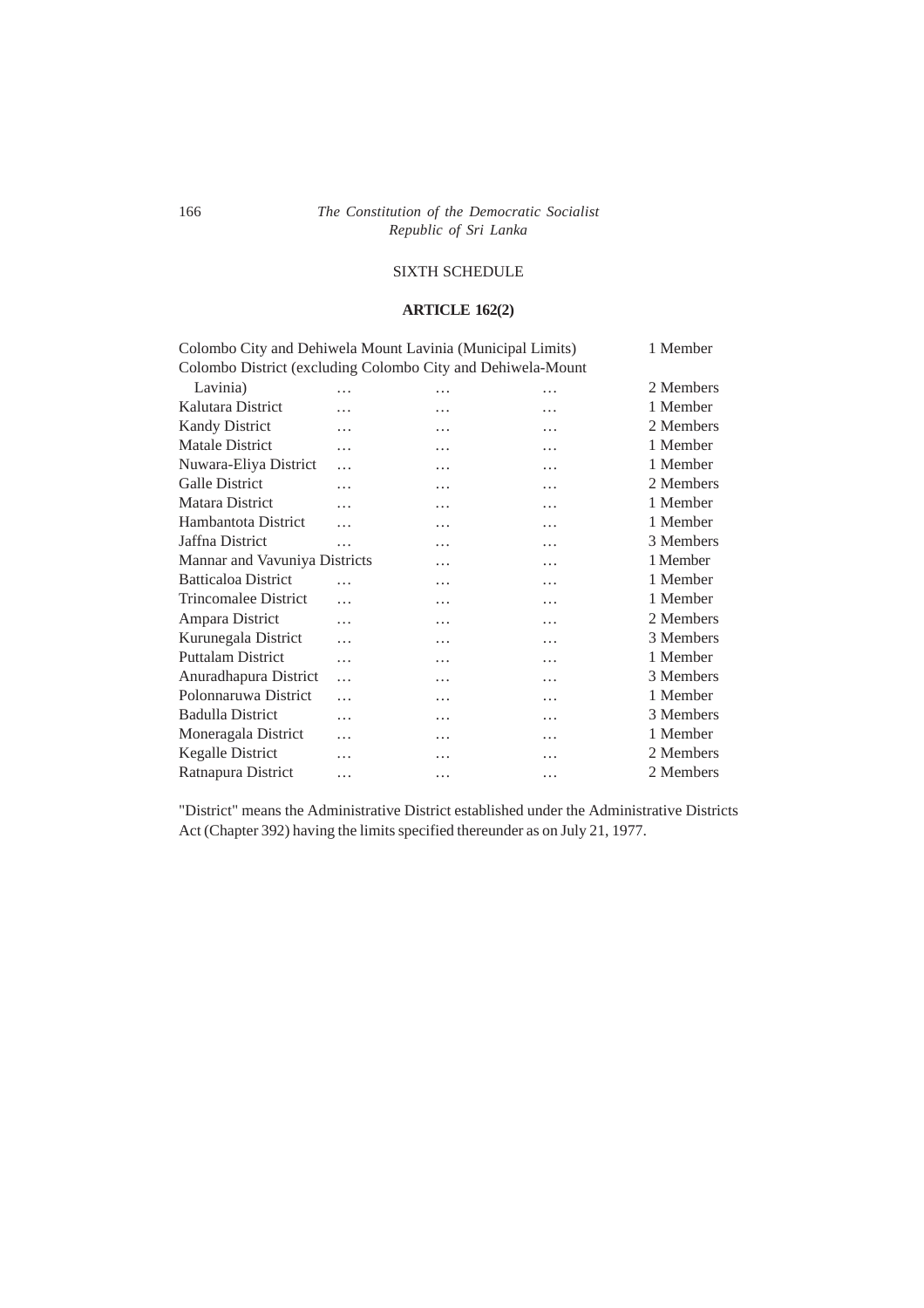# SIXTH SCHEDULE

## **ARTICLE 162(2)**

Colombo City and Dehiwela Mount Lavinia (Municipal Limits) 1 Member Colombo District (excluding Colombo City and Dehiwela-Mount Lavinia) … … … … … 2 Members Kalutara District … … … … … 1 Member Kandy District … … … … … 2 Members Matale District … … … 1 Member

|                               | .        | .        |           |
|-------------------------------|----------|----------|-----------|
| $\cdots$                      | .        | .        | 1 Member  |
| .                             | .        | .        | 2 Members |
| .                             | .        | .        | 1 Member  |
| .                             | .        | $\cdots$ | 1 Member  |
| $\cdots$                      | .        | .        | 3 Members |
| Mannar and Vavuniya Districts | .        | .        | 1 Member  |
| $\cdots$                      | .        | .        | 1 Member  |
| $\cdots$                      | .        | .        | 1 Member  |
| .                             | .        | .        | 2 Members |
| .                             | .        | .        | 3 Members |
| .                             | .        | .        | 1 Member  |
| $\cdots$                      | .        | .        | 3 Members |
| $\cdots$                      | .        | .        | 1 Member  |
| .                             | .        | .        | 3 Members |
| .                             | .        | .        | 1 Member  |
| .                             | .        | $\cdots$ | 2 Members |
| .                             | $\cdots$ | $\cdots$ | 2 Members |
|                               |          |          |           |

"District" means the Administrative District established under the Administrative Districts Act (Chapter 392) having the limits specified thereunder as on July 21, 1977.

166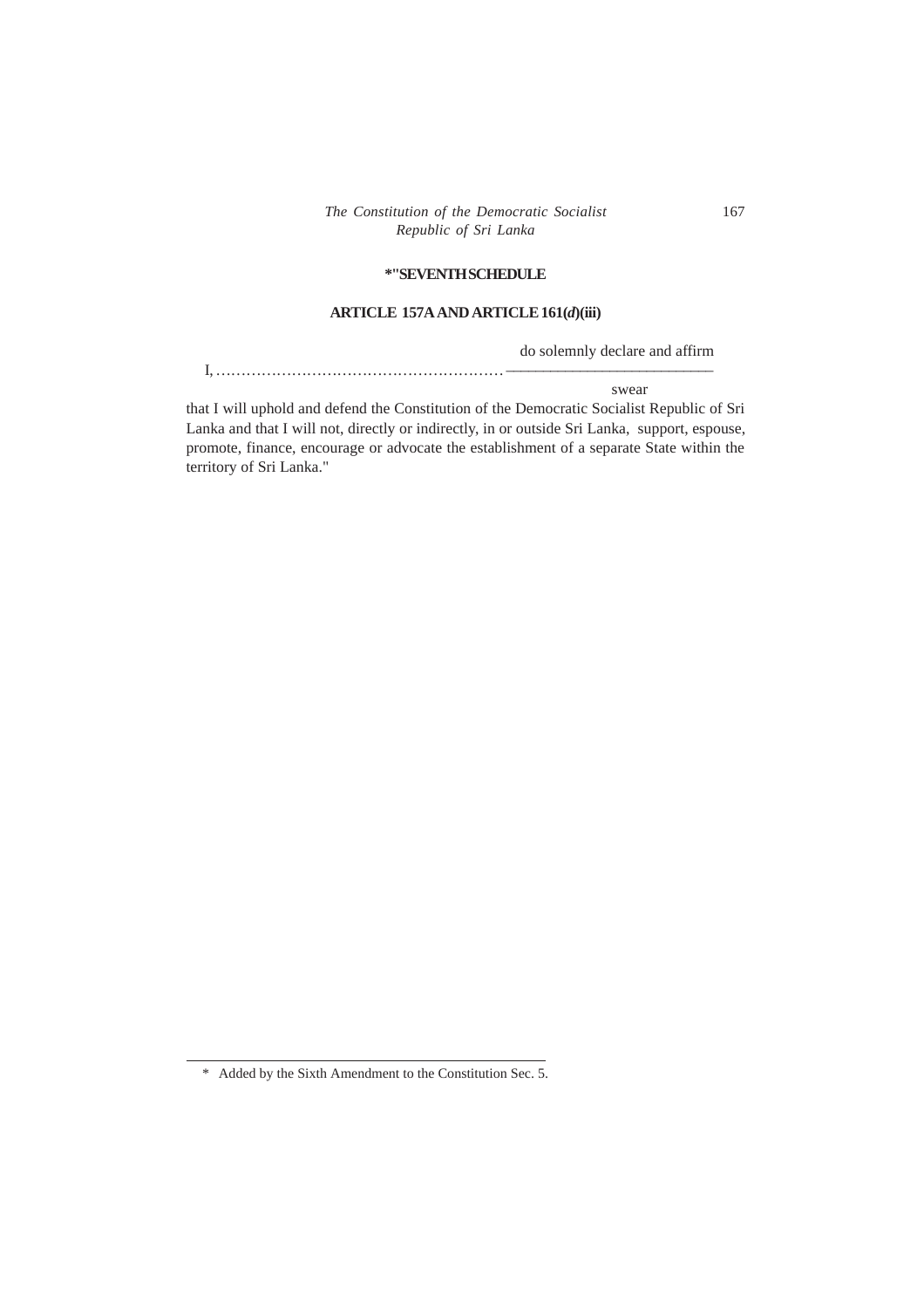## **\*"SEVENTH SCHEDULE**

# **ARTICLE 157A AND ARTICLE 161(***d***)(iii)**

do solemnly declare and affirm

I, ………………………………………………… ––––––––––––––––––––––––––––

swear

that I will uphold and defend the Constitution of the Democratic Socialist Republic of Sri Lanka and that I will not, directly or indirectly, in or outside Sri Lanka, support, espouse, promote, finance, encourage or advocate the establishment of a separate State within the territory of Sri Lanka."

<sup>\*</sup> Added by the Sixth Amendment to the Constitution Sec. 5.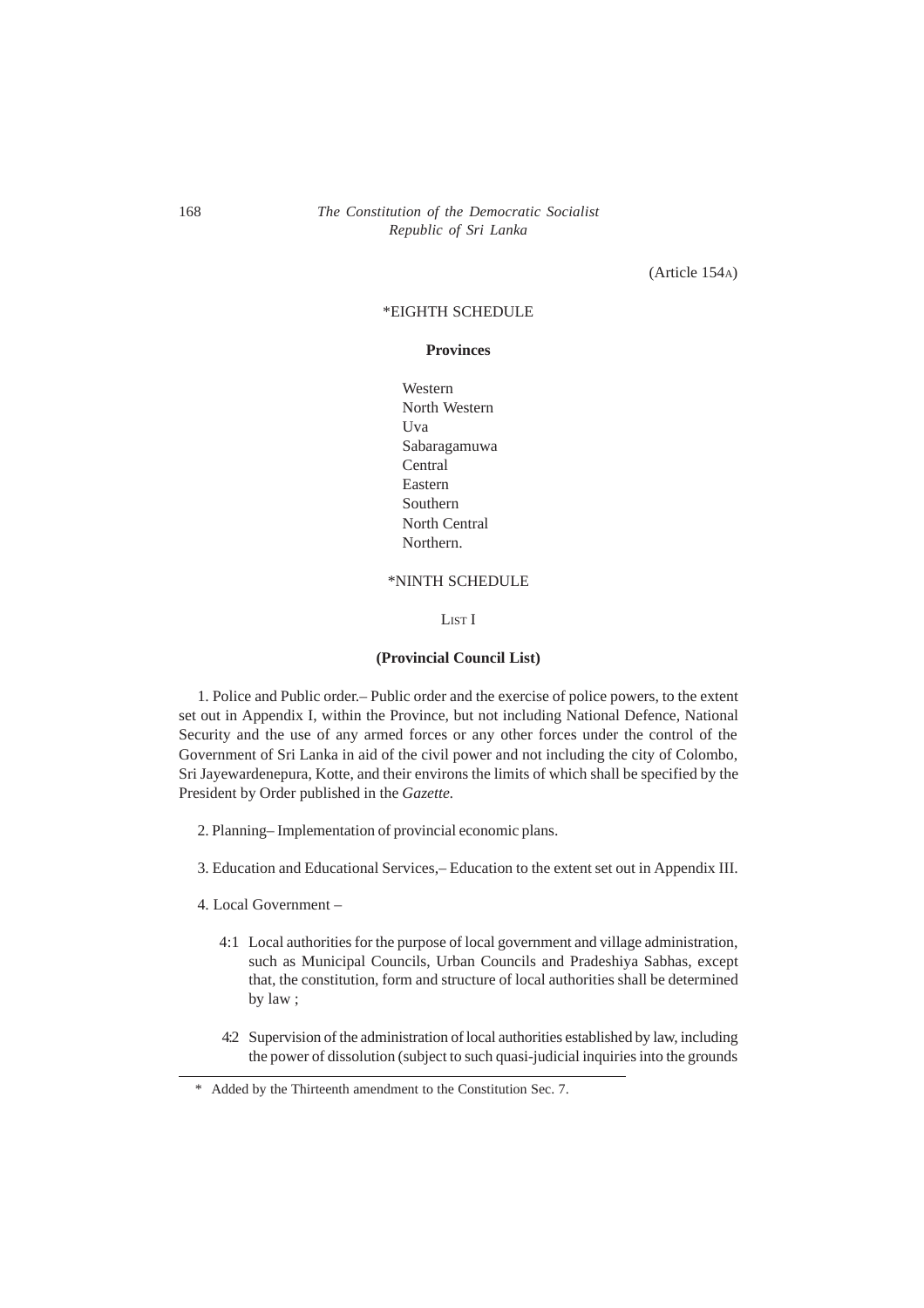(Article 154A)

## \*EIGHTH SCHEDULE

## **Provinces**

Western North Western Uva Sabaragamuwa Central Eastern Southern North Central Northern.

## \*NINTH SCHEDULE

## LIST I

#### **(Provincial Council List)**

1. Police and Public order.– Public order and the exercise of police powers, to the extent set out in Appendix I, within the Province, but not including National Defence, National Security and the use of any armed forces or any other forces under the control of the Government of Sri Lanka in aid of the civil power and not including the city of Colombo, Sri Jayewardenepura, Kotte, and their environs the limits of which shall be specified by the President by Order published in the *Gazette.*

- 2. Planning– Implementation of provincial economic plans.
- 3. Education and Educational Services,– Education to the extent set out in Appendix III.
- 4. Local Government
	- 4:1 Local authorities for the purpose of local government and village administration, such as Municipal Councils, Urban Councils and Pradeshiya Sabhas, except that, the constitution, form and structure of local authorities shall be determined by law ;
	- 4:2 Supervision of the administration of local authorities established by law, including the power of dissolution (subject to such quasi-judicial inquiries into the grounds

<sup>\*</sup> Added by the Thirteenth amendment to the Constitution Sec. 7.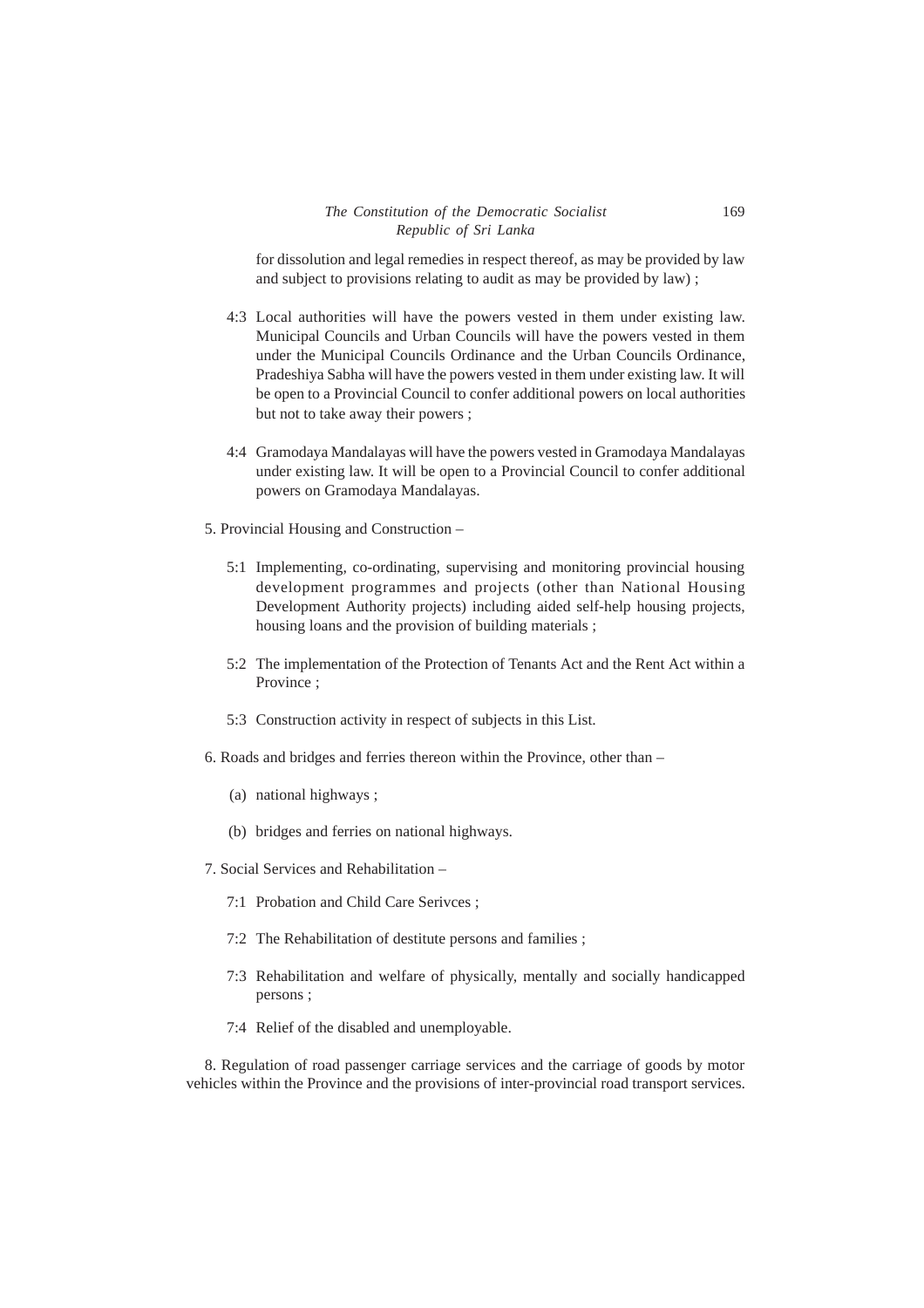for dissolution and legal remedies in respect thereof, as may be provided by law and subject to provisions relating to audit as may be provided by law) ;

- 4:3 Local authorities will have the powers vested in them under existing law. Municipal Councils and Urban Councils will have the powers vested in them under the Municipal Councils Ordinance and the Urban Councils Ordinance, Pradeshiya Sabha will have the powers vested in them under existing law. It will be open to a Provincial Council to confer additional powers on local authorities but not to take away their powers ;
- 4:4 Gramodaya Mandalayas will have the powers vested in Gramodaya Mandalayas under existing law. It will be open to a Provincial Council to confer additional powers on Gramodaya Mandalayas.
- 5. Provincial Housing and Construction
	- 5:1 Implementing, co-ordinating, supervising and monitoring provincial housing development programmes and projects (other than National Housing Development Authority projects) including aided self-help housing projects, housing loans and the provision of building materials ;
	- 5:2 The implementation of the Protection of Tenants Act and the Rent Act within a Province ;
	- 5:3 Construction activity in respect of subjects in this List.
- 6. Roads and bridges and ferries thereon within the Province, other than
	- (a) national highways ;
	- (b) bridges and ferries on national highways.
- 7. Social Services and Rehabilitation
	- 7:1 Probation and Child Care Serivces ;
	- 7:2 The Rehabilitation of destitute persons and families ;
	- 7:3 Rehabilitation and welfare of physically, mentally and socially handicapped persons ;
	- 7:4 Relief of the disabled and unemployable.

8. Regulation of road passenger carriage services and the carriage of goods by motor vehicles within the Province and the provisions of inter-provincial road transport services.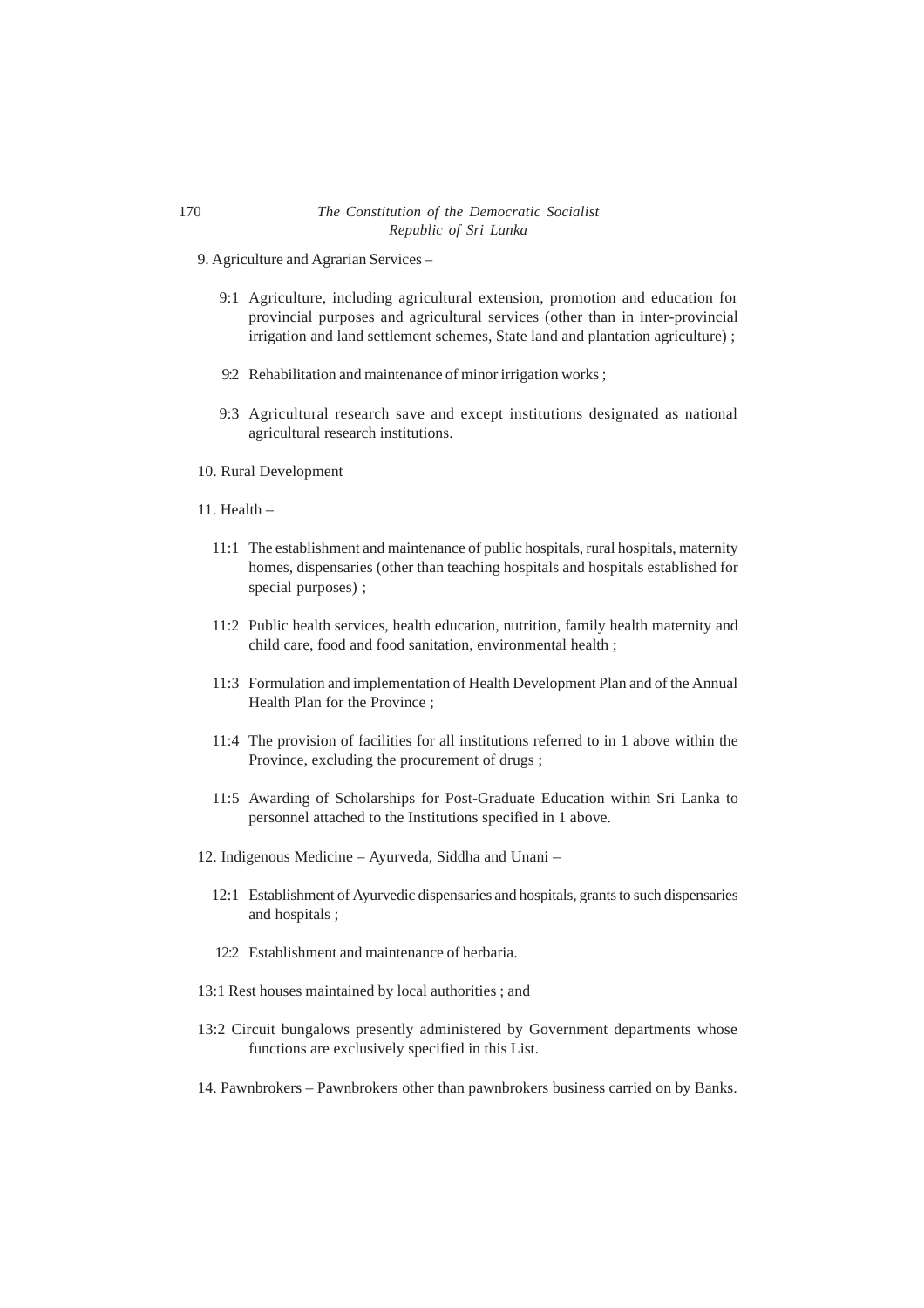- 9. Agriculture and Agrarian Services
	- 9:1 Agriculture, including agricultural extension, promotion and education for provincial purposes and agricultural services (other than in inter-provincial irrigation and land settlement schemes, State land and plantation agriculture) ;
	- 9:2 Rehabilitation and maintenance of minor irrigation works ;
	- 9:3 Agricultural research save and except institutions designated as national agricultural research institutions.
- 10. Rural Development
- 11. Health
	- 11:1 The establishment and maintenance of public hospitals, rural hospitals, maternity homes, dispensaries (other than teaching hospitals and hospitals established for special purposes) ;
	- 11:2 Public health services, health education, nutrition, family health maternity and child care, food and food sanitation, environmental health ;
	- 11:3 Formulation and implementation of Health Development Plan and of the Annual Health Plan for the Province ;
	- 11:4 The provision of facilities for all institutions referred to in 1 above within the Province, excluding the procurement of drugs ;
	- 11:5 Awarding of Scholarships for Post-Graduate Education within Sri Lanka to personnel attached to the Institutions specified in 1 above.
- 12. Indigenous Medicine Ayurveda, Siddha and Unani
	- 12:1 Establishment of Ayurvedic dispensaries and hospitals, grants to such dispensaries and hospitals ;
	- 12:2 Establishment and maintenance of herbaria.
- 13:1 Rest houses maintained by local authorities ; and
- 13:2 Circuit bungalows presently administered by Government departments whose functions are exclusively specified in this List.
- 14. Pawnbrokers Pawnbrokers other than pawnbrokers business carried on by Banks.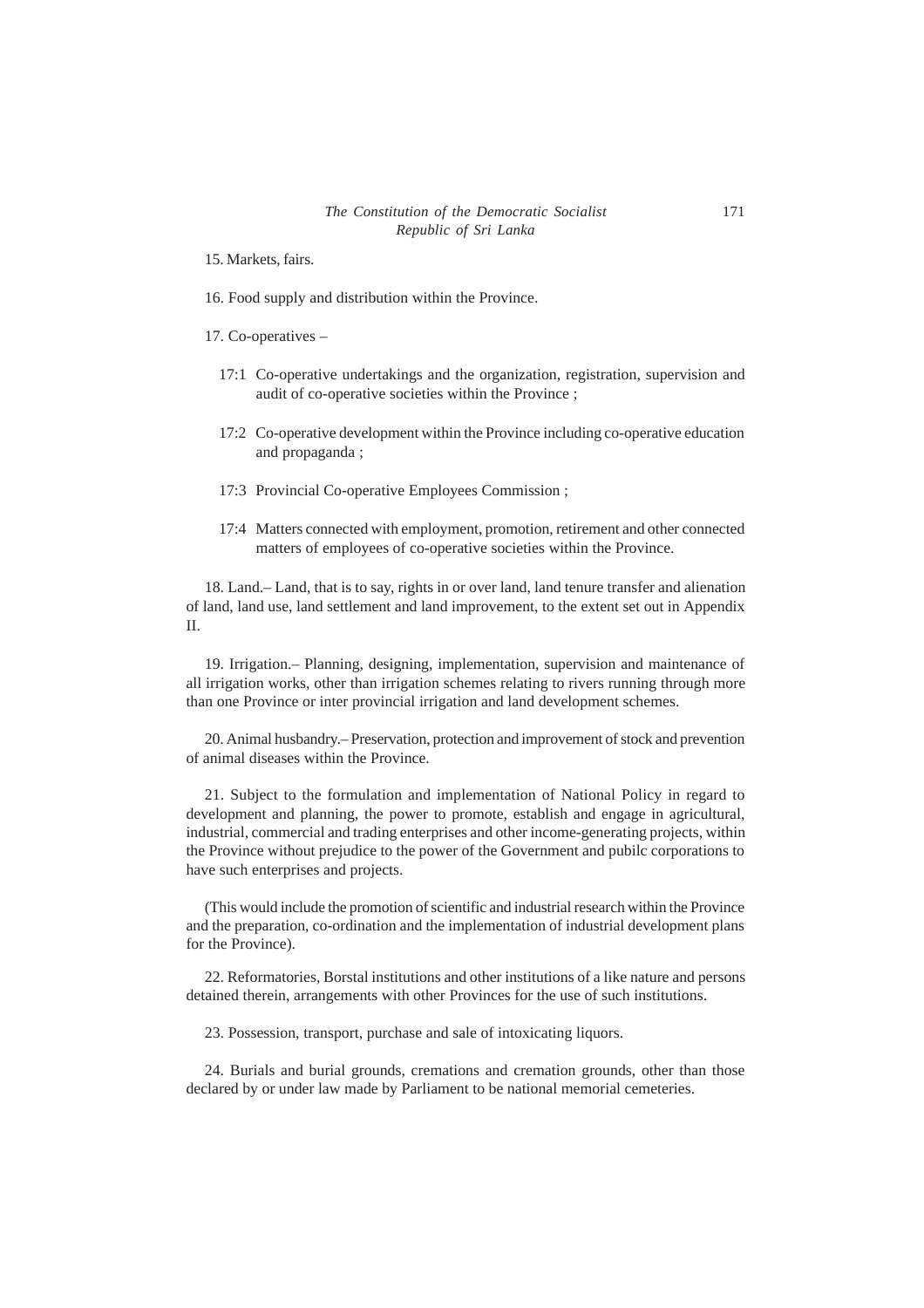- 15. Markets, fairs.
- 16. Food supply and distribution within the Province.
- 17. Co-operatives
	- 17:1 Co-operative undertakings and the organization, registration, supervision and audit of co-operative societies within the Province ;
	- 17:2 Co-operative development within the Province including co-operative education and propaganda ;
	- 17:3 Provincial Co-operative Employees Commission ;
	- 17:4 Matters connected with employment, promotion, retirement and other connected matters of employees of co-operative societies within the Province.

18. Land.– Land, that is to say, rights in or over land, land tenure transfer and alienation of land, land use, land settlement and land improvement, to the extent set out in Appendix II.

19. Irrigation.– Planning, designing, implementation, supervision and maintenance of all irrigation works, other than irrigation schemes relating to rivers running through more than one Province or inter provincial irrigation and land development schemes.

20. Animal husbandry.– Preservation, protection and improvement of stock and prevention of animal diseases within the Province.

21. Subject to the formulation and implementation of National Policy in regard to development and planning, the power to promote, establish and engage in agricultural, industrial, commercial and trading enterprises and other income-generating projects, within the Province without prejudice to the power of the Government and pubilc corporations to have such enterprises and projects.

(This would include the promotion of scientific and industrial research within the Province and the preparation, co-ordination and the implementation of industrial development plans for the Province).

22. Reformatories, Borstal institutions and other institutions of a like nature and persons detained therein, arrangements with other Provinces for the use of such institutions.

23. Possession, transport, purchase and sale of intoxicating liquors.

24. Burials and burial grounds, cremations and cremation grounds, other than those declared by or under law made by Parliament to be national memorial cemeteries.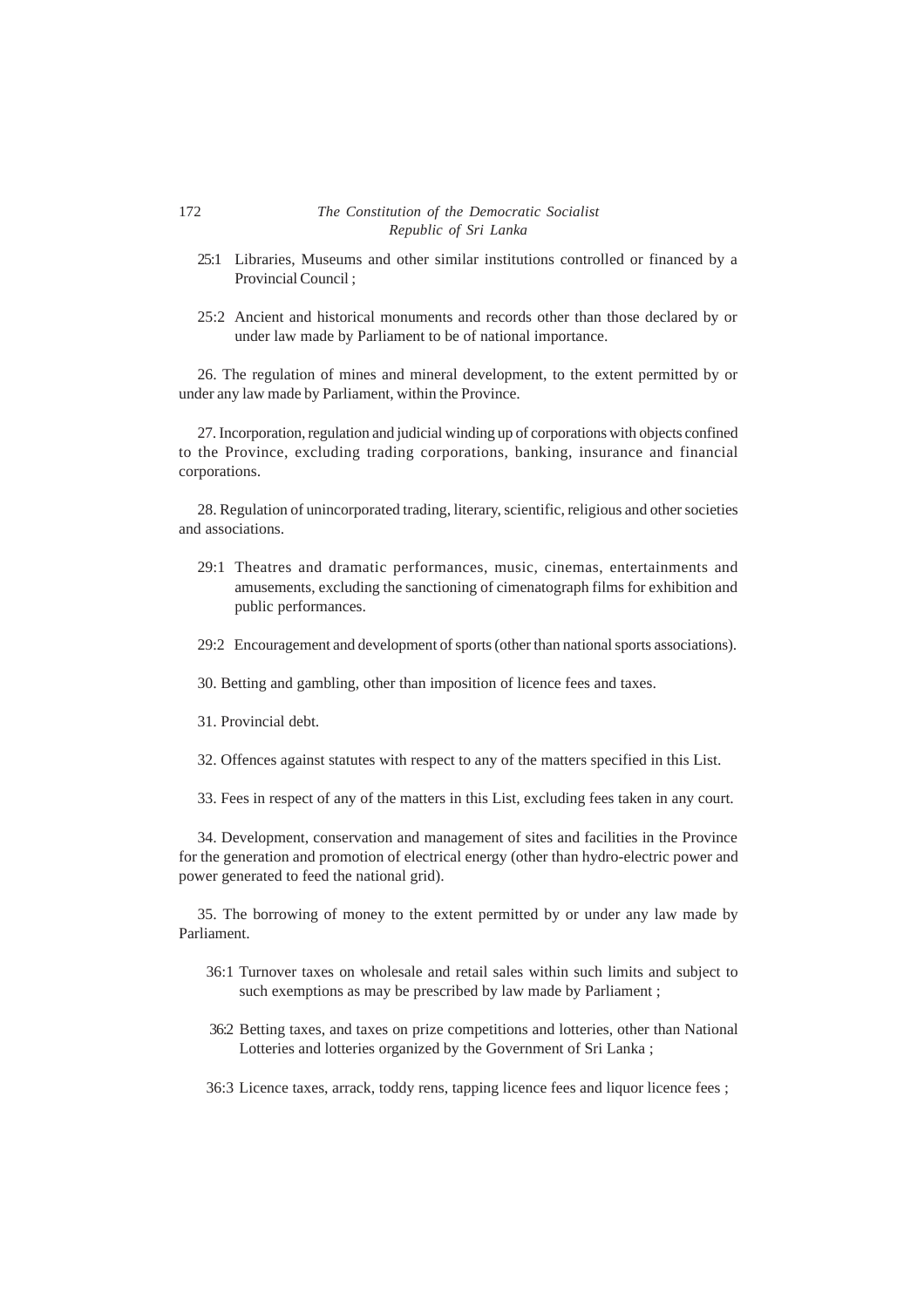- 25:1 Libraries, Museums and other similar institutions controlled or financed by a Provincial Council ;
- 25:2 Ancient and historical monuments and records other than those declared by or under law made by Parliament to be of national importance.

26. The regulation of mines and mineral development, to the extent permitted by or under any law made by Parliament, within the Province.

27. Incorporation, regulation and judicial winding up of corporations with objects confined to the Province, excluding trading corporations, banking, insurance and financial corporations.

28. Regulation of unincorporated trading, literary, scientific, religious and other societies and associations.

- 29:1 Theatres and dramatic performances, music, cinemas, entertainments and amusements, excluding the sanctioning of cimenatograph films for exhibition and public performances.
- 29:2 Encouragement and development of sports (other than national sports associations).

30. Betting and gambling, other than imposition of licence fees and taxes.

- 31. Provincial debt.
- 32. Offences against statutes with respect to any of the matters specified in this List.

33. Fees in respect of any of the matters in this List, excluding fees taken in any court.

34. Development, conservation and management of sites and facilities in the Province for the generation and promotion of electrical energy (other than hydro-electric power and power generated to feed the national grid).

35. The borrowing of money to the extent permitted by or under any law made by Parliament.

- 36:1 Turnover taxes on wholesale and retail sales within such limits and subject to such exemptions as may be prescribed by law made by Parliament ;
- 36:2 Betting taxes, and taxes on prize competitions and lotteries, other than National Lotteries and lotteries organized by the Government of Sri Lanka ;
- 36:3 Licence taxes, arrack, toddy rens, tapping licence fees and liquor licence fees ;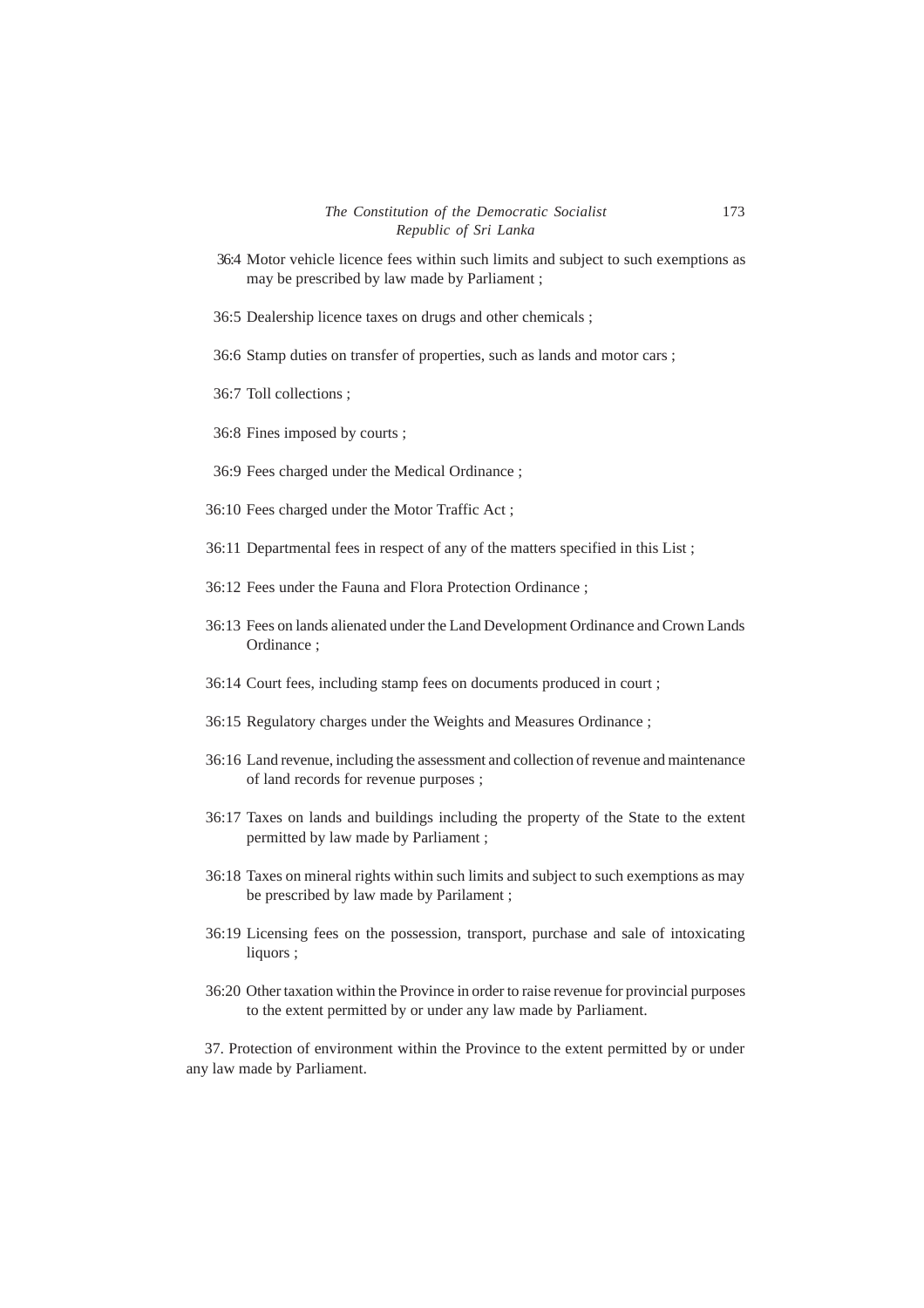- 36:4 Motor vehicle licence fees within such limits and subject to such exemptions as may be prescribed by law made by Parliament ;
- 36:5 Dealership licence taxes on drugs and other chemicals ;
- 36:6 Stamp duties on transfer of properties, such as lands and motor cars ;
- 36:7 Toll collections ;
- 36:8 Fines imposed by courts ;
- 36:9 Fees charged under the Medical Ordinance ;
- 36:10 Fees charged under the Motor Traffic Act ;
- 36:11 Departmental fees in respect of any of the matters specified in this List ;
- 36:12 Fees under the Fauna and Flora Protection Ordinance ;
- 36:13 Fees on lands alienated under the Land Development Ordinance and Crown Lands Ordinance ;
- 36:14 Court fees, including stamp fees on documents produced in court ;
- 36:15 Regulatory charges under the Weights and Measures Ordinance ;
- 36:16 Land revenue, including the assessment and collection of revenue and maintenance of land records for revenue purposes ;
- 36:17 Taxes on lands and buildings including the property of the State to the extent permitted by law made by Parliament ;
- 36:18 Taxes on mineral rights within such limits and subject to such exemptions as may be prescribed by law made by Parilament ;
- 36:19 Licensing fees on the possession, transport, purchase and sale of intoxicating liquors ;
- 36:20 Other taxation within the Province in order to raise revenue for provincial purposes to the extent permitted by or under any law made by Parliament.

37. Protection of environment within the Province to the extent permitted by or under any law made by Parliament.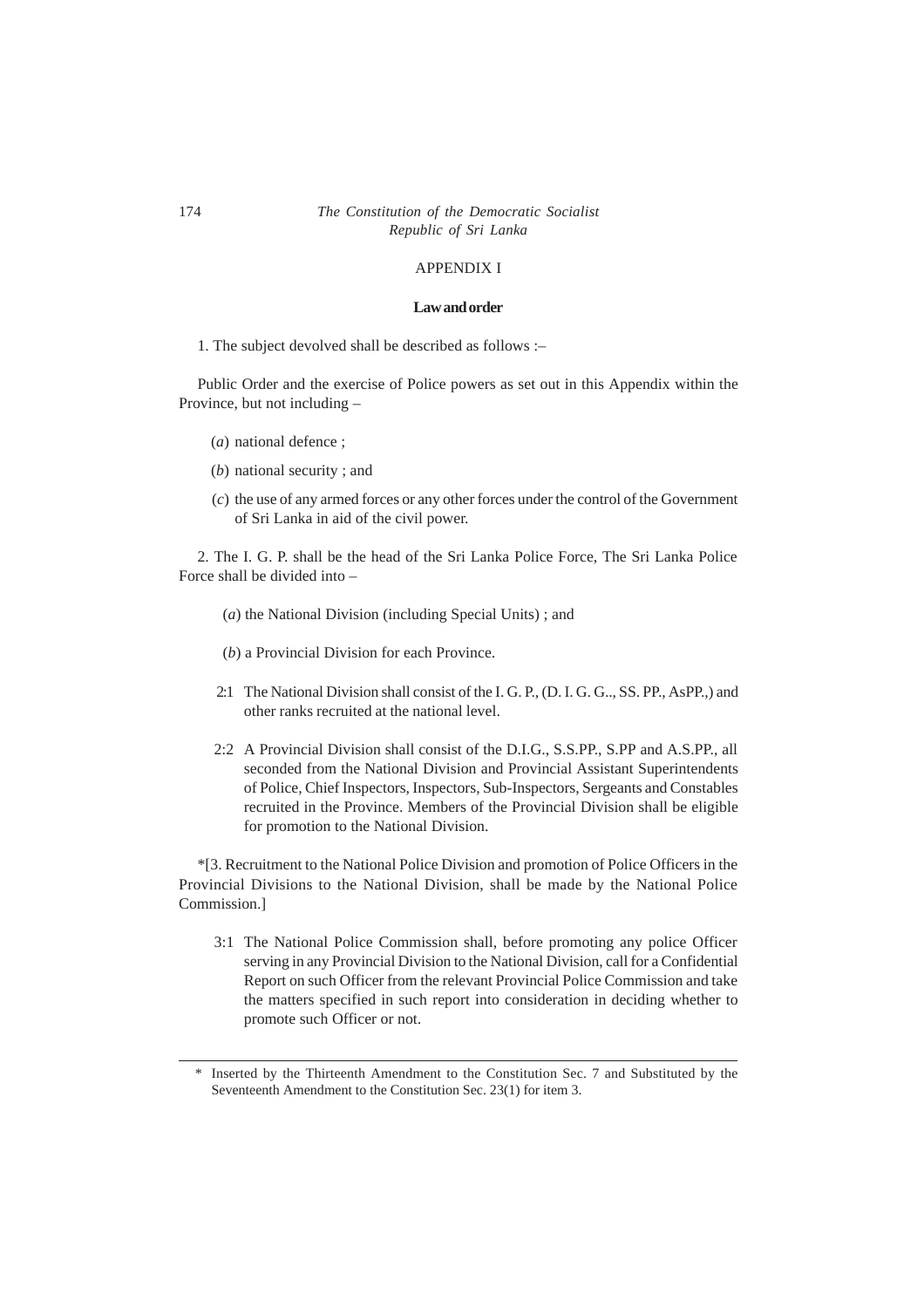## APPENDIX I

#### **Law and order**

1. The subject devolved shall be described as follows :–

Public Order and the exercise of Police powers as set out in this Appendix within the Province, but not including –

- (*a*) national defence ;
- (*b*) national security ; and
- (*c*) the use of any armed forces or any other forces under the control of the Government of Sri Lanka in aid of the civil power.

2. The I. G. P. shall be the head of the Sri Lanka Police Force, The Sri Lanka Police Force shall be divided into –

- (*a*) the National Division (including Special Units) ; and
- (*b*) a Provincial Division for each Province.
- 2:1 The National Division shall consist of the I. G. P., (D. I. G. G.., SS. PP., AsPP.,) and other ranks recruited at the national level.
- 2:2 A Provincial Division shall consist of the D.I.G., S.S.PP., S.PP and A.S.PP., all seconded from the National Division and Provincial Assistant Superintendents of Police, Chief Inspectors, Inspectors, Sub-Inspectors, Sergeants and Constables recruited in the Province. Members of the Provincial Division shall be eligible for promotion to the National Division.

\*[3. Recruitment to the National Police Division and promotion of Police Officers in the Provincial Divisions to the National Division, shall be made by the National Police Commission.]

3:1 The National Police Commission shall, before promoting any police Officer serving in any Provincial Division to the National Division, call for a Confidential Report on such Officer from the relevant Provincial Police Commission and take the matters specified in such report into consideration in deciding whether to promote such Officer or not.

<sup>\*</sup> Inserted by the Thirteenth Amendment to the Constitution Sec. 7 and Substituted by the Seventeenth Amendment to the Constitution Sec. 23(1) for item 3.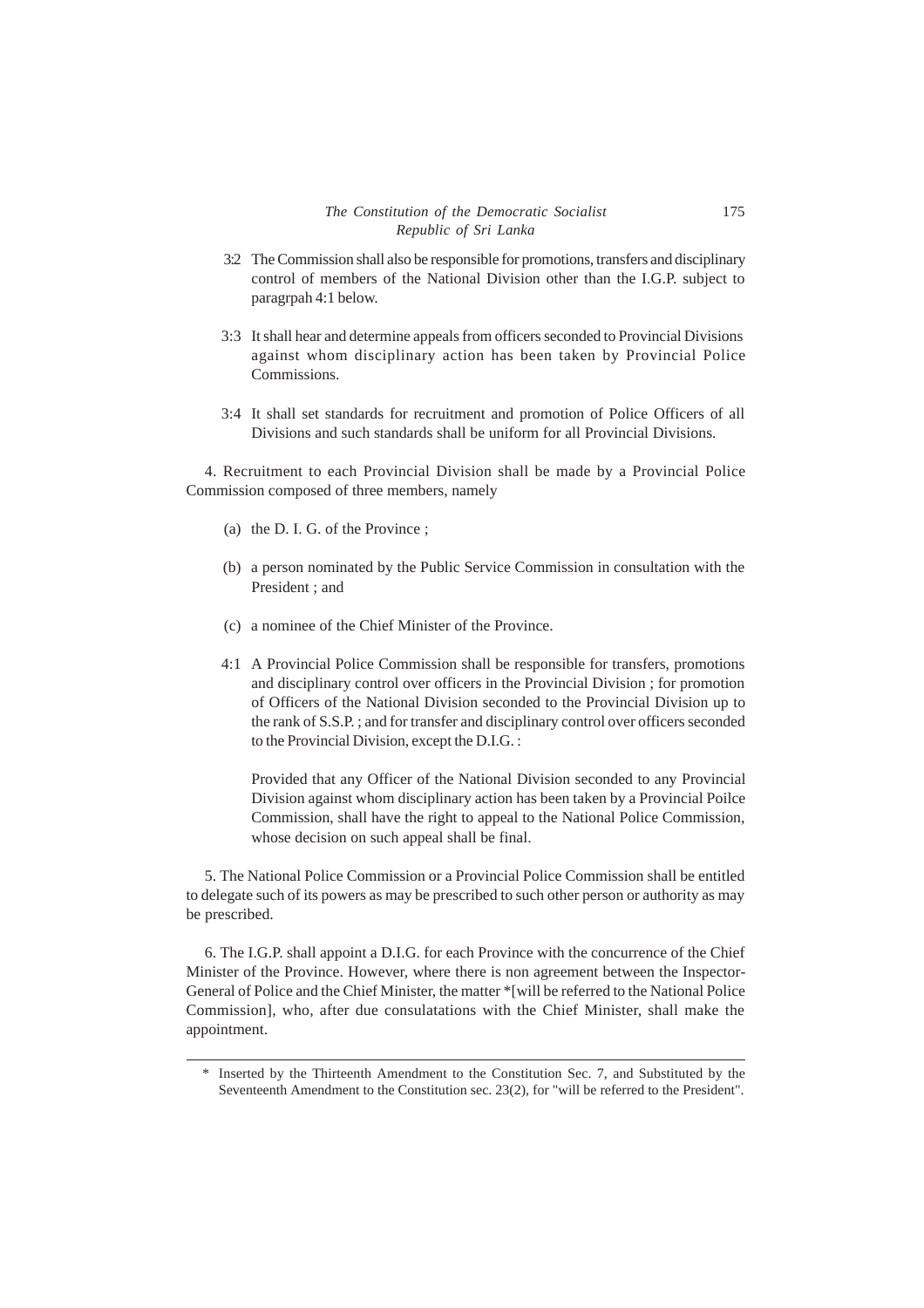- 3:2 The Commission shall also be responsible for promotions, transfers and disciplinary control of members of the National Division other than the I.G.P. subject to paragrpah 4:1 below.
- 3:3 It shall hear and determine appeals from officers seconded to Provincial Divisions against whom disciplinary action has been taken by Provincial Police Commissions.
- 3:4 It shall set standards for recruitment and promotion of Police Officers of all Divisions and such standards shall be uniform for all Provincial Divisions.

4. Recruitment to each Provincial Division shall be made by a Provincial Police Commission composed of three members, namely

- (a) the D. I. G. of the Province ;
- (b) a person nominated by the Public Service Commission in consultation with the President ; and
- (c) a nominee of the Chief Minister of the Province.
- 4:1 A Provincial Police Commission shall be responsible for transfers, promotions and disciplinary control over officers in the Provincial Division ; for promotion of Officers of the National Division seconded to the Provincial Division up to the rank of S.S.P. ; and for transfer and disciplinary control over officers seconded to the Provincial Division, except the D.I.G. :

Provided that any Officer of the National Division seconded to any Provincial Division against whom disciplinary action has been taken by a Provincial Poilce Commission, shall have the right to appeal to the National Police Commission, whose decision on such appeal shall be final.

5. The National Police Commission or a Provincial Police Commission shall be entitled to delegate such of its powers as may be prescribed to such other person or authority as may be prescribed.

6. The I.G.P. shall appoint a D.I.G. for each Province with the concurrence of the Chief Minister of the Province. However, where there is non agreement between the Inspector-General of Police and the Chief Minister, the matter \*[will be referred to the National Police Commission], who, after due consulatations with the Chief Minister, shall make the appointment.

<sup>\*</sup> Inserted by the Thirteenth Amendment to the Constitution Sec. 7, and Substituted by the Seventeenth Amendment to the Constitution sec. 23(2), for "will be referred to the President".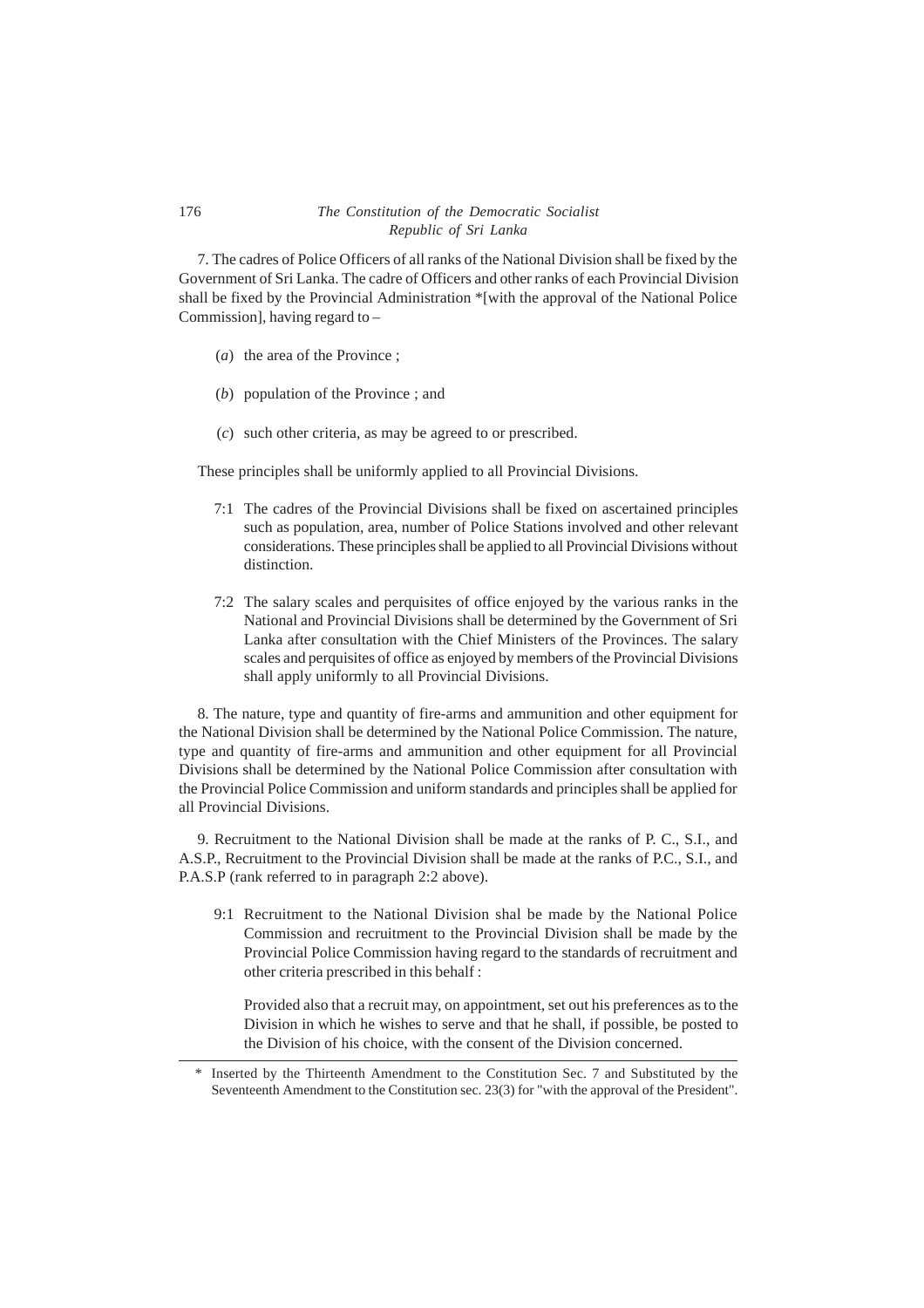7. The cadres of Police Officers of all ranks of the National Division shall be fixed by the Government of Sri Lanka. The cadre of Officers and other ranks of each Provincial Division shall be fixed by the Provincial Administration \*[with the approval of the National Police Commission], having regard to –

- (*a*) the area of the Province ;
- (*b*) population of the Province ; and
- (*c*) such other criteria, as may be agreed to or prescribed.

These principles shall be uniformly applied to all Provincial Divisions.

- 7:1 The cadres of the Provincial Divisions shall be fixed on ascertained principles such as population, area, number of Police Stations involved and other relevant considerations. These principles shall be applied to all Provincial Divisions without distinction.
- 7:2 The salary scales and perquisites of office enjoyed by the various ranks in the National and Provincial Divisions shall be determined by the Government of Sri Lanka after consultation with the Chief Ministers of the Provinces. The salary scales and perquisites of office as enjoyed by members of the Provincial Divisions shall apply uniformly to all Provincial Divisions.

8. The nature, type and quantity of fire-arms and ammunition and other equipment for the National Division shall be determined by the National Police Commission. The nature, type and quantity of fire-arms and ammunition and other equipment for all Provincial Divisions shall be determined by the National Police Commission after consultation with the Provincial Police Commission and uniform standards and principles shall be applied for all Provincial Divisions.

9. Recruitment to the National Division shall be made at the ranks of P. C., S.I., and A.S.P., Recruitment to the Provincial Division shall be made at the ranks of P.C., S.I., and P.A.S.P (rank referred to in paragraph 2:2 above).

9:1 Recruitment to the National Division shal be made by the National Police Commission and recruitment to the Provincial Division shall be made by the Provincial Police Commission having regard to the standards of recruitment and other criteria prescribed in this behalf :

Provided also that a recruit may, on appointment, set out his preferences as to the Division in which he wishes to serve and that he shall, if possible, be posted to the Division of his choice, with the consent of the Division concerned.

176

<sup>\*</sup> Inserted by the Thirteenth Amendment to the Constitution Sec. 7 and Substituted by the Seventeenth Amendment to the Constitution sec. 23(3) for "with the approval of the President".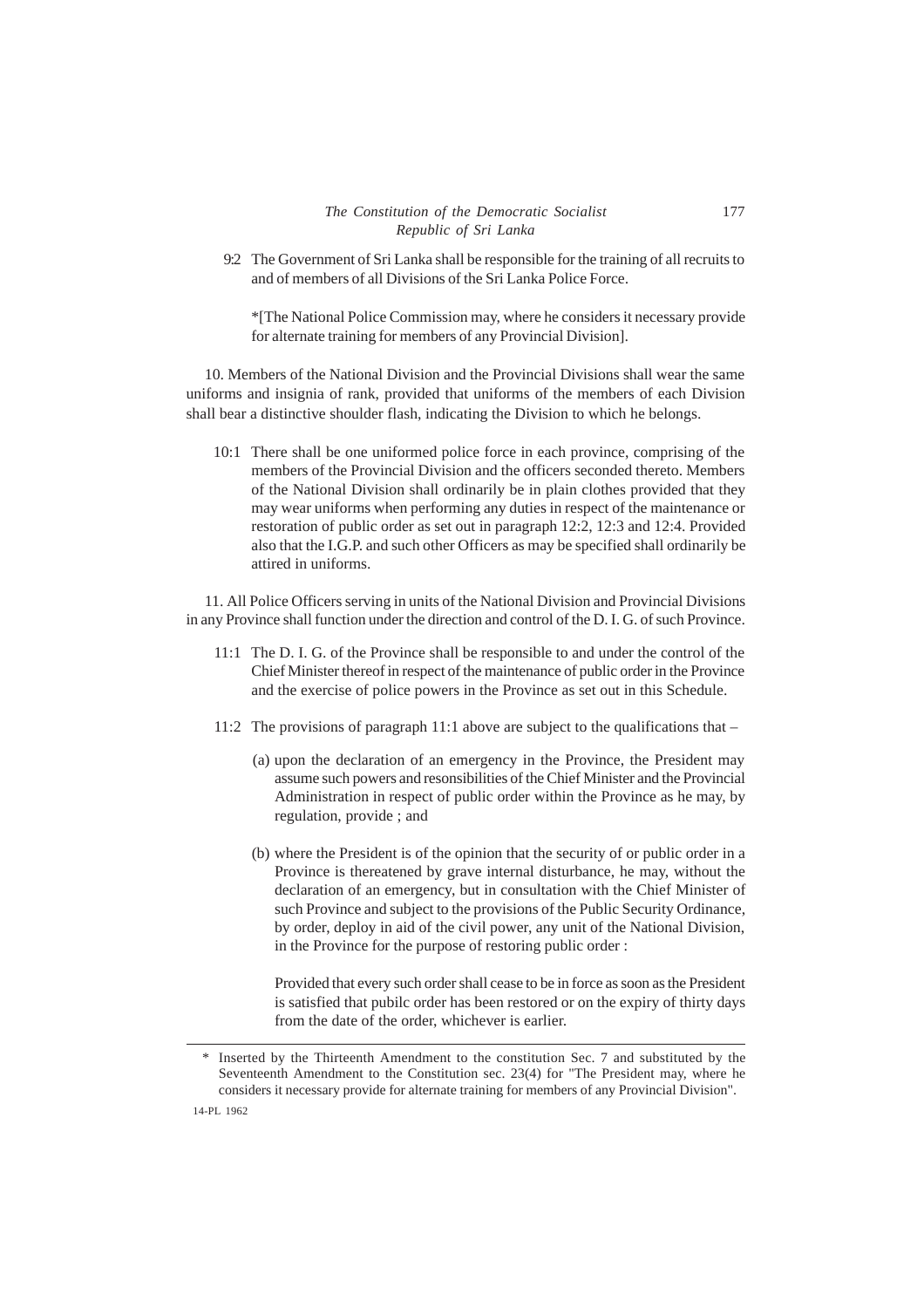9:2 The Government of Sri Lanka shall be responsible for the training of all recruits to and of members of all Divisions of the Sri Lanka Police Force.

\*[The National Police Commission may, where he considers it necessary provide for alternate training for members of any Provincial Division].

10. Members of the National Division and the Provincial Divisions shall wear the same uniforms and insignia of rank, provided that uniforms of the members of each Division shall bear a distinctive shoulder flash, indicating the Division to which he belongs.

10:1 There shall be one uniformed police force in each province, comprising of the members of the Provincial Division and the officers seconded thereto. Members of the National Division shall ordinarily be in plain clothes provided that they may wear uniforms when performing any duties in respect of the maintenance or restoration of public order as set out in paragraph 12:2, 12:3 and 12:4. Provided also that the I.G.P. and such other Officers as may be specified shall ordinarily be attired in uniforms.

11. All Police Officers serving in units of the National Division and Provincial Divisions in any Province shall function under the direction and control of the D. I. G. of such Province.

- 11:1 The D. I. G. of the Province shall be responsible to and under the control of the Chief Minister thereof in respect of the maintenance of public order in the Province and the exercise of police powers in the Province as set out in this Schedule.
- 11:2 The provisions of paragraph 11:1 above are subject to the qualifications that
	- (a) upon the declaration of an emergency in the Province, the President may assume such powers and resonsibilities of the Chief Minister and the Provincial Administration in respect of public order within the Province as he may, by regulation, provide ; and
	- (b) where the President is of the opinion that the security of or public order in a Province is thereatened by grave internal disturbance, he may, without the declaration of an emergency, but in consultation with the Chief Minister of such Province and subject to the provisions of the Public Security Ordinance, by order, deploy in aid of the civil power, any unit of the National Division, in the Province for the purpose of restoring public order :

Provided that every such order shall cease to be in force as soon as the President is satisfied that pubilc order has been restored or on the expiry of thirty days from the date of the order, whichever is earlier.

<sup>\*</sup> Inserted by the Thirteenth Amendment to the constitution Sec. 7 and substituted by the Seventeenth Amendment to the Constitution sec. 23(4) for "The President may, where he considers it necessary provide for alternate training for members of any Provincial Division". 14-PL 1962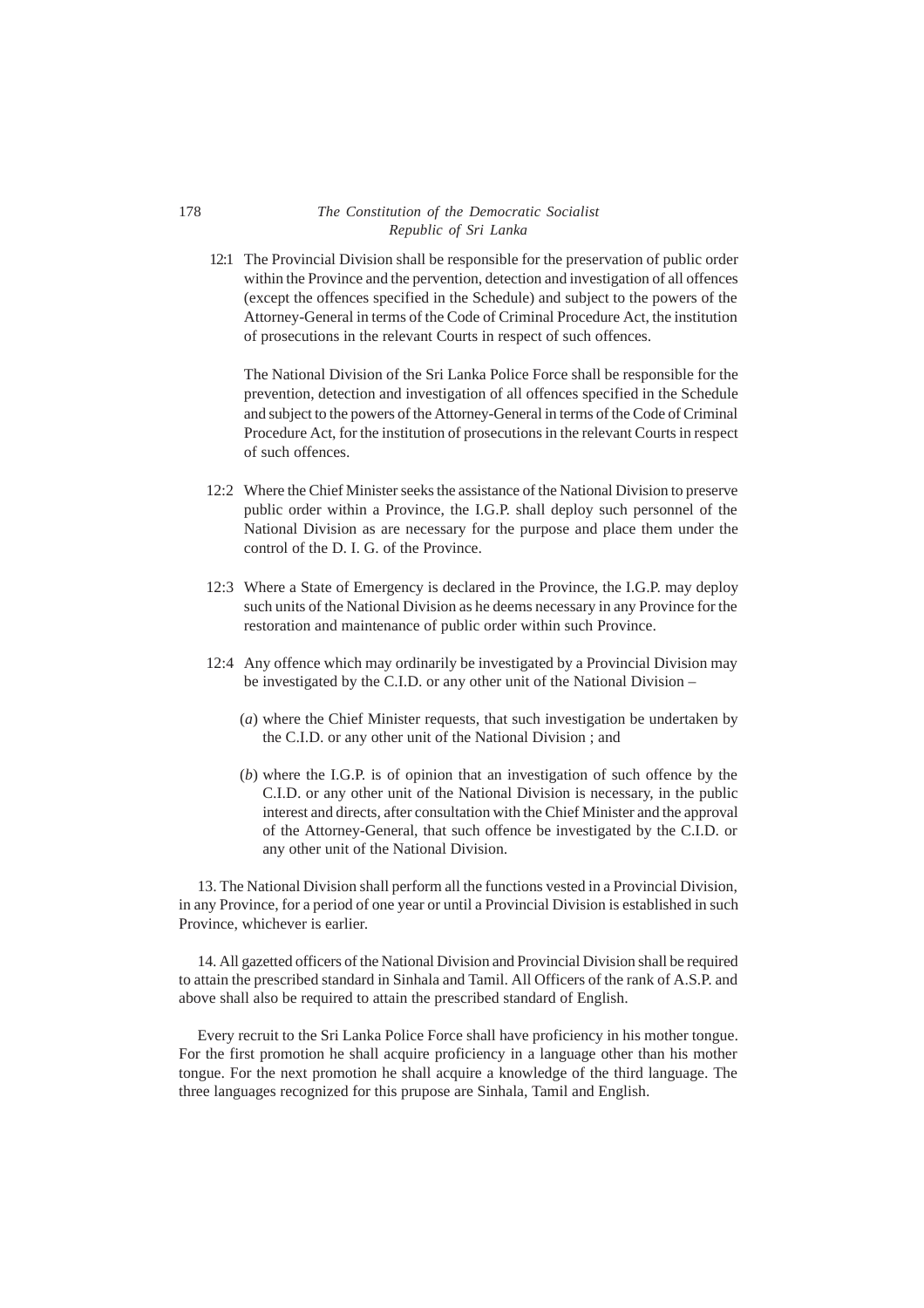12:1 The Provincial Division shall be responsible for the preservation of public order within the Province and the pervention, detection and investigation of all offences (except the offences specified in the Schedule) and subject to the powers of the Attorney-General in terms of the Code of Criminal Procedure Act, the institution of prosecutions in the relevant Courts in respect of such offences.

The National Division of the Sri Lanka Police Force shall be responsible for the prevention, detection and investigation of all offences specified in the Schedule and subject to the powers of the Attorney-General in terms of the Code of Criminal Procedure Act, for the institution of prosecutions in the relevant Courts in respect of such offences.

- 12:2 Where the Chief Minister seeks the assistance of the National Division to preserve public order within a Province, the I.G.P. shall deploy such personnel of the National Division as are necessary for the purpose and place them under the control of the D. I. G. of the Province.
- 12:3 Where a State of Emergency is declared in the Province, the I.G.P. may deploy such units of the National Division as he deems necessary in any Province for the restoration and maintenance of public order within such Province.
- 12:4 Any offence which may ordinarily be investigated by a Provincial Division may be investigated by the C.I.D. or any other unit of the National Division –
	- (*a*) where the Chief Minister requests, that such investigation be undertaken by the C.I.D. or any other unit of the National Division ; and
	- (*b*) where the I.G.P. is of opinion that an investigation of such offence by the C.I.D. or any other unit of the National Division is necessary, in the public interest and directs, after consultation with the Chief Minister and the approval of the Attorney-General, that such offence be investigated by the C.I.D. or any other unit of the National Division.

13. The National Division shall perform all the functions vested in a Provincial Division, in any Province, for a period of one year or until a Provincial Division is established in such Province, whichever is earlier.

14. All gazetted officers of the National Division and Provincial Division shall be required to attain the prescribed standard in Sinhala and Tamil. All Officers of the rank of A.S.P. and above shall also be required to attain the prescribed standard of English.

Every recruit to the Sri Lanka Police Force shall have proficiency in his mother tongue. For the first promotion he shall acquire proficiency in a language other than his mother tongue. For the next promotion he shall acquire a knowledge of the third language. The three languages recognized for this prupose are Sinhala, Tamil and English.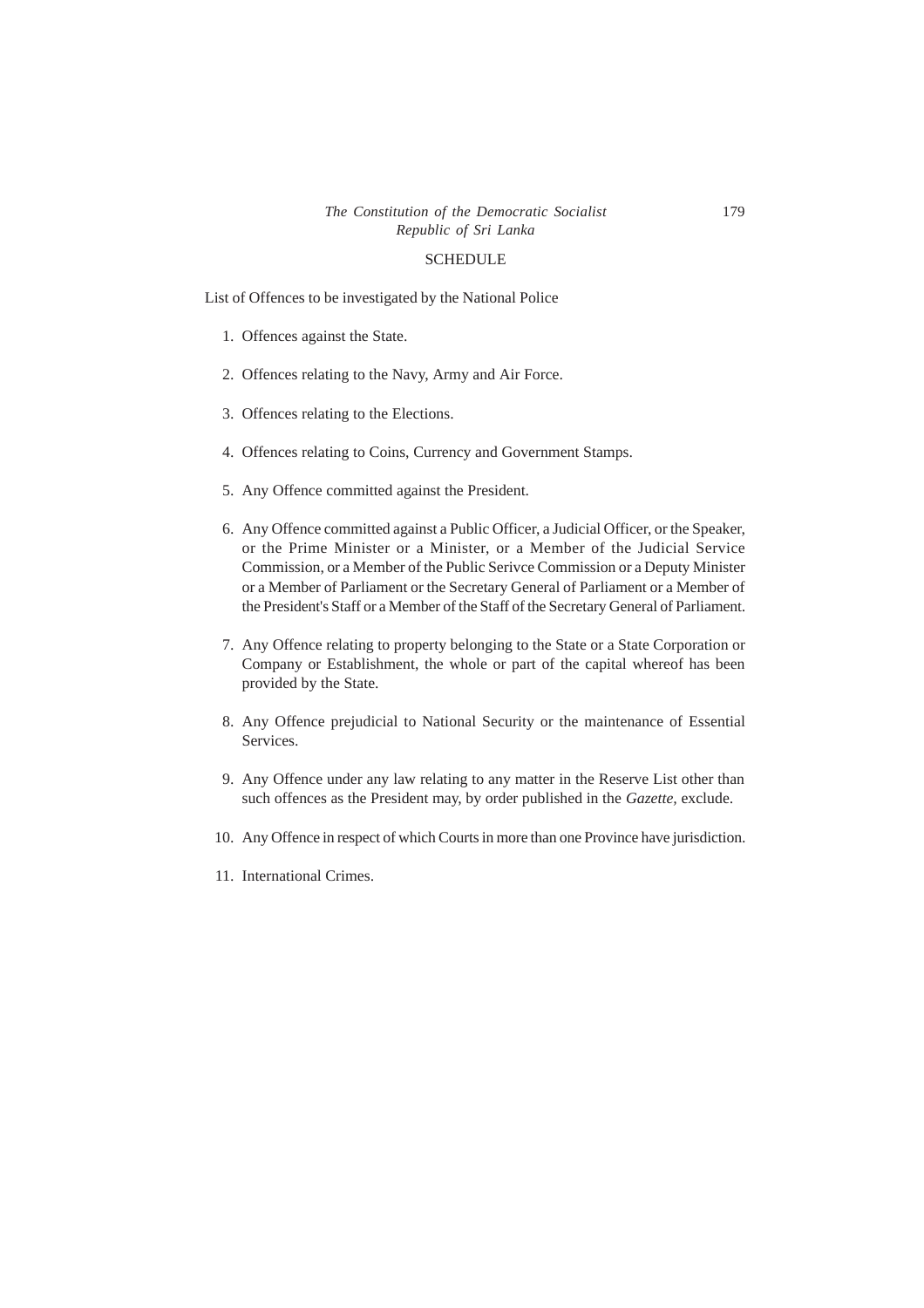#### **SCHEDULE**

List of Offences to be investigated by the National Police

- 1. Offences against the State.
- 2. Offences relating to the Navy, Army and Air Force.
- 3. Offences relating to the Elections.
- 4. Offences relating to Coins, Currency and Government Stamps.
- 5. Any Offence committed against the President.
- 6. Any Offence committed against a Public Officer, a Judicial Officer, or the Speaker, or the Prime Minister or a Minister, or a Member of the Judicial Service Commission, or a Member of the Public Serivce Commission or a Deputy Minister or a Member of Parliament or the Secretary General of Parliament or a Member of the President's Staff or a Member of the Staff of the Secretary General of Parliament.
- 7. Any Offence relating to property belonging to the State or a State Corporation or Company or Establishment, the whole or part of the capital whereof has been provided by the State.
- 8. Any Offence prejudicial to National Security or the maintenance of Essential Services.
- 9. Any Offence under any law relating to any matter in the Reserve List other than such offences as the President may, by order published in the *Gazette,* exclude.
- 10. Any Offence in respect of which Courts in more than one Province have jurisdiction.
- 11. International Crimes.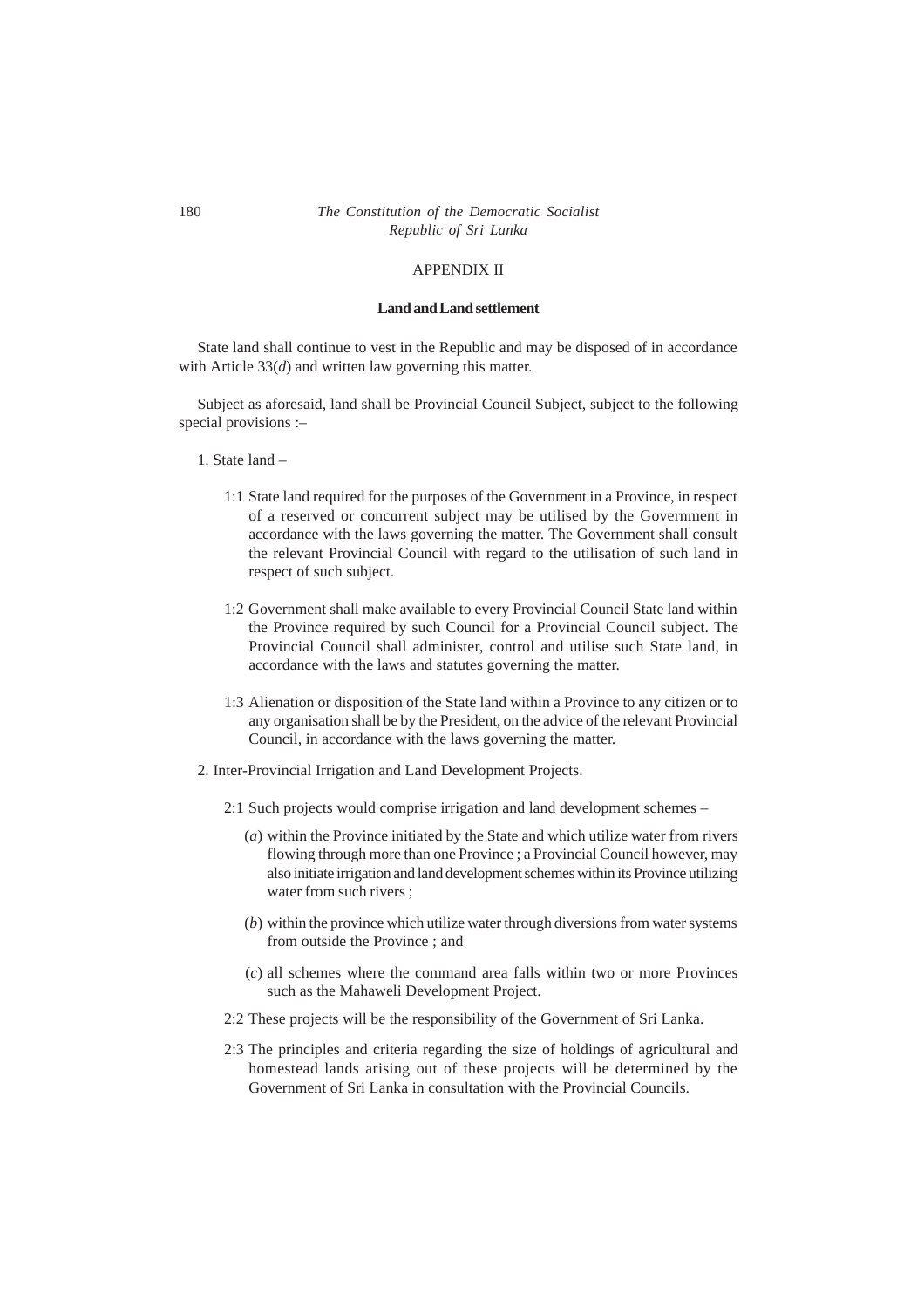#### APPENDIX II

#### **Land and Land settlement**

State land shall continue to vest in the Republic and may be disposed of in accordance with Article 33(*d*) and written law governing this matter.

Subject as aforesaid, land shall be Provincial Council Subject, subject to the following special provisions :–

## 1. State land –

- 1:1 State land required for the purposes of the Government in a Province, in respect of a reserved or concurrent subject may be utilised by the Government in accordance with the laws governing the matter. The Government shall consult the relevant Provincial Council with regard to the utilisation of such land in respect of such subject.
- 1:2 Government shall make available to every Provincial Council State land within the Province required by such Council for a Provincial Council subject. The Provincial Council shall administer, control and utilise such State land, in accordance with the laws and statutes governing the matter.
- 1:3 Alienation or disposition of the State land within a Province to any citizen or to any organisation shall be by the President, on the advice of the relevant Provincial Council, in accordance with the laws governing the matter.
- 2. Inter-Provincial Irrigation and Land Development Projects.
	- 2:1 Such projects would comprise irrigation and land development schemes
		- (*a*) within the Province initiated by the State and which utilize water from rivers flowing through more than one Province ; a Provincial Council however, may also initiate irrigation and land development schemes within its Province utilizing water from such rivers;
		- (*b*) within the province which utilize water through diversions from water systems from outside the Province ; and
		- (*c*) all schemes where the command area falls within two or more Provinces such as the Mahaweli Development Project.
	- 2:2 These projects will be the responsibility of the Government of Sri Lanka.
	- 2:3 The principles and criteria regarding the size of holdings of agricultural and homestead lands arising out of these projects will be determined by the Government of Sri Lanka in consultation with the Provincial Councils.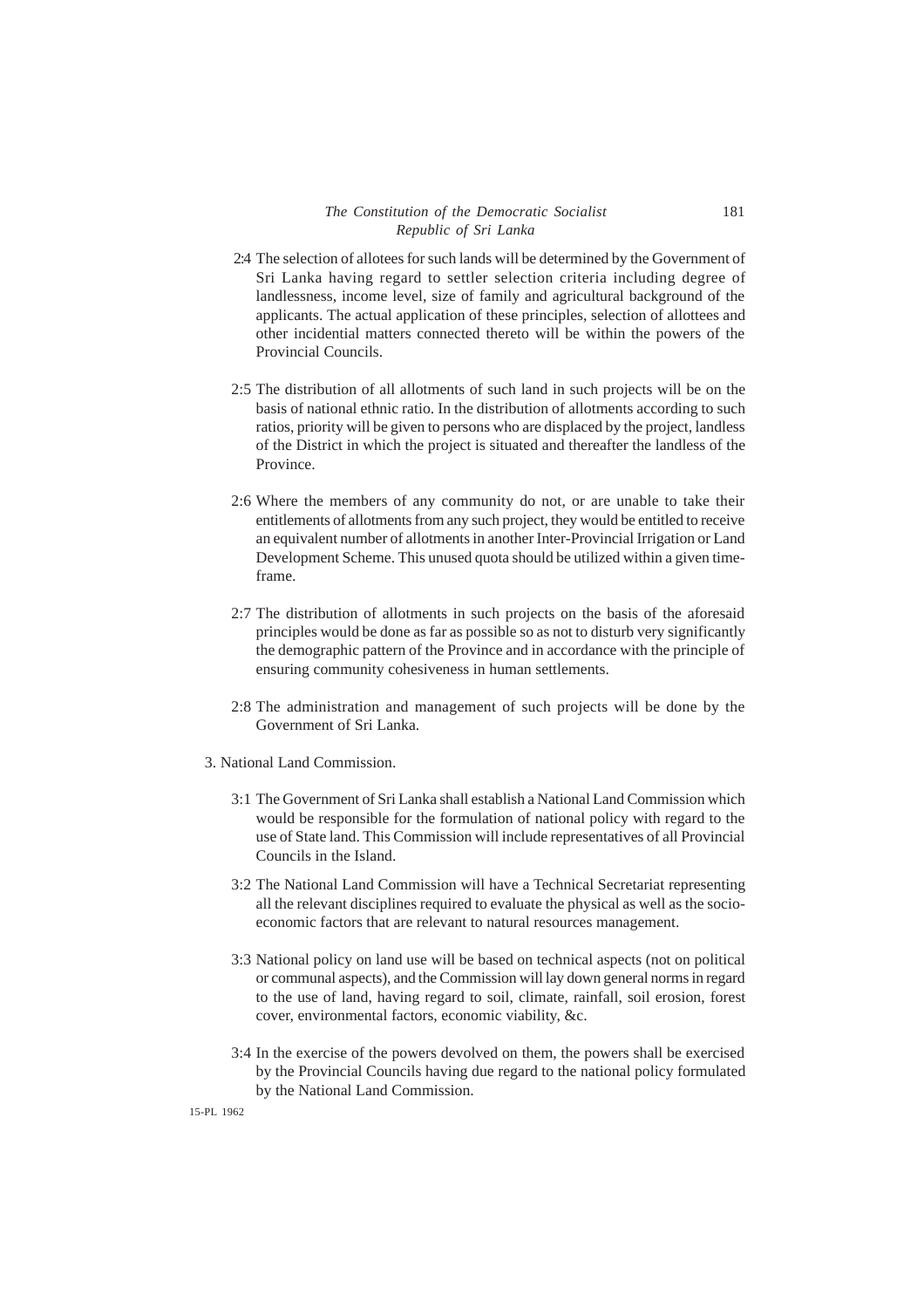- 2:4 The selection of allotees for such lands will be determined by the Government of Sri Lanka having regard to settler selection criteria including degree of landlessness, income level, size of family and agricultural background of the applicants. The actual application of these principles, selection of allottees and other incidential matters connected thereto will be within the powers of the Provincial Councils.
- 2:5 The distribution of all allotments of such land in such projects will be on the basis of national ethnic ratio. In the distribution of allotments according to such ratios, priority will be given to persons who are displaced by the project, landless of the District in which the project is situated and thereafter the landless of the Province.
- 2:6 Where the members of any community do not, or are unable to take their entitlements of allotments from any such project, they would be entitled to receive an equivalent number of allotments in another Inter-Provincial Irrigation or Land Development Scheme. This unused quota should be utilized within a given timeframe.
- 2:7 The distribution of allotments in such projects on the basis of the aforesaid principles would be done as far as possible so as not to disturb very significantly the demographic pattern of the Province and in accordance with the principle of ensuring community cohesiveness in human settlements.
- 2:8 The administration and management of such projects will be done by the Government of Sri Lanka.
- 3. National Land Commission.
	- 3:1 The Government of Sri Lanka shall establish a National Land Commission which would be responsible for the formulation of national policy with regard to the use of State land. This Commission will include representatives of all Provincial Councils in the Island.
	- 3:2 The National Land Commission will have a Technical Secretariat representing all the relevant disciplines required to evaluate the physical as well as the socioeconomic factors that are relevant to natural resources management.
	- 3:3 National policy on land use will be based on technical aspects (not on political or communal aspects), and the Commission will lay down general norms in regard to the use of land, having regard to soil, climate, rainfall, soil erosion, forest cover, environmental factors, economic viability, &c.
	- 3:4 In the exercise of the powers devolved on them, the powers shall be exercised by the Provincial Councils having due regard to the national policy formulated by the National Land Commission.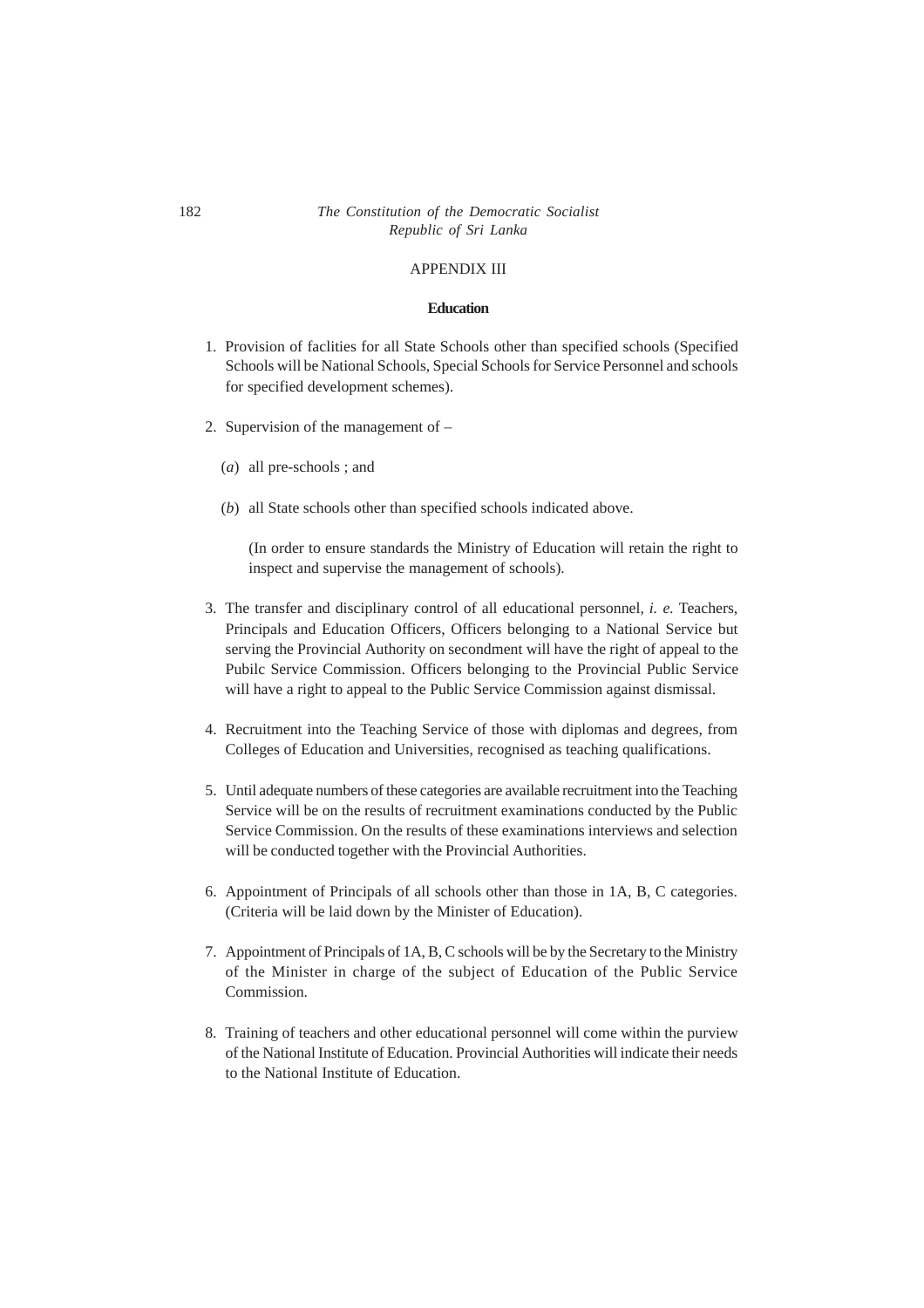## APPENDIX III

#### **Education**

- 1. Provision of faclities for all State Schools other than specified schools (Specified Schools will be National Schools, Special Schools for Service Personnel and schools for specified development schemes).
- 2. Supervision of the management of
	- (*a*) all pre-schools ; and
	- (*b*) all State schools other than specified schools indicated above.

(In order to ensure standards the Ministry of Education will retain the right to inspect and supervise the management of schools).

- 3. The transfer and disciplinary control of all educational personnel, *i. e*. Teachers, Principals and Education Officers, Officers belonging to a National Service but serving the Provincial Authority on secondment will have the right of appeal to the Pubilc Service Commission. Officers belonging to the Provincial Public Service will have a right to appeal to the Public Service Commission against dismissal.
- 4. Recruitment into the Teaching Service of those with diplomas and degrees, from Colleges of Education and Universities, recognised as teaching qualifications.
- 5. Until adequate numbers of these categories are available recruitment into the Teaching Service will be on the results of recruitment examinations conducted by the Public Service Commission. On the results of these examinations interviews and selection will be conducted together with the Provincial Authorities.
- 6. Appointment of Principals of all schools other than those in 1A, B, C categories. (Criteria will be laid down by the Minister of Education).
- 7. Appointment of Principals of 1A, B, C schools will be by the Secretary to the Ministry of the Minister in charge of the subject of Education of the Public Service Commission.
- 8. Training of teachers and other educational personnel will come within the purview of the National Institute of Education. Provincial Authorities will indicate their needs to the National Institute of Education.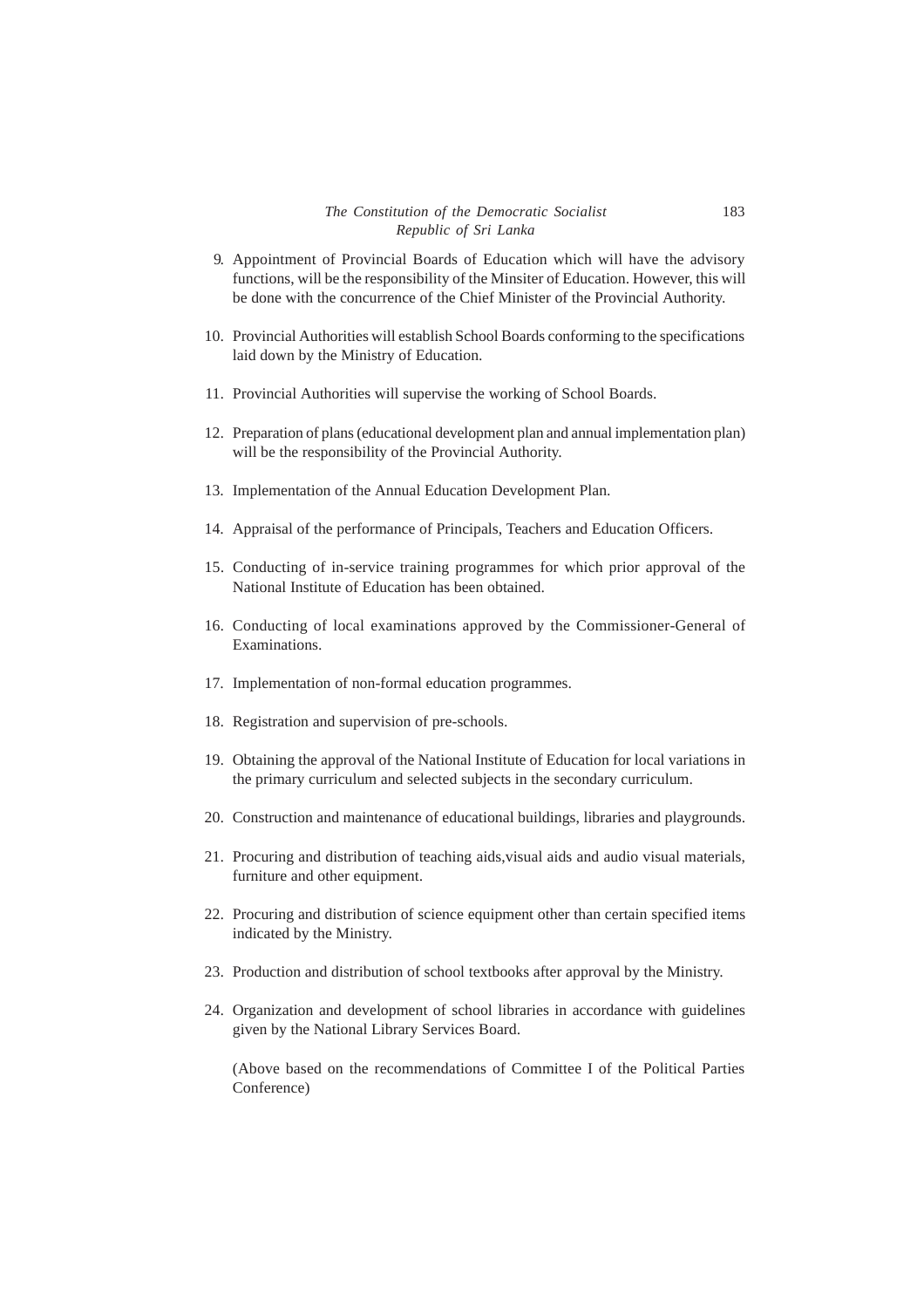- 9. Appointment of Provincial Boards of Education which will have the advisory functions, will be the responsibility of the Minsiter of Education. However, this will be done with the concurrence of the Chief Minister of the Provincial Authority.
- 10. Provincial Authorities will establish School Boards conforming to the specifications laid down by the Ministry of Education.
- 11. Provincial Authorities will supervise the working of School Boards.
- 12. Preparation of plans (educational development plan and annual implementation plan) will be the responsibility of the Provincial Authority.
- 13. Implementation of the Annual Education Development Plan.
- 14. Appraisal of the performance of Principals, Teachers and Education Officers.
- 15. Conducting of in-service training programmes for which prior approval of the National Institute of Education has been obtained.
- 16. Conducting of local examinations approved by the Commissioner-General of Examinations.
- 17. Implementation of non-formal education programmes.
- 18. Registration and supervision of pre-schools.
- 19. Obtaining the approval of the National Institute of Education for local variations in the primary curriculum and selected subjects in the secondary curriculum.
- 20. Construction and maintenance of educational buildings, libraries and playgrounds.
- 21. Procuring and distribution of teaching aids,visual aids and audio visual materials, furniture and other equipment.
- 22. Procuring and distribution of science equipment other than certain specified items indicated by the Ministry.
- 23. Production and distribution of school textbooks after approval by the Ministry.
- 24. Organization and development of school libraries in accordance with guidelines given by the National Library Services Board.

(Above based on the recommendations of Committee I of the Political Parties Conference)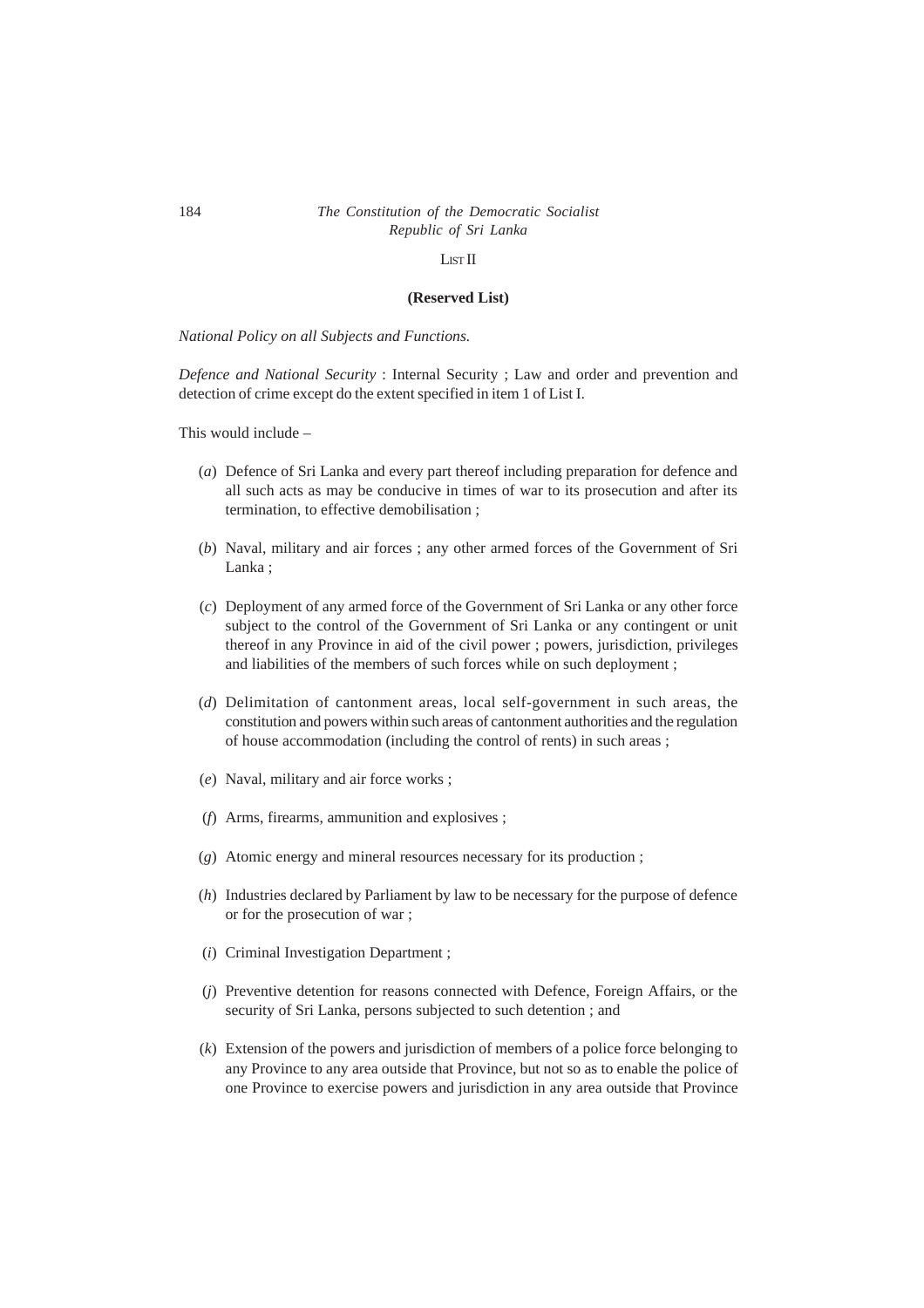#### **L**IGT II

## **(Reserved List)**

*National Policy on all Subjects and Functions.*

*Defence and National Security* : Internal Security ; Law and order and prevention and detection of crime except do the extent specified in item 1 of List I.

This would include –

- (*a*) Defence of Sri Lanka and every part thereof including preparation for defence and all such acts as may be conducive in times of war to its prosecution and after its termination, to effective demobilisation ;
- (*b*) Naval, military and air forces ; any other armed forces of the Government of Sri Lanka ;
- (*c*) Deployment of any armed force of the Government of Sri Lanka or any other force subject to the control of the Government of Sri Lanka or any contingent or unit thereof in any Province in aid of the civil power ; powers, jurisdiction, privileges and liabilities of the members of such forces while on such deployment ;
- (*d*) Delimitation of cantonment areas, local self-government in such areas, the constitution and powers within such areas of cantonment authorities and the regulation of house accommodation (including the control of rents) in such areas ;
- (*e*) Naval, military and air force works ;
- (*f*) Arms, firearms, ammunition and explosives ;
- (*g*) Atomic energy and mineral resources necessary for its production ;
- (*h*) Industries declared by Parliament by law to be necessary for the purpose of defence or for the prosecution of war ;
- (*i*) Criminal Investigation Department ;
- (*j*) Preventive detention for reasons connected with Defence, Foreign Affairs, or the security of Sri Lanka, persons subjected to such detention ; and
- (*k*) Extension of the powers and jurisdiction of members of a police force belonging to any Province to any area outside that Province, but not so as to enable the police of one Province to exercise powers and jurisdiction in any area outside that Province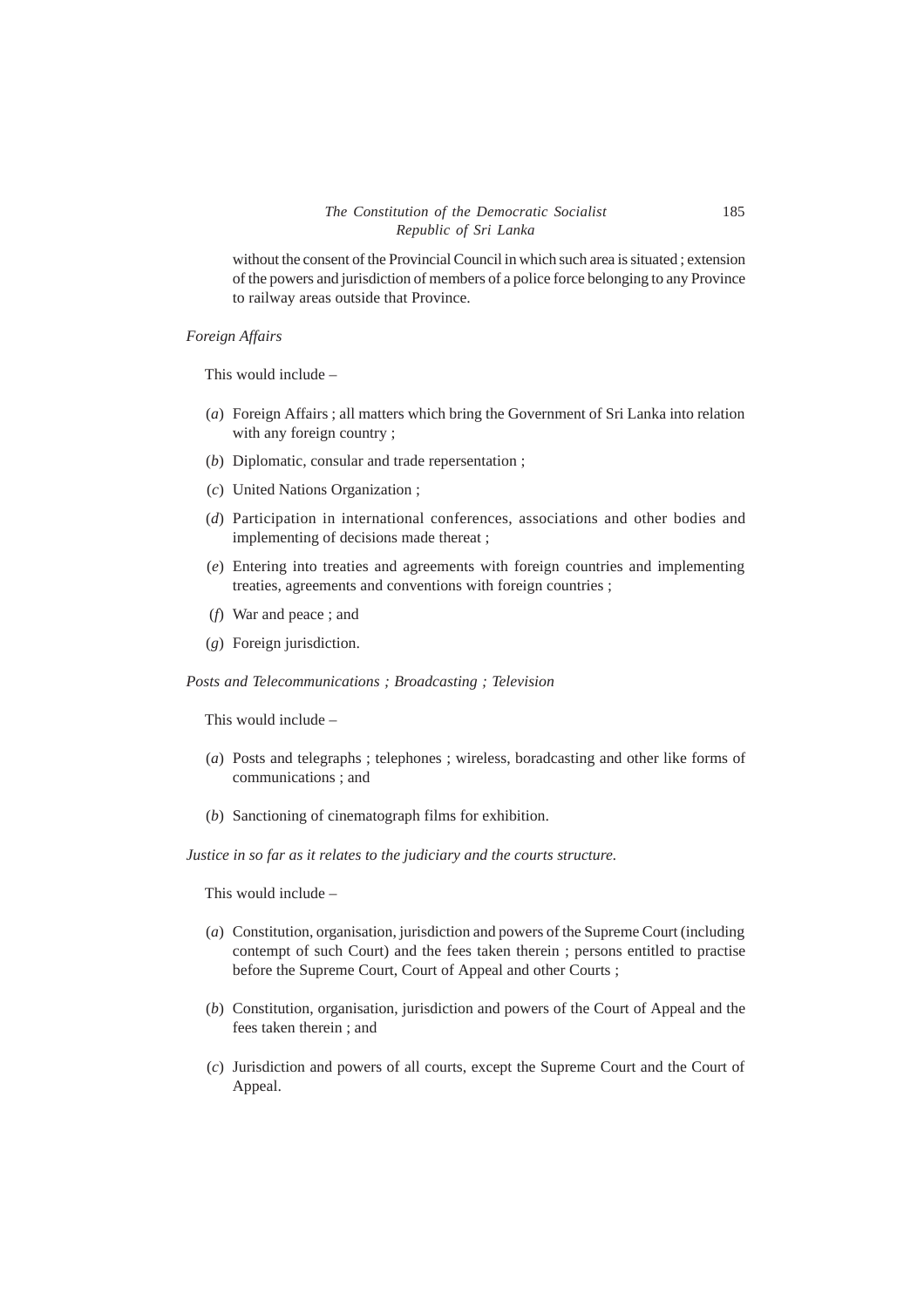without the consent of the Provincial Council in which such area is situated ; extension of the powers and jurisdiction of members of a police force belonging to any Province to railway areas outside that Province.

*Foreign Affairs*

This would include –

- (*a*) Foreign Affairs ; all matters which bring the Government of Sri Lanka into relation with any foreign country ;
- (*b*) Diplomatic, consular and trade repersentation ;
- (*c*) United Nations Organization ;
- (*d*) Participation in international conferences, associations and other bodies and implementing of decisions made thereat ;
- (*e*) Entering into treaties and agreements with foreign countries and implementing treaties, agreements and conventions with foreign countries ;
- (*f*) War and peace ; and
- (*g*) Foreign jurisdiction.

*Posts and Telecommunications ; Broadcasting ; Television*

This would include –

- (*a*) Posts and telegraphs ; telephones ; wireless, boradcasting and other like forms of communications ; and
- (*b*) Sanctioning of cinematograph films for exhibition.

*Justice in so far as it relates to the judiciary and the courts structure.*

This would include –

- (*a*) Constitution, organisation, jurisdiction and powers of the Supreme Court (including contempt of such Court) and the fees taken therein ; persons entitled to practise before the Supreme Court, Court of Appeal and other Courts ;
- (*b*) Constitution, organisation, jurisdiction and powers of the Court of Appeal and the fees taken therein ; and
- (*c*) Jurisdiction and powers of all courts, except the Supreme Court and the Court of Appeal.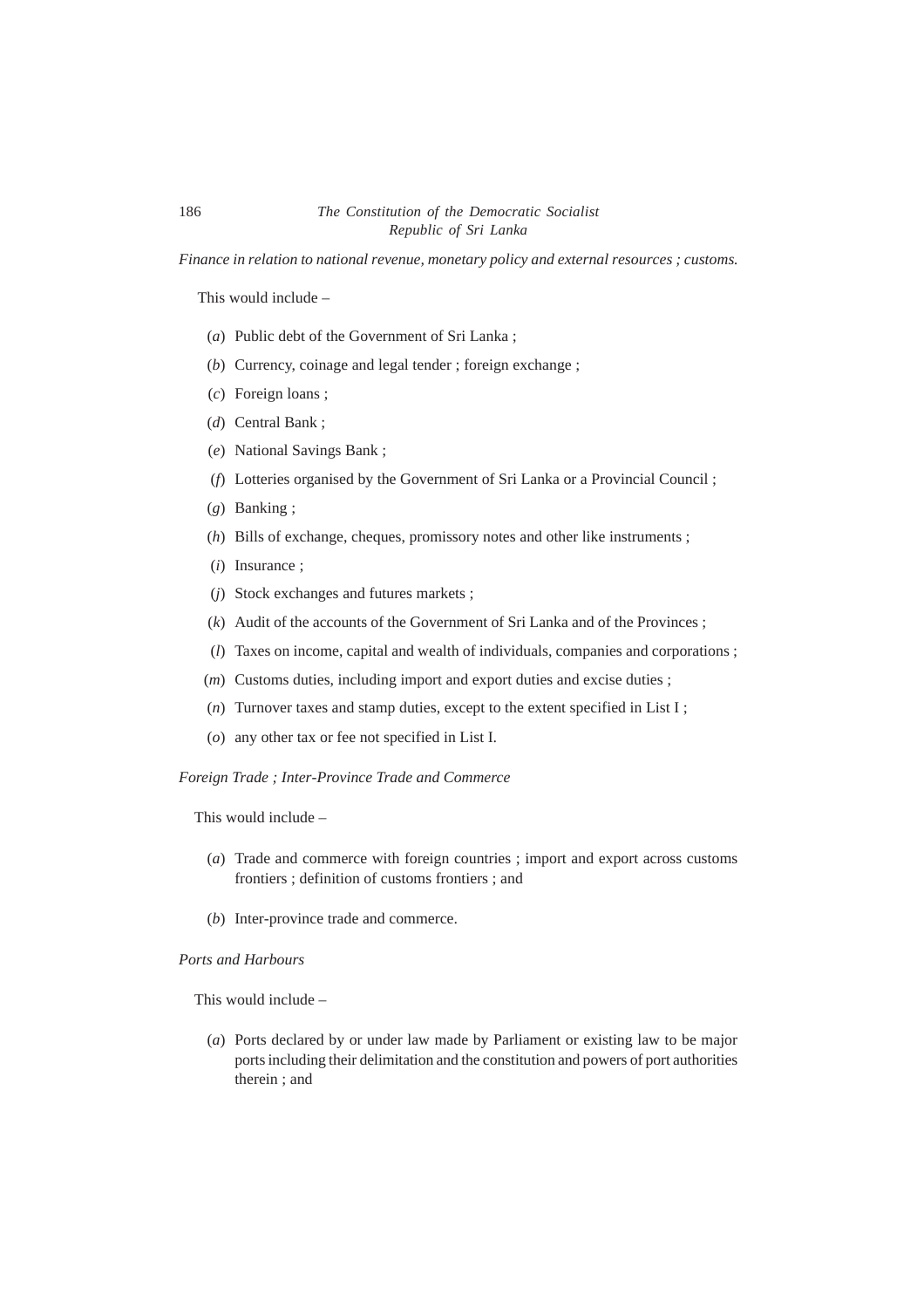*Finance in relation to national revenue, monetary policy and external resources ; customs.*

This would include –

- (*a*) Public debt of the Government of Sri Lanka ;
- (*b*) Currency, coinage and legal tender ; foreign exchange ;
- (*c*) Foreign loans ;
- (*d*) Central Bank ;
- (*e*) National Savings Bank ;
- (*f*) Lotteries organised by the Government of Sri Lanka or a Provincial Council ;
- (*g*) Banking ;
- (*h*) Bills of exchange, cheques, promissory notes and other like instruments ;
- (*i*) Insurance ;
- (*j*) Stock exchanges and futures markets ;
- (*k*) Audit of the accounts of the Government of Sri Lanka and of the Provinces ;
- (*l*) Taxes on income, capital and wealth of individuals, companies and corporations ;
- (*m*) Customs duties, including import and export duties and excise duties;
- (*n*) Turnover taxes and stamp duties, except to the extent specified in List I ;
- (*o*) any other tax or fee not specified in List I.

## *Foreign Trade ; Inter-Province Trade and Commerce*

This would include –

- (*a*) Trade and commerce with foreign countries ; import and export across customs frontiers ; definition of customs frontiers ; and
- (*b*) Inter-province trade and commerce.

## *Ports and Harbours*

This would include –

(*a*) Ports declared by or under law made by Parliament or existing law to be major ports including their delimitation and the constitution and powers of port authorities therein ; and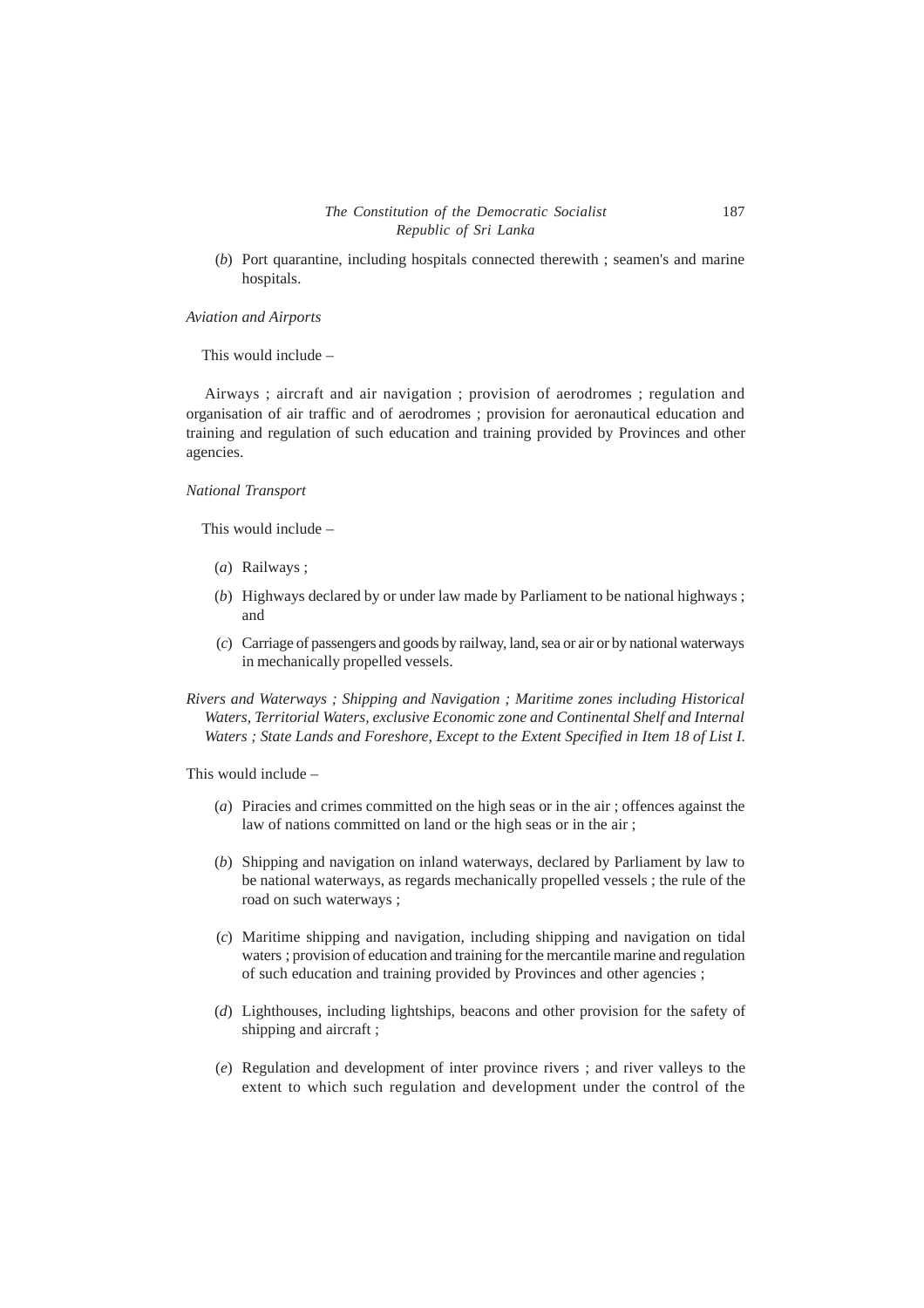(*b*) Port quarantine, including hospitals connected therewith ; seamen's and marine hospitals.

#### *Aviation and Airports*

This would include –

Airways ; aircraft and air navigation ; provision of aerodromes ; regulation and organisation of air traffic and of aerodromes ; provision for aeronautical education and training and regulation of such education and training provided by Provinces and other agencies.

#### *National Transport*

This would include –

- (*a*) Railways ;
- (*b*) Highways declared by or under law made by Parliament to be national highways ; and
- (*c*) Carriage of passengers and goods by railway, land, sea or air or by national waterways in mechanically propelled vessels.
- *Rivers and Waterways ; Shipping and Navigation ; Maritime zones including Historical Waters, Territorial Waters, exclusive Economic zone and Continental Shelf and Internal Waters ; State Lands and Foreshore, Except to the Extent Specified in Item 18 of List I.*

This would include –

- (*a*) Piracies and crimes committed on the high seas or in the air ; offences against the law of nations committed on land or the high seas or in the air ;
- (*b*) Shipping and navigation on inland waterways, declared by Parliament by law to be national waterways, as regards mechanically propelled vessels ; the rule of the road on such waterways ;
- (*c*) Maritime shipping and navigation, including shipping and navigation on tidal waters ; provision of education and training for the mercantile marine and regulation of such education and training provided by Provinces and other agencies ;
- (*d*) Lighthouses, including lightships, beacons and other provision for the safety of shipping and aircraft ;
- (*e*) Regulation and development of inter province rivers ; and river valleys to the extent to which such regulation and development under the control of the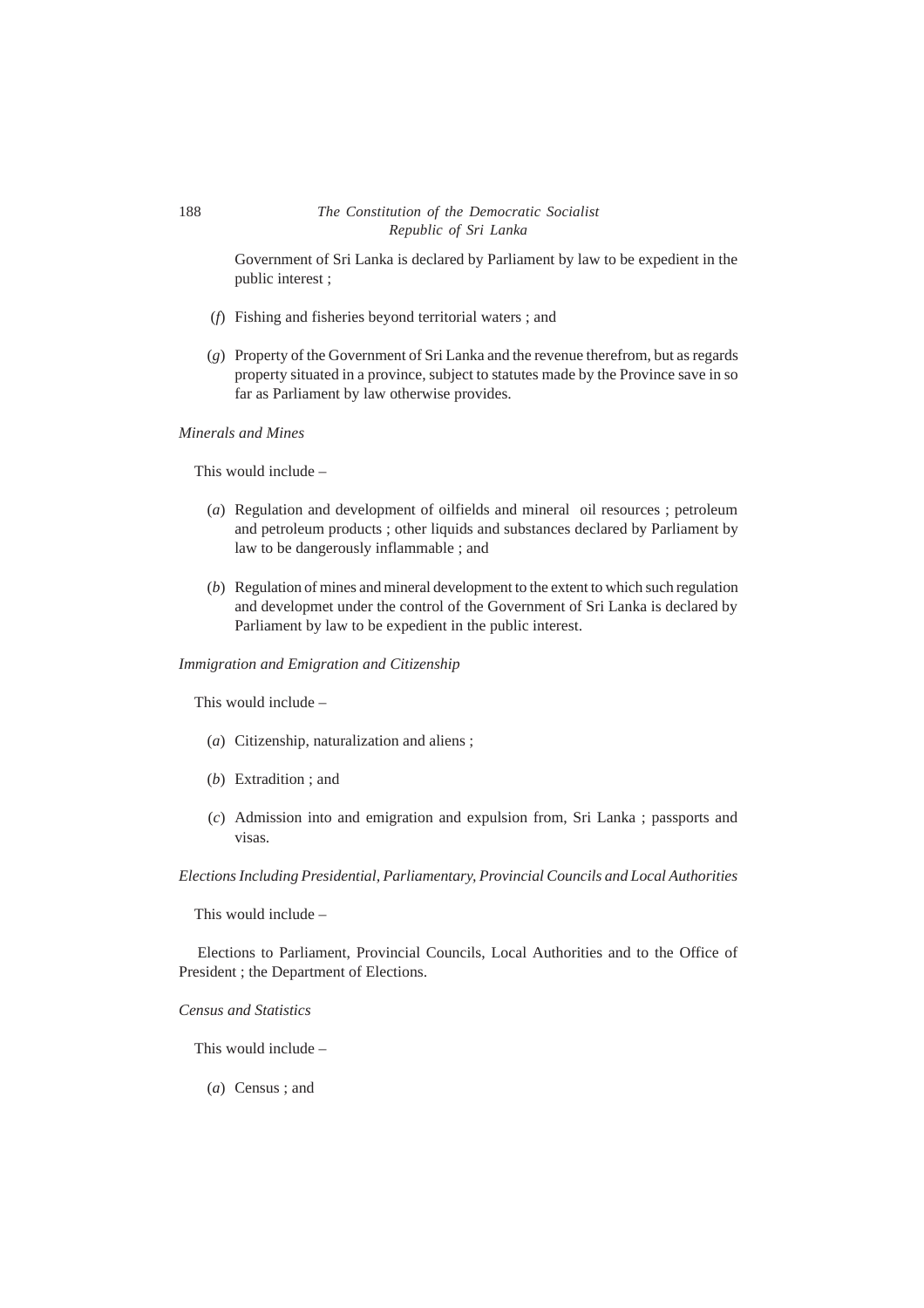Government of Sri Lanka is declared by Parliament by law to be expedient in the public interest ;

- (*f*) Fishing and fisheries beyond territorial waters ; and
- (*g*) Property of the Government of Sri Lanka and the revenue therefrom, but as regards property situated in a province, subject to statutes made by the Province save in so far as Parliament by law otherwise provides.

## *Minerals and Mines*

This would include –

- (*a*) Regulation and development of oilfields and mineral oil resources ; petroleum and petroleum products ; other liquids and substances declared by Parliament by law to be dangerously inflammable ; and
- (*b*) Regulation of mines and mineral development to the extent to which such regulation and developmet under the control of the Government of Sri Lanka is declared by Parliament by law to be expedient in the public interest.

*Immigration and Emigration and Citizenship*

This would include –

- (*a*) Citizenship, naturalization and aliens ;
- (*b*) Extradition ; and
- (*c*) Admission into and emigration and expulsion from, Sri Lanka ; passports and visas.

*Elections Including Presidential, Parliamentary, Provincial Councils and Local Authorities*

This would include –

Elections to Parliament, Provincial Councils, Local Authorities and to the Office of President ; the Department of Elections.

*Census and Statistics*

This would include –

(*a*) Census ; and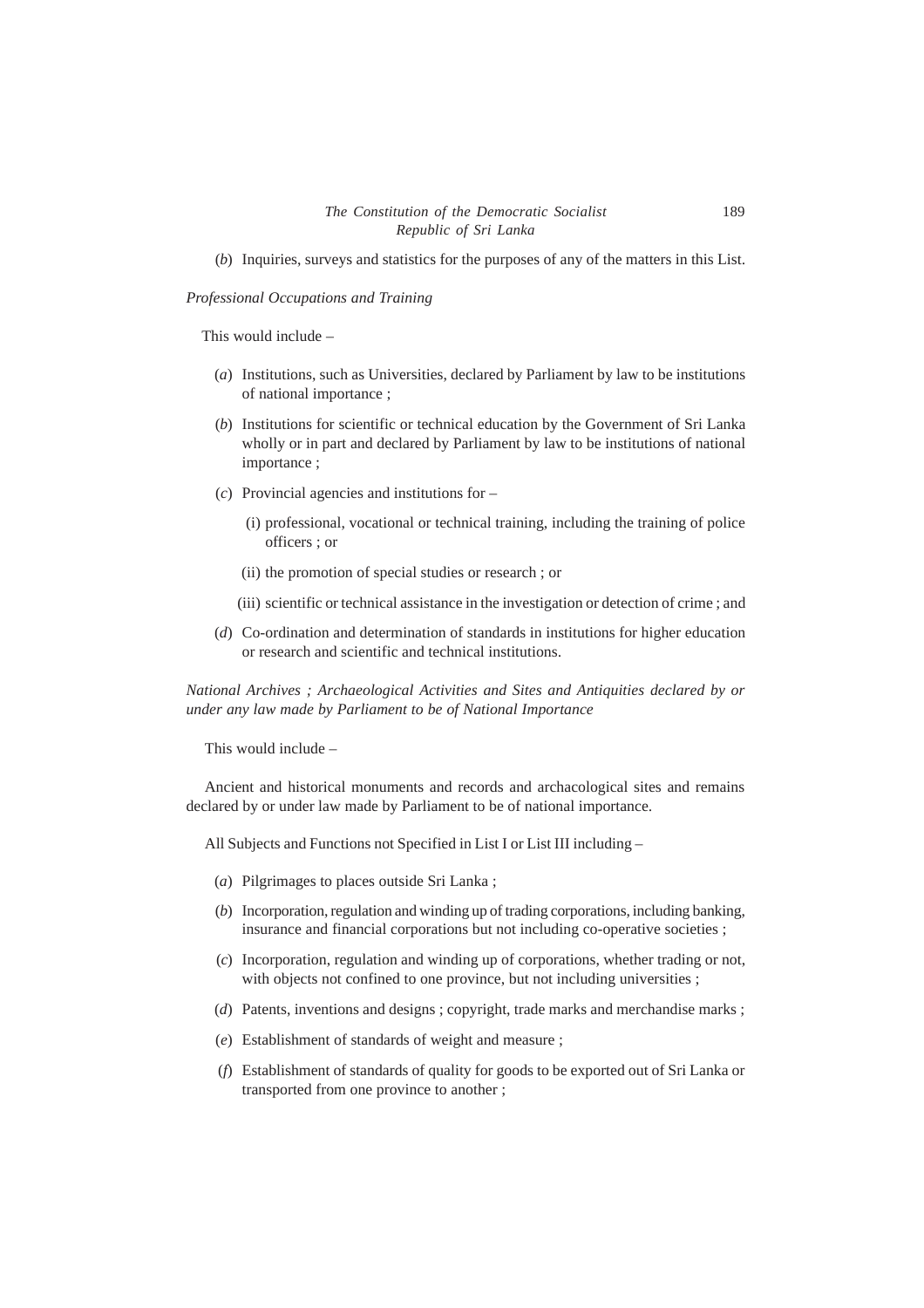(*b*) Inquiries, surveys and statistics for the purposes of any of the matters in this List.

*Professional Occupations and Training*

This would include –

- (*a*) Institutions, such as Universities, declared by Parliament by law to be institutions of national importance ;
- (*b*) Institutions for scientific or technical education by the Government of Sri Lanka wholly or in part and declared by Parliament by law to be institutions of national importance ;
- (*c*) Provincial agencies and institutions for
	- (i) professional, vocational or technical training, including the training of police officers ; or
	- (ii) the promotion of special studies or research ; or
	- (iii) scientific or technical assistance in the investigation or detection of crime ; and
- (*d*) Co-ordination and determination of standards in institutions for higher education or research and scientific and technical institutions.

*National Archives ; Archaeological Activities and Sites and Antiquities declared by or under any law made by Parliament to be of National Importance*

This would include –

Ancient and historical monuments and records and archacological sites and remains declared by or under law made by Parliament to be of national importance.

All Subjects and Functions not Specified in List I or List III including –

- (*a*) Pilgrimages to places outside Sri Lanka ;
- (*b*) Incorporation, regulation and winding up of trading corporations, including banking, insurance and financial corporations but not including co-operative societies ;
- (*c*) Incorporation, regulation and winding up of corporations, whether trading or not, with objects not confined to one province, but not including universities;
- (*d*) Patents, inventions and designs ; copyright, trade marks and merchandise marks ;
- (*e*) Establishment of standards of weight and measure ;
- (*f*) Establishment of standards of quality for goods to be exported out of Sri Lanka or transported from one province to another ;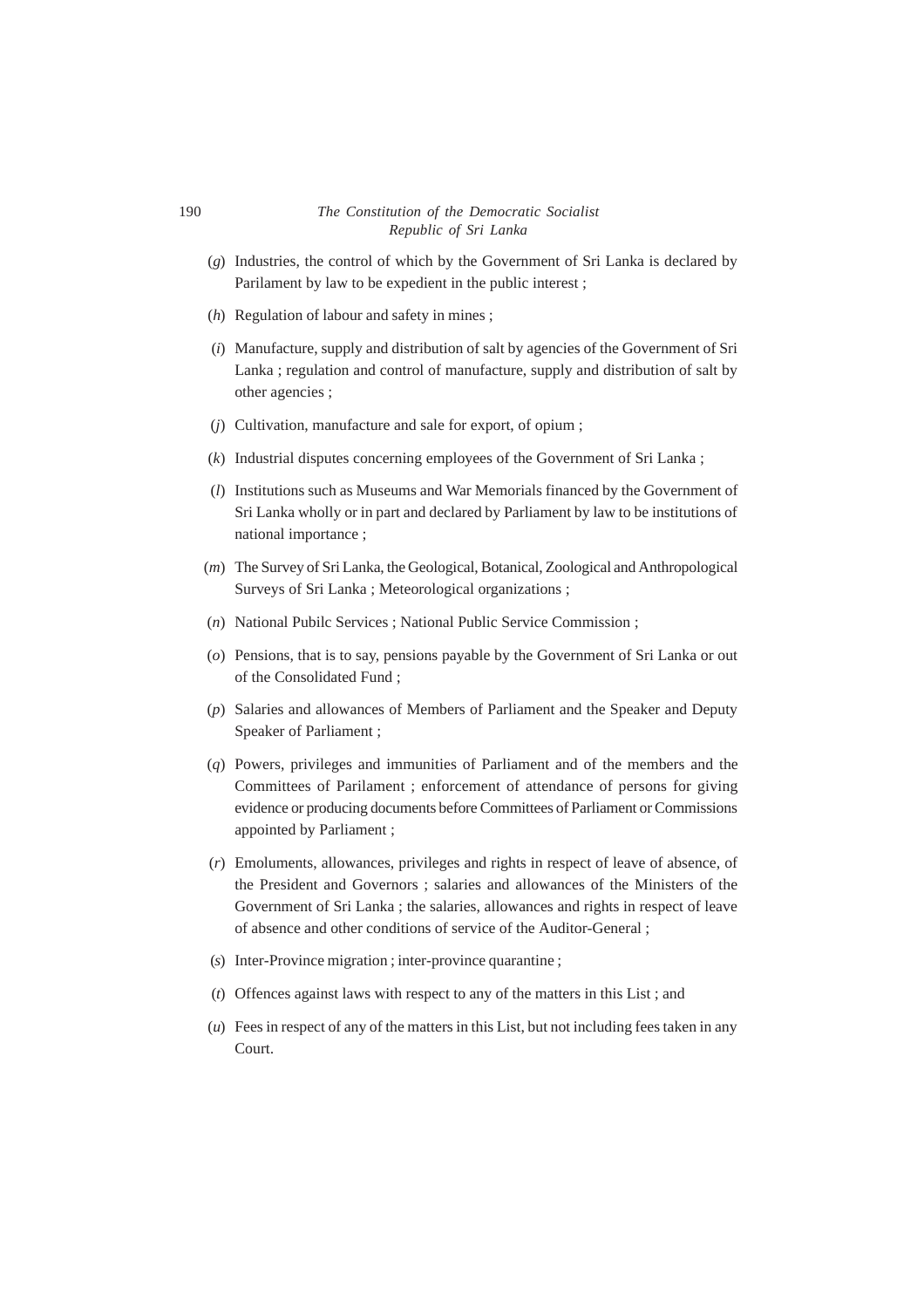- (*g*) Industries, the control of which by the Government of Sri Lanka is declared by Parilament by law to be expedient in the public interest ;
- (*h*) Regulation of labour and safety in mines ;
- (*i*) Manufacture, supply and distribution of salt by agencies of the Government of Sri Lanka ; regulation and control of manufacture, supply and distribution of salt by other agencies ;
- (*j*) Cultivation, manufacture and sale for export, of opium ;
- (*k*) Industrial disputes concerning employees of the Government of Sri Lanka ;
- (*l*) Institutions such as Museums and War Memorials financed by the Government of Sri Lanka wholly or in part and declared by Parliament by law to be institutions of national importance ;
- (*m*) The Survey of Sri Lanka, the Geological, Botanical, Zoological and Anthropological Surveys of Sri Lanka ; Meteorological organizations ;
- (*n*) National Pubilc Services ; National Public Service Commission ;
- (*o*) Pensions, that is to say, pensions payable by the Government of Sri Lanka or out of the Consolidated Fund ;
- (*p*) Salaries and allowances of Members of Parliament and the Speaker and Deputy Speaker of Parliament ;
- (*q*) Powers, privileges and immunities of Parliament and of the members and the Committees of Parilament ; enforcement of attendance of persons for giving evidence or producing documents before Committees of Parliament or Commissions appointed by Parliament ;
- (*r*) Emoluments, allowances, privileges and rights in respect of leave of absence, of the President and Governors ; salaries and allowances of the Ministers of the Government of Sri Lanka ; the salaries, allowances and rights in respect of leave of absence and other conditions of service of the Auditor-General ;
- (*s*) Inter-Province migration ; inter-province quarantine ;
- (*t*) Offences against laws with respect to any of the matters in this List ; and
- (*u*) Fees in respect of any of the matters in this List, but not including fees taken in any Court.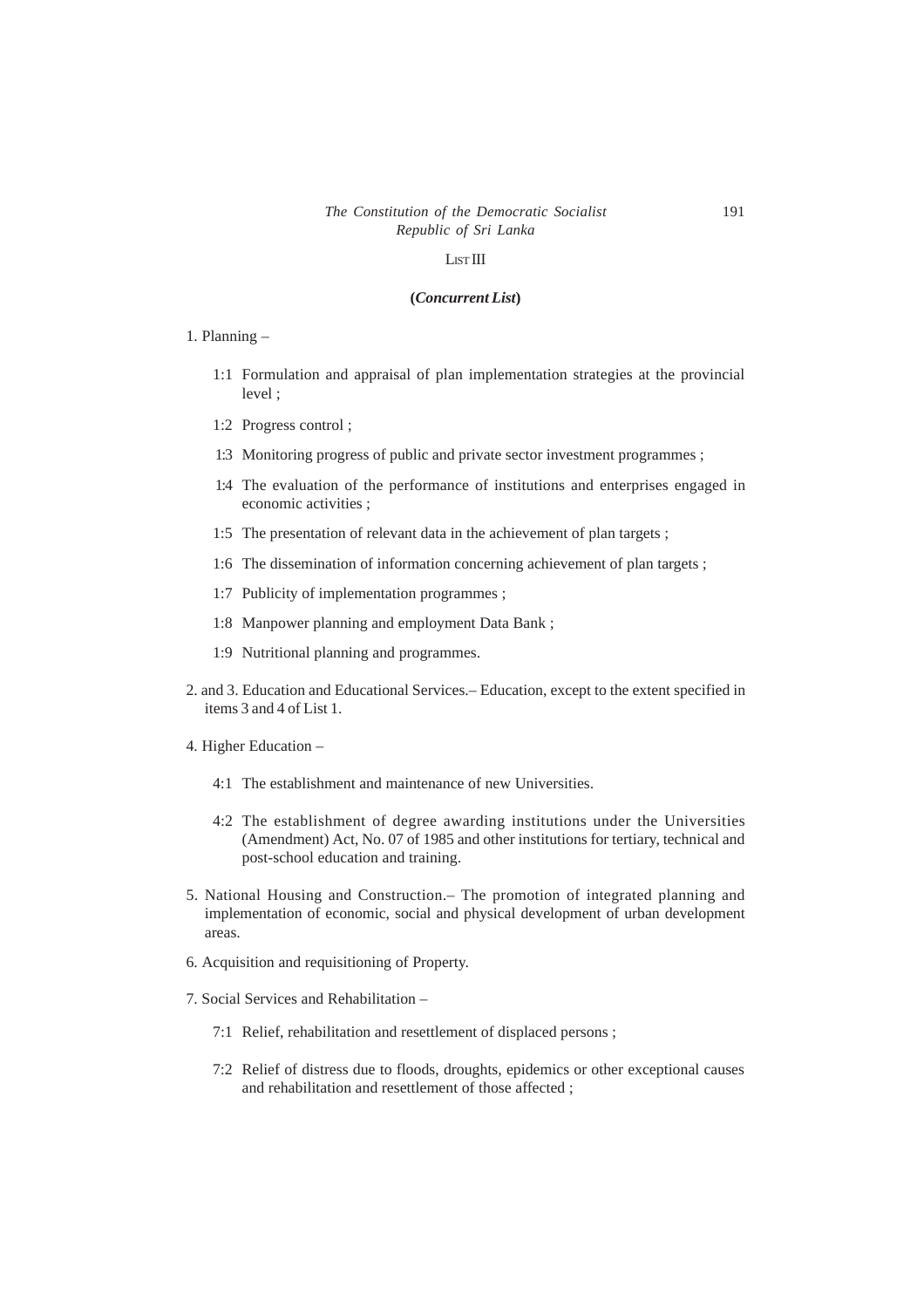#### LIST III

## **(***Concurrent List***)**

- 1. Planning
	- 1:1 Formulation and appraisal of plan implementation strategies at the provincial level ;
	- 1:2 Progress control ;
	- 1:3 Monitoring progress of public and private sector investment programmes ;
	- 1:4 The evaluation of the performance of institutions and enterprises engaged in economic activities ;
	- 1:5 The presentation of relevant data in the achievement of plan targets ;
	- 1:6 The dissemination of information concerning achievement of plan targets ;
	- 1:7 Publicity of implementation programmes ;
	- 1:8 Manpower planning and employment Data Bank ;
	- 1:9 Nutritional planning and programmes.
- 2. and 3. Education and Educational Services.– Education, except to the extent specified in items 3 and 4 of List 1.
- 4. Higher Education
	- 4:1 The establishment and maintenance of new Universities.
	- 4:2 The establishment of degree awarding institutions under the Universities (Amendment) Act, No. 07 of 1985 and other institutions for tertiary, technical and post-school education and training.
- 5. National Housing and Construction.– The promotion of integrated planning and implementation of economic, social and physical development of urban development areas.
- 6. Acquisition and requisitioning of Property.
- 7. Social Services and Rehabilitation
	- 7:1 Relief, rehabilitation and resettlement of displaced persons ;
	- 7:2 Relief of distress due to floods, droughts, epidemics or other exceptional causes and rehabilitation and resettlement of those affected ;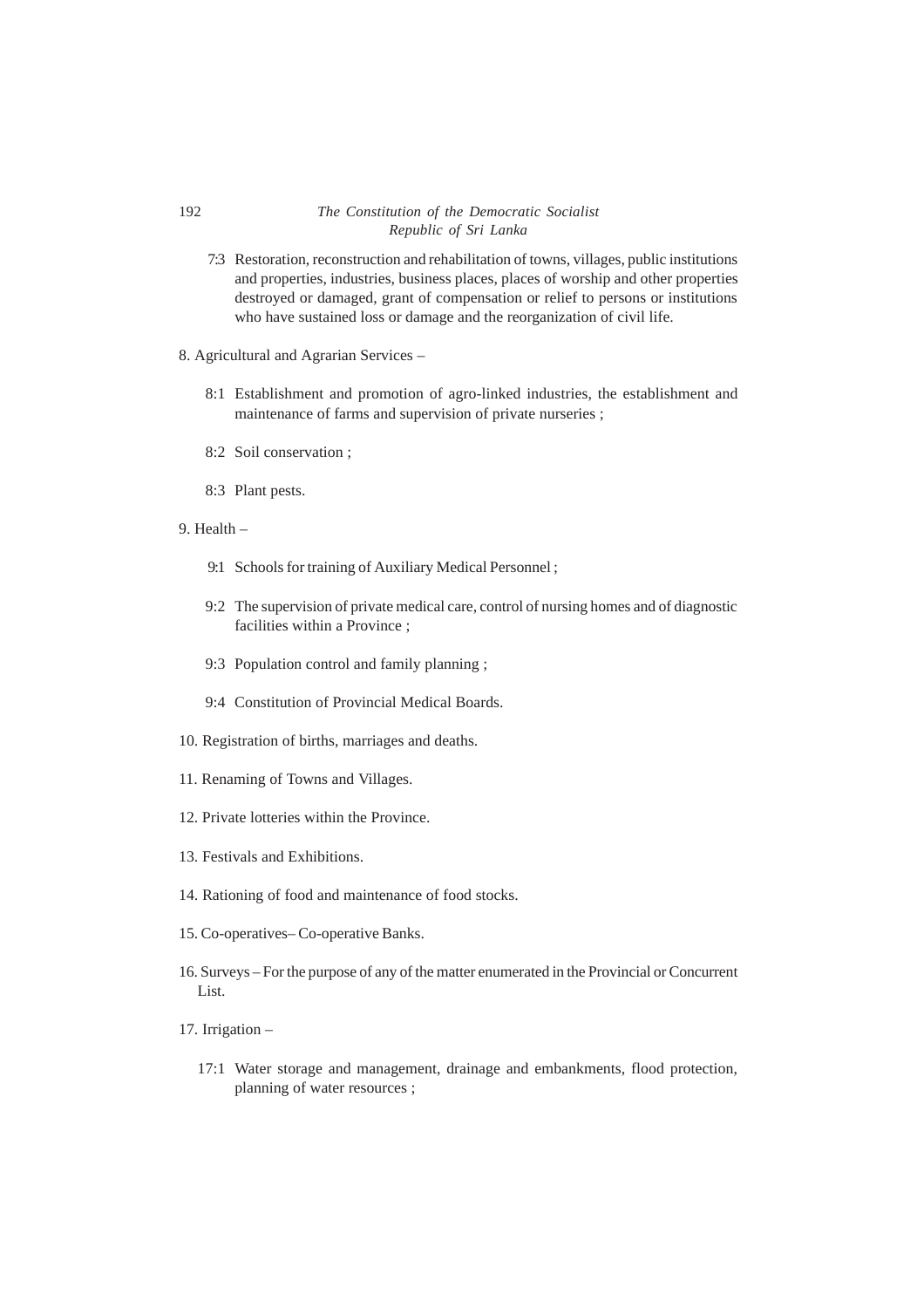- 7:3 Restoration, reconstruction and rehabilitation of towns, villages, public institutions and properties, industries, business places, places of worship and other properties destroyed or damaged, grant of compensation or relief to persons or institutions who have sustained loss or damage and the reorganization of civil life.
- 8. Agricultural and Agrarian Services
	- 8:1 Establishment and promotion of agro-linked industries, the establishment and maintenance of farms and supervision of private nurseries ;
	- 8:2 Soil conservation ;
	- 8:3 Plant pests.
- 9. Health
	- 9:1 Schools for training of Auxiliary Medical Personnel ;
	- 9:2 The supervision of private medical care, control of nursing homes and of diagnostic facilities within a Province ;
	- 9:3 Population control and family planning ;
	- 9:4 Constitution of Provincial Medical Boards.
- 10. Registration of births, marriages and deaths.
- 11. Renaming of Towns and Villages.
- 12. Private lotteries within the Province.
- 13. Festivals and Exhibitions.
- 14. Rationing of food and maintenance of food stocks.
- 15. Co-operatives– Co-operative Banks.
- 16. Surveys For the purpose of any of the matter enumerated in the Provincial or Concurrent List.
- 17. Irrigation
	- 17:1 Water storage and management, drainage and embankments, flood protection, planning of water resources ;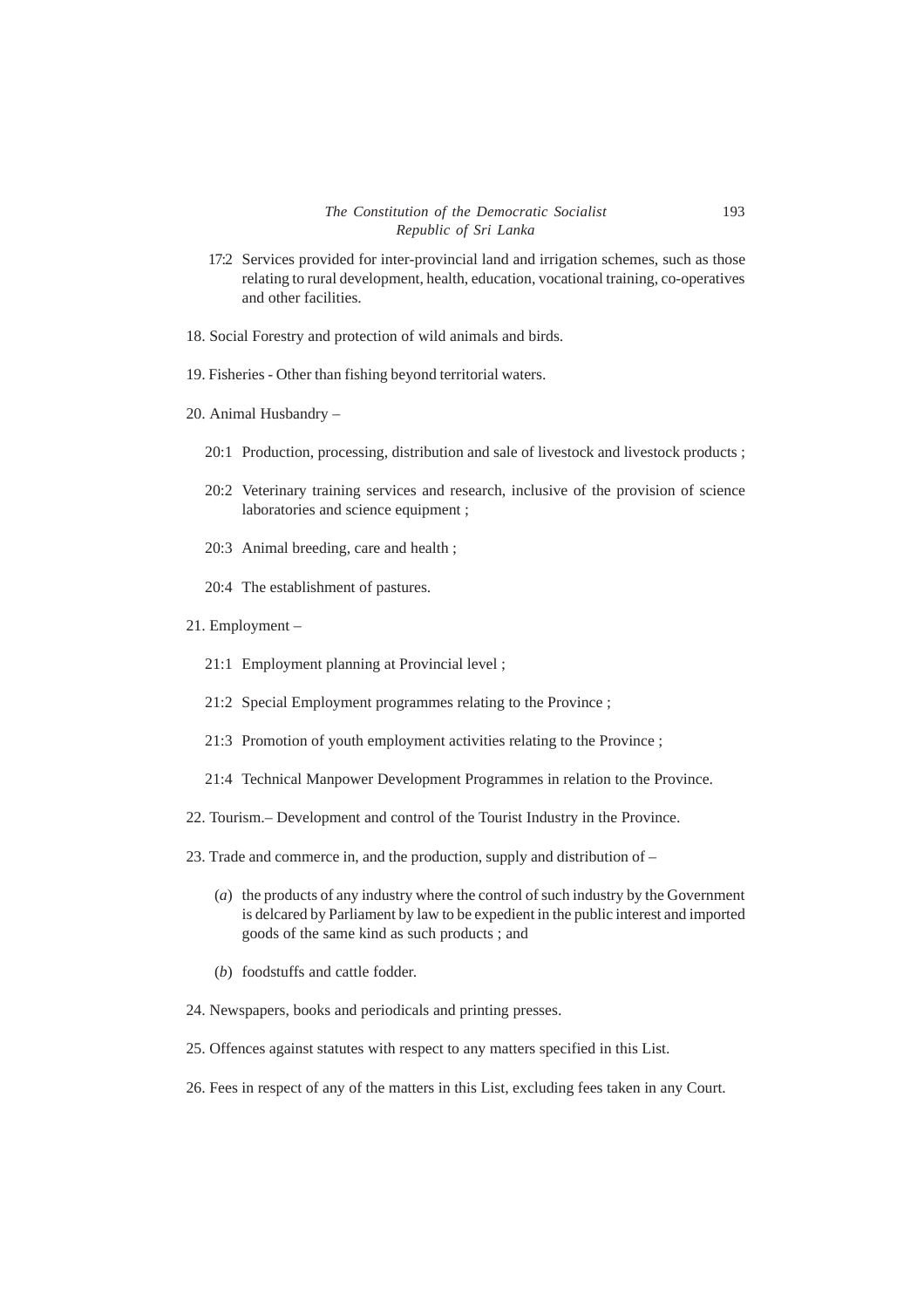- 17:2 Services provided for inter-provincial land and irrigation schemes, such as those relating to rural development, health, education, vocational training, co-operatives and other facilities.
- 18. Social Forestry and protection of wild animals and birds.
- 19. Fisheries Other than fishing beyond territorial waters.
- 20. Animal Husbandry
	- 20:1 Production, processing, distribution and sale of livestock and livestock products ;
	- 20:2 Veterinary training services and research, inclusive of the provision of science laboratories and science equipment ;
	- 20:3 Animal breeding, care and health ;
	- 20:4 The establishment of pastures.
- 21. Employment
	- 21:1 Employment planning at Provincial level ;
	- 21:2 Special Employment programmes relating to the Province ;
	- 21:3 Promotion of youth employment activities relating to the Province ;
	- 21:4 Technical Manpower Development Programmes in relation to the Province.
- 22. Tourism.– Development and control of the Tourist Industry in the Province.
- 23. Trade and commerce in, and the production, supply and distribution of
	- (*a*) the products of any industry where the control of such industry by the Government is delcared by Parliament by law to be expedient in the public interest and imported goods of the same kind as such products ; and
	- (*b*) foodstuffs and cattle fodder.
- 24. Newspapers, books and periodicals and printing presses.
- 25. Offences against statutes with respect to any matters specified in this List.
- 26. Fees in respect of any of the matters in this List, excluding fees taken in any Court.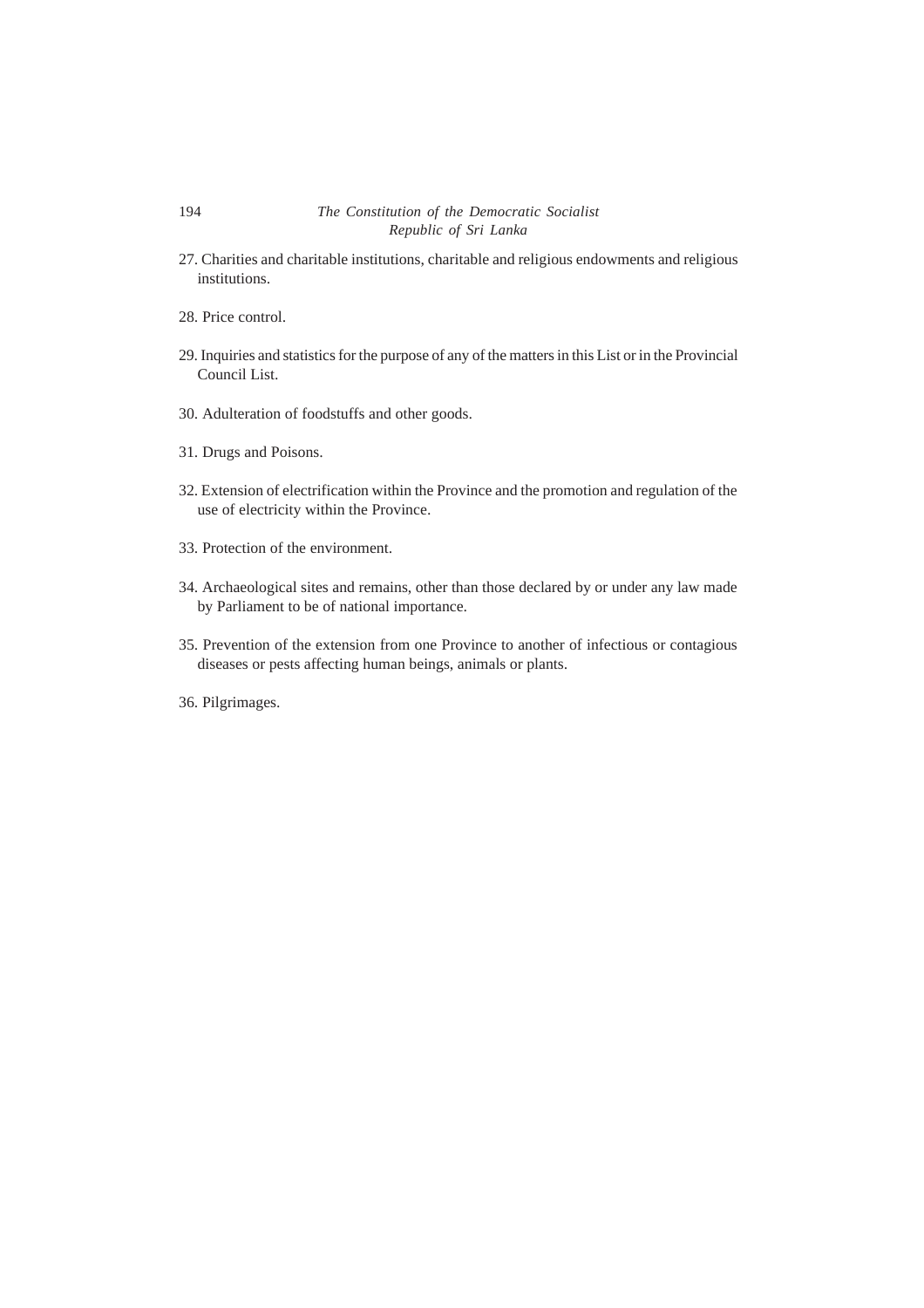- 27. Charities and charitable institutions, charitable and religious endowments and religious institutions.
- 28. Price control.
- 29. Inquiries and statistics for the purpose of any of the matters in this List or in the Provincial Council List.
- 30. Adulteration of foodstuffs and other goods.
- 31. Drugs and Poisons.
- 32. Extension of electrification within the Province and the promotion and regulation of the use of electricity within the Province.
- 33. Protection of the environment.
- 34. Archaeological sites and remains, other than those declared by or under any law made by Parliament to be of national importance.
- 35. Prevention of the extension from one Province to another of infectious or contagious diseases or pests affecting human beings, animals or plants.
- 36. Pilgrimages.